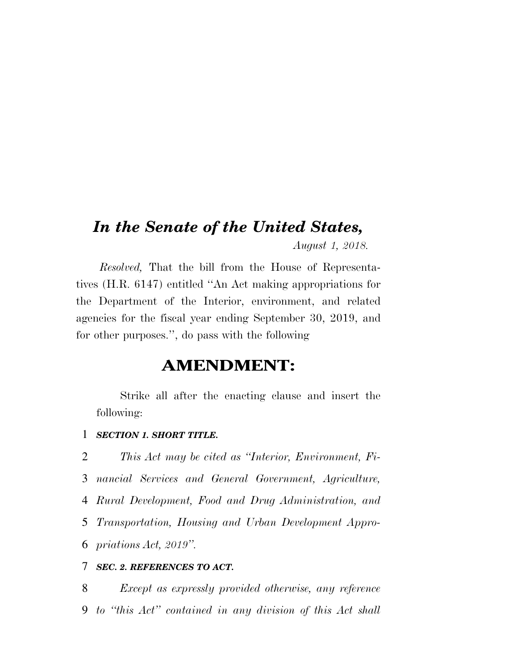# *In the Senate of the United States, August 1, 2018.*

*Resolved,* That the bill from the House of Representatives (H.R. 6147) entitled ''An Act making appropriations for the Department of the Interior, environment, and related agencies for the fiscal year ending September 30, 2019, and for other purposes.'', do pass with the following

# **AMENDMENT:**

Strike all after the enacting clause and insert the following:

#### 1 *SECTION 1. SHORT TITLE.*

 *This Act may be cited as ''Interior, Environment, Fi- nancial Services and General Government, Agriculture, Rural Development, Food and Drug Administration, and Transportation, Housing and Urban Development Appro-priations Act, 2019''.* 

### 7 *SEC. 2. REFERENCES TO ACT.*

8 *Except as expressly provided otherwise, any reference*  9 *to ''this Act'' contained in any division of this Act shall*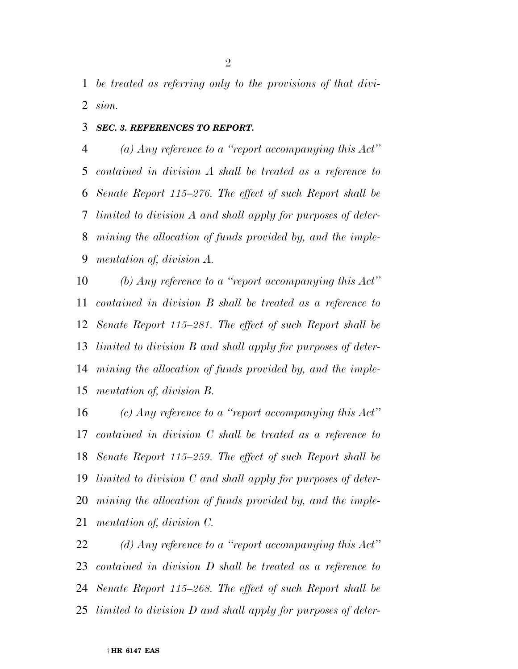*be treated as referring only to the provisions of that divi-sion.* 

#### *SEC. 3. REFERENCES TO REPORT.*

 *(a) Any reference to a ''report accompanying this Act'' contained in division A shall be treated as a reference to Senate Report 115–276. The effect of such Report shall be limited to division A and shall apply for purposes of deter- mining the allocation of funds provided by, and the imple-mentation of, division A.* 

 *(b) Any reference to a ''report accompanying this Act'' contained in division B shall be treated as a reference to Senate Report 115–281. The effect of such Report shall be limited to division B and shall apply for purposes of deter- mining the allocation of funds provided by, and the imple-mentation of, division B.* 

 *(c) Any reference to a ''report accompanying this Act'' contained in division C shall be treated as a reference to Senate Report 115–259. The effect of such Report shall be limited to division C and shall apply for purposes of deter- mining the allocation of funds provided by, and the imple-mentation of, division C.* 

 *(d) Any reference to a ''report accompanying this Act'' contained in division D shall be treated as a reference to Senate Report 115–268. The effect of such Report shall be limited to division D and shall apply for purposes of deter-*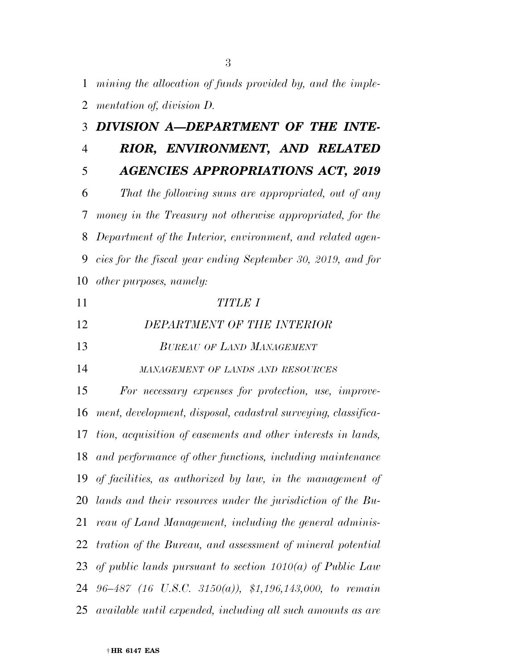*mining the allocation of funds provided by, and the imple-*

*mentation of, division D.* 

|                | 3 DIVISION A-DEPARTMENT OF THE INTE-                           |
|----------------|----------------------------------------------------------------|
| $\overline{4}$ | RIOR, ENVIRONMENT, AND RELATED                                 |
| 5              | <b>AGENCIES APPROPRIATIONS ACT, 2019</b>                       |
| 6              | That the following sums are appropriated, out of any           |
| 7              | money in the Treasury not otherwise appropriated, for the      |
| 8              | Department of the Interior, environment, and related agen-     |
| 9              | cies for the fiscal year ending September 30, 2019, and for    |
| 10             | other purposes, namely:                                        |
| 11             | <b>TITLE I</b>                                                 |
| 12             | DEPARTMENT OF THE INTERIOR                                     |
| 13             | <b>BUREAU OF LAND MANAGEMENT</b>                               |
| 14             | MANAGEMENT OF LANDS AND RESOURCES                              |
| 15             | For necessary expenses for protection, use, improve-           |
| 16             | ment, development, disposal, cadastral surveying, classifica-  |
| 17             | tion, acquisition of easements and other interests in lands,   |
| 18             | and performance of other functions, including maintenance      |
| 19             | of facilities, as authorized by law, in the management of      |
|                | 20 lands and their resources under the jurisdiction of the Bu- |
| 21             | reau of Land Management, including the general adminis-        |
| 22             | tration of the Bureau, and assessment of mineral potential     |
| 23             | of public lands pursuant to section $1010(a)$ of Public Law    |
| 24             | $96-487$ (16 U.S.C. 3150(a)), \$1,196,143,000, to remain       |
|                | 25 available until expended, including all such amounts as are |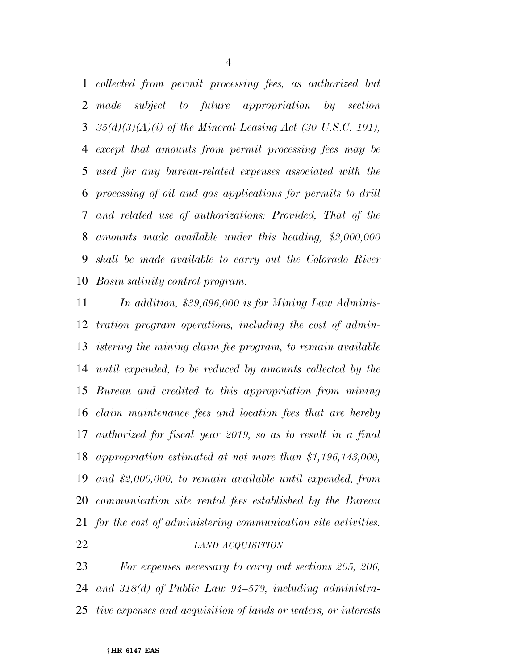*collected from permit processing fees, as authorized but made subject to future appropriation by section 35(d)(3)(A)(i) of the Mineral Leasing Act (30 U.S.C. 191), except that amounts from permit processing fees may be used for any bureau-related expenses associated with the processing of oil and gas applications for permits to drill and related use of authorizations: Provided, That of the amounts made available under this heading, \$2,000,000 shall be made available to carry out the Colorado River Basin salinity control program.* 

 *In addition, \$39,696,000 is for Mining Law Adminis- tration program operations, including the cost of admin- istering the mining claim fee program, to remain available until expended, to be reduced by amounts collected by the Bureau and credited to this appropriation from mining claim maintenance fees and location fees that are hereby authorized for fiscal year 2019, so as to result in a final appropriation estimated at not more than \$1,196,143,000, and \$2,000,000, to remain available until expended, from communication site rental fees established by the Bureau for the cost of administering communication site activities. LAND ACQUISITION*

 *For expenses necessary to carry out sections 205, 206, and 318(d) of Public Law 94–579, including administra-tive expenses and acquisition of lands or waters, or interests*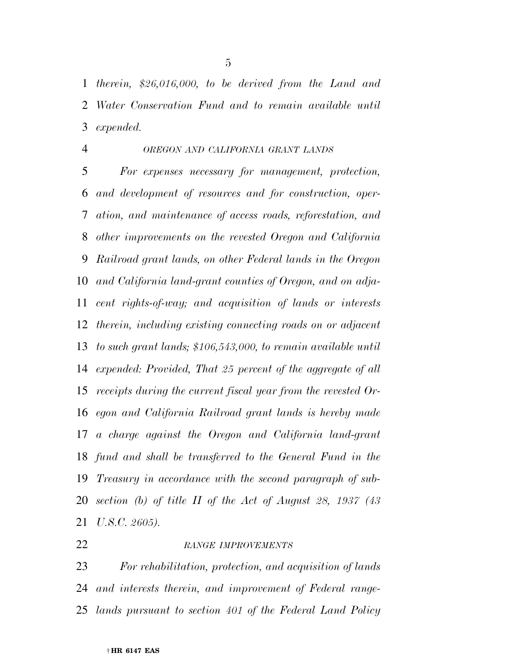*therein, \$26,016,000, to be derived from the Land and Water Conservation Fund and to remain available until expended.* 

#### *OREGON AND CALIFORNIA GRANT LANDS*

 *For expenses necessary for management, protection, and development of resources and for construction, oper- ation, and maintenance of access roads, reforestation, and other improvements on the revested Oregon and California Railroad grant lands, on other Federal lands in the Oregon and California land-grant counties of Oregon, and on adja- cent rights-of-way; and acquisition of lands or interests therein, including existing connecting roads on or adjacent to such grant lands; \$106,543,000, to remain available until expended: Provided, That 25 percent of the aggregate of all receipts during the current fiscal year from the revested Or- egon and California Railroad grant lands is hereby made a charge against the Oregon and California land-grant fund and shall be transferred to the General Fund in the Treasury in accordance with the second paragraph of sub- section (b) of title II of the Act of August 28, 1937 (43 U.S.C. 2605).* 

### *RANGE IMPROVEMENTS*

 *For rehabilitation, protection, and acquisition of lands and interests therein, and improvement of Federal range-lands pursuant to section 401 of the Federal Land Policy*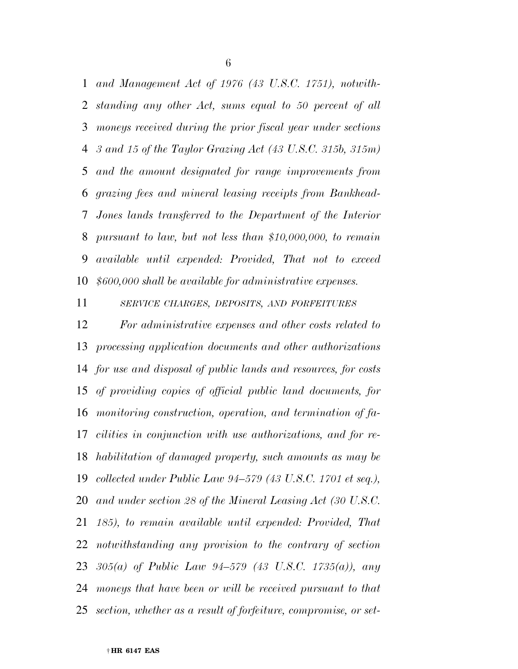*and Management Act of 1976 (43 U.S.C. 1751), notwith- standing any other Act, sums equal to 50 percent of all moneys received during the prior fiscal year under sections 3 and 15 of the Taylor Grazing Act (43 U.S.C. 315b, 315m) and the amount designated for range improvements from grazing fees and mineral leasing receipts from Bankhead- Jones lands transferred to the Department of the Interior pursuant to law, but not less than \$10,000,000, to remain available until expended: Provided, That not to exceed \$600,000 shall be available for administrative expenses.* 

*SERVICE CHARGES, DEPOSITS, AND FORFEITURES*

 *For administrative expenses and other costs related to processing application documents and other authorizations for use and disposal of public lands and resources, for costs of providing copies of official public land documents, for monitoring construction, operation, and termination of fa- cilities in conjunction with use authorizations, and for re- habilitation of damaged property, such amounts as may be collected under Public Law 94–579 (43 U.S.C. 1701 et seq.), and under section 28 of the Mineral Leasing Act (30 U.S.C. 185), to remain available until expended: Provided, That notwithstanding any provision to the contrary of section 305(a) of Public Law 94–579 (43 U.S.C. 1735(a)), any moneys that have been or will be received pursuant to that section, whether as a result of forfeiture, compromise, or set-*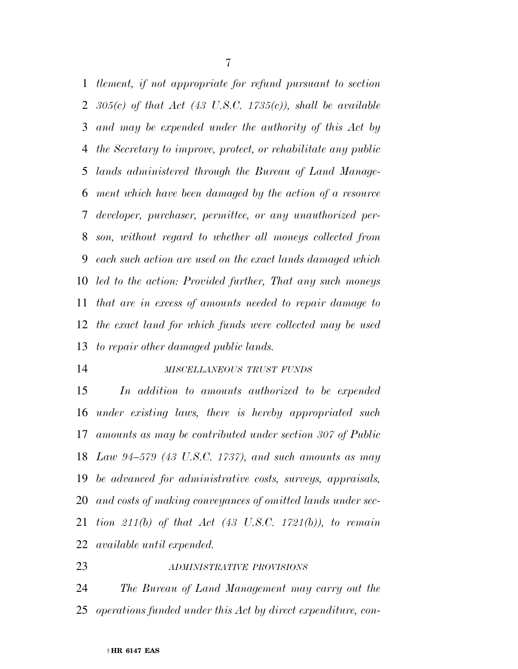*tlement, if not appropriate for refund pursuant to section 305(c) of that Act (43 U.S.C. 1735(c)), shall be available and may be expended under the authority of this Act by the Secretary to improve, protect, or rehabilitate any public lands administered through the Bureau of Land Manage- ment which have been damaged by the action of a resource developer, purchaser, permittee, or any unauthorized per- son, without regard to whether all moneys collected from each such action are used on the exact lands damaged which led to the action: Provided further, That any such moneys that are in excess of amounts needed to repair damage to the exact land for which funds were collected may be used to repair other damaged public lands.* 

#### *MISCELLANEOUS TRUST FUNDS*

 *In addition to amounts authorized to be expended under existing laws, there is hereby appropriated such amounts as may be contributed under section 307 of Public Law 94–579 (43 U.S.C. 1737), and such amounts as may be advanced for administrative costs, surveys, appraisals, and costs of making conveyances of omitted lands under sec- tion 211(b) of that Act (43 U.S.C. 1721(b)), to remain available until expended.* 

*ADMINISTRATIVE PROVISIONS*

 *The Bureau of Land Management may carry out the operations funded under this Act by direct expenditure, con-*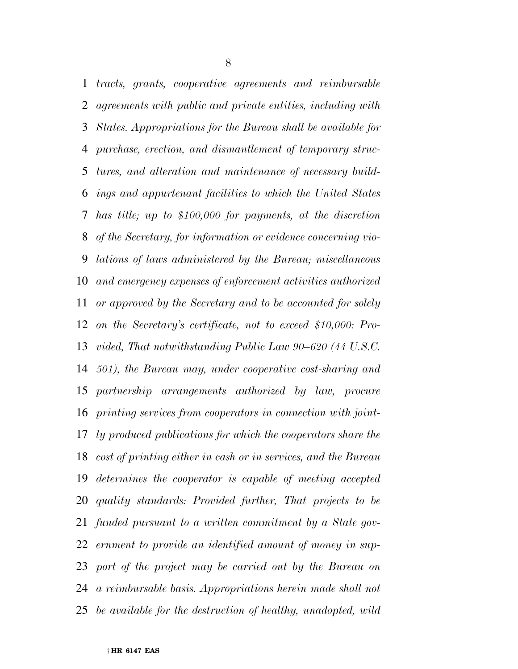*tracts, grants, cooperative agreements and reimbursable agreements with public and private entities, including with States. Appropriations for the Bureau shall be available for purchase, erection, and dismantlement of temporary struc- tures, and alteration and maintenance of necessary build- ings and appurtenant facilities to which the United States has title; up to \$100,000 for payments, at the discretion of the Secretary, for information or evidence concerning vio- lations of laws administered by the Bureau; miscellaneous and emergency expenses of enforcement activities authorized or approved by the Secretary and to be accounted for solely on the Secretary's certificate, not to exceed \$10,000: Pro- vided, That notwithstanding Public Law 90–620 (44 U.S.C. 501), the Bureau may, under cooperative cost-sharing and partnership arrangements authorized by law, procure printing services from cooperators in connection with joint- ly produced publications for which the cooperators share the cost of printing either in cash or in services, and the Bureau determines the cooperator is capable of meeting accepted quality standards: Provided further, That projects to be funded pursuant to a written commitment by a State gov- ernment to provide an identified amount of money in sup- port of the project may be carried out by the Bureau on a reimbursable basis. Appropriations herein made shall not be available for the destruction of healthy, unadopted, wild*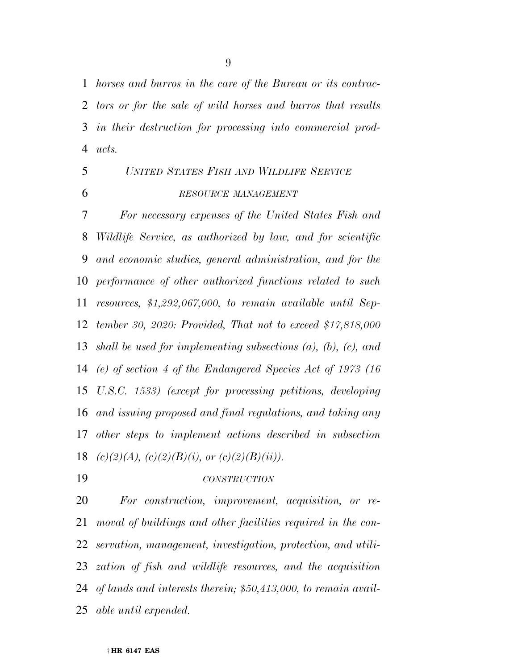*horses and burros in the care of the Bureau or its contrac- tors or for the sale of wild horses and burros that results in their destruction for processing into commercial prod-ucts.* 

# *UNITED STATES FISH AND WILDLIFE SERVICE RESOURCE MANAGEMENT*

 *For necessary expenses of the United States Fish and Wildlife Service, as authorized by law, and for scientific and economic studies, general administration, and for the performance of other authorized functions related to such resources, \$1,292,067,000, to remain available until Sep- tember 30, 2020: Provided, That not to exceed \$17,818,000 shall be used for implementing subsections (a), (b), (c), and (e) of section 4 of the Endangered Species Act of 1973 (16 U.S.C. 1533) (except for processing petitions, developing and issuing proposed and final regulations, and taking any other steps to implement actions described in subsection (c)(2)(A), (c)(2)(B)(i), or (c)(2)(B)(ii)).* 

*CONSTRUCTION*

 *For construction, improvement, acquisition, or re- moval of buildings and other facilities required in the con- servation, management, investigation, protection, and utili- zation of fish and wildlife resources, and the acquisition of lands and interests therein; \$50,413,000, to remain avail-able until expended.*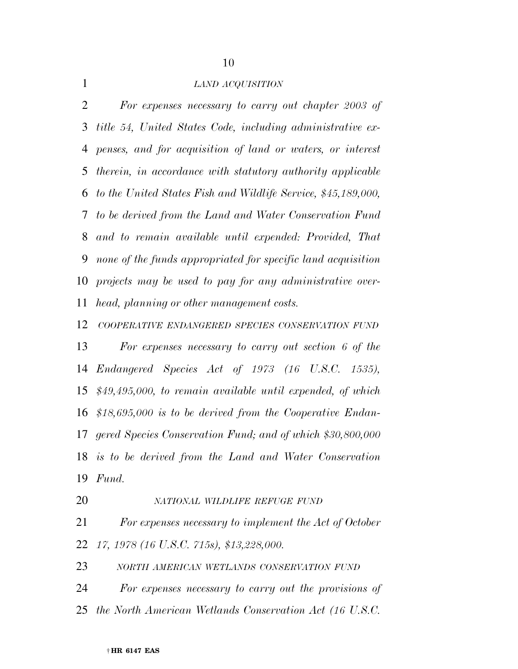#### *LAND ACQUISITION*

 *For expenses necessary to carry out chapter 2003 of title 54, United States Code, including administrative ex- penses, and for acquisition of land or waters, or interest therein, in accordance with statutory authority applicable to the United States Fish and Wildlife Service, \$45,189,000, to be derived from the Land and Water Conservation Fund and to remain available until expended: Provided, That none of the funds appropriated for specific land acquisition projects may be used to pay for any administrative over-head, planning or other management costs.* 

*COOPERATIVE ENDANGERED SPECIES CONSERVATION FUND*

 *For expenses necessary to carry out section 6 of the Endangered Species Act of 1973 (16 U.S.C. 1535), \$49,495,000, to remain available until expended, of which \$18,695,000 is to be derived from the Cooperative Endan- gered Species Conservation Fund; and of which \$30,800,000 is to be derived from the Land and Water Conservation Fund.* 

#### *NATIONAL WILDLIFE REFUGE FUND*

 *For expenses necessary to implement the Act of October 17, 1978 (16 U.S.C. 715s), \$13,228,000.* 

*NORTH AMERICAN WETLANDS CONSERVATION FUND*

 *For expenses necessary to carry out the provisions of the North American Wetlands Conservation Act (16 U.S.C.*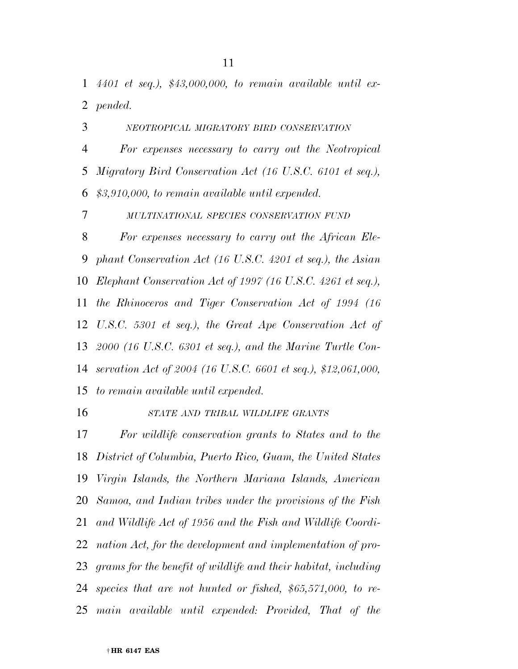*4401 et seq.), \$43,000,000, to remain available until ex-pended.* 

*NEOTROPICAL MIGRATORY BIRD CONSERVATION*

 *For expenses necessary to carry out the Neotropical Migratory Bird Conservation Act (16 U.S.C. 6101 et seq.), \$3,910,000, to remain available until expended.* 

*MULTINATIONAL SPECIES CONSERVATION FUND*

 *For expenses necessary to carry out the African Ele- phant Conservation Act (16 U.S.C. 4201 et seq.), the Asian Elephant Conservation Act of 1997 (16 U.S.C. 4261 et seq.), the Rhinoceros and Tiger Conservation Act of 1994 (16 U.S.C. 5301 et seq.), the Great Ape Conservation Act of 2000 (16 U.S.C. 6301 et seq.), and the Marine Turtle Con- servation Act of 2004 (16 U.S.C. 6601 et seq.), \$12,061,000, to remain available until expended.* 

#### *STATE AND TRIBAL WILDLIFE GRANTS*

 *For wildlife conservation grants to States and to the District of Columbia, Puerto Rico, Guam, the United States Virgin Islands, the Northern Mariana Islands, American Samoa, and Indian tribes under the provisions of the Fish and Wildlife Act of 1956 and the Fish and Wildlife Coordi- nation Act, for the development and implementation of pro- grams for the benefit of wildlife and their habitat, including species that are not hunted or fished, \$65,571,000, to re-main available until expended: Provided, That of the*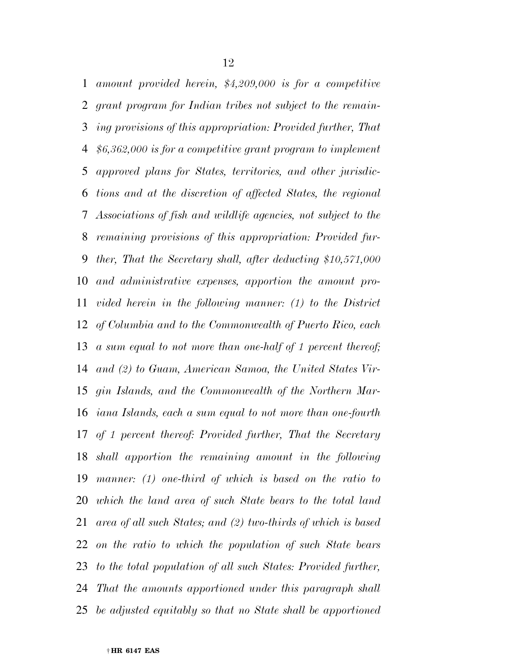*amount provided herein, \$4,209,000 is for a competitive grant program for Indian tribes not subject to the remain- ing provisions of this appropriation: Provided further, That \$6,362,000 is for a competitive grant program to implement approved plans for States, territories, and other jurisdic- tions and at the discretion of affected States, the regional Associations of fish and wildlife agencies, not subject to the remaining provisions of this appropriation: Provided fur- ther, That the Secretary shall, after deducting \$10,571,000 and administrative expenses, apportion the amount pro- vided herein in the following manner: (1) to the District of Columbia and to the Commonwealth of Puerto Rico, each a sum equal to not more than one-half of 1 percent thereof; and (2) to Guam, American Samoa, the United States Vir- gin Islands, and the Commonwealth of the Northern Mar- iana Islands, each a sum equal to not more than one-fourth of 1 percent thereof: Provided further, That the Secretary shall apportion the remaining amount in the following manner: (1) one-third of which is based on the ratio to which the land area of such State bears to the total land area of all such States; and (2) two-thirds of which is based on the ratio to which the population of such State bears to the total population of all such States: Provided further, That the amounts apportioned under this paragraph shall be adjusted equitably so that no State shall be apportioned*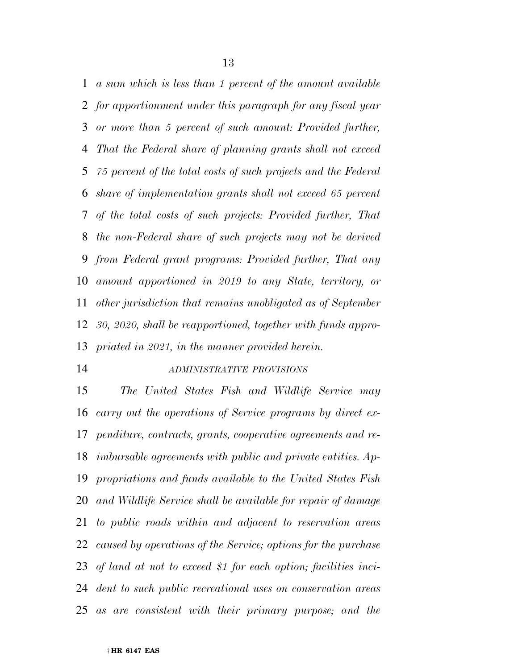*a sum which is less than 1 percent of the amount available for apportionment under this paragraph for any fiscal year or more than 5 percent of such amount: Provided further, That the Federal share of planning grants shall not exceed 75 percent of the total costs of such projects and the Federal share of implementation grants shall not exceed 65 percent of the total costs of such projects: Provided further, That the non-Federal share of such projects may not be derived from Federal grant programs: Provided further, That any amount apportioned in 2019 to any State, territory, or other jurisdiction that remains unobligated as of September 30, 2020, shall be reapportioned, together with funds appro-priated in 2021, in the manner provided herein.* 

#### *ADMINISTRATIVE PROVISIONS*

 *The United States Fish and Wildlife Service may carry out the operations of Service programs by direct ex- penditure, contracts, grants, cooperative agreements and re- imbursable agreements with public and private entities. Ap- propriations and funds available to the United States Fish and Wildlife Service shall be available for repair of damage to public roads within and adjacent to reservation areas caused by operations of the Service; options for the purchase of land at not to exceed \$1 for each option; facilities inci- dent to such public recreational uses on conservation areas as are consistent with their primary purpose; and the*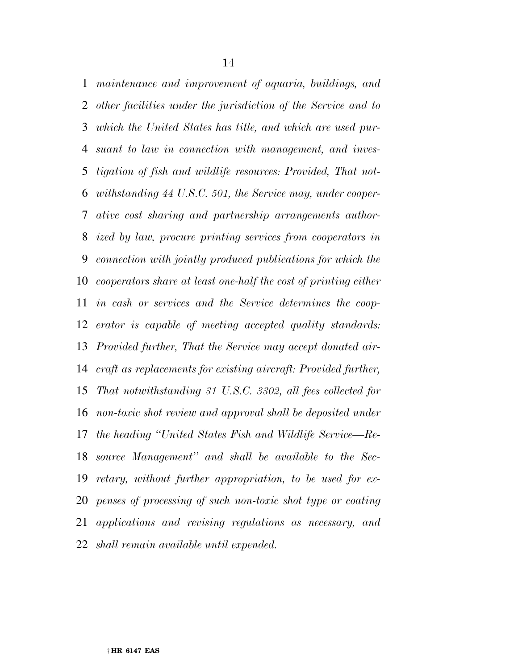*maintenance and improvement of aquaria, buildings, and other facilities under the jurisdiction of the Service and to which the United States has title, and which are used pur- suant to law in connection with management, and inves- tigation of fish and wildlife resources: Provided, That not- withstanding 44 U.S.C. 501, the Service may, under cooper- ative cost sharing and partnership arrangements author- ized by law, procure printing services from cooperators in connection with jointly produced publications for which the cooperators share at least one-half the cost of printing either in cash or services and the Service determines the coop- erator is capable of meeting accepted quality standards: Provided further, That the Service may accept donated air- craft as replacements for existing aircraft: Provided further, That notwithstanding 31 U.S.C. 3302, all fees collected for non-toxic shot review and approval shall be deposited under the heading ''United States Fish and Wildlife Service—Re- source Management'' and shall be available to the Sec- retary, without further appropriation, to be used for ex- penses of processing of such non-toxic shot type or coating applications and revising regulations as necessary, and shall remain available until expended.*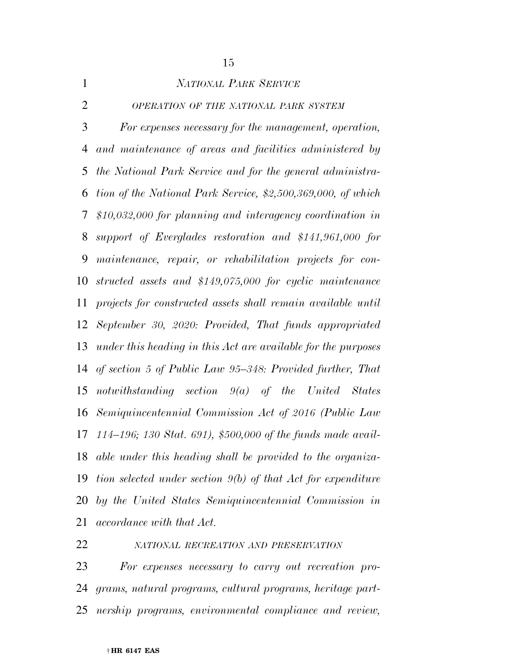| $\mathbf{1}$   | <b>NATIONAL PARK SERVICE</b>                                   |
|----------------|----------------------------------------------------------------|
| $\overline{2}$ | OPERATION OF THE NATIONAL PARK SYSTEM                          |
| 3              | For expenses necessary for the management, operation,          |
| $\overline{4}$ | and maintenance of areas and facilities administered by        |
| 5              | the National Park Service and for the general administra-      |
| 6              | tion of the National Park Service, \$2,500,369,000, of which   |
| 7              | $$10,032,000$ for planning and interagency coordination in     |
| 8              | support of Everglades restoration and \$141,961,000 for        |
| 9              | maintenance, repair, or rehabilitation projects for con-       |
| 10             | structed assets and \$149,075,000 for cyclic maintenance       |
| 11             | projects for constructed assets shall remain available until   |
| 12             | September 30, 2020: Provided, That funds appropriated          |
| 13             | under this heading in this Act are available for the purposes  |
| 14             | of section 5 of Public Law 95-348: Provided further, That      |
| 15             | notwithstanding section $9(a)$ of the United States            |
| 16             | Semiquincentennial Commission Act of 2016 (Public Law          |
| 17             | 114–196; 130 Stat. 691), \$500,000 of the funds made avail-    |
| 18             | able under this heading shall be provided to the organiza-     |
| 19             | tion selected under section $9(b)$ of that Act for expenditure |
| 20             | by the United States Semiguincentennial Commission in          |
| 21             | <i>accordance with that Act.</i>                               |
|                |                                                                |

# *NATIONAL RECREATION AND PRESERVATION*

 *For expenses necessary to carry out recreation pro- grams, natural programs, cultural programs, heritage part-nership programs, environmental compliance and review,*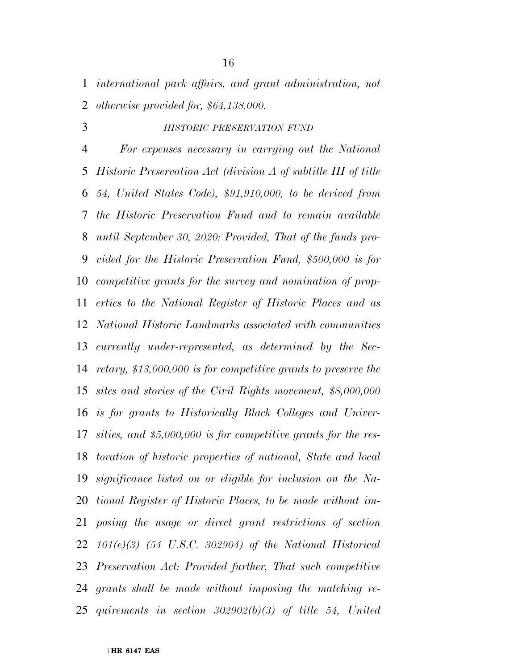*international park affairs, and grant administration, not otherwise provided for, \$64,138,000.* 

#### *HISTORIC PRESERVATION FUND*

 *For expenses necessary in carrying out the National Historic Preservation Act (division A of subtitle III of title 54, United States Code), \$91,910,000, to be derived from the Historic Preservation Fund and to remain available until September 30, 2020: Provided, That of the funds pro- vided for the Historic Preservation Fund, \$500,000 is for competitive grants for the survey and nomination of prop- erties to the National Register of Historic Places and as National Historic Landmarks associated with communities currently under-represented, as determined by the Sec- retary, \$13,000,000 is for competitive grants to preserve the sites and stories of the Civil Rights movement, \$8,000,000 is for grants to Historically Black Colleges and Univer- sities, and \$5,000,000 is for competitive grants for the res- toration of historic properties of national, State and local significance listed on or eligible for inclusion on the Na- tional Register of Historic Places, to be made without im- posing the usage or direct grant restrictions of section 101(e)(3) (54 U.S.C. 302904) of the National Historical Preservation Act: Provided further, That such competitive grants shall be made without imposing the matching re-quirements in section 302902(b)(3) of title 54, United*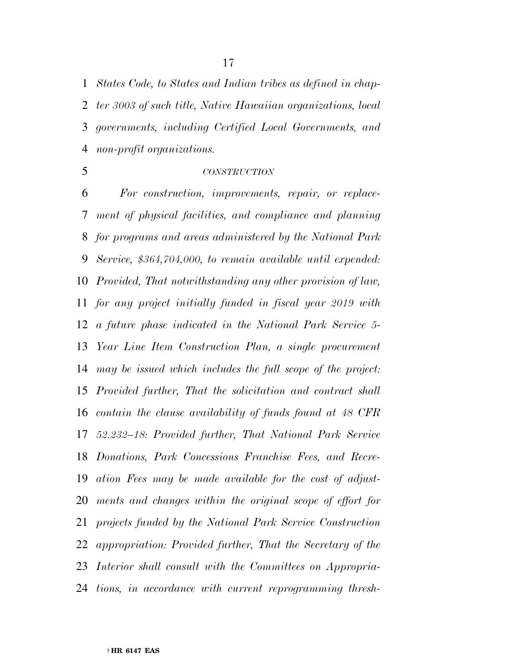*States Code, to States and Indian tribes as defined in chap- ter 3003 of such title, Native Hawaiian organizations, local governments, including Certified Local Governments, and non-profit organizations.* 

#### *CONSTRUCTION*

 *For construction, improvements, repair, or replace- ment of physical facilities, and compliance and planning for programs and areas administered by the National Park Service, \$364,704,000, to remain available until expended: Provided, That notwithstanding any other provision of law, for any project initially funded in fiscal year 2019 with a future phase indicated in the National Park Service 5- Year Line Item Construction Plan, a single procurement may be issued which includes the full scope of the project: Provided further, That the solicitation and contract shall contain the clause availability of funds found at 48 CFR 52.232–18: Provided further, That National Park Service Donations, Park Concessions Franchise Fees, and Recre- ation Fees may be made available for the cost of adjust- ments and changes within the original scope of effort for projects funded by the National Park Service Construction appropriation: Provided further, That the Secretary of the Interior shall consult with the Committees on Appropria-tions, in accordance with current reprogramming thresh-*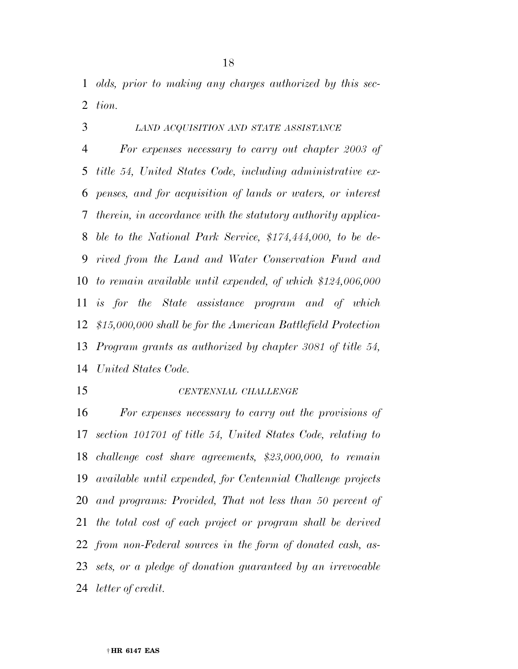*olds, prior to making any charges authorized by this sec-tion.* 

# *LAND ACQUISITION AND STATE ASSISTANCE*

 *For expenses necessary to carry out chapter 2003 of title 54, United States Code, including administrative ex- penses, and for acquisition of lands or waters, or interest therein, in accordance with the statutory authority applica- ble to the National Park Service, \$174,444,000, to be de- rived from the Land and Water Conservation Fund and to remain available until expended, of which \$124,006,000 is for the State assistance program and of which \$15,000,000 shall be for the American Battlefield Protection Program grants as authorized by chapter 3081 of title 54, United States Code.* 

#### *CENTENNIAL CHALLENGE*

 *For expenses necessary to carry out the provisions of section 101701 of title 54, United States Code, relating to challenge cost share agreements, \$23,000,000, to remain available until expended, for Centennial Challenge projects and programs: Provided, That not less than 50 percent of the total cost of each project or program shall be derived from non-Federal sources in the form of donated cash, as- sets, or a pledge of donation guaranteed by an irrevocable letter of credit.*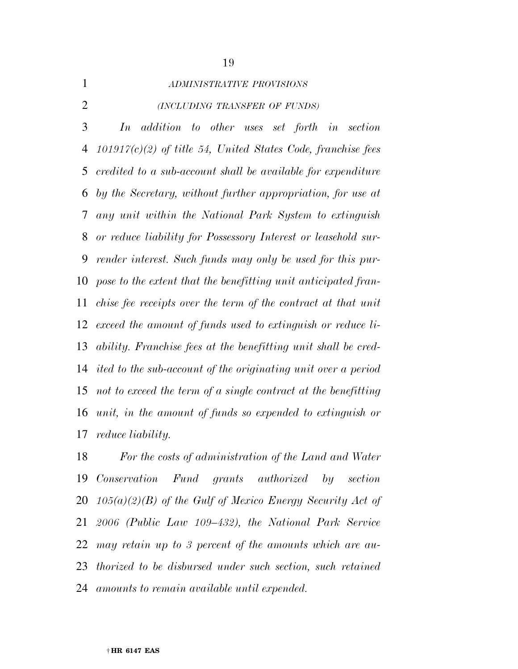|  | ADIN |
|--|------|
|  |      |
|  |      |

# *ADMINISTRATIVE PROVISIONS*

*(INCLUDING TRANSFER OF FUNDS)*

 *In addition to other uses set forth in section 101917(c)(2) of title 54, United States Code, franchise fees credited to a sub-account shall be available for expenditure by the Secretary, without further appropriation, for use at any unit within the National Park System to extinguish or reduce liability for Possessory Interest or leasehold sur- render interest. Such funds may only be used for this pur- pose to the extent that the benefitting unit anticipated fran- chise fee receipts over the term of the contract at that unit exceed the amount of funds used to extinguish or reduce li- ability. Franchise fees at the benefitting unit shall be cred- ited to the sub-account of the originating unit over a period not to exceed the term of a single contract at the benefitting unit, in the amount of funds so expended to extinguish or reduce liability.* 

 *For the costs of administration of the Land and Water Conservation Fund grants authorized by section 105(a)(2)(B) of the Gulf of Mexico Energy Security Act of 2006 (Public Law 109–432), the National Park Service may retain up to 3 percent of the amounts which are au- thorized to be disbursed under such section, such retained amounts to remain available until expended.*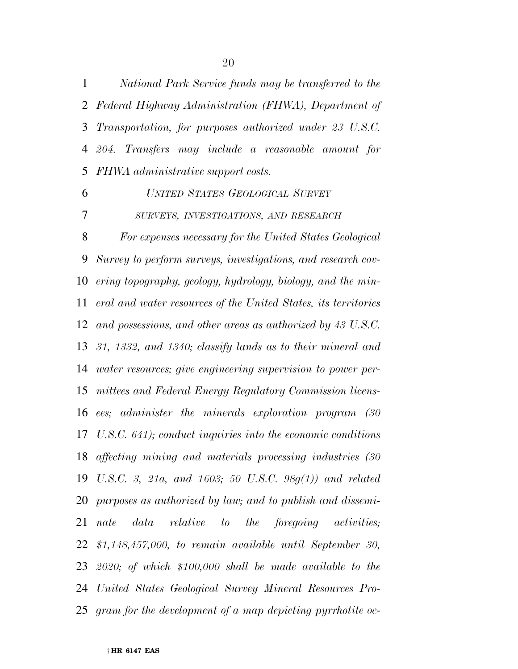*National Park Service funds may be transferred to the Federal Highway Administration (FHWA), Department of Transportation, for purposes authorized under 23 U.S.C. 204. Transfers may include a reasonable amount for FHWA administrative support costs.* 

### *UNITED STATES GEOLOGICAL SURVEY*

*SURVEYS, INVESTIGATIONS, AND RESEARCH*

 *For expenses necessary for the United States Geological Survey to perform surveys, investigations, and research cov- ering topography, geology, hydrology, biology, and the min- eral and water resources of the United States, its territories and possessions, and other areas as authorized by 43 U.S.C. 31, 1332, and 1340; classify lands as to their mineral and water resources; give engineering supervision to power per- mittees and Federal Energy Regulatory Commission licens- ees; administer the minerals exploration program (30 U.S.C. 641); conduct inquiries into the economic conditions affecting mining and materials processing industries (30 U.S.C. 3, 21a, and 1603; 50 U.S.C. 98g(1)) and related purposes as authorized by law; and to publish and dissemi- nate data relative to the foregoing activities; \$1,148,457,000, to remain available until September 30, 2020; of which \$100,000 shall be made available to the United States Geological Survey Mineral Resources Pro-gram for the development of a map depicting pyrrhotite oc-*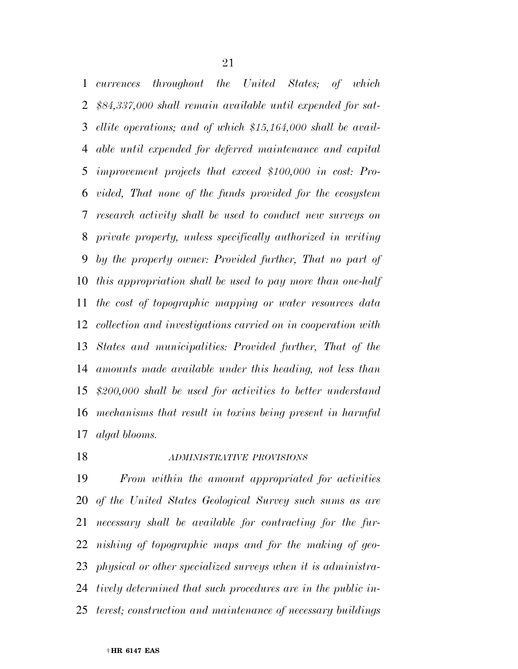*currences throughout the United States; of which \$84,337,000 shall remain available until expended for sat- ellite operations; and of which \$15,164,000 shall be avail- able until expended for deferred maintenance and capital improvement projects that exceed \$100,000 in cost: Pro- vided, That none of the funds provided for the ecosystem research activity shall be used to conduct new surveys on private property, unless specifically authorized in writing by the property owner: Provided further, That no part of this appropriation shall be used to pay more than one-half the cost of topographic mapping or water resources data collection and investigations carried on in cooperation with States and municipalities: Provided further, That of the amounts made available under this heading, not less than \$200,000 shall be used for activities to better understand mechanisms that result in toxins being present in harmful algal blooms.* 

### *ADMINISTRATIVE PROVISIONS*

 *From within the amount appropriated for activities of the United States Geological Survey such sums as are necessary shall be available for contracting for the fur- nishing of topographic maps and for the making of geo- physical or other specialized surveys when it is administra- tively determined that such procedures are in the public in-terest; construction and maintenance of necessary buildings*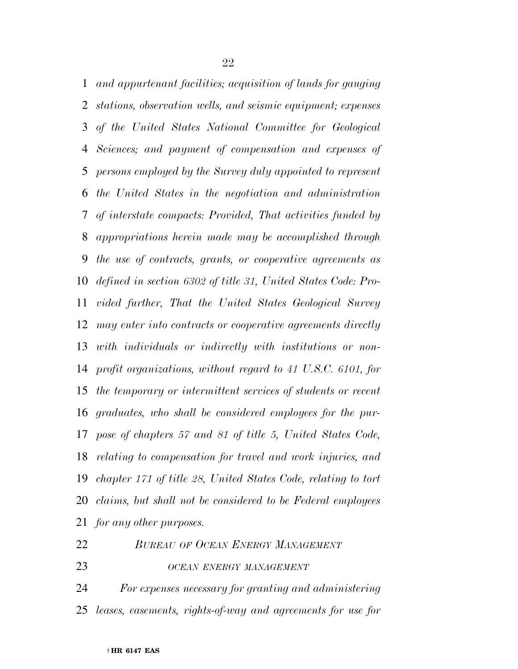*and appurtenant facilities; acquisition of lands for gauging stations, observation wells, and seismic equipment; expenses of the United States National Committee for Geological Sciences; and payment of compensation and expenses of persons employed by the Survey duly appointed to represent the United States in the negotiation and administration of interstate compacts: Provided, That activities funded by appropriations herein made may be accomplished through the use of contracts, grants, or cooperative agreements as defined in section 6302 of title 31, United States Code: Pro- vided further, That the United States Geological Survey may enter into contracts or cooperative agreements directly with individuals or indirectly with institutions or non- profit organizations, without regard to 41 U.S.C. 6101, for the temporary or intermittent services of students or recent graduates, who shall be considered employees for the pur- pose of chapters 57 and 81 of title 5, United States Code, relating to compensation for travel and work injuries, and chapter 171 of title 28, United States Code, relating to tort claims, but shall not be considered to be Federal employees for any other purposes.* 

| 22 |  |  | <b>BUREAU OF OCEAN ENERGY MANAGEMENT</b> |
|----|--|--|------------------------------------------|
|    |  |  |                                          |

*OCEAN ENERGY MANAGEMENT*

 *For expenses necessary for granting and administering leases, easements, rights-of-way and agreements for use for*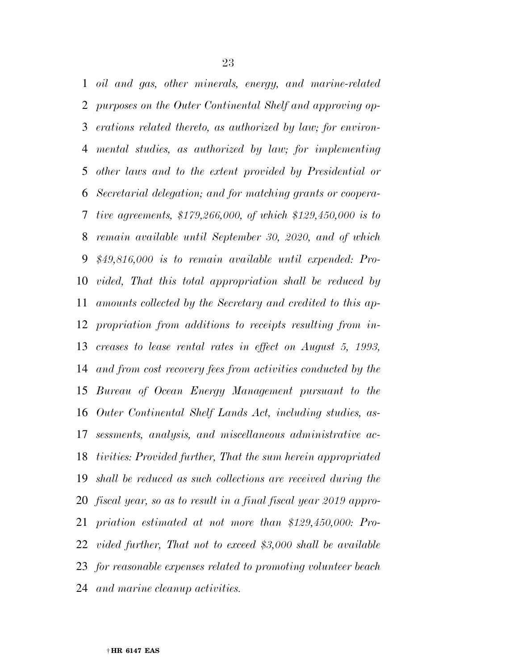*oil and gas, other minerals, energy, and marine-related purposes on the Outer Continental Shelf and approving op- erations related thereto, as authorized by law; for environ- mental studies, as authorized by law; for implementing other laws and to the extent provided by Presidential or Secretarial delegation; and for matching grants or coopera- tive agreements, \$179,266,000, of which \$129,450,000 is to remain available until September 30, 2020, and of which \$49,816,000 is to remain available until expended: Pro- vided, That this total appropriation shall be reduced by amounts collected by the Secretary and credited to this ap- propriation from additions to receipts resulting from in- creases to lease rental rates in effect on August 5, 1993, and from cost recovery fees from activities conducted by the Bureau of Ocean Energy Management pursuant to the Outer Continental Shelf Lands Act, including studies, as- sessments, analysis, and miscellaneous administrative ac- tivities: Provided further, That the sum herein appropriated shall be reduced as such collections are received during the fiscal year, so as to result in a final fiscal year 2019 appro- priation estimated at not more than \$129,450,000: Pro- vided further, That not to exceed \$3,000 shall be available for reasonable expenses related to promoting volunteer beach and marine cleanup activities.*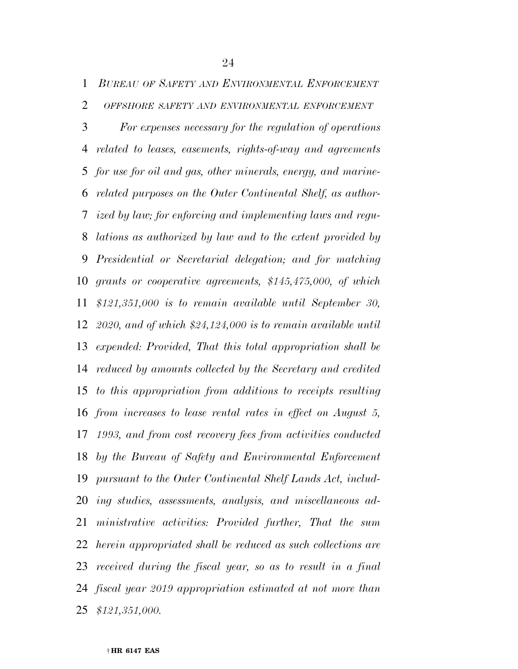*BUREAU OF SAFETY AND ENVIRONMENTAL ENFORCEMENT*

*OFFSHORE SAFETY AND ENVIRONMENTAL ENFORCEMENT*

 *For expenses necessary for the regulation of operations related to leases, easements, rights-of-way and agreements for use for oil and gas, other minerals, energy, and marine- related purposes on the Outer Continental Shelf, as author- ized by law; for enforcing and implementing laws and regu- lations as authorized by law and to the extent provided by Presidential or Secretarial delegation; and for matching grants or cooperative agreements, \$145,475,000, of which \$121,351,000 is to remain available until September 30, 2020, and of which \$24,124,000 is to remain available until expended: Provided, That this total appropriation shall be reduced by amounts collected by the Secretary and credited to this appropriation from additions to receipts resulting from increases to lease rental rates in effect on August 5, 1993, and from cost recovery fees from activities conducted by the Bureau of Safety and Environmental Enforcement pursuant to the Outer Continental Shelf Lands Act, includ- ing studies, assessments, analysis, and miscellaneous ad- ministrative activities: Provided further, That the sum herein appropriated shall be reduced as such collections are received during the fiscal year, so as to result in a final fiscal year 2019 appropriation estimated at not more than \$121,351,000.*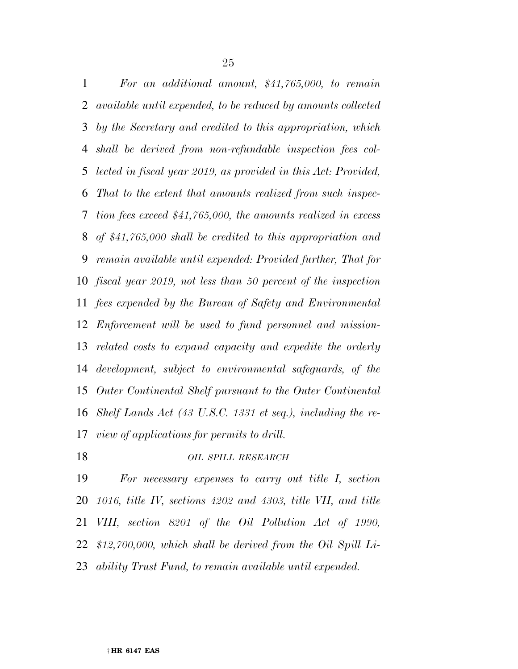*For an additional amount, \$41,765,000, to remain available until expended, to be reduced by amounts collected by the Secretary and credited to this appropriation, which shall be derived from non-refundable inspection fees col- lected in fiscal year 2019, as provided in this Act: Provided, That to the extent that amounts realized from such inspec- tion fees exceed \$41,765,000, the amounts realized in excess of \$41,765,000 shall be credited to this appropriation and remain available until expended: Provided further, That for fiscal year 2019, not less than 50 percent of the inspection fees expended by the Bureau of Safety and Environmental Enforcement will be used to fund personnel and mission- related costs to expand capacity and expedite the orderly development, subject to environmental safeguards, of the Outer Continental Shelf pursuant to the Outer Continental Shelf Lands Act (43 U.S.C. 1331 et seq.), including the re-view of applications for permits to drill.* 

*OIL SPILL RESEARCH*

 *For necessary expenses to carry out title I, section 1016, title IV, sections 4202 and 4303, title VII, and title VIII, section 8201 of the Oil Pollution Act of 1990, \$12,700,000, which shall be derived from the Oil Spill Li-ability Trust Fund, to remain available until expended.*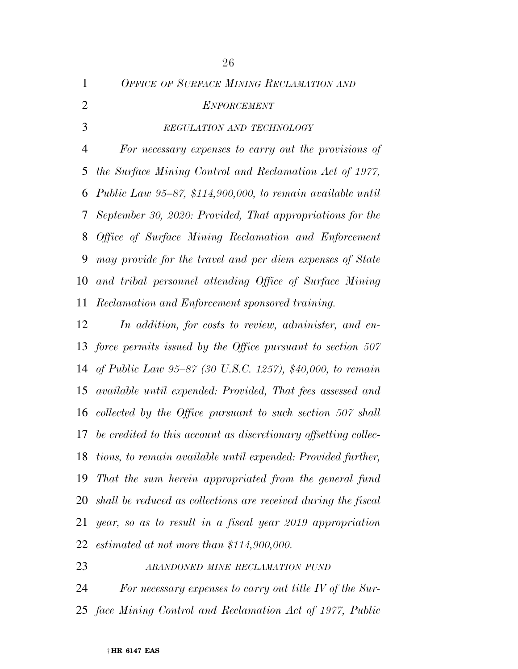*OFFICE OF SURFACE MINING RECLAMATION AND ENFORCEMENT REGULATION AND TECHNOLOGY For necessary expenses to carry out the provisions of the Surface Mining Control and Reclamation Act of 1977, Public Law 95–87, \$114,900,000, to remain available until September 30, 2020: Provided, That appropriations for the Office of Surface Mining Reclamation and Enforcement may provide for the travel and per diem expenses of State and tribal personnel attending Office of Surface Mining Reclamation and Enforcement sponsored training.* 

 *In addition, for costs to review, administer, and en- force permits issued by the Office pursuant to section 507 of Public Law 95–87 (30 U.S.C. 1257), \$40,000, to remain available until expended: Provided, That fees assessed and collected by the Office pursuant to such section 507 shall be credited to this account as discretionary offsetting collec- tions, to remain available until expended: Provided further, That the sum herein appropriated from the general fund shall be reduced as collections are received during the fiscal year, so as to result in a fiscal year 2019 appropriation estimated at not more than \$114,900,000.* 

*ABANDONED MINE RECLAMATION FUND*

 *For necessary expenses to carry out title IV of the Sur-face Mining Control and Reclamation Act of 1977, Public*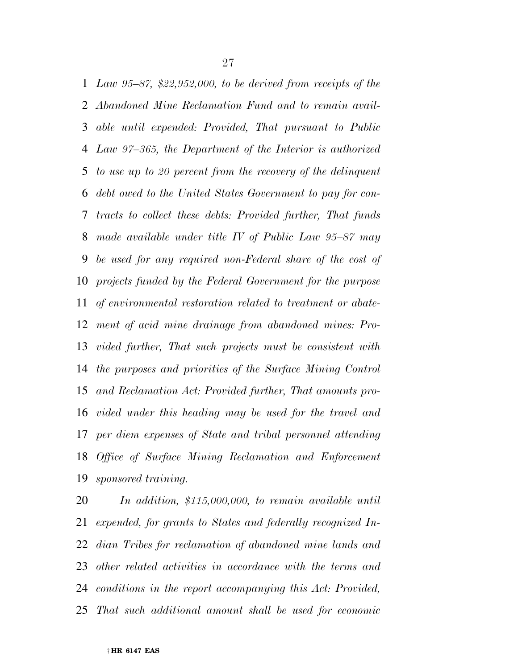*Law 95–87, \$22,952,000, to be derived from receipts of the Abandoned Mine Reclamation Fund and to remain avail- able until expended: Provided, That pursuant to Public Law 97–365, the Department of the Interior is authorized to use up to 20 percent from the recovery of the delinquent debt owed to the United States Government to pay for con- tracts to collect these debts: Provided further, That funds made available under title IV of Public Law 95–87 may be used for any required non-Federal share of the cost of projects funded by the Federal Government for the purpose of environmental restoration related to treatment or abate- ment of acid mine drainage from abandoned mines: Pro- vided further, That such projects must be consistent with the purposes and priorities of the Surface Mining Control and Reclamation Act: Provided further, That amounts pro- vided under this heading may be used for the travel and per diem expenses of State and tribal personnel attending Office of Surface Mining Reclamation and Enforcement sponsored training.* 

 *In addition, \$115,000,000, to remain available until expended, for grants to States and federally recognized In- dian Tribes for reclamation of abandoned mine lands and other related activities in accordance with the terms and conditions in the report accompanying this Act: Provided, That such additional amount shall be used for economic*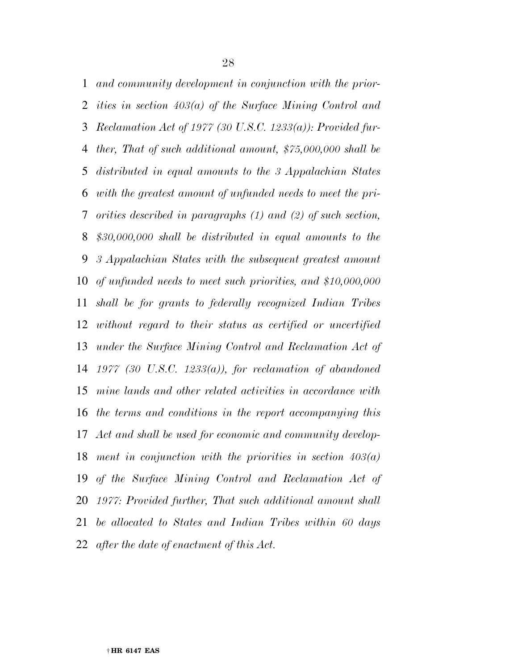*and community development in conjunction with the prior- ities in section 403(a) of the Surface Mining Control and Reclamation Act of 1977 (30 U.S.C. 1233(a)): Provided fur- ther, That of such additional amount, \$75,000,000 shall be distributed in equal amounts to the 3 Appalachian States with the greatest amount of unfunded needs to meet the pri- orities described in paragraphs (1) and (2) of such section, \$30,000,000 shall be distributed in equal amounts to the 3 Appalachian States with the subsequent greatest amount of unfunded needs to meet such priorities, and \$10,000,000 shall be for grants to federally recognized Indian Tribes without regard to their status as certified or uncertified under the Surface Mining Control and Reclamation Act of 1977 (30 U.S.C. 1233(a)), for reclamation of abandoned mine lands and other related activities in accordance with the terms and conditions in the report accompanying this Act and shall be used for economic and community develop- ment in conjunction with the priorities in section 403(a) of the Surface Mining Control and Reclamation Act of 1977: Provided further, That such additional amount shall be allocated to States and Indian Tribes within 60 days after the date of enactment of this Act.*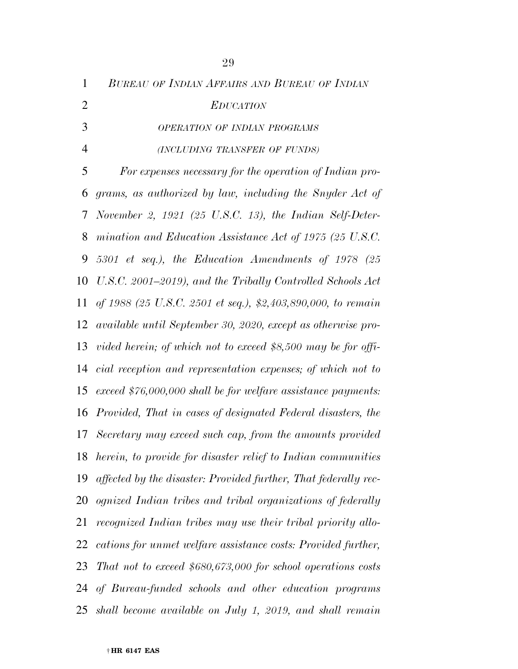|   | I |
|---|---|
| œ | I |
|   | ٧ |
|   |   |

*BUREAU OF INDIAN AFFAIRS AND BUREAU OF INDIAN*

*EDUCATION*

*OPERATION OF INDIAN PROGRAMS*

*(INCLUDING TRANSFER OF FUNDS)*

 *For expenses necessary for the operation of Indian pro- grams, as authorized by law, including the Snyder Act of November 2, 1921 (25 U.S.C. 13), the Indian Self-Deter- mination and Education Assistance Act of 1975 (25 U.S.C. 5301 et seq.), the Education Amendments of 1978 (25 U.S.C. 2001–2019), and the Tribally Controlled Schools Act of 1988 (25 U.S.C. 2501 et seq.), \$2,403,890,000, to remain available until September 30, 2020, except as otherwise pro- vided herein; of which not to exceed \$8,500 may be for offi- cial reception and representation expenses; of which not to exceed \$76,000,000 shall be for welfare assistance payments: Provided, That in cases of designated Federal disasters, the Secretary may exceed such cap, from the amounts provided herein, to provide for disaster relief to Indian communities affected by the disaster: Provided further, That federally rec- ognized Indian tribes and tribal organizations of federally recognized Indian tribes may use their tribal priority allo- cations for unmet welfare assistance costs: Provided further, That not to exceed \$680,673,000 for school operations costs of Bureau-funded schools and other education programs shall become available on July 1, 2019, and shall remain*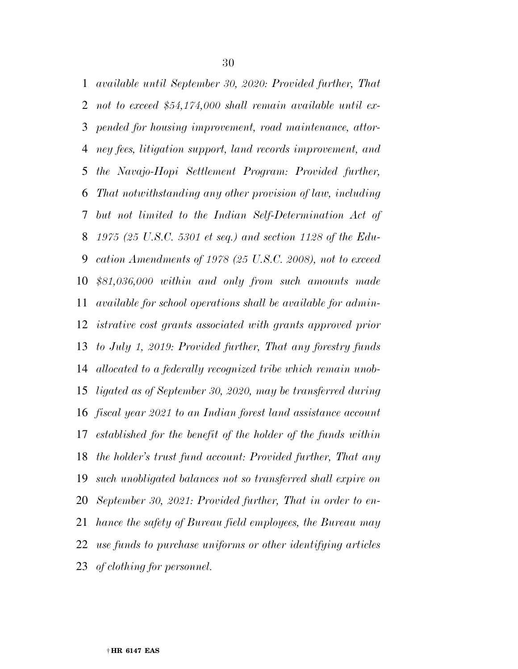*available until September 30, 2020: Provided further, That not to exceed \$54,174,000 shall remain available until ex- pended for housing improvement, road maintenance, attor- ney fees, litigation support, land records improvement, and the Navajo-Hopi Settlement Program: Provided further, That notwithstanding any other provision of law, including but not limited to the Indian Self-Determination Act of 1975 (25 U.S.C. 5301 et seq.) and section 1128 of the Edu- cation Amendments of 1978 (25 U.S.C. 2008), not to exceed \$81,036,000 within and only from such amounts made available for school operations shall be available for admin- istrative cost grants associated with grants approved prior to July 1, 2019: Provided further, That any forestry funds allocated to a federally recognized tribe which remain unob- ligated as of September 30, 2020, may be transferred during fiscal year 2021 to an Indian forest land assistance account established for the benefit of the holder of the funds within the holder's trust fund account: Provided further, That any such unobligated balances not so transferred shall expire on September 30, 2021: Provided further, That in order to en- hance the safety of Bureau field employees, the Bureau may use funds to purchase uniforms or other identifying articles of clothing for personnel.*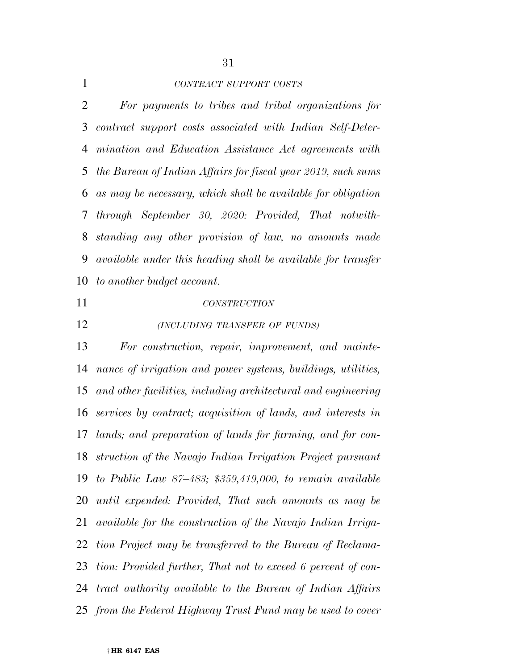*CONTRACT SUPPORT COSTS*

 *For payments to tribes and tribal organizations for contract support costs associated with Indian Self-Deter- mination and Education Assistance Act agreements with the Bureau of Indian Affairs for fiscal year 2019, such sums as may be necessary, which shall be available for obligation through September 30, 2020: Provided, That notwith- standing any other provision of law, no amounts made available under this heading shall be available for transfer to another budget account.* 

## *CONSTRUCTION*

*(INCLUDING TRANSFER OF FUNDS)*

 *For construction, repair, improvement, and mainte- nance of irrigation and power systems, buildings, utilities, and other facilities, including architectural and engineering services by contract; acquisition of lands, and interests in lands; and preparation of lands for farming, and for con- struction of the Navajo Indian Irrigation Project pursuant to Public Law 87–483; \$359,419,000, to remain available until expended: Provided, That such amounts as may be available for the construction of the Navajo Indian Irriga- tion Project may be transferred to the Bureau of Reclama- tion: Provided further, That not to exceed 6 percent of con- tract authority available to the Bureau of Indian Affairs from the Federal Highway Trust Fund may be used to cover*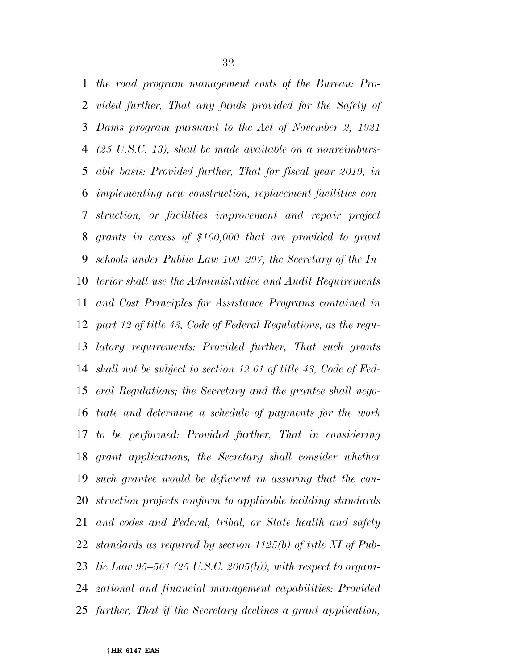*the road program management costs of the Bureau: Pro- vided further, That any funds provided for the Safety of Dams program pursuant to the Act of November 2, 1921 (25 U.S.C. 13), shall be made available on a nonreimburs- able basis: Provided further, That for fiscal year 2019, in implementing new construction, replacement facilities con- struction, or facilities improvement and repair project grants in excess of \$100,000 that are provided to grant schools under Public Law 100–297, the Secretary of the In- terior shall use the Administrative and Audit Requirements and Cost Principles for Assistance Programs contained in part 12 of title 43, Code of Federal Regulations, as the regu- latory requirements: Provided further, That such grants shall not be subject to section 12.61 of title 43, Code of Fed- eral Regulations; the Secretary and the grantee shall nego- tiate and determine a schedule of payments for the work to be performed: Provided further, That in considering grant applications, the Secretary shall consider whether such grantee would be deficient in assuring that the con- struction projects conform to applicable building standards and codes and Federal, tribal, or State health and safety standards as required by section 1125(b) of title XI of Pub- lic Law 95–561 (25 U.S.C. 2005(b)), with respect to organi- zational and financial management capabilities: Provided further, That if the Secretary declines a grant application,*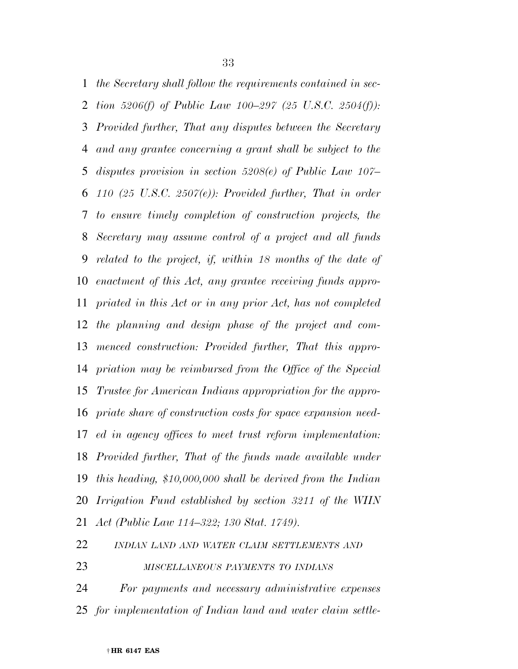*the Secretary shall follow the requirements contained in sec- tion 5206(f) of Public Law 100–297 (25 U.S.C. 2504(f)): Provided further, That any disputes between the Secretary and any grantee concerning a grant shall be subject to the disputes provision in section 5208(e) of Public Law 107– 110 (25 U.S.C. 2507(e)): Provided further, That in order to ensure timely completion of construction projects, the Secretary may assume control of a project and all funds related to the project, if, within 18 months of the date of enactment of this Act, any grantee receiving funds appro- priated in this Act or in any prior Act, has not completed the planning and design phase of the project and com- menced construction: Provided further, That this appro- priation may be reimbursed from the Office of the Special Trustee for American Indians appropriation for the appro- priate share of construction costs for space expansion need- ed in agency offices to meet trust reform implementation: Provided further, That of the funds made available under this heading, \$10,000,000 shall be derived from the Indian Irrigation Fund established by section 3211 of the WIIN Act (Public Law 114–322; 130 Stat. 1749).* 

*INDIAN LAND AND WATER CLAIM SETTLEMENTS AND*

*MISCELLANEOUS PAYMENTS TO INDIANS*

 *For payments and necessary administrative expenses for implementation of Indian land and water claim settle-*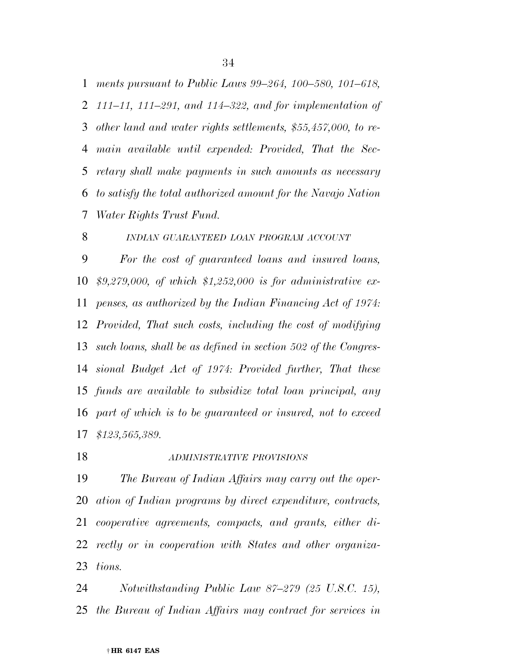*ments pursuant to Public Laws 99–264, 100–580, 101–618, 111–11, 111–291, and 114–322, and for implementation of other land and water rights settlements, \$55,457,000, to re- main available until expended: Provided, That the Sec- retary shall make payments in such amounts as necessary to satisfy the total authorized amount for the Navajo Nation* 

*Water Rights Trust Fund.* 

*INDIAN GUARANTEED LOAN PROGRAM ACCOUNT*

 *For the cost of guaranteed loans and insured loans, \$9,279,000, of which \$1,252,000 is for administrative ex- penses, as authorized by the Indian Financing Act of 1974: Provided, That such costs, including the cost of modifying such loans, shall be as defined in section 502 of the Congres- sional Budget Act of 1974: Provided further, That these funds are available to subsidize total loan principal, any part of which is to be guaranteed or insured, not to exceed \$123,565,389.* 

*ADMINISTRATIVE PROVISIONS*

 *The Bureau of Indian Affairs may carry out the oper- ation of Indian programs by direct expenditure, contracts, cooperative agreements, compacts, and grants, either di- rectly or in cooperation with States and other organiza-tions.* 

 *Notwithstanding Public Law 87–279 (25 U.S.C. 15), the Bureau of Indian Affairs may contract for services in*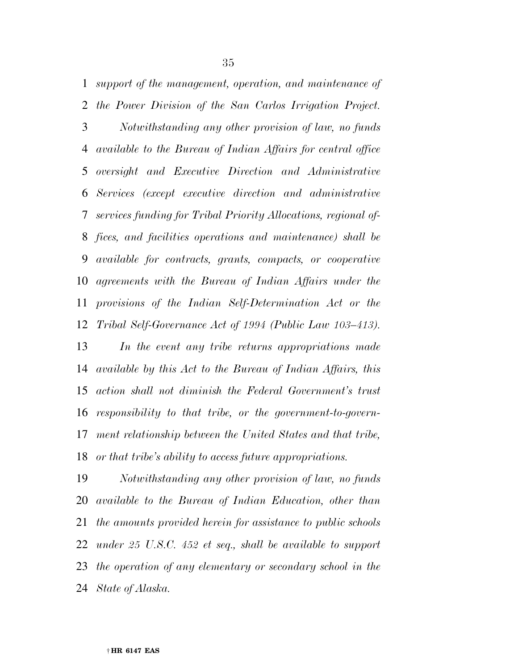*support of the management, operation, and maintenance of the Power Division of the San Carlos Irrigation Project. Notwithstanding any other provision of law, no funds available to the Bureau of Indian Affairs for central office oversight and Executive Direction and Administrative Services (except executive direction and administrative services funding for Tribal Priority Allocations, regional of- fices, and facilities operations and maintenance) shall be available for contracts, grants, compacts, or cooperative agreements with the Bureau of Indian Affairs under the provisions of the Indian Self-Determination Act or the Tribal Self-Governance Act of 1994 (Public Law 103–413).* 

 *In the event any tribe returns appropriations made available by this Act to the Bureau of Indian Affairs, this action shall not diminish the Federal Government's trust responsibility to that tribe, or the government-to-govern- ment relationship between the United States and that tribe, or that tribe's ability to access future appropriations.* 

 *Notwithstanding any other provision of law, no funds available to the Bureau of Indian Education, other than the amounts provided herein for assistance to public schools under 25 U.S.C. 452 et seq., shall be available to support the operation of any elementary or secondary school in the State of Alaska.*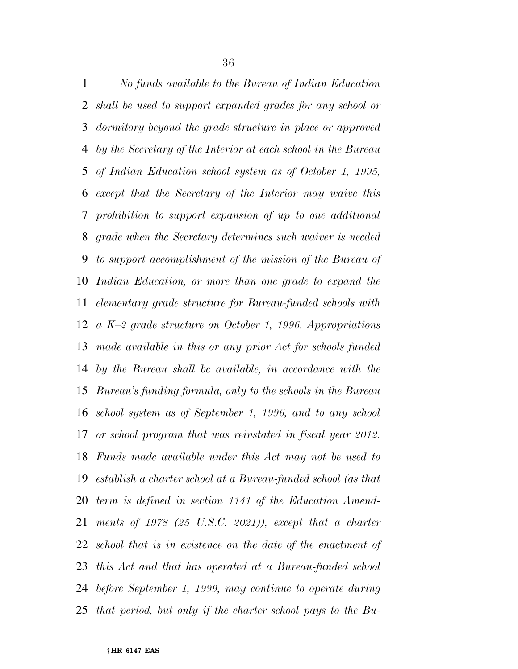*No funds available to the Bureau of Indian Education shall be used to support expanded grades for any school or dormitory beyond the grade structure in place or approved by the Secretary of the Interior at each school in the Bureau of Indian Education school system as of October 1, 1995, except that the Secretary of the Interior may waive this prohibition to support expansion of up to one additional grade when the Secretary determines such waiver is needed to support accomplishment of the mission of the Bureau of Indian Education, or more than one grade to expand the elementary grade structure for Bureau-funded schools with a K–2 grade structure on October 1, 1996. Appropriations made available in this or any prior Act for schools funded by the Bureau shall be available, in accordance with the Bureau's funding formula, only to the schools in the Bureau school system as of September 1, 1996, and to any school or school program that was reinstated in fiscal year 2012. Funds made available under this Act may not be used to establish a charter school at a Bureau-funded school (as that term is defined in section 1141 of the Education Amend- ments of 1978 (25 U.S.C. 2021)), except that a charter school that is in existence on the date of the enactment of this Act and that has operated at a Bureau-funded school before September 1, 1999, may continue to operate during that period, but only if the charter school pays to the Bu-*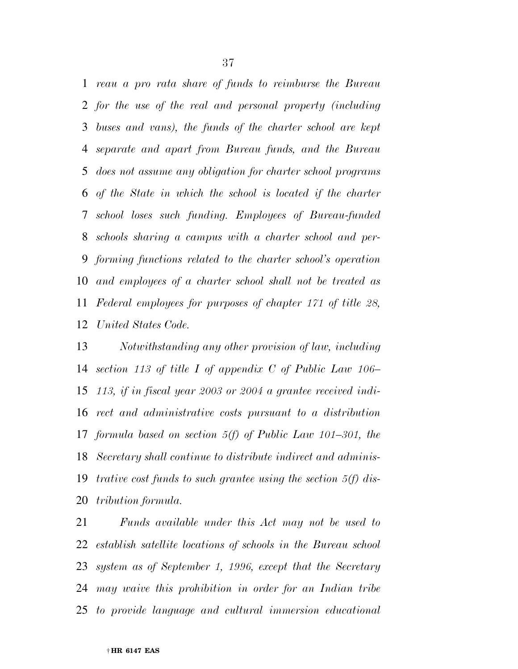*reau a pro rata share of funds to reimburse the Bureau for the use of the real and personal property (including buses and vans), the funds of the charter school are kept separate and apart from Bureau funds, and the Bureau does not assume any obligation for charter school programs of the State in which the school is located if the charter school loses such funding. Employees of Bureau-funded schools sharing a campus with a charter school and per- forming functions related to the charter school's operation and employees of a charter school shall not be treated as Federal employees for purposes of chapter 171 of title 28, United States Code.* 

 *Notwithstanding any other provision of law, including section 113 of title I of appendix C of Public Law 106– 113, if in fiscal year 2003 or 2004 a grantee received indi- rect and administrative costs pursuant to a distribution formula based on section 5(f) of Public Law 101–301, the Secretary shall continue to distribute indirect and adminis- trative cost funds to such grantee using the section 5(f) dis-tribution formula.* 

 *Funds available under this Act may not be used to establish satellite locations of schools in the Bureau school system as of September 1, 1996, except that the Secretary may waive this prohibition in order for an Indian tribe to provide language and cultural immersion educational*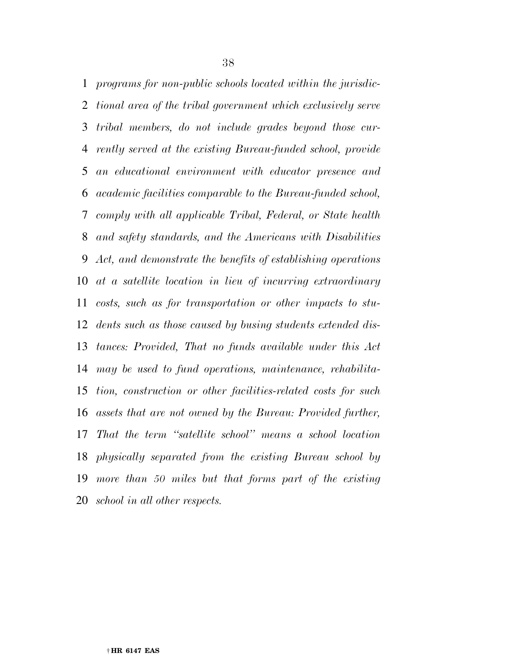*programs for non-public schools located within the jurisdic- tional area of the tribal government which exclusively serve tribal members, do not include grades beyond those cur- rently served at the existing Bureau-funded school, provide an educational environment with educator presence and academic facilities comparable to the Bureau-funded school, comply with all applicable Tribal, Federal, or State health and safety standards, and the Americans with Disabilities Act, and demonstrate the benefits of establishing operations at a satellite location in lieu of incurring extraordinary costs, such as for transportation or other impacts to stu- dents such as those caused by busing students extended dis- tances: Provided, That no funds available under this Act may be used to fund operations, maintenance, rehabilita- tion, construction or other facilities-related costs for such assets that are not owned by the Bureau: Provided further, That the term ''satellite school'' means a school location physically separated from the existing Bureau school by more than 50 miles but that forms part of the existing school in all other respects.*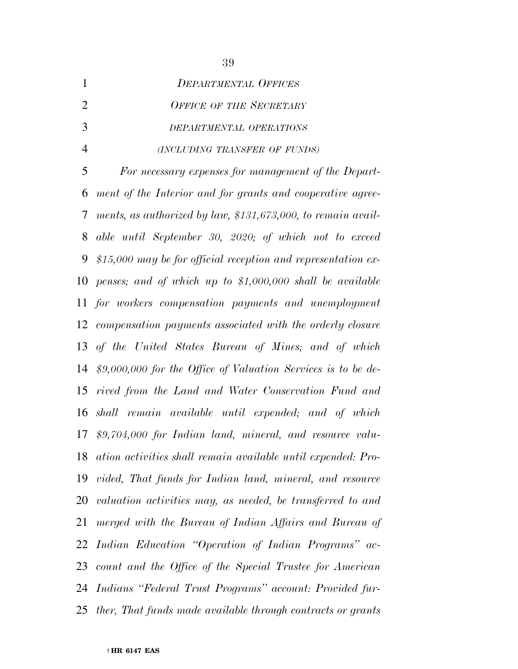| <b>DEPARTMENTAL OFFICES</b>    |
|--------------------------------|
| <b>OFFICE OF THE SECRETARY</b> |
| DEPARTMENTAL OPERATIONS        |
| (INCLUDING TRANSFER OF FUNDS)  |

 *For necessary expenses for management of the Depart- ment of the Interior and for grants and cooperative agree- ments, as authorized by law, \$131,673,000, to remain avail- able until September 30, 2020; of which not to exceed \$15,000 may be for official reception and representation ex- penses; and of which up to \$1,000,000 shall be available for workers compensation payments and unemployment compensation payments associated with the orderly closure of the United States Bureau of Mines; and of which \$9,000,000 for the Office of Valuation Services is to be de- rived from the Land and Water Conservation Fund and shall remain available until expended; and of which \$9,704,000 for Indian land, mineral, and resource valu- ation activities shall remain available until expended: Pro- vided, That funds for Indian land, mineral, and resource valuation activities may, as needed, be transferred to and merged with the Bureau of Indian Affairs and Bureau of Indian Education ''Operation of Indian Programs'' ac- count and the Office of the Special Trustee for American Indians ''Federal Trust Programs'' account: Provided fur-ther, That funds made available through contracts or grants*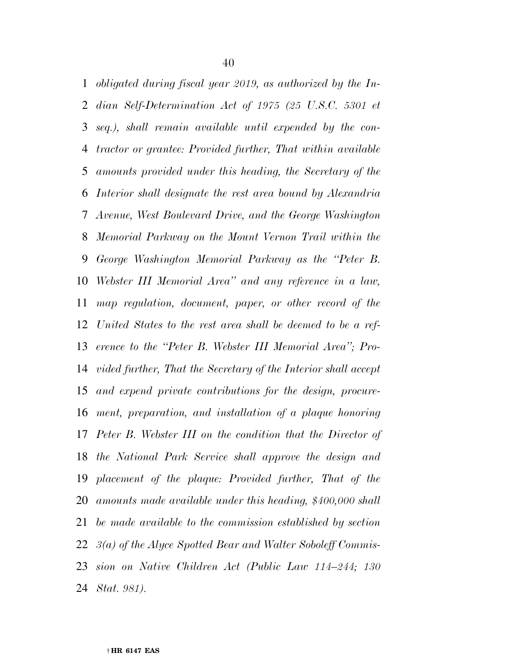*obligated during fiscal year 2019, as authorized by the In- dian Self-Determination Act of 1975 (25 U.S.C. 5301 et seq.), shall remain available until expended by the con- tractor or grantee: Provided further, That within available amounts provided under this heading, the Secretary of the Interior shall designate the rest area bound by Alexandria Avenue, West Boulevard Drive, and the George Washington Memorial Parkway on the Mount Vernon Trail within the George Washington Memorial Parkway as the ''Peter B. Webster III Memorial Area'' and any reference in a law, map regulation, document, paper, or other record of the United States to the rest area shall be deemed to be a ref- erence to the ''Peter B. Webster III Memorial Area''; Pro- vided further, That the Secretary of the Interior shall accept and expend private contributions for the design, procure- ment, preparation, and installation of a plaque honoring Peter B. Webster III on the condition that the Director of the National Park Service shall approve the design and placement of the plaque: Provided further, That of the amounts made available under this heading, \$400,000 shall be made available to the commission established by section 3(a) of the Alyce Spotted Bear and Walter Soboleff Commis- sion on Native Children Act (Public Law 114–244; 130 Stat. 981).*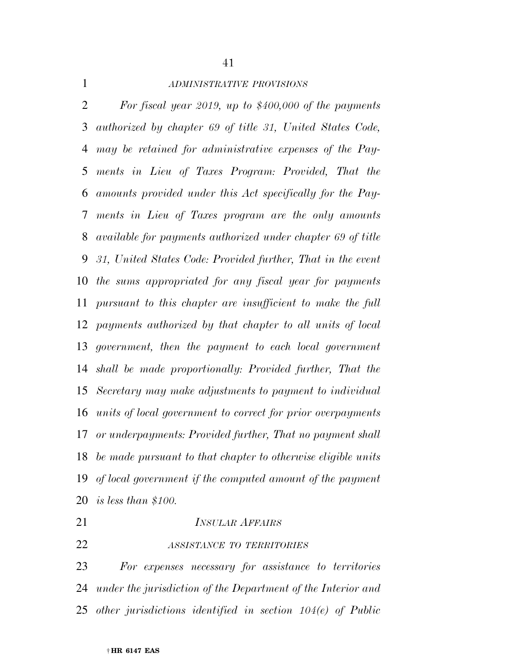*ADMINISTRATIVE PROVISIONS*

 *For fiscal year 2019, up to \$400,000 of the payments authorized by chapter 69 of title 31, United States Code, may be retained for administrative expenses of the Pay- ments in Lieu of Taxes Program: Provided, That the amounts provided under this Act specifically for the Pay- ments in Lieu of Taxes program are the only amounts available for payments authorized under chapter 69 of title 31, United States Code: Provided further, That in the event the sums appropriated for any fiscal year for payments pursuant to this chapter are insufficient to make the full payments authorized by that chapter to all units of local government, then the payment to each local government shall be made proportionally: Provided further, That the Secretary may make adjustments to payment to individual units of local government to correct for prior overpayments or underpayments: Provided further, That no payment shall be made pursuant to that chapter to otherwise eligible units of local government if the computed amount of the payment is less than \$100.* 

# *INSULAR AFFAIRS*

*ASSISTANCE TO TERRITORIES*

 *For expenses necessary for assistance to territories under the jurisdiction of the Department of the Interior and other jurisdictions identified in section 104(e) of Public*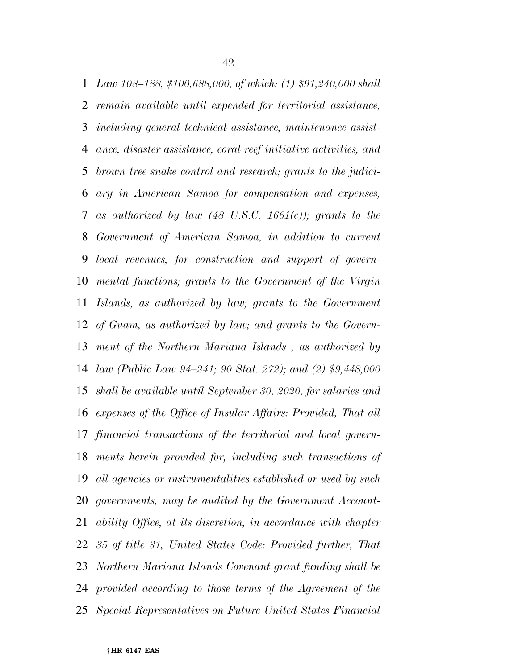*Law 108–188, \$100,688,000, of which: (1) \$91,240,000 shall remain available until expended for territorial assistance, including general technical assistance, maintenance assist- ance, disaster assistance, coral reef initiative activities, and brown tree snake control and research; grants to the judici- ary in American Samoa for compensation and expenses, as authorized by law (48 U.S.C. 1661(c)); grants to the Government of American Samoa, in addition to current local revenues, for construction and support of govern- mental functions; grants to the Government of the Virgin Islands, as authorized by law; grants to the Government of Guam, as authorized by law; and grants to the Govern- ment of the Northern Mariana Islands , as authorized by law (Public Law 94–241; 90 Stat. 272); and (2) \$9,448,000 shall be available until September 30, 2020, for salaries and expenses of the Office of Insular Affairs: Provided, That all financial transactions of the territorial and local govern- ments herein provided for, including such transactions of all agencies or instrumentalities established or used by such governments, may be audited by the Government Account- ability Office, at its discretion, in accordance with chapter 35 of title 31, United States Code: Provided further, That Northern Mariana Islands Covenant grant funding shall be provided according to those terms of the Agreement of the Special Representatives on Future United States Financial*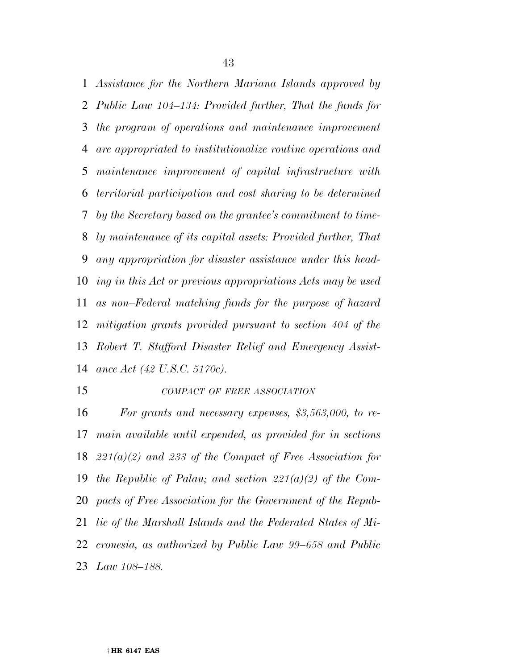*Assistance for the Northern Mariana Islands approved by Public Law 104–134: Provided further, That the funds for the program of operations and maintenance improvement are appropriated to institutionalize routine operations and maintenance improvement of capital infrastructure with territorial participation and cost sharing to be determined by the Secretary based on the grantee's commitment to time- ly maintenance of its capital assets: Provided further, That any appropriation for disaster assistance under this head- ing in this Act or previous appropriations Acts may be used as non–Federal matching funds for the purpose of hazard mitigation grants provided pursuant to section 404 of the Robert T. Stafford Disaster Relief and Emergency Assist-ance Act (42 U.S.C. 5170c).* 

### *COMPACT OF FREE ASSOCIATION*

 *For grants and necessary expenses, \$3,563,000, to re- main available until expended, as provided for in sections 221(a)(2) and 233 of the Compact of Free Association for the Republic of Palau; and section 221(a)(2) of the Com- pacts of Free Association for the Government of the Repub- lic of the Marshall Islands and the Federated States of Mi- cronesia, as authorized by Public Law 99–658 and Public Law 108–188.*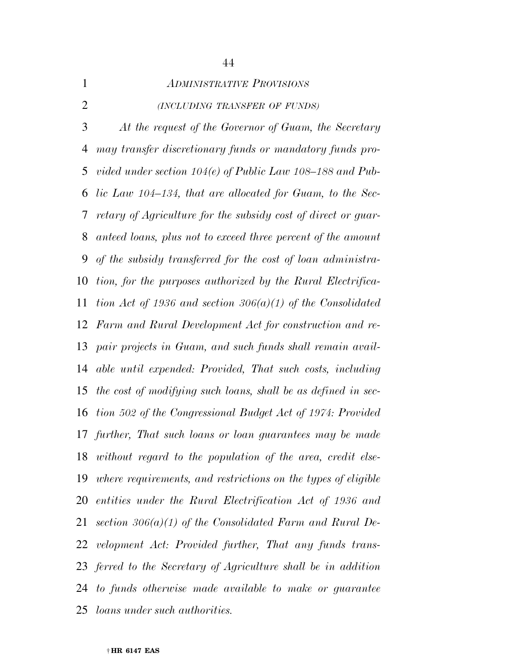| $\mathbf{1}$   | <b>ADMINISTRATIVE PROVISIONS</b>                               |
|----------------|----------------------------------------------------------------|
| $\overline{2}$ | (INCLUDING TRANSFER OF FUNDS)                                  |
| 3              | At the request of the Governor of Guam, the Secretary          |
| $\overline{4}$ | may transfer discretionary funds or mandatory funds pro-       |
| 5              | vided under section $104(e)$ of Public Law $108-188$ and Pub-  |
| 6              | lic Law 104–134, that are allocated for Guam, to the Sec-      |
| 7              | retary of Agriculture for the subsidy cost of direct or guar-  |
| 8              | anteed loans, plus not to exceed three percent of the amount   |
| 9              | of the subsidy transferred for the cost of loan administra-    |
| 10             | tion, for the purposes authorized by the Rural Electrifica-    |
| 11             | tion Act of 1936 and section 306(a)(1) of the Consolidated     |
|                | 12 Farm and Rural Development Act for construction and re-     |
|                | 13 pair projects in Guam, and such funds shall remain avail-   |
| 14             | able until expended: Provided, That such costs, including      |
| 15             | the cost of modifying such loans, shall be as defined in sec-  |
|                | 16 tion 502 of the Congressional Budget Act of 1974: Provided  |
|                | 17 further, That such loans or loan guarantees may be made     |
| 18             | without regard to the population of the area, credit else-     |
| 19             | where requirements, and restrictions on the types of eligible  |
| 20             | entities under the Rural Electrification Act of 1936 and       |
| 21             | section $306(a)(1)$ of the Consolidated Farm and Rural De-     |
|                | 22 velopment Act: Provided further, That any funds trans-      |
|                | 23 ferred to the Secretary of Agriculture shall be in addition |
|                | 24 to funds otherwise made available to make or guarantee      |
| 25             | <i>loans under such authorities</i> .                          |

# 

#### † **HR 6147 EAS**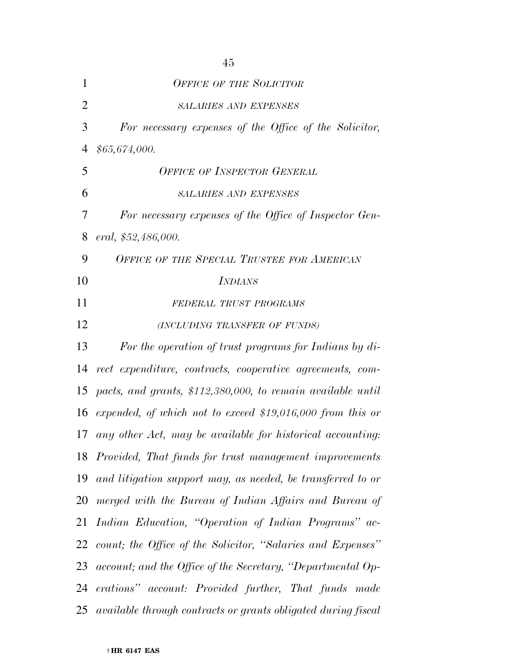| 1              | <b>OFFICE OF THE SOLICITOR</b>                                |
|----------------|---------------------------------------------------------------|
| $\overline{2}$ | <b>SALARIES AND EXPENSES</b>                                  |
| 3              | For necessary expenses of the Office of the Solicitor,        |
| 4              | \$65,674,000.                                                 |
| 5              | <b>OFFICE OF INSPECTOR GENERAL</b>                            |
| 6              | <b>SALARIES AND EXPENSES</b>                                  |
| 7              | For necessary expenses of the Office of Inspector Gen-        |
| 8              | eral, \$52,486,000.                                           |
| 9              | OFFICE OF THE SPECIAL TRUSTEE FOR AMERICAN                    |
| 10             | <b>INDIANS</b>                                                |
| 11             | FEDERAL TRUST PROGRAMS                                        |
| 12             | (INCLUDING TRANSFER OF FUNDS)                                 |
| 13             | For the operation of trust programs for Indians by di-        |
| 14             | rect expenditure, contracts, cooperative agreements, com-     |
| 15             | pacts, and grants, \$112,380,000, to remain available until   |
| 16             | expended, of which not to exceed \$19,016,000 from this or    |
| 17             | any other Act, may be available for historical accounting:    |
|                | 18 Provided, That funds for trust management improvements     |
| 19             | and litigation support may, as needed, be transferred to or   |
| 20             | merged with the Bureau of Indian Affairs and Bureau of        |
| 21             | Indian Education, "Operation of Indian Programs" ac-          |
| 22             | count; the Office of the Solicitor, "Salaries and Expenses"   |
| 23             | account; and the Office of the Secretary, "Departmental Op-   |
| 24             | erations" account: Provided further, That funds made          |
| 25             | available through contracts or grants obligated during fiscal |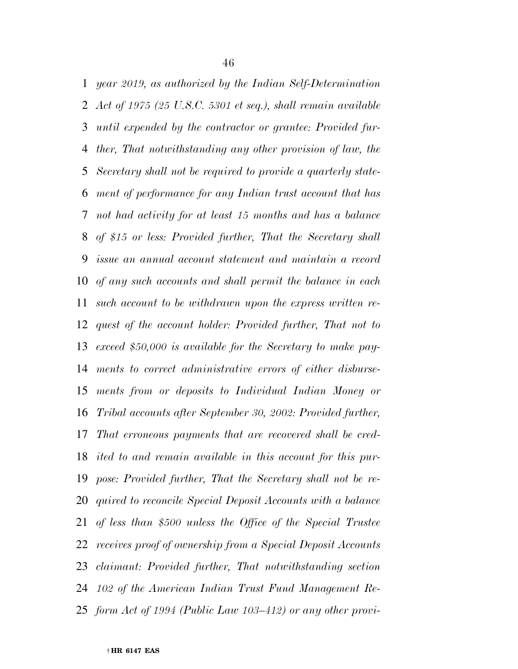*year 2019, as authorized by the Indian Self-Determination Act of 1975 (25 U.S.C. 5301 et seq.), shall remain available until expended by the contractor or grantee: Provided fur- ther, That notwithstanding any other provision of law, the Secretary shall not be required to provide a quarterly state- ment of performance for any Indian trust account that has not had activity for at least 15 months and has a balance of \$15 or less: Provided further, That the Secretary shall issue an annual account statement and maintain a record of any such accounts and shall permit the balance in each such account to be withdrawn upon the express written re- quest of the account holder: Provided further, That not to exceed \$50,000 is available for the Secretary to make pay- ments to correct administrative errors of either disburse- ments from or deposits to Individual Indian Money or Tribal accounts after September 30, 2002: Provided further, That erroneous payments that are recovered shall be cred- ited to and remain available in this account for this pur- pose: Provided further, That the Secretary shall not be re- quired to reconcile Special Deposit Accounts with a balance of less than \$500 unless the Office of the Special Trustee receives proof of ownership from a Special Deposit Accounts claimant: Provided further, That notwithstanding section 102 of the American Indian Trust Fund Management Re-form Act of 1994 (Public Law 103–412) or any other provi-*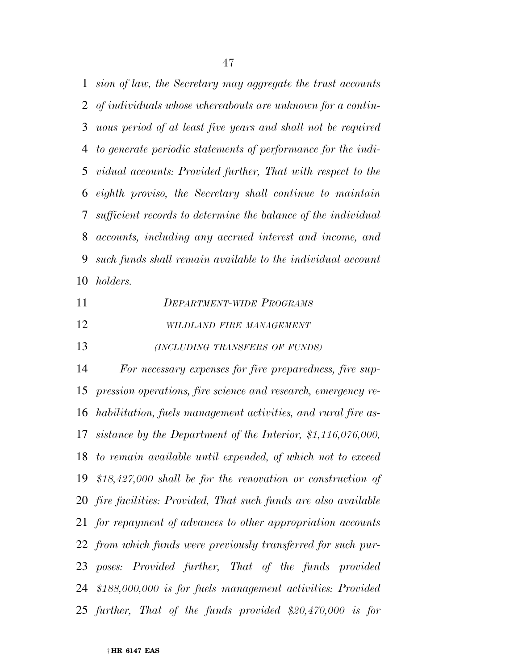*sion of law, the Secretary may aggregate the trust accounts of individuals whose whereabouts are unknown for a contin- uous period of at least five years and shall not be required to generate periodic statements of performance for the indi- vidual accounts: Provided further, That with respect to the eighth proviso, the Secretary shall continue to maintain sufficient records to determine the balance of the individual accounts, including any accrued interest and income, and such funds shall remain available to the individual account holders.* 

 *DEPARTMENT-WIDE PROGRAMS WILDLAND FIRE MANAGEMENT*

*(INCLUDING TRANSFERS OF FUNDS)*

 *For necessary expenses for fire preparedness, fire sup- pression operations, fire science and research, emergency re- habilitation, fuels management activities, and rural fire as- sistance by the Department of the Interior, \$1,116,076,000, to remain available until expended, of which not to exceed \$18,427,000 shall be for the renovation or construction of fire facilities: Provided, That such funds are also available for repayment of advances to other appropriation accounts from which funds were previously transferred for such pur- poses: Provided further, That of the funds provided \$188,000,000 is for fuels management activities: Provided further, That of the funds provided \$20,470,000 is for*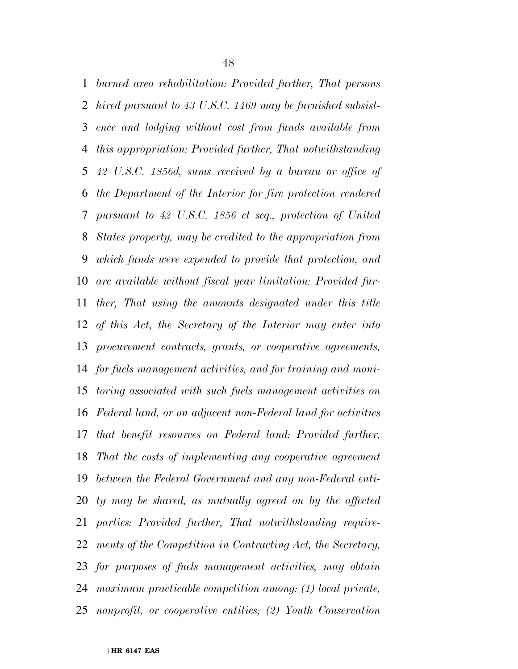*burned area rehabilitation: Provided further, That persons hired pursuant to 43 U.S.C. 1469 may be furnished subsist- ence and lodging without cost from funds available from this appropriation: Provided further, That notwithstanding 42 U.S.C. 1856d, sums received by a bureau or office of the Department of the Interior for fire protection rendered pursuant to 42 U.S.C. 1856 et seq., protection of United States property, may be credited to the appropriation from which funds were expended to provide that protection, and are available without fiscal year limitation: Provided fur- ther, That using the amounts designated under this title of this Act, the Secretary of the Interior may enter into procurement contracts, grants, or cooperative agreements, for fuels management activities, and for training and moni- toring associated with such fuels management activities on Federal land, or on adjacent non-Federal land for activities that benefit resources on Federal land: Provided further, That the costs of implementing any cooperative agreement between the Federal Government and any non-Federal enti- ty may be shared, as mutually agreed on by the affected parties: Provided further, That notwithstanding require- ments of the Competition in Contracting Act, the Secretary, for purposes of fuels management activities, may obtain maximum practicable competition among: (1) local private, nonprofit, or cooperative entities; (2) Youth Conservation*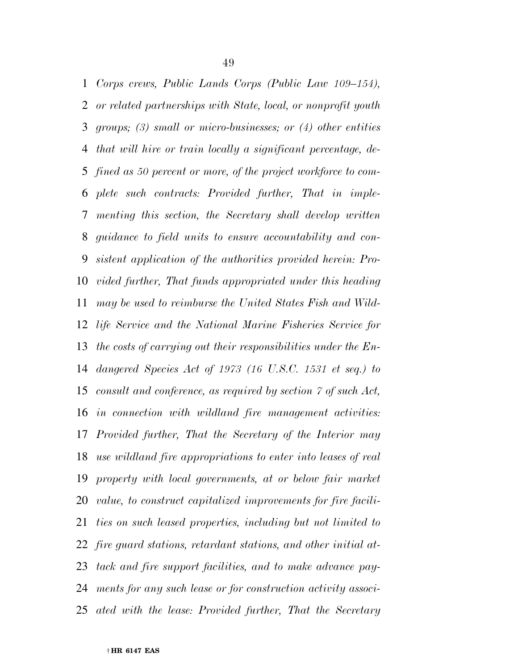*Corps crews, Public Lands Corps (Public Law 109–154), or related partnerships with State, local, or nonprofit youth groups; (3) small or micro-businesses; or (4) other entities that will hire or train locally a significant percentage, de- fined as 50 percent or more, of the project workforce to com- plete such contracts: Provided further, That in imple- menting this section, the Secretary shall develop written guidance to field units to ensure accountability and con- sistent application of the authorities provided herein: Pro- vided further, That funds appropriated under this heading may be used to reimburse the United States Fish and Wild- life Service and the National Marine Fisheries Service for the costs of carrying out their responsibilities under the En- dangered Species Act of 1973 (16 U.S.C. 1531 et seq.) to consult and conference, as required by section 7 of such Act, in connection with wildland fire management activities: Provided further, That the Secretary of the Interior may use wildland fire appropriations to enter into leases of real property with local governments, at or below fair market value, to construct capitalized improvements for fire facili- ties on such leased properties, including but not limited to fire guard stations, retardant stations, and other initial at- tack and fire support facilities, and to make advance pay- ments for any such lease or for construction activity associ-ated with the lease: Provided further, That the Secretary*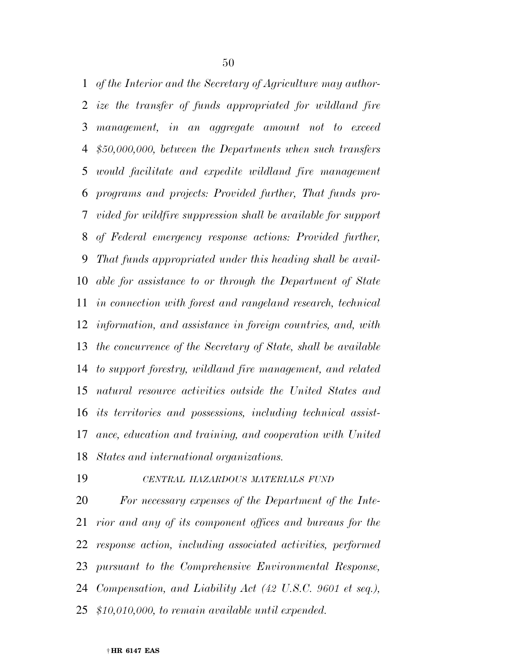*of the Interior and the Secretary of Agriculture may author- ize the transfer of funds appropriated for wildland fire management, in an aggregate amount not to exceed \$50,000,000, between the Departments when such transfers would facilitate and expedite wildland fire management programs and projects: Provided further, That funds pro- vided for wildfire suppression shall be available for support of Federal emergency response actions: Provided further, That funds appropriated under this heading shall be avail- able for assistance to or through the Department of State in connection with forest and rangeland research, technical information, and assistance in foreign countries, and, with the concurrence of the Secretary of State, shall be available to support forestry, wildland fire management, and related natural resource activities outside the United States and its territories and possessions, including technical assist- ance, education and training, and cooperation with United States and international organizations.* 

#### *CENTRAL HAZARDOUS MATERIALS FUND*

 *For necessary expenses of the Department of the Inte- rior and any of its component offices and bureaus for the response action, including associated activities, performed pursuant to the Comprehensive Environmental Response, Compensation, and Liability Act (42 U.S.C. 9601 et seq.), \$10,010,000, to remain available until expended.*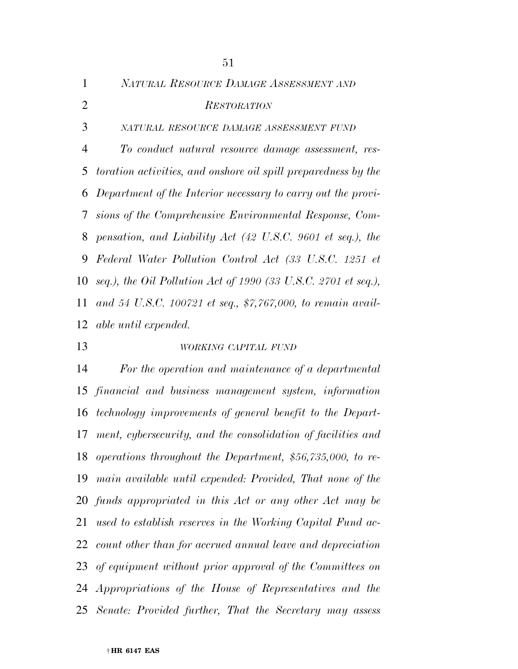| $\mathbf{1}$   | NATURAL RESOURCE DAMAGE ASSESSMENT AND                            |
|----------------|-------------------------------------------------------------------|
| $\overline{2}$ | <b>RESTORATION</b>                                                |
| 3              | NATURAL RESOURCE DAMAGE ASSESSMENT FUND                           |
| 4              | To conduct natural resource damage assessment, res-               |
|                | 5 toration activities, and onshore oil spill preparedness by the  |
|                | 6 Department of the Interior necessary to carry out the provi-    |
|                | 7 sions of the Comprehensive Environmental Response, Com-         |
|                | 8 pensation, and Liability Act (42 U.S.C. 9601 et seq.), the      |
| 9              | Federal Water Pollution Control Act (33 U.S.C. 1251 et            |
|                | 10 seq.), the Oil Pollution Act of 1990 (33 U.S.C. 2701 et seq.), |
|                | 11 and 54 U.S.C. 100721 et seq., \$7,767,000, to remain avail-    |
|                | 12 <i>able until expended.</i>                                    |

# *WORKING CAPITAL FUND*

 *For the operation and maintenance of a departmental financial and business management system, information technology improvements of general benefit to the Depart- ment, cybersecurity, and the consolidation of facilities and operations throughout the Department, \$56,735,000, to re- main available until expended: Provided, That none of the funds appropriated in this Act or any other Act may be used to establish reserves in the Working Capital Fund ac- count other than for accrued annual leave and depreciation of equipment without prior approval of the Committees on Appropriations of the House of Representatives and the Senate: Provided further, That the Secretary may assess*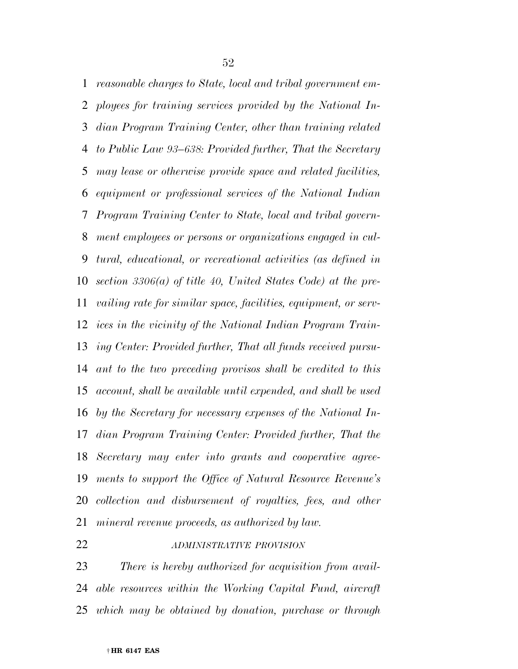*reasonable charges to State, local and tribal government em- ployees for training services provided by the National In- dian Program Training Center, other than training related to Public Law 93–638: Provided further, That the Secretary may lease or otherwise provide space and related facilities, equipment or professional services of the National Indian Program Training Center to State, local and tribal govern- ment employees or persons or organizations engaged in cul- tural, educational, or recreational activities (as defined in section 3306(a) of title 40, United States Code) at the pre- vailing rate for similar space, facilities, equipment, or serv- ices in the vicinity of the National Indian Program Train- ing Center: Provided further, That all funds received pursu- ant to the two preceding provisos shall be credited to this account, shall be available until expended, and shall be used by the Secretary for necessary expenses of the National In- dian Program Training Center: Provided further, That the Secretary may enter into grants and cooperative agree- ments to support the Office of Natural Resource Revenue's collection and disbursement of royalties, fees, and other mineral revenue proceeds, as authorized by law.* 

# *ADMINISTRATIVE PROVISION*

 *There is hereby authorized for acquisition from avail- able resources within the Working Capital Fund, aircraft which may be obtained by donation, purchase or through*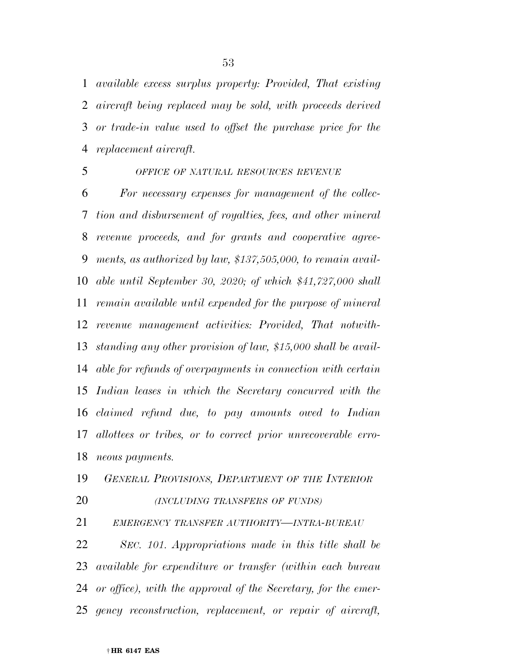*available excess surplus property: Provided, That existing aircraft being replaced may be sold, with proceeds derived or trade-in value used to offset the purchase price for the replacement aircraft.* 

### *OFFICE OF NATURAL RESOURCES REVENUE*

 *For necessary expenses for management of the collec- tion and disbursement of royalties, fees, and other mineral revenue proceeds, and for grants and cooperative agree- ments, as authorized by law, \$137,505,000, to remain avail- able until September 30, 2020; of which \$41,727,000 shall remain available until expended for the purpose of mineral revenue management activities: Provided, That notwith- standing any other provision of law, \$15,000 shall be avail- able for refunds of overpayments in connection with certain Indian leases in which the Secretary concurred with the claimed refund due, to pay amounts owed to Indian allottees or tribes, or to correct prior unrecoverable erro-neous payments.* 

*GENERAL PROVISIONS, DEPARTMENT OF THE INTERIOR*

*(INCLUDING TRANSFERS OF FUNDS)*

*EMERGENCY TRANSFER AUTHORITY—INTRA-BUREAU*

 *SEC. 101. Appropriations made in this title shall be available for expenditure or transfer (within each bureau or office), with the approval of the Secretary, for the emer-gency reconstruction, replacement, or repair of aircraft,*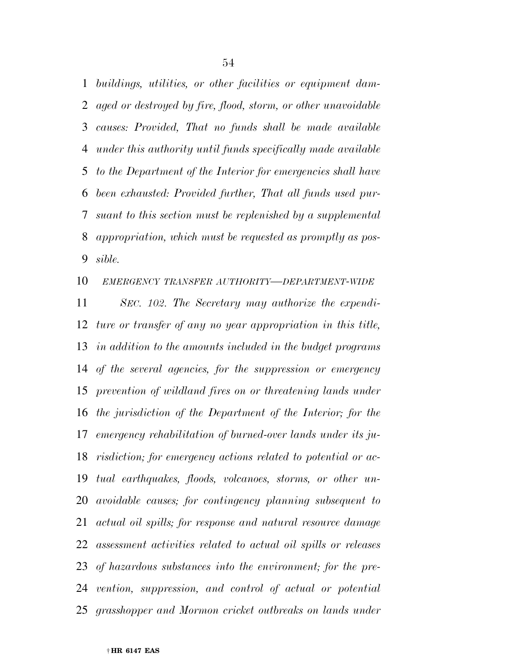*buildings, utilities, or other facilities or equipment dam- aged or destroyed by fire, flood, storm, or other unavoidable causes: Provided, That no funds shall be made available under this authority until funds specifically made available to the Department of the Interior for emergencies shall have been exhausted: Provided further, That all funds used pur- suant to this section must be replenished by a supplemental appropriation, which must be requested as promptly as pos-sible.* 

*EMERGENCY TRANSFER AUTHORITY—DEPARTMENT-WIDE*

 *SEC. 102. The Secretary may authorize the expendi- ture or transfer of any no year appropriation in this title, in addition to the amounts included in the budget programs of the several agencies, for the suppression or emergency prevention of wildland fires on or threatening lands under the jurisdiction of the Department of the Interior; for the emergency rehabilitation of burned-over lands under its ju- risdiction; for emergency actions related to potential or ac- tual earthquakes, floods, volcanoes, storms, or other un- avoidable causes; for contingency planning subsequent to actual oil spills; for response and natural resource damage assessment activities related to actual oil spills or releases of hazardous substances into the environment; for the pre- vention, suppression, and control of actual or potential grasshopper and Mormon cricket outbreaks on lands under*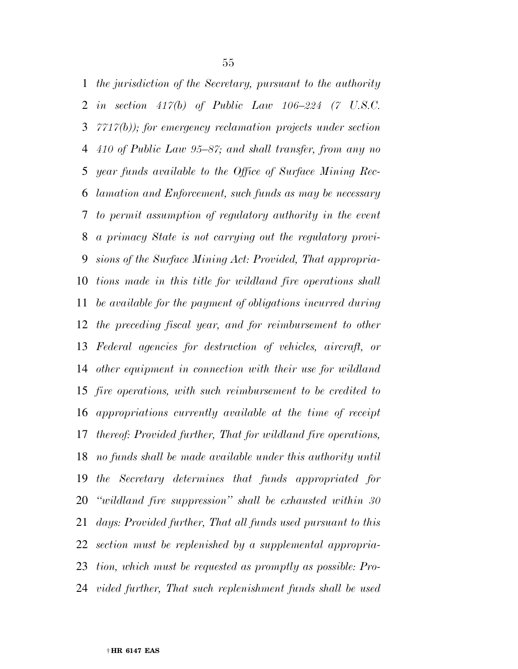*the jurisdiction of the Secretary, pursuant to the authority in section 417(b) of Public Law 106–224 (7 U.S.C. 7717(b)); for emergency reclamation projects under section 410 of Public Law 95–87; and shall transfer, from any no year funds available to the Office of Surface Mining Rec- lamation and Enforcement, such funds as may be necessary to permit assumption of regulatory authority in the event a primacy State is not carrying out the regulatory provi- sions of the Surface Mining Act: Provided, That appropria- tions made in this title for wildland fire operations shall be available for the payment of obligations incurred during the preceding fiscal year, and for reimbursement to other Federal agencies for destruction of vehicles, aircraft, or other equipment in connection with their use for wildland fire operations, with such reimbursement to be credited to appropriations currently available at the time of receipt thereof: Provided further, That for wildland fire operations, no funds shall be made available under this authority until the Secretary determines that funds appropriated for ''wildland fire suppression'' shall be exhausted within 30 days: Provided further, That all funds used pursuant to this section must be replenished by a supplemental appropria- tion, which must be requested as promptly as possible: Pro-vided further, That such replenishment funds shall be used*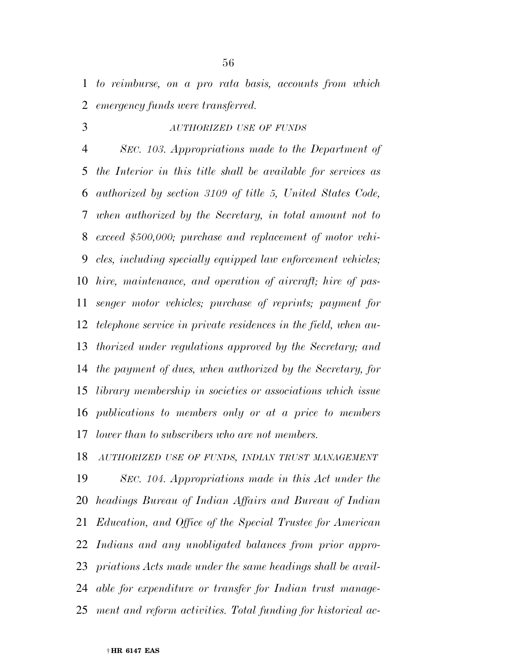*to reimburse, on a pro rata basis, accounts from which emergency funds were transferred.* 

*AUTHORIZED USE OF FUNDS*

 *SEC. 103. Appropriations made to the Department of the Interior in this title shall be available for services as authorized by section 3109 of title 5, United States Code, when authorized by the Secretary, in total amount not to exceed \$500,000; purchase and replacement of motor vehi- cles, including specially equipped law enforcement vehicles; hire, maintenance, and operation of aircraft; hire of pas- senger motor vehicles; purchase of reprints; payment for telephone service in private residences in the field, when au- thorized under regulations approved by the Secretary; and the payment of dues, when authorized by the Secretary, for library membership in societies or associations which issue publications to members only or at a price to members lower than to subscribers who are not members.* 

 *SEC. 104. Appropriations made in this Act under the headings Bureau of Indian Affairs and Bureau of Indian Education, and Office of the Special Trustee for American Indians and any unobligated balances from prior appro- priations Acts made under the same headings shall be avail- able for expenditure or transfer for Indian trust manage-ment and reform activities. Total funding for historical ac-*

*AUTHORIZED USE OF FUNDS, INDIAN TRUST MANAGEMENT*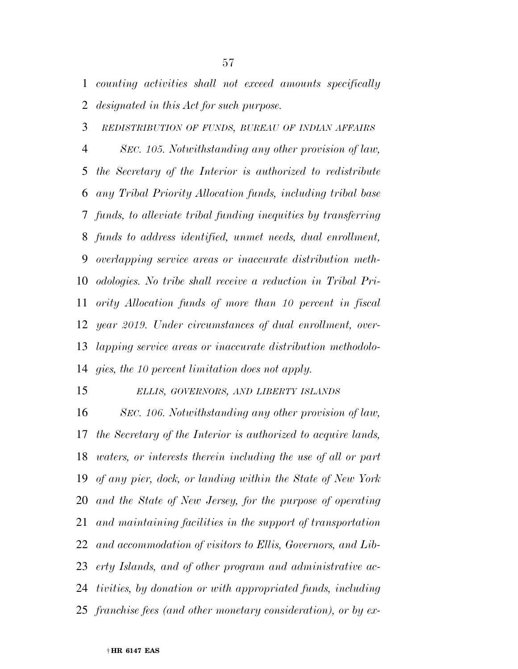*counting activities shall not exceed amounts specifically designated in this Act for such purpose.* 

*REDISTRIBUTION OF FUNDS, BUREAU OF INDIAN AFFAIRS*

 *SEC. 105. Notwithstanding any other provision of law, the Secretary of the Interior is authorized to redistribute any Tribal Priority Allocation funds, including tribal base funds, to alleviate tribal funding inequities by transferring funds to address identified, unmet needs, dual enrollment, overlapping service areas or inaccurate distribution meth- odologies. No tribe shall receive a reduction in Tribal Pri- ority Allocation funds of more than 10 percent in fiscal year 2019. Under circumstances of dual enrollment, over- lapping service areas or inaccurate distribution methodolo-gies, the 10 percent limitation does not apply.* 

*ELLIS, GOVERNORS, AND LIBERTY ISLANDS*

 *SEC. 106. Notwithstanding any other provision of law, the Secretary of the Interior is authorized to acquire lands, waters, or interests therein including the use of all or part of any pier, dock, or landing within the State of New York and the State of New Jersey, for the purpose of operating and maintaining facilities in the support of transportation and accommodation of visitors to Ellis, Governors, and Lib- erty Islands, and of other program and administrative ac- tivities, by donation or with appropriated funds, including franchise fees (and other monetary consideration), or by ex-*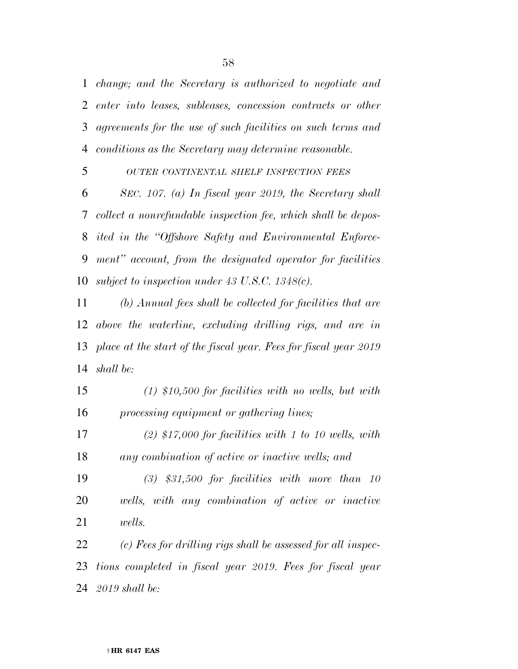*change; and the Secretary is authorized to negotiate and enter into leases, subleases, concession contracts or other agreements for the use of such facilities on such terms and conditions as the Secretary may determine reasonable.* 

*OUTER CONTINENTAL SHELF INSPECTION FEES*

 *SEC. 107. (a) In fiscal year 2019, the Secretary shall collect a nonrefundable inspection fee, which shall be depos- ited in the ''Offshore Safety and Environmental Enforce- ment'' account, from the designated operator for facilities subject to inspection under 43 U.S.C. 1348(c).* 

 *(b) Annual fees shall be collected for facilities that are above the waterline, excluding drilling rigs, and are in place at the start of the fiscal year. Fees for fiscal year 2019 shall be:* 

 *(1) \$10,500 for facilities with no wells, but with processing equipment or gathering lines;* 

 *(2) \$17,000 for facilities with 1 to 10 wells, with any combination of active or inactive wells; and* 

 *(3) \$31,500 for facilities with more than 10 wells, with any combination of active or inactive wells.* 

 *(c) Fees for drilling rigs shall be assessed for all inspec- tions completed in fiscal year 2019. Fees for fiscal year 2019 shall be:*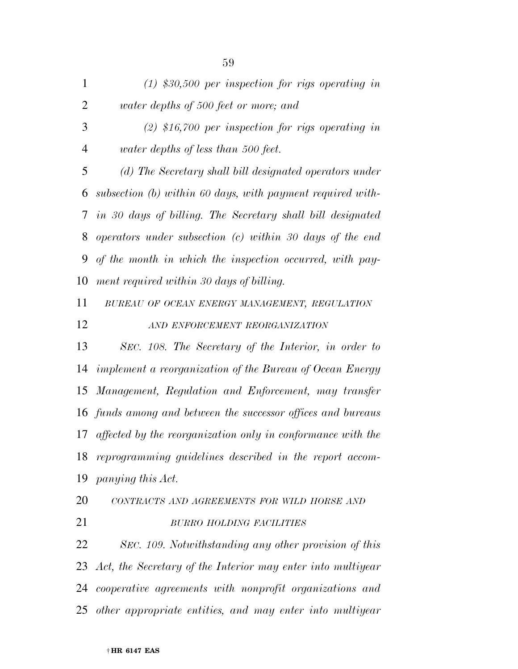*(1) \$30,500 per inspection for rigs operating in water depths of 500 feet or more; and (2) \$16,700 per inspection for rigs operating in water depths of less than 500 feet. (d) The Secretary shall bill designated operators under subsection (b) within 60 days, with payment required with- in 30 days of billing. The Secretary shall bill designated operators under subsection (c) within 30 days of the end of the month in which the inspection occurred, with pay- ment required within 30 days of billing. BUREAU OF OCEAN ENERGY MANAGEMENT, REGULATION AND ENFORCEMENT REORGANIZATION SEC. 108. The Secretary of the Interior, in order to implement a reorganization of the Bureau of Ocean Energy Management, Regulation and Enforcement, may transfer funds among and between the successor offices and bureaus affected by the reorganization only in conformance with the reprogramming guidelines described in the report accom- panying this Act. CONTRACTS AND AGREEMENTS FOR WILD HORSE AND BURRO HOLDING FACILITIES SEC. 109. Notwithstanding any other provision of this Act, the Secretary of the Interior may enter into multiyear cooperative agreements with nonprofit organizations and other appropriate entities, and may enter into multiyear*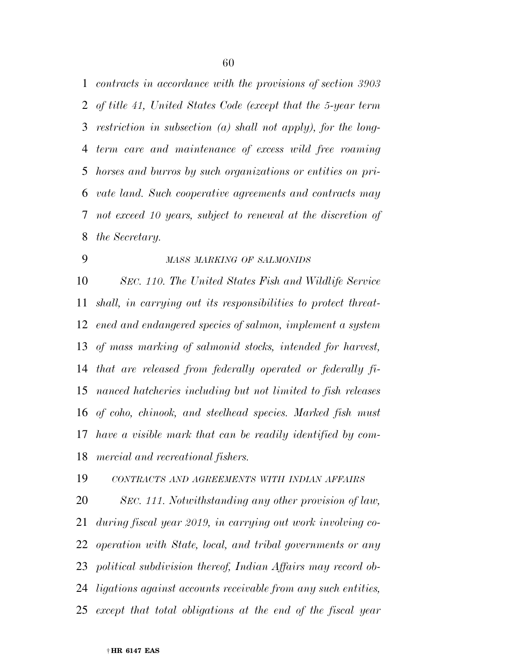*contracts in accordance with the provisions of section 3903 of title 41, United States Code (except that the 5-year term restriction in subsection (a) shall not apply), for the long- term care and maintenance of excess wild free roaming horses and burros by such organizations or entities on pri- vate land. Such cooperative agreements and contracts may not exceed 10 years, subject to renewal at the discretion of the Secretary.* 

## *MASS MARKING OF SALMONIDS*

 *SEC. 110. The United States Fish and Wildlife Service shall, in carrying out its responsibilities to protect threat- ened and endangered species of salmon, implement a system of mass marking of salmonid stocks, intended for harvest, that are released from federally operated or federally fi- nanced hatcheries including but not limited to fish releases of coho, chinook, and steelhead species. Marked fish must have a visible mark that can be readily identified by com-mercial and recreational fishers.* 

*CONTRACTS AND AGREEMENTS WITH INDIAN AFFAIRS*

 *SEC. 111. Notwithstanding any other provision of law, during fiscal year 2019, in carrying out work involving co- operation with State, local, and tribal governments or any political subdivision thereof, Indian Affairs may record ob- ligations against accounts receivable from any such entities, except that total obligations at the end of the fiscal year*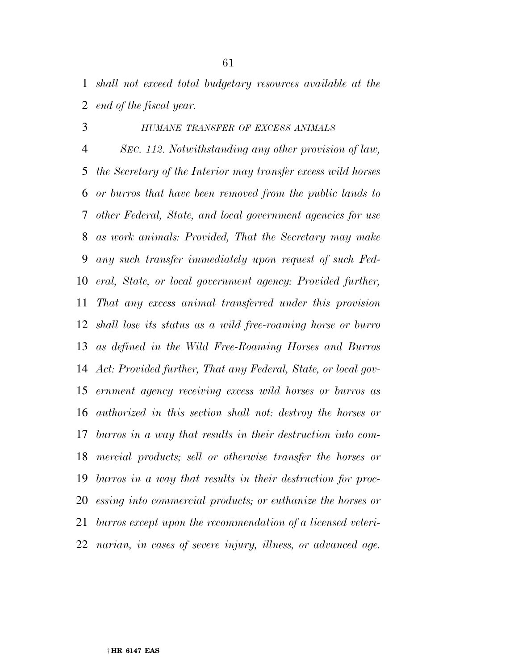*shall not exceed total budgetary resources available at the end of the fiscal year.* 

# *HUMANE TRANSFER OF EXCESS ANIMALS*

 *SEC. 112. Notwithstanding any other provision of law, the Secretary of the Interior may transfer excess wild horses or burros that have been removed from the public lands to other Federal, State, and local government agencies for use as work animals: Provided, That the Secretary may make any such transfer immediately upon request of such Fed- eral, State, or local government agency: Provided further, That any excess animal transferred under this provision shall lose its status as a wild free-roaming horse or burro as defined in the Wild Free-Roaming Horses and Burros Act: Provided further, That any Federal, State, or local gov- ernment agency receiving excess wild horses or burros as authorized in this section shall not: destroy the horses or burros in a way that results in their destruction into com- mercial products; sell or otherwise transfer the horses or burros in a way that results in their destruction for proc- essing into commercial products; or euthanize the horses or burros except upon the recommendation of a licensed veteri-narian, in cases of severe injury, illness, or advanced age.*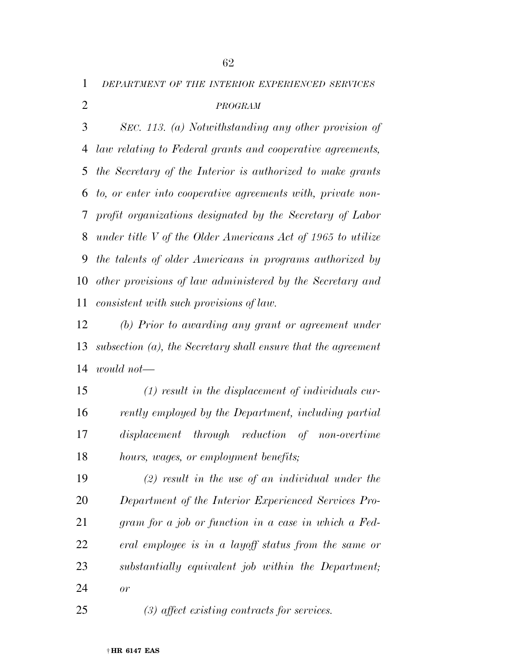*DEPARTMENT OF THE INTERIOR EXPERIENCED SERVICES*

# *PROGRAM*

 *SEC. 113. (a) Notwithstanding any other provision of law relating to Federal grants and cooperative agreements, the Secretary of the Interior is authorized to make grants to, or enter into cooperative agreements with, private non- profit organizations designated by the Secretary of Labor under title V of the Older Americans Act of 1965 to utilize the talents of older Americans in programs authorized by other provisions of law administered by the Secretary and consistent with such provisions of law.* 

 *(b) Prior to awarding any grant or agreement under subsection (a), the Secretary shall ensure that the agreement would not—* 

 *(1) result in the displacement of individuals cur- rently employed by the Department, including partial displacement through reduction of non-overtime hours, wages, or employment benefits;* 

 *(2) result in the use of an individual under the Department of the Interior Experienced Services Pro- gram for a job or function in a case in which a Fed- eral employee is in a layoff status from the same or substantially equivalent job within the Department; or* 

*(3) affect existing contracts for services.*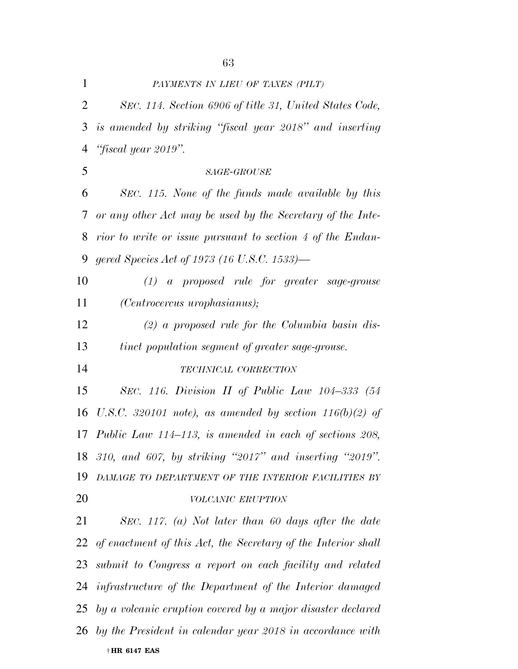*SEC. 114. Section 6906 of title 31, United States Code, is amended by striking ''fiscal year 2018'' and inserting ''fiscal year 2019''. SAGE-GROUSE SEC. 115. None of the funds made available by this or any other Act may be used by the Secretary of the Inte- rior to write or issue pursuant to section 4 of the Endan- gered Species Act of 1973 (16 U.S.C. 1533)— (1) a proposed rule for greater sage-grouse (Centrocercus urophasianus); (2) a proposed rule for the Columbia basin dis- tinct population segment of greater sage-grouse. TECHNICAL CORRECTION SEC. 116. Division II of Public Law 104–333 (54 U.S.C. 320101 note), as amended by section 116(b)(2) of Public Law 114–113, is amended in each of sections 208, 310, and 607, by striking ''2017'' and inserting ''2019''. DAMAGE TO DEPARTMENT OF THE INTERIOR FACILITIES BY VOLCANIC ERUPTION SEC. 117. (a) Not later than 60 days after the date of enactment of this Act, the Secretary of the Interior shall* 

 *submit to Congress a report on each facility and related infrastructure of the Department of the Interior damaged by a volcanic eruption covered by a major disaster declared by the President in calendar year 2018 in accordance with* 

### † **HR 6147 EAS**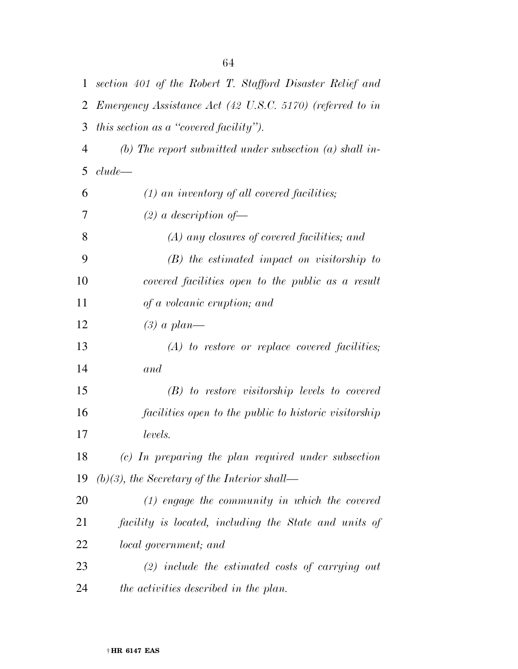| $\mathbf{1}$   | section 401 of the Robert T. Stafford Disaster Relief and        |
|----------------|------------------------------------------------------------------|
| $\overline{2}$ | <i>Emergency Assistance Act (42 U.S.C. 5170) (referred to in</i> |
| 3              | this section as a "covered facility").                           |
| $\overline{4}$ | (b) The report submitted under subsection (a) shall in-          |
| 5              | clude                                                            |
| 6              | $(1)$ an inventory of all covered facilities;                    |
| 7              | $(2)$ a description of                                           |
| 8              | $(A)$ any closures of covered facilities; and                    |
| 9              | $(B)$ the estimated impact on visitorship to                     |
| 10             | covered facilities open to the public as a result                |
| 11             | of a volcanic eruption; and                                      |
| 12             | $(3)$ a plan—                                                    |
| 13             | $(A)$ to restore or replace covered facilities;                  |
| 14             | and                                                              |
| 15             | $(B)$ to restore visitorship levels to covered                   |
| 16             | facilities open to the public to historic visitorship            |
| 17             | levels.                                                          |
| 18             | (c) In preparing the plan required under subsection              |
| 19             | $(b)(3)$ , the Secretary of the Interior shall—                  |
| 20             | $(1)$ engage the community in which the covered                  |
| 21             | facility is located, including the State and units of            |
| 22             | <i>local government</i> ; and                                    |
| 23             | $(2)$ include the estimated costs of carrying out                |
| 24             | the activities described in the plan.                            |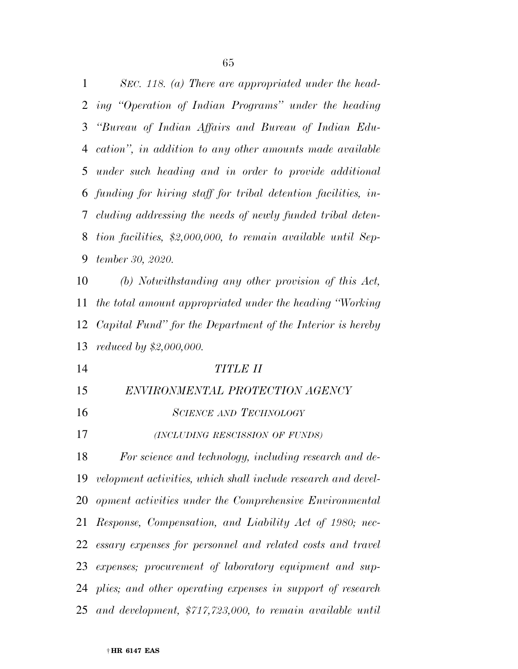| 1  | SEC. 118. (a) There are appropriated under the head-          |
|----|---------------------------------------------------------------|
| 2  | ing "Operation of Indian Programs" under the heading          |
| 3  | "Bureau of Indian Affairs and Bureau of Indian Edu-           |
| 4  | cation", in addition to any other amounts made available      |
| 5  | under such heading and in order to provide additional         |
| 6  | funding for hiring staff for tribal detention facilities, in- |
| 7  | cluding addressing the needs of newly funded tribal deten-    |
| 8  | tion facilities, \$2,000,000, to remain available until Sep-  |
| 9  | tember 30, 2020.                                              |
| 10 | (b) Notwithstanding any other provision of this Act,          |
| 11 | the total amount appropriated under the heading "Working"     |
| 12 | Capital Fund" for the Department of the Interior is hereby    |
|    |                                                               |
| 13 | <i>reduced by</i> $$2,000,000$ .                              |
| 14 | <b>TITLE II</b>                                               |
| 15 | ENVIRONMENTAL PROTECTION AGENCY                               |
| 16 | <b>SCIENCE AND TECHNOLOGY</b>                                 |
| 17 | (INCLUDING RESCISSION OF FUNDS)                               |
| 18 | For science and technology, including research and de-        |
| 19 | velopment activities, which shall include research and devel- |
| 20 | opment activities under the Comprehensive Environmental       |
| 21 | Response, Compensation, and Liability Act of 1980; nec-       |
| 22 | essary expenses for personnel and related costs and travel    |
| 23 | expenses; procurement of laboratory equipment and sup-        |
|    | 24 plies; and other operating expenses in support of research |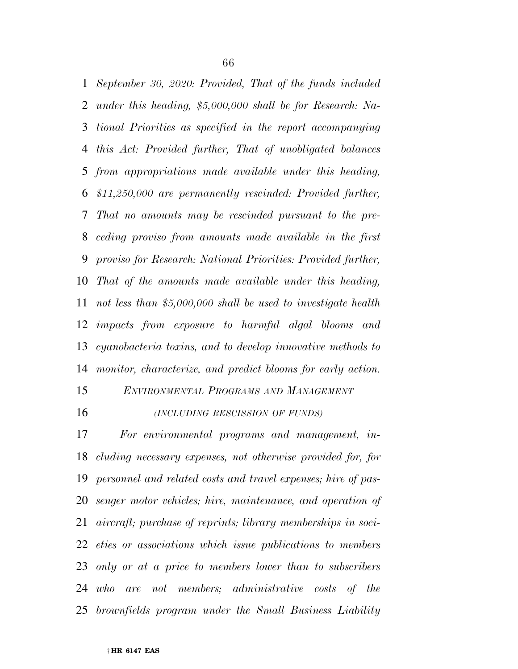*September 30, 2020: Provided, That of the funds included under this heading, \$5,000,000 shall be for Research: Na- tional Priorities as specified in the report accompanying this Act: Provided further, That of unobligated balances from appropriations made available under this heading, \$11,250,000 are permanently rescinded: Provided further, That no amounts may be rescinded pursuant to the pre- ceding proviso from amounts made available in the first proviso for Research: National Priorities: Provided further, That of the amounts made available under this heading, not less than \$5,000,000 shall be used to investigate health impacts from exposure to harmful algal blooms and cyanobacteria toxins, and to develop innovative methods to monitor, characterize, and predict blooms for early action.* 

*ENVIRONMENTAL PROGRAMS AND MANAGEMENT*

*(INCLUDING RESCISSION OF FUNDS)*

 *For environmental programs and management, in- cluding necessary expenses, not otherwise provided for, for personnel and related costs and travel expenses; hire of pas- senger motor vehicles; hire, maintenance, and operation of aircraft; purchase of reprints; library memberships in soci- eties or associations which issue publications to members only or at a price to members lower than to subscribers who are not members; administrative costs of the brownfields program under the Small Business Liability*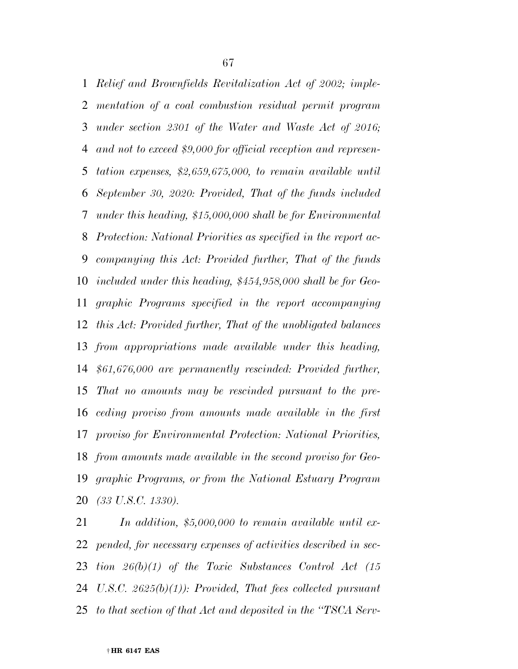*Relief and Brownfields Revitalization Act of 2002; imple- mentation of a coal combustion residual permit program under section 2301 of the Water and Waste Act of 2016; and not to exceed \$9,000 for official reception and represen- tation expenses, \$2,659,675,000, to remain available until September 30, 2020: Provided, That of the funds included under this heading, \$15,000,000 shall be for Environmental Protection: National Priorities as specified in the report ac- companying this Act: Provided further, That of the funds included under this heading, \$454,958,000 shall be for Geo- graphic Programs specified in the report accompanying this Act: Provided further, That of the unobligated balances from appropriations made available under this heading, \$61,676,000 are permanently rescinded: Provided further, That no amounts may be rescinded pursuant to the pre- ceding proviso from amounts made available in the first proviso for Environmental Protection: National Priorities, from amounts made available in the second proviso for Geo- graphic Programs, or from the National Estuary Program (33 U.S.C. 1330).* 

 *In addition, \$5,000,000 to remain available until ex- pended, for necessary expenses of activities described in sec- tion 26(b)(1) of the Toxic Substances Control Act (15 U.S.C. 2625(b)(1)): Provided, That fees collected pursuant to that section of that Act and deposited in the ''TSCA Serv-*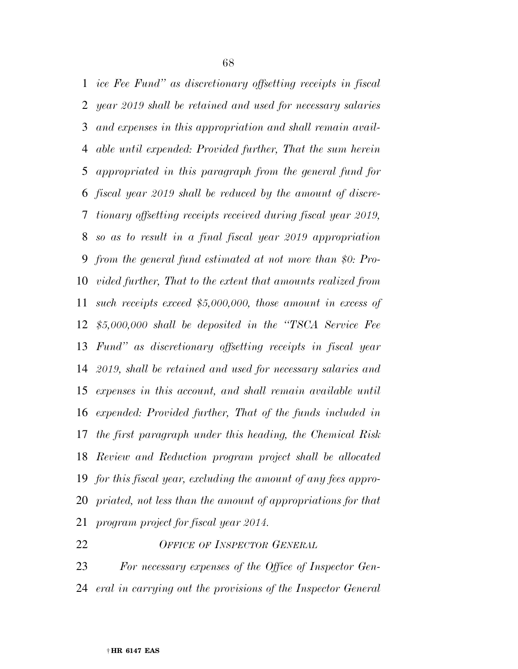*ice Fee Fund'' as discretionary offsetting receipts in fiscal year 2019 shall be retained and used for necessary salaries and expenses in this appropriation and shall remain avail- able until expended: Provided further, That the sum herein appropriated in this paragraph from the general fund for fiscal year 2019 shall be reduced by the amount of discre- tionary offsetting receipts received during fiscal year 2019, so as to result in a final fiscal year 2019 appropriation from the general fund estimated at not more than \$0: Pro- vided further, That to the extent that amounts realized from such receipts exceed \$5,000,000, those amount in excess of \$5,000,000 shall be deposited in the ''TSCA Service Fee Fund'' as discretionary offsetting receipts in fiscal year 2019, shall be retained and used for necessary salaries and expenses in this account, and shall remain available until expended: Provided further, That of the funds included in the first paragraph under this heading, the Chemical Risk Review and Reduction program project shall be allocated for this fiscal year, excluding the amount of any fees appro- priated, not less than the amount of appropriations for that program project for fiscal year 2014.* 

*OFFICE OF INSPECTOR GENERAL*

 *For necessary expenses of the Office of Inspector Gen-eral in carrying out the provisions of the Inspector General* 

† **HR 6147 EAS**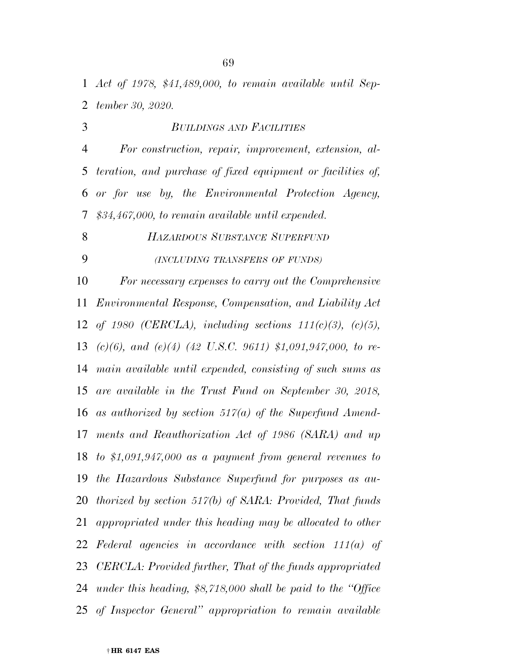*Act of 1978, \$41,489,000, to remain available until Sep-tember 30, 2020.* 

 *BUILDINGS AND FACILITIES For construction, repair, improvement, extension, al- teration, and purchase of fixed equipment or facilities of, or for use by, the Environmental Protection Agency, \$34,467,000, to remain available until expended.* 

*HAZARDOUS SUBSTANCE SUPERFUND*

*(INCLUDING TRANSFERS OF FUNDS)*

 *For necessary expenses to carry out the Comprehensive Environmental Response, Compensation, and Liability Act of 1980 (CERCLA), including sections 111(c)(3), (c)(5), (c)(6), and (e)(4) (42 U.S.C. 9611) \$1,091,947,000, to re- main available until expended, consisting of such sums as are available in the Trust Fund on September 30, 2018, as authorized by section 517(a) of the Superfund Amend- ments and Reauthorization Act of 1986 (SARA) and up to \$1,091,947,000 as a payment from general revenues to the Hazardous Substance Superfund for purposes as au- thorized by section 517(b) of SARA: Provided, That funds appropriated under this heading may be allocated to other Federal agencies in accordance with section 111(a) of CERCLA: Provided further, That of the funds appropriated under this heading, \$8,718,000 shall be paid to the ''Office of Inspector General'' appropriation to remain available*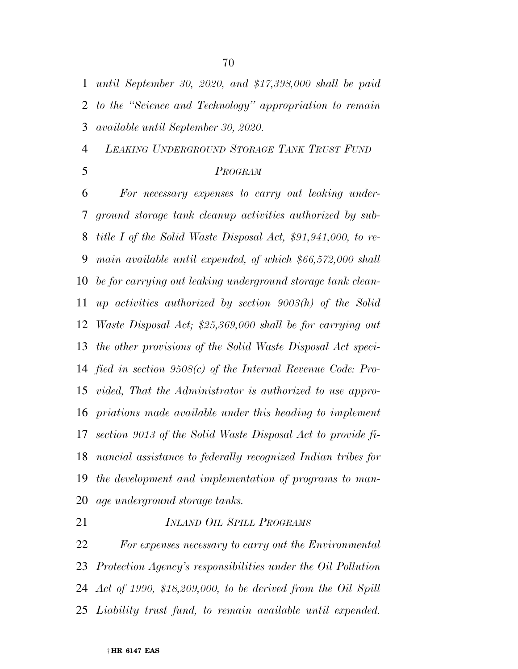*LEAKING UNDERGROUND STORAGE TANK TRUST FUND*

*until September 30, 2020, and \$17,398,000 shall be paid* 

*to the ''Science and Technology'' appropriation to remain* 

# *PROGRAM*

 *For necessary expenses to carry out leaking under- ground storage tank cleanup activities authorized by sub- title I of the Solid Waste Disposal Act, \$91,941,000, to re- main available until expended, of which \$66,572,000 shall be for carrying out leaking underground storage tank clean- up activities authorized by section 9003(h) of the Solid Waste Disposal Act; \$25,369,000 shall be for carrying out the other provisions of the Solid Waste Disposal Act speci- fied in section 9508(c) of the Internal Revenue Code: Pro- vided, That the Administrator is authorized to use appro- priations made available under this heading to implement section 9013 of the Solid Waste Disposal Act to provide fi- nancial assistance to federally recognized Indian tribes for the development and implementation of programs to man-age underground storage tanks.* 

# *INLAND OIL SPILL PROGRAMS*

 *For expenses necessary to carry out the Environmental Protection Agency's responsibilities under the Oil Pollution Act of 1990, \$18,209,000, to be derived from the Oil Spill Liability trust fund, to remain available until expended.* 

*available until September 30, 2020.*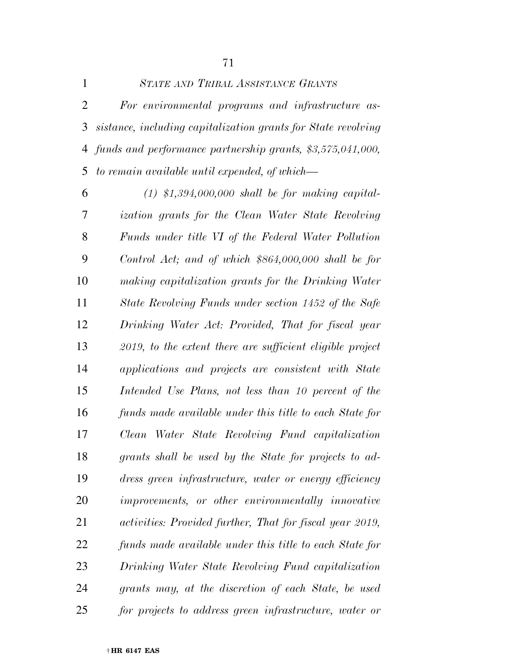|   | STATE AND TRIBAL ASSISTANCE GRANTS                              |
|---|-----------------------------------------------------------------|
| 2 | For environmental programs and infrastructure as-               |
|   | 3 sistance, including capitalization grants for State revolving |
|   | 4 funds and performance partnership grants, \$3,575,041,000,    |
|   | 5 to remain available until expended, of which—                 |

 *(1) \$1,394,000,000 shall be for making capital- ization grants for the Clean Water State Revolving Funds under title VI of the Federal Water Pollution Control Act; and of which \$864,000,000 shall be for making capitalization grants for the Drinking Water State Revolving Funds under section 1452 of the Safe Drinking Water Act: Provided, That for fiscal year 2019, to the extent there are sufficient eligible project applications and projects are consistent with State Intended Use Plans, not less than 10 percent of the funds made available under this title to each State for Clean Water State Revolving Fund capitalization grants shall be used by the State for projects to ad- dress green infrastructure, water or energy efficiency improvements, or other environmentally innovative activities: Provided further, That for fiscal year 2019, funds made available under this title to each State for Drinking Water State Revolving Fund capitalization grants may, at the discretion of each State, be used for projects to address green infrastructure, water or*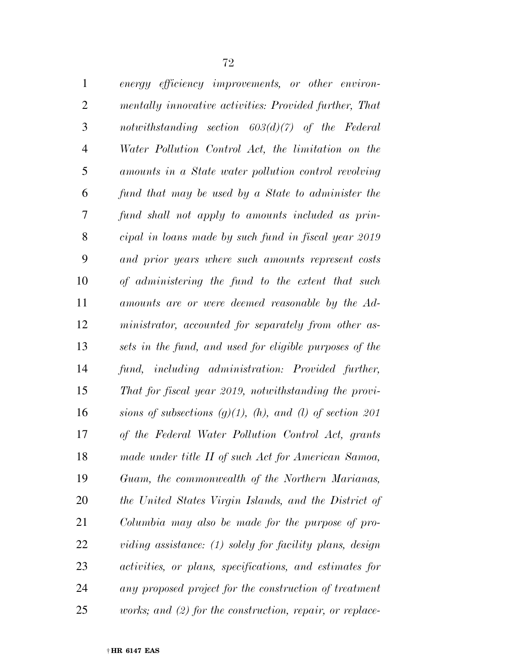| $\mathbf{1}$   | energy efficiency improvements, or other environ-                |
|----------------|------------------------------------------------------------------|
| $\mathfrak{2}$ | mentally innovative activities: Provided further, That           |
| 3              | notwithstanding section $603(d)(7)$ of the Federal               |
| $\overline{4}$ | Water Pollution Control Act, the limitation on the               |
| 5              | amounts in a State water pollution control revolving             |
| 6              | fund that may be used by a State to administer the               |
| 7              | fund shall not apply to amounts included as prin-                |
| 8              | cipal in loans made by such fund in fiscal year 2019             |
| 9              | and prior years where such amounts represent costs               |
| 10             | of administering the fund to the extent that such                |
| 11             | amounts are or were deemed reasonable by the Ad-                 |
| 12             | ministrator, accounted for separately from other as-             |
| 13             | sets in the fund, and used for eligible purposes of the          |
| 14             | fund, including administration: Provided further,                |
| 15             | That for fiscal year 2019, notwithstanding the provi-            |
| 16             | sions of subsections $(g)(1)$ , $(h)$ , and $(l)$ of section 201 |
| 17             | of the Federal Water Pollution Control Act, grants               |
| 18             | made under title II of such Act for American Samoa,              |
| 19             | Guam, the commonwealth of the Northern Marianas,                 |
| 20             | the United States Virgin Islands, and the District of            |
| 21             | Columbia may also be made for the purpose of pro-                |
| 22             | viding assistance: (1) solely for facility plans, design         |
| 23             | activities, or plans, specifications, and estimates for          |
| 24             | any proposed project for the construction of treatment           |
| 25             | works; and $(2)$ for the construction, repair, or replace-       |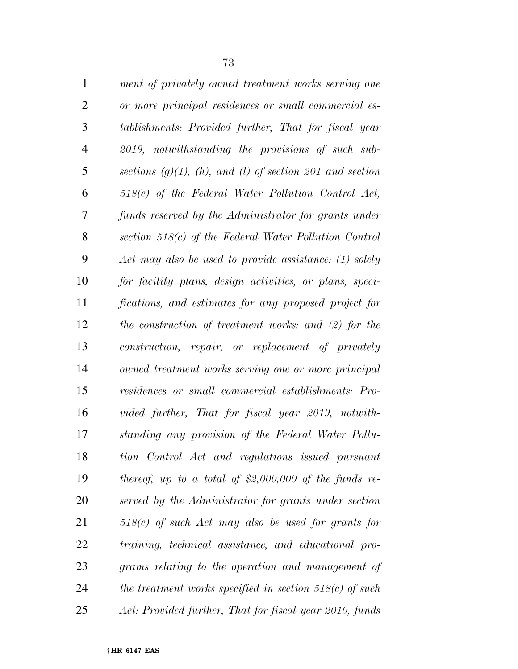| $\mathbf{1}$   | ment of privately owned treatment works serving one              |
|----------------|------------------------------------------------------------------|
| $\overline{2}$ | or more principal residences or small commercial es-             |
| 3              | tablishments: Provided further, That for fiscal year             |
| $\overline{4}$ | 2019, notwithstanding the provisions of such sub-                |
| 5              | sections $(g)(1)$ , $(h)$ , and $(l)$ of section 201 and section |
| 6              | $518(c)$ of the Federal Water Pollution Control Act,             |
| 7              | funds reserved by the Administrator for grants under             |
| 8              | section $518(c)$ of the Federal Water Pollution Control          |
| 9              | Act may also be used to provide assistance: (1) solely           |
| 10             | for facility plans, design activities, or plans, speci-          |
| 11             | fications, and estimates for any proposed project for            |
| 12             | the construction of treatment works; and (2) for the             |
| 13             | construction, repair, or replacement of privately                |
| 14             | owned treatment works serving one or more principal              |
| 15             | residences or small commercial establishments: Pro-              |
| 16             | vided further, That for fiscal year 2019, notwith-               |
| 17             | standing any provision of the Federal Water Pollu-               |
| 18             | tion Control Act and regulations issued pursuant                 |
| 19             | thereof, up to a total of \$2,000,000 of the funds re-           |
| 20             | served by the Administrator for grants under section             |
| 21             | $518(c)$ of such Act may also be used for grants for             |
| 22             | training, technical assistance, and educational pro-             |
| 23             | grams relating to the operation and management of                |
| 24             | the treatment works specified in section $518(c)$ of such        |
| 25             | Act: Provided further, That for fiscal year 2019, funds          |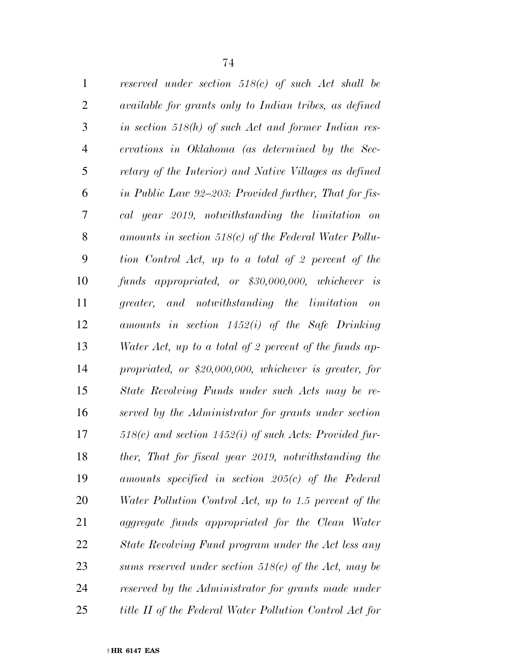| $\mathbf{1}$   | reserved under section $518(c)$ of such Act shall be           |
|----------------|----------------------------------------------------------------|
| $\overline{2}$ | available for grants only to Indian tribes, as defined         |
| 3              | in section $518(h)$ of such Act and former Indian res-         |
| $\overline{4}$ | ervations in Oklahoma (as determined by the Sec-               |
| 5              | retary of the Interior) and Native Villages as defined         |
| 6              | in Public Law 92–203: Provided further, That for fis-          |
| 7              | cal year 2019, notwithstanding the limitation on               |
| 8              | amounts in section $518(c)$ of the Federal Water Pollu-        |
| 9              | tion Control Act, up to a total of 2 percent of the            |
| 10             | funds appropriated, or \$30,000,000, whichever is              |
| 11             | greater, and notwithstanding the limitation<br>$\overline{on}$ |
| 12             | amounts in section $1452(i)$ of the Safe Drinking              |
| 13             | Water Act, up to a total of 2 percent of the funds ap-         |
| 14             | propriated, or $$20,000,000$ , whichever is greater, for       |
| 15             | State Revolving Funds under such Acts may be re-               |
| 16             | served by the Administrator for grants under section           |
| 17             | $518(c)$ and section $1452(i)$ of such Acts: Provided fur-     |
| 18             | ther, That for fiscal year 2019, notwithstanding the           |
| 19             | amounts specified in section $205(c)$ of the Federal           |
| 20             | Water Pollution Control Act, up to 1.5 percent of the          |
| 21             | aggregate funds appropriated for the Clean Water               |
| 22             | State Revolving Fund program under the Act less any            |
| 23             | sums reserved under section $518(c)$ of the Act, may be        |
| 24             | reserved by the Administrator for grants made under            |
| 25             | title II of the Federal Water Pollution Control Act for        |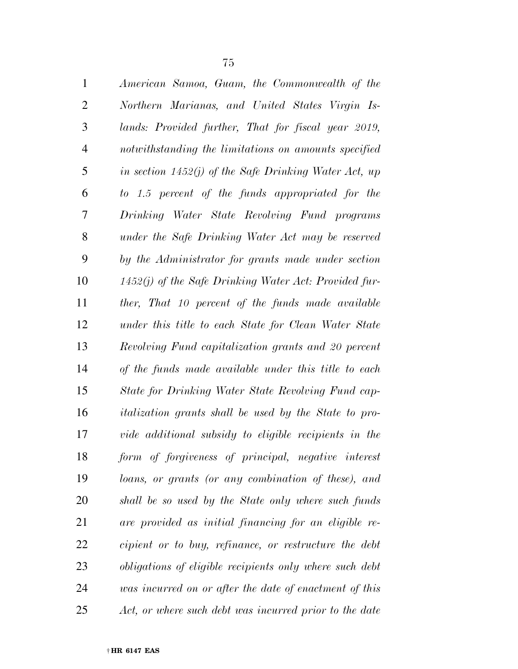| $\mathbf{1}$   | American Samoa, Guam, the Commonwealth of the                |
|----------------|--------------------------------------------------------------|
| $\overline{2}$ | Northern Marianas, and United States Virgin Is-              |
| 3              | lands: Provided further, That for fiscal year 2019,          |
| $\overline{4}$ | notwithstanding the limitations on amounts specified         |
| 5              | in section $1452(j)$ of the Safe Drinking Water Act, up      |
| 6              | to 1.5 percent of the funds appropriated for the             |
| 7              | Drinking Water State Revolving Fund programs                 |
| 8              | under the Safe Drinking Water Act may be reserved            |
| 9              | by the Administrator for grants made under section           |
| 10             | $1452(j)$ of the Safe Drinking Water Act: Provided fur-      |
| 11             | ther, That 10 percent of the funds made available            |
| 12             | under this title to each State for Clean Water State         |
| 13             | Revolving Fund capitalization grants and 20 percent          |
| 14             | of the funds made available under this title to each         |
| 15             | State for Drinking Water State Revolving Fund cap-           |
| 16             | <i>italization grants shall be used by the State to pro-</i> |
| 17             | vide additional subsidy to eligible recipients in the        |
| 18             | form of forgiveness of principal, negative interest          |
| 19             | loans, or grants (or any combination of these), and          |
| 20             | shall be so used by the State only where such funds          |
| 21             | are provided as initial financing for an eligible re-        |
| 22             | cipient or to buy, refinance, or restructure the debt        |
| 23             | obligations of eligible recipients only where such debt      |
| 24             | was incurred on or after the date of enactment of this       |
| 25             | Act, or where such debt was incurred prior to the date       |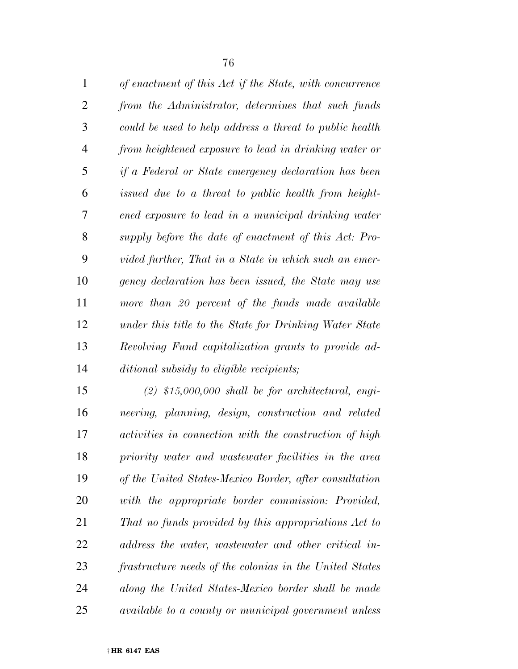| $\mathbf{1}$   | of enactment of this Act if the State, with concurrence |
|----------------|---------------------------------------------------------|
| $\overline{2}$ | from the Administrator, determines that such funds      |
| 3              | could be used to help address a threat to public health |
| $\overline{4}$ | from heightened exposure to lead in drinking water or   |
| 5              | if a Federal or State emergency declaration has been    |
| 6              | issued due to a threat to public health from height-    |
| 7              | ened exposure to lead in a municipal drinking water     |
| 8              | supply before the date of enactment of this Act: Pro-   |
| 9              | vided further, That in a State in which such an emer-   |
| 10             | gency declaration has been issued, the State may use    |
| 11             | more than 20 percent of the funds made available        |
| 12             | under this title to the State for Drinking Water State  |
| 13             | Revolving Fund capitalization grants to provide ad-     |
| 14             | ditional subsidy to eligible recipients;                |

 *(2) \$15,000,000 shall be for architectural, engi- neering, planning, design, construction and related activities in connection with the construction of high priority water and wastewater facilities in the area of the United States-Mexico Border, after consultation with the appropriate border commission: Provided, That no funds provided by this appropriations Act to address the water, wastewater and other critical in- frastructure needs of the colonias in the United States along the United States-Mexico border shall be made available to a county or municipal government unless*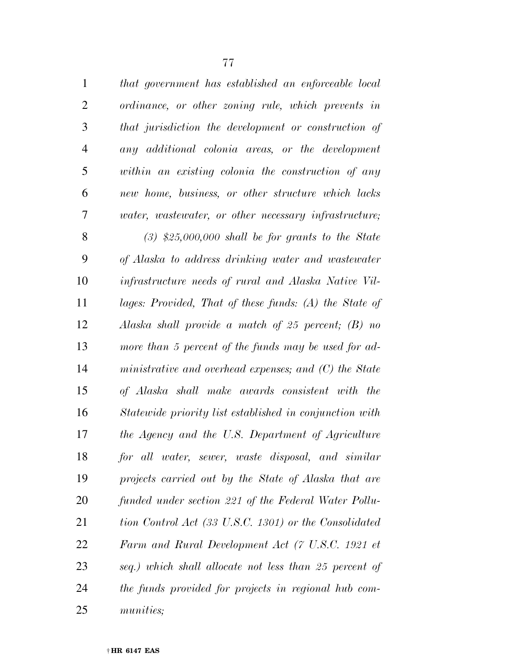| $\mathbf{1}$    | that government has established an enforceable local         |
|-----------------|--------------------------------------------------------------|
| 2               | ordinance, or other zoning rule, which prevents in           |
| 3               | that jurisdiction the development or construction of         |
| $\overline{4}$  | any additional colonia areas, or the development             |
| $5\overline{)}$ | within an existing colonia the construction of any           |
| 6               | new home, business, or other structure which lacks           |
| 7               | <i>water, wastewater, or other necessary infrastructure;</i> |

 *(3) \$25,000,000 shall be for grants to the State of Alaska to address drinking water and wastewater infrastructure needs of rural and Alaska Native Vil- lages: Provided, That of these funds: (A) the State of Alaska shall provide a match of 25 percent; (B) no more than 5 percent of the funds may be used for ad- ministrative and overhead expenses; and (C) the State of Alaska shall make awards consistent with the Statewide priority list established in conjunction with the Agency and the U.S. Department of Agriculture for all water, sewer, waste disposal, and similar projects carried out by the State of Alaska that are funded under section 221 of the Federal Water Pollu- tion Control Act (33 U.S.C. 1301) or the Consolidated Farm and Rural Development Act (7 U.S.C. 1921 et seq.) which shall allocate not less than 25 percent of the funds provided for projects in regional hub com-munities;*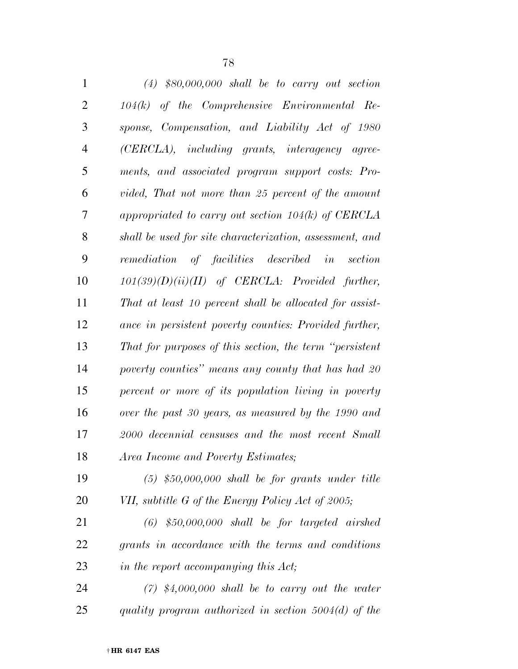| $\mathbf{1}$   | $(4)$ \$80,000,000 shall be to carry out section         |
|----------------|----------------------------------------------------------|
| $\overline{2}$ | $104(k)$ of the Comprehensive Environmental Re-          |
| 3              | sponse, Compensation, and Liability Act of 1980          |
| $\overline{4}$ | (CERCLA), including grants, interagency agree-           |
| 5              | ments, and associated program support costs: Pro-        |
| 6              | vided, That not more than 25 percent of the amount       |
| 7              | appropriated to carry out section $104(k)$ of CERCLA     |
| 8              | shall be used for site characterization, assessment, and |
| 9              | remediation of facilities described in<br>section        |
| 10             | $101(39)(D)(ii)(II)$ of CERCLA: Provided further,        |
| 11             | That at least 10 percent shall be allocated for assist-  |
| 12             | ance in persistent poverty counties: Provided further,   |
| 13             | That for purposes of this section, the term "persistent" |
| 14             | poverty counties" means any county that has had 20       |
| 15             | percent or more of its population living in poverty      |
| 16             | over the past 30 years, as measured by the 1990 and      |
| 17             | 2000 decennial censuses and the most recent Small        |
| 18             | Area Income and Poverty Estimates;                       |
| 19             | $(5)$ \$50,000,000 shall be for grants under title       |
| 20             | VII, subtitle G of the Energy Policy Act of 2005;        |
| 21             | $(6)$ \$50,000,000 shall be for targeted airshed         |
| 22             | grants in accordance with the terms and conditions       |

*in the report accompanying this Act;* 

 *(7) \$4,000,000 shall be to carry out the water quality program authorized in section 5004(d) of the*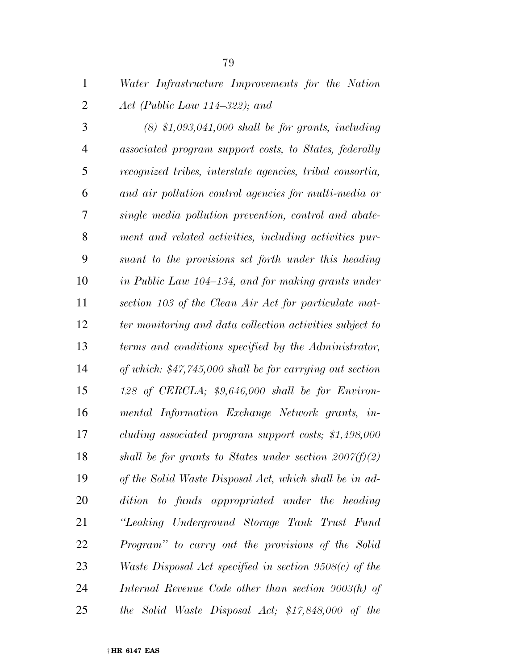*Water Infrastructure Improvements for the Nation Act (Public Law 114–322); and* 

 *(8) \$1,093,041,000 shall be for grants, including associated program support costs, to States, federally recognized tribes, interstate agencies, tribal consortia, and air pollution control agencies for multi-media or single media pollution prevention, control and abate- ment and related activities, including activities pur- suant to the provisions set forth under this heading in Public Law 104–134, and for making grants under section 103 of the Clean Air Act for particulate mat- ter monitoring and data collection activities subject to terms and conditions specified by the Administrator, of which: \$47,745,000 shall be for carrying out section 128 of CERCLA; \$9,646,000 shall be for Environ- mental Information Exchange Network grants, in- cluding associated program support costs; \$1,498,000 shall be for grants to States under section 2007(f)(2) of the Solid Waste Disposal Act, which shall be in ad- dition to funds appropriated under the heading ''Leaking Underground Storage Tank Trust Fund Program'' to carry out the provisions of the Solid Waste Disposal Act specified in section 9508(c) of the Internal Revenue Code other than section 9003(h) of the Solid Waste Disposal Act; \$17,848,000 of the*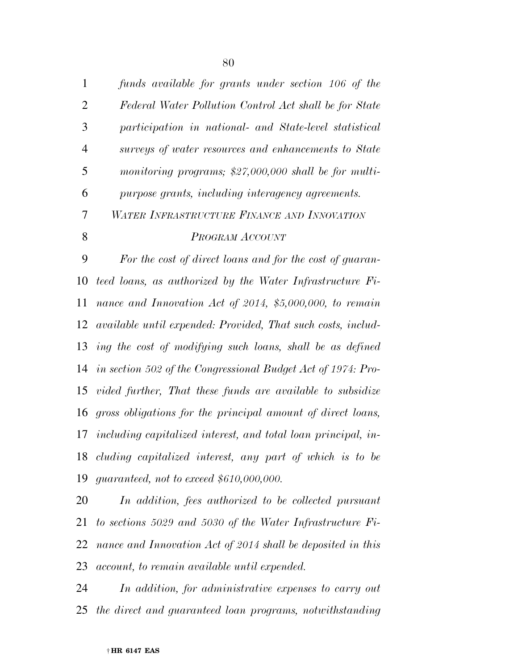| $\mathbf{1}$   | funds available for grants under section 106 of the           |
|----------------|---------------------------------------------------------------|
| $\overline{2}$ | Federal Water Pollution Control Act shall be for State        |
| 3              | participation in national- and State-level statistical        |
| $\overline{4}$ | surveys of water resources and enhancements to State          |
| 5              | monitoring programs; \$27,000,000 shall be for multi-         |
| 6              | purpose grants, including interagency agreements.             |
| 7              | WATER INFRASTRUCTURE FINANCE AND INNOVATION                   |
| 8              | PROGRAM ACCOUNT                                               |
| 9              | For the cost of direct loans and for the cost of guaran-      |
| 10             | teed loans, as authorized by the Water Infrastructure Fi-     |
| 11             | nance and Innovation Act of 2014, \$5,000,000, to remain      |
| 12             | available until expended: Provided, That such costs, includ-  |
| 13             | ing the cost of modifying such loans, shall be as defined     |
| 14             | in section 502 of the Congressional Budget Act of 1974: Pro-  |
| 15             | vided further, That these funds are available to subsidize    |
| 16             | gross obligations for the principal amount of direct loans,   |
| 17             | including capitalized interest, and total loan principal, in- |
| 18             | cluding capitalized interest, any part of which is to be      |
| 19             | guaranteed, not to exceed $$610,000,000$ .                    |
| 20.            | In addition for authorized to be collected pursuant           |

 *In addition, fees authorized to be collected pursuant to sections 5029 and 5030 of the Water Infrastructure Fi- nance and Innovation Act of 2014 shall be deposited in this account, to remain available until expended.* 

 *In addition, for administrative expenses to carry out the direct and guaranteed loan programs, notwithstanding*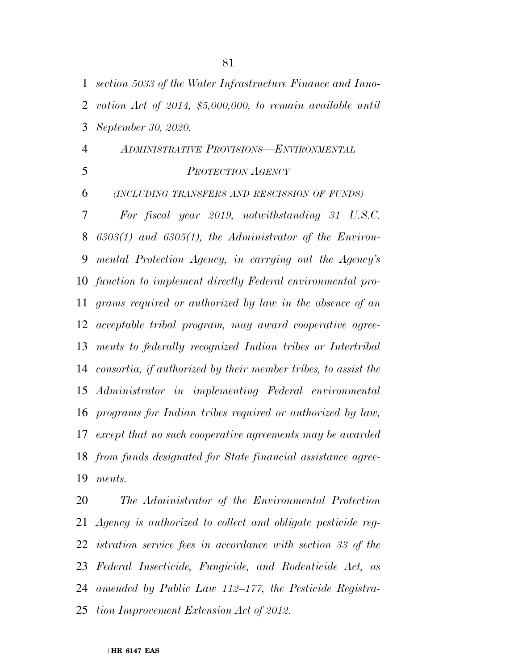*section 5033 of the Water Infrastructure Finance and Inno-*

 *vation Act of 2014, \$5,000,000, to remain available until September 30, 2020.* 

 *ADMINISTRATIVE PROVISIONS—ENVIRONMENTAL PROTECTION AGENCY*

*(INCLUDING TRANSFERS AND RESCISSION OF FUNDS)*

 *For fiscal year 2019, notwithstanding 31 U.S.C. 6303(1) and 6305(1), the Administrator of the Environ- mental Protection Agency, in carrying out the Agency's function to implement directly Federal environmental pro- grams required or authorized by law in the absence of an acceptable tribal program, may award cooperative agree- ments to federally recognized Indian tribes or Intertribal consortia, if authorized by their member tribes, to assist the Administrator in implementing Federal environmental programs for Indian tribes required or authorized by law, except that no such cooperative agreements may be awarded from funds designated for State financial assistance agree-ments.* 

 *The Administrator of the Environmental Protection Agency is authorized to collect and obligate pesticide reg- istration service fees in accordance with section 33 of the Federal Insecticide, Fungicide, and Rodenticide Act, as amended by Public Law 112–177, the Pesticide Registra-tion Improvement Extension Act of 2012.*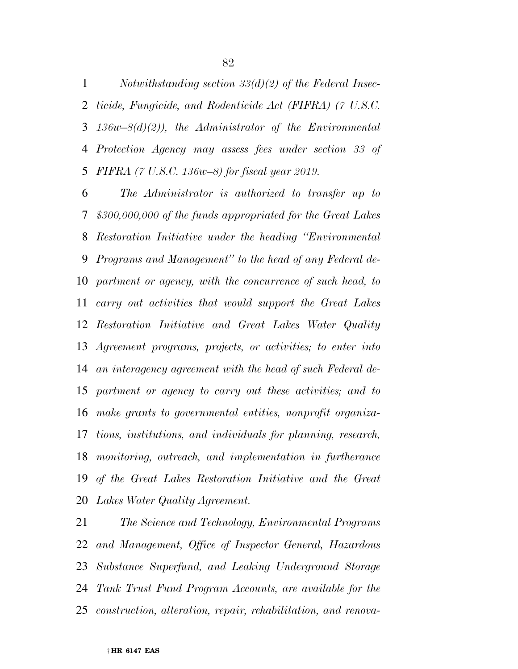*Notwithstanding section 33(d)(2) of the Federal Insec- ticide, Fungicide, and Rodenticide Act (FIFRA) (7 U.S.C. 136w–8(d)(2)), the Administrator of the Environmental Protection Agency may assess fees under section 33 of FIFRA (7 U.S.C. 136w–8) for fiscal year 2019.* 

 *The Administrator is authorized to transfer up to \$300,000,000 of the funds appropriated for the Great Lakes Restoration Initiative under the heading ''Environmental Programs and Management'' to the head of any Federal de- partment or agency, with the concurrence of such head, to carry out activities that would support the Great Lakes Restoration Initiative and Great Lakes Water Quality Agreement programs, projects, or activities; to enter into an interagency agreement with the head of such Federal de- partment or agency to carry out these activities; and to make grants to governmental entities, nonprofit organiza- tions, institutions, and individuals for planning, research, monitoring, outreach, and implementation in furtherance of the Great Lakes Restoration Initiative and the Great Lakes Water Quality Agreement.* 

 *The Science and Technology, Environmental Programs and Management, Office of Inspector General, Hazardous Substance Superfund, and Leaking Underground Storage Tank Trust Fund Program Accounts, are available for the construction, alteration, repair, rehabilitation, and renova-*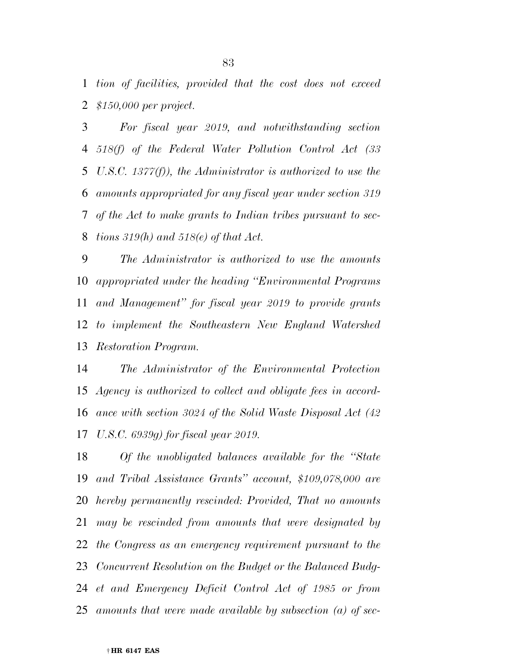*tion of facilities, provided that the cost does not exceed \$150,000 per project.* 

 *For fiscal year 2019, and notwithstanding section 518(f) of the Federal Water Pollution Control Act (33 U.S.C. 1377(f)), the Administrator is authorized to use the amounts appropriated for any fiscal year under section 319 of the Act to make grants to Indian tribes pursuant to sec-tions 319(h) and 518(e) of that Act.* 

 *The Administrator is authorized to use the amounts appropriated under the heading ''Environmental Programs and Management'' for fiscal year 2019 to provide grants to implement the Southeastern New England Watershed Restoration Program.* 

 *The Administrator of the Environmental Protection Agency is authorized to collect and obligate fees in accord- ance with section 3024 of the Solid Waste Disposal Act (42 U.S.C. 6939g) for fiscal year 2019.* 

 *Of the unobligated balances available for the ''State and Tribal Assistance Grants'' account, \$109,078,000 are hereby permanently rescinded: Provided, That no amounts may be rescinded from amounts that were designated by the Congress as an emergency requirement pursuant to the Concurrent Resolution on the Budget or the Balanced Budg- et and Emergency Deficit Control Act of 1985 or from amounts that were made available by subsection (a) of sec-*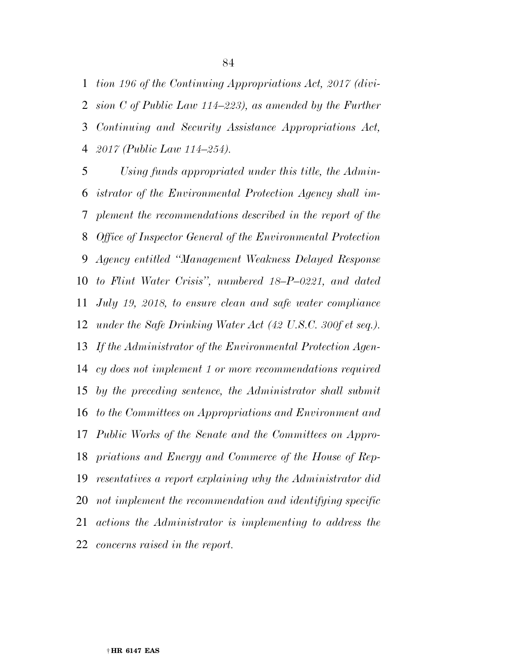*tion 196 of the Continuing Appropriations Act, 2017 (divi- sion C of Public Law 114–223), as amended by the Further Continuing and Security Assistance Appropriations Act, 2017 (Public Law 114–254).* 

 *Using funds appropriated under this title, the Admin- istrator of the Environmental Protection Agency shall im- plement the recommendations described in the report of the Office of Inspector General of the Environmental Protection Agency entitled ''Management Weakness Delayed Response to Flint Water Crisis'', numbered 18–P–0221, and dated July 19, 2018, to ensure clean and safe water compliance under the Safe Drinking Water Act (42 U.S.C. 300f et seq.). If the Administrator of the Environmental Protection Agen- cy does not implement 1 or more recommendations required by the preceding sentence, the Administrator shall submit to the Committees on Appropriations and Environment and Public Works of the Senate and the Committees on Appro- priations and Energy and Commerce of the House of Rep- resentatives a report explaining why the Administrator did not implement the recommendation and identifying specific actions the Administrator is implementing to address the concerns raised in the report.*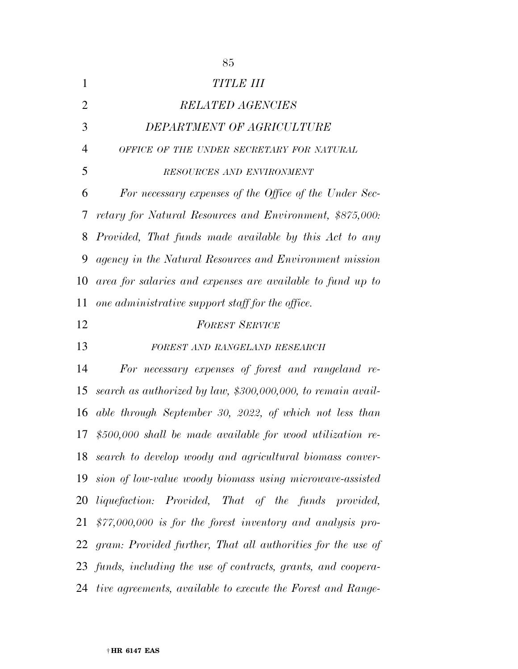| $\mathbf{1}$   | <b>TITLE III</b>                                               |
|----------------|----------------------------------------------------------------|
| $\overline{2}$ | <b>RELATED AGENCIES</b>                                        |
| 3              | DEPARTMENT OF AGRICULTURE                                      |
| $\overline{4}$ | OFFICE OF THE UNDER SECRETARY FOR NATURAL                      |
| 5              | RESOURCES AND ENVIRONMENT                                      |
| 6              | For necessary expenses of the Office of the Under Sec-         |
| 7              | retary for Natural Resources and Environment, \$875,000:       |
| 8              | Provided, That funds made available by this Act to any         |
| 9              | agency in the Natural Resources and Environment mission        |
| 10             | area for salaries and expenses are available to fund up to     |
| 11             | one administrative support staff for the office.               |
| 12             | <b>FOREST SERVICE</b>                                          |
| 13             | FOREST AND RANGELAND RESEARCH                                  |
| 14             | For necessary expenses of forest and rangeland re-             |
| 15             | search as authorized by law, \$300,000,000, to remain avail-   |
| 16             | able through September 30, 2022, of which not less than        |
| 17             | $$500,000$ shall be made available for wood utilization re-    |
| 18             | search to develop woody and agricultural biomass conver-       |
| 19             | sion of low-value woody biomass using microwave-assisted       |
| 20             | <i>liquefaction:</i> Provided, That of the funds provided,     |
| 21             | $$77,000,000$ is for the forest inventory and analysis pro-    |
|                | 22 gram: Provided further, That all authorities for the use of |
|                | 23 funds, including the use of contracts, grants, and coopera- |
|                | 24 tive agreements, available to execute the Forest and Range- |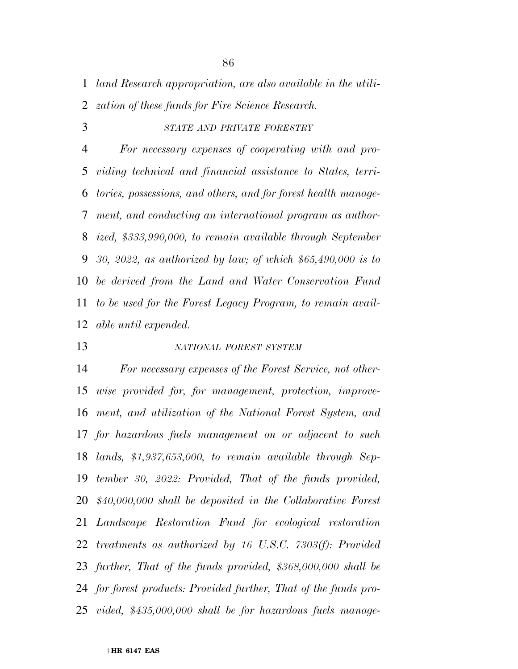*land Research appropriation, are also available in the utili-*

*zation of these funds for Fire Science Research.* 

*STATE AND PRIVATE FORESTRY*

 *For necessary expenses of cooperating with and pro- viding technical and financial assistance to States, terri- tories, possessions, and others, and for forest health manage- ment, and conducting an international program as author- ized, \$333,990,000, to remain available through September 30, 2022, as authorized by law; of which \$65,490,000 is to be derived from the Land and Water Conservation Fund to be used for the Forest Legacy Program, to remain avail-able until expended.* 

## *NATIONAL FOREST SYSTEM*

 *For necessary expenses of the Forest Service, not other- wise provided for, for management, protection, improve- ment, and utilization of the National Forest System, and for hazardous fuels management on or adjacent to such lands, \$1,937,653,000, to remain available through Sep- tember 30, 2022: Provided, That of the funds provided, \$40,000,000 shall be deposited in the Collaborative Forest Landscape Restoration Fund for ecological restoration treatments as authorized by 16 U.S.C. 7303(f): Provided further, That of the funds provided, \$368,000,000 shall be for forest products: Provided further, That of the funds pro-vided, \$435,000,000 shall be for hazardous fuels manage-*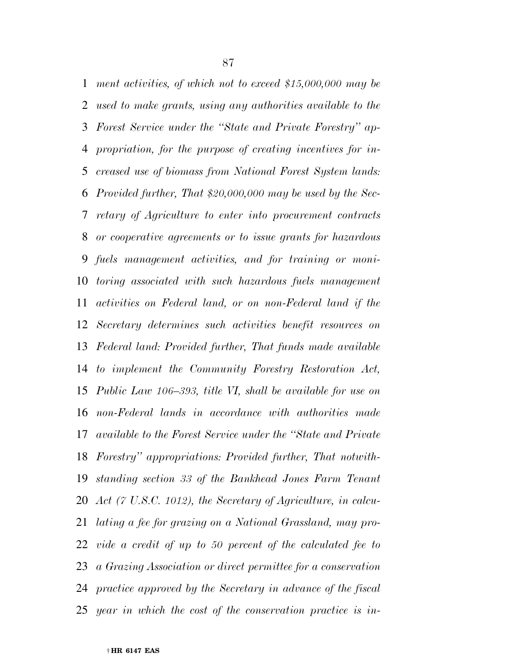*ment activities, of which not to exceed \$15,000,000 may be used to make grants, using any authorities available to the Forest Service under the ''State and Private Forestry'' ap- propriation, for the purpose of creating incentives for in- creased use of biomass from National Forest System lands: Provided further, That \$20,000,000 may be used by the Sec- retary of Agriculture to enter into procurement contracts or cooperative agreements or to issue grants for hazardous fuels management activities, and for training or moni- toring associated with such hazardous fuels management activities on Federal land, or on non-Federal land if the Secretary determines such activities benefit resources on Federal land: Provided further, That funds made available to implement the Community Forestry Restoration Act, Public Law 106–393, title VI, shall be available for use on non-Federal lands in accordance with authorities made available to the Forest Service under the ''State and Private Forestry'' appropriations: Provided further, That notwith- standing section 33 of the Bankhead Jones Farm Tenant Act (7 U.S.C. 1012), the Secretary of Agriculture, in calcu- lating a fee for grazing on a National Grassland, may pro- vide a credit of up to 50 percent of the calculated fee to a Grazing Association or direct permittee for a conservation practice approved by the Secretary in advance of the fiscal year in which the cost of the conservation practice is in-*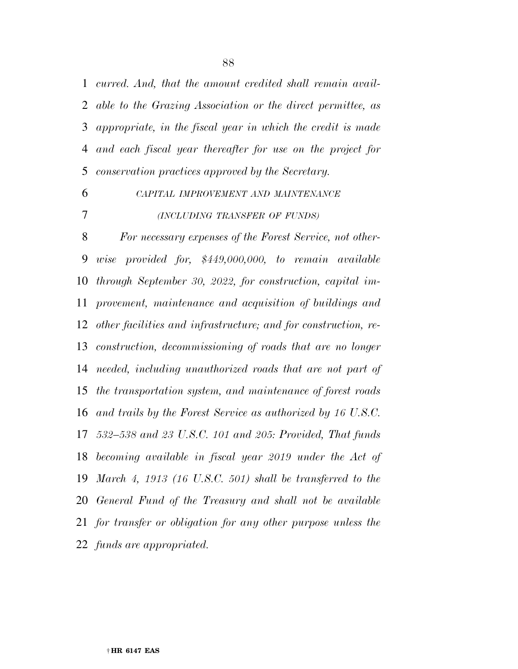*curred. And, that the amount credited shall remain avail- able to the Grazing Association or the direct permittee, as appropriate, in the fiscal year in which the credit is made and each fiscal year thereafter for use on the project for conservation practices approved by the Secretary.* 

*CAPITAL IMPROVEMENT AND MAINTENANCE*

#### *(INCLUDING TRANSFER OF FUNDS)*

 *For necessary expenses of the Forest Service, not other- wise provided for, \$449,000,000, to remain available through September 30, 2022, for construction, capital im- provement, maintenance and acquisition of buildings and other facilities and infrastructure; and for construction, re- construction, decommissioning of roads that are no longer needed, including unauthorized roads that are not part of the transportation system, and maintenance of forest roads and trails by the Forest Service as authorized by 16 U.S.C. 532–538 and 23 U.S.C. 101 and 205: Provided, That funds becoming available in fiscal year 2019 under the Act of March 4, 1913 (16 U.S.C. 501) shall be transferred to the General Fund of the Treasury and shall not be available for transfer or obligation for any other purpose unless the funds are appropriated.*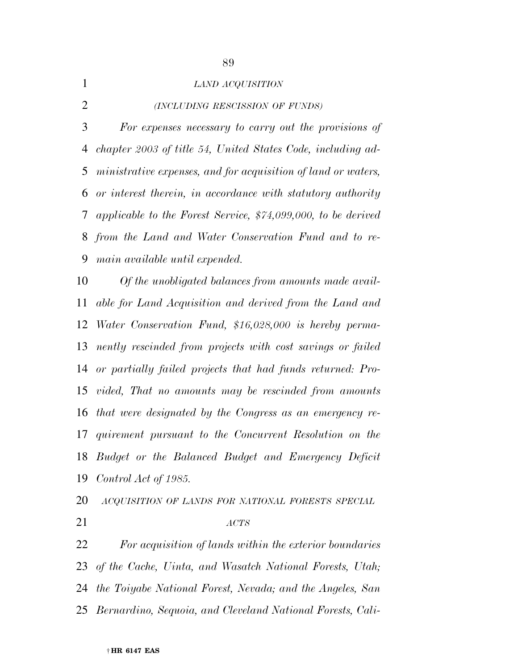*LAND ACQUISITION (INCLUDING RESCISSION OF FUNDS) For expenses necessary to carry out the provisions of chapter 2003 of title 54, United States Code, including ad- ministrative expenses, and for acquisition of land or waters, or interest therein, in accordance with statutory authority applicable to the Forest Service, \$74,099,000, to be derived from the Land and Water Conservation Fund and to re-main available until expended.* 

 *Of the unobligated balances from amounts made avail- able for Land Acquisition and derived from the Land and Water Conservation Fund, \$16,028,000 is hereby perma- nently rescinded from projects with cost savings or failed or partially failed projects that had funds returned: Pro- vided, That no amounts may be rescinded from amounts that were designated by the Congress as an emergency re- quirement pursuant to the Concurrent Resolution on the Budget or the Balanced Budget and Emergency Deficit Control Act of 1985.* 

*ACQUISITION OF LANDS FOR NATIONAL FORESTS SPECIAL*

*ACTS*

 *For acquisition of lands within the exterior boundaries of the Cache, Uinta, and Wasatch National Forests, Utah; the Toiyabe National Forest, Nevada; and the Angeles, San Bernardino, Sequoia, and Cleveland National Forests, Cali-*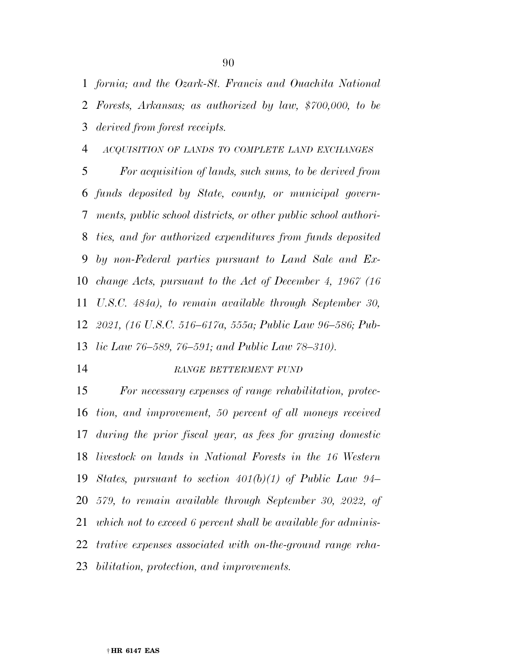*fornia; and the Ozark-St. Francis and Ouachita National Forests, Arkansas; as authorized by law, \$700,000, to be derived from forest receipts.* 

### *ACQUISITION OF LANDS TO COMPLETE LAND EXCHANGES*

 *For acquisition of lands, such sums, to be derived from funds deposited by State, county, or municipal govern- ments, public school districts, or other public school authori- ties, and for authorized expenditures from funds deposited by non-Federal parties pursuant to Land Sale and Ex- change Acts, pursuant to the Act of December 4, 1967 (16 U.S.C. 484a), to remain available through September 30, 2021, (16 U.S.C. 516–617a, 555a; Public Law 96–586; Pub-lic Law 76–589, 76–591; and Public Law 78–310).* 

#### *RANGE BETTERMENT FUND*

 *For necessary expenses of range rehabilitation, protec- tion, and improvement, 50 percent of all moneys received during the prior fiscal year, as fees for grazing domestic livestock on lands in National Forests in the 16 Western States, pursuant to section 401(b)(1) of Public Law 94– 579, to remain available through September 30, 2022, of which not to exceed 6 percent shall be available for adminis- trative expenses associated with on-the-ground range reha-bilitation, protection, and improvements.*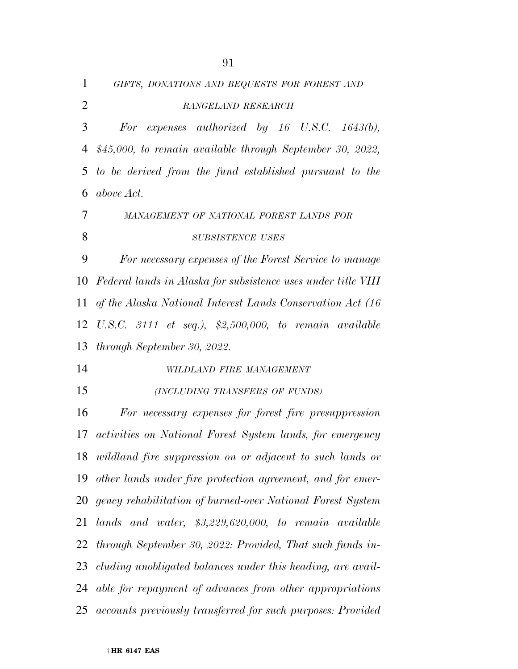| $\mathbf{1}$   | GIFTS, DONATIONS AND BEQUESTS FOR FOREST AND                     |
|----------------|------------------------------------------------------------------|
| $\overline{2}$ | RANGELAND RESEARCH                                               |
| 3              | expenses authorized by 16 U.S.C. 1643(b),<br>For                 |
| 4              | $$45,000$ , to remain available through September 30, 2022,      |
| 5              | to be derived from the fund established pursuant to the          |
| 6              | above Act.                                                       |
| 7              | MANAGEMENT OF NATIONAL FOREST LANDS FOR                          |
| 8              | <b>SUBSISTENCE USES</b>                                          |
| 9              | For necessary expenses of the Forest Service to manage           |
| 10             | Federal lands in Alaska for subsistence uses under title VIII    |
| 11             | of the Alaska National Interest Lands Conservation Act (16)      |
| 12             | U.S.C. 3111 et seq.), $$2,500,000$ , to remain available         |
| 13             | through September 30, 2022.                                      |
| 14             | WILDLAND FIRE MANAGEMENT                                         |
| 15             | (INCLUDING TRANSFERS OF FUNDS)                                   |
| 16             | For necessary expenses for forest fire presuppression            |
| 17             | <i>activities</i> on National Forest System lands, for emergency |
|                | 18 wildland fire suppression on or adjacent to such lands or     |
| 19             | other lands under fire protection agreement, and for emer-       |
| 20             | gency rehabilitation of burned-over National Forest System       |
| 21             | lands and water, $$3,229,620,000$ , to remain available          |
| 22             | through September 30, 2022: Provided, That such funds in-        |
| 23             | cluding unobligated balances under this heading, are avail-      |
| 24             | able for repayment of advances from other appropriations         |

*accounts previously transferred for such purposes: Provided*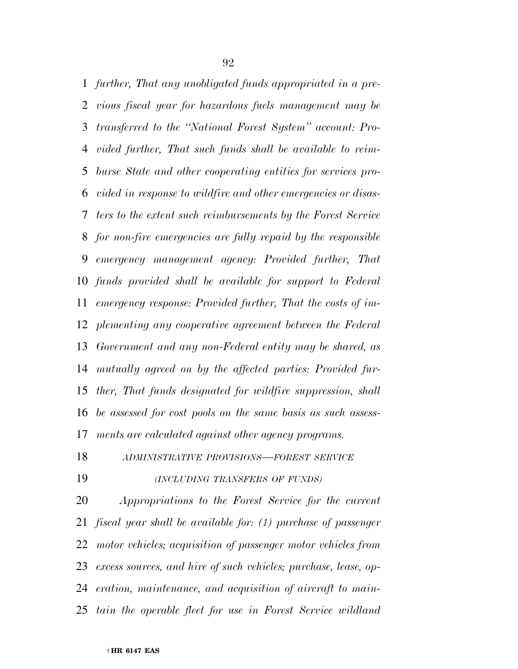*further, That any unobligated funds appropriated in a pre- vious fiscal year for hazardous fuels management may be transferred to the ''National Forest System'' account: Pro- vided further, That such funds shall be available to reim- burse State and other cooperating entities for services pro- vided in response to wildfire and other emergencies or disas- ters to the extent such reimbursements by the Forest Service for non-fire emergencies are fully repaid by the responsible emergency management agency: Provided further, That funds provided shall be available for support to Federal emergency response: Provided further, That the costs of im- plementing any cooperative agreement between the Federal Government and any non-Federal entity may be shared, as mutually agreed on by the affected parties: Provided fur- ther, That funds designated for wildfire suppression, shall be assessed for cost pools on the same basis as such assess-ments are calculated against other agency programs.* 

*ADMINISTRATIVE PROVISIONS—FOREST SERVICE*

*(INCLUDING TRANSFERS OF FUNDS)*

 *Appropriations to the Forest Service for the current fiscal year shall be available for: (1) purchase of passenger motor vehicles; acquisition of passenger motor vehicles from excess sources, and hire of such vehicles; purchase, lease, op- eration, maintenance, and acquisition of aircraft to main-tain the operable fleet for use in Forest Service wildland*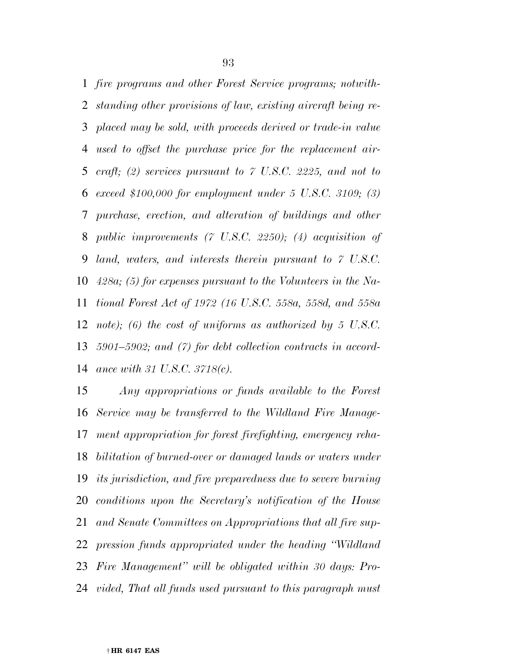*fire programs and other Forest Service programs; notwith- standing other provisions of law, existing aircraft being re- placed may be sold, with proceeds derived or trade-in value used to offset the purchase price for the replacement air- craft; (2) services pursuant to 7 U.S.C. 2225, and not to exceed \$100,000 for employment under 5 U.S.C. 3109; (3) purchase, erection, and alteration of buildings and other public improvements (7 U.S.C. 2250); (4) acquisition of land, waters, and interests therein pursuant to 7 U.S.C. 428a; (5) for expenses pursuant to the Volunteers in the Na- tional Forest Act of 1972 (16 U.S.C. 558a, 558d, and 558a note); (6) the cost of uniforms as authorized by 5 U.S.C. 5901–5902; and (7) for debt collection contracts in accord-ance with 31 U.S.C. 3718(c).* 

 *Any appropriations or funds available to the Forest Service may be transferred to the Wildland Fire Manage- ment appropriation for forest firefighting, emergency reha- bilitation of burned-over or damaged lands or waters under its jurisdiction, and fire preparedness due to severe burning conditions upon the Secretary's notification of the House and Senate Committees on Appropriations that all fire sup- pression funds appropriated under the heading ''Wildland Fire Management'' will be obligated within 30 days: Pro-vided, That all funds used pursuant to this paragraph must*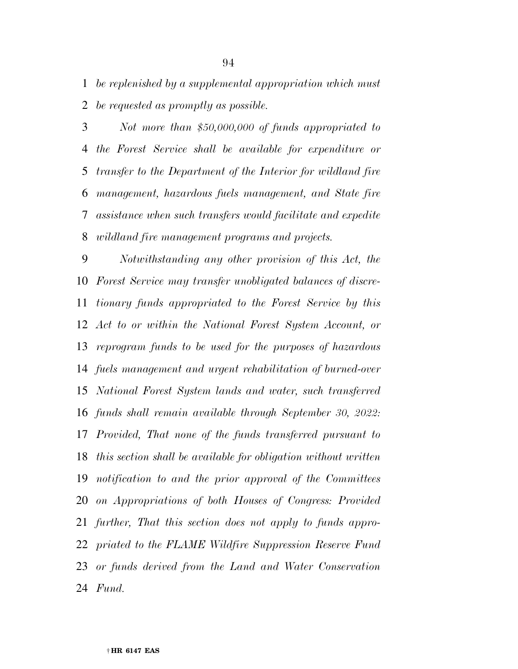*be replenished by a supplemental appropriation which must be requested as promptly as possible.* 

 *Not more than \$50,000,000 of funds appropriated to the Forest Service shall be available for expenditure or transfer to the Department of the Interior for wildland fire management, hazardous fuels management, and State fire assistance when such transfers would facilitate and expedite wildland fire management programs and projects.* 

 *Notwithstanding any other provision of this Act, the Forest Service may transfer unobligated balances of discre- tionary funds appropriated to the Forest Service by this Act to or within the National Forest System Account, or reprogram funds to be used for the purposes of hazardous fuels management and urgent rehabilitation of burned-over National Forest System lands and water, such transferred funds shall remain available through September 30, 2022: Provided, That none of the funds transferred pursuant to this section shall be available for obligation without written notification to and the prior approval of the Committees on Appropriations of both Houses of Congress: Provided further, That this section does not apply to funds appro- priated to the FLAME Wildfire Suppression Reserve Fund or funds derived from the Land and Water Conservation Fund.*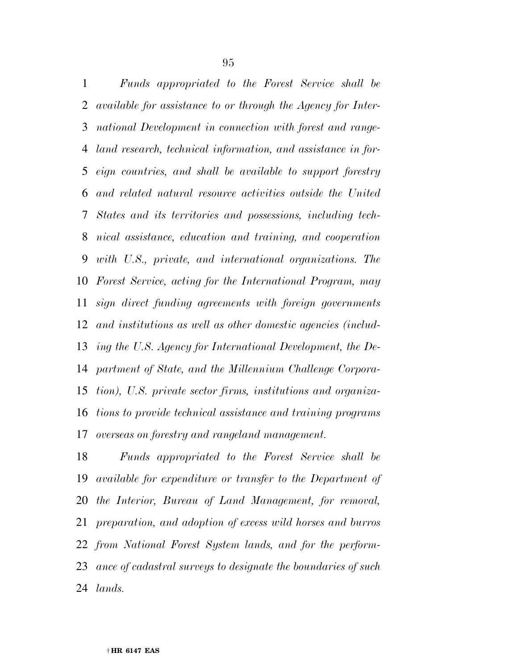*Funds appropriated to the Forest Service shall be available for assistance to or through the Agency for Inter- national Development in connection with forest and range- land research, technical information, and assistance in for- eign countries, and shall be available to support forestry and related natural resource activities outside the United States and its territories and possessions, including tech- nical assistance, education and training, and cooperation with U.S., private, and international organizations. The Forest Service, acting for the International Program, may sign direct funding agreements with foreign governments and institutions as well as other domestic agencies (includ- ing the U.S. Agency for International Development, the De- partment of State, and the Millennium Challenge Corpora- tion), U.S. private sector firms, institutions and organiza- tions to provide technical assistance and training programs overseas on forestry and rangeland management.* 

 *Funds appropriated to the Forest Service shall be available for expenditure or transfer to the Department of the Interior, Bureau of Land Management, for removal, preparation, and adoption of excess wild horses and burros from National Forest System lands, and for the perform- ance of cadastral surveys to designate the boundaries of such lands.*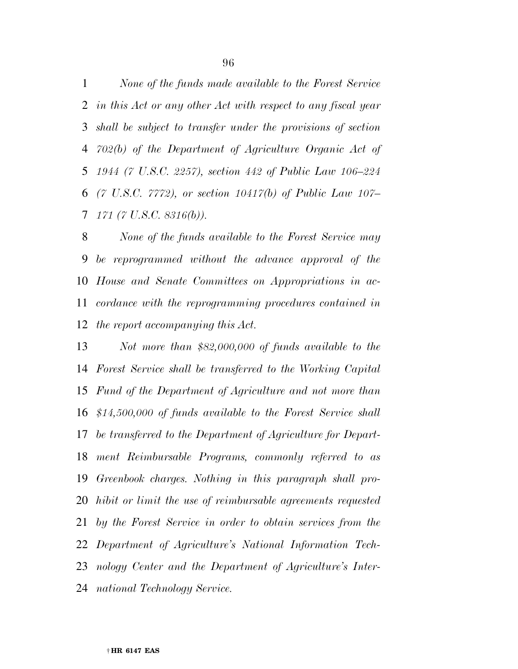*None of the funds made available to the Forest Service in this Act or any other Act with respect to any fiscal year shall be subject to transfer under the provisions of section 702(b) of the Department of Agriculture Organic Act of 1944 (7 U.S.C. 2257), section 442 of Public Law 106–224 (7 U.S.C. 7772), or section 10417(b) of Public Law 107– 171 (7 U.S.C. 8316(b)).* 

 *None of the funds available to the Forest Service may be reprogrammed without the advance approval of the House and Senate Committees on Appropriations in ac- cordance with the reprogramming procedures contained in the report accompanying this Act.* 

 *Not more than \$82,000,000 of funds available to the Forest Service shall be transferred to the Working Capital Fund of the Department of Agriculture and not more than \$14,500,000 of funds available to the Forest Service shall be transferred to the Department of Agriculture for Depart- ment Reimbursable Programs, commonly referred to as Greenbook charges. Nothing in this paragraph shall pro- hibit or limit the use of reimbursable agreements requested by the Forest Service in order to obtain services from the Department of Agriculture's National Information Tech- nology Center and the Department of Agriculture's Inter-national Technology Service.*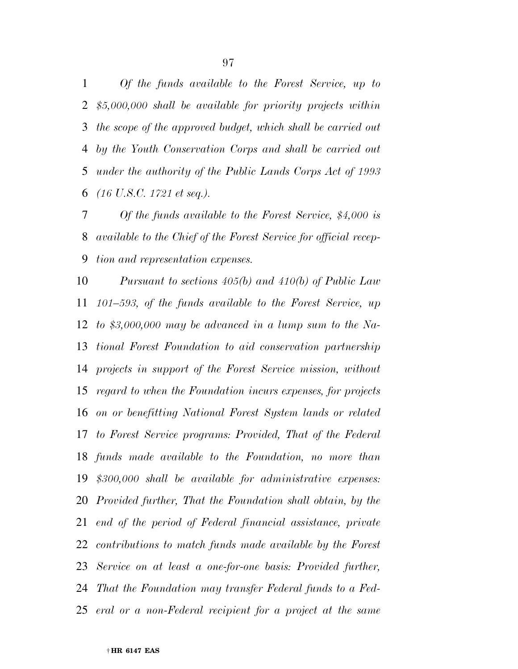*Of the funds available to the Forest Service, up to \$5,000,000 shall be available for priority projects within the scope of the approved budget, which shall be carried out by the Youth Conservation Corps and shall be carried out under the authority of the Public Lands Corps Act of 1993 (16 U.S.C. 1721 et seq.).* 

 *Of the funds available to the Forest Service, \$4,000 is available to the Chief of the Forest Service for official recep-tion and representation expenses.* 

 *Pursuant to sections 405(b) and 410(b) of Public Law 101–593, of the funds available to the Forest Service, up to \$3,000,000 may be advanced in a lump sum to the Na- tional Forest Foundation to aid conservation partnership projects in support of the Forest Service mission, without regard to when the Foundation incurs expenses, for projects on or benefitting National Forest System lands or related to Forest Service programs: Provided, That of the Federal funds made available to the Foundation, no more than \$300,000 shall be available for administrative expenses: Provided further, That the Foundation shall obtain, by the end of the period of Federal financial assistance, private contributions to match funds made available by the Forest Service on at least a one-for-one basis: Provided further, That the Foundation may transfer Federal funds to a Fed-eral or a non-Federal recipient for a project at the same*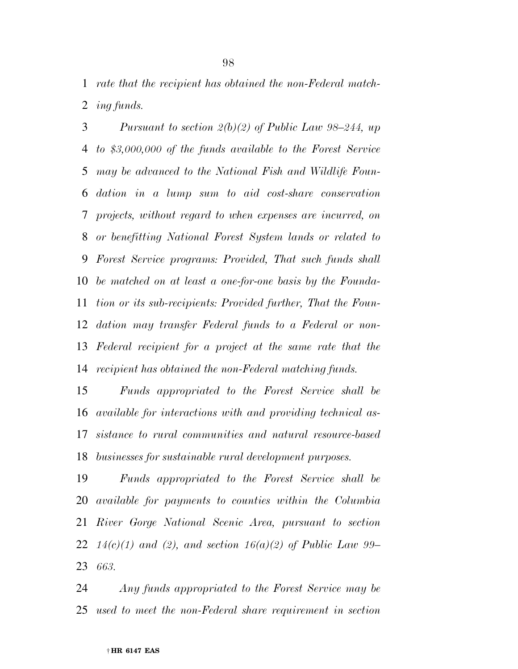*rate that the recipient has obtained the non-Federal match-ing funds.* 

 *Pursuant to section 2(b)(2) of Public Law 98–244, up to \$3,000,000 of the funds available to the Forest Service may be advanced to the National Fish and Wildlife Foun- dation in a lump sum to aid cost-share conservation projects, without regard to when expenses are incurred, on or benefitting National Forest System lands or related to Forest Service programs: Provided, That such funds shall be matched on at least a one-for-one basis by the Founda- tion or its sub-recipients: Provided further, That the Foun- dation may transfer Federal funds to a Federal or non- Federal recipient for a project at the same rate that the recipient has obtained the non-Federal matching funds.* 

 *Funds appropriated to the Forest Service shall be available for interactions with and providing technical as- sistance to rural communities and natural resource-based businesses for sustainable rural development purposes.* 

 *Funds appropriated to the Forest Service shall be available for payments to counties within the Columbia River Gorge National Scenic Area, pursuant to section 14(c)(1) and (2), and section 16(a)(2) of Public Law 99– 663.* 

 *Any funds appropriated to the Forest Service may be used to meet the non-Federal share requirement in section*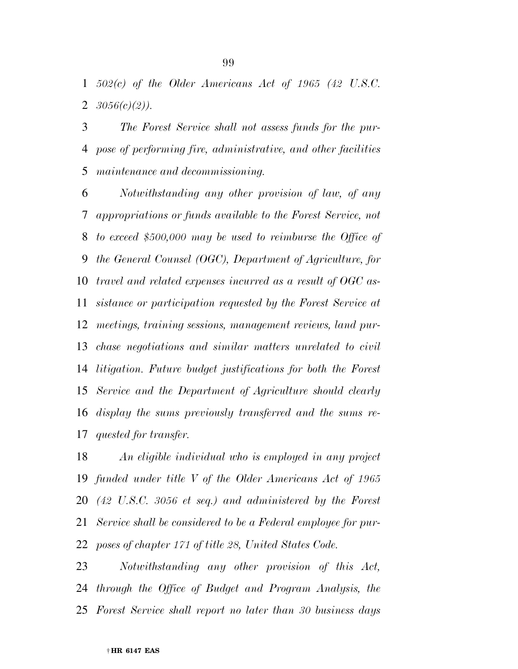*502(c) of the Older Americans Act of 1965 (42 U.S.C. 3056(c)(2)).* 

 *The Forest Service shall not assess funds for the pur- pose of performing fire, administrative, and other facilities maintenance and decommissioning.* 

 *Notwithstanding any other provision of law, of any appropriations or funds available to the Forest Service, not to exceed \$500,000 may be used to reimburse the Office of the General Counsel (OGC), Department of Agriculture, for travel and related expenses incurred as a result of OGC as- sistance or participation requested by the Forest Service at meetings, training sessions, management reviews, land pur- chase negotiations and similar matters unrelated to civil litigation. Future budget justifications for both the Forest Service and the Department of Agriculture should clearly display the sums previously transferred and the sums re-quested for transfer.* 

 *An eligible individual who is employed in any project funded under title V of the Older Americans Act of 1965 (42 U.S.C. 3056 et seq.) and administered by the Forest Service shall be considered to be a Federal employee for pur-poses of chapter 171 of title 28, United States Code.* 

 *Notwithstanding any other provision of this Act, through the Office of Budget and Program Analysis, the Forest Service shall report no later than 30 business days*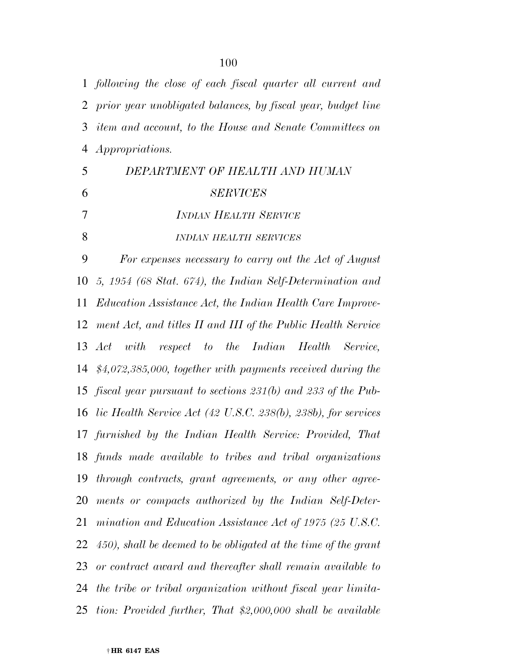*following the close of each fiscal quarter all current and prior year unobligated balances, by fiscal year, budget line item and account, to the House and Senate Committees on Appropriations. DEPARTMENT OF HEALTH AND HUMAN SERVICES INDIAN HEALTH SERVICE INDIAN HEALTH SERVICES For expenses necessary to carry out the Act of August 5, 1954 (68 Stat. 674), the Indian Self-Determination and Education Assistance Act, the Indian Health Care Improve- ment Act, and titles II and III of the Public Health Service Act with respect to the Indian Health Service, \$4,072,385,000, together with payments received during the fiscal year pursuant to sections 231(b) and 233 of the Pub- lic Health Service Act (42 U.S.C. 238(b), 238b), for services furnished by the Indian Health Service: Provided, That funds made available to tribes and tribal organizations through contracts, grant agreements, or any other agree- ments or compacts authorized by the Indian Self-Deter- mination and Education Assistance Act of 1975 (25 U.S.C. 450), shall be deemed to be obligated at the time of the grant or contract award and thereafter shall remain available to the tribe or tribal organization without fiscal year limita-tion: Provided further, That \$2,000,000 shall be available*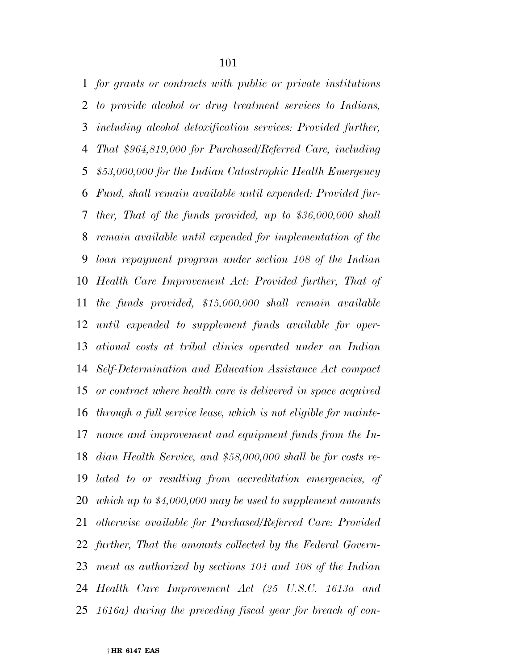*for grants or contracts with public or private institutions to provide alcohol or drug treatment services to Indians, including alcohol detoxification services: Provided further, That \$964,819,000 for Purchased/Referred Care, including \$53,000,000 for the Indian Catastrophic Health Emergency Fund, shall remain available until expended: Provided fur- ther, That of the funds provided, up to \$36,000,000 shall remain available until expended for implementation of the loan repayment program under section 108 of the Indian Health Care Improvement Act: Provided further, That of the funds provided, \$15,000,000 shall remain available until expended to supplement funds available for oper- ational costs at tribal clinics operated under an Indian Self-Determination and Education Assistance Act compact or contract where health care is delivered in space acquired through a full service lease, which is not eligible for mainte- nance and improvement and equipment funds from the In- dian Health Service, and \$58,000,000 shall be for costs re- lated to or resulting from accreditation emergencies, of which up to \$4,000,000 may be used to supplement amounts otherwise available for Purchased/Referred Care: Provided further, That the amounts collected by the Federal Govern- ment as authorized by sections 104 and 108 of the Indian Health Care Improvement Act (25 U.S.C. 1613a and 1616a) during the preceding fiscal year for breach of con-*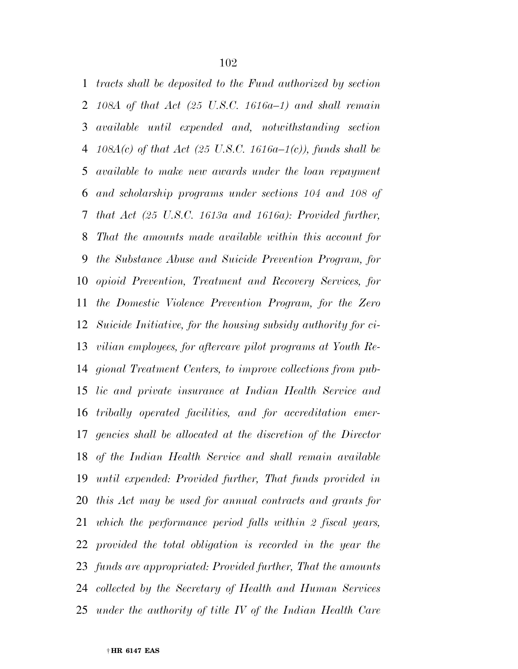*tracts shall be deposited to the Fund authorized by section 108A of that Act (25 U.S.C. 1616a–1) and shall remain available until expended and, notwithstanding section 108A(c) of that Act (25 U.S.C. 1616a–1(c)), funds shall be available to make new awards under the loan repayment and scholarship programs under sections 104 and 108 of that Act (25 U.S.C. 1613a and 1616a): Provided further, That the amounts made available within this account for the Substance Abuse and Suicide Prevention Program, for opioid Prevention, Treatment and Recovery Services, for the Domestic Violence Prevention Program, for the Zero Suicide Initiative, for the housing subsidy authority for ci- vilian employees, for aftercare pilot programs at Youth Re- gional Treatment Centers, to improve collections from pub- lic and private insurance at Indian Health Service and tribally operated facilities, and for accreditation emer- gencies shall be allocated at the discretion of the Director of the Indian Health Service and shall remain available until expended: Provided further, That funds provided in this Act may be used for annual contracts and grants for which the performance period falls within 2 fiscal years, provided the total obligation is recorded in the year the funds are appropriated: Provided further, That the amounts collected by the Secretary of Health and Human Services under the authority of title IV of the Indian Health Care*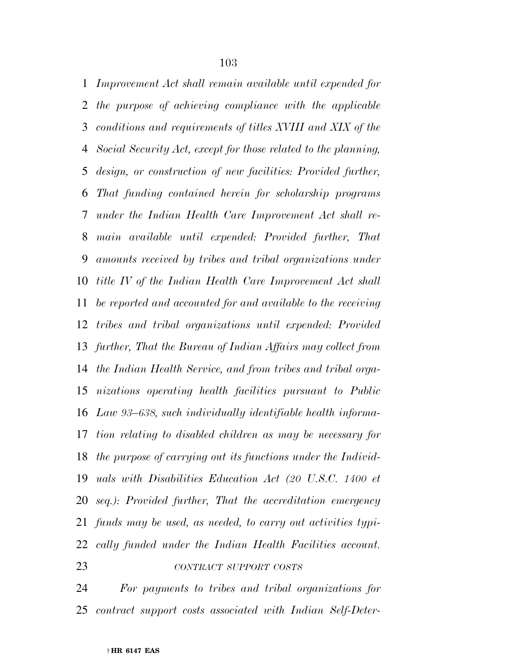*Improvement Act shall remain available until expended for the purpose of achieving compliance with the applicable conditions and requirements of titles XVIII and XIX of the Social Security Act, except for those related to the planning, design, or construction of new facilities: Provided further, That funding contained herein for scholarship programs under the Indian Health Care Improvement Act shall re- main available until expended: Provided further, That amounts received by tribes and tribal organizations under title IV of the Indian Health Care Improvement Act shall be reported and accounted for and available to the receiving tribes and tribal organizations until expended: Provided further, That the Bureau of Indian Affairs may collect from the Indian Health Service, and from tribes and tribal orga- nizations operating health facilities pursuant to Public Law 93–638, such individually identifiable health informa- tion relating to disabled children as may be necessary for the purpose of carrying out its functions under the Individ- uals with Disabilities Education Act (20 U.S.C. 1400 et seq.): Provided further, That the accreditation emergency funds may be used, as needed, to carry out activities typi- cally funded under the Indian Health Facilities account. CONTRACT SUPPORT COSTS*

*For payments to tribes and tribal organizations for* 

*contract support costs associated with Indian Self-Deter-*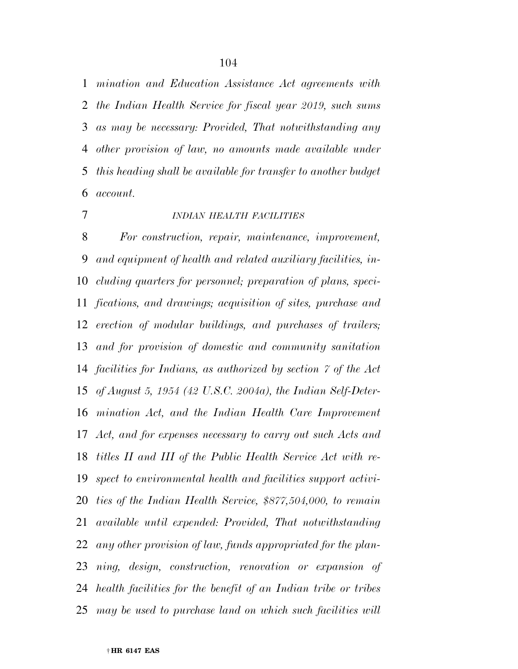*mination and Education Assistance Act agreements with the Indian Health Service for fiscal year 2019, such sums as may be necessary: Provided, That notwithstanding any other provision of law, no amounts made available under this heading shall be available for transfer to another budget account.* 

# *INDIAN HEALTH FACILITIES*

 *For construction, repair, maintenance, improvement, and equipment of health and related auxiliary facilities, in- cluding quarters for personnel; preparation of plans, speci- fications, and drawings; acquisition of sites, purchase and erection of modular buildings, and purchases of trailers; and for provision of domestic and community sanitation facilities for Indians, as authorized by section 7 of the Act of August 5, 1954 (42 U.S.C. 2004a), the Indian Self-Deter- mination Act, and the Indian Health Care Improvement Act, and for expenses necessary to carry out such Acts and titles II and III of the Public Health Service Act with re- spect to environmental health and facilities support activi- ties of the Indian Health Service, \$877,504,000, to remain available until expended: Provided, That notwithstanding any other provision of law, funds appropriated for the plan- ning, design, construction, renovation or expansion of health facilities for the benefit of an Indian tribe or tribes may be used to purchase land on which such facilities will*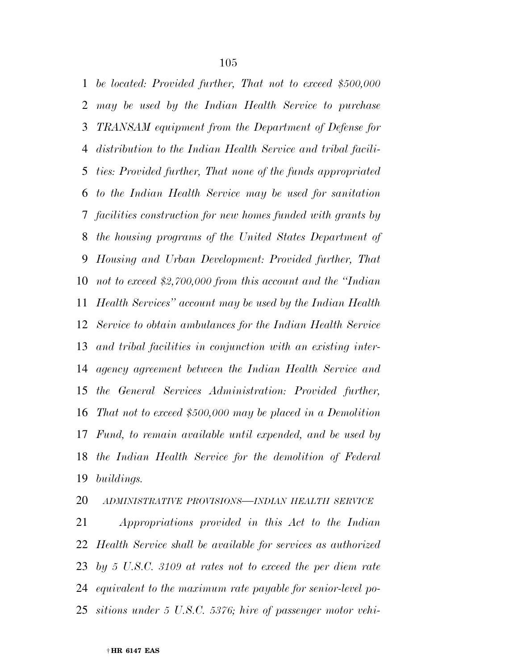*be located: Provided further, That not to exceed \$500,000 may be used by the Indian Health Service to purchase TRANSAM equipment from the Department of Defense for distribution to the Indian Health Service and tribal facili- ties: Provided further, That none of the funds appropriated to the Indian Health Service may be used for sanitation facilities construction for new homes funded with grants by the housing programs of the United States Department of Housing and Urban Development: Provided further, That not to exceed \$2,700,000 from this account and the ''Indian Health Services'' account may be used by the Indian Health Service to obtain ambulances for the Indian Health Service and tribal facilities in conjunction with an existing inter- agency agreement between the Indian Health Service and the General Services Administration: Provided further, That not to exceed \$500,000 may be placed in a Demolition Fund, to remain available until expended, and be used by the Indian Health Service for the demolition of Federal buildings.* 

*ADMINISTRATIVE PROVISIONS—INDIAN HEALTH SERVICE*

 *Appropriations provided in this Act to the Indian Health Service shall be available for services as authorized by 5 U.S.C. 3109 at rates not to exceed the per diem rate equivalent to the maximum rate payable for senior-level po-sitions under 5 U.S.C. 5376; hire of passenger motor vehi-*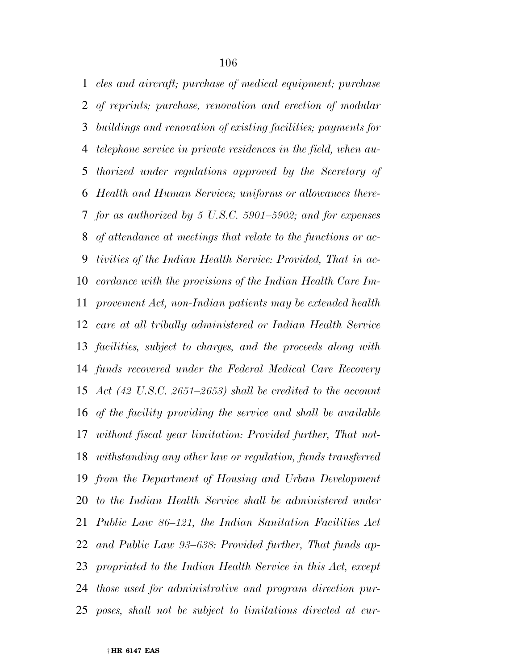*cles and aircraft; purchase of medical equipment; purchase of reprints; purchase, renovation and erection of modular buildings and renovation of existing facilities; payments for telephone service in private residences in the field, when au- thorized under regulations approved by the Secretary of Health and Human Services; uniforms or allowances there- for as authorized by 5 U.S.C. 5901–5902; and for expenses of attendance at meetings that relate to the functions or ac- tivities of the Indian Health Service: Provided, That in ac- cordance with the provisions of the Indian Health Care Im- provement Act, non-Indian patients may be extended health care at all tribally administered or Indian Health Service facilities, subject to charges, and the proceeds along with funds recovered under the Federal Medical Care Recovery Act (42 U.S.C. 2651–2653) shall be credited to the account of the facility providing the service and shall be available without fiscal year limitation: Provided further, That not- withstanding any other law or regulation, funds transferred from the Department of Housing and Urban Development to the Indian Health Service shall be administered under Public Law 86–121, the Indian Sanitation Facilities Act and Public Law 93–638: Provided further, That funds ap- propriated to the Indian Health Service in this Act, except those used for administrative and program direction pur-poses, shall not be subject to limitations directed at cur-*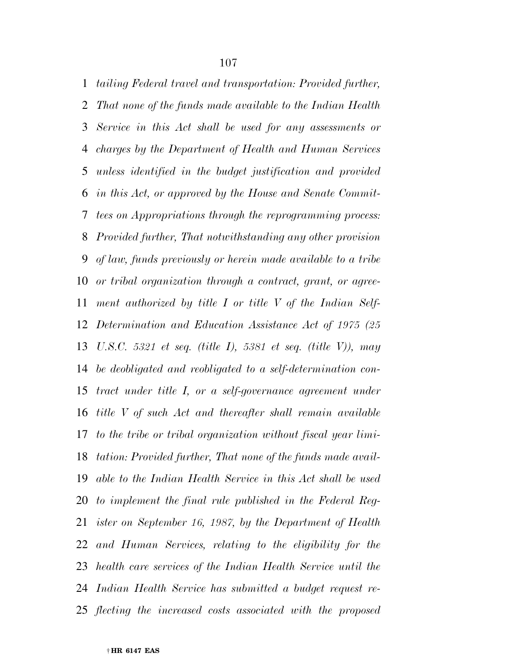*tailing Federal travel and transportation: Provided further, That none of the funds made available to the Indian Health Service in this Act shall be used for any assessments or charges by the Department of Health and Human Services unless identified in the budget justification and provided in this Act, or approved by the House and Senate Commit- tees on Appropriations through the reprogramming process: Provided further, That notwithstanding any other provision of law, funds previously or herein made available to a tribe or tribal organization through a contract, grant, or agree- ment authorized by title I or title V of the Indian Self- Determination and Education Assistance Act of 1975 (25 U.S.C. 5321 et seq. (title I), 5381 et seq. (title V)), may be deobligated and reobligated to a self-determination con- tract under title I, or a self-governance agreement under title V of such Act and thereafter shall remain available to the tribe or tribal organization without fiscal year limi- tation: Provided further, That none of the funds made avail- able to the Indian Health Service in this Act shall be used to implement the final rule published in the Federal Reg- ister on September 16, 1987, by the Department of Health and Human Services, relating to the eligibility for the health care services of the Indian Health Service until the Indian Health Service has submitted a budget request re-flecting the increased costs associated with the proposed*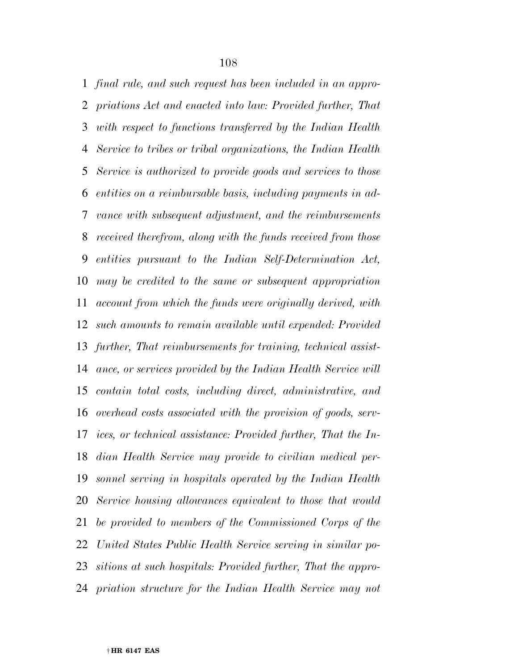*final rule, and such request has been included in an appro- priations Act and enacted into law: Provided further, That with respect to functions transferred by the Indian Health Service to tribes or tribal organizations, the Indian Health Service is authorized to provide goods and services to those entities on a reimbursable basis, including payments in ad- vance with subsequent adjustment, and the reimbursements received therefrom, along with the funds received from those entities pursuant to the Indian Self-Determination Act, may be credited to the same or subsequent appropriation account from which the funds were originally derived, with such amounts to remain available until expended: Provided further, That reimbursements for training, technical assist- ance, or services provided by the Indian Health Service will contain total costs, including direct, administrative, and overhead costs associated with the provision of goods, serv- ices, or technical assistance: Provided further, That the In- dian Health Service may provide to civilian medical per- sonnel serving in hospitals operated by the Indian Health Service housing allowances equivalent to those that would be provided to members of the Commissioned Corps of the United States Public Health Service serving in similar po- sitions at such hospitals: Provided further, That the appro-priation structure for the Indian Health Service may not*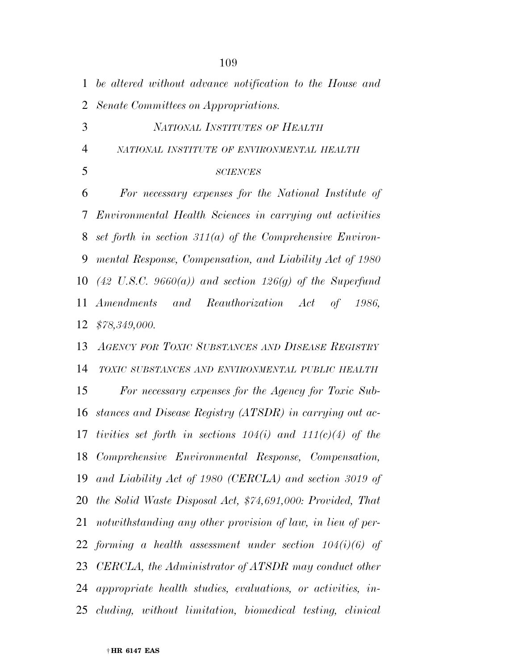*be altered without advance notification to the House and Senate Committees on Appropriations.* 

*NATIONAL INSTITUTES OF HEALTH*

*NATIONAL INSTITUTE OF ENVIRONMENTAL HEALTH*

#### *SCIENCES*

 *For necessary expenses for the National Institute of Environmental Health Sciences in carrying out activities set forth in section 311(a) of the Comprehensive Environ- mental Response, Compensation, and Liability Act of 1980 (42 U.S.C. 9660(a)) and section 126(g) of the Superfund Amendments and Reauthorization Act of 1986, \$78,349,000.* 

 *AGENCY FOR TOXIC SUBSTANCES AND DISEASE REGISTRY TOXIC SUBSTANCES AND ENVIRONMENTAL PUBLIC HEALTH For necessary expenses for the Agency for Toxic Sub- stances and Disease Registry (ATSDR) in carrying out ac- tivities set forth in sections 104(i) and 111(c)(4) of the Comprehensive Environmental Response, Compensation, and Liability Act of 1980 (CERCLA) and section 3019 of the Solid Waste Disposal Act, \$74,691,000: Provided, That notwithstanding any other provision of law, in lieu of per- forming a health assessment under section 104(i)(6) of CERCLA, the Administrator of ATSDR may conduct other appropriate health studies, evaluations, or activities, in-cluding, without limitation, biomedical testing, clinical*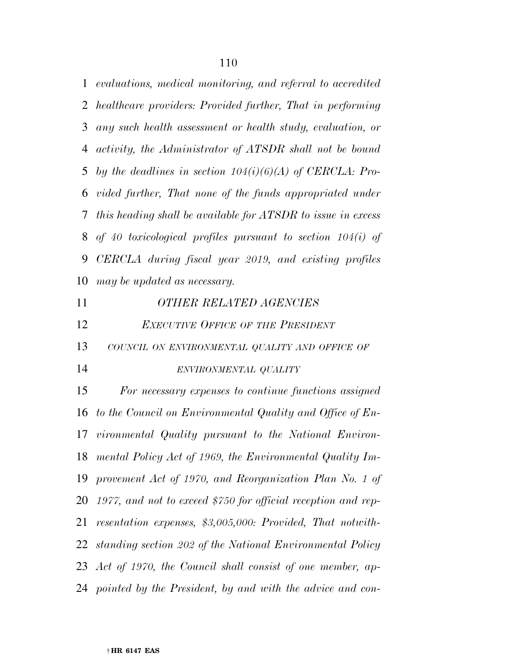*evaluations, medical monitoring, and referral to accredited healthcare providers: Provided further, That in performing any such health assessment or health study, evaluation, or activity, the Administrator of ATSDR shall not be bound by the deadlines in section 104(i)(6)(A) of CERCLA: Pro- vided further, That none of the funds appropriated under this heading shall be available for ATSDR to issue in excess of 40 toxicological profiles pursuant to section 104(i) of CERCLA during fiscal year 2019, and existing profiles may be updated as necessary.* 

 *OTHER RELATED AGENCIES EXECUTIVE OFFICE OF THE PRESIDENT COUNCIL ON ENVIRONMENTAL QUALITY AND OFFICE OF ENVIRONMENTAL QUALITY For necessary expenses to continue functions assigned to the Council on Environmental Quality and Office of En- vironmental Quality pursuant to the National Environ- mental Policy Act of 1969, the Environmental Quality Im- provement Act of 1970, and Reorganization Plan No. 1 of 1977, and not to exceed \$750 for official reception and rep- resentation expenses, \$3,005,000: Provided, That notwith- standing section 202 of the National Environmental Policy Act of 1970, the Council shall consist of one member, ap-pointed by the President, by and with the advice and con-*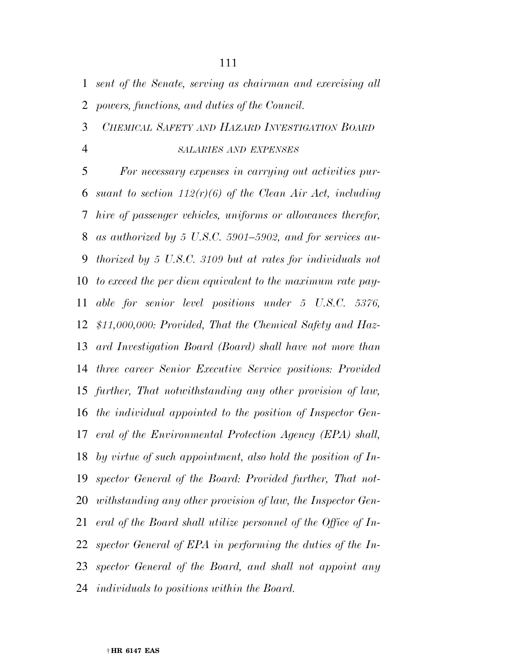*sent of the Senate, serving as chairman and exercising all powers, functions, and duties of the Council.* 

#### *CHEMICAL SAFETY AND HAZARD INVESTIGATION BOARD*

#### *SALARIES AND EXPENSES*

 *For necessary expenses in carrying out activities pur- suant to section 112(r)(6) of the Clean Air Act, including hire of passenger vehicles, uniforms or allowances therefor, as authorized by 5 U.S.C. 5901–5902, and for services au- thorized by 5 U.S.C. 3109 but at rates for individuals not to exceed the per diem equivalent to the maximum rate pay- able for senior level positions under 5 U.S.C. 5376, \$11,000,000: Provided, That the Chemical Safety and Haz- ard Investigation Board (Board) shall have not more than three career Senior Executive Service positions: Provided further, That notwithstanding any other provision of law, the individual appointed to the position of Inspector Gen- eral of the Environmental Protection Agency (EPA) shall, by virtue of such appointment, also hold the position of In- spector General of the Board: Provided further, That not- withstanding any other provision of law, the Inspector Gen- eral of the Board shall utilize personnel of the Office of In- spector General of EPA in performing the duties of the In- spector General of the Board, and shall not appoint any individuals to positions within the Board.*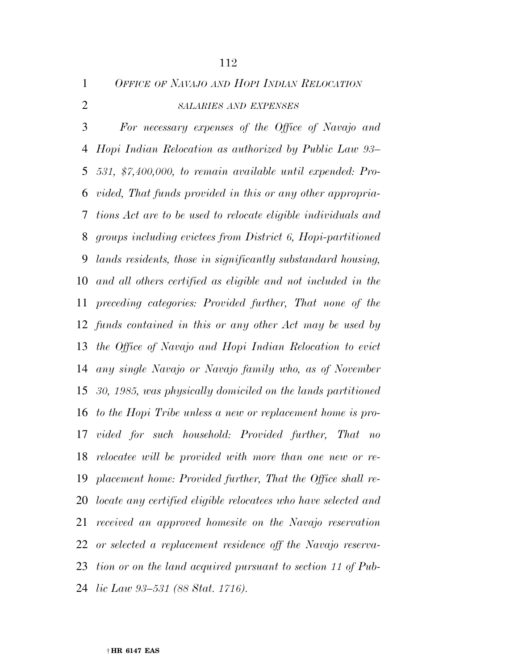*OFFICE OF NAVAJO AND HOPI INDIAN RELOCATION*

#### *SALARIES AND EXPENSES*

 *For necessary expenses of the Office of Navajo and Hopi Indian Relocation as authorized by Public Law 93– 531, \$7,400,000, to remain available until expended: Pro- vided, That funds provided in this or any other appropria- tions Act are to be used to relocate eligible individuals and groups including evictees from District 6, Hopi-partitioned lands residents, those in significantly substandard housing, and all others certified as eligible and not included in the preceding categories: Provided further, That none of the funds contained in this or any other Act may be used by the Office of Navajo and Hopi Indian Relocation to evict any single Navajo or Navajo family who, as of November 30, 1985, was physically domiciled on the lands partitioned to the Hopi Tribe unless a new or replacement home is pro- vided for such household: Provided further, That no relocatee will be provided with more than one new or re- placement home: Provided further, That the Office shall re- locate any certified eligible relocatees who have selected and received an approved homesite on the Navajo reservation or selected a replacement residence off the Navajo reserva- tion or on the land acquired pursuant to section 11 of Pub-lic Law 93–531 (88 Stat. 1716).*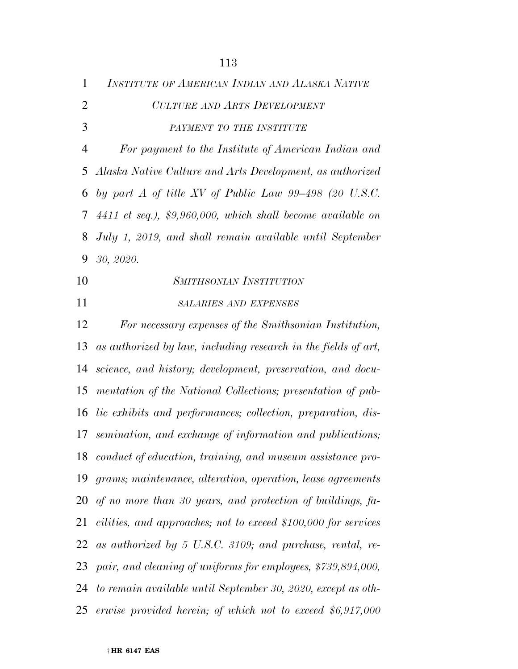| $\mathbf{1}$   | INSTITUTE OF AMERICAN INDIAN AND ALASKA NATIVE                      |
|----------------|---------------------------------------------------------------------|
| $\overline{2}$ | <b>CULTURE AND ARTS DEVELOPMENT</b>                                 |
| 3              | PAYMENT TO THE INSTITUTE                                            |
| $\overline{4}$ | For payment to the Institute of American Indian and                 |
| 5              | Alaska Native Culture and Arts Development, as authorized           |
| 6              | by part A of title XV of Public Law $99-498$ (20 U.S.C.             |
| 7              | $4411$ et seq.), \$9,960,000, which shall become available on       |
| 8              | July 1, 2019, and shall remain available until September            |
| 9              | 30, 2020.                                                           |
| 10             | <b>SMITHSONIAN INSTITUTION</b>                                      |
| 11             | <b>SALARIES AND EXPENSES</b>                                        |
| 12             | For necessary expenses of the Smithsonian Institution,              |
| 13             | as authorized by law, including research in the fields of art,      |
| 14             | science, and history; development, preservation, and docu-          |
| 15             | mentation of the National Collections; presentation of pub-         |
| 16             | <i>lic exhibits and performances; collection, preparation, dis-</i> |
| 17             | semination, and exchange of information and publications;           |
|                | 18 conduct of education, training, and museum assistance pro-       |
| 19             | grams; maintenance, alteration, operation, lease agreements         |
|                | 20 of no more than 30 years, and protection of buildings, fa-       |
| 21             | cilities, and approaches; not to exceed \$100,000 for services      |
| 22             | as authorized by 5 U.S.C. 3109; and purchase, rental, re-           |
| 23             | pair, and cleaning of uniforms for employees, \$739,894,000,        |
|                | 24 to remain available until September 30, 2020, except as oth-     |
|                | 25 erwise provided herein; of which not to exceed \$6,917,000       |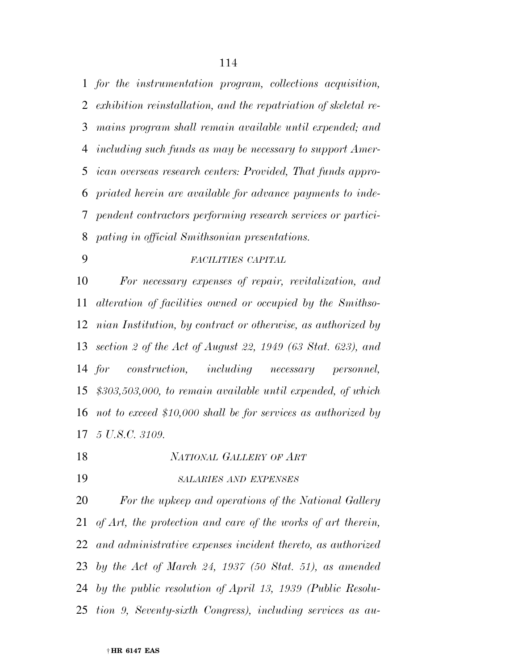*for the instrumentation program, collections acquisition, exhibition reinstallation, and the repatriation of skeletal re- mains program shall remain available until expended; and including such funds as may be necessary to support Amer- ican overseas research centers: Provided, That funds appro- priated herein are available for advance payments to inde- pendent contractors performing research services or partici-pating in official Smithsonian presentations.* 

#### *FACILITIES CAPITAL*

 *For necessary expenses of repair, revitalization, and alteration of facilities owned or occupied by the Smithso- nian Institution, by contract or otherwise, as authorized by section 2 of the Act of August 22, 1949 (63 Stat. 623), and for construction, including necessary personnel, \$303,503,000, to remain available until expended, of which not to exceed \$10,000 shall be for services as authorized by 5 U.S.C. 3109.* 

- *NATIONAL GALLERY OF ART*
- 

#### *SALARIES AND EXPENSES*

 *For the upkeep and operations of the National Gallery of Art, the protection and care of the works of art therein, and administrative expenses incident thereto, as authorized by the Act of March 24, 1937 (50 Stat. 51), as amended by the public resolution of April 13, 1939 (Public Resolu-tion 9, Seventy-sixth Congress), including services as au-*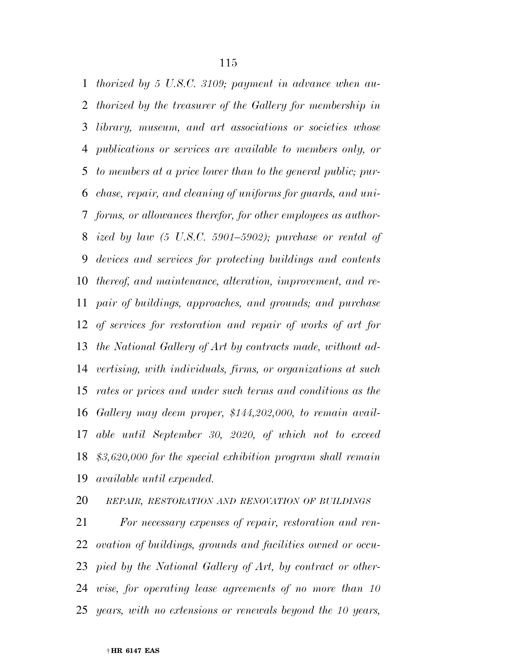*thorized by 5 U.S.C. 3109; payment in advance when au- thorized by the treasurer of the Gallery for membership in library, museum, and art associations or societies whose publications or services are available to members only, or to members at a price lower than to the general public; pur- chase, repair, and cleaning of uniforms for guards, and uni- forms, or allowances therefor, for other employees as author- ized by law (5 U.S.C. 5901–5902); purchase or rental of devices and services for protecting buildings and contents thereof, and maintenance, alteration, improvement, and re- pair of buildings, approaches, and grounds; and purchase of services for restoration and repair of works of art for the National Gallery of Art by contracts made, without ad- vertising, with individuals, firms, or organizations at such rates or prices and under such terms and conditions as the Gallery may deem proper, \$144,202,000, to remain avail- able until September 30, 2020, of which not to exceed \$3,620,000 for the special exhibition program shall remain available until expended.* 

*REPAIR, RESTORATION AND RENOVATION OF BUILDINGS*

 *For necessary expenses of repair, restoration and ren- ovation of buildings, grounds and facilities owned or occu- pied by the National Gallery of Art, by contract or other- wise, for operating lease agreements of no more than 10 years, with no extensions or renewals beyond the 10 years,*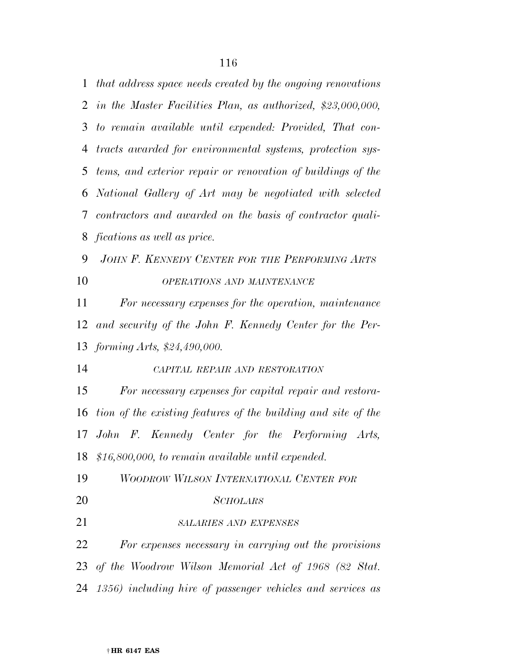*that address space needs created by the ongoing renovations in the Master Facilities Plan, as authorized, \$23,000,000, to remain available until expended: Provided, That con- tracts awarded for environmental systems, protection sys- tems, and exterior repair or renovation of buildings of the National Gallery of Art may be negotiated with selected contractors and awarded on the basis of contractor quali- fications as well as price. JOHN F. KENNEDY CENTER FOR THE PERFORMING ARTS OPERATIONS AND MAINTENANCE For necessary expenses for the operation, maintenance and security of the John F. Kennedy Center for the Per- forming Arts, \$24,490,000. CAPITAL REPAIR AND RESTORATION For necessary expenses for capital repair and restora- tion of the existing features of the building and site of the John F. Kennedy Center for the Performing Arts, \$16,800,000, to remain available until expended. WOODROW WILSON INTERNATIONAL CENTER FOR SCHOLARS SALARIES AND EXPENSES For expenses necessary in carrying out the provisions of the Woodrow Wilson Memorial Act of 1968 (82 Stat. 1356) including hire of passenger vehicles and services as*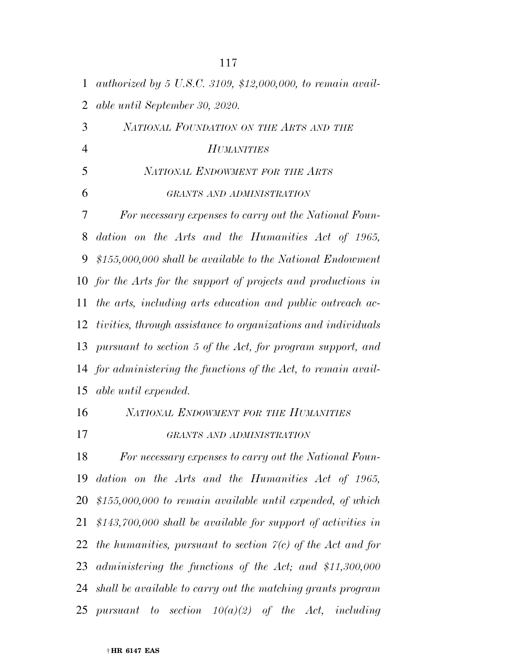| $\mathbf{1}$   | authorized by 5 U.S.C. 3109, \$12,000,000, to remain avail-        |
|----------------|--------------------------------------------------------------------|
| $\overline{2}$ | able until September 30, 2020.                                     |
| 3              | NATIONAL FOUNDATION ON THE ARTS AND THE                            |
| $\overline{4}$ | <b>HUMANITIES</b>                                                  |
| 5              | NATIONAL ENDOWMENT FOR THE ARTS                                    |
| 6              | GRANTS AND ADMINISTRATION                                          |
| 7              | For necessary expenses to carry out the National Foun-             |
| 8              | dation on the Arts and the Humanities Act of 1965,                 |
| 9              | $$155,000,000$ shall be available to the National Endowment        |
|                | 10 for the Arts for the support of projects and productions in     |
| 11             | the arts, including arts education and public outreach ac-         |
| 12             | tivities, through assistance to organizations and individuals      |
| 13             | pursuant to section 5 of the Act, for program support, and         |
| 14             | for administering the functions of the Act, to remain avail-       |
|                | 15 able until expended.                                            |
| 16             | NATIONAL ENDOWMENT FOR THE HUMANITIES                              |
| 17             | GRANTS AND ADMINISTRATION                                          |
| 18             | For necessary expenses to carry out the National Foun-             |
|                | 19 dation on the Arts and the Humanities Act of 1965,              |
|                | 20 $$155,000,000$ to remain available until expended, of which     |
|                | 21 $$143,700,000$ shall be available for support of activities in  |
| 22             | the humanities, pursuant to section $\gamma(c)$ of the Act and for |
|                | 23 administering the functions of the Act; and $$11,300,000$       |
|                | 24 shall be available to carry out the matching grants program     |
|                | 25 pursuant to section $10(a)(2)$ of the Act, including            |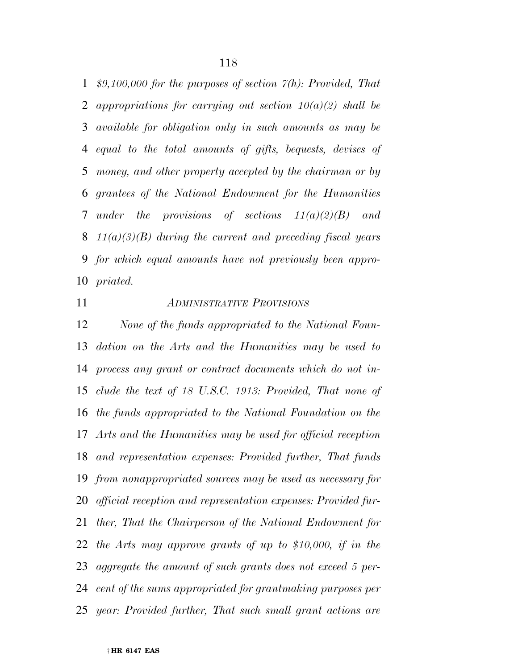*\$9,100,000 for the purposes of section 7(h): Provided, That appropriations for carrying out section 10(a)(2) shall be available for obligation only in such amounts as may be equal to the total amounts of gifts, bequests, devises of money, and other property accepted by the chairman or by grantees of the National Endowment for the Humanities under the provisions of sections 11(a)(2)(B) and 11(a)(3)(B) during the current and preceding fiscal years for which equal amounts have not previously been appro-priated.* 

# *ADMINISTRATIVE PROVISIONS*

 *None of the funds appropriated to the National Foun- dation on the Arts and the Humanities may be used to process any grant or contract documents which do not in- clude the text of 18 U.S.C. 1913: Provided, That none of the funds appropriated to the National Foundation on the Arts and the Humanities may be used for official reception and representation expenses: Provided further, That funds from nonappropriated sources may be used as necessary for official reception and representation expenses: Provided fur- ther, That the Chairperson of the National Endowment for the Arts may approve grants of up to \$10,000, if in the aggregate the amount of such grants does not exceed 5 per- cent of the sums appropriated for grantmaking purposes per year: Provided further, That such small grant actions are*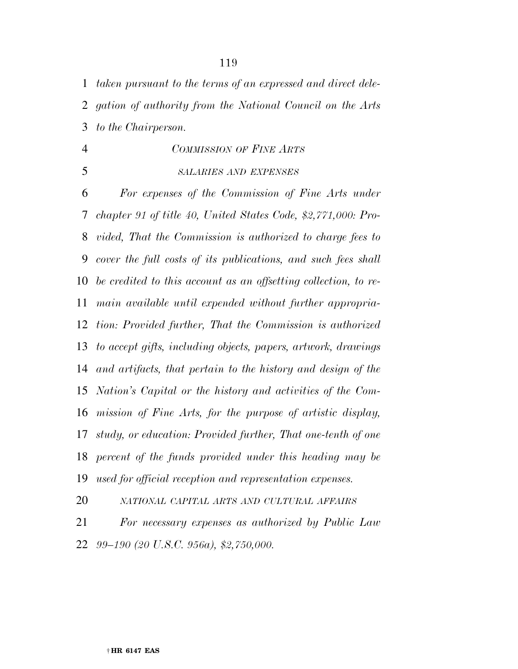*taken pursuant to the terms of an expressed and direct dele-gation of authority from the National Council on the Arts* 

*to the Chairperson.* 

# *COMMISSION OF FINE ARTS*

*SALARIES AND EXPENSES*

 *For expenses of the Commission of Fine Arts under chapter 91 of title 40, United States Code, \$2,771,000: Pro- vided, That the Commission is authorized to charge fees to cover the full costs of its publications, and such fees shall be credited to this account as an offsetting collection, to re- main available until expended without further appropria- tion: Provided further, That the Commission is authorized to accept gifts, including objects, papers, artwork, drawings and artifacts, that pertain to the history and design of the Nation's Capital or the history and activities of the Com- mission of Fine Arts, for the purpose of artistic display, study, or education: Provided further, That one-tenth of one percent of the funds provided under this heading may be used for official reception and representation expenses.* 

*NATIONAL CAPITAL ARTS AND CULTURAL AFFAIRS*

 *For necessary expenses as authorized by Public Law 99–190 (20 U.S.C. 956a), \$2,750,000.*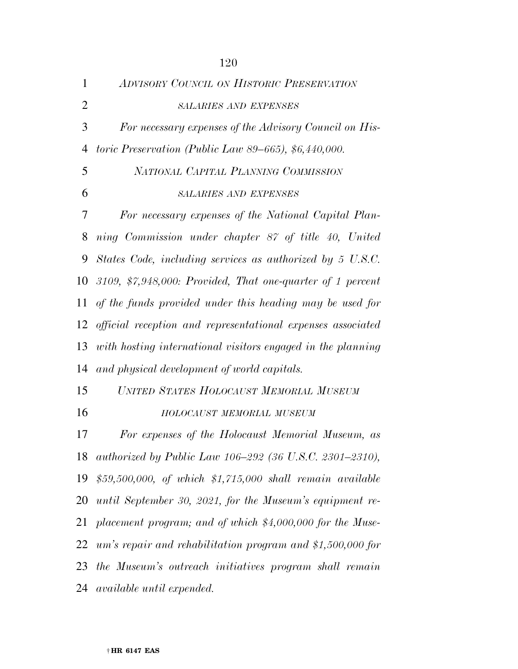| $\mathbf{1}$   | ADVISORY COUNCIL ON HISTORIC PRESERVATION                                       |
|----------------|---------------------------------------------------------------------------------|
| $\overline{2}$ | <b>SALARIES AND EXPENSES</b>                                                    |
| 3              | For necessary expenses of the Advisory Council on His-                          |
| $\overline{4}$ | toric Preservation (Public Law 89–665), $$6,440,000$ .                          |
| 5              | NATIONAL CAPITAL PLANNING COMMISSION                                            |
| 6              | <b>SALARIES AND EXPENSES</b>                                                    |
| 7              | For necessary expenses of the National Capital Plan-                            |
| 8              | ning Commission under chapter 87 of title 40, United                            |
| 9              | States Code, including services as authorized by 5 U.S.C.                       |
| 10             | 3109, $\frac{2}{3},\frac{248,000}{5}$ . Provided, That one-quarter of 1 percent |
| 11             | of the funds provided under this heading may be used for                        |
| 12             | official reception and representational expenses associated                     |
| 13             | with hosting international visitors engaged in the planning                     |
| 14             | and physical development of world capitals.                                     |
| 15             | UNITED STATES HOLOCAUST MEMORIAL MUSEUM                                         |
| 16             | HOLOCAUST MEMORIAL MUSEUM                                                       |
| 17             | For expenses of the Holocaust Memorial Museum, as                               |
| 18             | authorized by Public Law 106-292 (36 U.S.C. 2301-2310),                         |
|                | 19 $$59,500,000, of which $1,715,000 shall remain available$                    |
| 20             | until September 30, 2021, for the Museum's equipment re-                        |
| 21             | placement program; and of which $$4,000,000$ for the Muse-                      |
| 22             | $um's$ repair and rehabilitation program and \$1,500,000 for                    |
|                | 23 the Museum's outreach initiatives program shall remain                       |
|                | 24 available until expended.                                                    |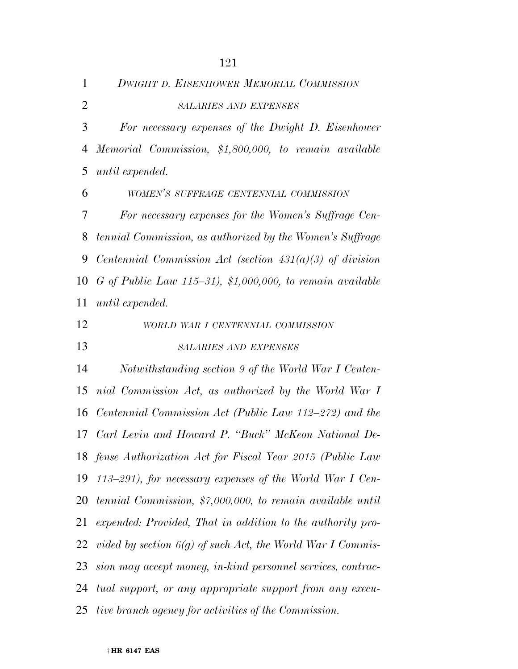| $\mathbf{1}$   | <b>DWIGHT D. EISENHOWER MEMORIAL COMMISSION</b>              |
|----------------|--------------------------------------------------------------|
| $\overline{2}$ | <b>SALARIES AND EXPENSES</b>                                 |
| 3              | For necessary expenses of the Dwight D. Eisenhower           |
| $\overline{4}$ | Memorial Commission, \$1,800,000, to remain available        |
| 5              | until expended.                                              |
| 6              | WOMEN'S SUFFRAGE CENTENNIAL COMMISSION                       |
| 7              | For necessary expenses for the Women's Suffrage Cen-         |
| 8              | tennial Commission, as authorized by the Women's Suffrage    |
| 9              | Centennial Commission Act (section $431(a)(3)$ of division   |
| 10             | G of Public Law $115-31$ , \$1,000,000, to remain available  |
| 11             | until expended.                                              |
| 12             | WORLD WAR I CENTENNIAL COMMISSION                            |
| 13             | <b>SALARIES AND EXPENSES</b>                                 |
| 14             | Notwithstanding section 9 of the World War I Centen-         |
| 15             | nial Commission Act, as authorized by the World War I        |
| 16             | Centennial Commission Act (Public Law 112–272) and the       |
|                | 17 Carl Levin and Howard P. "Buck" McKeon National De-       |
|                | 18 fense Authorization Act for Fiscal Year 2015 (Public Law  |
| 19             | 113–291), for necessary expenses of the World War I Cen-     |
| 20             | tennial Commission, \$7,000,000, to remain available until   |
| 21             | expended: Provided, That in addition to the authority pro-   |
| 22             | vided by section $6(g)$ of such Act, the World War I Commis- |
| 23             | sion may accept money, in-kind personnel services, contrac-  |
| 24             | tual support, or any appropriate support from any execu-     |
| 25             | tive branch agency for activities of the Commission.         |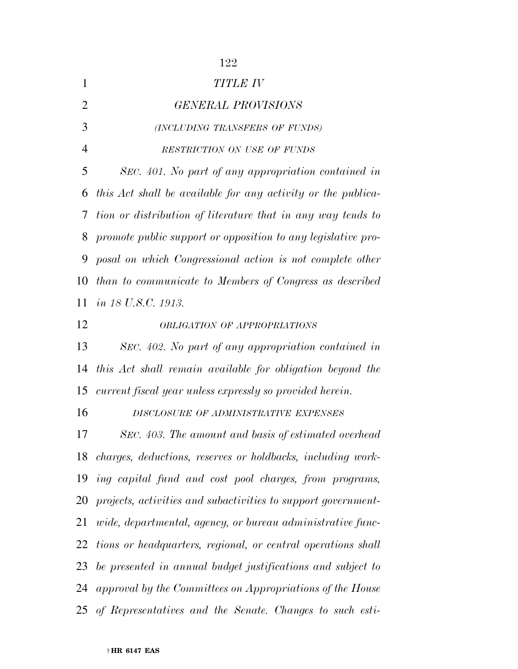| 1              | TITLE IV                                                       |
|----------------|----------------------------------------------------------------|
| 2              | <b>GENERAL PROVISIONS</b>                                      |
| 3              | (INCLUDING TRANSFERS OF FUNDS)                                 |
| $\overline{4}$ | RESTRICTION ON USE OF FUNDS                                    |
| 5              | SEC. 401. No part of any appropriation contained in            |
| 6              | this Act shall be available for any activity or the publica-   |
| 7              | tion or distribution of literature that in any way tends to    |
| 8              | promote public support or opposition to any legislative pro-   |
| 9              | posal on which Congressional action is not complete other      |
| 10             | than to communicate to Members of Congress as described        |
| 11             | <i>in 18 U.S.C. 1913.</i>                                      |
| 12             | <b>OBLIGATION OF APPROPRIATIONS</b>                            |
| 13             | SEC. 402. No part of any appropriation contained in            |
| 14             | this Act shall remain available for obligation beyond the      |
| 15             | current fiscal year unless expressly so provided herein.       |
| 16             | DISCLOSURE OF ADMINISTRATIVE EXPENSES                          |
| 17             | SEC. 403. The amount and basis of estimated overhead           |
|                | 18 charges, deductions, reserves or holdbacks, including work- |
| 19             | ing capital fund and cost pool charges, from programs,         |
| 20             | projects, activities and subactivities to support government-  |
| 21             | wide, departmental, agency, or bureau administrative func-     |
| 22             | tions or headquarters, regional, or central operations shall   |
| 23             | be presented in annual budget justifications and subject to    |
| 24             | approval by the Committees on Appropriations of the House      |
|                | 25 of Representatives and the Senate. Changes to such esti-    |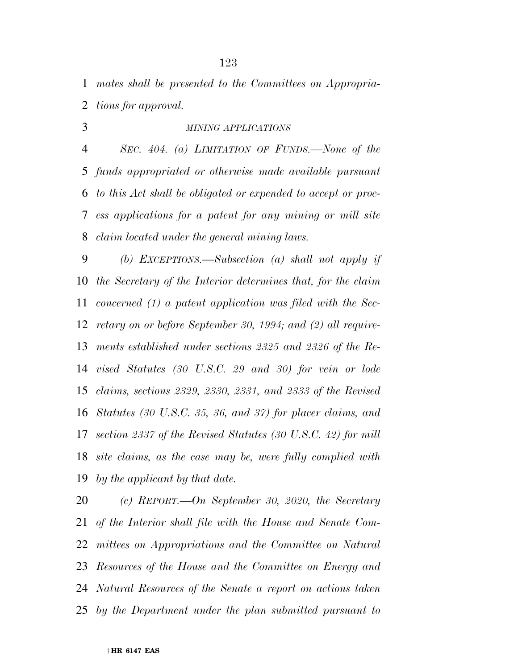*mates shall be presented to the Committees on Appropria-tions for approval.* 

# *MINING APPLICATIONS*

 *SEC. 404. (a) LIMITATION OF FUNDS.—None of the funds appropriated or otherwise made available pursuant to this Act shall be obligated or expended to accept or proc- ess applications for a patent for any mining or mill site claim located under the general mining laws.* 

 *(b) EXCEPTIONS.—Subsection (a) shall not apply if the Secretary of the Interior determines that, for the claim concerned (1) a patent application was filed with the Sec- retary on or before September 30, 1994; and (2) all require- ments established under sections 2325 and 2326 of the Re- vised Statutes (30 U.S.C. 29 and 30) for vein or lode claims, sections 2329, 2330, 2331, and 2333 of the Revised Statutes (30 U.S.C. 35, 36, and 37) for placer claims, and section 2337 of the Revised Statutes (30 U.S.C. 42) for mill site claims, as the case may be, were fully complied with by the applicant by that date.* 

 *(c) REPORT.—On September 30, 2020, the Secretary of the Interior shall file with the House and Senate Com- mittees on Appropriations and the Committee on Natural Resources of the House and the Committee on Energy and Natural Resources of the Senate a report on actions taken by the Department under the plan submitted pursuant to*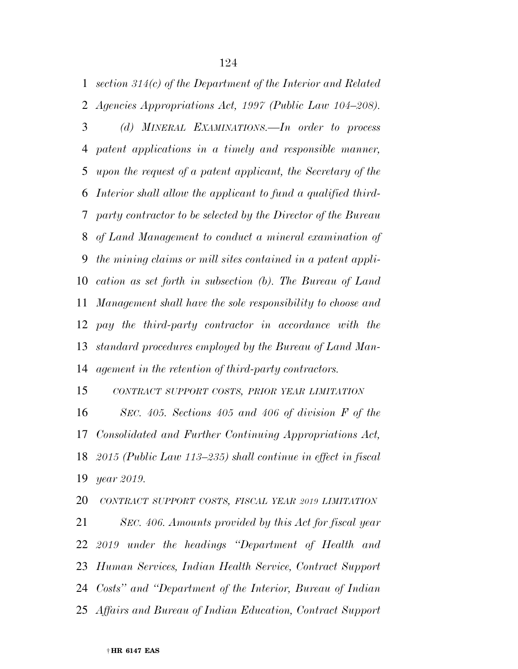*section 314(c) of the Department of the Interior and Related* 

*Agencies Appropriations Act, 1997 (Public Law 104–208).* 

 *(d) MINERAL EXAMINATIONS.—In order to process patent applications in a timely and responsible manner, upon the request of a patent applicant, the Secretary of the Interior shall allow the applicant to fund a qualified third- party contractor to be selected by the Director of the Bureau of Land Management to conduct a mineral examination of the mining claims or mill sites contained in a patent appli- cation as set forth in subsection (b). The Bureau of Land Management shall have the sole responsibility to choose and pay the third-party contractor in accordance with the standard procedures employed by the Bureau of Land Man-agement in the retention of third-party contractors.* 

 *CONTRACT SUPPORT COSTS, PRIOR YEAR LIMITATION SEC. 405. Sections 405 and 406 of division F of the Consolidated and Further Continuing Appropriations Act, 2015 (Public Law 113–235) shall continue in effect in fiscal year 2019.* 

 *CONTRACT SUPPORT COSTS, FISCAL YEAR 2019 LIMITATION SEC. 406. Amounts provided by this Act for fiscal year 2019 under the headings ''Department of Health and Human Services, Indian Health Service, Contract Support Costs'' and ''Department of the Interior, Bureau of Indian Affairs and Bureau of Indian Education, Contract Support*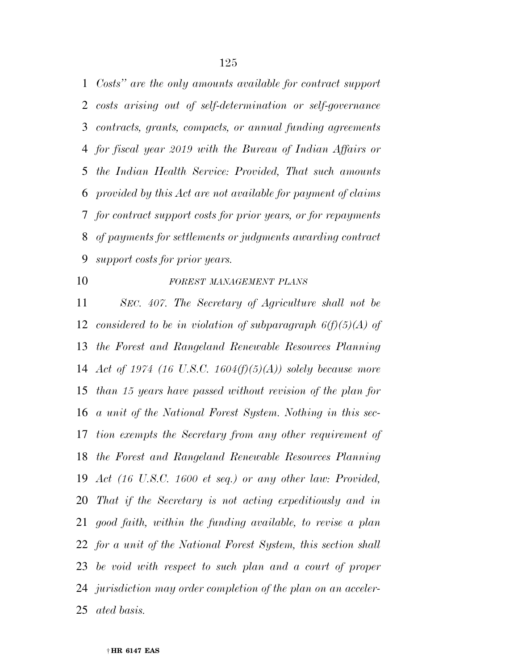*Costs'' are the only amounts available for contract support costs arising out of self-determination or self-governance contracts, grants, compacts, or annual funding agreements for fiscal year 2019 with the Bureau of Indian Affairs or the Indian Health Service: Provided, That such amounts provided by this Act are not available for payment of claims for contract support costs for prior years, or for repayments of payments for settlements or judgments awarding contract support costs for prior years.* 

#### *FOREST MANAGEMENT PLANS*

 *SEC. 407. The Secretary of Agriculture shall not be considered to be in violation of subparagraph 6(f)(5)(A) of the Forest and Rangeland Renewable Resources Planning Act of 1974 (16 U.S.C. 1604(f)(5)(A)) solely because more than 15 years have passed without revision of the plan for a unit of the National Forest System. Nothing in this sec- tion exempts the Secretary from any other requirement of the Forest and Rangeland Renewable Resources Planning Act (16 U.S.C. 1600 et seq.) or any other law: Provided, That if the Secretary is not acting expeditiously and in good faith, within the funding available, to revise a plan for a unit of the National Forest System, this section shall be void with respect to such plan and a court of proper jurisdiction may order completion of the plan on an acceler-ated basis.*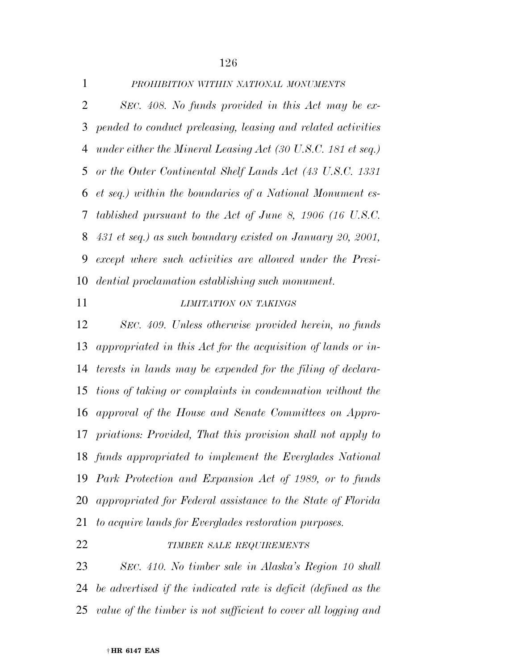| $\mathbf{1}$ | PROHIBITION WITHIN NATIONAL MONUMENTS                          |
|--------------|----------------------------------------------------------------|
| 2            | SEC. 408. No funds provided in this Act may be ex-             |
|              | 3 pended to conduct preleasing, leasing and related activities |
|              | 4 under either the Mineral Leasing Act (30 U.S.C. 181 et seq.) |
|              | 5 or the Outer Continental Shelf Lands Act (43 U.S.C. 1331)    |
|              | 6 et seq.) within the boundaries of a National Monument es-    |
|              | 7 tablished pursuant to the Act of June 8, 1906 (16 U.S.C.     |
|              | 8 431 et seq.) as such boundary existed on January 20, 2001,   |
| 9            | except where such activities are allowed under the Presi-      |
|              | 10 <i>dential proclamation establishing such monument.</i>     |

# *LIMITATION ON TAKINGS*

 *SEC. 409. Unless otherwise provided herein, no funds appropriated in this Act for the acquisition of lands or in- terests in lands may be expended for the filing of declara- tions of taking or complaints in condemnation without the approval of the House and Senate Committees on Appro- priations: Provided, That this provision shall not apply to funds appropriated to implement the Everglades National Park Protection and Expansion Act of 1989, or to funds appropriated for Federal assistance to the State of Florida to acquire lands for Everglades restoration purposes.* 

### *TIMBER SALE REQUIREMENTS*

 *SEC. 410. No timber sale in Alaska's Region 10 shall be advertised if the indicated rate is deficit (defined as the value of the timber is not sufficient to cover all logging and*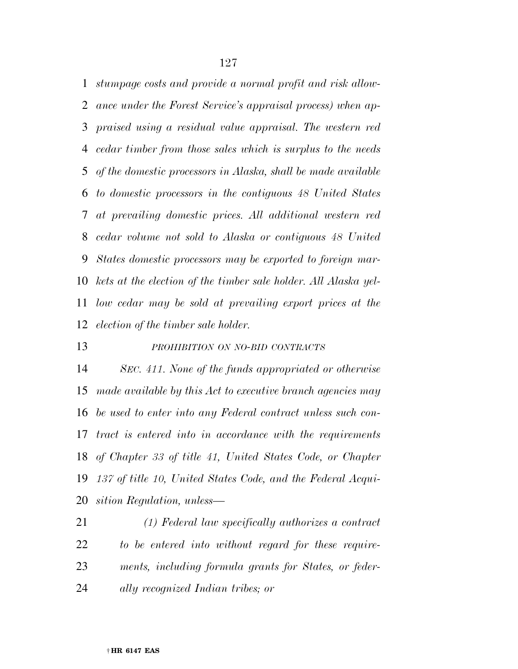*stumpage costs and provide a normal profit and risk allow- ance under the Forest Service's appraisal process) when ap- praised using a residual value appraisal. The western red cedar timber from those sales which is surplus to the needs of the domestic processors in Alaska, shall be made available to domestic processors in the contiguous 48 United States at prevailing domestic prices. All additional western red cedar volume not sold to Alaska or contiguous 48 United States domestic processors may be exported to foreign mar- kets at the election of the timber sale holder. All Alaska yel- low cedar may be sold at prevailing export prices at the election of the timber sale holder.* 

*PROHIBITION ON NO-BID CONTRACTS*

 *SEC. 411. None of the funds appropriated or otherwise made available by this Act to executive branch agencies may be used to enter into any Federal contract unless such con- tract is entered into in accordance with the requirements of Chapter 33 of title 41, United States Code, or Chapter 137 of title 10, United States Code, and the Federal Acqui-sition Regulation, unless—* 

 *(1) Federal law specifically authorizes a contract to be entered into without regard for these require- ments, including formula grants for States, or feder-ally recognized Indian tribes; or*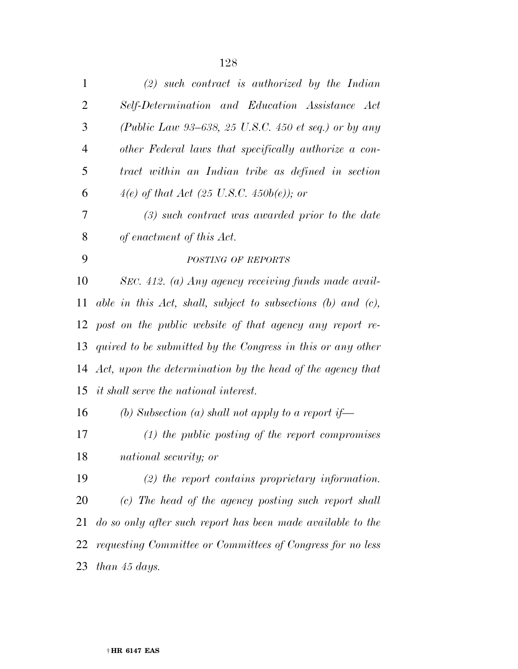| $\mathbf{1}$   | $(2)$ such contract is authorized by the Indian                   |
|----------------|-------------------------------------------------------------------|
| $\overline{2}$ | Self-Determination and Education Assistance Act                   |
| 3              | (Public Law 93-638, 25 U.S.C. 450 et seq.) or by any              |
| $\overline{4}$ | other Federal laws that specifically authorize a con-             |
| 5              | tract within an Indian tribe as defined in section                |
| 6              | 4(e) of that Act (25 U.S.C. 450b(e)); or                          |
| 7              | $(3)$ such contract was awarded prior to the date                 |
| 8              | of enactment of this Act.                                         |
| 9              | POSTING OF REPORTS                                                |
| 10             | SEC. 412. (a) Any agency receiving funds made avail-              |
| 11             | able in this Act, shall, subject to subsections $(b)$ and $(c)$ , |
| 12             | post on the public website of that agency any report re-          |
| 13             | quired to be submitted by the Congress in this or any other       |
|                | 14 Act, upon the determination by the head of the agency that     |
|                | 15 it shall serve the national interest.                          |
| 16             | (b) Subsection (a) shall not apply to a report if—                |
| 17             | $(1)$ the public posting of the report compromises                |
| 18             | national security; or                                             |
| 19             | $(2)$ the report contains proprietary information.                |
| 20             | (c) The head of the agency posting such report shall              |
| 21             | do so only after such report has been made available to the       |
| 22             | requesting Committee or Committees of Congress for no less        |
| 23             | than 45 days.                                                     |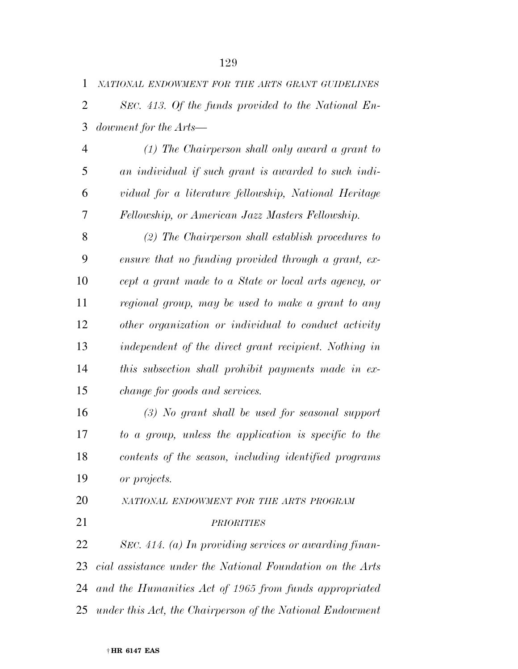*NATIONAL ENDOWMENT FOR THE ARTS GRANT GUIDELINES*

 *SEC. 413. Of the funds provided to the National En-dowment for the Arts—* 

 *(1) The Chairperson shall only award a grant to an individual if such grant is awarded to such indi- vidual for a literature fellowship, National Heritage Fellowship, or American Jazz Masters Fellowship.* 

 *(2) The Chairperson shall establish procedures to ensure that no funding provided through a grant, ex- cept a grant made to a State or local arts agency, or regional group, may be used to make a grant to any other organization or individual to conduct activity independent of the direct grant recipient. Nothing in this subsection shall prohibit payments made in ex-change for goods and services.* 

 *(3) No grant shall be used for seasonal support to a group, unless the application is specific to the contents of the season, including identified programs or projects.* 

 *NATIONAL ENDOWMENT FOR THE ARTS PROGRAM PRIORITIES*

 *SEC. 414. (a) In providing services or awarding finan- cial assistance under the National Foundation on the Arts and the Humanities Act of 1965 from funds appropriated under this Act, the Chairperson of the National Endowment*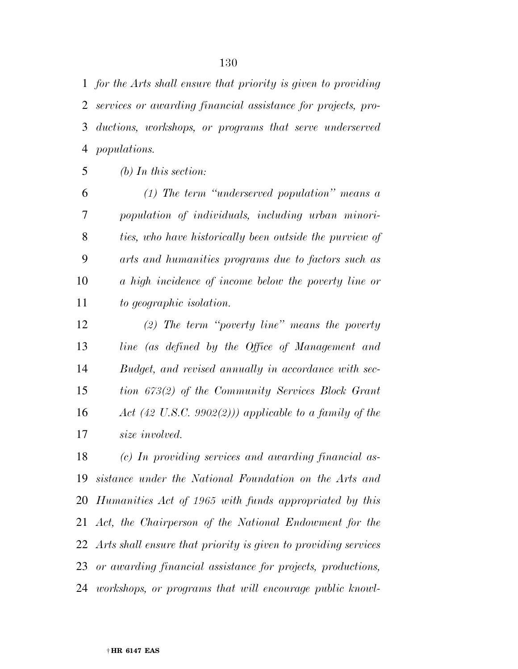*for the Arts shall ensure that priority is given to providing services or awarding financial assistance for projects, pro- ductions, workshops, or programs that serve underserved populations.* 

*(b) In this section:* 

 *(1) The term ''underserved population'' means a population of individuals, including urban minori- ties, who have historically been outside the purview of arts and humanities programs due to factors such as a high incidence of income below the poverty line or to geographic isolation.* 

 *(2) The term ''poverty line'' means the poverty line (as defined by the Office of Management and Budget, and revised annually in accordance with sec- tion 673(2) of the Community Services Block Grant Act (42 U.S.C. 9902(2))) applicable to a family of the size involved.* 

 *(c) In providing services and awarding financial as- sistance under the National Foundation on the Arts and Humanities Act of 1965 with funds appropriated by this Act, the Chairperson of the National Endowment for the Arts shall ensure that priority is given to providing services or awarding financial assistance for projects, productions, workshops, or programs that will encourage public knowl-*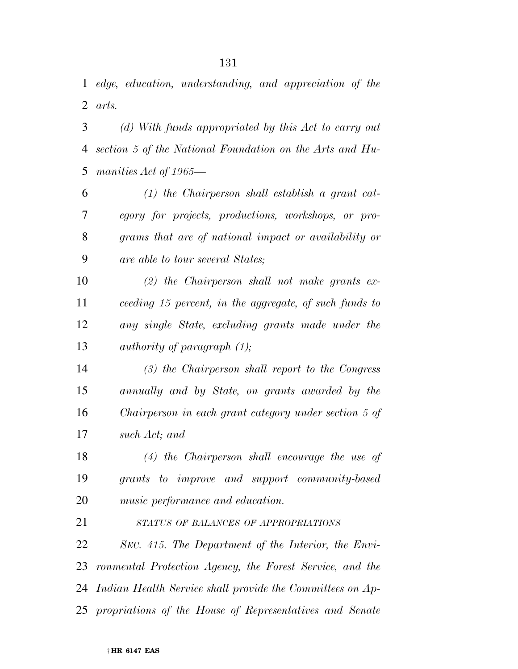*edge, education, understanding, and appreciation of the arts.* 

 *(d) With funds appropriated by this Act to carry out section 5 of the National Foundation on the Arts and Hu-manities Act of 1965—* 

 *(1) the Chairperson shall establish a grant cat- egory for projects, productions, workshops, or pro- grams that are of national impact or availability or are able to tour several States;* 

 *(2) the Chairperson shall not make grants ex- ceeding 15 percent, in the aggregate, of such funds to any single State, excluding grants made under the authority of paragraph (1);* 

 *(3) the Chairperson shall report to the Congress annually and by State, on grants awarded by the Chairperson in each grant category under section 5 of such Act; and* 

 *(4) the Chairperson shall encourage the use of grants to improve and support community-based music performance and education.* 

*STATUS OF BALANCES OF APPROPRIATIONS*

 *SEC. 415. The Department of the Interior, the Envi- ronmental Protection Agency, the Forest Service, and the Indian Health Service shall provide the Committees on Ap-propriations of the House of Representatives and Senate*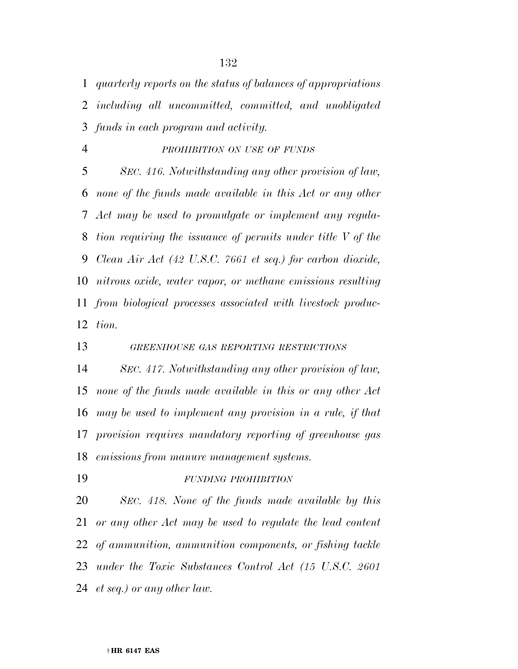*quarterly reports on the status of balances of appropriations including all uncommitted, committed, and unobligated funds in each program and activity.* 

*PROHIBITION ON USE OF FUNDS*

 *SEC. 416. Notwithstanding any other provision of law, none of the funds made available in this Act or any other Act may be used to promulgate or implement any regula- tion requiring the issuance of permits under title V of the Clean Air Act (42 U.S.C. 7661 et seq.) for carbon dioxide, nitrous oxide, water vapor, or methane emissions resulting from biological processes associated with livestock produc-tion.* 

*GREENHOUSE GAS REPORTING RESTRICTIONS*

 *SEC. 417. Notwithstanding any other provision of law, none of the funds made available in this or any other Act may be used to implement any provision in a rule, if that provision requires mandatory reporting of greenhouse gas emissions from manure management systems.* 

*FUNDING PROHIBITION*

 *SEC. 418. None of the funds made available by this or any other Act may be used to regulate the lead content of ammunition, ammunition components, or fishing tackle under the Toxic Substances Control Act (15 U.S.C. 2601 et seq.) or any other law.*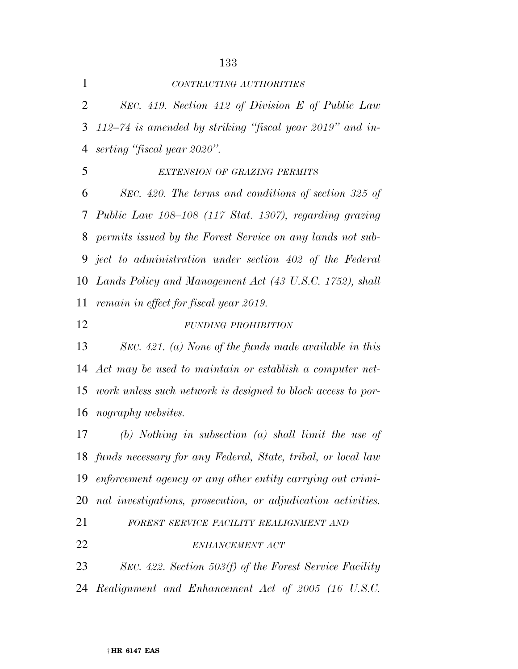| $\mathbf{1}$   | CONTRACTING AUTHORITIES                                         |
|----------------|-----------------------------------------------------------------|
| 2              | SEC. 419. Section 412 of Division E of Public Law               |
| 3              | $112-74$ is amended by striking "fiscal year 2019" and in-      |
| 4              | serting "fiscal year 2020".                                     |
| 5              | EXTENSION OF GRAZING PERMITS                                    |
| 6              | SEC. 420. The terms and conditions of section 325 of            |
| 7 <sup>1</sup> | Public Law 108-108 (117 Stat. 1307), regarding grazing          |
| 8              | permits issued by the Forest Service on any lands not sub-      |
|                | 9 ject to administration under section 402 of the Federal       |
|                | 10 Lands Policy and Management Act (43 U.S.C. 1752), shall      |
| 11             | remain in effect for fiscal year 2019.                          |
| 12             | FUNDING PROHIBITION                                             |
| 13             | SEC. 421. (a) None of the funds made available in this          |
|                | 14 Act may be used to maintain or establish a computer net-     |
|                | 15 work unless such network is designed to block access to por- |
| 16             | nography websites.                                              |
| 17             | $(b)$ Nothing in subsection $(a)$ shall limit the use of        |
|                | 18 funds necessary for any Federal, State, tribal, or local law |
| 19             | enforcement agency or any other entity carrying out crimi-      |
| 20             | nal investigations, prosecution, or adjudication activities.    |
| 21             | FOREST SERVICE FACILITY REALIGNMENT AND                         |
| 22             | ENHANCEMENT ACT                                                 |
| 23             | SEC. 422. Section 503(f) of the Forest Service Facility         |
| 24             | Realignment and Enhancement Act of 2005 (16 U.S.C.              |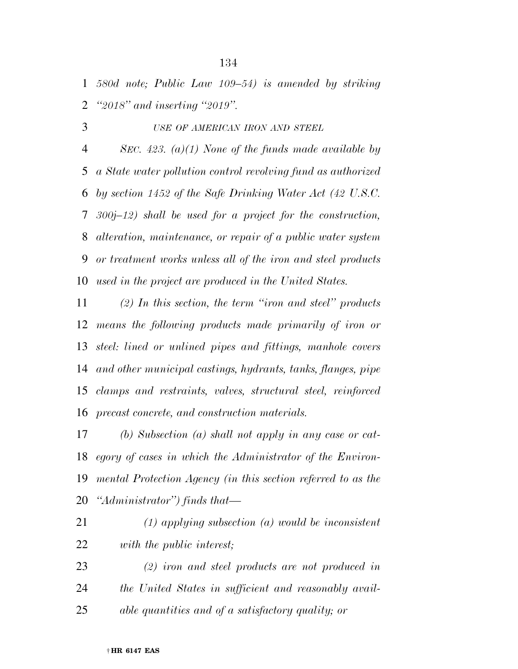*580d note; Public Law 109–54) is amended by striking ''2018'' and inserting ''2019''.* 

*USE OF AMERICAN IRON AND STEEL*

 *SEC. 423. (a)(1) None of the funds made available by a State water pollution control revolving fund as authorized by section 1452 of the Safe Drinking Water Act (42 U.S.C. 300j–12) shall be used for a project for the construction, alteration, maintenance, or repair of a public water system or treatment works unless all of the iron and steel products used in the project are produced in the United States.* 

 *(2) In this section, the term ''iron and steel'' products means the following products made primarily of iron or steel: lined or unlined pipes and fittings, manhole covers and other municipal castings, hydrants, tanks, flanges, pipe clamps and restraints, valves, structural steel, reinforced precast concrete, and construction materials.* 

 *(b) Subsection (a) shall not apply in any case or cat- egory of cases in which the Administrator of the Environ- mental Protection Agency (in this section referred to as the ''Administrator'') finds that—* 

- *(1) applying subsection (a) would be inconsistent with the public interest;*
- *(2) iron and steel products are not produced in the United States in sufficient and reasonably avail-able quantities and of a satisfactory quality; or*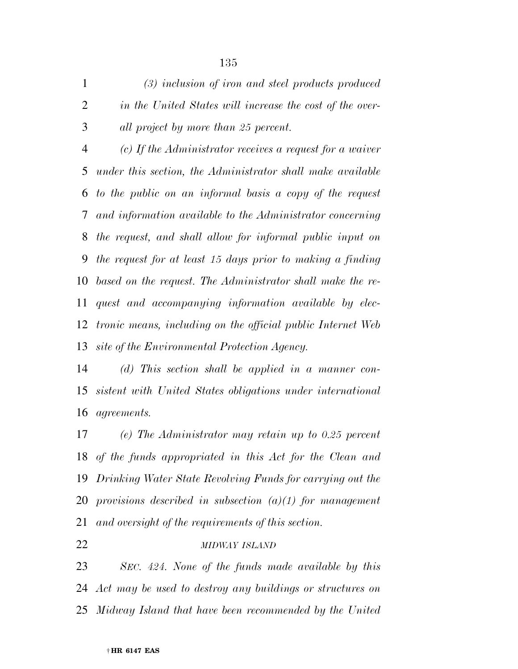*(3) inclusion of iron and steel products produced in the United States will increase the cost of the over-all project by more than 25 percent.* 

 *(c) If the Administrator receives a request for a waiver under this section, the Administrator shall make available to the public on an informal basis a copy of the request and information available to the Administrator concerning the request, and shall allow for informal public input on the request for at least 15 days prior to making a finding based on the request. The Administrator shall make the re- quest and accompanying information available by elec- tronic means, including on the official public Internet Web site of the Environmental Protection Agency.* 

 *(d) This section shall be applied in a manner con- sistent with United States obligations under international agreements.* 

 *(e) The Administrator may retain up to 0.25 percent of the funds appropriated in this Act for the Clean and Drinking Water State Revolving Funds for carrying out the provisions described in subsection (a)(1) for management and oversight of the requirements of this section.* 

### *MIDWAY ISLAND*

 *SEC. 424. None of the funds made available by this Act may be used to destroy any buildings or structures on Midway Island that have been recommended by the United*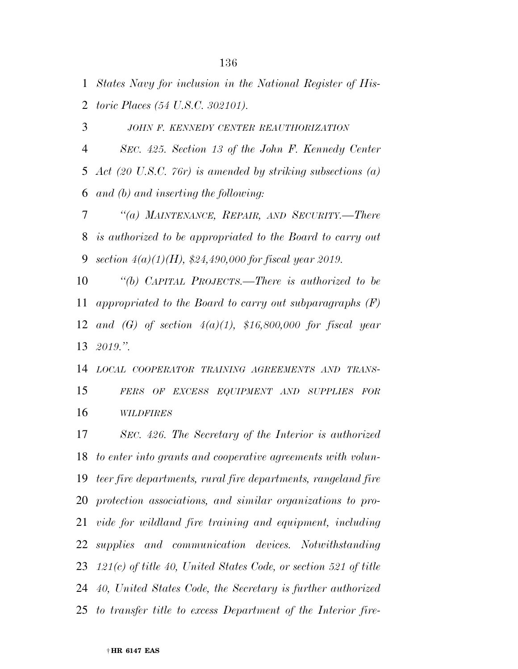*States Navy for inclusion in the National Register of His-toric Places (54 U.S.C. 302101).* 

*JOHN F. KENNEDY CENTER REAUTHORIZATION*

 *SEC. 425. Section 13 of the John F. Kennedy Center Act (20 U.S.C. 76r) is amended by striking subsections (a) and (b) and inserting the following:* 

 *''(a) MAINTENANCE, REPAIR, AND SECURITY.—There is authorized to be appropriated to the Board to carry out section 4(a)(1)(H), \$24,490,000 for fiscal year 2019.* 

 *''(b) CAPITAL PROJECTS.—There is authorized to be appropriated to the Board to carry out subparagraphs (F) and (G) of section 4(a)(1), \$16,800,000 for fiscal year 2019.''.* 

 *LOCAL COOPERATOR TRAINING AGREEMENTS AND TRANS- FERS OF EXCESS EQUIPMENT AND SUPPLIES FOR WILDFIRES*

 *SEC. 426. The Secretary of the Interior is authorized to enter into grants and cooperative agreements with volun- teer fire departments, rural fire departments, rangeland fire protection associations, and similar organizations to pro- vide for wildland fire training and equipment, including supplies and communication devices. Notwithstanding 121(c) of title 40, United States Code, or section 521 of title 40, United States Code, the Secretary is further authorized to transfer title to excess Department of the Interior fire-*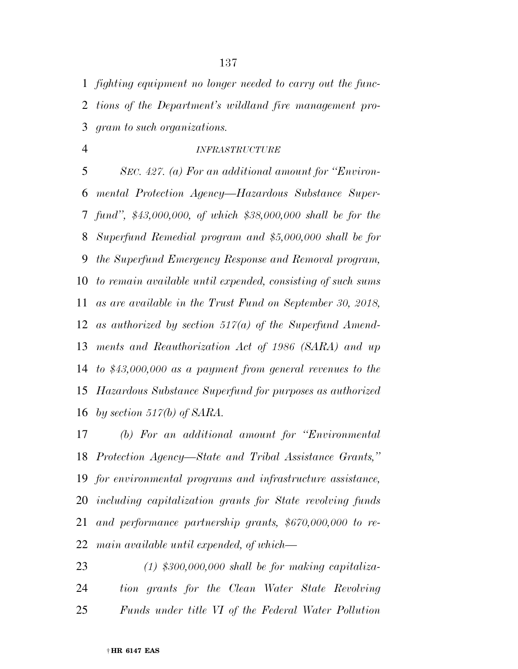*fighting equipment no longer needed to carry out the func- tions of the Department's wildland fire management pro-gram to such organizations.* 

#### *INFRASTRUCTURE*

 *SEC. 427. (a) For an additional amount for ''Environ- mental Protection Agency—Hazardous Substance Super- fund'', \$43,000,000, of which \$38,000,000 shall be for the Superfund Remedial program and \$5,000,000 shall be for the Superfund Emergency Response and Removal program, to remain available until expended, consisting of such sums as are available in the Trust Fund on September 30, 2018, as authorized by section 517(a) of the Superfund Amend- ments and Reauthorization Act of 1986 (SARA) and up to \$43,000,000 as a payment from general revenues to the Hazardous Substance Superfund for purposes as authorized by section 517(b) of SARA.* 

 *(b) For an additional amount for ''Environmental Protection Agency—State and Tribal Assistance Grants,'' for environmental programs and infrastructure assistance, including capitalization grants for State revolving funds and performance partnership grants, \$670,000,000 to re-main available until expended, of which—* 

 *(1) \$300,000,000 shall be for making capitaliza- tion grants for the Clean Water State Revolving Funds under title VI of the Federal Water Pollution*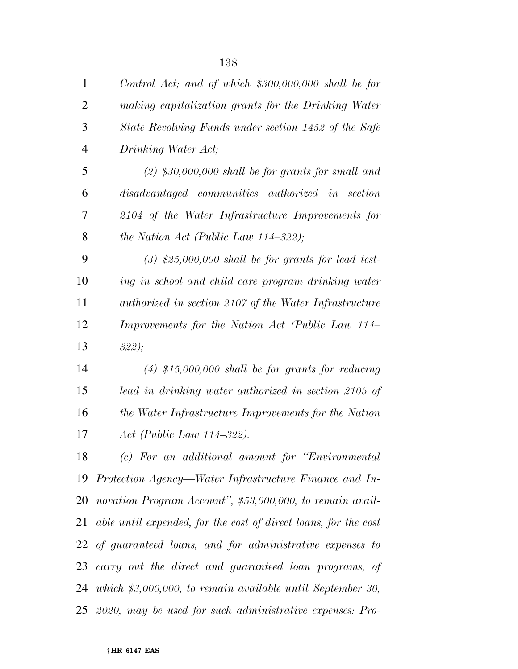| 1              | Control Act; and of which $$300,000,000$ shall be for           |
|----------------|-----------------------------------------------------------------|
| $\overline{2}$ | making capitalization grants for the Drinking Water             |
| 3              | State Revolving Funds under section 1452 of the Safe            |
| 4              | Drinking Water Act;                                             |
| 5              | $(2)$ \$30,000,000 shall be for grants for small and            |
| 6              | disadvantaged communities authorized in section                 |
| 7              | 2104 of the Water Infrastructure Improvements for               |
| 8              | the Nation Act (Public Law $114-322$ );                         |
| 9              | $(3)$ \$25,000,000 shall be for grants for lead test-           |
| 10             | ing in school and child care program drinking water             |
| 11             | authorized in section 2107 of the Water Infrastructure          |
| 12             | Improvements for the Nation Act (Public Law 114–                |
| 13             | 322;                                                            |
| 14             | $(4)$ \$15,000,000 shall be for grants for reducing             |
| 15             | lead in drinking water authorized in section 2105 of            |
| 16             | the Water Infrastructure Improvements for the Nation            |
| 17             | $Act$ (Public Law 114–322).                                     |
| 18             | (c) For an additional amount for "Environmental"                |
|                | 19 Protection Agency—Water Infrastructure Finance and In-       |
|                | 20 novation Program Account", \$53,000,000, to remain avail-    |
| 21             | able until expended, for the cost of direct loans, for the cost |
|                | 22 of guaranteed loans, and for administrative expenses to      |
| 23             | carry out the direct and guaranteed loan programs, of           |
|                | 24 which \$3,000,000, to remain available until September 30,   |
|                | 25 2020, may be used for such administrative expenses: Pro-     |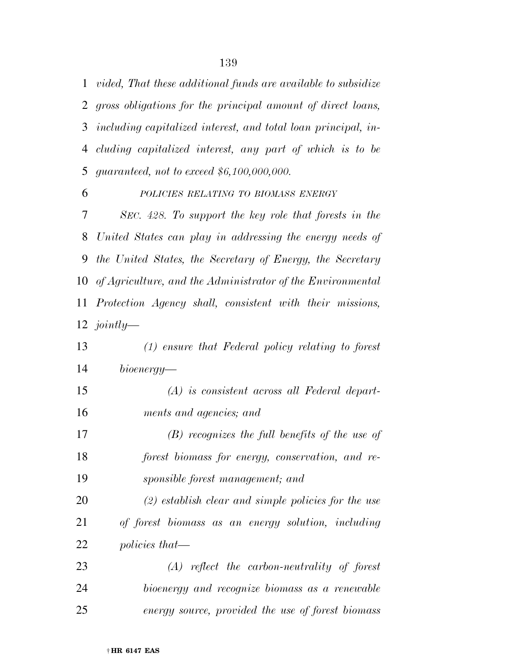*vided, That these additional funds are available to subsidize gross obligations for the principal amount of direct loans, including capitalized interest, and total loan principal, in- cluding capitalized interest, any part of which is to be guaranteed, not to exceed \$6,100,000,000.* 

 *POLICIES RELATING TO BIOMASS ENERGY SEC. 428. To support the key role that forests in the United States can play in addressing the energy needs of the United States, the Secretary of Energy, the Secretary of Agriculture, and the Administrator of the Environmental Protection Agency shall, consistent with their missions, jointly—* 

- *(1) ensure that Federal policy relating to forest bioenergy— (A) is consistent across all Federal depart- ments and agencies; and (B) recognizes the full benefits of the use of forest biomass for energy, conservation, and re- sponsible forest management; and (2) establish clear and simple policies for the use of forest biomass as an energy solution, including policies that— (A) reflect the carbon-neutrality of forest bioenergy and recognize biomass as a renewable*
- *energy source, provided the use of forest biomass*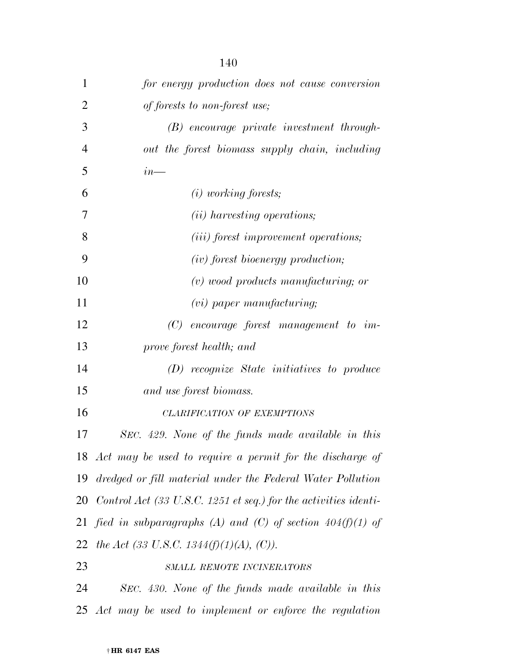| $\mathbf{1}$   | for energy production does not cause conversion                                       |
|----------------|---------------------------------------------------------------------------------------|
| $\overline{2}$ | of forests to non-forest use;                                                         |
| 3              | (B) encourage private investment through-                                             |
| $\overline{4}$ | out the forest biomass supply chain, including                                        |
| 5              | $in_{-}$                                                                              |
| 6              | $(i)$ working forests;                                                                |
| 7              | (ii) harvesting operations;                                                           |
| 8              | ( <i>iii</i> ) forest improvement operations;                                         |
| 9              | $(iv)$ forest bioenergy production;                                                   |
| 10             | $(v)$ wood products manufacturing; or                                                 |
| 11             | $(vi)$ paper manufacturing;                                                           |
| 12             | $(C)$ encourage forest management to im-                                              |
| 13             | prove forest health; and                                                              |
| 14             | (D) recognize State initiatives to produce                                            |
| 15             | and use forest biomass.                                                               |
| 16             | CLARIFICATION OF EXEMPTIONS                                                           |
| 17             | SEC. 429. None of the funds made available in this                                    |
|                | 18 Act may be used to require a permit for the discharge of                           |
|                | 19 dredged or fill material under the Federal Water Pollution                         |
|                | 20 Control Act $(33 \text{ U.S.C. } 1251 \text{ et seq.})$ for the activities identi- |
| 21             | fied in subparagraphs (A) and (C) of section $404(f)(1)$ of                           |
|                | 22 the Act (33 U.S.C. 1344(f)(1)(A), (C)).                                            |
| 23             | SMALL REMOTE INCINERATORS                                                             |
| 24             | SEC. 430. None of the funds made available in this                                    |
|                | 25 Act may be used to implement or enforce the regulation                             |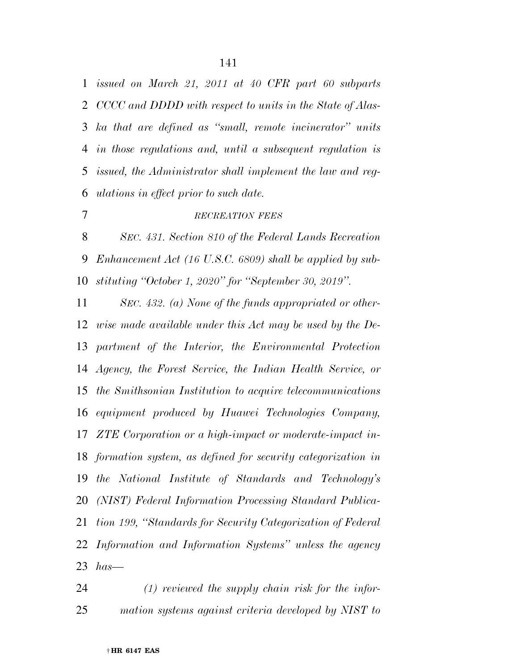*issued on March 21, 2011 at 40 CFR part 60 subparts CCCC and DDDD with respect to units in the State of Alas- ka that are defined as ''small, remote incinerator'' units in those regulations and, until a subsequent regulation is issued, the Administrator shall implement the law and reg-ulations in effect prior to such date.* 

# *RECREATION FEES*

 *SEC. 431. Section 810 of the Federal Lands Recreation Enhancement Act (16 U.S.C. 6809) shall be applied by sub-stituting ''October 1, 2020'' for ''September 30, 2019''.* 

 *SEC. 432. (a) None of the funds appropriated or other- wise made available under this Act may be used by the De- partment of the Interior, the Environmental Protection Agency, the Forest Service, the Indian Health Service, or the Smithsonian Institution to acquire telecommunications equipment produced by Huawei Technologies Company, ZTE Corporation or a high-impact or moderate-impact in- formation system, as defined for security categorization in the National Institute of Standards and Technology's (NIST) Federal Information Processing Standard Publica- tion 199, ''Standards for Security Categorization of Federal Information and Information Systems'' unless the agency has—* 

 *(1) reviewed the supply chain risk for the infor-mation systems against criteria developed by NIST to*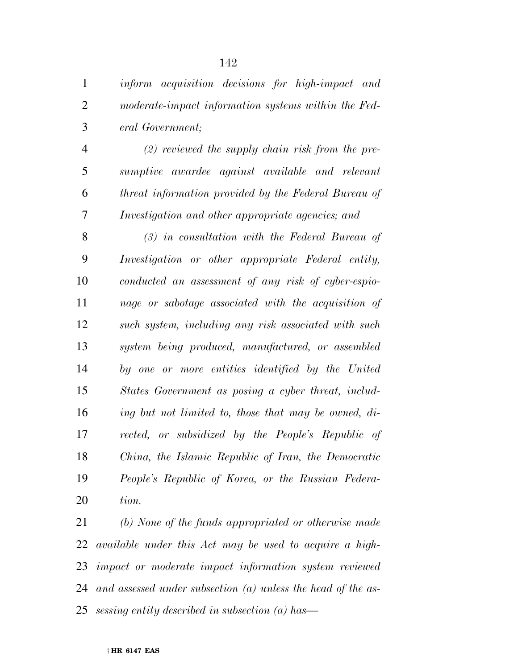*eral Government;* 

 *(2) reviewed the supply chain risk from the pre- sumptive awardee against available and relevant threat information provided by the Federal Bureau of Investigation and other appropriate agencies; and* 

 *(3) in consultation with the Federal Bureau of Investigation or other appropriate Federal entity, conducted an assessment of any risk of cyber-espio- nage or sabotage associated with the acquisition of such system, including any risk associated with such system being produced, manufactured, or assembled by one or more entities identified by the United States Government as posing a cyber threat, includ- ing but not limited to, those that may be owned, di- rected, or subsidized by the People's Republic of China, the Islamic Republic of Iran, the Democratic People's Republic of Korea, or the Russian Federa-tion.* 

 *(b) None of the funds appropriated or otherwise made available under this Act may be used to acquire a high- impact or moderate impact information system reviewed and assessed under subsection (a) unless the head of the as-sessing entity described in subsection (a) has—* 

#### † **HR 6147 EAS**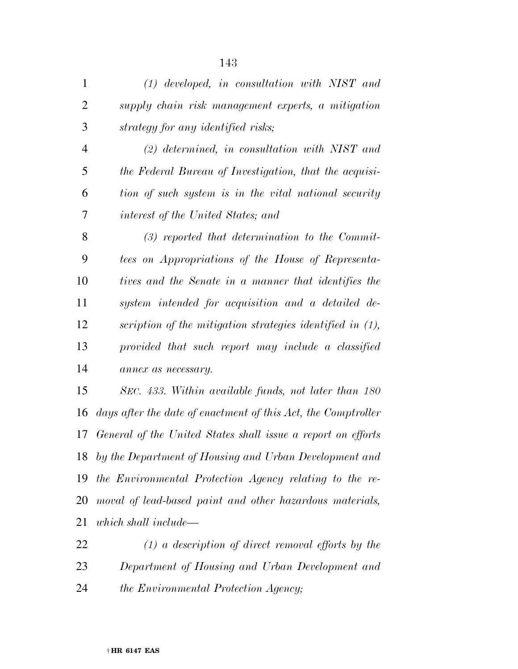| $\mathbf{1}$   | $(1)$ developed, in consultation with NIST and                |
|----------------|---------------------------------------------------------------|
| $\overline{2}$ | supply chain risk management experts, a mitigation            |
| 3              | strategy for any identified risks;                            |
| $\overline{4}$ | $(2)$ determined, in consultation with NIST and               |
| 5              | the Federal Bureau of Investigation, that the acquisi-        |
| 6              | tion of such system is in the vital national security         |
| 7              | interest of the United States; and                            |
| 8              | $(3)$ reported that determination to the Commit-              |
| 9              | tees on Appropriations of the House of Representa-            |
| 10             | tives and the Senate in a manner that identifies the          |
| 11             | system intended for acquisition and a detailed de-            |
| 12             | scription of the mitigation strategies identified in (1),     |
| 13             | provided that such report may include a classified            |
| 14             | annex as necessary.                                           |
| 15             | SEC. 433. Within available funds, not later than 180          |
| 16             | days after the date of enactment of this Act, the Comptroller |
| 17             | General of the United States shall issue a report on efforts  |
|                | 18 by the Department of Housing and Urban Development and     |
| 19             | the Environmental Protection Agency relating to the re-       |
| 20             | moval of lead-based paint and other hazardous materials,      |
| 21             | which shall include—                                          |

 *(1) a description of direct removal efforts by the Department of Housing and Urban Development and the Environmental Protection Agency;*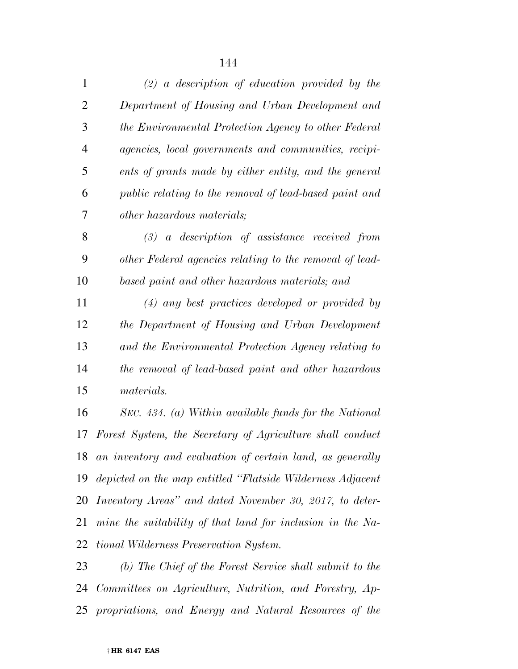| $\mathbf{1}$   | $(2)$ a description of education provided by the               |
|----------------|----------------------------------------------------------------|
| $\overline{2}$ | Department of Housing and Urban Development and                |
| 3              | the Environmental Protection Agency to other Federal           |
| $\overline{4}$ | agencies, local governments and communities, recipi-           |
| 5              | ents of grants made by either entity, and the general          |
| 6              | public relating to the removal of lead-based paint and         |
| 7              | <i>other hazardous materials;</i>                              |
| 8              | $(3)$ a description of assistance received from                |
| 9              | other Federal agencies relating to the removal of lead-        |
| 10             | based paint and other hazardous materials; and                 |
| 11             | $(4)$ any best practices developed or provided by              |
| 12             | the Department of Housing and Urban Development                |
| 13             | and the Environmental Protection Agency relating to            |
| 14             | the removal of lead-based paint and other hazardous            |
| 15             | materials.                                                     |
| 16             | SEC. 434. (a) Within available funds for the National          |
| 17             | Forest System, the Secretary of Agriculture shall conduct      |
|                | 18 an inventory and evaluation of certain land, as generally   |
|                | 19 depicted on the map entitled "Flatside Wilderness Adjacent" |
|                | 20 Inventory Areas" and dated November 30, 2017, to deter-     |
| 21             | mine the suitability of that land for inclusion in the Na-     |
| 22             | tional Wilderness Preservation System.                         |
| າາ             | (b) The Chief of the Repeat Service shall expect to the        |

 *(b) The Chief of the Forest Service shall submit to the Committees on Agriculture, Nutrition, and Forestry, Ap-propriations, and Energy and Natural Resources of the*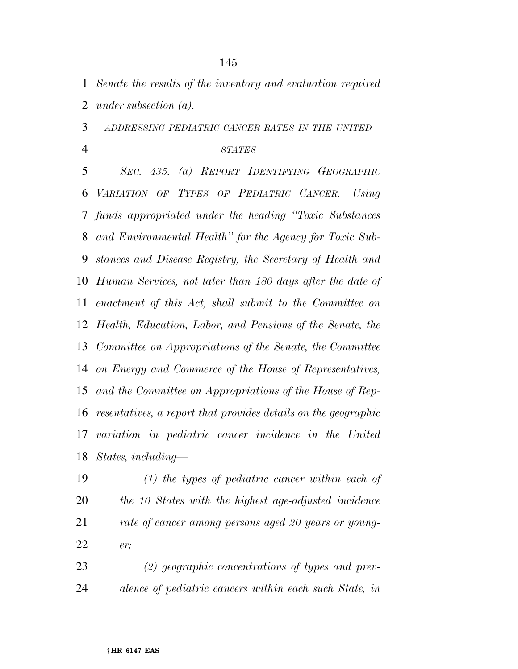*Senate the results of the inventory and evaluation required under subsection (a).* 

*ADDRESSING PEDIATRIC CANCER RATES IN THE UNITED*

## *STATES*

 *SEC. 435. (a) REPORT IDENTIFYING GEOGRAPHIC VARIATION OF TYPES OF PEDIATRIC CANCER.—Using funds appropriated under the heading ''Toxic Substances and Environmental Health'' for the Agency for Toxic Sub- stances and Disease Registry, the Secretary of Health and Human Services, not later than 180 days after the date of enactment of this Act, shall submit to the Committee on Health, Education, Labor, and Pensions of the Senate, the Committee on Appropriations of the Senate, the Committee on Energy and Commerce of the House of Representatives, and the Committee on Appropriations of the House of Rep- resentatives, a report that provides details on the geographic variation in pediatric cancer incidence in the United States, including—* 

 *(1) the types of pediatric cancer within each of the 10 States with the highest age-adjusted incidence rate of cancer among persons aged 20 years or young-er;* 

 *(2) geographic concentrations of types and prev-alence of pediatric cancers within each such State, in*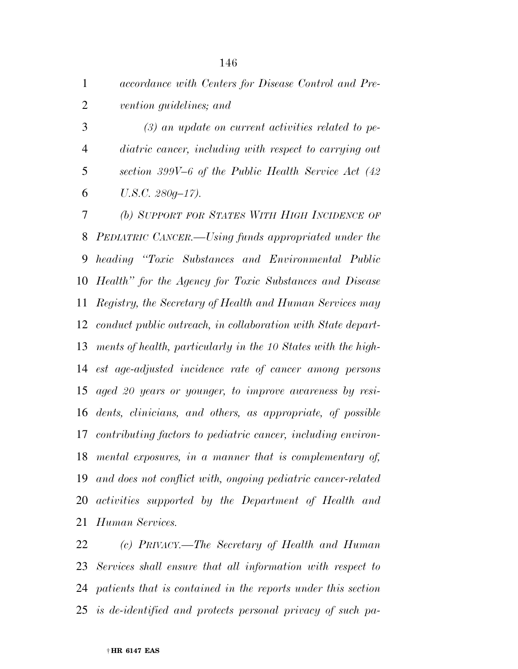| accordance with Centers for Disease Control and Pre- |
|------------------------------------------------------|
| vention guidelines; and                              |

 *(3) an update on current activities related to pe- diatric cancer, including with respect to carrying out section 399V–6 of the Public Health Service Act (42 U.S.C. 280g–17).* 

 *(b) SUPPORT FOR STATES WITH HIGH INCIDENCE OF PEDIATRIC CANCER.—Using funds appropriated under the heading ''Toxic Substances and Environmental Public Health'' for the Agency for Toxic Substances and Disease Registry, the Secretary of Health and Human Services may conduct public outreach, in collaboration with State depart- ments of health, particularly in the 10 States with the high- est age-adjusted incidence rate of cancer among persons aged 20 years or younger, to improve awareness by resi- dents, clinicians, and others, as appropriate, of possible contributing factors to pediatric cancer, including environ- mental exposures, in a manner that is complementary of, and does not conflict with, ongoing pediatric cancer-related activities supported by the Department of Health and Human Services.* 

 *(c) PRIVACY.—The Secretary of Health and Human Services shall ensure that all information with respect to patients that is contained in the reports under this section is de-identified and protects personal privacy of such pa-*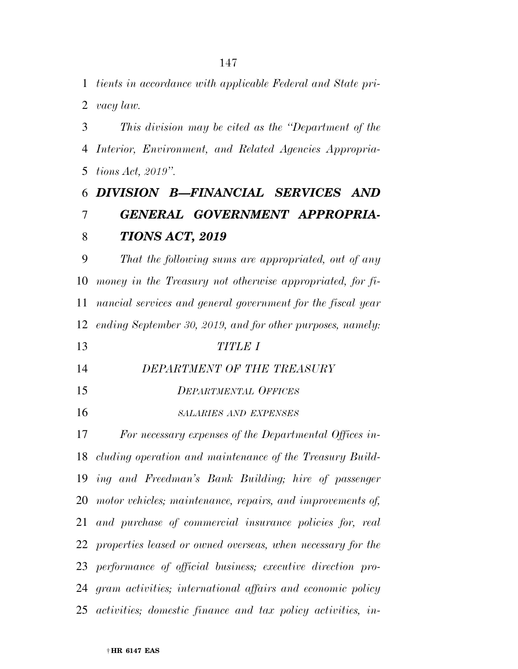*tients in accordance with applicable Federal and State pri-*

*vacy law.* 

 *This division may be cited as the ''Department of the Interior, Environment, and Related Agencies Appropria-tions Act, 2019''.* 

# *DIVISION B—FINANCIAL SERVICES AND GENERAL GOVERNMENT APPROPRIA-TIONS ACT, 2019*

 *That the following sums are appropriated, out of any money in the Treasury not otherwise appropriated, for fi- nancial services and general government for the fiscal year ending September 30, 2019, and for other purposes, namely:* 

- *TITLE I*
- *DEPARTMENT OF THE TREASURY*
- *DEPARTMENTAL OFFICES*
- *SALARIES AND EXPENSES*

 *For necessary expenses of the Departmental Offices in- cluding operation and maintenance of the Treasury Build- ing and Freedman's Bank Building; hire of passenger motor vehicles; maintenance, repairs, and improvements of, and purchase of commercial insurance policies for, real properties leased or owned overseas, when necessary for the performance of official business; executive direction pro- gram activities; international affairs and economic policy activities; domestic finance and tax policy activities, in-*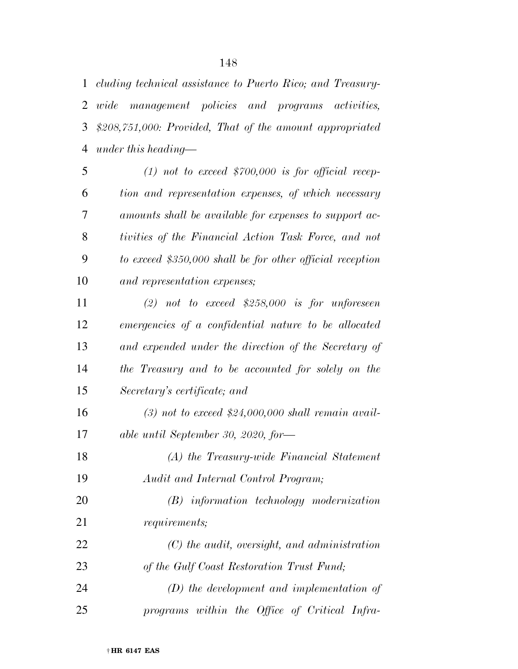*cluding technical assistance to Puerto Rico; and Treasury- wide management policies and programs activities, \$208,751,000: Provided, That of the amount appropriated under this heading—* 

 *(1) not to exceed \$700,000 is for official recep- tion and representation expenses, of which necessary amounts shall be available for expenses to support ac- tivities of the Financial Action Task Force, and not to exceed \$350,000 shall be for other official reception and representation expenses;* 

 *(2) not to exceed \$258,000 is for unforeseen emergencies of a confidential nature to be allocated and expended under the direction of the Secretary of the Treasury and to be accounted for solely on the Secretary's certificate; and (3) not to exceed \$24,000,000 shall remain avail- able until September 30, 2020, for— (A) the Treasury-wide Financial Statement Audit and Internal Control Program; (B) information technology modernization requirements; (C) the audit, oversight, and administration of the Gulf Coast Restoration Trust Fund; (D) the development and implementation of* 

*programs within the Office of Critical Infra-*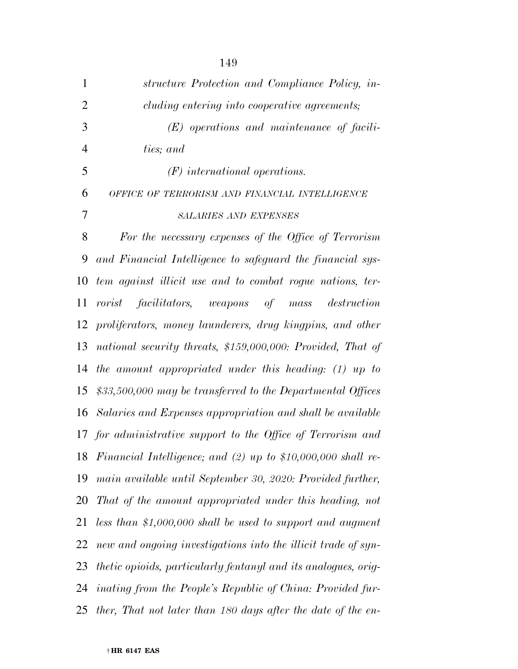| $\mathbf{1}$   | structure Protection and Compliance Policy, in-                       |
|----------------|-----------------------------------------------------------------------|
| $\overline{2}$ | cluding entering into cooperative agreements;                         |
| 3              | $(E)$ operations and maintenance of facili-                           |
| $\overline{4}$ | ties; and                                                             |
| 5              | $(F)$ international operations.                                       |
| 6              | OFFICE OF TERRORISM AND FINANCIAL INTELLIGENCE                        |
| 7              | <b>SALARIES AND EXPENSES</b>                                          |
| 8              | For the necessary expenses of the Office of Terrorism                 |
| 9              | and Financial Intelligence to safeguard the financial sys-            |
| 10             | tem against illicit use and to combat roque nations, ter-             |
| 11             | rorist facilitators, weapons of mass destruction                      |
| 12             | proliferators, money launderers, drug kingpins, and other             |
| 13             | national security threats, \$159,000,000: Provided, That of           |
| 14             | the amount appropriated under this heading: $(1)$ up to               |
| 15             | $$33,500,000$ may be transferred to the Departmental Offices          |
| 16             | Salaries and Expenses appropriation and shall be available            |
|                | 17 for administrative support to the Office of Terrorism and          |
|                | 18 Financial Intelligence; and (2) up to $$10,000,000$ shall re-      |
| 19             | main available until September 30, 2020: Provided further,            |
| 20             | That of the amount appropriated under this heading, not               |
| 21             | less than \$1,000,000 shall be used to support and augment            |
| 22             | new and ongoing investigations into the illicit trade of syn-         |
| 23             | <i>thetic opioids, particularly fentanyl and its analogues, orig-</i> |
| 24             | inating from the People's Republic of China: Provided fur-            |
| 25             | ther, That not later than 180 days after the date of the en-          |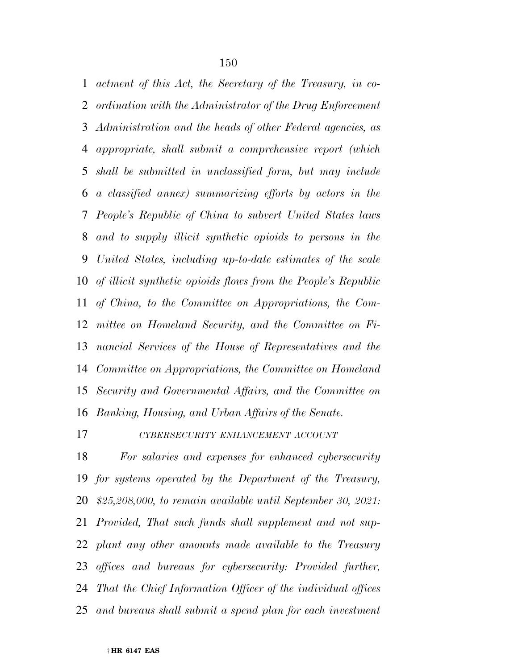*actment of this Act, the Secretary of the Treasury, in co- ordination with the Administrator of the Drug Enforcement Administration and the heads of other Federal agencies, as appropriate, shall submit a comprehensive report (which shall be submitted in unclassified form, but may include a classified annex) summarizing efforts by actors in the People's Republic of China to subvert United States laws and to supply illicit synthetic opioids to persons in the United States, including up-to-date estimates of the scale of illicit synthetic opioids flows from the People's Republic of China, to the Committee on Appropriations, the Com- mittee on Homeland Security, and the Committee on Fi- nancial Services of the House of Representatives and the Committee on Appropriations, the Committee on Homeland Security and Governmental Affairs, and the Committee on Banking, Housing, and Urban Affairs of the Senate.* 

*CYBERSECURITY ENHANCEMENT ACCOUNT*

 *For salaries and expenses for enhanced cybersecurity for systems operated by the Department of the Treasury, \$25,208,000, to remain available until September 30, 2021: Provided, That such funds shall supplement and not sup- plant any other amounts made available to the Treasury offices and bureaus for cybersecurity: Provided further, That the Chief Information Officer of the individual offices and bureaus shall submit a spend plan for each investment*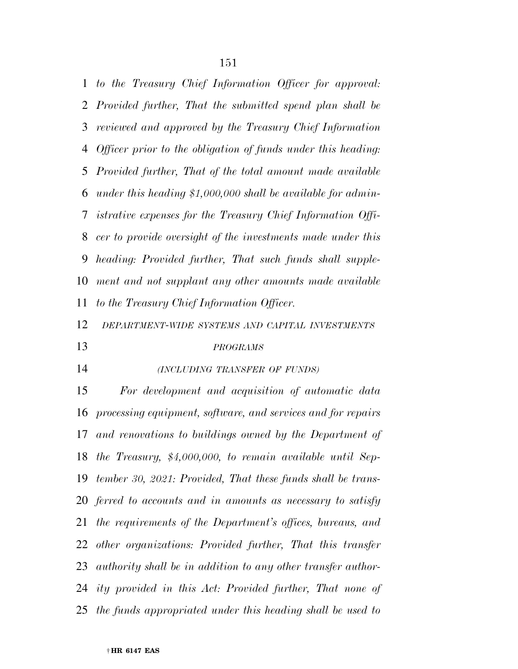*to the Treasury Chief Information Officer for approval: Provided further, That the submitted spend plan shall be reviewed and approved by the Treasury Chief Information Officer prior to the obligation of funds under this heading: Provided further, That of the total amount made available under this heading \$1,000,000 shall be available for admin- istrative expenses for the Treasury Chief Information Offi- cer to provide oversight of the investments made under this heading: Provided further, That such funds shall supple- ment and not supplant any other amounts made available to the Treasury Chief Information Officer.* 

*DEPARTMENT-WIDE SYSTEMS AND CAPITAL INVESTMENTS*

### *PROGRAMS*

## *(INCLUDING TRANSFER OF FUNDS)*

 *For development and acquisition of automatic data processing equipment, software, and services and for repairs and renovations to buildings owned by the Department of the Treasury, \$4,000,000, to remain available until Sep- tember 30, 2021: Provided, That these funds shall be trans- ferred to accounts and in amounts as necessary to satisfy the requirements of the Department's offices, bureaus, and other organizations: Provided further, That this transfer authority shall be in addition to any other transfer author- ity provided in this Act: Provided further, That none of the funds appropriated under this heading shall be used to*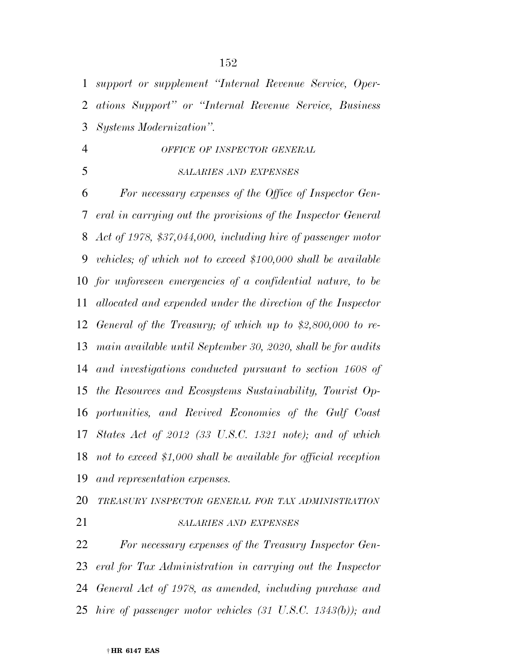*support or supplement ''Internal Revenue Service, Oper-ations Support'' or ''Internal Revenue Service, Business* 

*Systems Modernization''.* 

# *OFFICE OF INSPECTOR GENERAL*

*SALARIES AND EXPENSES*

 *For necessary expenses of the Office of Inspector Gen- eral in carrying out the provisions of the Inspector General Act of 1978, \$37,044,000, including hire of passenger motor vehicles; of which not to exceed \$100,000 shall be available for unforeseen emergencies of a confidential nature, to be allocated and expended under the direction of the Inspector General of the Treasury; of which up to \$2,800,000 to re- main available until September 30, 2020, shall be for audits and investigations conducted pursuant to section 1608 of the Resources and Ecosystems Sustainability, Tourist Op- portunities, and Revived Economies of the Gulf Coast States Act of 2012 (33 U.S.C. 1321 note); and of which not to exceed \$1,000 shall be available for official reception and representation expenses.* 

 *TREASURY INSPECTOR GENERAL FOR TAX ADMINISTRATION SALARIES AND EXPENSES*

 *For necessary expenses of the Treasury Inspector Gen- eral for Tax Administration in carrying out the Inspector General Act of 1978, as amended, including purchase and hire of passenger motor vehicles (31 U.S.C. 1343(b)); and*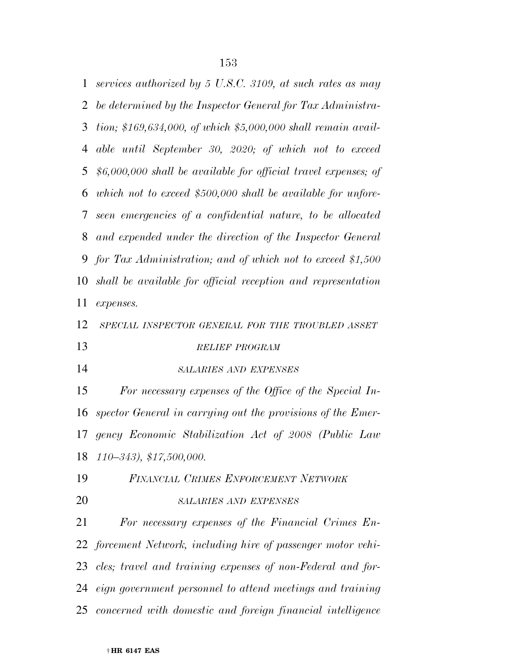*services authorized by 5 U.S.C. 3109, at such rates as may be determined by the Inspector General for Tax Administra- tion; \$169,634,000, of which \$5,000,000 shall remain avail- able until September 30, 2020; of which not to exceed \$6,000,000 shall be available for official travel expenses; of which not to exceed \$500,000 shall be available for unfore- seen emergencies of a confidential nature, to be allocated and expended under the direction of the Inspector General for Tax Administration; and of which not to exceed \$1,500 shall be available for official reception and representation expenses. SPECIAL INSPECTOR GENERAL FOR THE TROUBLED ASSET RELIEF PROGRAM SALARIES AND EXPENSES For necessary expenses of the Office of the Special In- spector General in carrying out the provisions of the Emer- gency Economic Stabilization Act of 2008 (Public Law 110–343), \$17,500,000. FINANCIAL CRIMES ENFORCEMENT NETWORK SALARIES AND EXPENSES For necessary expenses of the Financial Crimes En- forcement Network, including hire of passenger motor vehi- cles; travel and training expenses of non-Federal and for- eign government personnel to attend meetings and training concerned with domestic and foreign financial intelligence*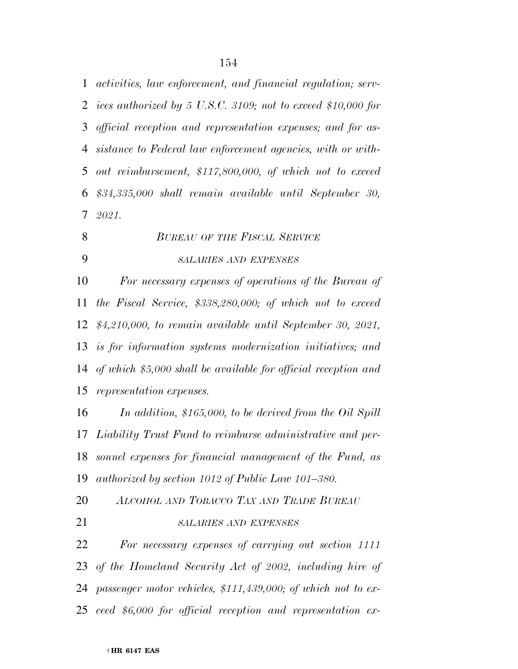*activities, law enforcement, and financial regulation; serv- ices authorized by 5 U.S.C. 3109; not to exceed \$10,000 for official reception and representation expenses; and for as- sistance to Federal law enforcement agencies, with or with- out reimbursement, \$117,800,000, of which not to exceed \$34,335,000 shall remain available until September 30, 2021.* 

- *BUREAU OF THE FISCAL SERVICE*
- 

## *SALARIES AND EXPENSES*

 *For necessary expenses of operations of the Bureau of the Fiscal Service, \$338,280,000; of which not to exceed \$4,210,000, to remain available until September 30, 2021, is for information systems modernization initiatives; and of which \$5,000 shall be available for official reception and representation expenses.* 

 *In addition, \$165,000, to be derived from the Oil Spill Liability Trust Fund to reimburse administrative and per- sonnel expenses for financial management of the Fund, as authorized by section 1012 of Public Law 101–380.* 

*ALCOHOL AND TOBACCO TAX AND TRADE BUREAU*

# *SALARIES AND EXPENSES*

 *For necessary expenses of carrying out section 1111 of the Homeland Security Act of 2002, including hire of passenger motor vehicles, \$111,439,000; of which not to ex-ceed \$6,000 for official reception and representation ex-*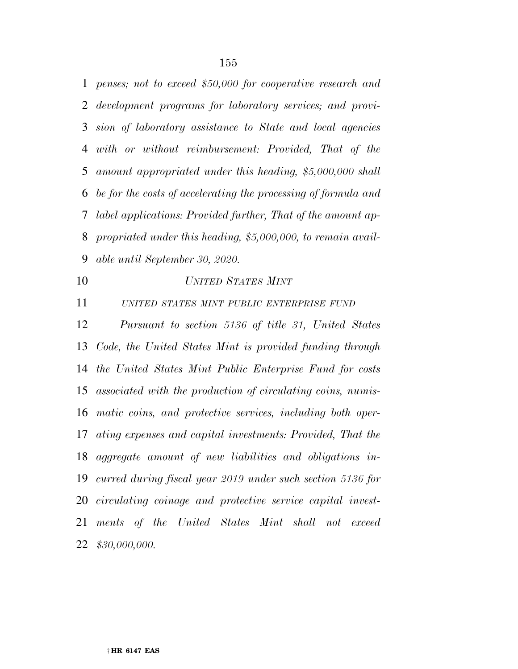*penses; not to exceed \$50,000 for cooperative research and development programs for laboratory services; and provi- sion of laboratory assistance to State and local agencies with or without reimbursement: Provided, That of the amount appropriated under this heading, \$5,000,000 shall be for the costs of accelerating the processing of formula and label applications: Provided further, That of the amount ap- propriated under this heading, \$5,000,000, to remain avail-able until September 30, 2020.* 

## *UNITED STATES MINT*

*UNITED STATES MINT PUBLIC ENTERPRISE FUND*

 *Pursuant to section 5136 of title 31, United States Code, the United States Mint is provided funding through the United States Mint Public Enterprise Fund for costs associated with the production of circulating coins, numis- matic coins, and protective services, including both oper- ating expenses and capital investments: Provided, That the aggregate amount of new liabilities and obligations in- curred during fiscal year 2019 under such section 5136 for circulating coinage and protective service capital invest- ments of the United States Mint shall not exceed \$30,000,000.*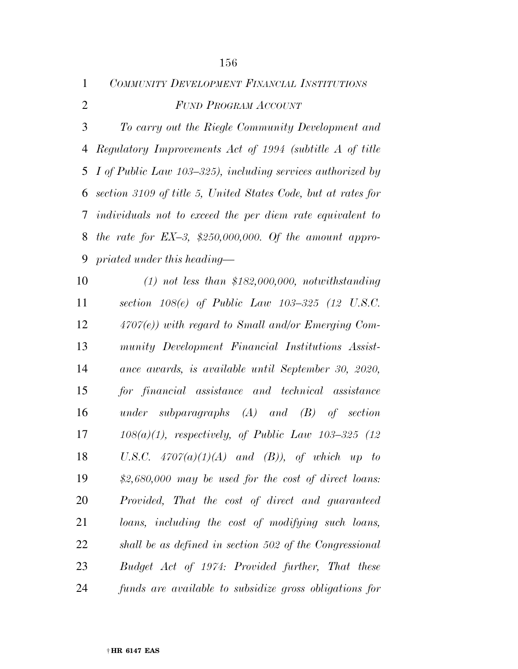| $\mathbf{1}$   | COMMUNITY DEVELOPMENT FINANCIAL INSTITUTIONS                  |
|----------------|---------------------------------------------------------------|
| $\overline{2}$ | <b>FUND PROGRAM ACCOUNT</b>                                   |
| 3              | To carry out the Riegle Community Development and             |
| 4              | Regulatory Improvements Act of 1994 (subtitle A of title      |
| 5              | I of Public Law 103–325), including services authorized by    |
| 6              | section 3109 of title 5, United States Code, but at rates for |
| 7              | individuals not to exceed the per diem rate equivalent to     |
| 8              | the rate for $EX-3$ , \$250,000,000. Of the amount appro-     |
| 9              | priated under this heading—                                   |
| 10             | $(1)$ not less than \$182,000,000, notwithstanding            |
| 11             | section $108(e)$ of Public Law $103-325$ (12 U.S.C.           |
| 12             | $4707(e)$ ) with regard to Small and/or Emerging Com-         |
| 13             | munity Development Financial Institutions Assist-             |
| 14             | ance awards, is available until September 30, 2020,           |
| 15             | for financial assistance and technical assistance             |
| 16             | under subparagraphs $(A)$ and $(B)$ of section                |
| 17             | $108(a)(1)$ , respectively, of Public Law $103-325$ (12)      |
| 18             | U.S.C. $4707(a)(1)(A)$ and (B)), of which up to               |
| 19             | $$2,680,000$ may be used for the cost of direct loans:        |
| 20             | Provided, That the cost of direct and guaranteed              |
| 21             | loans, including the cost of modifying such loans,            |
| 22             | shall be as defined in section 502 of the Congressional       |
| 23             | Budget Act of 1974: Provided further, That these              |
| 24             | funds are available to subsidize gross obligations for        |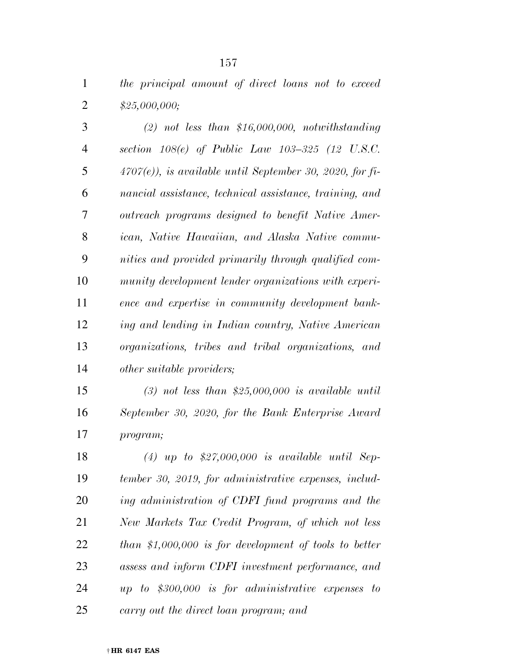*the principal amount of direct loans not to exceed \$25,000,000;* 

 *(2) not less than \$16,000,000, notwithstanding section 108(e) of Public Law 103–325 (12 U.S.C. 4707(e)), is available until September 30, 2020, for fi- nancial assistance, technical assistance, training, and outreach programs designed to benefit Native Amer- ican, Native Hawaiian, and Alaska Native commu- nities and provided primarily through qualified com- munity development lender organizations with experi- ence and expertise in community development bank- ing and lending in Indian country, Native American organizations, tribes and tribal organizations, and other suitable providers;* 

 *(3) not less than \$25,000,000 is available until September 30, 2020, for the Bank Enterprise Award program;* 

 *(4) up to \$27,000,000 is available until Sep- tember 30, 2019, for administrative expenses, includ- ing administration of CDFI fund programs and the New Markets Tax Credit Program, of which not less than \$1,000,000 is for development of tools to better assess and inform CDFI investment performance, and up to \$300,000 is for administrative expenses to carry out the direct loan program; and*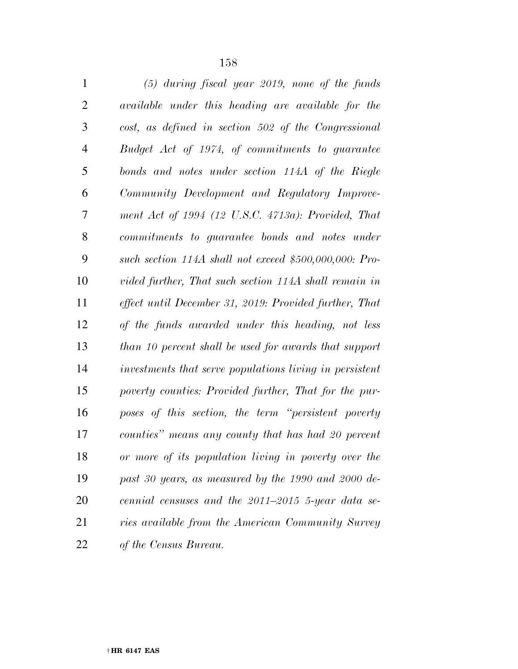| $\mathbf{1}$   | $(5)$ during fiscal year 2019, none of the funds         |
|----------------|----------------------------------------------------------|
| $\overline{2}$ | available under this heading are available for the       |
| 3              | cost, as defined in section 502 of the Congressional     |
| $\overline{4}$ | Budget Act of 1974, of commitments to guarantee          |
| 5              | bonds and notes under section 114A of the Riegle         |
| 6              | Community Development and Regulatory Improve-            |
| 7              | ment Act of $1994$ (12 U.S.C. $4713a$ ): Provided, That  |
| 8              | commitments to guarantee bonds and notes under           |
| 9              | such section $114A$ shall not exceed \$500,000,000: Pro- |
| 10             | vided further, That such section 114A shall remain in    |
| 11             | effect until December 31, 2019: Provided further, That   |
| 12             | of the funds awarded under this heading, not less        |
| 13             | than 10 percent shall be used for awards that support    |
| 14             | investments that serve populations living in persistent  |
| 15             | poverty counties: Provided further, That for the pur-    |
| 16             | poses of this section, the term "persistent poverty      |
| 17             | counties" means any county that has had 20 percent       |
| 18             | or more of its population living in poverty over the     |
| 19             | past 30 years, as measured by the 1990 and 2000 de-      |
| 20             | cennial censuses and the $2011-2015$ 5-year data se-     |
| 21             | ries available from the American Community Survey        |
| 22             | of the Census Bureau.                                    |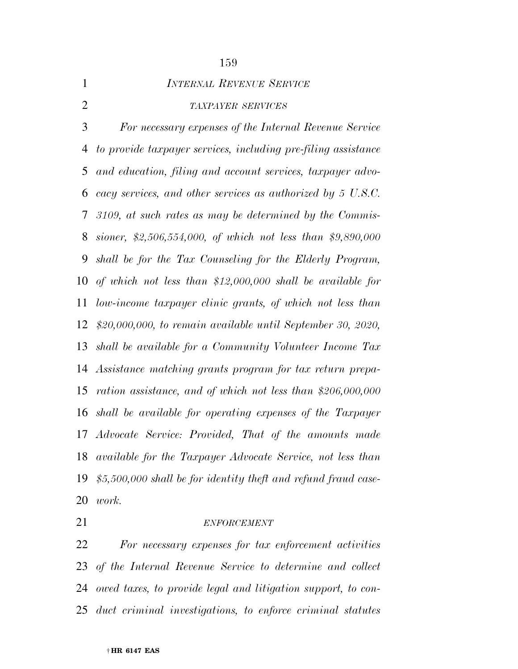*INTERNAL REVENUE SERVICE*

## *TAXPAYER SERVICES*

 *For necessary expenses of the Internal Revenue Service to provide taxpayer services, including pre-filing assistance and education, filing and account services, taxpayer advo- cacy services, and other services as authorized by 5 U.S.C. 3109, at such rates as may be determined by the Commis- sioner, \$2,506,554,000, of which not less than \$9,890,000 shall be for the Tax Counseling for the Elderly Program, of which not less than \$12,000,000 shall be available for low-income taxpayer clinic grants, of which not less than \$20,000,000, to remain available until September 30, 2020, shall be available for a Community Volunteer Income Tax Assistance matching grants program for tax return prepa- ration assistance, and of which not less than \$206,000,000 shall be available for operating expenses of the Taxpayer Advocate Service: Provided, That of the amounts made available for the Taxpayer Advocate Service, not less than \$5,500,000 shall be for identity theft and refund fraud case-work.* 

## *ENFORCEMENT*

 *For necessary expenses for tax enforcement activities of the Internal Revenue Service to determine and collect owed taxes, to provide legal and litigation support, to con-duct criminal investigations, to enforce criminal statutes*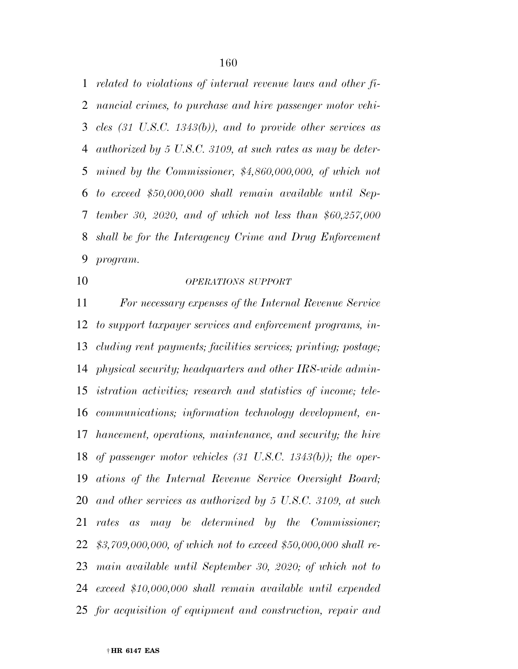*related to violations of internal revenue laws and other fi- nancial crimes, to purchase and hire passenger motor vehi- cles (31 U.S.C. 1343(b)), and to provide other services as authorized by 5 U.S.C. 3109, at such rates as may be deter- mined by the Commissioner, \$4,860,000,000, of which not to exceed \$50,000,000 shall remain available until Sep- tember 30, 2020, and of which not less than \$60,257,000 shall be for the Interagency Crime and Drug Enforcement program.* 

## *OPERATIONS SUPPORT*

 *For necessary expenses of the Internal Revenue Service to support taxpayer services and enforcement programs, in- cluding rent payments; facilities services; printing; postage; physical security; headquarters and other IRS-wide admin- istration activities; research and statistics of income; tele- communications; information technology development, en- hancement, operations, maintenance, and security; the hire of passenger motor vehicles (31 U.S.C. 1343(b)); the oper- ations of the Internal Revenue Service Oversight Board; and other services as authorized by 5 U.S.C. 3109, at such rates as may be determined by the Commissioner; \$3,709,000,000, of which not to exceed \$50,000,000 shall re- main available until September 30, 2020; of which not to exceed \$10,000,000 shall remain available until expended for acquisition of equipment and construction, repair and*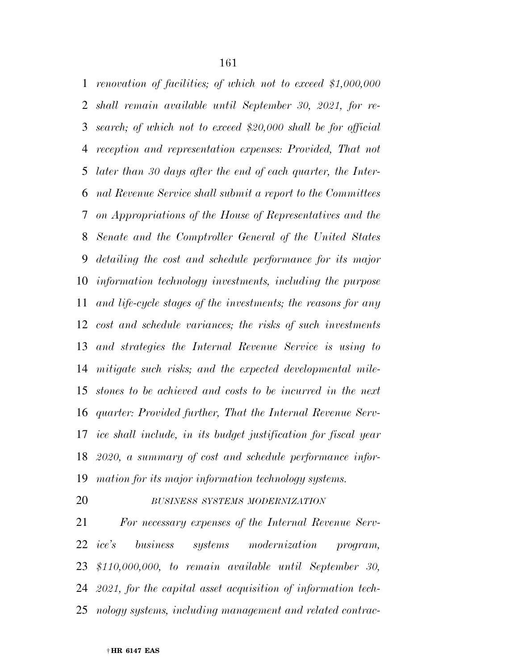*renovation of facilities; of which not to exceed \$1,000,000 shall remain available until September 30, 2021, for re- search; of which not to exceed \$20,000 shall be for official reception and representation expenses: Provided, That not later than 30 days after the end of each quarter, the Inter- nal Revenue Service shall submit a report to the Committees on Appropriations of the House of Representatives and the Senate and the Comptroller General of the United States detailing the cost and schedule performance for its major information technology investments, including the purpose and life-cycle stages of the investments; the reasons for any cost and schedule variances; the risks of such investments and strategies the Internal Revenue Service is using to mitigate such risks; and the expected developmental mile- stones to be achieved and costs to be incurred in the next quarter: Provided further, That the Internal Revenue Serv- ice shall include, in its budget justification for fiscal year 2020, a summary of cost and schedule performance infor-mation for its major information technology systems.* 

### *BUSINESS SYSTEMS MODERNIZATION*

 *For necessary expenses of the Internal Revenue Serv- ice's business systems modernization program, \$110,000,000, to remain available until September 30, 2021, for the capital asset acquisition of information tech-nology systems, including management and related contrac-*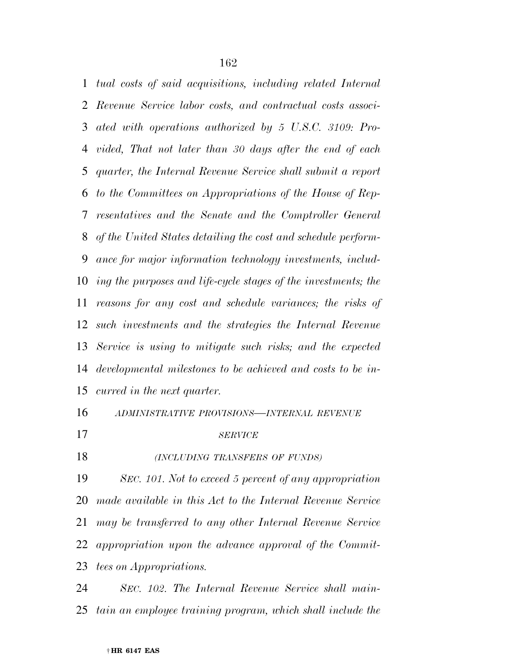*tual costs of said acquisitions, including related Internal Revenue Service labor costs, and contractual costs associ- ated with operations authorized by 5 U.S.C. 3109: Pro- vided, That not later than 30 days after the end of each quarter, the Internal Revenue Service shall submit a report to the Committees on Appropriations of the House of Rep- resentatives and the Senate and the Comptroller General of the United States detailing the cost and schedule perform- ance for major information technology investments, includ- ing the purposes and life-cycle stages of the investments; the reasons for any cost and schedule variances; the risks of such investments and the strategies the Internal Revenue Service is using to mitigate such risks; and the expected developmental milestones to be achieved and costs to be in-curred in the next quarter.* 

# *ADMINISTRATIVE PROVISIONS—INTERNAL REVENUE*

*SERVICE*

*(INCLUDING TRANSFERS OF FUNDS)*

 *SEC. 101. Not to exceed 5 percent of any appropriation made available in this Act to the Internal Revenue Service may be transferred to any other Internal Revenue Service appropriation upon the advance approval of the Commit-tees on Appropriations.* 

 *SEC. 102. The Internal Revenue Service shall main-tain an employee training program, which shall include the*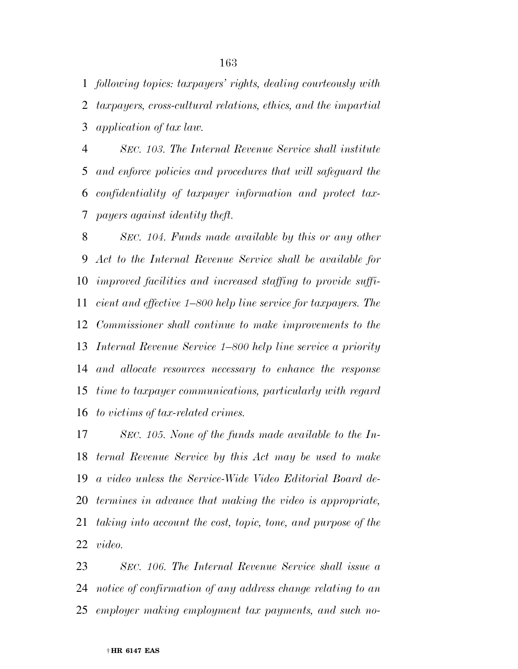*following topics: taxpayers' rights, dealing courteously with taxpayers, cross-cultural relations, ethics, and the impartial application of tax law.* 

 *SEC. 103. The Internal Revenue Service shall institute and enforce policies and procedures that will safeguard the confidentiality of taxpayer information and protect tax-payers against identity theft.* 

 *SEC. 104. Funds made available by this or any other Act to the Internal Revenue Service shall be available for improved facilities and increased staffing to provide suffi- cient and effective 1–800 help line service for taxpayers. The Commissioner shall continue to make improvements to the Internal Revenue Service 1–800 help line service a priority and allocate resources necessary to enhance the response time to taxpayer communications, particularly with regard to victims of tax-related crimes.* 

 *SEC. 105. None of the funds made available to the In- ternal Revenue Service by this Act may be used to make a video unless the Service-Wide Video Editorial Board de- termines in advance that making the video is appropriate, taking into account the cost, topic, tone, and purpose of the video.* 

 *SEC. 106. The Internal Revenue Service shall issue a notice of confirmation of any address change relating to an employer making employment tax payments, and such no-*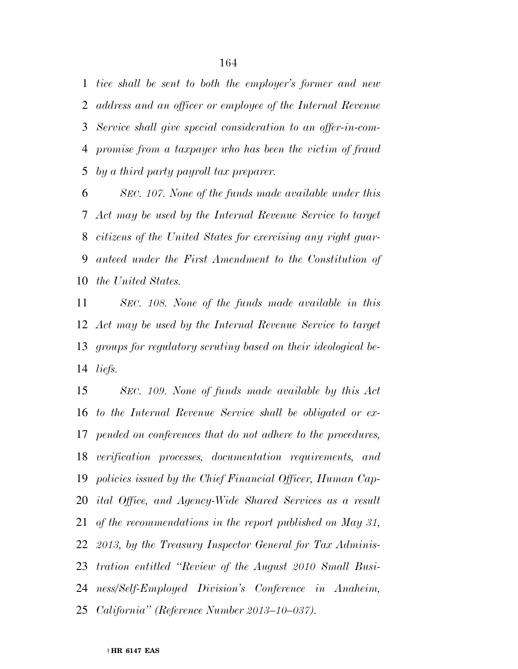*tice shall be sent to both the employer's former and new address and an officer or employee of the Internal Revenue Service shall give special consideration to an offer-in-com- promise from a taxpayer who has been the victim of fraud by a third party payroll tax preparer.* 

 *SEC. 107. None of the funds made available under this Act may be used by the Internal Revenue Service to target citizens of the United States for exercising any right guar- anteed under the First Amendment to the Constitution of the United States.* 

 *SEC. 108. None of the funds made available in this Act may be used by the Internal Revenue Service to target groups for regulatory scrutiny based on their ideological be-liefs.* 

 *SEC. 109. None of funds made available by this Act to the Internal Revenue Service shall be obligated or ex- pended on conferences that do not adhere to the procedures, verification processes, documentation requirements, and policies issued by the Chief Financial Officer, Human Cap- ital Office, and Agency-Wide Shared Services as a result of the recommendations in the report published on May 31, 2013, by the Treasury Inspector General for Tax Adminis- tration entitled ''Review of the August 2010 Small Busi- ness/Self-Employed Division's Conference in Anaheim, California'' (Reference Number 2013–10–037).*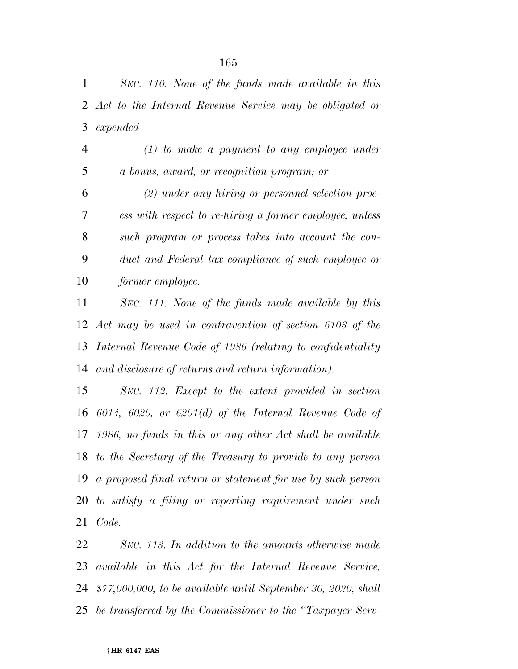*SEC. 110. None of the funds made available in this Act to the Internal Revenue Service may be obligated or expended—* 

 *(1) to make a payment to any employee under a bonus, award, or recognition program; or* 

 *(2) under any hiring or personnel selection proc- ess with respect to re-hiring a former employee, unless such program or process takes into account the con- duct and Federal tax compliance of such employee or former employee.* 

 *SEC. 111. None of the funds made available by this Act may be used in contravention of section 6103 of the Internal Revenue Code of 1986 (relating to confidentiality and disclosure of returns and return information).* 

 *SEC. 112. Except to the extent provided in section 6014, 6020, or 6201(d) of the Internal Revenue Code of 1986, no funds in this or any other Act shall be available to the Secretary of the Treasury to provide to any person a proposed final return or statement for use by such person to satisfy a filing or reporting requirement under such Code.* 

 *SEC. 113. In addition to the amounts otherwise made available in this Act for the Internal Revenue Service, \$77,000,000, to be available until September 30, 2020, shall be transferred by the Commissioner to the ''Taxpayer Serv-*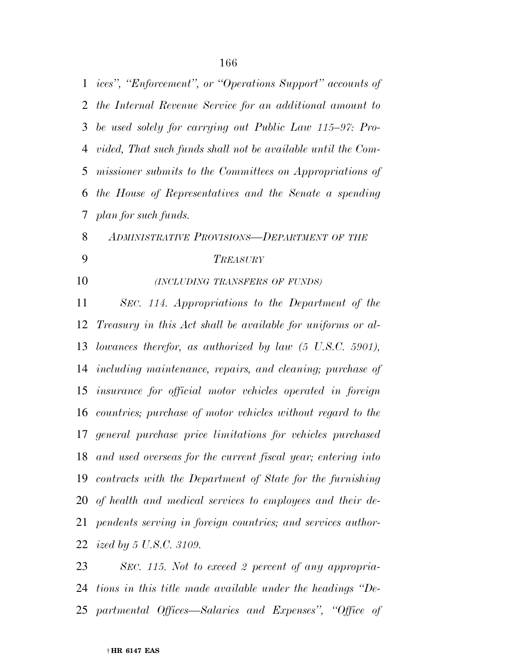*ices'', ''Enforcement'', or ''Operations Support'' accounts of the Internal Revenue Service for an additional amount to be used solely for carrying out Public Law 115–97: Pro- vided, That such funds shall not be available until the Com- missioner submits to the Committees on Appropriations of the House of Representatives and the Senate a spending plan for such funds.* 

 *ADMINISTRATIVE PROVISIONS—DEPARTMENT OF THE TREASURY*

## *(INCLUDING TRANSFERS OF FUNDS)*

 *SEC. 114. Appropriations to the Department of the Treasury in this Act shall be available for uniforms or al- lowances therefor, as authorized by law (5 U.S.C. 5901), including maintenance, repairs, and cleaning; purchase of insurance for official motor vehicles operated in foreign countries; purchase of motor vehicles without regard to the general purchase price limitations for vehicles purchased and used overseas for the current fiscal year; entering into contracts with the Department of State for the furnishing of health and medical services to employees and their de- pendents serving in foreign countries; and services author-ized by 5 U.S.C. 3109.* 

 *SEC. 115. Not to exceed 2 percent of any appropria- tions in this title made available under the headings ''De-partmental Offices—Salaries and Expenses'', ''Office of*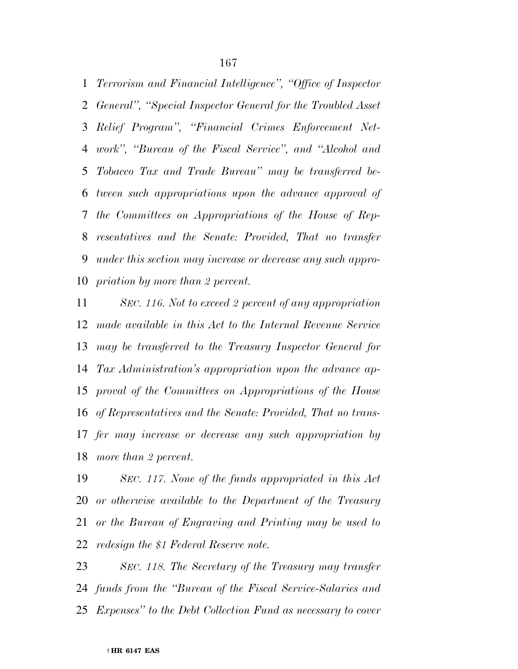*Terrorism and Financial Intelligence'', ''Office of Inspector General'', ''Special Inspector General for the Troubled Asset Relief Program'', ''Financial Crimes Enforcement Net- work'', ''Bureau of the Fiscal Service'', and ''Alcohol and Tobacco Tax and Trade Bureau'' may be transferred be- tween such appropriations upon the advance approval of the Committees on Appropriations of the House of Rep- resentatives and the Senate: Provided, That no transfer under this section may increase or decrease any such appro-priation by more than 2 percent.* 

 *SEC. 116. Not to exceed 2 percent of any appropriation made available in this Act to the Internal Revenue Service may be transferred to the Treasury Inspector General for Tax Administration's appropriation upon the advance ap- proval of the Committees on Appropriations of the House of Representatives and the Senate: Provided, That no trans- fer may increase or decrease any such appropriation by more than 2 percent.* 

 *SEC. 117. None of the funds appropriated in this Act or otherwise available to the Department of the Treasury or the Bureau of Engraving and Printing may be used to redesign the \$1 Federal Reserve note.* 

 *SEC. 118. The Secretary of the Treasury may transfer funds from the ''Bureau of the Fiscal Service-Salaries and Expenses'' to the Debt Collection Fund as necessary to cover*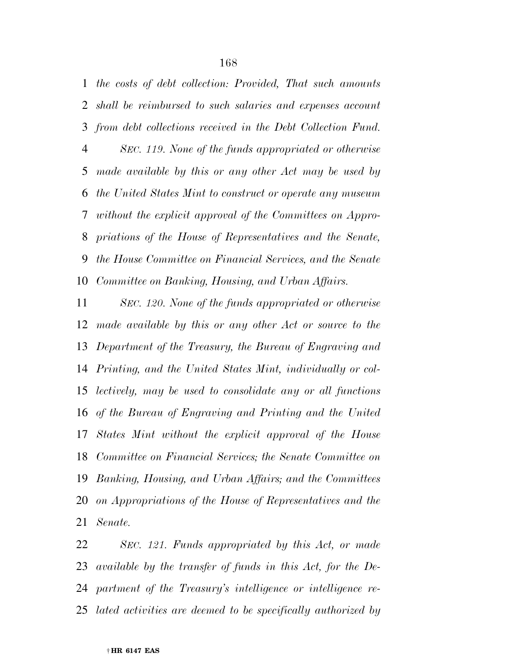*the costs of debt collection: Provided, That such amounts shall be reimbursed to such salaries and expenses account from debt collections received in the Debt Collection Fund. SEC. 119. None of the funds appropriated or otherwise made available by this or any other Act may be used by the United States Mint to construct or operate any museum without the explicit approval of the Committees on Appro- priations of the House of Representatives and the Senate, the House Committee on Financial Services, and the Senate Committee on Banking, Housing, and Urban Affairs.* 

 *SEC. 120. None of the funds appropriated or otherwise made available by this or any other Act or source to the Department of the Treasury, the Bureau of Engraving and Printing, and the United States Mint, individually or col- lectively, may be used to consolidate any or all functions of the Bureau of Engraving and Printing and the United States Mint without the explicit approval of the House Committee on Financial Services; the Senate Committee on Banking, Housing, and Urban Affairs; and the Committees on Appropriations of the House of Representatives and the Senate.* 

 *SEC. 121. Funds appropriated by this Act, or made available by the transfer of funds in this Act, for the De- partment of the Treasury's intelligence or intelligence re-lated activities are deemed to be specifically authorized by*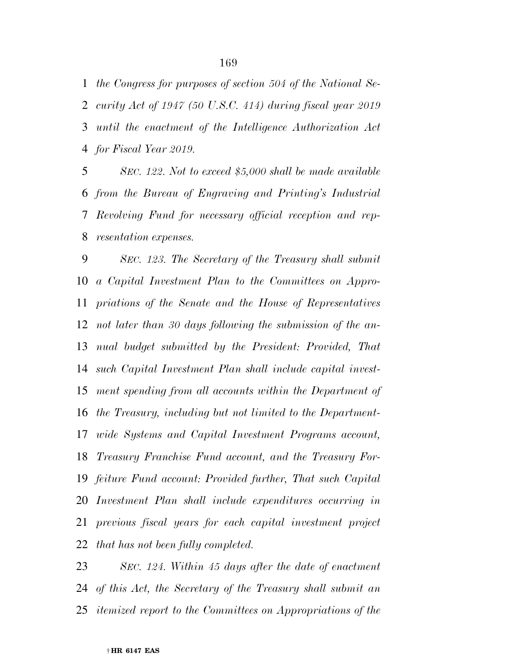*the Congress for purposes of section 504 of the National Se- curity Act of 1947 (50 U.S.C. 414) during fiscal year 2019 until the enactment of the Intelligence Authorization Act for Fiscal Year 2019.* 

 *SEC. 122. Not to exceed \$5,000 shall be made available from the Bureau of Engraving and Printing's Industrial Revolving Fund for necessary official reception and rep-resentation expenses.* 

 *SEC. 123. The Secretary of the Treasury shall submit a Capital Investment Plan to the Committees on Appro- priations of the Senate and the House of Representatives not later than 30 days following the submission of the an- nual budget submitted by the President: Provided, That such Capital Investment Plan shall include capital invest- ment spending from all accounts within the Department of the Treasury, including but not limited to the Department- wide Systems and Capital Investment Programs account, Treasury Franchise Fund account, and the Treasury For- feiture Fund account: Provided further, That such Capital Investment Plan shall include expenditures occurring in previous fiscal years for each capital investment project that has not been fully completed.* 

 *SEC. 124. Within 45 days after the date of enactment of this Act, the Secretary of the Treasury shall submit an itemized report to the Committees on Appropriations of the*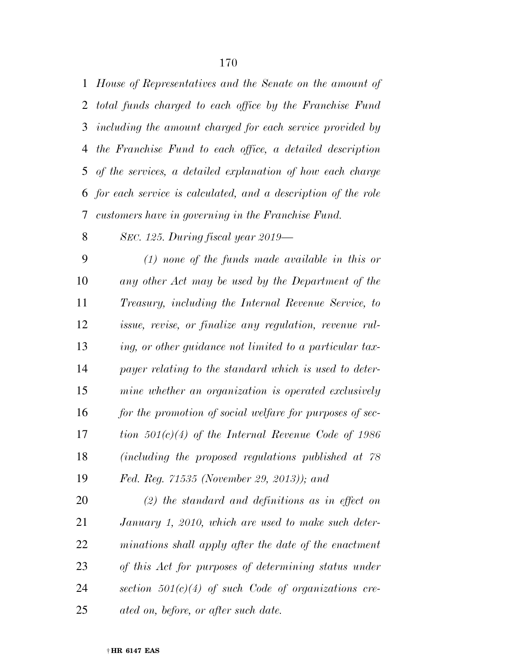*House of Representatives and the Senate on the amount of total funds charged to each office by the Franchise Fund including the amount charged for each service provided by the Franchise Fund to each office, a detailed description of the services, a detailed explanation of how each charge for each service is calculated, and a description of the role customers have in governing in the Franchise Fund.* 

*SEC. 125. During fiscal year 2019—* 

 *(1) none of the funds made available in this or any other Act may be used by the Department of the Treasury, including the Internal Revenue Service, to issue, revise, or finalize any regulation, revenue rul- ing, or other guidance not limited to a particular tax- payer relating to the standard which is used to deter- mine whether an organization is operated exclusively for the promotion of social welfare for purposes of sec- tion 501(c)(4) of the Internal Revenue Code of 1986 (including the proposed regulations published at 78 Fed. Reg. 71535 (November 29, 2013)); and* 

 *(2) the standard and definitions as in effect on January 1, 2010, which are used to make such deter- minations shall apply after the date of the enactment of this Act for purposes of determining status under section 501(c)(4) of such Code of organizations cre-ated on, before, or after such date.*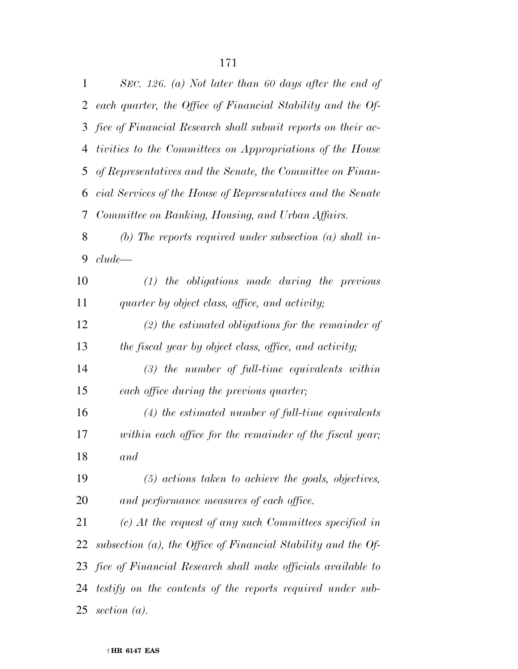| 1              | SEC. 126. (a) Not later than 60 days after the end of            |
|----------------|------------------------------------------------------------------|
| $\overline{2}$ | each quarter, the Office of Financial Stability and the Of-      |
| 3              | fice of Financial Research shall submit reports on their ac-     |
| $\overline{4}$ | tivities to the Committees on Appropriations of the House        |
| 5              | of Representatives and the Senate, the Committee on Finan-       |
| 6              | cial Services of the House of Representatives and the Senate     |
| 7              | Committee on Banking, Housing, and Urban Affairs.                |
| 8              | (b) The reports required under subsection (a) shall in-          |
| 9              | clude                                                            |
| 10             | $(1)$ the obligations made during the previous                   |
| 11             | quarter by object class, office, and activity;                   |
| 12             | $(2)$ the estimated obligations for the remainder of             |
| 13             | the fiscal year by object class, office, and activity;           |
| 14             | $(3)$ the number of full-time equivalents within                 |
| 15             | each office during the previous quarter;                         |
| 16             | $(4)$ the estimated number of full-time equivalents              |
| 17             | within each office for the remainder of the fiscal year;         |
| 18             | and                                                              |
| 19             | $(5)$ actions taken to achieve the goals, objectives,            |
| 20             | and performance measures of each office.                         |
| 21             | $(c)$ At the request of any such Committees specified in         |
| 22             | subsection $(a)$ , the Office of Financial Stability and the Of- |
| 23             | fice of Financial Research shall make officials available to     |
| 24             | testify on the contents of the reports required under sub-       |
| 25             | section $(a)$ .                                                  |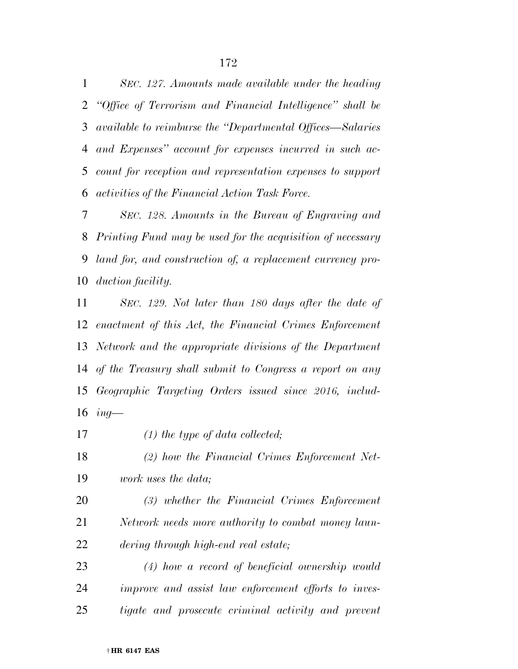*SEC. 127. Amounts made available under the heading ''Office of Terrorism and Financial Intelligence'' shall be available to reimburse the ''Departmental Offices—Salaries and Expenses'' account for expenses incurred in such ac- count for reception and representation expenses to support activities of the Financial Action Task Force.* 

 *SEC. 128. Amounts in the Bureau of Engraving and Printing Fund may be used for the acquisition of necessary land for, and construction of, a replacement currency pro-duction facility.* 

 *SEC. 129. Not later than 180 days after the date of enactment of this Act, the Financial Crimes Enforcement Network and the appropriate divisions of the Department of the Treasury shall submit to Congress a report on any Geographic Targeting Orders issued since 2016, includ-ing—* 

*(1) the type of data collected;* 

 *(2) how the Financial Crimes Enforcement Net-work uses the data;* 

 *(3) whether the Financial Crimes Enforcement Network needs more authority to combat money laun-dering through high-end real estate;* 

 *(4) how a record of beneficial ownership would improve and assist law enforcement efforts to inves-tigate and prosecute criminal activity and prevent*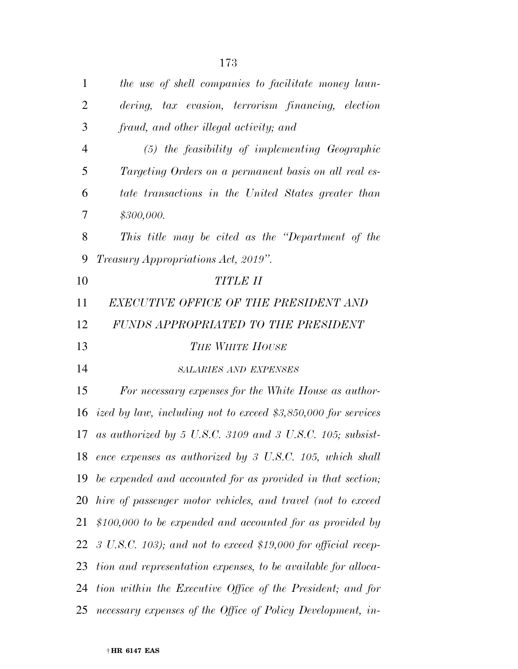| $\mathbf{1}$   | the use of shell companies to facilitate money laun-                     |
|----------------|--------------------------------------------------------------------------|
| $\overline{2}$ | dering, tax evasion, terrorism financing, election                       |
| 3              | fraud, and other illegal activity; and                                   |
| $\overline{4}$ | $(5)$ the feasibility of implementing Geographic                         |
| 5              | Targeting Orders on a permanent basis on all real es-                    |
| 6              | tate transactions in the United States greater than                      |
| 7              | \$300,000.                                                               |
| 8              | This title may be cited as the "Department of the                        |
| 9              | <i>Treasury Appropriations Act, 2019".</i>                               |
| 10             | <b>TITLE II</b>                                                          |
| 11             | EXECUTIVE OFFICE OF THE PRESIDENT AND                                    |
| 12             | FUNDS APPROPRIATED TO THE PRESIDENT                                      |
| 13             | <b>THE WHITE HOUSE</b>                                                   |
| 14             | <b>SALARIES AND EXPENSES</b>                                             |
| 15             | For necessary expenses for the White House as author-                    |
|                | 16 ized by law, including not to exceed $$3,850,000$ for services        |
| 17             | as authorized by 5 U.S.C. 3109 and 3 U.S.C. 105; subsist-                |
|                | 18 ence expenses as authorized by 3 U.S.C. 105, which shall              |
| 19             | be expended and accounted for as provided in that section;               |
| 20             | hire of passenger motor vehicles, and travel (not to exceed              |
| 21             | \$100,000 to be expended and accounted for as provided by                |
| 22             | $3 \text{ U.S.C. } 103$ ; and not to exceed \$19,000 for official recep- |
| 23             | tion and representation expenses, to be available for alloca-            |
| 24             | tion within the Executive Office of the President; and for               |
| 25             | necessary expenses of the Office of Policy Development, in-              |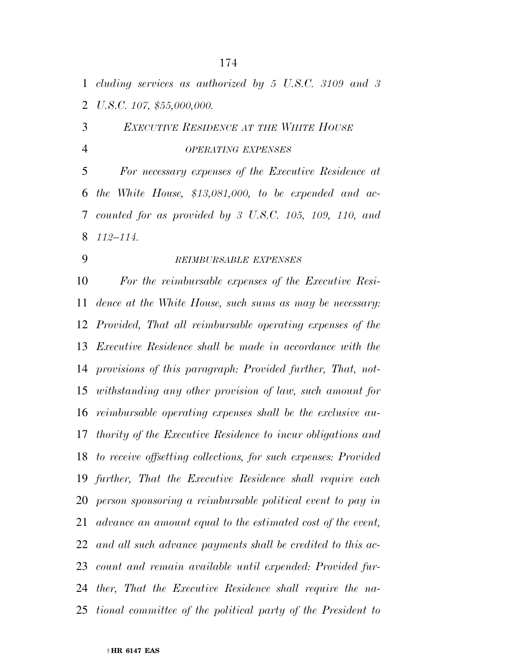*cluding services as authorized by 5 U.S.C. 3109 and 3 U.S.C. 107, \$55,000,000.* 

 *EXECUTIVE RESIDENCE AT THE WHITE HOUSE OPERATING EXPENSES*

 *For necessary expenses of the Executive Residence at the White House, \$13,081,000, to be expended and ac- counted for as provided by 3 U.S.C. 105, 109, 110, and 112–114.* 

## *REIMBURSABLE EXPENSES*

 *For the reimbursable expenses of the Executive Resi- dence at the White House, such sums as may be necessary: Provided, That all reimbursable operating expenses of the Executive Residence shall be made in accordance with the provisions of this paragraph: Provided further, That, not- withstanding any other provision of law, such amount for reimbursable operating expenses shall be the exclusive au- thority of the Executive Residence to incur obligations and to receive offsetting collections, for such expenses: Provided further, That the Executive Residence shall require each person sponsoring a reimbursable political event to pay in advance an amount equal to the estimated cost of the event, and all such advance payments shall be credited to this ac- count and remain available until expended: Provided fur- ther, That the Executive Residence shall require the na-tional committee of the political party of the President to*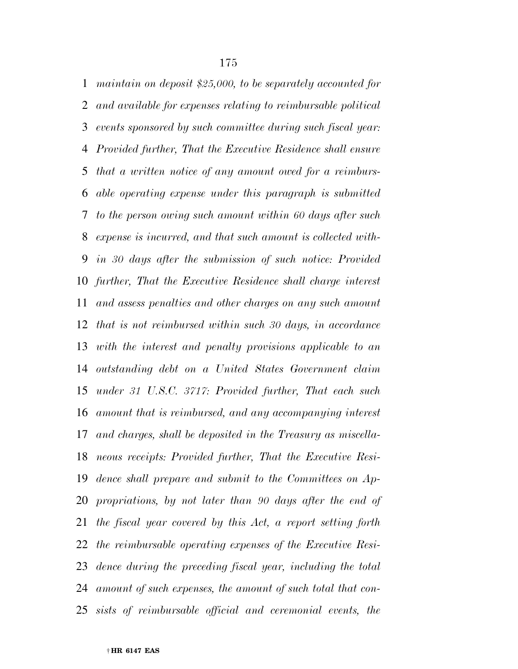*maintain on deposit \$25,000, to be separately accounted for and available for expenses relating to reimbursable political events sponsored by such committee during such fiscal year: Provided further, That the Executive Residence shall ensure that a written notice of any amount owed for a reimburs- able operating expense under this paragraph is submitted to the person owing such amount within 60 days after such expense is incurred, and that such amount is collected with- in 30 days after the submission of such notice: Provided further, That the Executive Residence shall charge interest and assess penalties and other charges on any such amount that is not reimbursed within such 30 days, in accordance with the interest and penalty provisions applicable to an outstanding debt on a United States Government claim under 31 U.S.C. 3717: Provided further, That each such amount that is reimbursed, and any accompanying interest and charges, shall be deposited in the Treasury as miscella- neous receipts: Provided further, That the Executive Resi- dence shall prepare and submit to the Committees on Ap- propriations, by not later than 90 days after the end of the fiscal year covered by this Act, a report setting forth the reimbursable operating expenses of the Executive Resi- dence during the preceding fiscal year, including the total amount of such expenses, the amount of such total that con-sists of reimbursable official and ceremonial events, the*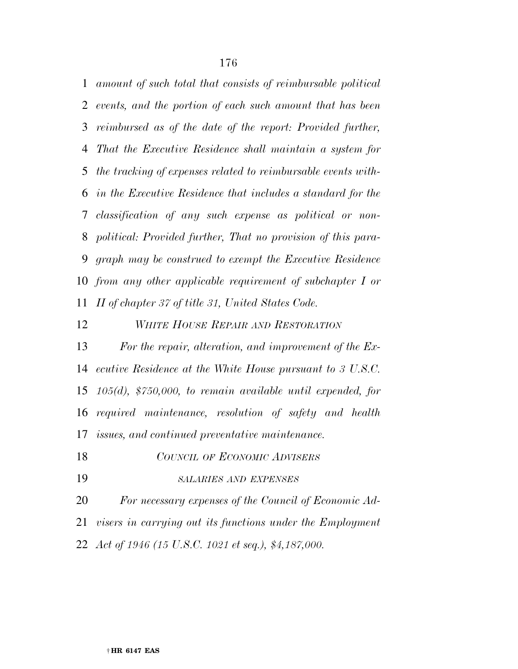*amount of such total that consists of reimbursable political events, and the portion of each such amount that has been reimbursed as of the date of the report: Provided further, That the Executive Residence shall maintain a system for the tracking of expenses related to reimbursable events with- in the Executive Residence that includes a standard for the classification of any such expense as political or non- political: Provided further, That no provision of this para- graph may be construed to exempt the Executive Residence from any other applicable requirement of subchapter I or II of chapter 37 of title 31, United States Code.* 

### *WHITE HOUSE REPAIR AND RESTORATION*

 *For the repair, alteration, and improvement of the Ex- ecutive Residence at the White House pursuant to 3 U.S.C. 105(d), \$750,000, to remain available until expended, for required maintenance, resolution of safety and health issues, and continued preventative maintenance.* 

- *COUNCIL OF ECONOMIC ADVISERS*
- *SALARIES AND EXPENSES*

*For necessary expenses of the Council of Economic Ad-*

*visers in carrying out its functions under the Employment* 

*Act of 1946 (15 U.S.C. 1021 et seq.), \$4,187,000.*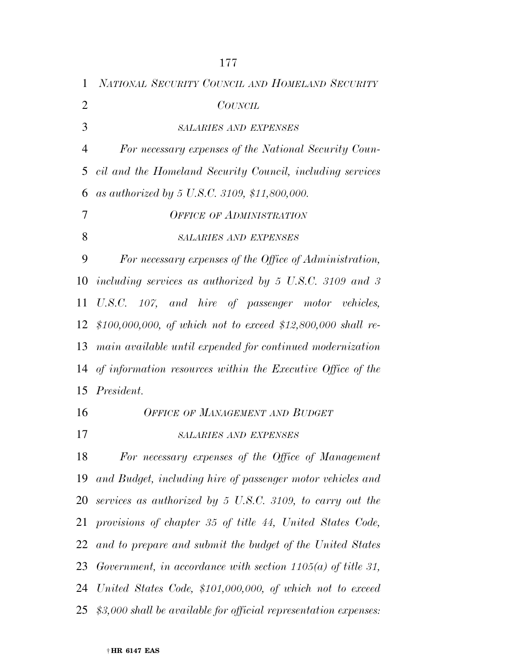| $\mathbf{1}$   | NATIONAL SECURITY COUNCIL AND HOMELAND SECURITY                             |
|----------------|-----------------------------------------------------------------------------|
| $\overline{2}$ | <b>COUNCIL</b>                                                              |
| 3              | <b>SALARIES AND EXPENSES</b>                                                |
| $\overline{4}$ | For necessary expenses of the National Security Coun-                       |
| 5              | cil and the Homeland Security Council, including services                   |
| 6              | as authorized by 5 U.S.C. 3109, \$11,800,000.                               |
| 7              | <b>OFFICE OF ADMINISTRATION</b>                                             |
| 8              | <b>SALARIES AND EXPENSES</b>                                                |
| 9              | For necessary expenses of the Office of Administration,                     |
| 10             | including services as authorized by $5 \text{ U.S.C. } 3109 \text{ and } 3$ |
| 11             | U.S.C. 107, and hire of passenger motor vehicles,                           |
| 12             | \$100,000,000, of which not to exceed \$12,800,000 shall re-                |
| 13             | main available until expended for continued modernization                   |
| 14             | of information resources within the Executive Office of the                 |
|                | 15 <i>President.</i>                                                        |
| 16             | <b>OFFICE OF MANAGEMENT AND BUDGET</b>                                      |
| 17             | <b>SALARIES AND EXPENSES</b>                                                |
| 18             | For necessary expenses of the Office of Management                          |
| 19             | and Budget, including hire of passenger motor vehicles and                  |
| 20             | services as authorized by 5 U.S.C. 3109, to carry out the                   |
| 21             | provisions of chapter 35 of title 44, United States Code,                   |
| 22             | and to prepare and submit the budget of the United States                   |
| 23             | Government, in accordance with section $1105(a)$ of title 31,               |
| 24             | United States Code, \$101,000,000, of which not to exceed                   |
| 25             | \$3,000 shall be available for official representation expenses:            |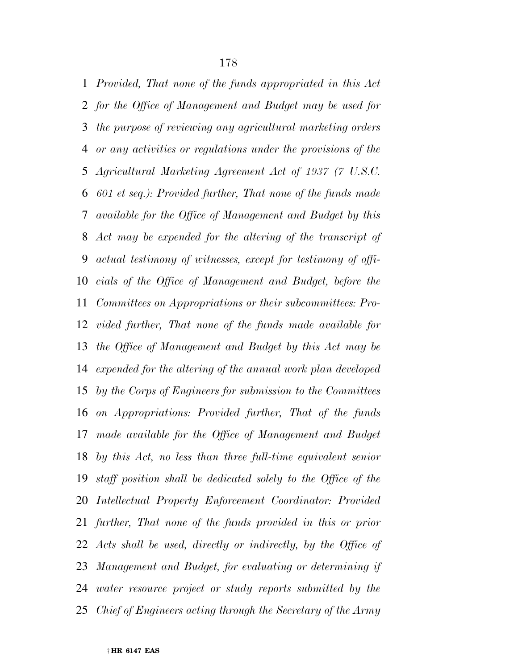*Provided, That none of the funds appropriated in this Act for the Office of Management and Budget may be used for the purpose of reviewing any agricultural marketing orders or any activities or regulations under the provisions of the Agricultural Marketing Agreement Act of 1937 (7 U.S.C. 601 et seq.): Provided further, That none of the funds made available for the Office of Management and Budget by this Act may be expended for the altering of the transcript of actual testimony of witnesses, except for testimony of offi- cials of the Office of Management and Budget, before the Committees on Appropriations or their subcommittees: Pro- vided further, That none of the funds made available for the Office of Management and Budget by this Act may be expended for the altering of the annual work plan developed by the Corps of Engineers for submission to the Committees on Appropriations: Provided further, That of the funds made available for the Office of Management and Budget by this Act, no less than three full-time equivalent senior staff position shall be dedicated solely to the Office of the Intellectual Property Enforcement Coordinator: Provided further, That none of the funds provided in this or prior Acts shall be used, directly or indirectly, by the Office of Management and Budget, for evaluating or determining if water resource project or study reports submitted by the Chief of Engineers acting through the Secretary of the Army*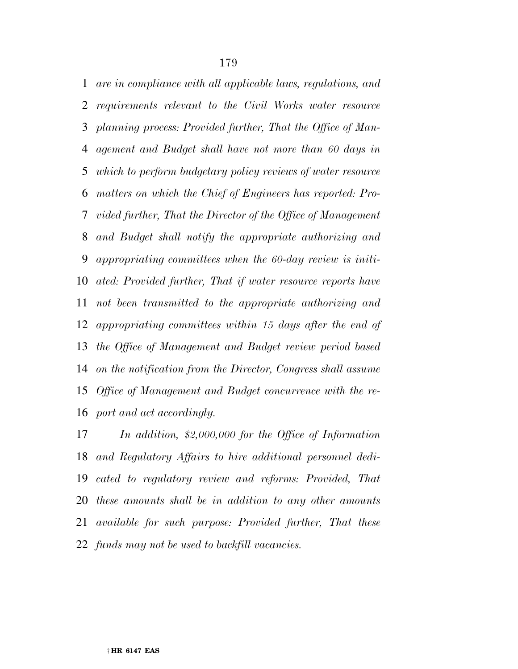*are in compliance with all applicable laws, regulations, and requirements relevant to the Civil Works water resource planning process: Provided further, That the Office of Man- agement and Budget shall have not more than 60 days in which to perform budgetary policy reviews of water resource matters on which the Chief of Engineers has reported: Pro- vided further, That the Director of the Office of Management and Budget shall notify the appropriate authorizing and appropriating committees when the 60-day review is initi- ated: Provided further, That if water resource reports have not been transmitted to the appropriate authorizing and appropriating committees within 15 days after the end of the Office of Management and Budget review period based on the notification from the Director, Congress shall assume Office of Management and Budget concurrence with the re-port and act accordingly.* 

 *In addition, \$2,000,000 for the Office of Information and Regulatory Affairs to hire additional personnel dedi- cated to regulatory review and reforms: Provided, That these amounts shall be in addition to any other amounts available for such purpose: Provided further, That these funds may not be used to backfill vacancies.*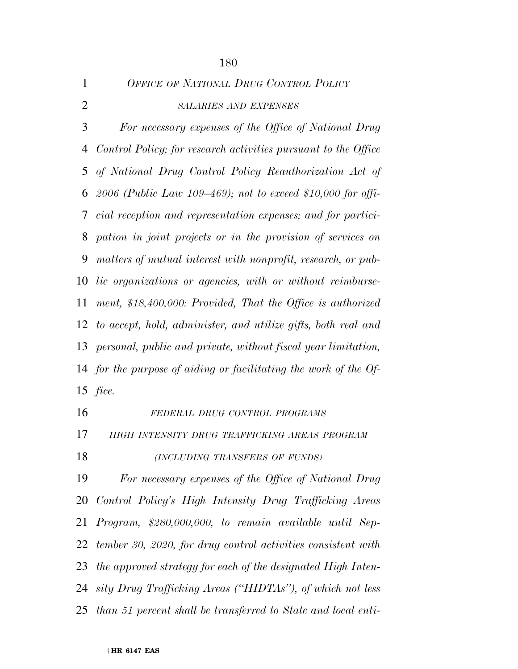|   | OFFICE OF NATIONAL DRUG CONTROL POLICY |
|---|----------------------------------------|
| 2 | <b>SALARIES AND EXPENSES</b>           |

 *For necessary expenses of the Office of National Drug Control Policy; for research activities pursuant to the Office of National Drug Control Policy Reauthorization Act of 2006 (Public Law 109–469); not to exceed \$10,000 for offi- cial reception and representation expenses; and for partici- pation in joint projects or in the provision of services on matters of mutual interest with nonprofit, research, or pub- lic organizations or agencies, with or without reimburse- ment, \$18,400,000: Provided, That the Office is authorized to accept, hold, administer, and utilize gifts, both real and personal, public and private, without fiscal year limitation, for the purpose of aiding or facilitating the work of the Of-fice.* 

 *FEDERAL DRUG CONTROL PROGRAMS HIGH INTENSITY DRUG TRAFFICKING AREAS PROGRAM (INCLUDING TRANSFERS OF FUNDS) For necessary expenses of the Office of National Drug Control Policy's High Intensity Drug Trafficking Areas Program, \$280,000,000, to remain available until Sep- tember 30, 2020, for drug control activities consistent with the approved strategy for each of the designated High Inten- sity Drug Trafficking Areas (''HIDTAs''), of which not less than 51 percent shall be transferred to State and local enti-*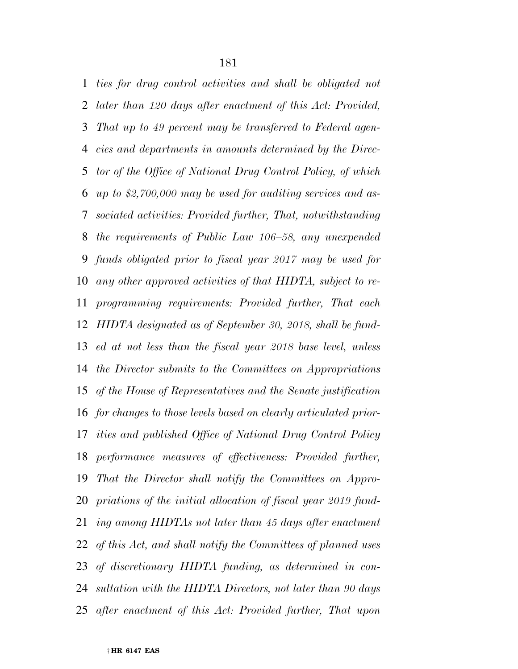*ties for drug control activities and shall be obligated not later than 120 days after enactment of this Act: Provided, That up to 49 percent may be transferred to Federal agen- cies and departments in amounts determined by the Direc- tor of the Office of National Drug Control Policy, of which up to \$2,700,000 may be used for auditing services and as- sociated activities: Provided further, That, notwithstanding the requirements of Public Law 106–58, any unexpended funds obligated prior to fiscal year 2017 may be used for any other approved activities of that HIDTA, subject to re- programming requirements: Provided further, That each HIDTA designated as of September 30, 2018, shall be fund- ed at not less than the fiscal year 2018 base level, unless the Director submits to the Committees on Appropriations of the House of Representatives and the Senate justification for changes to those levels based on clearly articulated prior- ities and published Office of National Drug Control Policy performance measures of effectiveness: Provided further, That the Director shall notify the Committees on Appro- priations of the initial allocation of fiscal year 2019 fund- ing among HIDTAs not later than 45 days after enactment of this Act, and shall notify the Committees of planned uses of discretionary HIDTA funding, as determined in con- sultation with the HIDTA Directors, not later than 90 days after enactment of this Act: Provided further, That upon*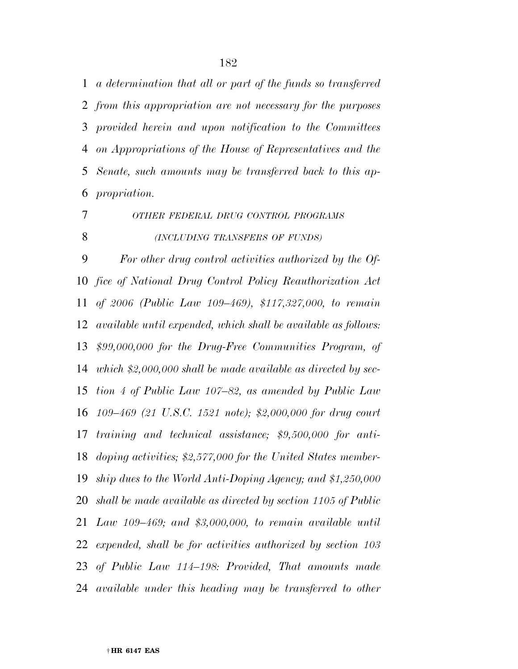*a determination that all or part of the funds so transferred from this appropriation are not necessary for the purposes provided herein and upon notification to the Committees on Appropriations of the House of Representatives and the Senate, such amounts may be transferred back to this ap-propriation.* 

*OTHER FEDERAL DRUG CONTROL PROGRAMS*

*(INCLUDING TRANSFERS OF FUNDS)*

 *For other drug control activities authorized by the Of- fice of National Drug Control Policy Reauthorization Act of 2006 (Public Law 109–469), \$117,327,000, to remain available until expended, which shall be available as follows: \$99,000,000 for the Drug-Free Communities Program, of which \$2,000,000 shall be made available as directed by sec- tion 4 of Public Law 107–82, as amended by Public Law 109–469 (21 U.S.C. 1521 note); \$2,000,000 for drug court training and technical assistance; \$9,500,000 for anti- doping activities; \$2,577,000 for the United States member- ship dues to the World Anti-Doping Agency; and \$1,250,000 shall be made available as directed by section 1105 of Public Law 109–469; and \$3,000,000, to remain available until expended, shall be for activities authorized by section 103 of Public Law 114–198: Provided, That amounts made available under this heading may be transferred to other*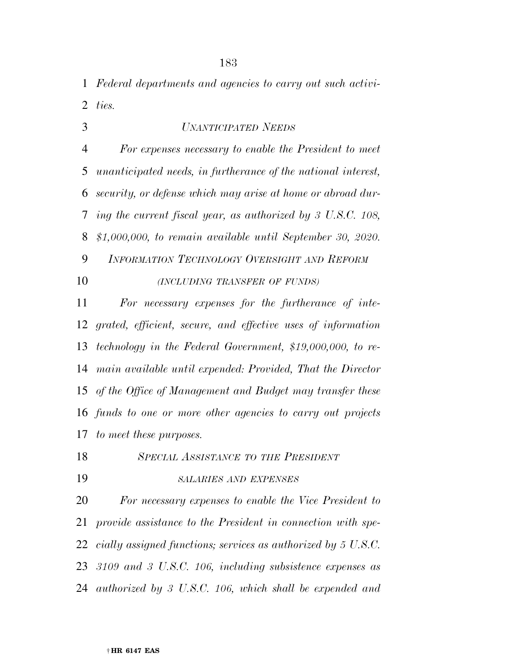*Federal departments and agencies to carry out such activi-ties.* 

*UNANTICIPATED NEEDS*

 *For expenses necessary to enable the President to meet unanticipated needs, in furtherance of the national interest, security, or defense which may arise at home or abroad dur- ing the current fiscal year, as authorized by 3 U.S.C. 108, \$1,000,000, to remain available until September 30, 2020.* 

 *INFORMATION TECHNOLOGY OVERSIGHT AND REFORM (INCLUDING TRANSFER OF FUNDS)*

 *For necessary expenses for the furtherance of inte- grated, efficient, secure, and effective uses of information technology in the Federal Government, \$19,000,000, to re- main available until expended: Provided, That the Director of the Office of Management and Budget may transfer these funds to one or more other agencies to carry out projects to meet these purposes.* 

*SPECIAL ASSISTANCE TO THE PRESIDENT*

*SALARIES AND EXPENSES*

 *For necessary expenses to enable the Vice President to provide assistance to the President in connection with spe- cially assigned functions; services as authorized by 5 U.S.C. 3109 and 3 U.S.C. 106, including subsistence expenses as authorized by 3 U.S.C. 106, which shall be expended and*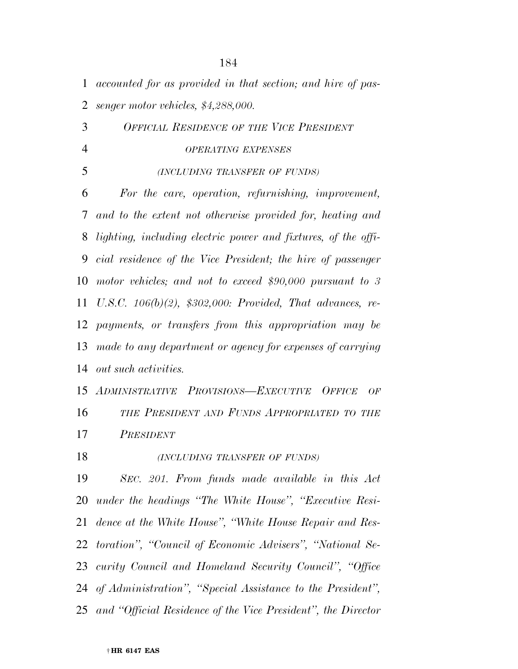| 1              | accounted for as provided in that section; and hire of pas-   |
|----------------|---------------------------------------------------------------|
| $\overline{2}$ | senger motor vehicles, \$4,288,000.                           |
| 3              | <b>OFFICIAL RESIDENCE OF THE VICE PRESIDENT</b>               |
| $\overline{4}$ | <b>OPERATING EXPENSES</b>                                     |
| 5              | (INCLUDING TRANSFER OF FUNDS)                                 |
| 6              | For the care, operation, refurnishing, improvement,           |
| 7              | and to the extent not otherwise provided for, heating and     |
| 8              | lighting, including electric power and fixtures, of the offi- |
| 9              | cial residence of the Vice President; the hire of passenger   |
| 10             | motor vehicles; and not to exceed \$90,000 pursuant to 3      |
| 11             | U.S.C. $106(b)(2)$ , \$302,000: Provided, That advances, re-  |
| 12             | payments, or transfers from this appropriation may be         |
| 13             | made to any department or agency for expenses of carrying     |
| 14             | out such activities.                                          |
|                | 15 ADMINISTRATIVE PROVISIONS-EXECUTIVE OFFICE<br>OF           |
| 16             | THE PRESIDENT AND FUNDS APPROPRIATED TO THE                   |
| 17             | PRESIDENT                                                     |
| 18             | (INCLUDING TRANSFER OF FUNDS)                                 |
| 19             | SEC. 201. From funds made available in this Act               |
| 20             | under the headings "The White House", "Executive Resi-        |
| 21             | dence at the White House", "White House Repair and Res-       |
| 22             | toration", "Council of Economic Advisers", "National Se-      |
| 23             | curity Council and Homeland Security Council", "Office        |
|                | 24 of Administration", "Special Assistance to the President", |
| 25             | and "Official Residence of the Vice President", the Director  |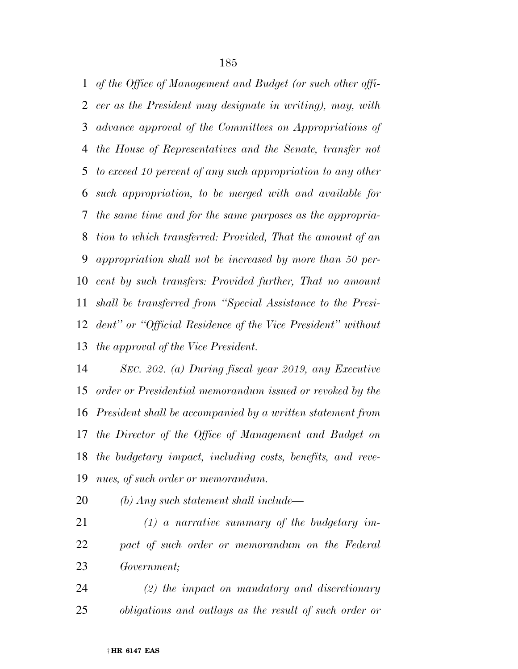*of the Office of Management and Budget (or such other offi- cer as the President may designate in writing), may, with advance approval of the Committees on Appropriations of the House of Representatives and the Senate, transfer not to exceed 10 percent of any such appropriation to any other such appropriation, to be merged with and available for the same time and for the same purposes as the appropria- tion to which transferred: Provided, That the amount of an appropriation shall not be increased by more than 50 per- cent by such transfers: Provided further, That no amount shall be transferred from ''Special Assistance to the Presi- dent'' or ''Official Residence of the Vice President'' without the approval of the Vice President.* 

 *SEC. 202. (a) During fiscal year 2019, any Executive order or Presidential memorandum issued or revoked by the President shall be accompanied by a written statement from the Director of the Office of Management and Budget on the budgetary impact, including costs, benefits, and reve-nues, of such order or memorandum.* 

*(b) Any such statement shall include—* 

- *(1) a narrative summary of the budgetary im- pact of such order or memorandum on the Federal Government;*
- *(2) the impact on mandatory and discretionary obligations and outlays as the result of such order or*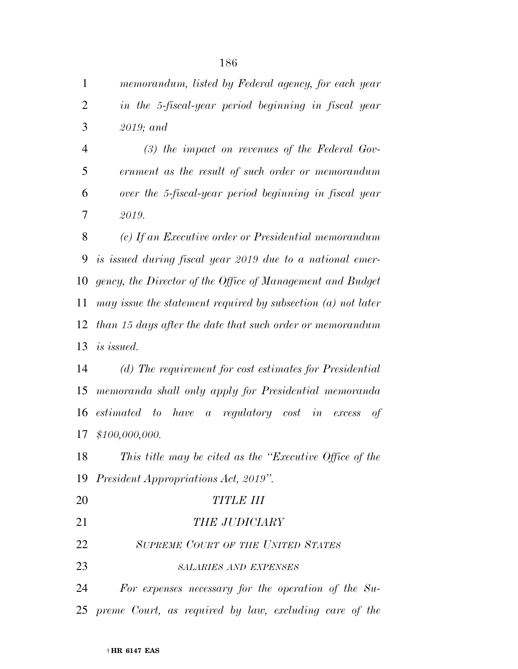| $\mathbf{1}$   | memorandum, listed by Federal agency, for each year            |
|----------------|----------------------------------------------------------------|
| $\overline{2}$ | in the 5-fiscal-year period beginning in fiscal year           |
| 3              | $2019;$ and                                                    |
| $\overline{4}$ | $(3)$ the impact on revenues of the Federal Gov-               |
| 5              | ernment as the result of such order or memorandum              |
| 6              | over the 5-fiscal-year period beginning in fiscal year         |
| 7              | 2019.                                                          |
| 8              | (c) If an Executive order or Presidential memorandum           |
| 9              | is issued during fiscal year 2019 due to a national emer-      |
| 10             | gency, the Director of the Office of Management and Budget     |
| 11             | may issue the statement required by subsection $(a)$ not later |
| 12             | than 15 days after the date that such order or memorandum      |
| 13             | <i>is issued.</i>                                              |
| 14             | (d) The requirement for cost estimates for Presidential        |
| 15             | memoranda shall only apply for Presidential memoranda          |
| 16             | estimated to have a regulatory cost in excess<br>of            |
| 17             | \$100,000,000.                                                 |
| 18             | This title may be cited as the "Executive Office of the        |
|                | 19 President Appropriations Act, 2019".                        |
| 20             | <b>TITLE III</b>                                               |
| 21             | <b>THE JUDICIARY</b>                                           |
| 22             | <b>SUPREME COURT OF THE UNITED STATES</b>                      |
| 23             | <b>SALARIES AND EXPENSES</b>                                   |
| 24             | For expenses necessary for the operation of the $Su-$          |
|                | 25 preme Court, as required by law, excluding care of the      |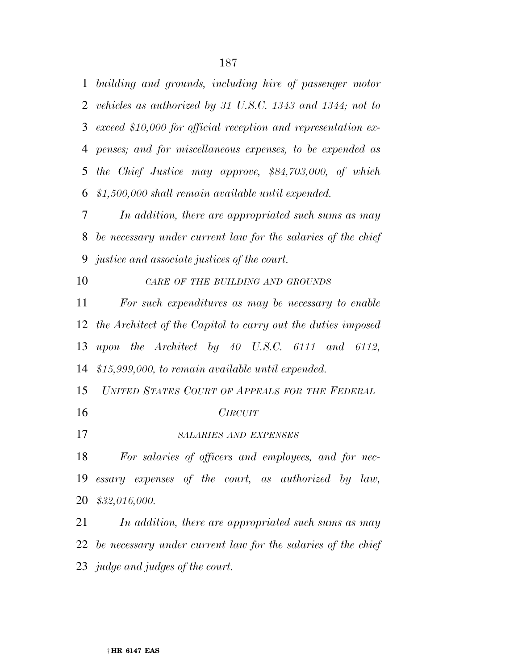*building and grounds, including hire of passenger motor vehicles as authorized by 31 U.S.C. 1343 and 1344; not to exceed \$10,000 for official reception and representation ex- penses; and for miscellaneous expenses, to be expended as the Chief Justice may approve, \$84,703,000, of which \$1,500,000 shall remain available until expended.* 

 *In addition, there are appropriated such sums as may be necessary under current law for the salaries of the chief justice and associate justices of the court.* 

*CARE OF THE BUILDING AND GROUNDS*

 *For such expenditures as may be necessary to enable the Architect of the Capitol to carry out the duties imposed upon the Architect by 40 U.S.C. 6111 and 6112, \$15,999,000, to remain available until expended.* 

*UNITED STATES COURT OF APPEALS FOR THE FEDERAL*

- 
- *CIRCUIT*

*SALARIES AND EXPENSES*

 *For salaries of officers and employees, and for nec- essary expenses of the court, as authorized by law, \$32,016,000.* 

 *In addition, there are appropriated such sums as may be necessary under current law for the salaries of the chief judge and judges of the court.*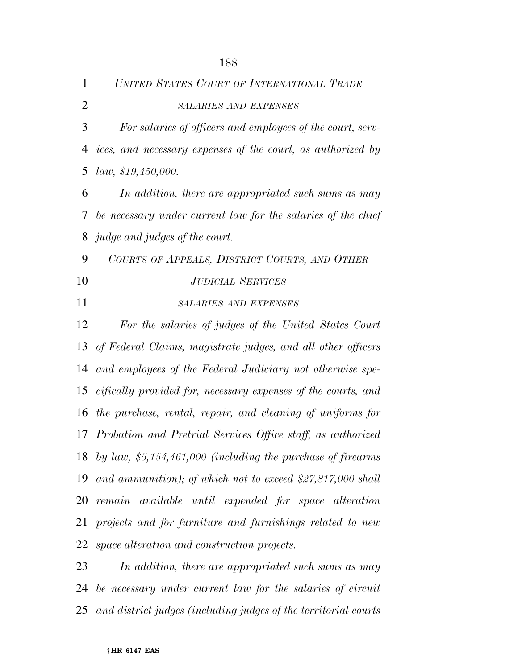| 1              | UNITED STATES COURT OF INTERNATIONAL TRADE                      |
|----------------|-----------------------------------------------------------------|
| $\overline{2}$ | <b>SALARIES AND EXPENSES</b>                                    |
| 3              | For salaries of officers and employees of the court, serv-      |
| $\overline{4}$ | ices, and necessary expenses of the court, as authorized by     |
| 5              | law, \$19,450,000.                                              |
| 6              | In addition, there are appropriated such sums as may            |
| 7              | be necessary under current law for the salaries of the chief    |
| 8              | <i>judge and judges of the court.</i>                           |
| 9              | COURTS OF APPEALS, DISTRICT COURTS, AND OTHER                   |
| 10             | <b>JUDICIAL SERVICES</b>                                        |
| 11             | <b>SALARIES AND EXPENSES</b>                                    |
| 12             | For the salaries of judges of the United States Court           |
| 13             | of Federal Claims, magistrate judges, and all other officers    |
| 14             | and employees of the Federal Judiciary not otherwise spe-       |
| 15             | cifically provided for, necessary expenses of the courts, and   |
| 16             | the purchase, rental, repair, and cleaning of uniforms for      |
|                | 17 Probation and Pretrial Services Office staff, as authorized  |
|                | 18 by law, $$5,154,461,000$ (including the purchase of firearms |
| 19             | and ammunition); of which not to exceed $$27,817,000$ shall     |
| 20             | remain available until expended for space alteration            |
| 21             | projects and for furniture and furnishings related to new       |
| 22             | space alteration and construction projects.                     |
| 23             | In addition, there are appropriated such sums as may            |

 *be necessary under current law for the salaries of circuit and district judges (including judges of the territorial courts*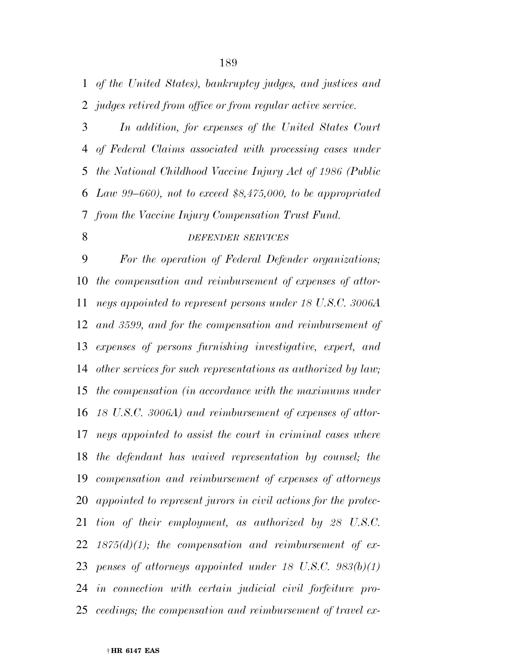*of the United States), bankruptcy judges, and justices and judges retired from office or from regular active service.* 

 *In addition, for expenses of the United States Court of Federal Claims associated with processing cases under the National Childhood Vaccine Injury Act of 1986 (Public Law 99–660), not to exceed \$8,475,000, to be appropriated from the Vaccine Injury Compensation Trust Fund.* 

# *DEFENDER SERVICES*

 *For the operation of Federal Defender organizations; the compensation and reimbursement of expenses of attor- neys appointed to represent persons under 18 U.S.C. 3006A and 3599, and for the compensation and reimbursement of expenses of persons furnishing investigative, expert, and other services for such representations as authorized by law; the compensation (in accordance with the maximums under 18 U.S.C. 3006A) and reimbursement of expenses of attor- neys appointed to assist the court in criminal cases where the defendant has waived representation by counsel; the compensation and reimbursement of expenses of attorneys appointed to represent jurors in civil actions for the protec- tion of their employment, as authorized by 28 U.S.C. 1875(d)(1); the compensation and reimbursement of ex- penses of attorneys appointed under 18 U.S.C. 983(b)(1) in connection with certain judicial civil forfeiture pro-ceedings; the compensation and reimbursement of travel ex-*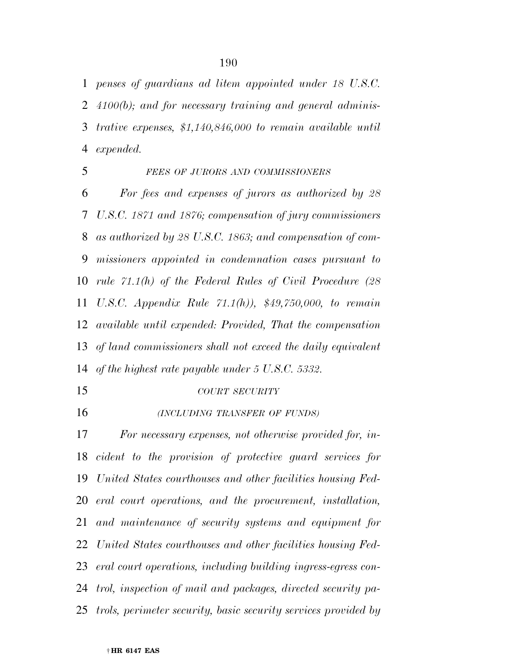*penses of guardians ad litem appointed under 18 U.S.C. 4100(b); and for necessary training and general adminis- trative expenses, \$1,140,846,000 to remain available until expended.* 

#### *FEES OF JURORS AND COMMISSIONERS*

 *For fees and expenses of jurors as authorized by 28 U.S.C. 1871 and 1876; compensation of jury commissioners as authorized by 28 U.S.C. 1863; and compensation of com- missioners appointed in condemnation cases pursuant to rule 71.1(h) of the Federal Rules of Civil Procedure (28 U.S.C. Appendix Rule 71.1(h)), \$49,750,000, to remain available until expended: Provided, That the compensation of land commissioners shall not exceed the daily equivalent of the highest rate payable under 5 U.S.C. 5332.* 

*COURT SECURITY*

*(INCLUDING TRANSFER OF FUNDS)*

 *For necessary expenses, not otherwise provided for, in- cident to the provision of protective guard services for United States courthouses and other facilities housing Fed- eral court operations, and the procurement, installation, and maintenance of security systems and equipment for United States courthouses and other facilities housing Fed- eral court operations, including building ingress-egress con- trol, inspection of mail and packages, directed security pa-trols, perimeter security, basic security services provided by*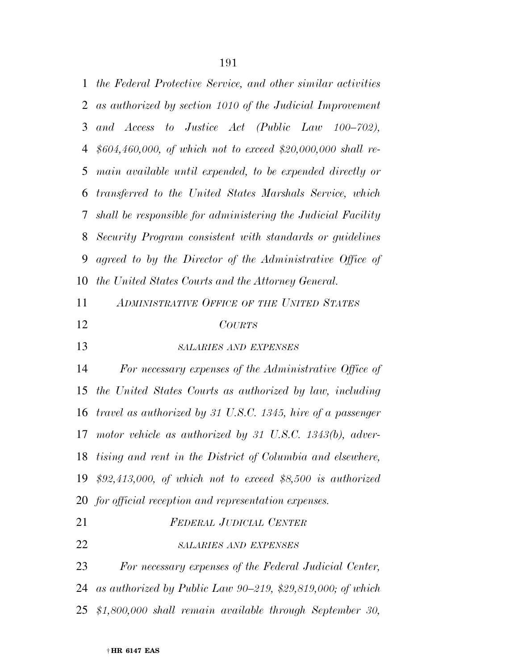| 1  | the Federal Protective Service, and other similar activities |
|----|--------------------------------------------------------------|
| 2  | as authorized by section 1010 of the Judicial Improvement    |
| 3  | and Access to Justice Act (Public Law 100–702),              |
| 4  | $$604,460,000, of which not to exceed $20,000,000 shall re-$ |
| 5  | main available until expended, to be expended directly or    |
| 6  | transferred to the United States Marshals Service, which     |
| 7  | shall be responsible for administering the Judicial Facility |
| 8  | Security Program consistent with standards or guidelines     |
| 9  | agreed to by the Director of the Administrative Office of    |
| 10 | the United States Courts and the Attorney General.           |
| 11 | ADMINISTRATIVE OFFICE OF THE UNITED STATES                   |
| 12 | <b>COURTS</b>                                                |
| 13 | <b>SALARIES AND EXPENSES</b>                                 |
| 14 | For necessary expenses of the Administrative Office of       |
| 15 | the United States Courts as authorized by law, including     |
| 16 | travel as authorized by 31 U.S.C. 1345, hire of a passenger  |
| 17 | motor vehicle as authorized by 31 U.S.C. $1343(b)$ , adver-  |
| 18 | tising and rent in the District of Columbia and elsewhere,   |
| 19 | $$92,413,000,$ of which not to exceed \$8,500 is authorized  |
|    | 20 for official reception and representation expenses.       |
| 21 | <b>FEDERAL JUDICIAL CENTER</b>                               |
| 22 | <b>SALARIES AND EXPENSES</b>                                 |
| 23 | For necessary expenses of the Federal Judicial Center,       |
| 24 | as authorized by Public Law 90-219, \$29,819,000; of which   |
| 25 | $$1,800,000$ shall remain available through September 30,    |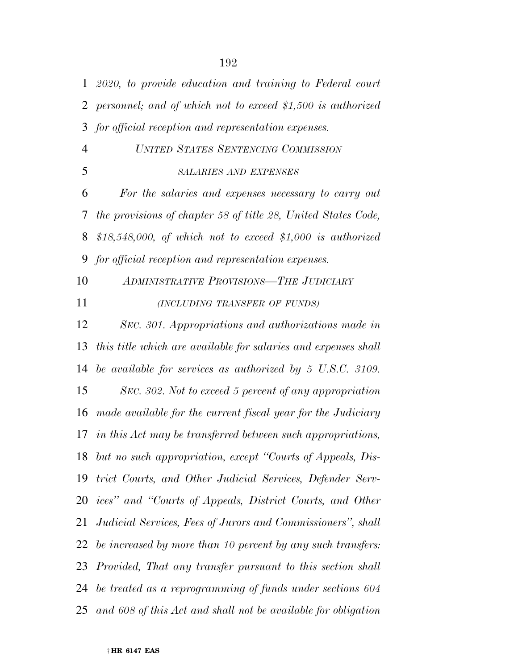| $\mathbf{1}$   | $2020$ , to provide education and training to Federal court          |
|----------------|----------------------------------------------------------------------|
| 2              | personnel; and of which not to exceed \$1,500 is authorized          |
| 3              | for official reception and representation expenses.                  |
| $\overline{4}$ | UNITED STATES SENTENCING COMMISSION                                  |
| 5              | <b>SALARIES AND EXPENSES</b>                                         |
| 6              | For the salaries and expenses necessary to carry out                 |
| 7              | the provisions of chapter 58 of title 28, United States Code,        |
| 8              | \$18,548,000, of which not to exceed \$1,000 is authorized           |
| 9              | for official reception and representation expenses.                  |
| 10             | <b>ADMINISTRATIVE PROVISIONS-THE JUDICIARY</b>                       |
| 11             | (INCLUDING TRANSFER OF FUNDS)                                        |
| 12             | SEC. 301. Appropriations and authorizations made in                  |
| 13             | this title which are available for salaries and expenses shall       |
| 14             | be available for services as authorized by $5 \text{ U.S.C. } 3109.$ |
| 15             | SEC. 302. Not to exceed 5 percent of any appropriation               |
| 16             | made available for the current fiscal year for the Judiciary         |
|                | 17 in this Act may be transferred between such appropriations,       |
|                | 18 but no such appropriation, except "Courts of Appeals, Dis-        |
| 19             | trict Courts, and Other Judicial Services, Defender Serv-            |
| 20             | ices" and "Courts of Appeals, District Courts, and Other             |
| 21             | Judicial Services, Fees of Jurors and Commissioners", shall          |
| 22             | be increased by more than 10 percent by any such transfers:          |
| 23             | Provided, That any transfer pursuant to this section shall           |
| 24             | be treated as a reprogramming of funds under sections 604            |
| 25             | and 608 of this Act and shall not be available for obligation        |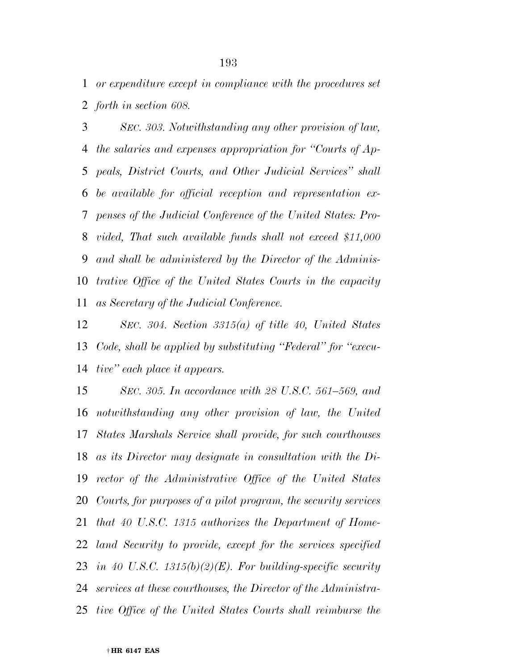*or expenditure except in compliance with the procedures set forth in section 608.* 

 *SEC. 303. Notwithstanding any other provision of law, the salaries and expenses appropriation for ''Courts of Ap- peals, District Courts, and Other Judicial Services'' shall be available for official reception and representation ex- penses of the Judicial Conference of the United States: Pro- vided, That such available funds shall not exceed \$11,000 and shall be administered by the Director of the Adminis- trative Office of the United States Courts in the capacity as Secretary of the Judicial Conference.* 

 *SEC. 304. Section 3315(a) of title 40, United States Code, shall be applied by substituting ''Federal'' for ''execu-tive'' each place it appears.* 

 *SEC. 305. In accordance with 28 U.S.C. 561–569, and notwithstanding any other provision of law, the United States Marshals Service shall provide, for such courthouses as its Director may designate in consultation with the Di- rector of the Administrative Office of the United States Courts, for purposes of a pilot program, the security services that 40 U.S.C. 1315 authorizes the Department of Home- land Security to provide, except for the services specified in 40 U.S.C. 1315(b)(2)(E). For building-specific security services at these courthouses, the Director of the Administra-tive Office of the United States Courts shall reimburse the*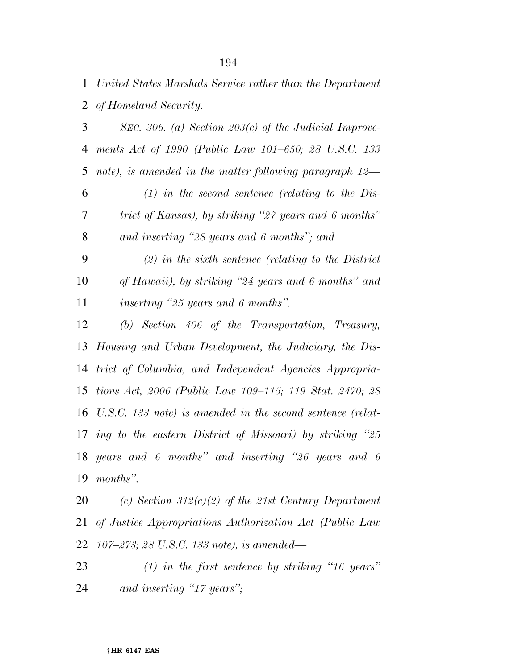*United States Marshals Service rather than the Department of Homeland Security.* 

 *SEC. 306. (a) Section 203(c) of the Judicial Improve- ments Act of 1990 (Public Law 101–650; 28 U.S.C. 133 note), is amended in the matter following paragraph 12—* 

 *(1) in the second sentence (relating to the Dis- trict of Kansas), by striking ''27 years and 6 months'' and inserting ''28 years and 6 months''; and* 

 *(2) in the sixth sentence (relating to the District of Hawaii), by striking ''24 years and 6 months'' and inserting ''25 years and 6 months''.* 

 *(b) Section 406 of the Transportation, Treasury, Housing and Urban Development, the Judiciary, the Dis- trict of Columbia, and Independent Agencies Appropria- tions Act, 2006 (Public Law 109–115; 119 Stat. 2470; 28 U.S.C. 133 note) is amended in the second sentence (relat- ing to the eastern District of Missouri) by striking ''25 years and 6 months'' and inserting ''26 years and 6 months''.* 

 *(c) Section 312(c)(2) of the 21st Century Department of Justice Appropriations Authorization Act (Public Law 107–273; 28 U.S.C. 133 note), is amended—* 

 *(1) in the first sentence by striking ''16 years'' and inserting ''17 years'';*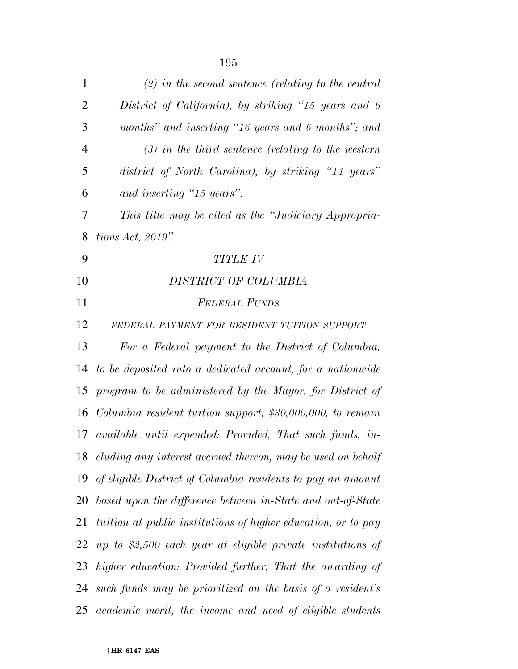| $\mathbf{1}$   | $(2)$ in the second sentence (relating to the central         |
|----------------|---------------------------------------------------------------|
| $\overline{2}$ | District of California), by striking "15 years and 6          |
| 3              | months" and inserting "16 years and 6 months"; and            |
| $\overline{4}$ | $(3)$ in the third sentence (relating to the western          |
| 5              | district of North Carolina), by striking "14 years"           |
| 6              | and inserting "15 years".                                     |
| 7              | This title may be cited as the "Judiciary Appropria-          |
| 8              | tions Act, $2019$ ".                                          |
| 9              | <b>TITLE IV</b>                                               |
| 10             | DISTRICT OF COLUMBIA                                          |
| 11             | <b>FEDERAL FUNDS</b>                                          |
| 12             | FEDERAL PAYMENT FOR RESIDENT TUITION SUPPORT                  |
| 13             | For a Federal payment to the District of Columbia,            |
| 14             | to be deposited into a dedicated account, for a nationwide    |
| 15             | program to be administered by the Mayor, for District of      |
| 16             | Columbia resident tuition support, $$30,000,000,$ to remain   |
|                | 17 available until expended: Provided, That such funds, in-   |
| 18             | cluding any interest accrued thereon, may be used on behalf   |
| 19             | of eligible District of Columbia residents to pay an amount   |
| 20             | based upon the difference between in-State and out-of-State   |
| 21             | tuition at public institutions of higher education, or to pay |
| 22             | up to \$2,500 each year at eligible private institutions of   |
| 23             | higher education: Provided further, That the awarding of      |
| 24             | such funds may be prioritized on the basis of a resident's    |

*academic merit, the income and need of eligible students*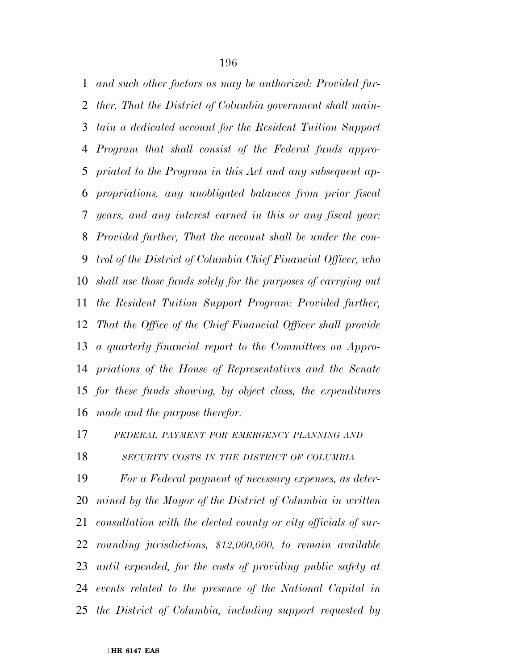*and such other factors as may be authorized: Provided fur- ther, That the District of Columbia government shall main- tain a dedicated account for the Resident Tuition Support Program that shall consist of the Federal funds appro- priated to the Program in this Act and any subsequent ap- propriations, any unobligated balances from prior fiscal years, and any interest earned in this or any fiscal year: Provided further, That the account shall be under the con- trol of the District of Columbia Chief Financial Officer, who shall use those funds solely for the purposes of carrying out the Resident Tuition Support Program: Provided further, That the Office of the Chief Financial Officer shall provide a quarterly financial report to the Committees on Appro- priations of the House of Representatives and the Senate for these funds showing, by object class, the expenditures made and the purpose therefor.* 

*FEDERAL PAYMENT FOR EMERGENCY PLANNING AND*

*SECURITY COSTS IN THE DISTRICT OF COLUMBIA*

 *For a Federal payment of necessary expenses, as deter- mined by the Mayor of the District of Columbia in written consultation with the elected county or city officials of sur- rounding jurisdictions, \$12,000,000, to remain available until expended, for the costs of providing public safety at events related to the presence of the National Capital in the District of Columbia, including support requested by*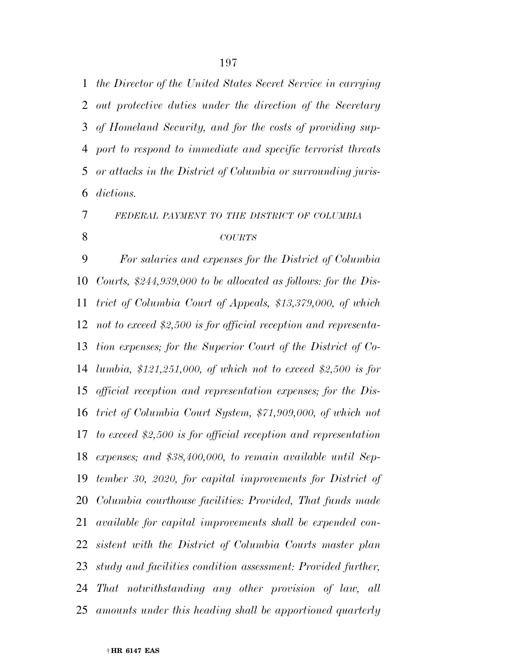*the Director of the United States Secret Service in carrying out protective duties under the direction of the Secretary of Homeland Security, and for the costs of providing sup- port to respond to immediate and specific terrorist threats or attacks in the District of Columbia or surrounding juris-dictions.* 

 *FEDERAL PAYMENT TO THE DISTRICT OF COLUMBIA COURTS*

 *For salaries and expenses for the District of Columbia Courts, \$244,939,000 to be allocated as follows: for the Dis- trict of Columbia Court of Appeals, \$13,379,000, of which not to exceed \$2,500 is for official reception and representa- tion expenses; for the Superior Court of the District of Co- lumbia, \$121,251,000, of which not to exceed \$2,500 is for official reception and representation expenses; for the Dis- trict of Columbia Court System, \$71,909,000, of which not to exceed \$2,500 is for official reception and representation expenses; and \$38,400,000, to remain available until Sep- tember 30, 2020, for capital improvements for District of Columbia courthouse facilities: Provided, That funds made available for capital improvements shall be expended con- sistent with the District of Columbia Courts master plan study and facilities condition assessment: Provided further, That notwithstanding any other provision of law, all amounts under this heading shall be apportioned quarterly*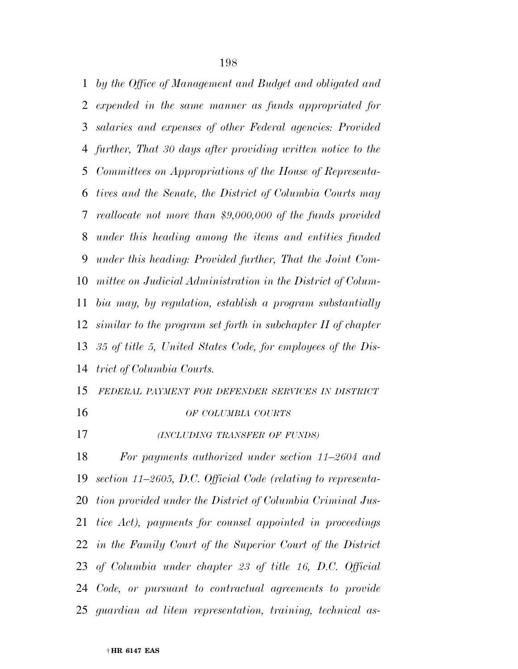*by the Office of Management and Budget and obligated and expended in the same manner as funds appropriated for salaries and expenses of other Federal agencies: Provided further, That 30 days after providing written notice to the Committees on Appropriations of the House of Representa- tives and the Senate, the District of Columbia Courts may reallocate not more than \$9,000,000 of the funds provided under this heading among the items and entities funded under this heading: Provided further, That the Joint Com- mittee on Judicial Administration in the District of Colum- bia may, by regulation, establish a program substantially similar to the program set forth in subchapter II of chapter 35 of title 5, United States Code, for employees of the Dis-trict of Columbia Courts.* 

*FEDERAL PAYMENT FOR DEFENDER SERVICES IN DISTRICT*

*OF COLUMBIA COURTS*

*(INCLUDING TRANSFER OF FUNDS)*

 *For payments authorized under section 11–2604 and section 11–2605, D.C. Official Code (relating to representa- tion provided under the District of Columbia Criminal Jus- tice Act), payments for counsel appointed in proceedings in the Family Court of the Superior Court of the District of Columbia under chapter 23 of title 16, D.C. Official Code, or pursuant to contractual agreements to provide guardian ad litem representation, training, technical as-*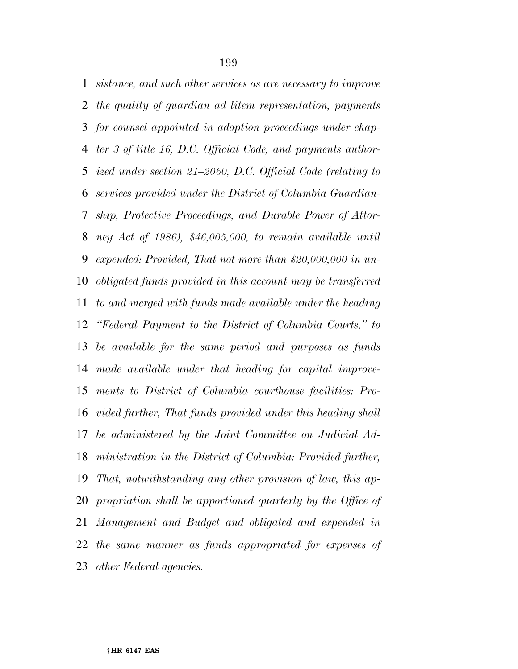*sistance, and such other services as are necessary to improve the quality of guardian ad litem representation, payments for counsel appointed in adoption proceedings under chap- ter 3 of title 16, D.C. Official Code, and payments author- ized under section 21–2060, D.C. Official Code (relating to services provided under the District of Columbia Guardian- ship, Protective Proceedings, and Durable Power of Attor- ney Act of 1986), \$46,005,000, to remain available until expended: Provided, That not more than \$20,000,000 in un- obligated funds provided in this account may be transferred to and merged with funds made available under the heading ''Federal Payment to the District of Columbia Courts,'' to be available for the same period and purposes as funds made available under that heading for capital improve- ments to District of Columbia courthouse facilities: Pro- vided further, That funds provided under this heading shall be administered by the Joint Committee on Judicial Ad- ministration in the District of Columbia: Provided further, That, notwithstanding any other provision of law, this ap-propriation shall be apportioned quarterly by the Office of Management and Budget and obligated and expended in the same manner as funds appropriated for expenses of other Federal agencies.*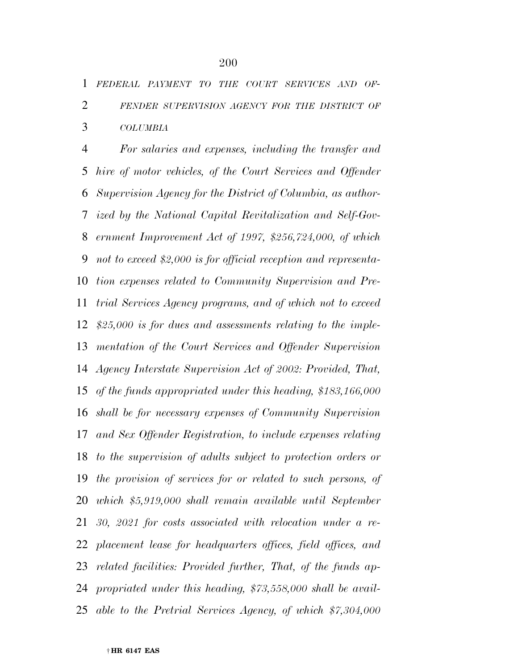*For salaries and expenses, including the transfer and hire of motor vehicles, of the Court Services and Offender Supervision Agency for the District of Columbia, as author- ized by the National Capital Revitalization and Self-Gov- ernment Improvement Act of 1997, \$256,724,000, of which not to exceed \$2,000 is for official reception and representa- tion expenses related to Community Supervision and Pre- trial Services Agency programs, and of which not to exceed \$25,000 is for dues and assessments relating to the imple- mentation of the Court Services and Offender Supervision Agency Interstate Supervision Act of 2002: Provided, That, of the funds appropriated under this heading, \$183,166,000 shall be for necessary expenses of Community Supervision and Sex Offender Registration, to include expenses relating to the supervision of adults subject to protection orders or the provision of services for or related to such persons, of which \$5,919,000 shall remain available until September 30, 2021 for costs associated with relocation under a re- placement lease for headquarters offices, field offices, and related facilities: Provided further, That, of the funds ap- propriated under this heading, \$73,558,000 shall be avail-able to the Pretrial Services Agency, of which \$7,304,000*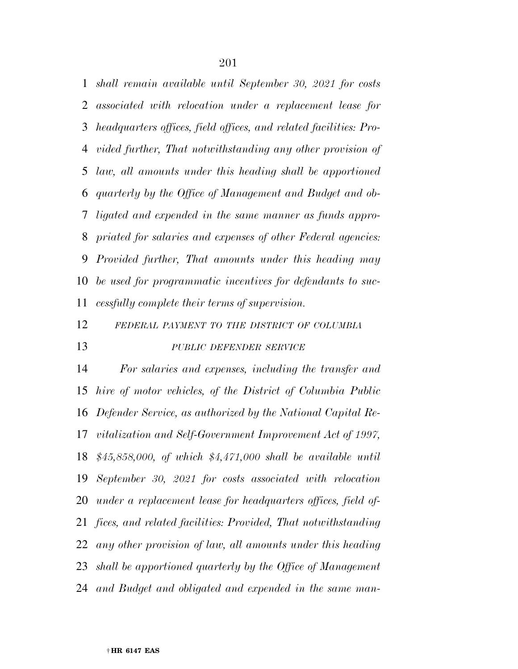*shall remain available until September 30, 2021 for costs associated with relocation under a replacement lease for headquarters offices, field offices, and related facilities: Pro- vided further, That notwithstanding any other provision of law, all amounts under this heading shall be apportioned quarterly by the Office of Management and Budget and ob- ligated and expended in the same manner as funds appro- priated for salaries and expenses of other Federal agencies: Provided further, That amounts under this heading may be used for programmatic incentives for defendants to suc-cessfully complete their terms of supervision.* 

#### *FEDERAL PAYMENT TO THE DISTRICT OF COLUMBIA*

### *PUBLIC DEFENDER SERVICE*

 *For salaries and expenses, including the transfer and hire of motor vehicles, of the District of Columbia Public Defender Service, as authorized by the National Capital Re- vitalization and Self-Government Improvement Act of 1997, \$45,858,000, of which \$4,471,000 shall be available until September 30, 2021 for costs associated with relocation under a replacement lease for headquarters offices, field of- fices, and related facilities: Provided, That notwithstanding any other provision of law, all amounts under this heading shall be apportioned quarterly by the Office of Management and Budget and obligated and expended in the same man-*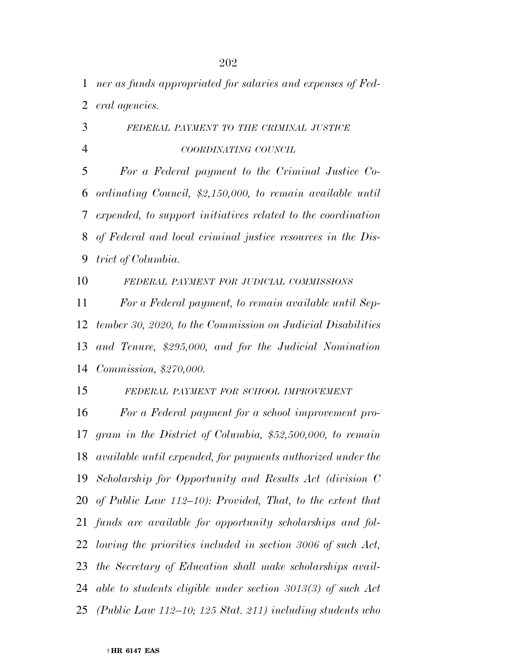*ner as funds appropriated for salaries and expenses of Fed-eral agencies.* 

 *FEDERAL PAYMENT TO THE CRIMINAL JUSTICE COORDINATING COUNCIL*

 *For a Federal payment to the Criminal Justice Co- ordinating Council, \$2,150,000, to remain available until expended, to support initiatives related to the coordination of Federal and local criminal justice resources in the Dis-trict of Columbia.* 

*FEDERAL PAYMENT FOR JUDICIAL COMMISSIONS*

 *For a Federal payment, to remain available until Sep- tember 30, 2020, to the Commission on Judicial Disabilities and Tenure, \$295,000, and for the Judicial Nomination Commission, \$270,000.* 

*FEDERAL PAYMENT FOR SCHOOL IMPROVEMENT*

 *For a Federal payment for a school improvement pro- gram in the District of Columbia, \$52,500,000, to remain available until expended, for payments authorized under the Scholarship for Opportunity and Results Act (division C of Public Law 112–10): Provided, That, to the extent that funds are available for opportunity scholarships and fol- lowing the priorities included in section 3006 of such Act, the Secretary of Education shall make scholarships avail- able to students eligible under section 3013(3) of such Act (Public Law 112–10; 125 Stat. 211) including students who*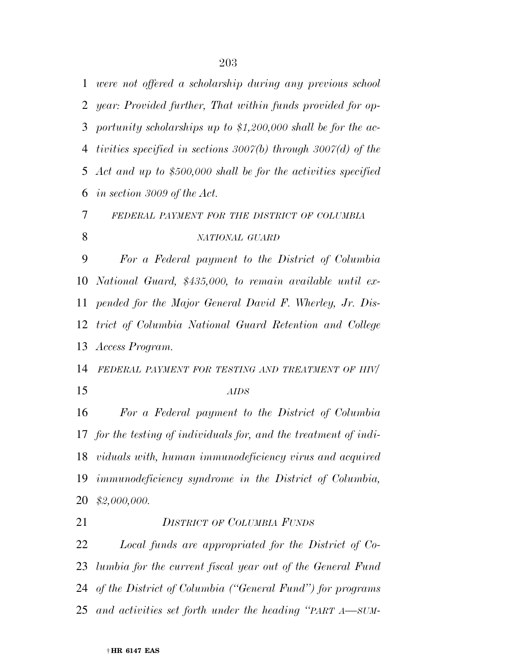*were not offered a scholarship during any previous school year: Provided further, That within funds provided for op- portunity scholarships up to \$1,200,000 shall be for the ac- tivities specified in sections 3007(b) through 3007(d) of the Act and up to \$500,000 shall be for the activities specified in section 3009 of the Act.* 

 *FEDERAL PAYMENT FOR THE DISTRICT OF COLUMBIA NATIONAL GUARD*

 *For a Federal payment to the District of Columbia National Guard, \$435,000, to remain available until ex- pended for the Major General David F. Wherley, Jr. Dis- trict of Columbia National Guard Retention and College Access Program.* 

 *FEDERAL PAYMENT FOR TESTING AND TREATMENT OF HIV/ AIDS*

 *For a Federal payment to the District of Columbia for the testing of individuals for, and the treatment of indi- viduals with, human immunodeficiency virus and acquired immunodeficiency syndrome in the District of Columbia, \$2,000,000.* 

### *DISTRICT OF COLUMBIA FUNDS*

 *Local funds are appropriated for the District of Co- lumbia for the current fiscal year out of the General Fund of the District of Columbia (''General Fund'') for programs and activities set forth under the heading ''PART A—SUM-*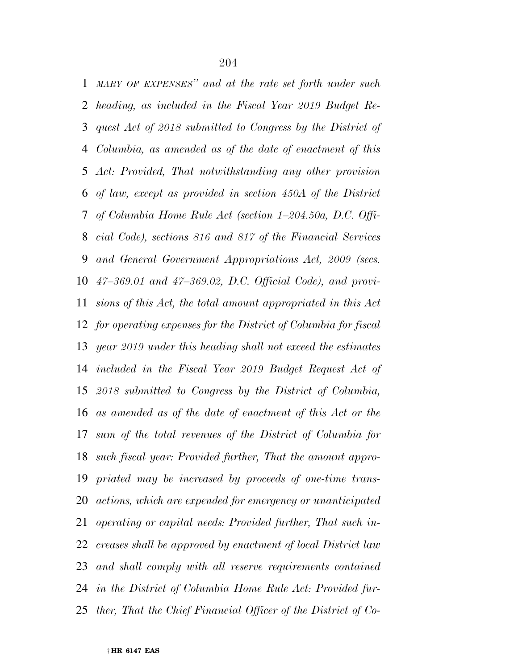*MARY OF EXPENSES'' and at the rate set forth under such heading, as included in the Fiscal Year 2019 Budget Re- quest Act of 2018 submitted to Congress by the District of Columbia, as amended as of the date of enactment of this Act: Provided, That notwithstanding any other provision of law, except as provided in section 450A of the District of Columbia Home Rule Act (section 1–204.50a, D.C. Offi- cial Code), sections 816 and 817 of the Financial Services and General Government Appropriations Act, 2009 (secs. 47–369.01 and 47–369.02, D.C. Official Code), and provi- sions of this Act, the total amount appropriated in this Act for operating expenses for the District of Columbia for fiscal year 2019 under this heading shall not exceed the estimates included in the Fiscal Year 2019 Budget Request Act of 2018 submitted to Congress by the District of Columbia, as amended as of the date of enactment of this Act or the sum of the total revenues of the District of Columbia for such fiscal year: Provided further, That the amount appro- priated may be increased by proceeds of one-time trans- actions, which are expended for emergency or unanticipated operating or capital needs: Provided further, That such in- creases shall be approved by enactment of local District law and shall comply with all reserve requirements contained in the District of Columbia Home Rule Act: Provided fur-ther, That the Chief Financial Officer of the District of Co-*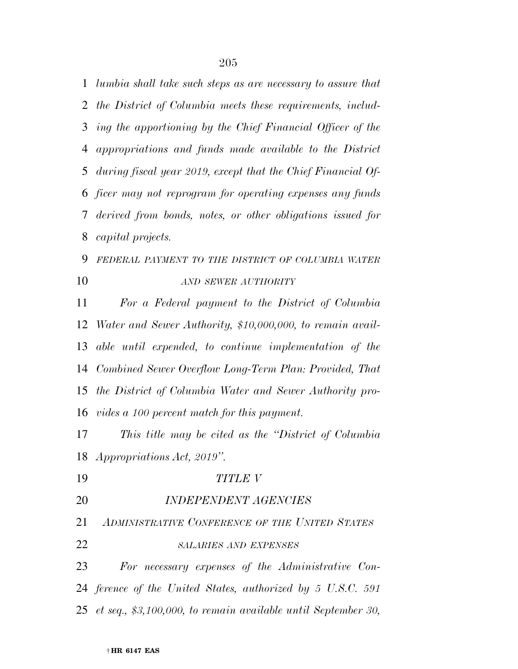*lumbia shall take such steps as are necessary to assure that the District of Columbia meets these requirements, includ- ing the apportioning by the Chief Financial Officer of the appropriations and funds made available to the District during fiscal year 2019, except that the Chief Financial Of- ficer may not reprogram for operating expenses any funds derived from bonds, notes, or other obligations issued for capital projects.* 

# *FEDERAL PAYMENT TO THE DISTRICT OF COLUMBIA WATER AND SEWER AUTHORITY*

 *For a Federal payment to the District of Columbia Water and Sewer Authority, \$10,000,000, to remain avail- able until expended, to continue implementation of the Combined Sewer Overflow Long-Term Plan: Provided, That the District of Columbia Water and Sewer Authority pro-vides a 100 percent match for this payment.* 

 *This title may be cited as the ''District of Columbia Appropriations Act, 2019''.* 

- *TITLE V*
- *INDEPENDENT AGENCIES*
- *ADMINISTRATIVE CONFERENCE OF THE UNITED STATES*
- *SALARIES AND EXPENSES*

 *For necessary expenses of the Administrative Con- ference of the United States, authorized by 5 U.S.C. 591 et seq., \$3,100,000, to remain available until September 30,*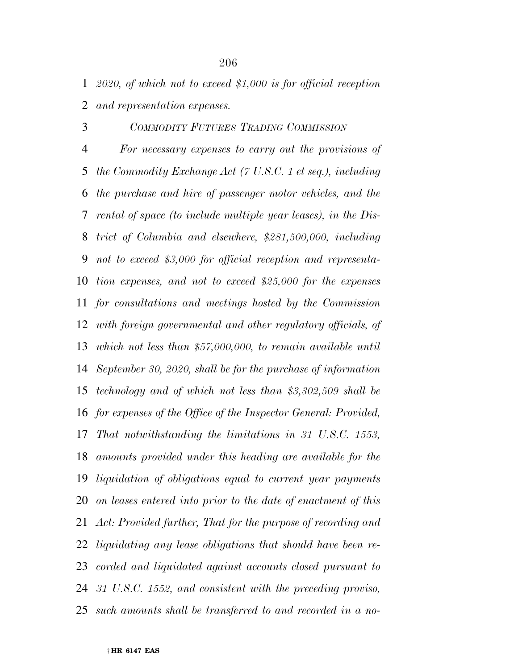*2020, of which not to exceed \$1,000 is for official reception and representation expenses.* 

## *COMMODITY FUTURES TRADING COMMISSION*

 *For necessary expenses to carry out the provisions of the Commodity Exchange Act (7 U.S.C. 1 et seq.), including the purchase and hire of passenger motor vehicles, and the rental of space (to include multiple year leases), in the Dis- trict of Columbia and elsewhere, \$281,500,000, including not to exceed \$3,000 for official reception and representa- tion expenses, and not to exceed \$25,000 for the expenses for consultations and meetings hosted by the Commission with foreign governmental and other regulatory officials, of which not less than \$57,000,000, to remain available until September 30, 2020, shall be for the purchase of information technology and of which not less than \$3,302,509 shall be for expenses of the Office of the Inspector General: Provided, That notwithstanding the limitations in 31 U.S.C. 1553, amounts provided under this heading are available for the liquidation of obligations equal to current year payments on leases entered into prior to the date of enactment of this Act: Provided further, That for the purpose of recording and liquidating any lease obligations that should have been re- corded and liquidated against accounts closed pursuant to 31 U.S.C. 1552, and consistent with the preceding proviso, such amounts shall be transferred to and recorded in a no-*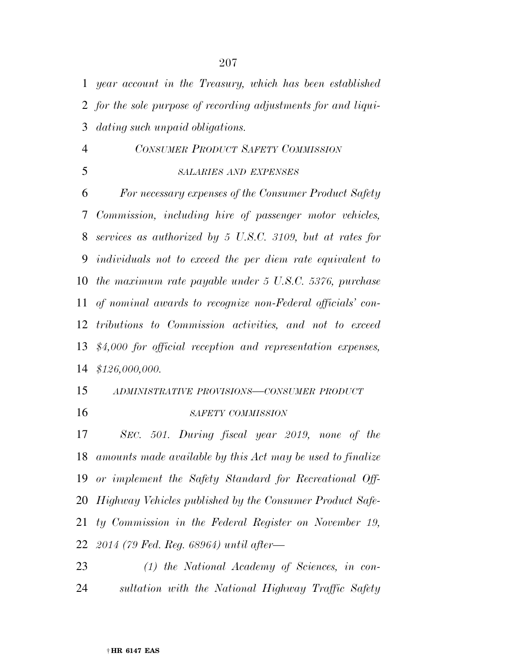*year account in the Treasury, which has been established for the sole purpose of recording adjustments for and liqui-*

*dating such unpaid obligations.* 

 *CONSUMER PRODUCT SAFETY COMMISSION SALARIES AND EXPENSES*

 *For necessary expenses of the Consumer Product Safety Commission, including hire of passenger motor vehicles, services as authorized by 5 U.S.C. 3109, but at rates for individuals not to exceed the per diem rate equivalent to the maximum rate payable under 5 U.S.C. 5376, purchase of nominal awards to recognize non-Federal officials' con- tributions to Commission activities, and not to exceed \$4,000 for official reception and representation expenses, \$126,000,000.* 

 *ADMINISTRATIVE PROVISIONS—CONSUMER PRODUCT SAFETY COMMISSION*

 *SEC. 501. During fiscal year 2019, none of the amounts made available by this Act may be used to finalize or implement the Safety Standard for Recreational Off- Highway Vehicles published by the Consumer Product Safe- ty Commission in the Federal Register on November 19, 2014 (79 Fed. Reg. 68964) until after—* 

 *(1) the National Academy of Sciences, in con-sultation with the National Highway Traffic Safety*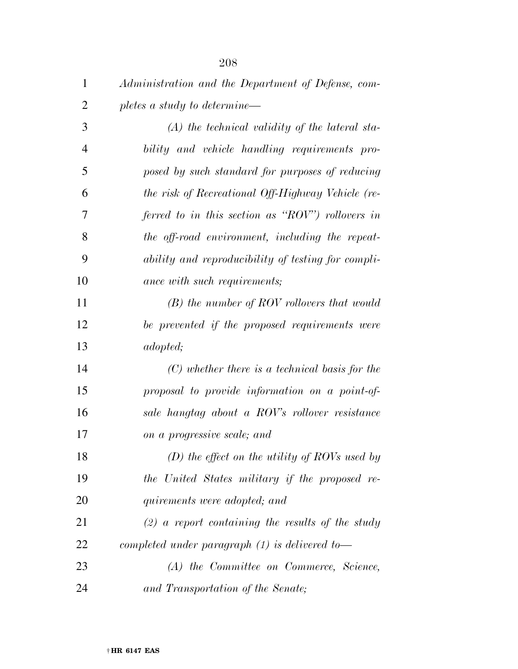| $\mathbf{1}$   | Administration and the Department of Defense, com- |
|----------------|----------------------------------------------------|
| $\overline{2}$ | pletes a study to determine—                       |
| 3              | $(A)$ the technical validity of the lateral sta-   |
| $\overline{4}$ | bility and vehicle handling requirements pro-      |
| 5              | posed by such standard for purposes of reducing    |
| 6              | the risk of Recreational Off-Highway Vehicle (re-  |
| 7              | ferred to in this section as "ROV") rollovers in   |
| 8              | the off-road environment, including the repeat-    |
| 9              | ability and reproducibility of testing for compli- |
| 10             | ance with such requirements;                       |
| 11             | $(B)$ the number of ROV rollovers that would       |
| 12             | be prevented if the proposed requirements were     |
| 13             | <i>adopted</i> ;                                   |
| 14             | $(C)$ whether there is a technical basis for the   |
| 15             | proposal to provide information on a point-of-     |
| 16             | sale hangtag about a ROV's rollover resistance     |
| 17             | on a progressive scale; and                        |
| 18             | (D) the effect on the utility of ROVs used by      |
| 19             | the United States military if the proposed re-     |
| 20             | quirements were adopted; and                       |
| 21             | $(2)$ a report containing the results of the study |
| 22             | completed under paragraph $(1)$ is delivered to-   |
| 23             | (A) the Committee on Commerce, Science,            |
| 24             | and Transportation of the Senate;                  |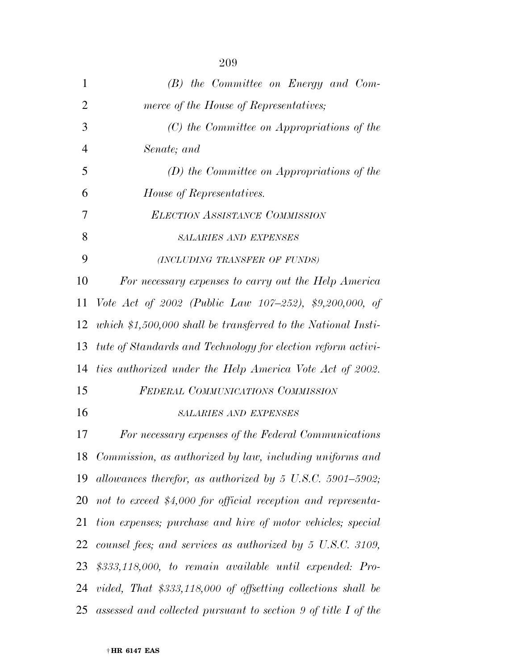| $\mathbf{1}$   | $(B)$ the Committee on Energy and Com-                          |
|----------------|-----------------------------------------------------------------|
| $\overline{2}$ | merce of the House of Representatives;                          |
| 3              | (C) the Committee on Appropriations of the                      |
| $\overline{4}$ | Senate; and                                                     |
| 5              | $(D)$ the Committee on Appropriations of the                    |
| 6              | House of Representatives.                                       |
| 7              | <b>ELECTION ASSISTANCE COMMISSION</b>                           |
| 8              | <b>SALARIES AND EXPENSES</b>                                    |
| 9              | (INCLUDING TRANSFER OF FUNDS)                                   |
| 10             | For necessary expenses to carry out the Help America            |
| 11             | Vote Act of 2002 (Public Law 107-252), \$9,200,000, of          |
| 12             | which $$1,500,000$ shall be transferred to the National Insti-  |
| 13             | tute of Standards and Technology for election reform activi-    |
| 14             | ties authorized under the Help America Vote Act of 2002.        |
| 15             | <b>FEDERAL COMMUNICATIONS COMMISSION</b>                        |
| 16             | SALARIES AND EXPENSES                                           |
| 17             | For necessary expenses of the Federal Communications            |
| 18             | Commission, as authorized by law, including uniforms and        |
| 19             | allowances therefor, as authorized by 5 U.S.C. 5901–5902;       |
| 20             | not to exceed \$4,000 for official reception and representa-    |
| 21             | tion expenses; purchase and hire of motor vehicles; special     |
| 22             | counsel fees; and services as authorized by 5 U.S.C. 3109,      |
| 23             | $$333,118,000, to remain available until expanded: Pro-$        |
|                | 24 vided, That \$333,118,000 of offsetting collections shall be |
| 25             | assessed and collected pursuant to section 9 of title I of the  |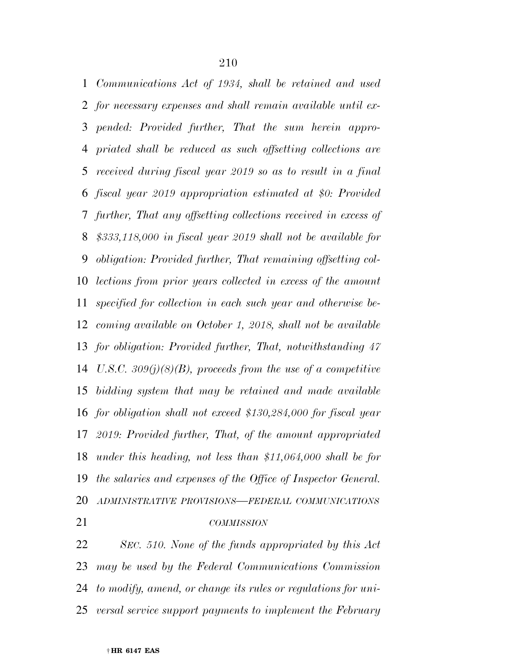*Communications Act of 1934, shall be retained and used for necessary expenses and shall remain available until ex- pended: Provided further, That the sum herein appro- priated shall be reduced as such offsetting collections are received during fiscal year 2019 so as to result in a final fiscal year 2019 appropriation estimated at \$0: Provided further, That any offsetting collections received in excess of \$333,118,000 in fiscal year 2019 shall not be available for obligation: Provided further, That remaining offsetting col- lections from prior years collected in excess of the amount specified for collection in each such year and otherwise be- coming available on October 1, 2018, shall not be available for obligation: Provided further, That, notwithstanding 47 U.S.C. 309(j)(8)(B), proceeds from the use of a competitive bidding system that may be retained and made available for obligation shall not exceed \$130,284,000 for fiscal year 2019: Provided further, That, of the amount appropriated under this heading, not less than \$11,064,000 shall be for the salaries and expenses of the Office of Inspector General. ADMINISTRATIVE PROVISIONS—FEDERAL COMMUNICATIONS COMMISSION*

 *SEC. 510. None of the funds appropriated by this Act may be used by the Federal Communications Commission to modify, amend, or change its rules or regulations for uni-versal service support payments to implement the February*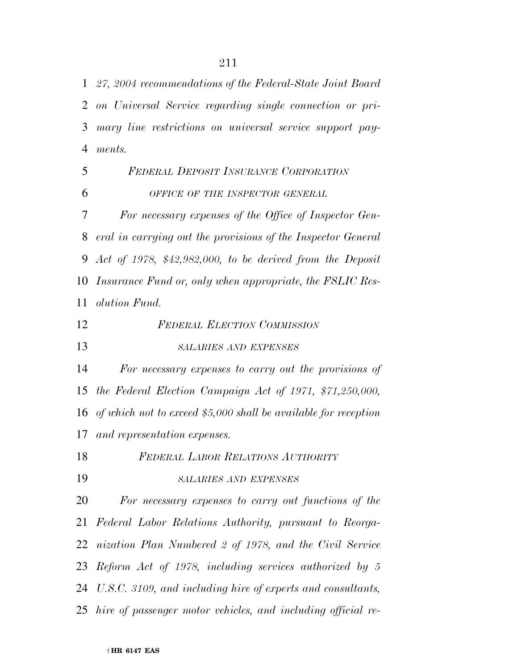*27, 2004 recommendations of the Federal-State Joint Board on Universal Service regarding single connection or pri- mary line restrictions on universal service support pay- ments. FEDERAL DEPOSIT INSURANCE CORPORATION OFFICE OF THE INSPECTOR GENERAL For necessary expenses of the Office of Inspector Gen- eral in carrying out the provisions of the Inspector General Act of 1978, \$42,982,000, to be derived from the Deposit Insurance Fund or, only when appropriate, the FSLIC Res-olution Fund.* 

*FEDERAL ELECTION COMMISSION*

*SALARIES AND EXPENSES*

 *For necessary expenses to carry out the provisions of the Federal Election Campaign Act of 1971, \$71,250,000, of which not to exceed \$5,000 shall be available for reception and representation expenses.* 

 *FEDERAL LABOR RELATIONS AUTHORITY SALARIES AND EXPENSES*

 *For necessary expenses to carry out functions of the Federal Labor Relations Authority, pursuant to Reorga- nization Plan Numbered 2 of 1978, and the Civil Service Reform Act of 1978, including services authorized by 5 U.S.C. 3109, and including hire of experts and consultants, hire of passenger motor vehicles, and including official re-*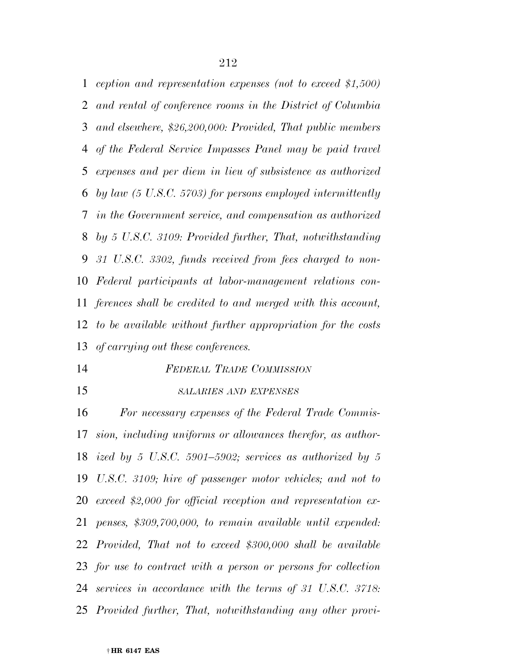*ception and representation expenses (not to exceed \$1,500) and rental of conference rooms in the District of Columbia and elsewhere, \$26,200,000: Provided, That public members of the Federal Service Impasses Panel may be paid travel expenses and per diem in lieu of subsistence as authorized by law (5 U.S.C. 5703) for persons employed intermittently in the Government service, and compensation as authorized by 5 U.S.C. 3109: Provided further, That, notwithstanding 31 U.S.C. 3302, funds received from fees charged to non- Federal participants at labor-management relations con- ferences shall be credited to and merged with this account, to be available without further appropriation for the costs of carrying out these conferences.* 

- *FEDERAL TRADE COMMISSION*
- 

 *SALARIES AND EXPENSES For necessary expenses of the Federal Trade Commis-*

 *sion, including uniforms or allowances therefor, as author- ized by 5 U.S.C. 5901–5902; services as authorized by 5 U.S.C. 3109; hire of passenger motor vehicles; and not to exceed \$2,000 for official reception and representation ex- penses, \$309,700,000, to remain available until expended: Provided, That not to exceed \$300,000 shall be available for use to contract with a person or persons for collection services in accordance with the terms of 31 U.S.C. 3718: Provided further, That, notwithstanding any other provi-*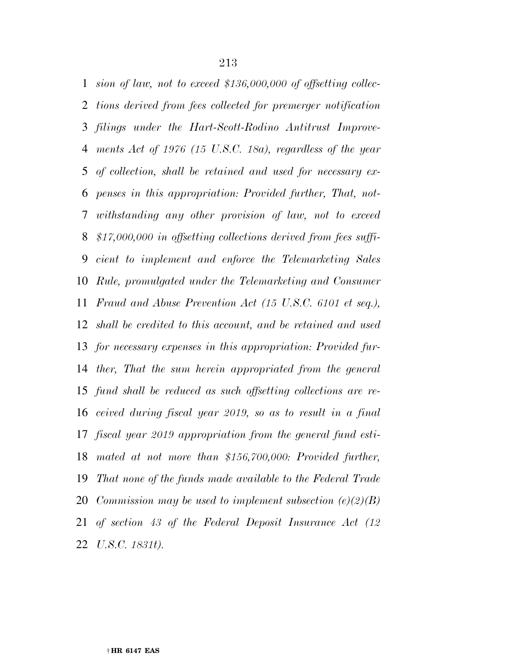*sion of law, not to exceed \$136,000,000 of offsetting collec- tions derived from fees collected for premerger notification filings under the Hart-Scott-Rodino Antitrust Improve- ments Act of 1976 (15 U.S.C. 18a), regardless of the year of collection, shall be retained and used for necessary ex- penses in this appropriation: Provided further, That, not- withstanding any other provision of law, not to exceed \$17,000,000 in offsetting collections derived from fees suffi- cient to implement and enforce the Telemarketing Sales Rule, promulgated under the Telemarketing and Consumer Fraud and Abuse Prevention Act (15 U.S.C. 6101 et seq.), shall be credited to this account, and be retained and used for necessary expenses in this appropriation: Provided fur- ther, That the sum herein appropriated from the general fund shall be reduced as such offsetting collections are re- ceived during fiscal year 2019, so as to result in a final fiscal year 2019 appropriation from the general fund esti- mated at not more than \$156,700,000: Provided further, That none of the funds made available to the Federal Trade Commission may be used to implement subsection (e)(2)(B) of section 43 of the Federal Deposit Insurance Act (12 U.S.C. 1831t).*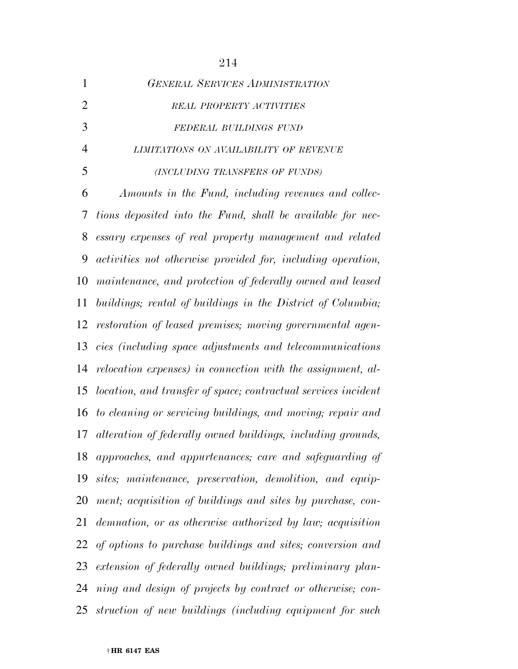| <b>GENERAL SERVICES ADMINISTRATION</b> |
|----------------------------------------|
| REAL PROPERTY ACTIVITIES               |
| FEDERAL BUILDINGS FUND                 |
| LIMITATIONS ON AVAILABILITY OF REVENUE |
| (INCLUDING TRANSFERS OF FUNDS)         |
|                                        |

 *Amounts in the Fund, including revenues and collec- tions deposited into the Fund, shall be available for nec- essary expenses of real property management and related activities not otherwise provided for, including operation, maintenance, and protection of federally owned and leased buildings; rental of buildings in the District of Columbia; restoration of leased premises; moving governmental agen- cies (including space adjustments and telecommunications relocation expenses) in connection with the assignment, al- location, and transfer of space; contractual services incident to cleaning or servicing buildings, and moving; repair and alteration of federally owned buildings, including grounds, approaches, and appurtenances; care and safeguarding of sites; maintenance, preservation, demolition, and equip- ment; acquisition of buildings and sites by purchase, con- demnation, or as otherwise authorized by law; acquisition of options to purchase buildings and sites; conversion and extension of federally owned buildings; preliminary plan- ning and design of projects by contract or otherwise; con-struction of new buildings (including equipment for such*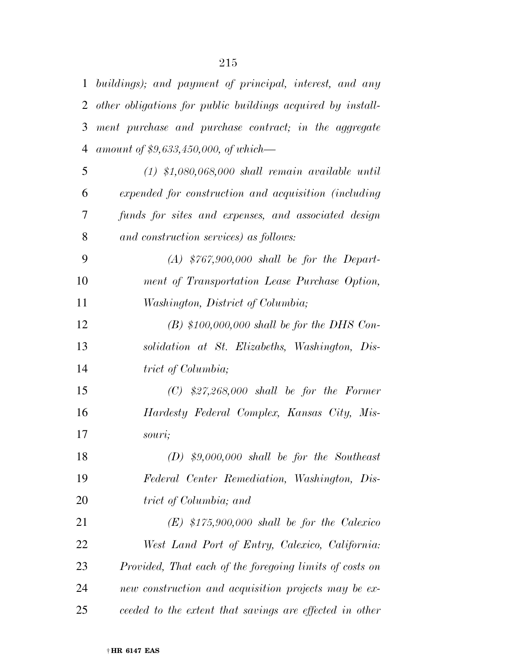| $\mathbf{1}$ | buildings); and payment of principal, interest, and any     |
|--------------|-------------------------------------------------------------|
| 2            | other obligations for public buildings acquired by install- |
| 3            | ment purchase and purchase contract; in the aggregate       |
| 4            | amount of $$9,633,450,000,$ of which—                       |
| 5            | $(1)$ \$1,080,068,000 shall remain available until          |
| 6            | expended for construction and acquisition (including        |
| 7            | funds for sites and expenses, and associated design         |
| 8            | and construction services) as follows:                      |
| 9            | $(A)$ \$767,900,000 shall be for the Depart-                |
| 10           | ment of Transportation Lease Purchase Option,               |
| 11           | Washington, District of Columbia;                           |
| 12           | $(B)$ \$100,000,000 shall be for the DHS Con-               |
| 13           | solidation at St. Elizabeths, Washington, Dis-              |
| 14           | trict of Columbia;                                          |
| 15           | $(C)$ \$27,268,000 shall be for the Former                  |
| 16           | Hardesty Federal Complex, Kansas City, Mis-                 |
| 17           | souri;                                                      |
| 18           | $(D)$ \$9,000,000 shall be for the Southeast                |
| 19           | Federal Center Remediation, Washington, Dis-                |
| 20           | trict of Columbia; and                                      |
| 21           | $(E)$ \$175,900,000 shall be for the Calexico               |
| 22           | West Land Port of Entry, Calexico, California:              |
| 23           | Provided, That each of the foregoing limits of costs on     |
| 24           | new construction and acquisition projects may be ex-        |
| 25           | ceeded to the extent that savings are effected in other     |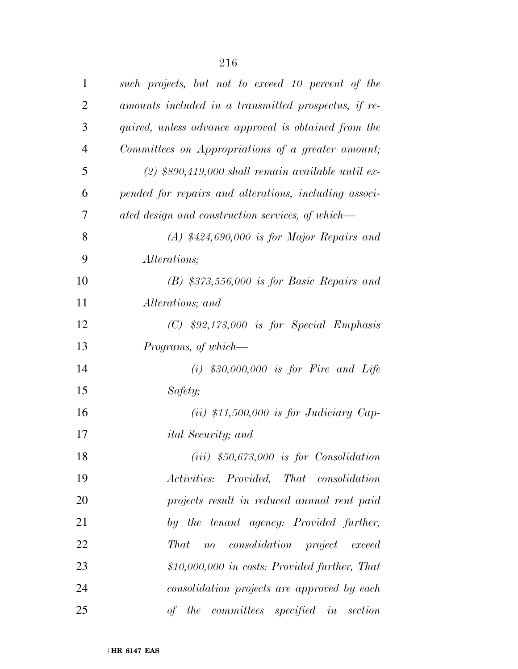| $\mathbf{1}$   | such projects, but not to exceed 10 percent of the                      |
|----------------|-------------------------------------------------------------------------|
| $\overline{2}$ | amounts included in a transmitted prospectus, if re-                    |
| 3              | quired, unless advance approval is obtained from the                    |
| $\overline{4}$ | Committees on Appropriations of a greater amount;                       |
| 5              | $(2)$ \$890,419,000 shall remain available until ex-                    |
| 6              | pended for repairs and alterations, including associ-                   |
| 7              | ated design and construction services, of which—                        |
| 8              | $(A)$ \$424,690,000 is for Major Repairs and                            |
| 9              | <i>Alterations</i> ;                                                    |
| 10             | $(B)$ \$373,556,000 is for Basic Repairs and                            |
| 11             | Alterations; and                                                        |
| 12             | $(C)$ \$92,173,000 is for Special Emphasis                              |
| 13             | Programs, of which—                                                     |
| 14             | $(i)$ \$30,000,000 is for Fire and Life                                 |
| 15             | Safety;                                                                 |
| 16             | $(ii)$ \$11,500,000 is for Judiciary Cap-                               |
| 17             | <i>ital Security</i> ; and                                              |
| 18             | $(iii)$ \$50,673,000 is for Consolidation                               |
| 19             | Activities: Provided, That consolidation                                |
| 20             | projects result in reduced annual rent paid                             |
| 21             | by the tenant agency: Provided further,                                 |
| 22             | <b>That</b><br><i>consolidation project</i><br>$\overline{u}$<br>exceed |
| 23             | $$10,000,000$ in costs: Provided further, That                          |
| 24             | consolidation projects are approved by each                             |
| 25             | the<br><i>committees specified</i><br>$in \; setion$<br>of              |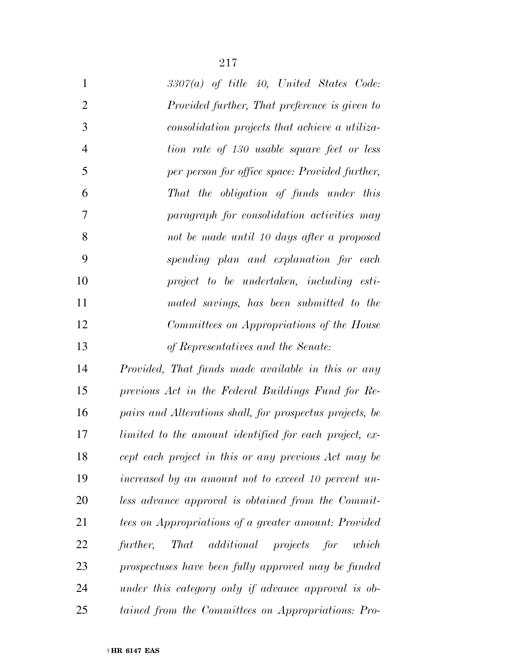| $\mathbf{1}$   | $3307(a)$ of title 40, United States Code:               |
|----------------|----------------------------------------------------------|
| $\overline{2}$ | Provided further, That preference is given to            |
| 3              | consolidation projects that achieve a utiliza-           |
| $\overline{4}$ | tion rate of 130 usable square feet or less              |
| 5              | per person for office space: Provided further,           |
| 6              | That the obligation of funds under this                  |
| 7              | paragraph for consolidation activities may               |
| 8              | not be made until 10 days after a proposed               |
| 9              | spending plan and explanation for each                   |
| 10             | project to be undertaken, including esti-                |
| 11             | mated savings, has been submitted to the                 |
| 12             | Committees on Appropriations of the House                |
| 13             | of Representatives and the Senate:                       |
| 14             | Provided, That funds made available in this or any       |
| 15             | previous Act in the Federal Buildings Fund for Re-       |
| 16             | pairs and Alterations shall, for prospectus projects, be |
| 17             | limited to the amount identified for each project, ex-   |
| 18             | cept each project in this or any previous Act may be     |
| 19             | increased by an amount not to exceed 10 percent un-      |
| 20             | less advance approval is obtained from the Commit-       |
| 21             | tees on Appropriations of a greater amount: Provided     |
| 22             | additional projects for which<br>further,<br><b>That</b> |
| 23             | prospectuses have been fully approved may be funded      |

 *under this category only if advance approval is ob-tained from the Committees on Appropriations: Pro-*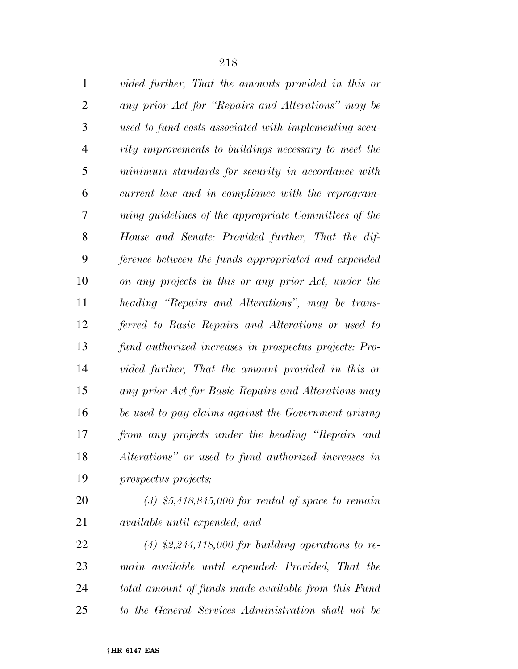| $\mathbf{1}$   | vided further, That the amounts provided in this or    |
|----------------|--------------------------------------------------------|
| $\overline{2}$ | any prior Act for "Repairs and Alterations" may be     |
| 3              | used to fund costs associated with implementing secu-  |
| $\overline{4}$ | rity improvements to buildings necessary to meet the   |
| 5              | minimum standards for security in accordance with      |
| 6              | current law and in compliance with the reprogram-      |
| 7              | ming guidelines of the appropriate Committees of the   |
| 8              | House and Senate: Provided further, That the dif-      |
| 9              | ference between the funds appropriated and expended    |
| 10             | on any projects in this or any prior Act, under the    |
| 11             | heading "Repairs and Alterations", may be trans-       |
| 12             | ferred to Basic Repairs and Alterations or used to     |
| 13             | fund authorized increases in prospectus projects: Pro- |
| 14             | vided further, That the amount provided in this or     |
| 15             | any prior Act for Basic Repairs and Alterations may    |
| 16             | be used to pay claims against the Government arising   |
| 17             | from any projects under the heading "Repairs and       |
| 18             | Alterations" or used to fund authorized increases in   |
| 19             | prospectus projects;                                   |
| 20             | $(3)$ \$5,418,845,000 for rental of space to remain    |
| 21             | <i>available until expended; and</i>                   |

 *(4) \$2,244,118,000 for building operations to re- main available until expended: Provided, That the total amount of funds made available from this Fund to the General Services Administration shall not be*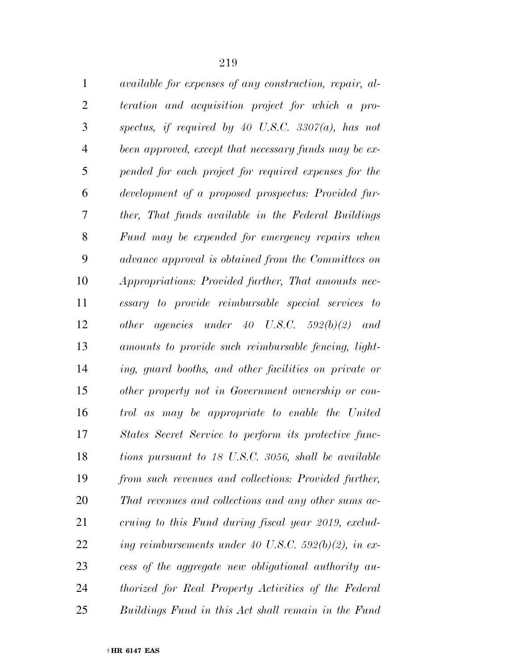| $\mathbf{1}$ | <i>available for expenses of any construction, repair, al-</i> |
|--------------|----------------------------------------------------------------|
| 2            | teration and acquisition project for which a pro-              |
| 3            | spectus, if required by 40 U.S.C. 3307(a), has not             |

 *spectus, if required by 40 U.S.C. 3307(a), has not been approved, except that necessary funds may be ex- pended for each project for required expenses for the development of a proposed prospectus: Provided fur- ther, That funds available in the Federal Buildings Fund may be expended for emergency repairs when advance approval is obtained from the Committees on Appropriations: Provided further, That amounts nec- essary to provide reimbursable special services to other agencies under 40 U.S.C. 592(b)(2) and amounts to provide such reimbursable fencing, light- ing, guard booths, and other facilities on private or other property not in Government ownership or con- trol as may be appropriate to enable the United States Secret Service to perform its protective func- tions pursuant to 18 U.S.C. 3056, shall be available from such revenues and collections: Provided further, That revenues and collections and any other sums ac- cruing to this Fund during fiscal year 2019, exclud- ing reimbursements under 40 U.S.C. 592(b)(2), in ex- cess of the aggregate new obligational authority au- thorized for Real Property Activities of the Federal Buildings Fund in this Act shall remain in the Fund*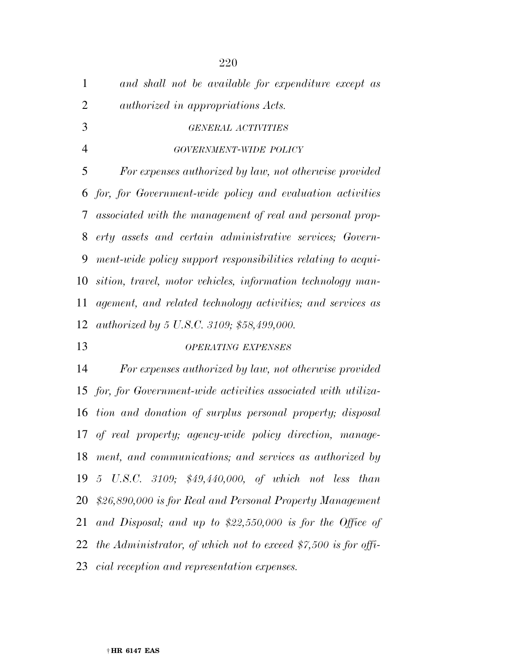| $\mathbf{1}$   | and shall not be available for expenditure except as            |
|----------------|-----------------------------------------------------------------|
| $\overline{2}$ | <i>authorized in appropriations Acts.</i>                       |
| 3              | <b>GENERAL ACTIVITIES</b>                                       |
| $\overline{4}$ | GOVERNMENT-WIDE POLICY                                          |
| 5              | For expenses authorized by law, not otherwise provided          |
|                | 6 for, for Government-wide policy and evaluation activities     |
| 7              | associated with the management of real and personal prop-       |
| 8              | erty assets and certain administrative services; Govern-        |
| 9              | ment-wide policy support responsibilities relating to acqui-    |
| 10             | sition, travel, motor vehicles, information technology man-     |
| 11             | agement, and related technology activities; and services as     |
| 12             | authorized by 5 U.S.C. 3109; \$58,499,000.                      |
| 13             | <b>OPERATING EXPENSES</b>                                       |
| 14             | For expenses authorized by law, not otherwise provided          |
|                | 15 for, for Government-wide activities associated with utiliza- |
|                | 16 tion and donation of surplus personal property; disposal     |
|                | 17 of real property; agency-wide policy direction, manage-      |
| 18             | ment, and communications; and services as authorized by         |
| 19             | 5 U.S.C. 3109; \$49,440,000, of which not less than             |
| 20             | \$26,890,000 is for Real and Personal Property Management       |
| 21             | and Disposal; and up to $$22,550,000$ is for the Office of      |

*the Administrator, of which not to exceed \$7,500 is for offi-*

*cial reception and representation expenses.*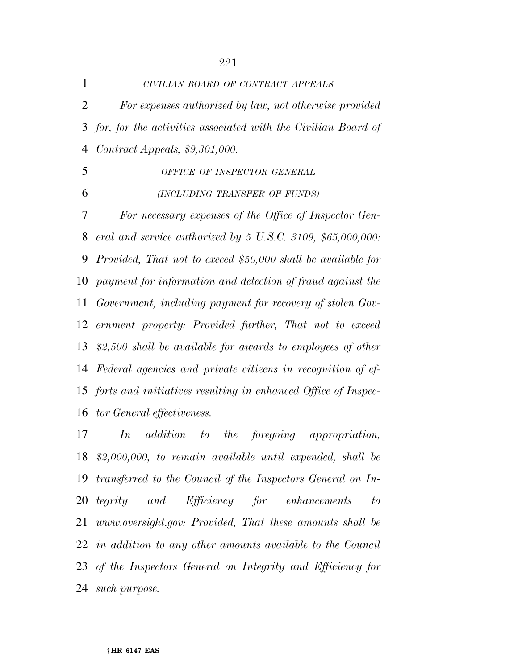| $\mathbf 1$ | CIVILIAN BOARD OF CONTRACT APPEALS                                 |
|-------------|--------------------------------------------------------------------|
| 2           | For expenses authorized by law, not otherwise provided             |
|             | 3 for, for the activities associated with the Civilian Board of    |
| 4           | Contract Appeals, $$9,301,000$ .                                   |
| 5           | OFFICE OF INSPECTOR GENERAL                                        |
| 6           | (INCLUDING TRANSFER OF FUNDS)                                      |
| 7           | For necessary expenses of the Office of Inspector Gen-             |
| 8           | eral and service authorized by 5 U.S.C. 3109, $$65,000,000$ :      |
| 9           | Provided, That not to exceed \$50,000 shall be available for       |
| 10          | payment for information and detection of fraud against the         |
| 11          | Government, including payment for recovery of stolen Gov-          |
| 12          | ernment property: Provided further, That not to exceed             |
| 13          | $$2,500$ shall be available for awards to employees of other       |
|             | 14 Federal agencies and private citizens in recognition of ef-     |
|             | 15 forts and initiatives resulting in enhanced Office of Inspec-   |
|             | 16 tor General effectiveness.                                      |
| 17          | In<br><i>addition</i> to<br>the foregoing<br><i>appropriation,</i> |
|             | $18$ \$2,000,000, to remain available until expended, shall be     |
| 19          | transferred to the Council of the Inspectors General on In-        |
| 20          | tegrity and Efficiency for enhancements<br>to                      |
| 21          | www.oversight.gov: Provided, That these amounts shall be           |
|             | 22 in addition to any other amounts available to the Council       |

 *of the Inspectors General on Integrity and Efficiency for such purpose.*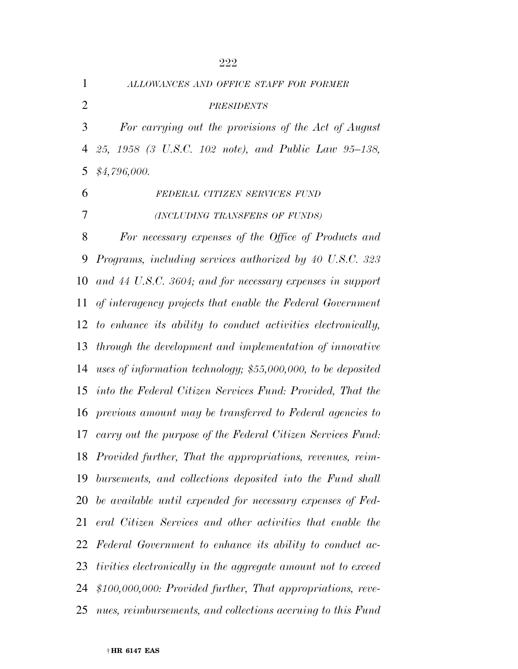|                | 222                                                             |
|----------------|-----------------------------------------------------------------|
| $\mathbf{1}$   | ALLOWANCES AND OFFICE STAFF FOR FORMER                          |
| $\overline{2}$ | <b>PRESIDENTS</b>                                               |
| 3              | For carrying out the provisions of the Act of August            |
| $\overline{4}$ | 25, 1958 (3 U.S.C. 102 note), and Public Law 95-138,            |
| 5              | \$4,796,000.                                                    |
| 6              | FEDERAL CITIZEN SERVICES FUND                                   |
| 7              | (INCLUDING TRANSFERS OF FUNDS)                                  |
| 8              | For necessary expenses of the Office of Products and            |
| 9              | Programs, including services authorized by 40 U.S.C. 323        |
| 10             | and 44 U.S.C. 3604; and for necessary expenses in support       |
| 11             | of interagency projects that enable the Federal Government      |
| 12             | to enhance its ability to conduct activities electronically,    |
| 13             | through the development and implementation of innovative        |
| 14             | uses of information technology; $$55,000,000$ , to be deposited |
|                | 15 into the Federal Citizen Services Fund: Provided, That the   |
| 16             | previous amount may be transferred to Federal agencies to       |
|                | 17 carry out the purpose of the Federal Citizen Services Fund:  |
| 18             | Provided further, That the appropriations, revenues, reim-      |
| 19             | bursements, and collections deposited into the Fund shall       |
| 20             | be available until expended for necessary expenses of Fed-      |
| 21             | eral Citizen Services and other activities that enable the      |
| 22             | Federal Government to enhance its ability to conduct ac-        |
| 23             | tivities electronically in the aggregate amount not to exceed   |
| 24             | \$100,000,000: Provided further, That appropriations, reve-     |
| 25             | nues, reimbursements, and collections accruing to this Fund     |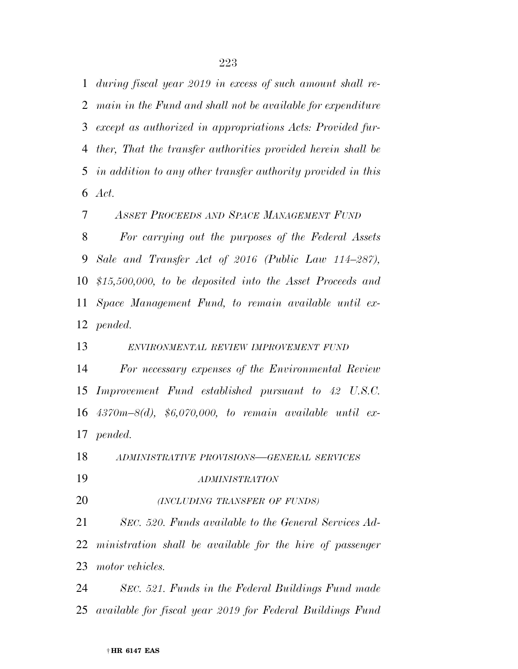*during fiscal year 2019 in excess of such amount shall re- main in the Fund and shall not be available for expenditure except as authorized in appropriations Acts: Provided fur- ther, That the transfer authorities provided herein shall be in addition to any other transfer authority provided in this Act.* 

*ASSET PROCEEDS AND SPACE MANAGEMENT FUND*

 *For carrying out the purposes of the Federal Assets Sale and Transfer Act of 2016 (Public Law 114–287), \$15,500,000, to be deposited into the Asset Proceeds and Space Management Fund, to remain available until ex-pended.* 

*ENVIRONMENTAL REVIEW IMPROVEMENT FUND*

 *For necessary expenses of the Environmental Review Improvement Fund established pursuant to 42 U.S.C. 4370m–8(d), \$6,070,000, to remain available until ex-pended.* 

*ADMINISTRATIVE PROVISIONS—GENERAL SERVICES*

*ADMINISTRATION*

*(INCLUDING TRANSFER OF FUNDS)*

 *SEC. 520. Funds available to the General Services Ad- ministration shall be available for the hire of passenger motor vehicles.* 

 *SEC. 521. Funds in the Federal Buildings Fund made available for fiscal year 2019 for Federal Buildings Fund*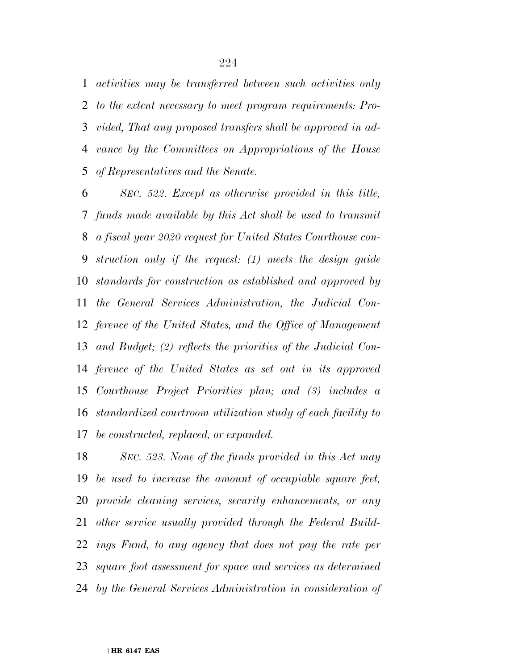*activities may be transferred between such activities only to the extent necessary to meet program requirements: Pro- vided, That any proposed transfers shall be approved in ad- vance by the Committees on Appropriations of the House of Representatives and the Senate.* 

 *SEC. 522. Except as otherwise provided in this title, funds made available by this Act shall be used to transmit a fiscal year 2020 request for United States Courthouse con- struction only if the request: (1) meets the design guide standards for construction as established and approved by the General Services Administration, the Judicial Con- ference of the United States, and the Office of Management and Budget; (2) reflects the priorities of the Judicial Con- ference of the United States as set out in its approved Courthouse Project Priorities plan; and (3) includes a standardized courtroom utilization study of each facility to be constructed, replaced, or expanded.* 

 *SEC. 523. None of the funds provided in this Act may be used to increase the amount of occupiable square feet, provide cleaning services, security enhancements, or any other service usually provided through the Federal Build- ings Fund, to any agency that does not pay the rate per square foot assessment for space and services as determined by the General Services Administration in consideration of*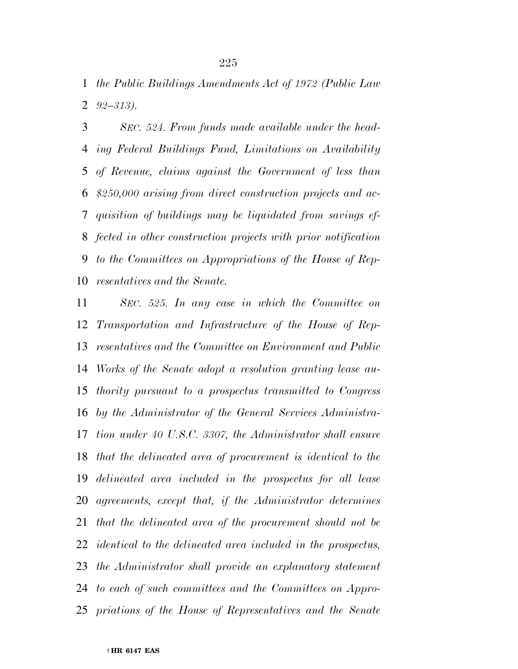*the Public Buildings Amendments Act of 1972 (Public Law 92–313).* 

 *SEC. 524. From funds made available under the head- ing Federal Buildings Fund, Limitations on Availability of Revenue, claims against the Government of less than \$250,000 arising from direct construction projects and ac- quisition of buildings may be liquidated from savings ef- fected in other construction projects with prior notification to the Committees on Appropriations of the House of Rep-resentatives and the Senate.* 

 *SEC. 525. In any case in which the Committee on Transportation and Infrastructure of the House of Rep- resentatives and the Committee on Environment and Public Works of the Senate adopt a resolution granting lease au- thority pursuant to a prospectus transmitted to Congress by the Administrator of the General Services Administra- tion under 40 U.S.C. 3307, the Administrator shall ensure that the delineated area of procurement is identical to the delineated area included in the prospectus for all lease agreements, except that, if the Administrator determines that the delineated area of the procurement should not be identical to the delineated area included in the prospectus, the Administrator shall provide an explanatory statement to each of such committees and the Committees on Appro-priations of the House of Representatives and the Senate*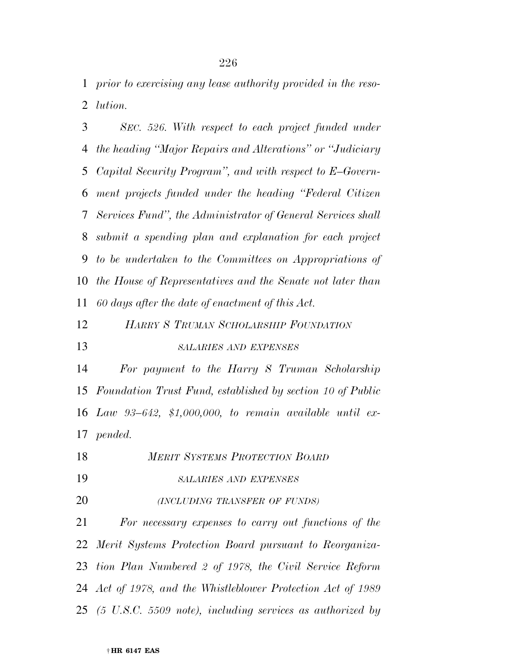*prior to exercising any lease authority provided in the reso-lution.* 

 *SEC. 526. With respect to each project funded under the heading ''Major Repairs and Alterations'' or ''Judiciary Capital Security Program'', and with respect to E–Govern- ment projects funded under the heading ''Federal Citizen Services Fund'', the Administrator of General Services shall submit a spending plan and explanation for each project to be undertaken to the Committees on Appropriations of the House of Representatives and the Senate not later than 60 days after the date of enactment of this Act.* 

*HARRY S TRUMAN SCHOLARSHIP FOUNDATION*

*SALARIES AND EXPENSES*

 *For payment to the Harry S Truman Scholarship Foundation Trust Fund, established by section 10 of Public Law 93–642, \$1,000,000, to remain available until ex-pended.* 

 *MERIT SYSTEMS PROTECTION BOARD SALARIES AND EXPENSES (INCLUDING TRANSFER OF FUNDS) For necessary expenses to carry out functions of the Merit Systems Protection Board pursuant to Reorganiza- tion Plan Numbered 2 of 1978, the Civil Service Reform Act of 1978, and the Whistleblower Protection Act of 1989* 

*(5 U.S.C. 5509 note), including services as authorized by*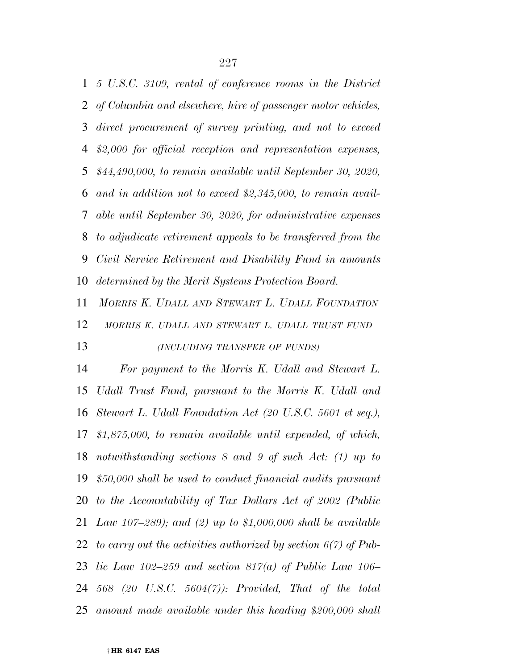*5 U.S.C. 3109, rental of conference rooms in the District of Columbia and elsewhere, hire of passenger motor vehicles, direct procurement of survey printing, and not to exceed \$2,000 for official reception and representation expenses, \$44,490,000, to remain available until September 30, 2020, and in addition not to exceed \$2,345,000, to remain avail- able until September 30, 2020, for administrative expenses to adjudicate retirement appeals to be transferred from the Civil Service Retirement and Disability Fund in amounts determined by the Merit Systems Protection Board.* 

 *MORRIS K. UDALL AND STEWART L. UDALL FOUNDATION MORRIS K. UDALL AND STEWART L. UDALL TRUST FUND (INCLUDING TRANSFER OF FUNDS)*

 *For payment to the Morris K. Udall and Stewart L. Udall Trust Fund, pursuant to the Morris K. Udall and Stewart L. Udall Foundation Act (20 U.S.C. 5601 et seq.), \$1,875,000, to remain available until expended, of which, notwithstanding sections 8 and 9 of such Act: (1) up to \$50,000 shall be used to conduct financial audits pursuant to the Accountability of Tax Dollars Act of 2002 (Public Law 107–289); and (2) up to \$1,000,000 shall be available to carry out the activities authorized by section 6(7) of Pub- lic Law 102–259 and section 817(a) of Public Law 106– 568 (20 U.S.C. 5604(7)): Provided, That of the total amount made available under this heading \$200,000 shall*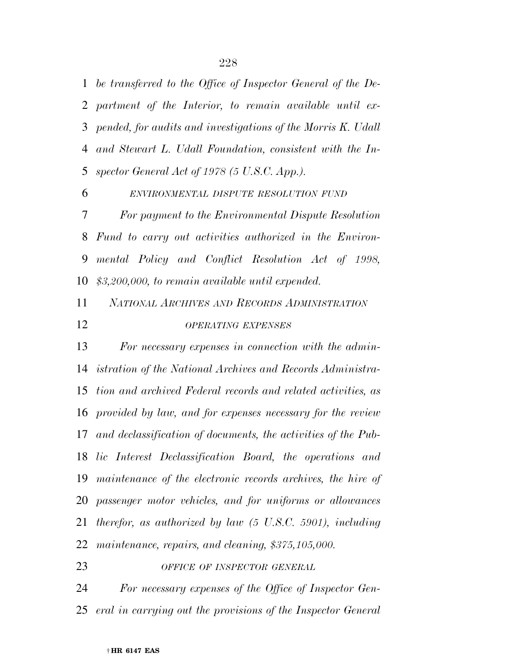*be transferred to the Office of Inspector General of the De- partment of the Interior, to remain available until ex- pended, for audits and investigations of the Morris K. Udall and Stewart L. Udall Foundation, consistent with the In-spector General Act of 1978 (5 U.S.C. App.).* 

 *ENVIRONMENTAL DISPUTE RESOLUTION FUND For payment to the Environmental Dispute Resolution Fund to carry out activities authorized in the Environ- mental Policy and Conflict Resolution Act of 1998, \$3,200,000, to remain available until expended.* 

 *NATIONAL ARCHIVES AND RECORDS ADMINISTRATION OPERATING EXPENSES*

 *For necessary expenses in connection with the admin- istration of the National Archives and Records Administra- tion and archived Federal records and related activities, as provided by law, and for expenses necessary for the review and declassification of documents, the activities of the Pub- lic Interest Declassification Board, the operations and maintenance of the electronic records archives, the hire of passenger motor vehicles, and for uniforms or allowances therefor, as authorized by law (5 U.S.C. 5901), including maintenance, repairs, and cleaning, \$375,105,000.* 

*OFFICE OF INSPECTOR GENERAL*

 *For necessary expenses of the Office of Inspector Gen-eral in carrying out the provisions of the Inspector General*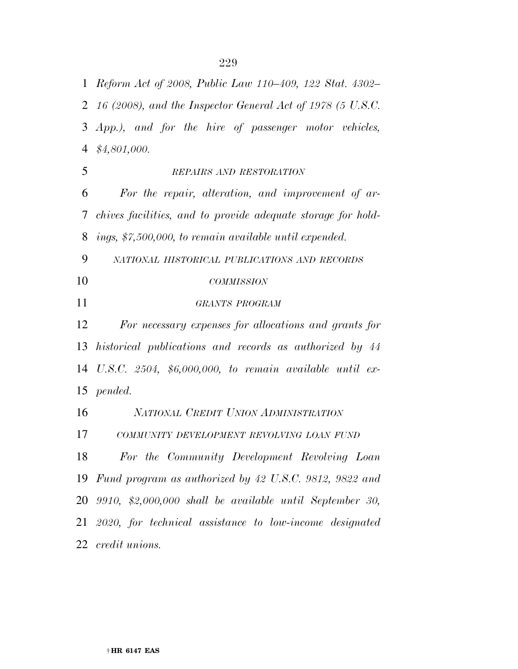*Reform Act of 2008, Public Law 110–409, 122 Stat. 4302–* 

 *16 (2008), and the Inspector General Act of 1978 (5 U.S.C. App.), and for the hire of passenger motor vehicles, \$4,801,000. REPAIRS AND RESTORATION For the repair, alteration, and improvement of ar- chives facilities, and to provide adequate storage for hold- ings, \$7,500,000, to remain available until expended. NATIONAL HISTORICAL PUBLICATIONS AND RECORDS COMMISSION GRANTS PROGRAM For necessary expenses for allocations and grants for historical publications and records as authorized by 44* 

 *U.S.C. 2504, \$6,000,000, to remain available until ex-pended.* 

 *NATIONAL CREDIT UNION ADMINISTRATION COMMUNITY DEVELOPMENT REVOLVING LOAN FUND*

 *For the Community Development Revolving Loan Fund program as authorized by 42 U.S.C. 9812, 9822 and 9910, \$2,000,000 shall be available until September 30, 2020, for technical assistance to low-income designated credit unions.*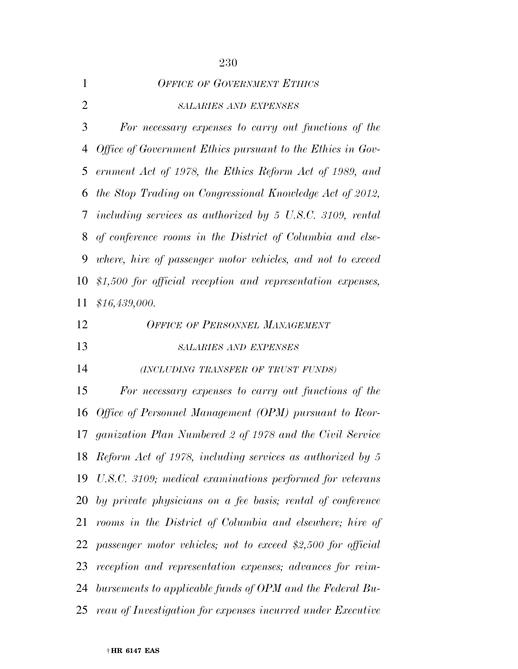|                | 230                                                                   |
|----------------|-----------------------------------------------------------------------|
| $\mathbf{1}$   | <b>OFFICE OF GOVERNMENT ETHICS</b>                                    |
| $\overline{2}$ | <b>SALARIES AND EXPENSES</b>                                          |
| 3              | For necessary expenses to carry out functions of the                  |
| 4              | Office of Government Ethics pursuant to the Ethics in Gov-            |
| 5              | ernment Act of 1978, the Ethics Reform Act of 1989, and               |
| 6              | the Stop Trading on Congressional Knowledge Act of 2012,              |
| $\tau$         | including services as authorized by $5 \text{ U.S.C. } 3109$ , rental |
| 8              | of conference rooms in the District of Columbia and else-             |
| 9              | where, hire of passenger motor vehicles, and not to exceed            |
| 10             | $$1,500$ for official reception and representation expenses,          |
| 11             | \$16,439,000.                                                         |
| 12             | <b>OFFICE OF PERSONNEL MANAGEMENT</b>                                 |
| 13             | <b>SALARIES AND EXPENSES</b>                                          |
| 14             | (INCLUDING TRANSFER OF TRUST FUNDS)                                   |
| 15             | For necessary expenses to carry out functions of the                  |
| 16             | Office of Personnel Management (OPM) pursuant to Reor-                |
|                | 17 ganization Plan Numbered 2 of 1978 and the Civil Service           |
| 18             | Reform Act of 1978, including services as authorized by 5             |
| 19             | U.S.C. 3109; medical examinations performed for veterans              |
| 20             | by private physicians on a fee basis; rental of conference            |
| 21             | rooms in the District of Columbia and elsewhere; hire of              |
| 22             | passenger motor vehicles; not to exceed \$2,500 for official          |
| 23             | reception and representation expenses; advances for reim-             |
| 24             | bursements to applicable funds of OPM and the Federal Bu-             |
|                |                                                                       |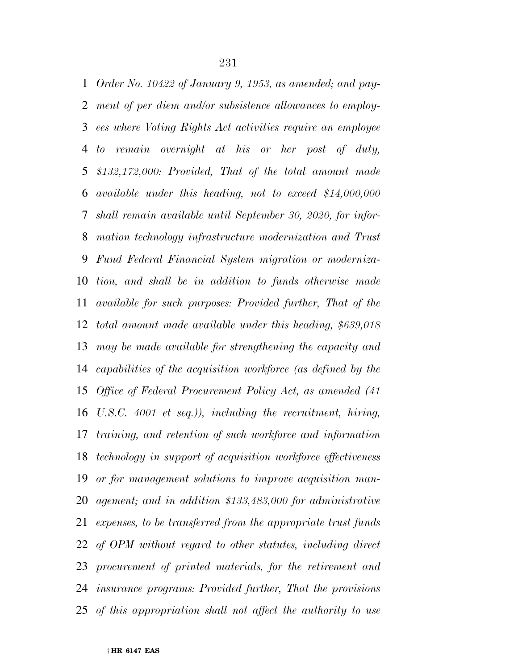*Order No. 10422 of January 9, 1953, as amended; and pay- ment of per diem and/or subsistence allowances to employ- ees where Voting Rights Act activities require an employee to remain overnight at his or her post of duty, \$132,172,000: Provided, That of the total amount made available under this heading, not to exceed \$14,000,000 shall remain available until September 30, 2020, for infor- mation technology infrastructure modernization and Trust Fund Federal Financial System migration or moderniza- tion, and shall be in addition to funds otherwise made available for such purposes: Provided further, That of the total amount made available under this heading, \$639,018 may be made available for strengthening the capacity and capabilities of the acquisition workforce (as defined by the Office of Federal Procurement Policy Act, as amended (41 U.S.C. 4001 et seq.)), including the recruitment, hiring, training, and retention of such workforce and information technology in support of acquisition workforce effectiveness or for management solutions to improve acquisition man- agement; and in addition \$133,483,000 for administrative expenses, to be transferred from the appropriate trust funds of OPM without regard to other statutes, including direct procurement of printed materials, for the retirement and insurance programs: Provided further, That the provisions of this appropriation shall not affect the authority to use*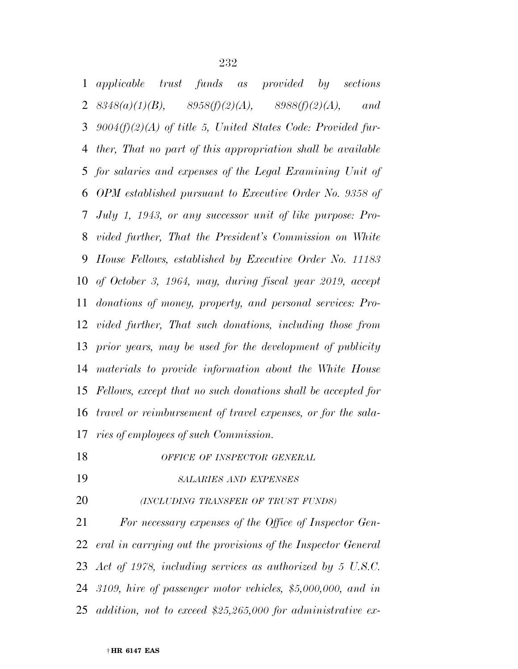*applicable trust funds as provided by sections 8348(a)(1)(B), 8958(f)(2)(A), 8988(f)(2)(A), and 9004(f)(2)(A) of title 5, United States Code: Provided fur- ther, That no part of this appropriation shall be available for salaries and expenses of the Legal Examining Unit of OPM established pursuant to Executive Order No. 9358 of July 1, 1943, or any successor unit of like purpose: Pro- vided further, That the President's Commission on White House Fellows, established by Executive Order No. 11183 of October 3, 1964, may, during fiscal year 2019, accept donations of money, property, and personal services: Pro- vided further, That such donations, including those from prior years, may be used for the development of publicity materials to provide information about the White House Fellows, except that no such donations shall be accepted for travel or reimbursement of travel expenses, or for the sala-ries of employees of such Commission.* 

*OFFICE OF INSPECTOR GENERAL*

*SALARIES AND EXPENSES*

*(INCLUDING TRANSFER OF TRUST FUNDS)*

 *For necessary expenses of the Office of Inspector Gen- eral in carrying out the provisions of the Inspector General Act of 1978, including services as authorized by 5 U.S.C. 3109, hire of passenger motor vehicles, \$5,000,000, and in addition, not to exceed \$25,265,000 for administrative ex-*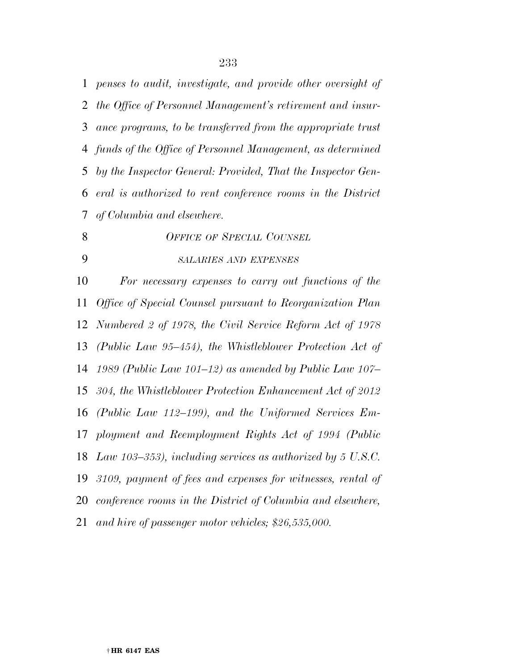*penses to audit, investigate, and provide other oversight of the Office of Personnel Management's retirement and insur- ance programs, to be transferred from the appropriate trust funds of the Office of Personnel Management, as determined by the Inspector General: Provided, That the Inspector Gen- eral is authorized to rent conference rooms in the District of Columbia and elsewhere.* 

 *OFFICE OF SPECIAL COUNSEL SALARIES AND EXPENSES For necessary expenses to carry out functions of the Office of Special Counsel pursuant to Reorganization Plan Numbered 2 of 1978, the Civil Service Reform Act of 1978 (Public Law 95–454), the Whistleblower Protection Act of 1989 (Public Law 101–12) as amended by Public Law 107– 304, the Whistleblower Protection Enhancement Act of 2012 (Public Law 112–199), and the Uniformed Services Em- ployment and Reemployment Rights Act of 1994 (Public Law 103–353), including services as authorized by 5 U.S.C. 3109, payment of fees and expenses for witnesses, rental of conference rooms in the District of Columbia and elsewhere, and hire of passenger motor vehicles; \$26,535,000.*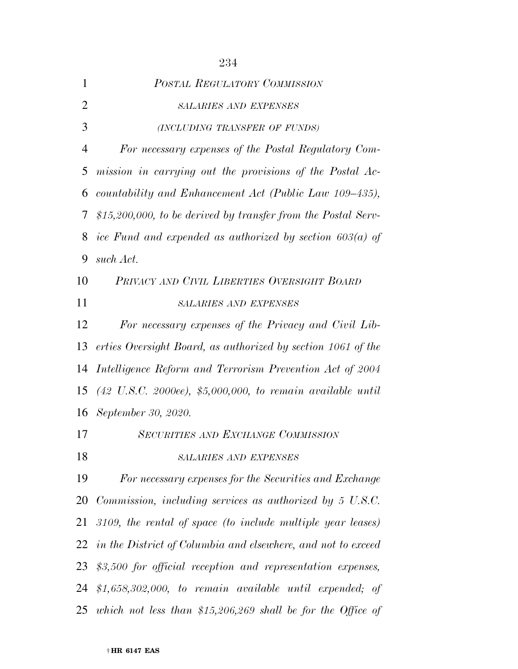| $\mathbf{1}$   | <b>POSTAL REGULATORY COMMISSION</b>                                              |
|----------------|----------------------------------------------------------------------------------|
| $\overline{2}$ | <b>SALARIES AND EXPENSES</b>                                                     |
| 3              | (INCLUDING TRANSFER OF FUNDS)                                                    |
| $\overline{4}$ | For necessary expenses of the Postal Regulatory Com-                             |
| 5              | mission in carrying out the provisions of the Postal Ac-                         |
| 6              | countability and Enhancement Act (Public Law 109–435),                           |
| 7              | $$15,200,000$ , to be derived by transfer from the Postal Serv-                  |
| 8              | ice Fund and expended as authorized by section $603(a)$ of                       |
| 9              | such Act.                                                                        |
| 10             | PRIVACY AND CIVIL LIBERTIES OVERSIGHT BOARD                                      |
| 11             | <b>SALARIES AND EXPENSES</b>                                                     |
| 12             | For necessary expenses of the Privacy and Civil Lib-                             |
| 13             | erties Oversight Board, as authorized by section 1061 of the                     |
| 14             | Intelligence Reform and Terrorism Prevention Act of 2004                         |
| 15             | $(42 \, U.S.C. \, 2000ee), \, $5,000,000, \, to \, remain \, available \, until$ |
| 16             | September 30, 2020.                                                              |
| 17             | <b>SECURITIES AND EXCHANGE COMMISSION</b>                                        |
| 18             | <b>SALARIES AND EXPENSES</b>                                                     |
| 19             | For necessary expenses for the Securities and Exchange                           |
| 20             | Commission, including services as authorized by 5 U.S.C.                         |
| 21             | 3109, the rental of space (to include multiple year leases)                      |
| 22             | in the District of Columbia and elsewhere, and not to exceed                     |
| 23             | \$3,500 for official reception and representation expenses,                      |
| 24             | \$1,658,302,000, to remain available until expended; of                          |
|                | 25 which not less than \$15,206,269 shall be for the Office of                   |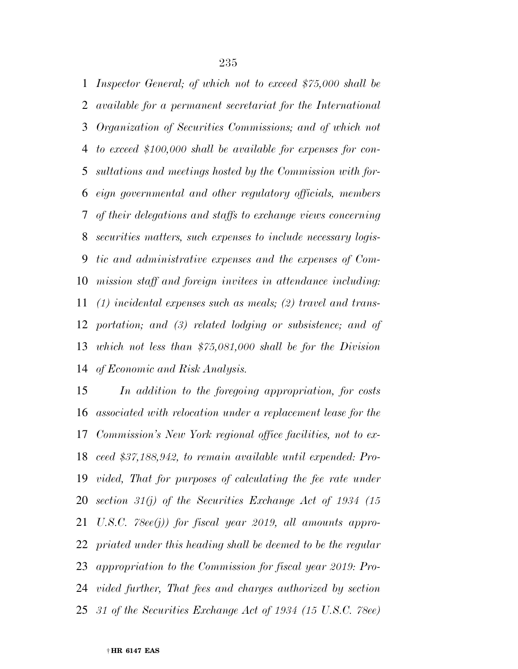*Inspector General; of which not to exceed \$75,000 shall be available for a permanent secretariat for the International Organization of Securities Commissions; and of which not to exceed \$100,000 shall be available for expenses for con- sultations and meetings hosted by the Commission with for- eign governmental and other regulatory officials, members of their delegations and staffs to exchange views concerning securities matters, such expenses to include necessary logis- tic and administrative expenses and the expenses of Com- mission staff and foreign invitees in attendance including: (1) incidental expenses such as meals; (2) travel and trans- portation; and (3) related lodging or subsistence; and of which not less than \$75,081,000 shall be for the Division of Economic and Risk Analysis.* 

 *In addition to the foregoing appropriation, for costs associated with relocation under a replacement lease for the Commission's New York regional office facilities, not to ex- ceed \$37,188,942, to remain available until expended: Pro- vided, That for purposes of calculating the fee rate under section 31(j) of the Securities Exchange Act of 1934 (15 U.S.C. 78ee(j)) for fiscal year 2019, all amounts appro- priated under this heading shall be deemed to be the regular appropriation to the Commission for fiscal year 2019: Pro- vided further, That fees and charges authorized by section 31 of the Securities Exchange Act of 1934 (15 U.S.C. 78ee)*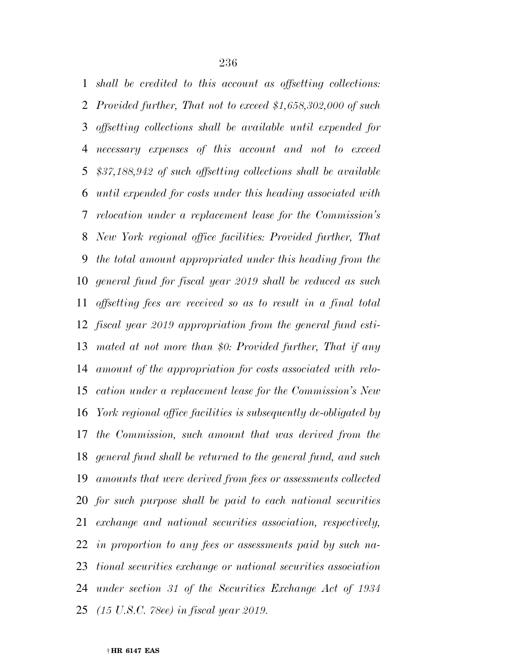*shall be credited to this account as offsetting collections: Provided further, That not to exceed \$1,658,302,000 of such offsetting collections shall be available until expended for necessary expenses of this account and not to exceed \$37,188,942 of such offsetting collections shall be available until expended for costs under this heading associated with relocation under a replacement lease for the Commission's New York regional office facilities: Provided further, That the total amount appropriated under this heading from the general fund for fiscal year 2019 shall be reduced as such offsetting fees are received so as to result in a final total fiscal year 2019 appropriation from the general fund esti- mated at not more than \$0: Provided further, That if any amount of the appropriation for costs associated with relo- cation under a replacement lease for the Commission's New York regional office facilities is subsequently de-obligated by the Commission, such amount that was derived from the general fund shall be returned to the general fund, and such amounts that were derived from fees or assessments collected for such purpose shall be paid to each national securities exchange and national securities association, respectively, in proportion to any fees or assessments paid by such na- tional securities exchange or national securities association under section 31 of the Securities Exchange Act of 1934 (15 U.S.C. 78ee) in fiscal year 2019.* 

##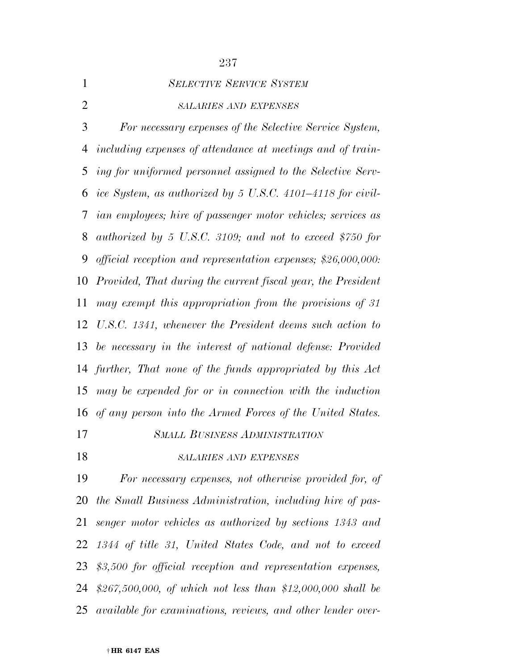|                | 237                                                                 |
|----------------|---------------------------------------------------------------------|
| $\mathbf{1}$   | <b>SELECTIVE SERVICE SYSTEM</b>                                     |
| $\overline{2}$ | <b>SALARIES AND EXPENSES</b>                                        |
| 3              | For necessary expenses of the Selective Service System,             |
| 4              | including expenses of attendance at meetings and of train-          |
| 5              | ing for uniformed personnel assigned to the Selective Serv-         |
| 6              | ice System, as authorized by 5 U.S.C. 4101–4118 for civil-          |
| 7              | <i>ian employees; hire of passenger motor vehicles; services as</i> |
| 8              | authorized by 5 U.S.C. 3109; and not to exceed \$750 for            |
| 9              | official reception and representation expenses; $$26,000,000$ :     |
| 10             | Provided, That during the current fiscal year, the President        |
| 11             | may exempt this appropriation from the provisions of 31             |
| 12             | U.S.C. 1341, whenever the President deems such action to            |
| 13             | be necessary in the interest of national defense: Provided          |
| 14             | further, That none of the funds appropriated by this Act            |
| 15             | may be expended for or in connection with the induction             |
|                | 16 of any person into the Armed Forces of the United States.        |
| 17             | <b>SMALL BUSINESS ADMINISTRATION</b>                                |
| 18             | <b>SALARIES AND EXPENSES</b>                                        |
| 19             | For necessary expenses, not otherwise provided for, of              |
| 20             | the Small Business Administration, including hire of pas-           |
| 21             | senger motor vehicles as authorized by sections 1343 and            |

 *\$3,500 for official reception and representation expenses, \$267,500,000, of which not less than \$12,000,000 shall be* 

*1344 of title 31, United States Code, and not to exceed* 

*available for examinations, reviews, and other lender over-*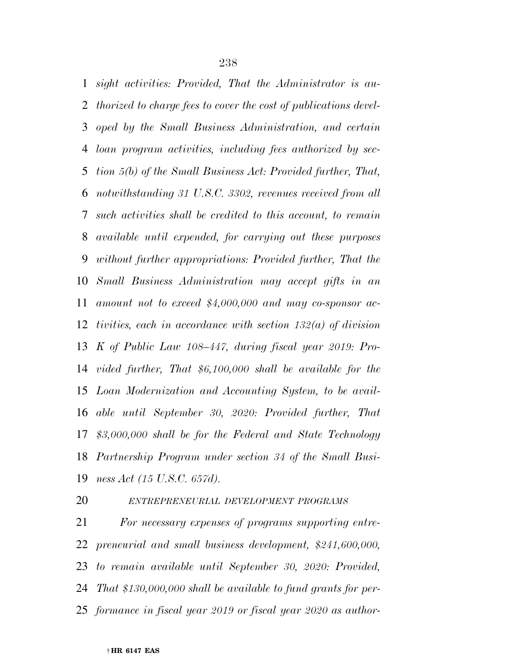*sight activities: Provided, That the Administrator is au- thorized to charge fees to cover the cost of publications devel- oped by the Small Business Administration, and certain loan program activities, including fees authorized by sec- tion 5(b) of the Small Business Act: Provided further, That, notwithstanding 31 U.S.C. 3302, revenues received from all such activities shall be credited to this account, to remain available until expended, for carrying out these purposes without further appropriations: Provided further, That the Small Business Administration may accept gifts in an amount not to exceed \$4,000,000 and may co-sponsor ac- tivities, each in accordance with section 132(a) of division K of Public Law 108–447, during fiscal year 2019: Pro- vided further, That \$6,100,000 shall be available for the Loan Modernization and Accounting System, to be avail- able until September 30, 2020: Provided further, That \$3,000,000 shall be for the Federal and State Technology Partnership Program under section 34 of the Small Busi-ness Act (15 U.S.C. 657d).* 

## *ENTREPRENEURIAL DEVELOPMENT PROGRAMS*

 *For necessary expenses of programs supporting entre- preneurial and small business development, \$241,600,000, to remain available until September 30, 2020: Provided, That \$130,000,000 shall be available to fund grants for per-formance in fiscal year 2019 or fiscal year 2020 as author-*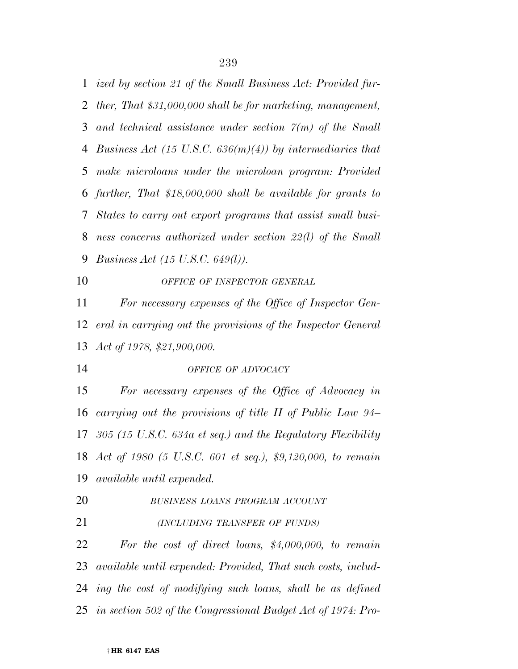*ized by section 21 of the Small Business Act: Provided fur- ther, That \$31,000,000 shall be for marketing, management, and technical assistance under section 7(m) of the Small Business Act (15 U.S.C. 636(m)(4)) by intermediaries that make microloans under the microloan program: Provided further, That \$18,000,000 shall be available for grants to States to carry out export programs that assist small busi- ness concerns authorized under section 22(l) of the Small Business Act (15 U.S.C. 649(l)).* 

*OFFICE OF INSPECTOR GENERAL*

 *For necessary expenses of the Office of Inspector Gen- eral in carrying out the provisions of the Inspector General Act of 1978, \$21,900,000.* 

*OFFICE OF ADVOCACY*

 *For necessary expenses of the Office of Advocacy in carrying out the provisions of title II of Public Law 94– 305 (15 U.S.C. 634a et seq.) and the Regulatory Flexibility Act of 1980 (5 U.S.C. 601 et seq.), \$9,120,000, to remain available until expended.* 

- *BUSINESS LOANS PROGRAM ACCOUNT*
- *(INCLUDING TRANSFER OF FUNDS)*

 *For the cost of direct loans, \$4,000,000, to remain available until expended: Provided, That such costs, includ- ing the cost of modifying such loans, shall be as defined in section 502 of the Congressional Budget Act of 1974: Pro-*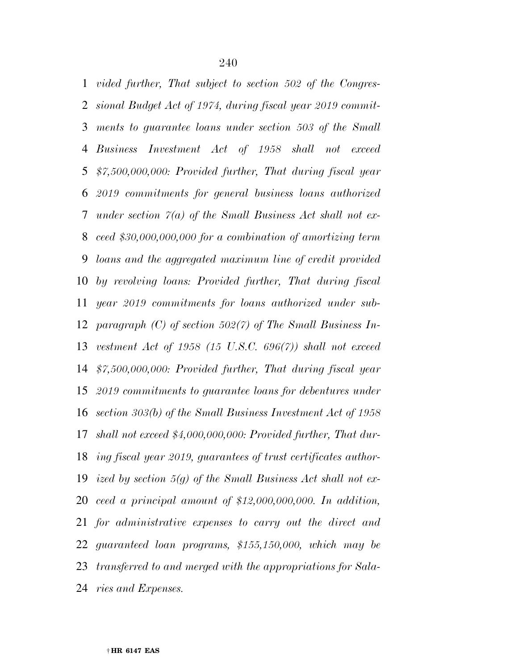*vided further, That subject to section 502 of the Congres- sional Budget Act of 1974, during fiscal year 2019 commit- ments to guarantee loans under section 503 of the Small Business Investment Act of 1958 shall not exceed \$7,500,000,000: Provided further, That during fiscal year 2019 commitments for general business loans authorized under section 7(a) of the Small Business Act shall not ex- ceed \$30,000,000,000 for a combination of amortizing term loans and the aggregated maximum line of credit provided by revolving loans: Provided further, That during fiscal year 2019 commitments for loans authorized under sub- paragraph (C) of section 502(7) of The Small Business In- vestment Act of 1958 (15 U.S.C. 696(7)) shall not exceed \$7,500,000,000: Provided further, That during fiscal year 2019 commitments to guarantee loans for debentures under section 303(b) of the Small Business Investment Act of 1958 shall not exceed \$4,000,000,000: Provided further, That dur- ing fiscal year 2019, guarantees of trust certificates author- ized by section 5(g) of the Small Business Act shall not ex- ceed a principal amount of \$12,000,000,000. In addition, for administrative expenses to carry out the direct and guaranteed loan programs, \$155,150,000, which may be transferred to and merged with the appropriations for Sala-ries and Expenses.*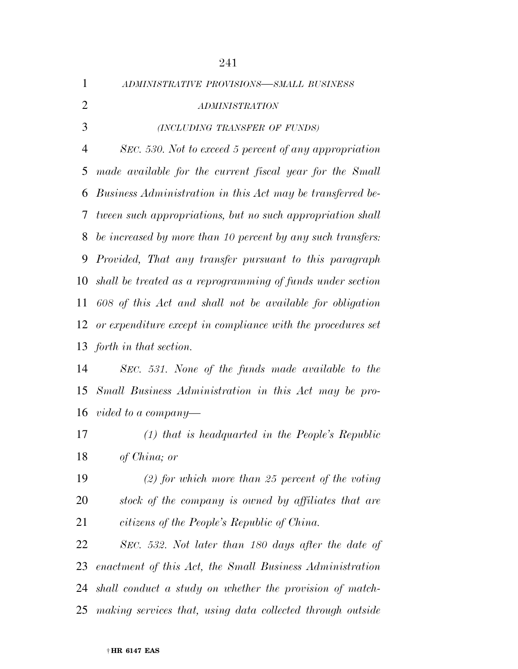| $\mathbf{1}$   | ADMINISTRATIVE PROVISIONS-SMALL BUSINESS                    |
|----------------|-------------------------------------------------------------|
| $\overline{2}$ | <b>ADMINISTRATION</b>                                       |
| 3              | (INCLUDING TRANSFER OF FUNDS)                               |
| $\overline{4}$ | SEC. 530. Not to exceed 5 percent of any appropriation      |
| 5              | made available for the current fiscal year for the Small    |
| 6              | Business Administration in this Act may be transferred be-  |
| 7              | tween such appropriations, but no such appropriation shall  |
| 8              | be increased by more than 10 percent by any such transfers: |
| 9              | Provided, That any transfer pursuant to this paragraph      |
| 10             | shall be treated as a reprogramming of funds under section  |
| 11             | 608 of this Act and shall not be available for obligation   |
| 12             | or expenditure except in compliance with the procedures set |
| 13             | forth in that section.                                      |
| 14             | SEC. 531. None of the funds made available to the           |
| 15             | Small Business Administration in this Act may be pro-       |
|                | 16 vided to a company—                                      |
| 17             | $(1)$ that is headquarted in the People's Republic          |
| 18             | of China; or                                                |
| 19             | $(2)$ for which more than 25 percent of the voting          |
| 20             | stock of the company is owned by affiliates that are        |
| 21             | citizens of the People's Republic of China.                 |
| 22             | SEC. 532. Not later than 180 days after the date of         |
| 23             | enactment of this Act, the Small Business Administration    |
| 24             | shall conduct a study on whether the provision of match-    |
| 25             | making services that, using data collected through outside  |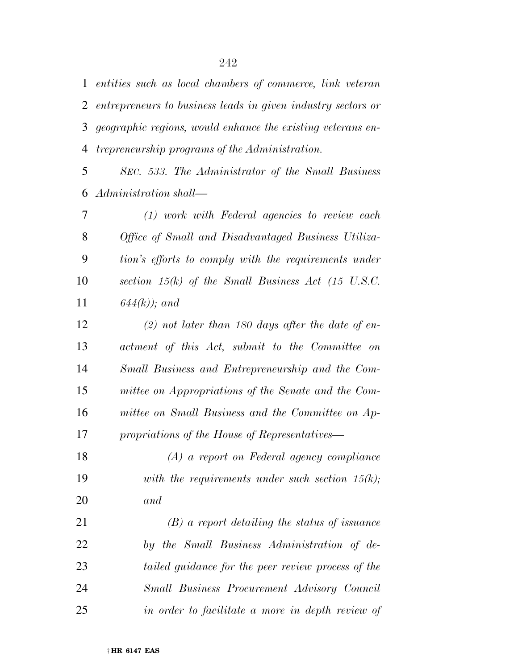*entities such as local chambers of commerce, link veteran entrepreneurs to business leads in given industry sectors or geographic regions, would enhance the existing veterans en-trepreneurship programs of the Administration.* 

 *SEC. 533. The Administrator of the Small Business Administration shall—* 

 *(1) work with Federal agencies to review each Office of Small and Disadvantaged Business Utiliza- tion's efforts to comply with the requirements under section 15(k) of the Small Business Act (15 U.S.C. 644(k)); and* 

 *(2) not later than 180 days after the date of en- actment of this Act, submit to the Committee on Small Business and Entrepreneurship and the Com- mittee on Appropriations of the Senate and the Com- mittee on Small Business and the Committee on Ap-propriations of the House of Representatives—* 

 *(A) a report on Federal agency compliance with the requirements under such section 15(k); and* 

 *(B) a report detailing the status of issuance by the Small Business Administration of de- tailed guidance for the peer review process of the Small Business Procurement Advisory Council in order to facilitate a more in depth review of*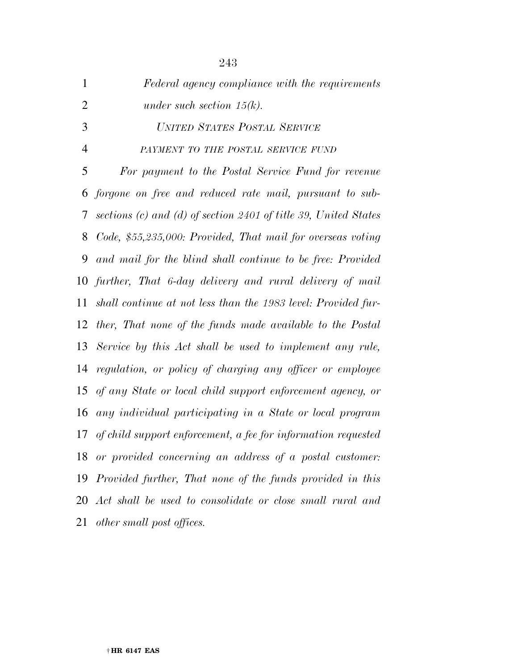| $\mathbf{1}$   | Federal agency compliance with the requirements                     |
|----------------|---------------------------------------------------------------------|
| $\overline{2}$ | under such section $15(k)$ .                                        |
| 3              | UNITED STATES POSTAL SERVICE                                        |
| $\overline{4}$ | PAYMENT TO THE POSTAL SERVICE FUND                                  |
| 5              | For payment to the Postal Service Fund for revenue                  |
| 6              | forgone on free and reduced rate mail, pursuant to sub-             |
| 7              | sections $(c)$ and $(d)$ of section 2401 of title 39, United States |
| 8              | Code, \$55,235,000: Provided, That mail for overseas voting         |
| 9              | and mail for the blind shall continue to be free: Provided          |
|                | 10 further, That 6-day delivery and rural delivery of mail          |
| 11             | shall continue at not less than the 1983 level: Provided fur-       |
|                | 12 ther, That none of the funds made available to the Postal        |
|                | 13 Service by this Act shall be used to implement any rule,         |
| 14             | regulation, or policy of charging any officer or employee           |
| 15             | of any State or local child support enforcement agency, or          |
| 16             | any individual participating in a State or local program            |
| 17             | of child support enforcement, a fee for information requested       |
| 18             | or provided concerning an address of a postal customer:             |
| 19             | Provided further, That none of the funds provided in this           |
| 20             | Act shall be used to consolidate or close small rural and           |
| 21             | other small post offices.                                           |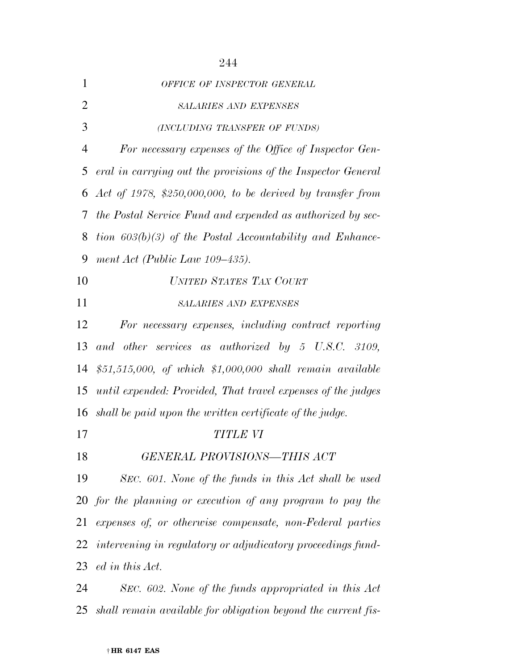| $\mathbf{1}$   | OFFICE OF INSPECTOR GENERAL                                    |
|----------------|----------------------------------------------------------------|
| $\overline{2}$ | <b>SALARIES AND EXPENSES</b>                                   |
| 3              | (INCLUDING TRANSFER OF FUNDS)                                  |
| $\overline{4}$ | For necessary expenses of the Office of Inspector Gen-         |
| 5              | eral in carrying out the provisions of the Inspector General   |
| 6              | Act of 1978, \$250,000,000, to be derived by transfer from     |
| 7              | the Postal Service Fund and expended as authorized by sec-     |
| 8              | tion $603(b)(3)$ of the Postal Accountability and Enhance-     |
| 9              | ment Act (Public Law $109-435$ ).                              |
| 10             | UNITED STATES TAX COURT                                        |
| 11             | <b>SALARIES AND EXPENSES</b>                                   |
| 12             | For necessary expenses, including contract reporting           |
| 13             | and other services as authorized by 5 U.S.C. 3109,             |
| 14             | \$51,515,000, of which \$1,000,000 shall remain available      |
| 15             | until expended: Provided, That travel expenses of the judges   |
| 16             | shall be paid upon the written certificate of the judge.       |
| 17             | <b>TITLE VI</b>                                                |
| 18             | GENERAL PROVISIONS-THIS ACT                                    |
| 19             | SEC. 601. None of the funds in this Act shall be used          |
|                | 20 for the planning or execution of any program to pay the     |
| 21             | expenses of, or otherwise compensate, non-Federal parties      |
|                | 22 intervening in regulatory or adjudicatory proceedings fund- |
|                | 23 ed in this Act.                                             |
| 24             | SEC. 602. None of the funds appropriated in this Act           |

*shall remain available for obligation beyond the current fis-*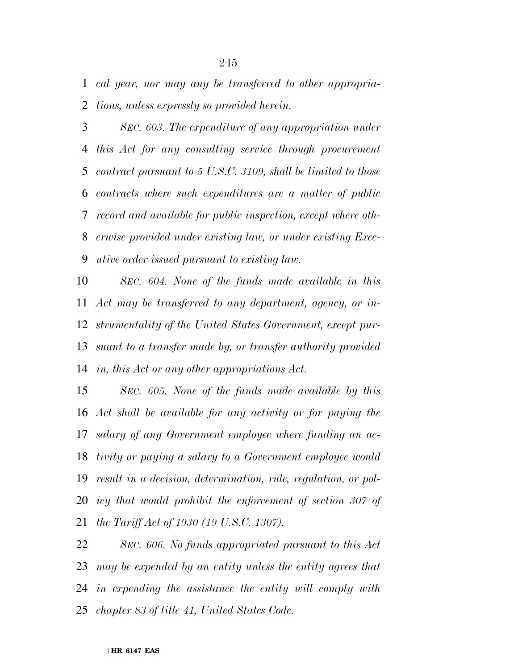*cal year, nor may any be transferred to other appropria-tions, unless expressly so provided herein.* 

 *SEC. 603. The expenditure of any appropriation under this Act for any consulting service through procurement contract pursuant to 5 U.S.C. 3109, shall be limited to those contracts where such expenditures are a matter of public record and available for public inspection, except where oth- erwise provided under existing law, or under existing Exec-utive order issued pursuant to existing law.* 

 *SEC. 604. None of the funds made available in this Act may be transferred to any department, agency, or in- strumentality of the United States Government, except pur- suant to a transfer made by, or transfer authority provided in, this Act or any other appropriations Act.* 

 *SEC. 605. None of the funds made available by this Act shall be available for any activity or for paying the salary of any Government employee where funding an ac- tivity or paying a salary to a Government employee would result in a decision, determination, rule, regulation, or pol-icy that would prohibit the enforcement of section 307 of the Tariff Act of 1930 (19 U.S.C. 1307).* 

 *SEC. 606. No funds appropriated pursuant to this Act may be expended by an entity unless the entity agrees that in expending the assistance the entity will comply with chapter 83 of title 41, United States Code.*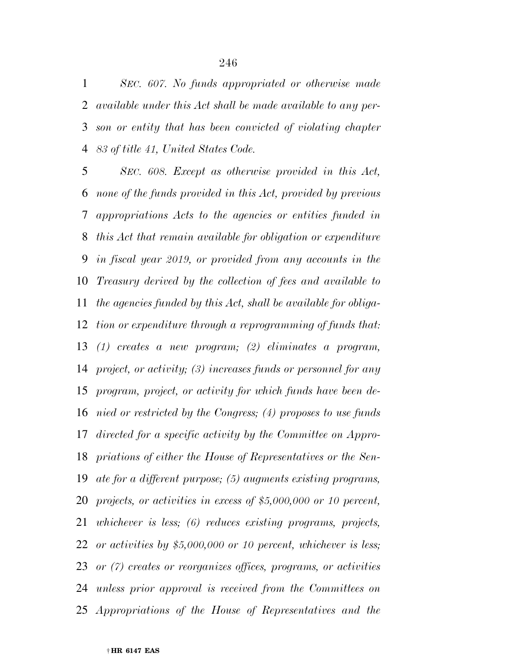*SEC. 607. No funds appropriated or otherwise made available under this Act shall be made available to any per- son or entity that has been convicted of violating chapter 83 of title 41, United States Code.* 

 *SEC. 608. Except as otherwise provided in this Act, none of the funds provided in this Act, provided by previous appropriations Acts to the agencies or entities funded in this Act that remain available for obligation or expenditure in fiscal year 2019, or provided from any accounts in the Treasury derived by the collection of fees and available to the agencies funded by this Act, shall be available for obliga- tion or expenditure through a reprogramming of funds that: (1) creates a new program; (2) eliminates a program, project, or activity; (3) increases funds or personnel for any program, project, or activity for which funds have been de- nied or restricted by the Congress; (4) proposes to use funds directed for a specific activity by the Committee on Appro- priations of either the House of Representatives or the Sen- ate for a different purpose; (5) augments existing programs, projects, or activities in excess of \$5,000,000 or 10 percent, whichever is less; (6) reduces existing programs, projects, or activities by \$5,000,000 or 10 percent, whichever is less; or (7) creates or reorganizes offices, programs, or activities unless prior approval is received from the Committees on Appropriations of the House of Representatives and the*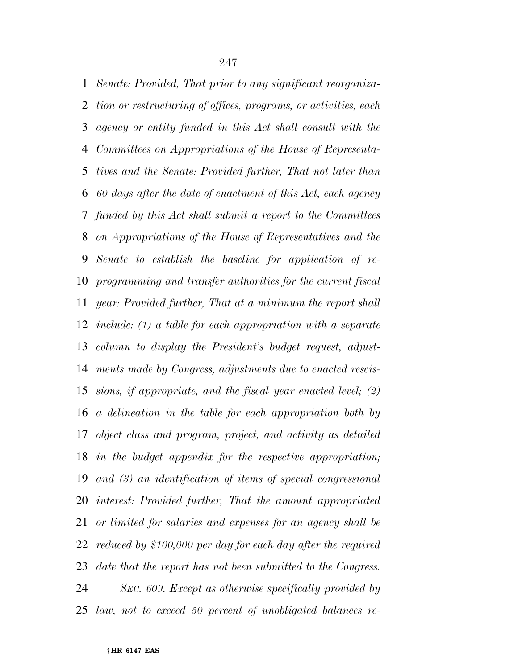*Senate: Provided, That prior to any significant reorganiza- tion or restructuring of offices, programs, or activities, each agency or entity funded in this Act shall consult with the Committees on Appropriations of the House of Representa- tives and the Senate: Provided further, That not later than 60 days after the date of enactment of this Act, each agency funded by this Act shall submit a report to the Committees on Appropriations of the House of Representatives and the Senate to establish the baseline for application of re- programming and transfer authorities for the current fiscal year: Provided further, That at a minimum the report shall include: (1) a table for each appropriation with a separate column to display the President's budget request, adjust- ments made by Congress, adjustments due to enacted rescis- sions, if appropriate, and the fiscal year enacted level; (2) a delineation in the table for each appropriation both by object class and program, project, and activity as detailed in the budget appendix for the respective appropriation; and (3) an identification of items of special congressional interest: Provided further, That the amount appropriated or limited for salaries and expenses for an agency shall be reduced by \$100,000 per day for each day after the required date that the report has not been submitted to the Congress. SEC. 609. Except as otherwise specifically provided by law, not to exceed 50 percent of unobligated balances re-*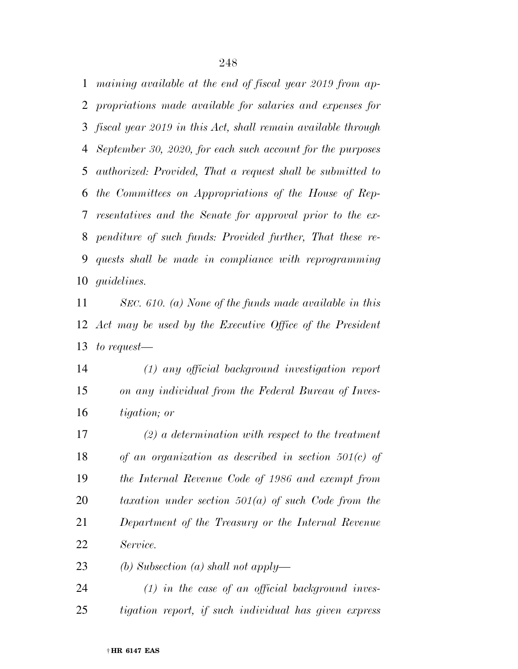*maining available at the end of fiscal year 2019 from ap- propriations made available for salaries and expenses for fiscal year 2019 in this Act, shall remain available through September 30, 2020, for each such account for the purposes authorized: Provided, That a request shall be submitted to the Committees on Appropriations of the House of Rep- resentatives and the Senate for approval prior to the ex- penditure of such funds: Provided further, That these re- quests shall be made in compliance with reprogramming guidelines.* 

 *SEC. 610. (a) None of the funds made available in this Act may be used by the Executive Office of the President to request—* 

 *(1) any official background investigation report on any individual from the Federal Bureau of Inves-tigation; or* 

 *(2) a determination with respect to the treatment of an organization as described in section 501(c) of the Internal Revenue Code of 1986 and exempt from taxation under section 501(a) of such Code from the Department of the Treasury or the Internal Revenue Service.* 

*(b) Subsection (a) shall not apply—* 

 *(1) in the case of an official background inves-tigation report, if such individual has given express*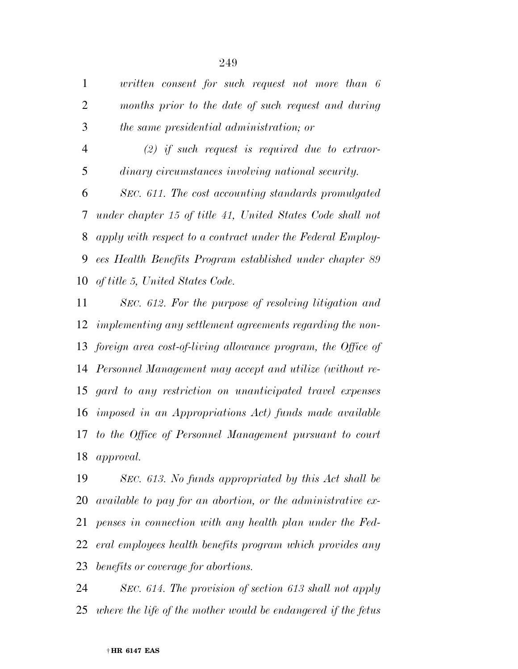*written consent for such request not more than 6 months prior to the date of such request and during the same presidential administration; or* 

 *(2) if such request is required due to extraor-dinary circumstances involving national security.* 

 *SEC. 611. The cost accounting standards promulgated under chapter 15 of title 41, United States Code shall not apply with respect to a contract under the Federal Employ- ees Health Benefits Program established under chapter 89 of title 5, United States Code.* 

 *SEC. 612. For the purpose of resolving litigation and implementing any settlement agreements regarding the non- foreign area cost-of-living allowance program, the Office of Personnel Management may accept and utilize (without re- gard to any restriction on unanticipated travel expenses imposed in an Appropriations Act) funds made available to the Office of Personnel Management pursuant to court approval.* 

 *SEC. 613. No funds appropriated by this Act shall be available to pay for an abortion, or the administrative ex- penses in connection with any health plan under the Fed- eral employees health benefits program which provides any benefits or coverage for abortions.* 

 *SEC. 614. The provision of section 613 shall not apply where the life of the mother would be endangered if the fetus*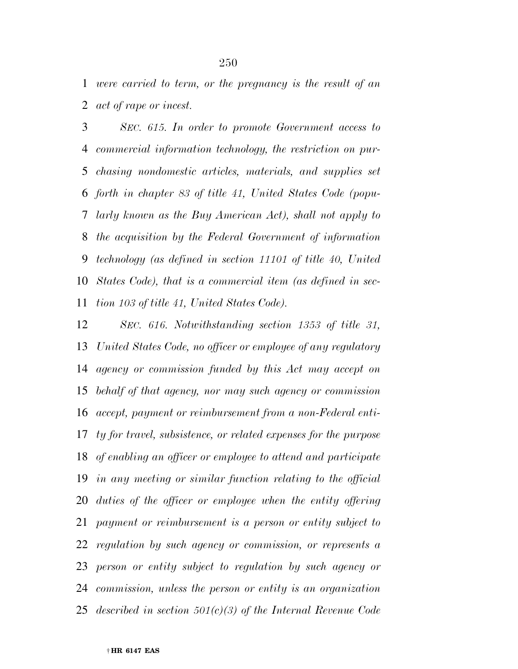*were carried to term, or the pregnancy is the result of an act of rape or incest.* 

 *SEC. 615. In order to promote Government access to commercial information technology, the restriction on pur- chasing nondomestic articles, materials, and supplies set forth in chapter 83 of title 41, United States Code (popu- larly known as the Buy American Act), shall not apply to the acquisition by the Federal Government of information technology (as defined in section 11101 of title 40, United States Code), that is a commercial item (as defined in sec-tion 103 of title 41, United States Code).* 

 *SEC. 616. Notwithstanding section 1353 of title 31, United States Code, no officer or employee of any regulatory agency or commission funded by this Act may accept on behalf of that agency, nor may such agency or commission accept, payment or reimbursement from a non-Federal enti- ty for travel, subsistence, or related expenses for the purpose of enabling an officer or employee to attend and participate in any meeting or similar function relating to the official duties of the officer or employee when the entity offering payment or reimbursement is a person or entity subject to regulation by such agency or commission, or represents a person or entity subject to regulation by such agency or commission, unless the person or entity is an organization described in section 501(c)(3) of the Internal Revenue Code*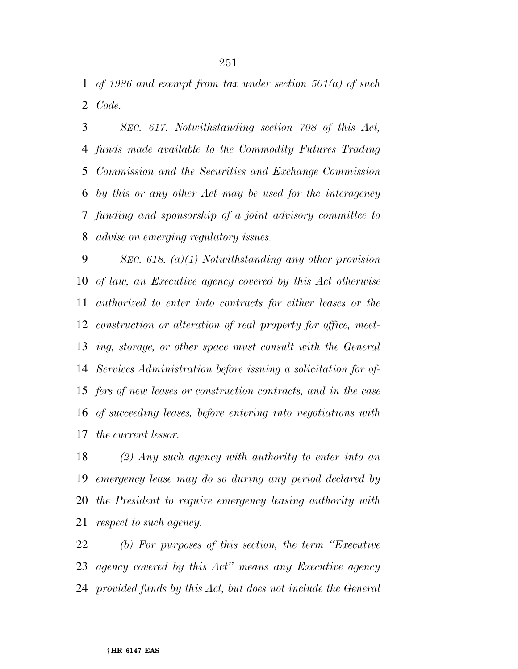*of 1986 and exempt from tax under section 501(a) of such Code.* 

 *SEC. 617. Notwithstanding section 708 of this Act, funds made available to the Commodity Futures Trading Commission and the Securities and Exchange Commission by this or any other Act may be used for the interagency funding and sponsorship of a joint advisory committee to advise on emerging regulatory issues.* 

 *SEC. 618. (a)(1) Notwithstanding any other provision of law, an Executive agency covered by this Act otherwise authorized to enter into contracts for either leases or the construction or alteration of real property for office, meet- ing, storage, or other space must consult with the General Services Administration before issuing a solicitation for of- fers of new leases or construction contracts, and in the case of succeeding leases, before entering into negotiations with the current lessor.* 

 *(2) Any such agency with authority to enter into an emergency lease may do so during any period declared by the President to require emergency leasing authority with respect to such agency.* 

 *(b) For purposes of this section, the term ''Executive agency covered by this Act'' means any Executive agency provided funds by this Act, but does not include the General*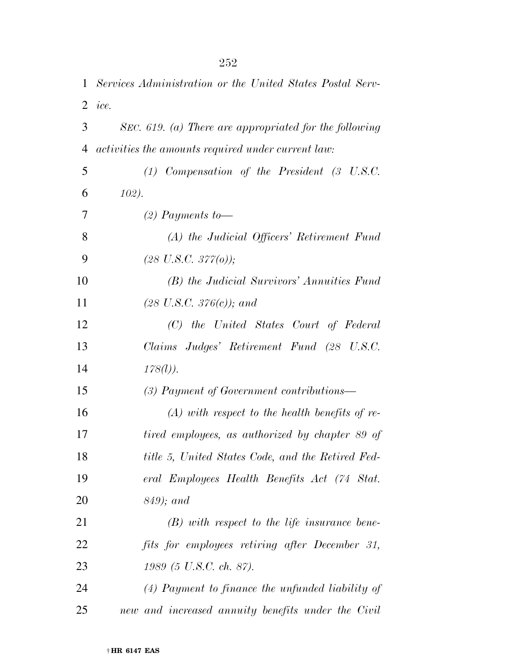| 1  | Services Administration or the United States Postal Serv- |
|----|-----------------------------------------------------------|
|    | $2$ <i>ice.</i>                                           |
| 3  | SEC. 619. (a) There are appropriated for the following    |
| 4  | activities the amounts required under current law:        |
| 5  | $(1)$ Compensation of the President $(3 \text{ U.S.C.})$  |
| 6  | 102).                                                     |
| 7  | $(2)$ Payments to-                                        |
| 8  | (A) the Judicial Officers' Retirement Fund                |
| 9  | $(28 \text{ U.S.C. } 377(0));$                            |
| 10 | (B) the Judicial Survivors' Annuities Fund                |
| 11 | $(28 \text{ U.S.C. } 376(c))$ ; and                       |
| 12 | (C) the United States Court of Federal                    |
| 13 | Claims Judges' Retirement Fund (28 U.S.C.                 |
| 14 | $178(l)$ ).                                               |
| 15 | $(3)$ Payment of Government contributions—                |
| 16 | $(A)$ with respect to the health benefits of re-          |
| 17 | tired employees, as authorized by chapter 89 of           |
| 18 | title 5, United States Code, and the Retired Fed-         |
| 19 | eral Employees Health Benefits Act (74 Stat.              |
| 20 | $849$ ; and                                               |
| 21 | $(B)$ with respect to the life insurance bene-            |
| 22 | fits for employees retiring after December 31,            |
| 23 | 1989 (5 U.S.C. ch. 87).                                   |
| 24 | $(4)$ Payment to finance the unfunded liability of        |
| 25 | new and increased annuity benefits under the Civil        |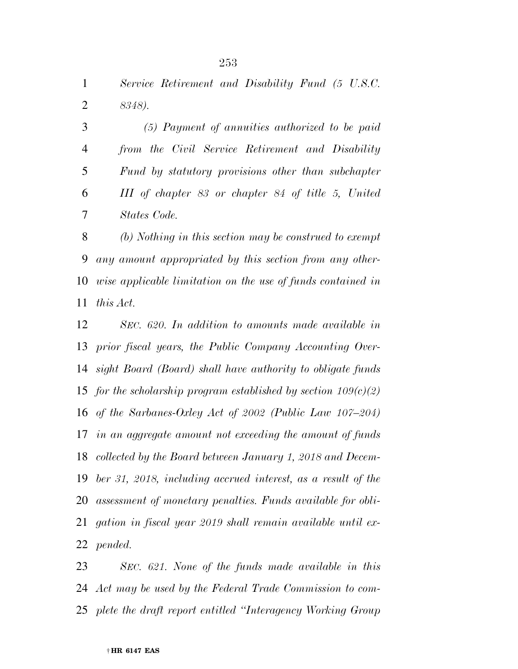*Service Retirement and Disability Fund (5 U.S.C. 8348).* 

 *(5) Payment of annuities authorized to be paid from the Civil Service Retirement and Disability Fund by statutory provisions other than subchapter III of chapter 83 or chapter 84 of title 5, United States Code.* 

 *(b) Nothing in this section may be construed to exempt any amount appropriated by this section from any other- wise applicable limitation on the use of funds contained in this Act.* 

 *SEC. 620. In addition to amounts made available in prior fiscal years, the Public Company Accounting Over- sight Board (Board) shall have authority to obligate funds for the scholarship program established by section 109(c)(2) of the Sarbanes-Oxley Act of 2002 (Public Law 107–204) in an aggregate amount not exceeding the amount of funds collected by the Board between January 1, 2018 and Decem- ber 31, 2018, including accrued interest, as a result of the assessment of monetary penalties. Funds available for obli- gation in fiscal year 2019 shall remain available until ex-pended.* 

 *SEC. 621. None of the funds made available in this Act may be used by the Federal Trade Commission to com-plete the draft report entitled ''Interagency Working Group*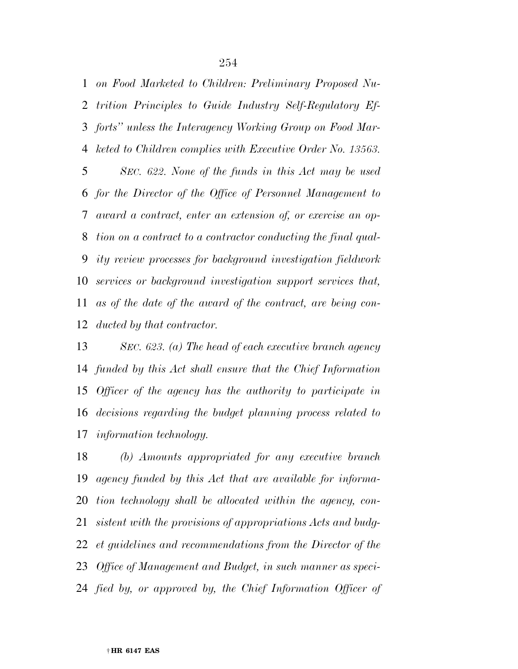*on Food Marketed to Children: Preliminary Proposed Nu- trition Principles to Guide Industry Self-Regulatory Ef- forts'' unless the Interagency Working Group on Food Mar- keted to Children complies with Executive Order No. 13563. SEC. 622. None of the funds in this Act may be used for the Director of the Office of Personnel Management to award a contract, enter an extension of, or exercise an op- tion on a contract to a contractor conducting the final qual- ity review processes for background investigation fieldwork services or background investigation support services that, as of the date of the award of the contract, are being con-ducted by that contractor.* 

 *SEC. 623. (a) The head of each executive branch agency funded by this Act shall ensure that the Chief Information Officer of the agency has the authority to participate in decisions regarding the budget planning process related to information technology.* 

 *(b) Amounts appropriated for any executive branch agency funded by this Act that are available for informa- tion technology shall be allocated within the agency, con- sistent with the provisions of appropriations Acts and budg- et guidelines and recommendations from the Director of the Office of Management and Budget, in such manner as speci-fied by, or approved by, the Chief Information Officer of*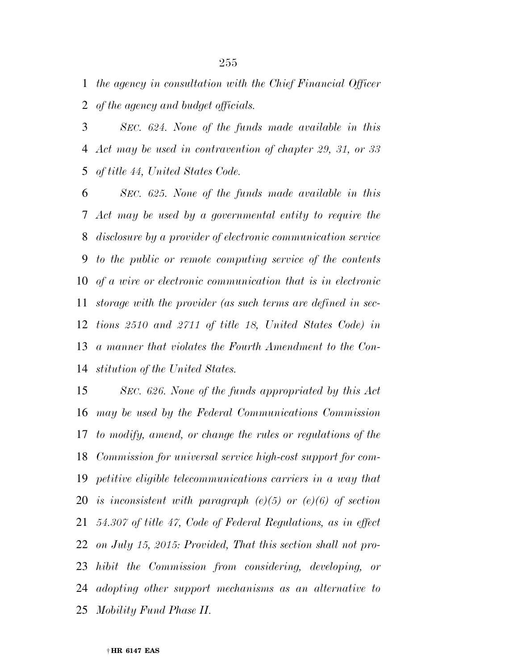*the agency in consultation with the Chief Financial Officer of the agency and budget officials.* 

 *SEC. 624. None of the funds made available in this Act may be used in contravention of chapter 29, 31, or 33 of title 44, United States Code.* 

 *SEC. 625. None of the funds made available in this Act may be used by a governmental entity to require the disclosure by a provider of electronic communication service to the public or remote computing service of the contents of a wire or electronic communication that is in electronic storage with the provider (as such terms are defined in sec- tions 2510 and 2711 of title 18, United States Code) in a manner that violates the Fourth Amendment to the Con-stitution of the United States.* 

 *SEC. 626. None of the funds appropriated by this Act may be used by the Federal Communications Commission to modify, amend, or change the rules or regulations of the Commission for universal service high-cost support for com- petitive eligible telecommunications carriers in a way that is inconsistent with paragraph (e)(5) or (e)(6) of section 54.307 of title 47, Code of Federal Regulations, as in effect on July 15, 2015: Provided, That this section shall not pro- hibit the Commission from considering, developing, or adopting other support mechanisms as an alternative to Mobility Fund Phase II.*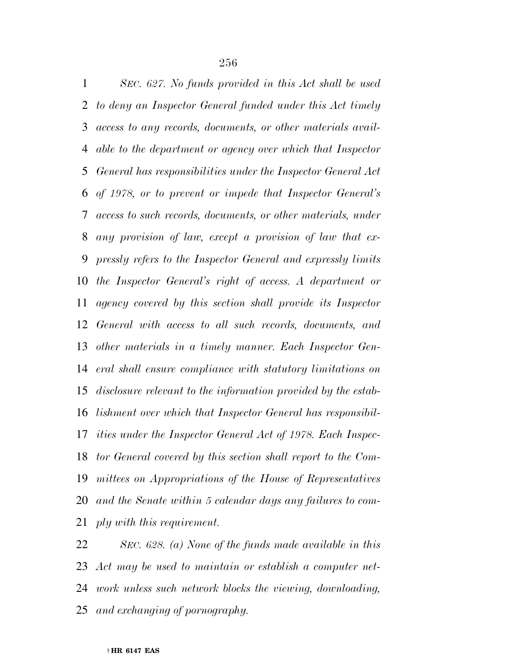*SEC. 627. No funds provided in this Act shall be used to deny an Inspector General funded under this Act timely access to any records, documents, or other materials avail- able to the department or agency over which that Inspector General has responsibilities under the Inspector General Act of 1978, or to prevent or impede that Inspector General's access to such records, documents, or other materials, under any provision of law, except a provision of law that ex- pressly refers to the Inspector General and expressly limits the Inspector General's right of access. A department or agency covered by this section shall provide its Inspector General with access to all such records, documents, and other materials in a timely manner. Each Inspector Gen- eral shall ensure compliance with statutory limitations on disclosure relevant to the information provided by the estab- lishment over which that Inspector General has responsibil- ities under the Inspector General Act of 1978. Each Inspec- tor General covered by this section shall report to the Com- mittees on Appropriations of the House of Representatives and the Senate within 5 calendar days any failures to com-ply with this requirement.* 

 *SEC. 628. (a) None of the funds made available in this Act may be used to maintain or establish a computer net- work unless such network blocks the viewing, downloading, and exchanging of pornography.*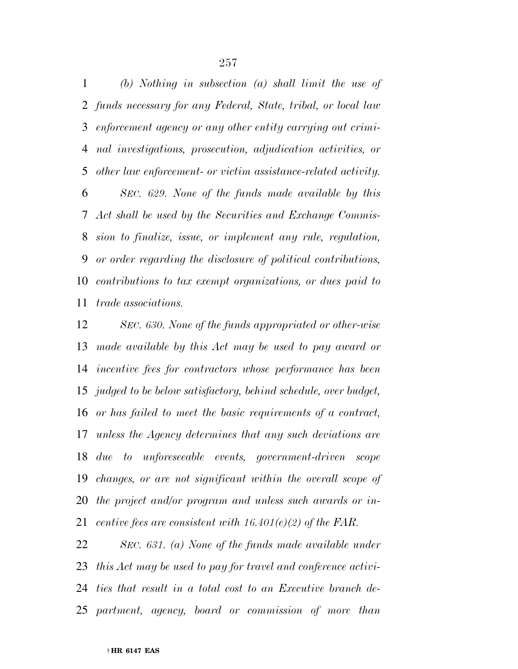*(b) Nothing in subsection (a) shall limit the use of funds necessary for any Federal, State, tribal, or local law enforcement agency or any other entity carrying out crimi- nal investigations, prosecution, adjudication activities, or other law enforcement- or victim assistance-related activity.* 

 *SEC. 629. None of the funds made available by this Act shall be used by the Securities and Exchange Commis- sion to finalize, issue, or implement any rule, regulation, or order regarding the disclosure of political contributions, contributions to tax exempt organizations, or dues paid to trade associations.* 

 *SEC. 630. None of the funds appropriated or other-wise made available by this Act may be used to pay award or incentive fees for contractors whose performance has been judged to be below satisfactory, behind schedule, over budget, or has failed to meet the basic requirements of a contract, unless the Agency determines that any such deviations are due to unforeseeable events, government-driven scope changes, or are not significant within the overall scope of the project and/or program and unless such awards or in-centive fees are consistent with 16.401(e)(2) of the FAR.* 

 *SEC. 631. (a) None of the funds made available under this Act may be used to pay for travel and conference activi- ties that result in a total cost to an Executive branch de-partment, agency, board or commission of more than*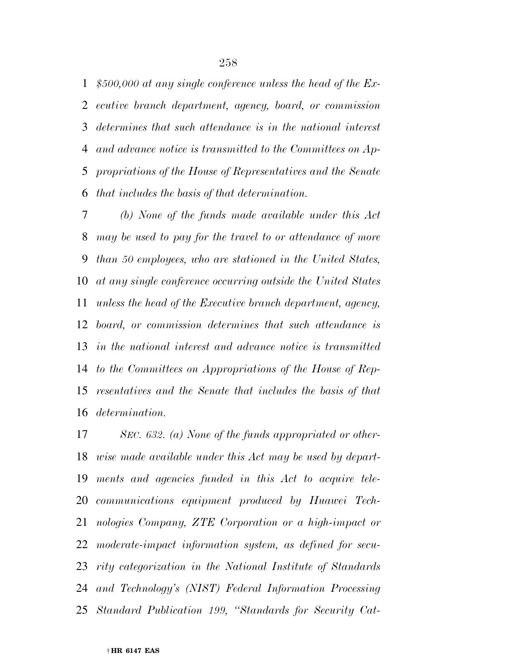*\$500,000 at any single conference unless the head of the Ex- ecutive branch department, agency, board, or commission determines that such attendance is in the national interest and advance notice is transmitted to the Committees on Ap- propriations of the House of Representatives and the Senate that includes the basis of that determination.* 

 *(b) None of the funds made available under this Act may be used to pay for the travel to or attendance of more than 50 employees, who are stationed in the United States, at any single conference occurring outside the United States unless the head of the Executive branch department, agency, board, or commission determines that such attendance is in the national interest and advance notice is transmitted to the Committees on Appropriations of the House of Rep- resentatives and the Senate that includes the basis of that determination.* 

 *SEC. 632. (a) None of the funds appropriated or other- wise made available under this Act may be used by depart- ments and agencies funded in this Act to acquire tele- communications equipment produced by Huawei Tech- nologies Company, ZTE Corporation or a high-impact or moderate-impact information system, as defined for secu- rity categorization in the National Institute of Standards and Technology's (NIST) Federal Information Processing Standard Publication 199, ''Standards for Security Cat-*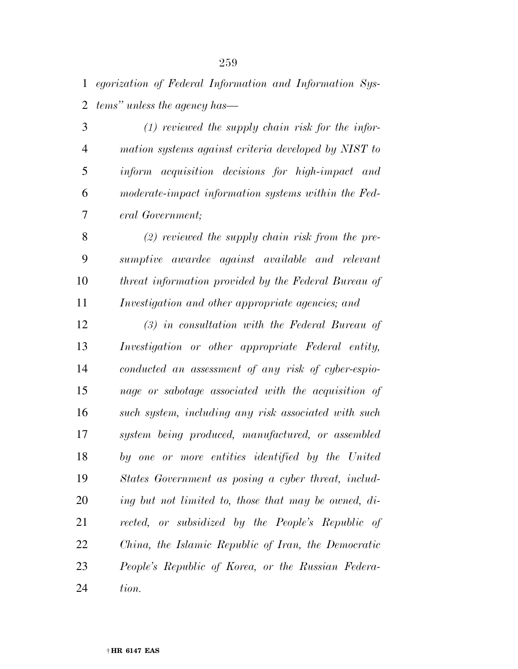*egorization of Federal Information and Information Sys-tems'' unless the agency has—* 

 *(1) reviewed the supply chain risk for the infor- mation systems against criteria developed by NIST to inform acquisition decisions for high-impact and moderate-impact information systems within the Fed-eral Government;* 

 *(2) reviewed the supply chain risk from the pre- sumptive awardee against available and relevant threat information provided by the Federal Bureau of Investigation and other appropriate agencies; and* 

 *(3) in consultation with the Federal Bureau of Investigation or other appropriate Federal entity, conducted an assessment of any risk of cyber-espio- nage or sabotage associated with the acquisition of such system, including any risk associated with such system being produced, manufactured, or assembled by one or more entities identified by the United States Government as posing a cyber threat, includ- ing but not limited to, those that may be owned, di- rected, or subsidized by the People's Republic of China, the Islamic Republic of Iran, the Democratic People's Republic of Korea, or the Russian Federa-tion.*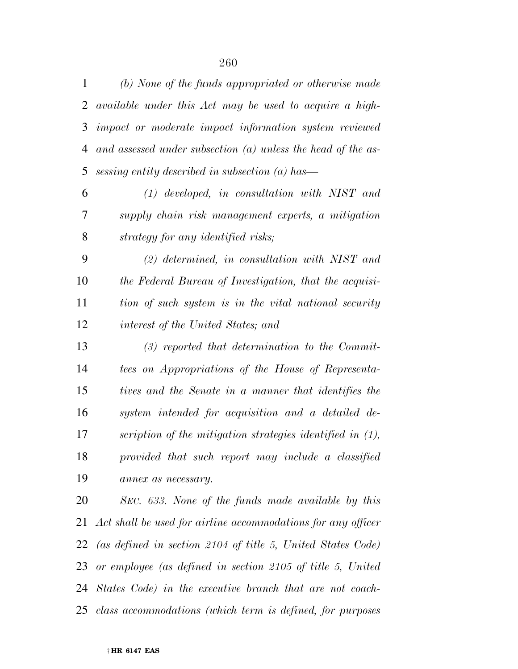| 1              | (b) None of the funds appropriated or otherwise made           |
|----------------|----------------------------------------------------------------|
| $\overline{2}$ | available under this Act may be used to acquire a high-        |
| 3              | impact or moderate impact information system reviewed          |
| 4              | and assessed under subsection $(a)$ unless the head of the as- |
| 5              | sessing entity described in subsection $(a)$ has—              |
| 6              | $(1)$ developed, in consultation with NIST and                 |
| 7              | supply chain risk management experts, a mitigation             |
| 8              | strategy for any identified risks;                             |
| 9              | $(2)$ determined, in consultation with NIST and                |
| 10             | the Federal Bureau of Investigation, that the acquisi-         |
| 11             | tion of such system is in the vital national security          |
| 12             | interest of the United States; and                             |
| 13             | $(3)$ reported that determination to the Commit-               |
| 14             | tees on Appropriations of the House of Representa-             |
| 15             | tives and the Senate in a manner that identifies the           |
| 16             | system intended for acquisition and a detailed de-             |
| 17             | scription of the mitigation strategies identified in (1),      |
| 18             | provided that such report may include a classified             |
| 19             | annex as necessary.                                            |
| 20             | SEC. 633. None of the funds made available by this             |
| 21             | Act shall be used for airline accommodations for any officer   |
| 22             | (as defined in section 2104 of title 5, United States Code)    |
|                |                                                                |

 *or employee (as defined in section 2105 of title 5, United States Code) in the executive branch that are not coach-*

*class accommodations (which term is defined, for purposes*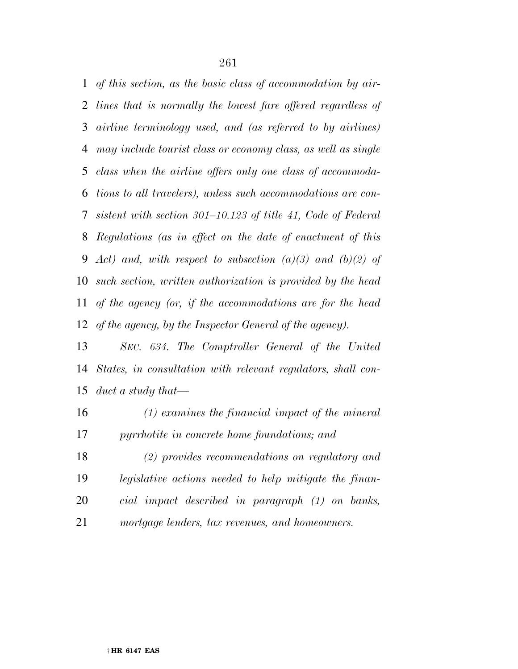*of this section, as the basic class of accommodation by air- lines that is normally the lowest fare offered regardless of airline terminology used, and (as referred to by airlines) may include tourist class or economy class, as well as single class when the airline offers only one class of accommoda- tions to all travelers), unless such accommodations are con- sistent with section 301–10.123 of title 41, Code of Federal Regulations (as in effect on the date of enactment of this Act) and, with respect to subsection (a)(3) and (b)(2) of such section, written authorization is provided by the head of the agency (or, if the accommodations are for the head of the agency, by the Inspector General of the agency).* 

 *SEC. 634. The Comptroller General of the United States, in consultation with relevant regulators, shall con-duct a study that—* 

 *(1) examines the financial impact of the mineral pyrrhotite in concrete home foundations; and* 

 *(2) provides recommendations on regulatory and legislative actions needed to help mitigate the finan- cial impact described in paragraph (1) on banks, mortgage lenders, tax revenues, and homeowners.*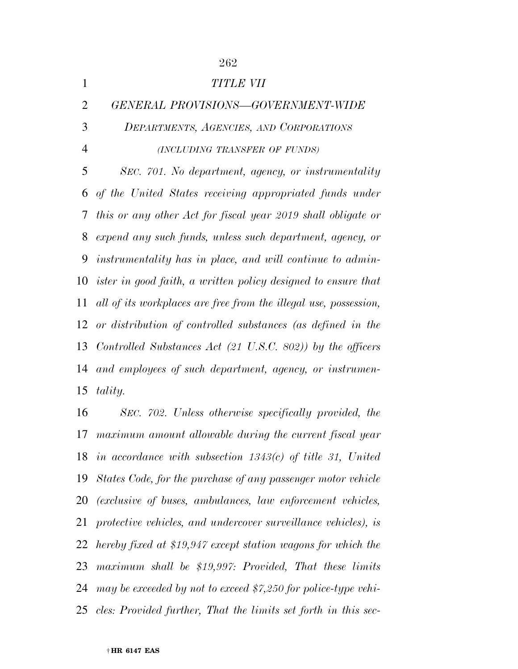| 1              | TITLE VII                                                            |
|----------------|----------------------------------------------------------------------|
| $\overline{2}$ | GENERAL PROVISIONS-GOVERNMENT-WIDE                                   |
| 3              | DEPARTMENTS, AGENCIES, AND CORPORATIONS                              |
| $\overline{4}$ | (INCLUDING TRANSFER OF FUNDS)                                        |
| 5              | SEC. 701. No department, agency, or instrumentality                  |
| 6              | of the United States receiving appropriated funds under              |
| 7              | this or any other Act for fiscal year 2019 shall obligate or         |
| 8              | expend any such funds, unless such department, agency, or            |
| 9              | instrumentality has in place, and will continue to admin-            |
|                | 10 ister in good faith, a written policy designed to ensure that     |
| 11             | all of its workplaces are free from the illegal use, possession,     |
|                | 12 or distribution of controlled substances (as defined in the       |
| 13             | Controlled Substances Act $(21 \text{ U.S.C. } 802)$ by the officers |
| 14             | and employees of such department, agency, or instrumen-              |
| 15             | tality.                                                              |

 *SEC. 702. Unless otherwise specifically provided, the maximum amount allowable during the current fiscal year in accordance with subsection 1343(c) of title 31, United States Code, for the purchase of any passenger motor vehicle (exclusive of buses, ambulances, law enforcement vehicles, protective vehicles, and undercover surveillance vehicles), is hereby fixed at \$19,947 except station wagons for which the maximum shall be \$19,997: Provided, That these limits may be exceeded by not to exceed \$7,250 for police-type vehi-cles: Provided further, That the limits set forth in this sec-*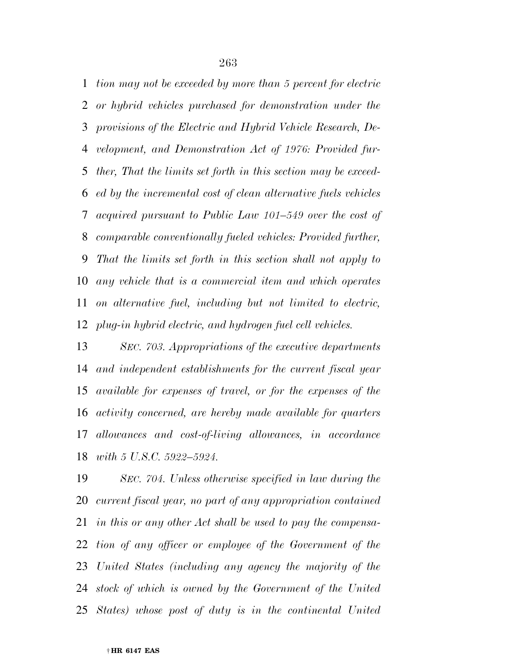*tion may not be exceeded by more than 5 percent for electric or hybrid vehicles purchased for demonstration under the provisions of the Electric and Hybrid Vehicle Research, De- velopment, and Demonstration Act of 1976: Provided fur- ther, That the limits set forth in this section may be exceed- ed by the incremental cost of clean alternative fuels vehicles acquired pursuant to Public Law 101–549 over the cost of comparable conventionally fueled vehicles: Provided further, That the limits set forth in this section shall not apply to any vehicle that is a commercial item and which operates on alternative fuel, including but not limited to electric, plug-in hybrid electric, and hydrogen fuel cell vehicles.* 

 *SEC. 703. Appropriations of the executive departments and independent establishments for the current fiscal year available for expenses of travel, or for the expenses of the activity concerned, are hereby made available for quarters allowances and cost-of-living allowances, in accordance with 5 U.S.C. 5922–5924.* 

 *SEC. 704. Unless otherwise specified in law during the current fiscal year, no part of any appropriation contained in this or any other Act shall be used to pay the compensa- tion of any officer or employee of the Government of the United States (including any agency the majority of the stock of which is owned by the Government of the United States) whose post of duty is in the continental United*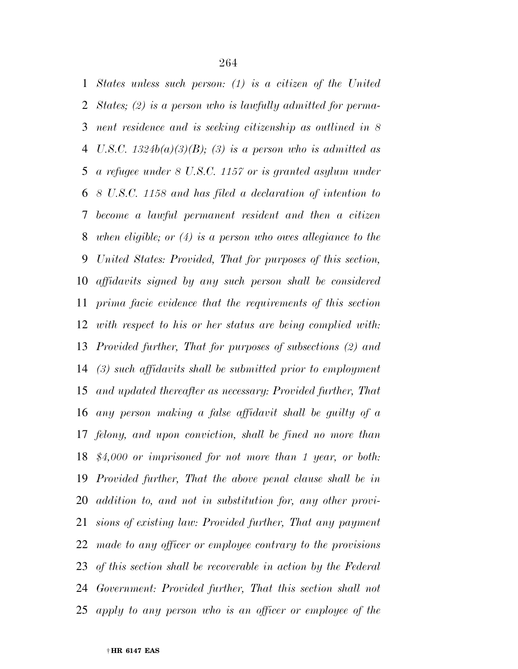*States unless such person: (1) is a citizen of the United States; (2) is a person who is lawfully admitted for perma- nent residence and is seeking citizenship as outlined in 8 U.S.C. 1324b(a)(3)(B); (3) is a person who is admitted as a refugee under 8 U.S.C. 1157 or is granted asylum under 8 U.S.C. 1158 and has filed a declaration of intention to become a lawful permanent resident and then a citizen when eligible; or (4) is a person who owes allegiance to the United States: Provided, That for purposes of this section, affidavits signed by any such person shall be considered prima facie evidence that the requirements of this section with respect to his or her status are being complied with: Provided further, That for purposes of subsections (2) and (3) such affidavits shall be submitted prior to employment and updated thereafter as necessary: Provided further, That any person making a false affidavit shall be guilty of a felony, and upon conviction, shall be fined no more than \$4,000 or imprisoned for not more than 1 year, or both: Provided further, That the above penal clause shall be in addition to, and not in substitution for, any other provi- sions of existing law: Provided further, That any payment made to any officer or employee contrary to the provisions of this section shall be recoverable in action by the Federal Government: Provided further, That this section shall not apply to any person who is an officer or employee of the*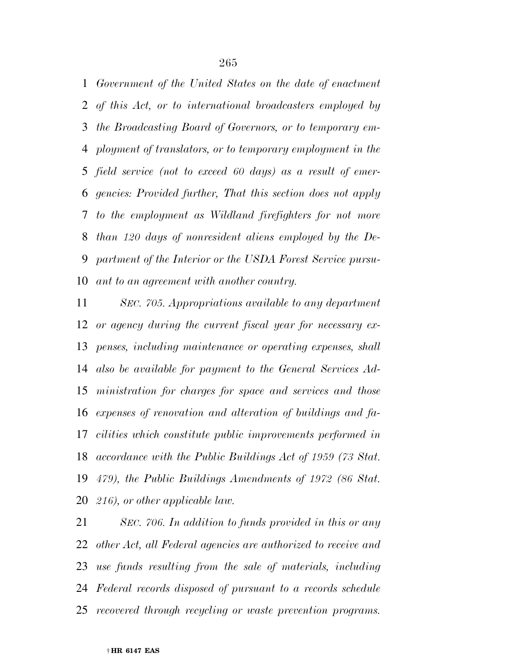*Government of the United States on the date of enactment of this Act, or to international broadcasters employed by the Broadcasting Board of Governors, or to temporary em- ployment of translators, or to temporary employment in the field service (not to exceed 60 days) as a result of emer- gencies: Provided further, That this section does not apply to the employment as Wildland firefighters for not more than 120 days of nonresident aliens employed by the De- partment of the Interior or the USDA Forest Service pursu-ant to an agreement with another country.* 

 *SEC. 705. Appropriations available to any department or agency during the current fiscal year for necessary ex- penses, including maintenance or operating expenses, shall also be available for payment to the General Services Ad- ministration for charges for space and services and those expenses of renovation and alteration of buildings and fa- cilities which constitute public improvements performed in accordance with the Public Buildings Act of 1959 (73 Stat. 479), the Public Buildings Amendments of 1972 (86 Stat. 216), or other applicable law.* 

 *SEC. 706. In addition to funds provided in this or any other Act, all Federal agencies are authorized to receive and use funds resulting from the sale of materials, including Federal records disposed of pursuant to a records schedule recovered through recycling or waste prevention programs.*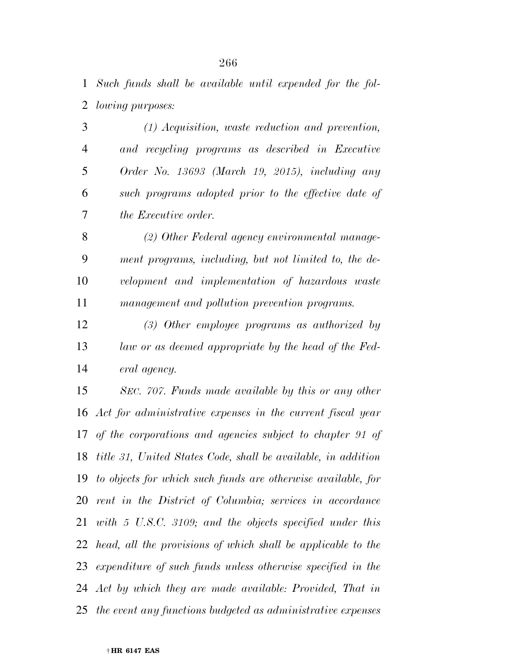*Such funds shall be available until expended for the fol-lowing purposes:* 

 *(1) Acquisition, waste reduction and prevention, and recycling programs as described in Executive Order No. 13693 (March 19, 2015), including any such programs adopted prior to the effective date of the Executive order.* 

 *(2) Other Federal agency environmental manage- ment programs, including, but not limited to, the de- velopment and implementation of hazardous waste management and pollution prevention programs.* 

 *(3) Other employee programs as authorized by law or as deemed appropriate by the head of the Fed-eral agency.* 

 *SEC. 707. Funds made available by this or any other Act for administrative expenses in the current fiscal year of the corporations and agencies subject to chapter 91 of title 31, United States Code, shall be available, in addition to objects for which such funds are otherwise available, for rent in the District of Columbia; services in accordance with 5 U.S.C. 3109; and the objects specified under this head, all the provisions of which shall be applicable to the expenditure of such funds unless otherwise specified in the Act by which they are made available: Provided, That in the event any functions budgeted as administrative expenses*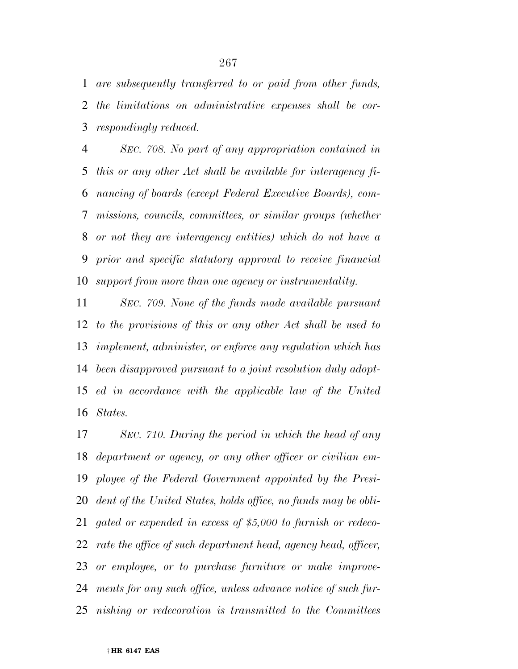*are subsequently transferred to or paid from other funds, the limitations on administrative expenses shall be cor-respondingly reduced.* 

 *SEC. 708. No part of any appropriation contained in this or any other Act shall be available for interagency fi- nancing of boards (except Federal Executive Boards), com- missions, councils, committees, or similar groups (whether or not they are interagency entities) which do not have a prior and specific statutory approval to receive financial support from more than one agency or instrumentality.* 

 *SEC. 709. None of the funds made available pursuant to the provisions of this or any other Act shall be used to implement, administer, or enforce any regulation which has been disapproved pursuant to a joint resolution duly adopt- ed in accordance with the applicable law of the United States.* 

 *SEC. 710. During the period in which the head of any department or agency, or any other officer or civilian em- ployee of the Federal Government appointed by the Presi- dent of the United States, holds office, no funds may be obli- gated or expended in excess of \$5,000 to furnish or redeco- rate the office of such department head, agency head, officer, or employee, or to purchase furniture or make improve- ments for any such office, unless advance notice of such fur-nishing or redecoration is transmitted to the Committees*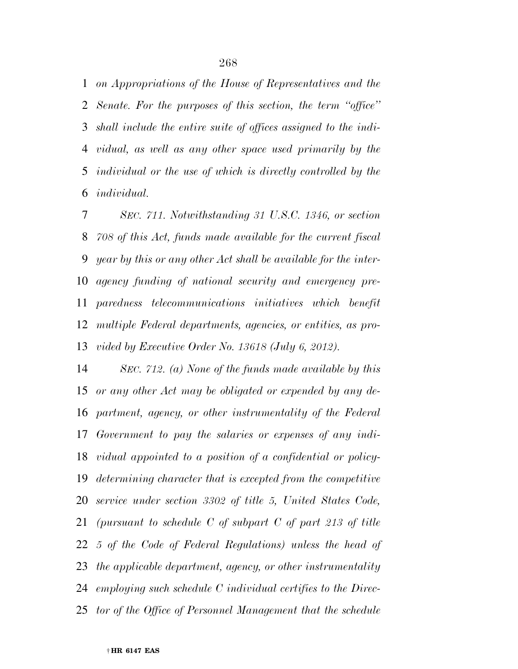*on Appropriations of the House of Representatives and the Senate. For the purposes of this section, the term ''office'' shall include the entire suite of offices assigned to the indi- vidual, as well as any other space used primarily by the individual or the use of which is directly controlled by the individual.* 

 *SEC. 711. Notwithstanding 31 U.S.C. 1346, or section 708 of this Act, funds made available for the current fiscal year by this or any other Act shall be available for the inter- agency funding of national security and emergency pre- paredness telecommunications initiatives which benefit multiple Federal departments, agencies, or entities, as pro-vided by Executive Order No. 13618 (July 6, 2012).* 

 *SEC. 712. (a) None of the funds made available by this or any other Act may be obligated or expended by any de- partment, agency, or other instrumentality of the Federal Government to pay the salaries or expenses of any indi- vidual appointed to a position of a confidential or policy- determining character that is excepted from the competitive service under section 3302 of title 5, United States Code, (pursuant to schedule C of subpart C of part 213 of title 5 of the Code of Federal Regulations) unless the head of the applicable department, agency, or other instrumentality employing such schedule C individual certifies to the Direc-tor of the Office of Personnel Management that the schedule*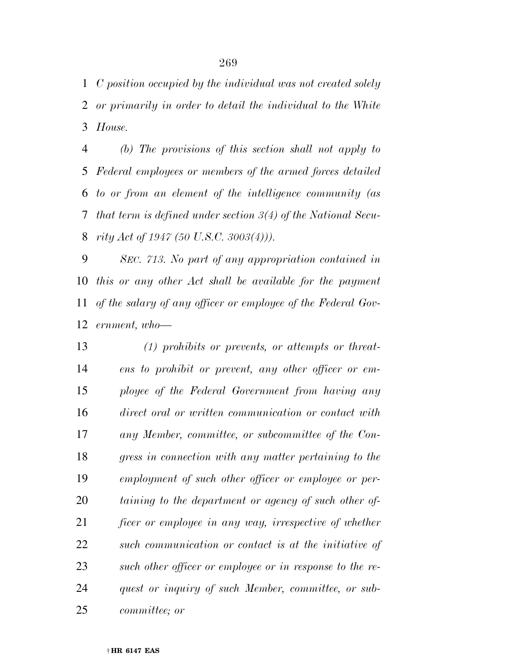*C position occupied by the individual was not created solely or primarily in order to detail the individual to the White House.* 

 *(b) The provisions of this section shall not apply to Federal employees or members of the armed forces detailed to or from an element of the intelligence community (as that term is defined under section 3(4) of the National Secu-rity Act of 1947 (50 U.S.C. 3003(4))).* 

 *SEC. 713. No part of any appropriation contained in this or any other Act shall be available for the payment of the salary of any officer or employee of the Federal Gov-ernment, who—* 

 *(1) prohibits or prevents, or attempts or threat- ens to prohibit or prevent, any other officer or em- ployee of the Federal Government from having any direct oral or written communication or contact with any Member, committee, or subcommittee of the Con- gress in connection with any matter pertaining to the employment of such other officer or employee or per- taining to the department or agency of such other of- ficer or employee in any way, irrespective of whether such communication or contact is at the initiative of such other officer or employee or in response to the re- quest or inquiry of such Member, committee, or sub-committee; or*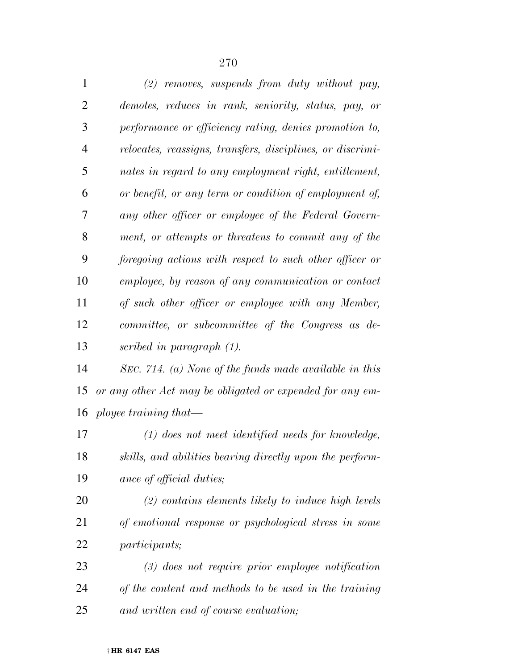| $\mathbf{1}$   | $(2)$ removes, suspends from duty without pay,             |
|----------------|------------------------------------------------------------|
| $\overline{2}$ | demotes, reduces in rank, seniority, status, pay, or       |
| 3              | performance or efficiency rating, denies promotion to,     |
| $\overline{4}$ | relocates, reassigns, transfers, disciplines, or discrimi- |
| 5              | nates in regard to any employment right, entitlement,      |
| 6              | or benefit, or any term or condition of employment of,     |
| 7              | any other officer or employee of the Federal Govern-       |
| 8              | ment, or attempts or threatens to commit any of the        |
| 9              | foregoing actions with respect to such other officer or    |
| 10             | employee, by reason of any communication or contact        |
| 11             | of such other officer or employee with any Member,         |
| 12             | committee, or subcommittee of the Congress as de-          |
| 13             | scribed in paragraph (1).                                  |
| 14             | SEC. 714. (a) None of the funds made available in this     |
| 15             | or any other Act may be obligated or expended for any em-  |
|                | 16 <i>ployee training that</i> —                           |
| 17             | $(1)$ does not meet identified needs for knowledge,        |
| 18             | skills, and abilities bearing directly upon the perform-   |
| 19             | ance of official duties;                                   |
| <b>20</b>      | $(2)$ contains elements likely to induce high levels       |
| 21             | of emotional response or psychological stress in some      |
| 22             | <i>participants</i> ;                                      |
| 23             | $(3)$ does not require prior employee notification         |
| 24             | of the content and methods to be used in the training      |

*and written end of course evaluation;*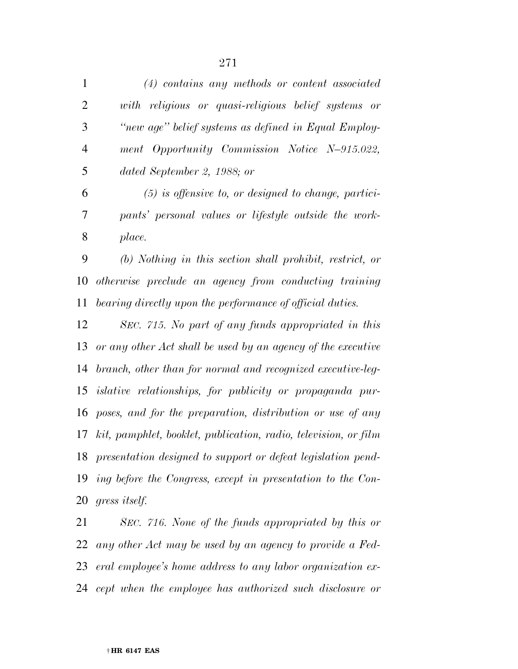| $\mathbf{1}$   | $(4)$ contains any methods or content associated                |
|----------------|-----------------------------------------------------------------|
| $\overline{2}$ | with religious or quasi-religious belief systems or             |
| 3              | "new age" belief systems as defined in Equal Employ-            |
| $\overline{4}$ | ment Opportunity Commission Notice N-915.022,                   |
| 5              | dated September 2, 1988; or                                     |
| 6              | $(5)$ is offensive to, or designed to change, partici-          |
| 7              | pants' personal values or lifestyle outside the work-           |
| 8              | place.                                                          |
| 9              | $(b)$ Nothing in this section shall prohibit, restrict, or      |
| 10             | otherwise preclude an agency from conducting training           |
| 11             | bearing directly upon the performance of official duties.       |
| 12             | SEC. 715. No part of any funds appropriated in this             |
| 13             | or any other Act shall be used by an agency of the executive    |
| 14             | branch, other than for normal and recognized executive-leg-     |
| 15             | <i>islative relationships, for publicity or propaganda pur-</i> |
| 16             | poses, and for the preparation, distribution or use of any      |
| 17             | kit, pamphlet, booklet, publication, radio, television, or film |
| 18             | presentation designed to support or defeat legislation pend-    |
| 19             | ing before the Congress, except in presentation to the Con-     |
| 20             | gress itself.                                                   |
|                |                                                                 |

 *SEC. 716. None of the funds appropriated by this or any other Act may be used by an agency to provide a Fed- eral employee's home address to any labor organization ex-cept when the employee has authorized such disclosure or*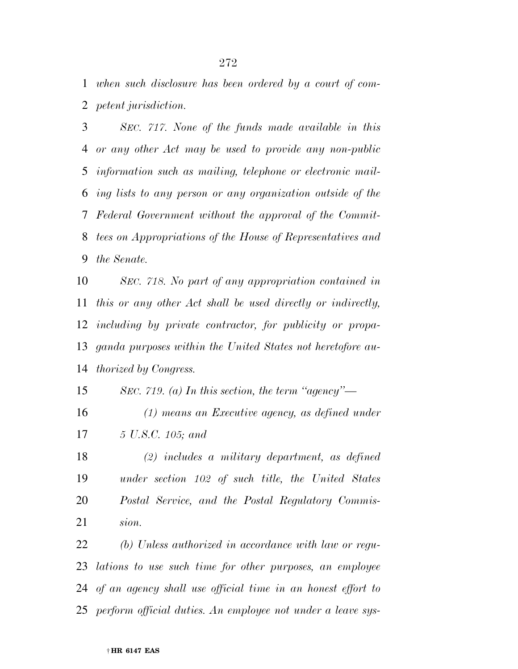*when such disclosure has been ordered by a court of com-petent jurisdiction.* 

 *SEC. 717. None of the funds made available in this or any other Act may be used to provide any non-public information such as mailing, telephone or electronic mail- ing lists to any person or any organization outside of the Federal Government without the approval of the Commit- tees on Appropriations of the House of Representatives and the Senate.* 

 *SEC. 718. No part of any appropriation contained in this or any other Act shall be used directly or indirectly, including by private contractor, for publicity or propa- ganda purposes within the United States not heretofore au-thorized by Congress.* 

*SEC. 719. (a) In this section, the term ''agency''—* 

 *(1) means an Executive agency, as defined under 5 U.S.C. 105; and* 

 *(2) includes a military department, as defined under section 102 of such title, the United States Postal Service, and the Postal Regulatory Commis-sion.* 

 *(b) Unless authorized in accordance with law or regu- lations to use such time for other purposes, an employee of an agency shall use official time in an honest effort to perform official duties. An employee not under a leave sys-*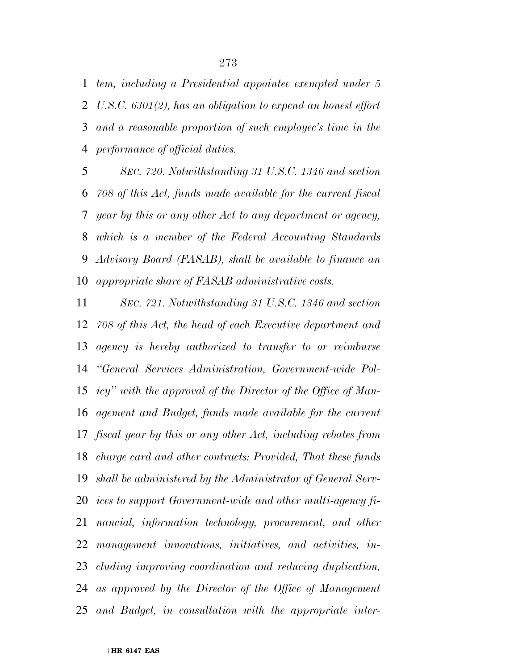*tem, including a Presidential appointee exempted under 5 U.S.C. 6301(2), has an obligation to expend an honest effort and a reasonable proportion of such employee's time in the performance of official duties.* 

 *SEC. 720. Notwithstanding 31 U.S.C. 1346 and section 708 of this Act, funds made available for the current fiscal year by this or any other Act to any department or agency, which is a member of the Federal Accounting Standards Advisory Board (FASAB), shall be available to finance an appropriate share of FASAB administrative costs.* 

 *SEC. 721. Notwithstanding 31 U.S.C. 1346 and section 708 of this Act, the head of each Executive department and agency is hereby authorized to transfer to or reimburse ''General Services Administration, Government-wide Pol- icy'' with the approval of the Director of the Office of Man- agement and Budget, funds made available for the current fiscal year by this or any other Act, including rebates from charge card and other contracts: Provided, That these funds shall be administered by the Administrator of General Serv- ices to support Government-wide and other multi-agency fi- nancial, information technology, procurement, and other management innovations, initiatives, and activities, in- cluding improving coordination and reducing duplication, as approved by the Director of the Office of Management and Budget, in consultation with the appropriate inter-*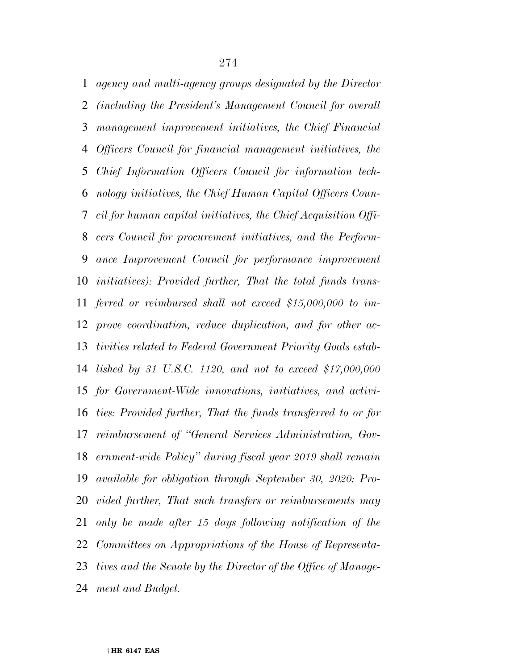*agency and multi-agency groups designated by the Director (including the President's Management Council for overall management improvement initiatives, the Chief Financial Officers Council for financial management initiatives, the Chief Information Officers Council for information tech- nology initiatives, the Chief Human Capital Officers Coun- cil for human capital initiatives, the Chief Acquisition Offi- cers Council for procurement initiatives, and the Perform- ance Improvement Council for performance improvement initiatives): Provided further, That the total funds trans- ferred or reimbursed shall not exceed \$15,000,000 to im- prove coordination, reduce duplication, and for other ac- tivities related to Federal Government Priority Goals estab- lished by 31 U.S.C. 1120, and not to exceed \$17,000,000 for Government-Wide innovations, initiatives, and activi- ties: Provided further, That the funds transferred to or for reimbursement of ''General Services Administration, Gov- ernment-wide Policy'' during fiscal year 2019 shall remain available for obligation through September 30, 2020: Pro- vided further, That such transfers or reimbursements may only be made after 15 days following notification of the Committees on Appropriations of the House of Representa- tives and the Senate by the Director of the Office of Manage-ment and Budget.*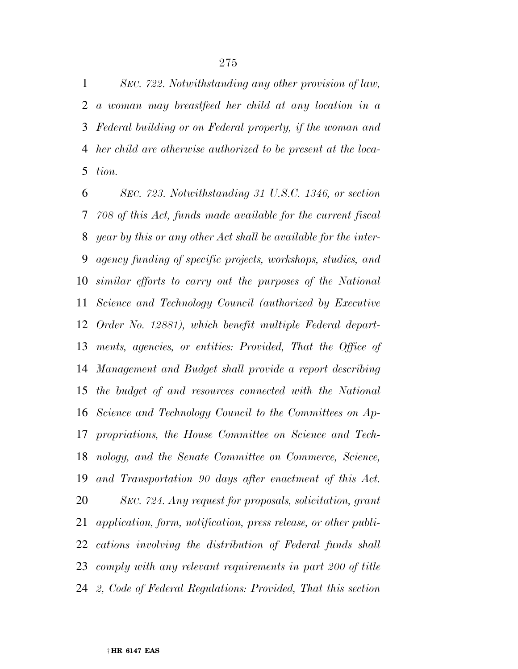*SEC. 722. Notwithstanding any other provision of law, a woman may breastfeed her child at any location in a Federal building or on Federal property, if the woman and her child are otherwise authorized to be present at the loca-tion.* 

 *SEC. 723. Notwithstanding 31 U.S.C. 1346, or section 708 of this Act, funds made available for the current fiscal year by this or any other Act shall be available for the inter- agency funding of specific projects, workshops, studies, and similar efforts to carry out the purposes of the National Science and Technology Council (authorized by Executive Order No. 12881), which benefit multiple Federal depart- ments, agencies, or entities: Provided, That the Office of Management and Budget shall provide a report describing the budget of and resources connected with the National Science and Technology Council to the Committees on Ap- propriations, the House Committee on Science and Tech- nology, and the Senate Committee on Commerce, Science, and Transportation 90 days after enactment of this Act. SEC. 724. Any request for proposals, solicitation, grant application, form, notification, press release, or other publi- cations involving the distribution of Federal funds shall comply with any relevant requirements in part 200 of title 2, Code of Federal Regulations: Provided, That this section*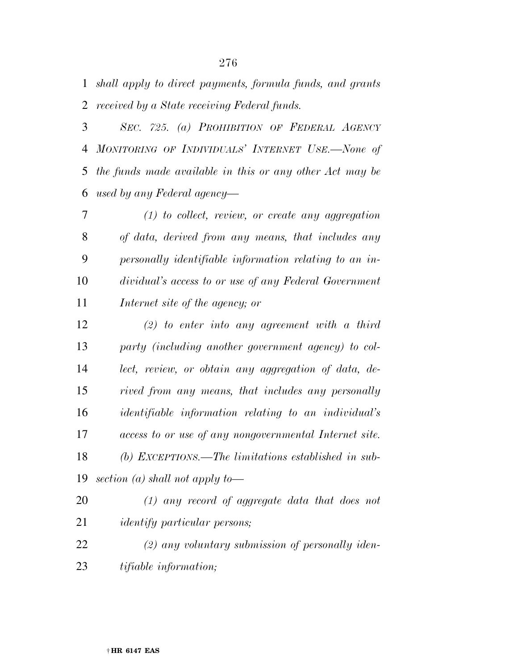*shall apply to direct payments, formula funds, and grants received by a State receiving Federal funds.* 

 *SEC. 725. (a) PROHIBITION OF FEDERAL AGENCY MONITORING OF INDIVIDUALS' INTERNET USE.—None of the funds made available in this or any other Act may be used by any Federal agency—* 

 *(1) to collect, review, or create any aggregation of data, derived from any means, that includes any personally identifiable information relating to an in- dividual's access to or use of any Federal Government Internet site of the agency; or* 

 *(2) to enter into any agreement with a third party (including another government agency) to col- lect, review, or obtain any aggregation of data, de- rived from any means, that includes any personally identifiable information relating to an individual's access to or use of any nongovernmental Internet site. (b) EXCEPTIONS.—The limitations established in sub-section (a) shall not apply to—* 

- *(1) any record of aggregate data that does not identify particular persons;*
- *(2) any voluntary submission of personally iden-tifiable information;*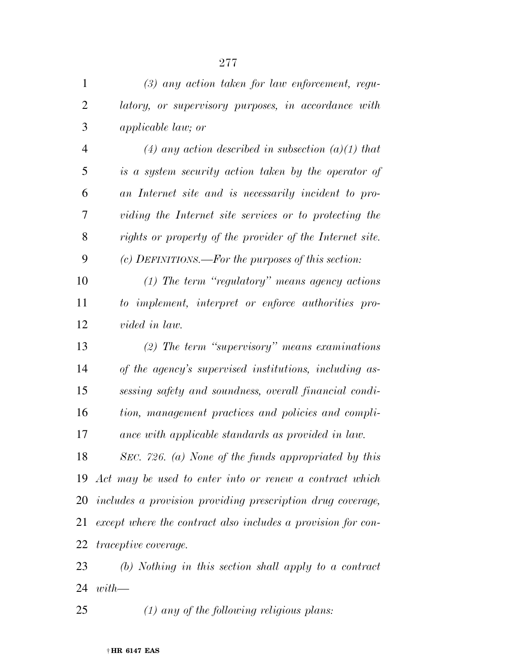| $\mathbf{1}$   | $(3)$ any action taken for law enforcement, regu-            |
|----------------|--------------------------------------------------------------|
| $\overline{c}$ | latory, or supervisory purposes, in accordance with          |
| 3              | <i>applicable law; or</i>                                    |
| $\overline{4}$ | (4) any action described in subsection (a)(1) that           |
| 5              | is a system security action taken by the operator of         |
| 6              | an Internet site and is necessarily incident to pro-         |
| 7              | viding the Internet site services or to protecting the       |
| 8              | rights or property of the provider of the Internet site.     |
| 9              | (c) DEFINITIONS.—For the purposes of this section:           |
| 10             | $(1)$ The term "regulatory" means agency actions             |
| 11             | to implement, interpret or enforce authorities pro-          |
| 12             | <i>vided in law.</i>                                         |
| 13             | $(2)$ The term "supervisory" means examinations              |
| 14             | of the agency's supervised institutions, including as-       |
| 15             | sessing safety and soundness, overall financial condi-       |
| 16             | tion, management practices and policies and compli-          |
| 17             | ance with applicable standards as provided in law.           |
| 18             | SEC. 726. (a) None of the funds appropriated by this         |
| 19             | Act may be used to enter into or renew a contract which      |
| 20             | includes a provision providing prescription drug coverage,   |
| 21             | except where the contract also includes a provision for con- |
| 22             | <i>traceptive coverage.</i>                                  |
| 23             | $(b)$ Nothing in this section shall apply to a contract      |

*with—* 

*(1) any of the following religious plans:*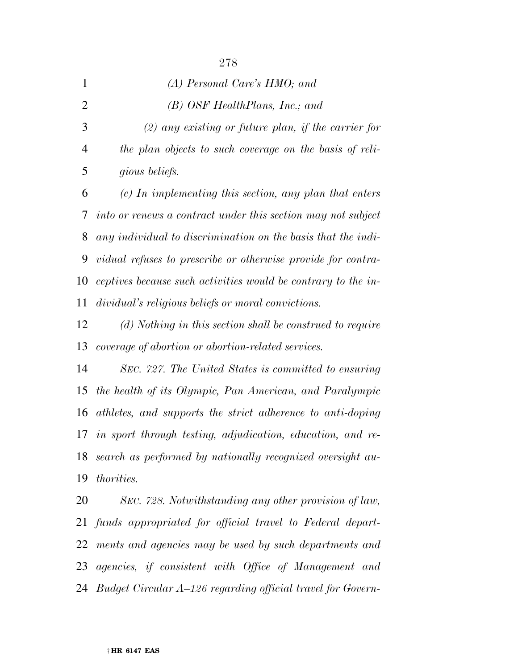| $\mathbf{1}$   | (A) Personal Care's HMO; and                                  |
|----------------|---------------------------------------------------------------|
| $\overline{2}$ | $(B)$ OSF HealthPlans, Inc.; and                              |
| 3              | $(2)$ any existing or future plan, if the carrier for         |
| 4              | the plan objects to such coverage on the basis of reli-       |
| 5              | gious beliefs.                                                |
| 6              | $(c)$ In implementing this section, any plan that enters      |
| 7              | into or renews a contract under this section may not subject  |
| 8              | any individual to discrimination on the basis that the indi-  |
| 9              | vidual refuses to prescribe or otherwise provide for contra-  |
| 10             | ceptives because such activities would be contrary to the in- |
| 11             | dividual's religious beliefs or moral convictions.            |
| 12             | (d) Nothing in this section shall be construed to require     |
| 13             | coverage of abortion or abortion-related services.            |
| 14             | SEC. 727. The United States is committed to ensuring          |
| 15             | the health of its Olympic, Pan American, and Paralympic       |
| 16             | athletes, and supports the strict adherence to anti-doping    |
| 17             | in sport through testing, adjudication, education, and re-    |
| 18             | search as performed by nationally recognized oversight au-    |
| 19             | <i>thorities.</i>                                             |
| 20             | SEC. 728. Notwithstanding any other provision of law,         |
|                |                                                               |

 *funds appropriated for official travel to Federal depart- ments and agencies may be used by such departments and agencies, if consistent with Office of Management and Budget Circular A–126 regarding official travel for Govern-*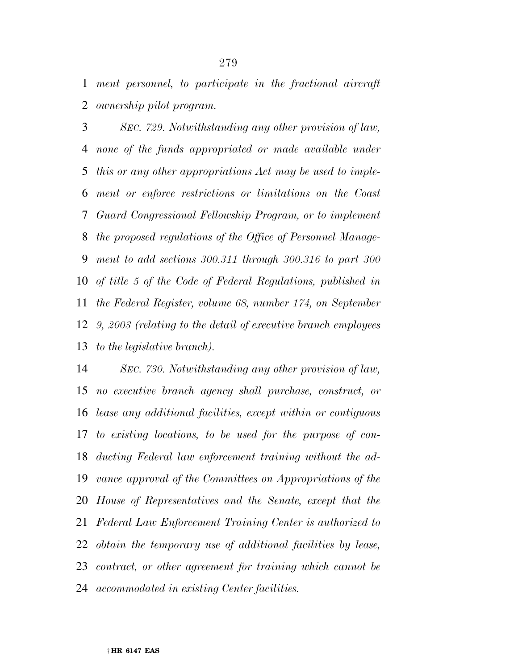*ment personnel, to participate in the fractional aircraft ownership pilot program.* 

 *SEC. 729. Notwithstanding any other provision of law, none of the funds appropriated or made available under this or any other appropriations Act may be used to imple- ment or enforce restrictions or limitations on the Coast Guard Congressional Fellowship Program, or to implement the proposed regulations of the Office of Personnel Manage- ment to add sections 300.311 through 300.316 to part 300 of title 5 of the Code of Federal Regulations, published in the Federal Register, volume 68, number 174, on September 9, 2003 (relating to the detail of executive branch employees to the legislative branch).* 

 *SEC. 730. Notwithstanding any other provision of law, no executive branch agency shall purchase, construct, or lease any additional facilities, except within or contiguous to existing locations, to be used for the purpose of con- ducting Federal law enforcement training without the ad- vance approval of the Committees on Appropriations of the House of Representatives and the Senate, except that the Federal Law Enforcement Training Center is authorized to obtain the temporary use of additional facilities by lease, contract, or other agreement for training which cannot be accommodated in existing Center facilities.*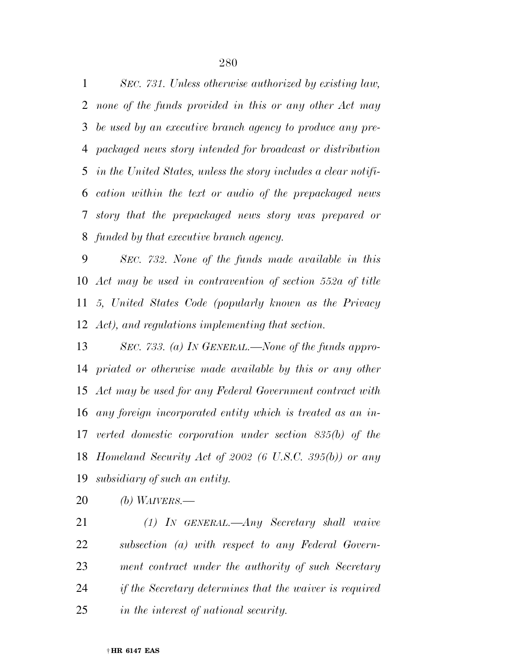*SEC. 731. Unless otherwise authorized by existing law, none of the funds provided in this or any other Act may be used by an executive branch agency to produce any pre- packaged news story intended for broadcast or distribution in the United States, unless the story includes a clear notifi- cation within the text or audio of the prepackaged news story that the prepackaged news story was prepared or funded by that executive branch agency.* 

 *SEC. 732. None of the funds made available in this Act may be used in contravention of section 552a of title 5, United States Code (popularly known as the Privacy Act), and regulations implementing that section.* 

 *SEC. 733. (a) IN GENERAL.—None of the funds appro- priated or otherwise made available by this or any other Act may be used for any Federal Government contract with any foreign incorporated entity which is treated as an in- verted domestic corporation under section 835(b) of the Homeland Security Act of 2002 (6 U.S.C. 395(b)) or any subsidiary of such an entity.* 

*(b) WAIVERS.—* 

 *(1) IN GENERAL.—Any Secretary shall waive subsection (a) with respect to any Federal Govern- ment contract under the authority of such Secretary if the Secretary determines that the waiver is required in the interest of national security.*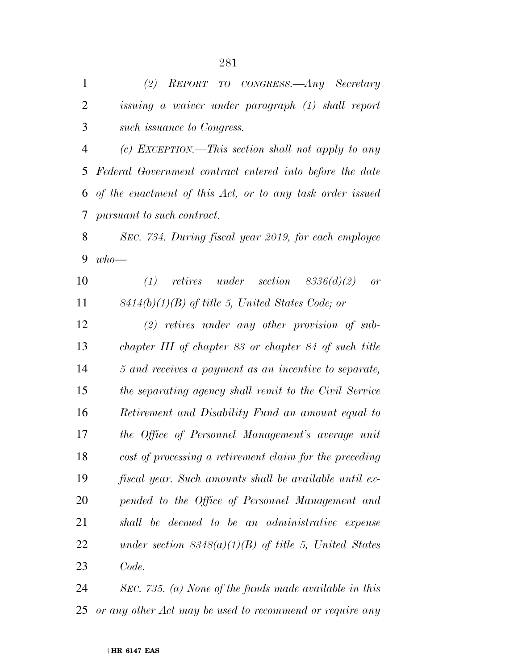| $\mathbf{1}$   | (2) REPORT TO CONGRESS.—Any Secretary                     |
|----------------|-----------------------------------------------------------|
| $\overline{2}$ | issuing a waiver under paragraph (1) shall report         |
| 3              | such issuance to Congress.                                |
| 4              | (c) EXCEPTION.—This section shall not apply to any        |
| 5              | Federal Government contract entered into before the date  |
| 6              | of the enactment of this Act, or to any task order issued |
| 7              | pursuant to such contract.                                |
| 8              | SEC. 734. During fiscal year 2019, for each employee      |
| 9              | $who-$                                                    |
| 10             | (1)<br>retires under section $8336(d)(2)$<br>or           |
| 11             | $8414(b)(1)(B)$ of title 5, United States Code; or        |
| 12             | $(2)$ retires under any other provision of sub-           |
| 13             | chapter III of chapter 83 or chapter 84 of such title     |
| 14             | 5 and receives a payment as an incentive to separate,     |
| 15             | the separating agency shall remit to the Civil Service    |
| 16             | Retirement and Disability Fund an amount equal to         |
| 17             | the Office of Personnel Management's average unit         |
| 18             | cost of processing a retirement claim for the preceding   |
| 19             | fiscal year. Such amounts shall be available until ex-    |
| 20             | pended to the Office of Personnel Management and          |
| 21             | shall be deemed to be an administrative expense           |
| 22             | under section $8348(a)(1)(B)$ of title 5, United States   |
| 23             | Code.                                                     |
| 24             | SEC. 735. (a) None of the funds made available in this    |

*or any other Act may be used to recommend or require any*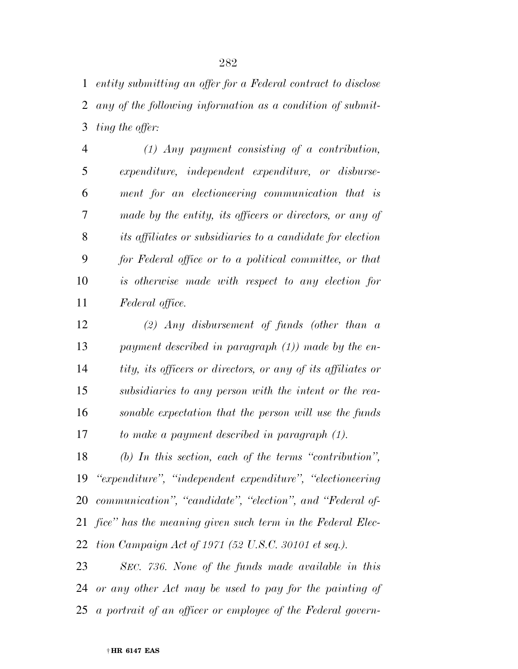*entity submitting an offer for a Federal contract to disclose any of the following information as a condition of submit-ting the offer:* 

 *(1) Any payment consisting of a contribution, expenditure, independent expenditure, or disburse- ment for an electioneering communication that is made by the entity, its officers or directors, or any of its affiliates or subsidiaries to a candidate for election for Federal office or to a political committee, or that is otherwise made with respect to any election for Federal office.* 

 *(2) Any disbursement of funds (other than a payment described in paragraph (1)) made by the en- tity, its officers or directors, or any of its affiliates or subsidiaries to any person with the intent or the rea- sonable expectation that the person will use the funds to make a payment described in paragraph (1).* 

 *(b) In this section, each of the terms ''contribution'', ''expenditure'', ''independent expenditure'', ''electioneering communication'', ''candidate'', ''election'', and ''Federal of- fice'' has the meaning given such term in the Federal Elec-tion Campaign Act of 1971 (52 U.S.C. 30101 et seq.).* 

 *SEC. 736. None of the funds made available in this or any other Act may be used to pay for the painting of a portrait of an officer or employee of the Federal govern-*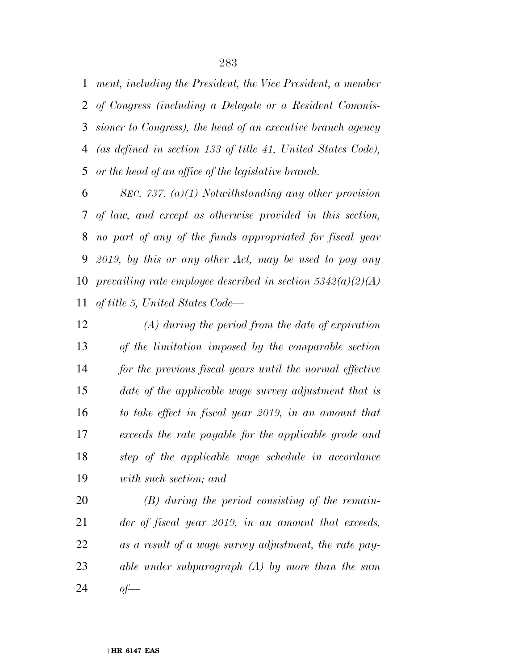*ment, including the President, the Vice President, a member of Congress (including a Delegate or a Resident Commis- sioner to Congress), the head of an executive branch agency (as defined in section 133 of title 41, United States Code), or the head of an office of the legislative branch.* 

 *SEC. 737. (a)(1) Notwithstanding any other provision of law, and except as otherwise provided in this section, no part of any of the funds appropriated for fiscal year 2019, by this or any other Act, may be used to pay any prevailing rate employee described in section 5342(a)(2)(A) of title 5, United States Code—* 

 *(A) during the period from the date of expiration of the limitation imposed by the comparable section for the previous fiscal years until the normal effective date of the applicable wage survey adjustment that is to take effect in fiscal year 2019, in an amount that exceeds the rate payable for the applicable grade and step of the applicable wage schedule in accordance with such section; and* 

 *(B) during the period consisting of the remain- der of fiscal year 2019, in an amount that exceeds, as a result of a wage survey adjustment, the rate pay- able under subparagraph (A) by more than the sum of—*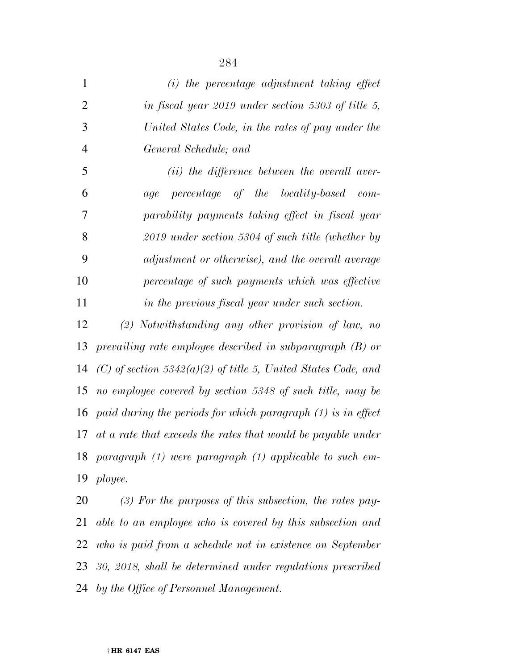| 1              | $(i)$ the percentage adjustment taking effect                  |
|----------------|----------------------------------------------------------------|
| $\overline{2}$ | in fiscal year 2019 under section 5303 of title 5,             |
| 3              | United States Code, in the rates of pay under the              |
| $\overline{4}$ | General Schedule; and                                          |
| 5              | (ii) the difference between the overall aver-                  |
| 6              | percentage of the locality-based com-<br>age                   |
| 7              | parability payments taking effect in fiscal year               |
| 8              | $2019$ under section 5304 of such title (whether by            |
| 9              | adjustment or otherwise), and the overall average              |
| 10             | percentage of such payments which was effective                |
| 11             | in the previous fiscal year under such section.                |
| 12             | $(2)$ Notwithstanding any other provision of law, no           |
| 13             | prevailing rate employee described in subparagraph $(B)$ or    |
| 14             | (C) of section 5342(a)(2) of title 5, United States Code, and  |
| 15             | no employee covered by section 5348 of such title, may be      |
| 16             | paid during the periods for which paragraph $(1)$ is in effect |
| 17             | at a rate that exceeds the rates that would be payable under   |
| 18             | paragraph $(1)$ were paragraph $(1)$ applicable to such em-    |
| 19             | ployee.                                                        |
| 20             | $(3)$ For the purposes of this subsection, the rates pay-      |
| 21             | able to an employee who is covered by this subsection and      |
| 22             | who is paid from a schedule not in existence on September      |

 *30, 2018, shall be determined under regulations prescribed by the Office of Personnel Management.*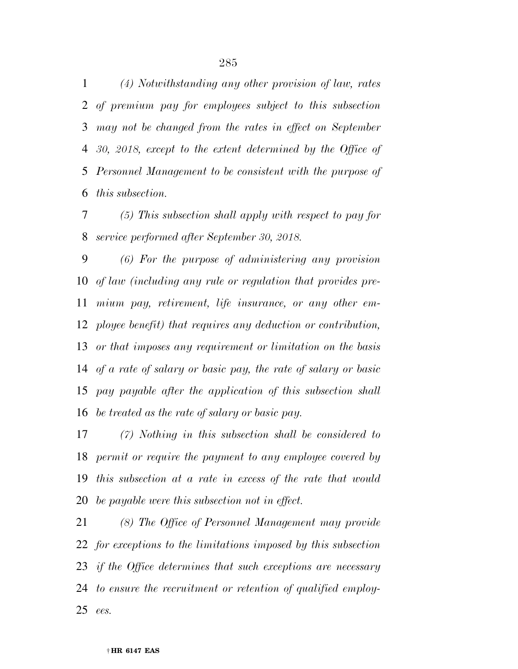*(4) Notwithstanding any other provision of law, rates of premium pay for employees subject to this subsection may not be changed from the rates in effect on September 30, 2018, except to the extent determined by the Office of Personnel Management to be consistent with the purpose of this subsection.* 

 *(5) This subsection shall apply with respect to pay for service performed after September 30, 2018.* 

 *(6) For the purpose of administering any provision of law (including any rule or regulation that provides pre- mium pay, retirement, life insurance, or any other em- ployee benefit) that requires any deduction or contribution, or that imposes any requirement or limitation on the basis of a rate of salary or basic pay, the rate of salary or basic pay payable after the application of this subsection shall be treated as the rate of salary or basic pay.* 

 *(7) Nothing in this subsection shall be considered to permit or require the payment to any employee covered by this subsection at a rate in excess of the rate that would be payable were this subsection not in effect.* 

 *(8) The Office of Personnel Management may provide for exceptions to the limitations imposed by this subsection if the Office determines that such exceptions are necessary to ensure the recruitment or retention of qualified employ-ees.*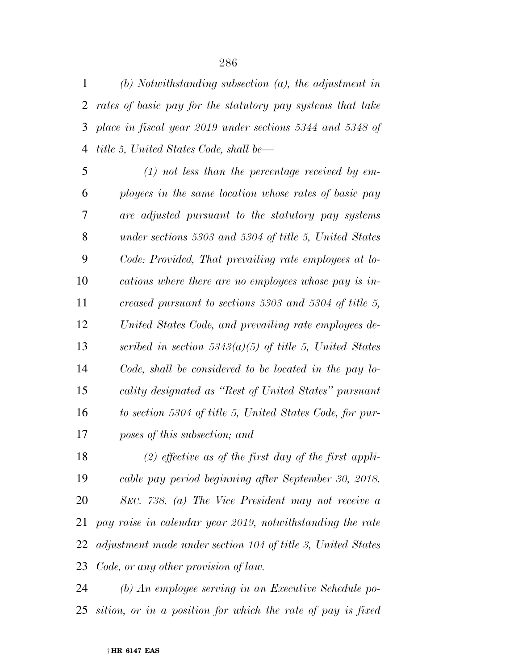*(b) Notwithstanding subsection (a), the adjustment in rates of basic pay for the statutory pay systems that take place in fiscal year 2019 under sections 5344 and 5348 of title 5, United States Code, shall be—* 

 *(1) not less than the percentage received by em- ployees in the same location whose rates of basic pay are adjusted pursuant to the statutory pay systems under sections 5303 and 5304 of title 5, United States Code: Provided, That prevailing rate employees at lo- cations where there are no employees whose pay is in- creased pursuant to sections 5303 and 5304 of title 5, United States Code, and prevailing rate employees de- scribed in section 5343(a)(5) of title 5, United States Code, shall be considered to be located in the pay lo- cality designated as ''Rest of United States'' pursuant to section 5304 of title 5, United States Code, for pur-poses of this subsection; and* 

 *(2) effective as of the first day of the first appli- cable pay period beginning after September 30, 2018. SEC. 738. (a) The Vice President may not receive a pay raise in calendar year 2019, notwithstanding the rate adjustment made under section 104 of title 3, United States Code, or any other provision of law.* 

 *(b) An employee serving in an Executive Schedule po-sition, or in a position for which the rate of pay is fixed*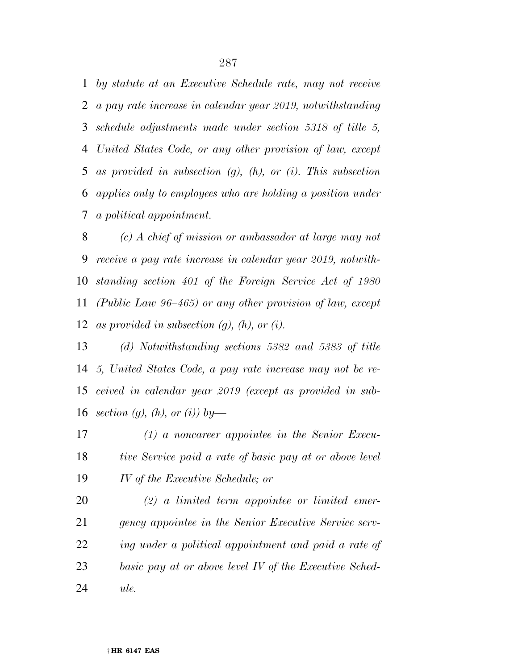*by statute at an Executive Schedule rate, may not receive a pay rate increase in calendar year 2019, notwithstanding schedule adjustments made under section 5318 of title 5, United States Code, or any other provision of law, except as provided in subsection (g), (h), or (i). This subsection applies only to employees who are holding a position under a political appointment.* 

 *(c) A chief of mission or ambassador at large may not receive a pay rate increase in calendar year 2019, notwith- standing section 401 of the Foreign Service Act of 1980 (Public Law 96–465) or any other provision of law, except as provided in subsection (g), (h), or (i).* 

 *(d) Notwithstanding sections 5382 and 5383 of title 5, United States Code, a pay rate increase may not be re- ceived in calendar year 2019 (except as provided in sub-section (g), (h), or (i)) by—* 

 *(1) a noncareer appointee in the Senior Execu- tive Service paid a rate of basic pay at or above level IV of the Executive Schedule; or* 

 *(2) a limited term appointee or limited emer- gency appointee in the Senior Executive Service serv- ing under a political appointment and paid a rate of basic pay at or above level IV of the Executive Sched-ule.*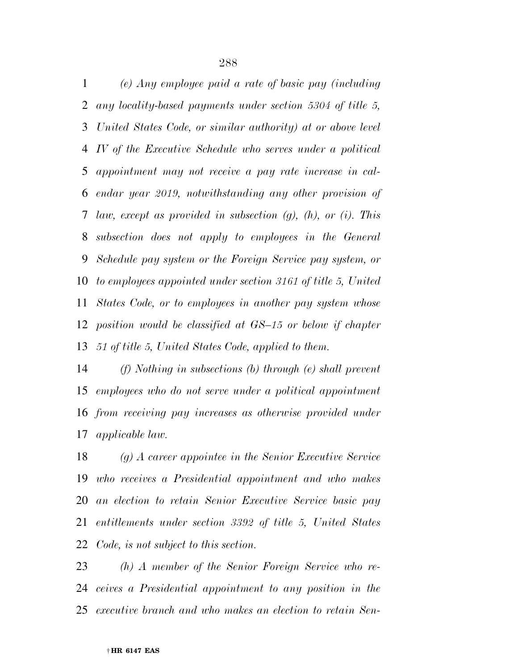*(e) Any employee paid a rate of basic pay (including any locality-based payments under section 5304 of title 5, United States Code, or similar authority) at or above level IV of the Executive Schedule who serves under a political appointment may not receive a pay rate increase in cal- endar year 2019, notwithstanding any other provision of law, except as provided in subsection (g), (h), or (i). This subsection does not apply to employees in the General Schedule pay system or the Foreign Service pay system, or to employees appointed under section 3161 of title 5, United States Code, or to employees in another pay system whose position would be classified at GS–15 or below if chapter 51 of title 5, United States Code, applied to them.* 

 *(f) Nothing in subsections (b) through (e) shall prevent employees who do not serve under a political appointment from receiving pay increases as otherwise provided under applicable law.* 

 *(g) A career appointee in the Senior Executive Service who receives a Presidential appointment and who makes an election to retain Senior Executive Service basic pay entitlements under section 3392 of title 5, United States Code, is not subject to this section.* 

 *(h) A member of the Senior Foreign Service who re- ceives a Presidential appointment to any position in the executive branch and who makes an election to retain Sen-*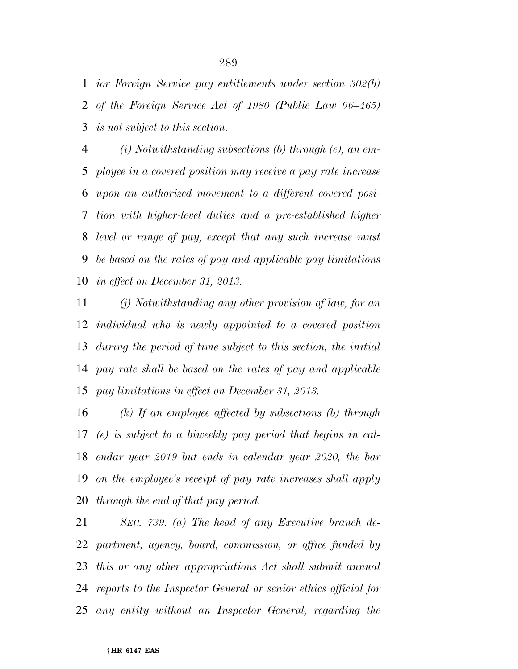*ior Foreign Service pay entitlements under section 302(b) of the Foreign Service Act of 1980 (Public Law 96–465) is not subject to this section.* 

 *(i) Notwithstanding subsections (b) through (e), an em- ployee in a covered position may receive a pay rate increase upon an authorized movement to a different covered posi- tion with higher-level duties and a pre-established higher level or range of pay, except that any such increase must be based on the rates of pay and applicable pay limitations in effect on December 31, 2013.* 

 *(j) Notwithstanding any other provision of law, for an individual who is newly appointed to a covered position during the period of time subject to this section, the initial pay rate shall be based on the rates of pay and applicable pay limitations in effect on December 31, 2013.* 

 *(k) If an employee affected by subsections (b) through (e) is subject to a biweekly pay period that begins in cal- endar year 2019 but ends in calendar year 2020, the bar on the employee's receipt of pay rate increases shall apply through the end of that pay period.* 

 *SEC. 739. (a) The head of any Executive branch de- partment, agency, board, commission, or office funded by this or any other appropriations Act shall submit annual reports to the Inspector General or senior ethics official for any entity without an Inspector General, regarding the*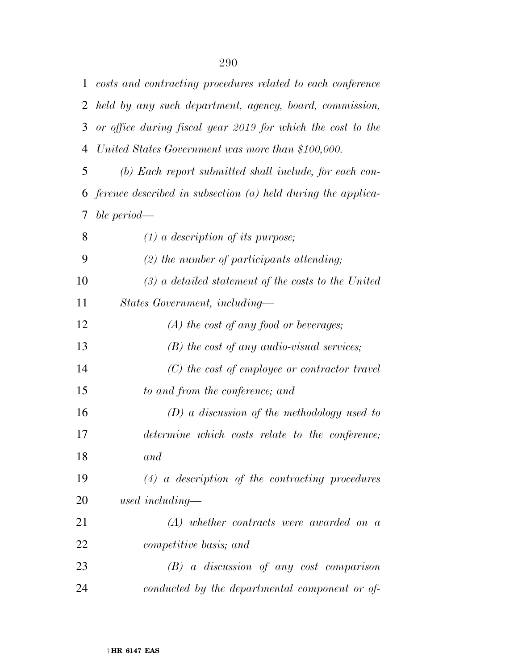| 1  | costs and contracting procedures related to each conference    |
|----|----------------------------------------------------------------|
| 2  | held by any such department, agency, board, commission,        |
| 3  | or office during fiscal year 2019 for which the cost to the    |
| 4  | United States Government was more than \$100,000.              |
| 5  | (b) Each report submitted shall include, for each con-         |
| 6  | ference described in subsection $(a)$ held during the applica- |
| 7  | ble period—                                                    |
| 8  | $(1)$ a description of its purpose;                            |
| 9  | $(2)$ the number of participants attending;                    |
| 10 | $(3)$ a detailed statement of the costs to the United          |
| 11 | States Government, including-                                  |
| 12 | $(A)$ the cost of any food or beverages;                       |
| 13 | $(B)$ the cost of any audio-visual services;                   |
| 14 | $(C)$ the cost of employee or contractor travel                |
| 15 | to and from the conference; and                                |
| 16 | $(D)$ a discussion of the methodology used to                  |
| 17 | determine which costs relate to the conference;                |
| 18 | and                                                            |
| 19 | $(4)$ a description of the contracting procedures              |
| 20 | used including—                                                |
| 21 | $(A)$ whether contracts were awarded on a                      |
| 22 | competitive basis; and                                         |
| 23 | $(B)$ a discussion of any cost comparison                      |
| 24 | conducted by the departmental component or of-                 |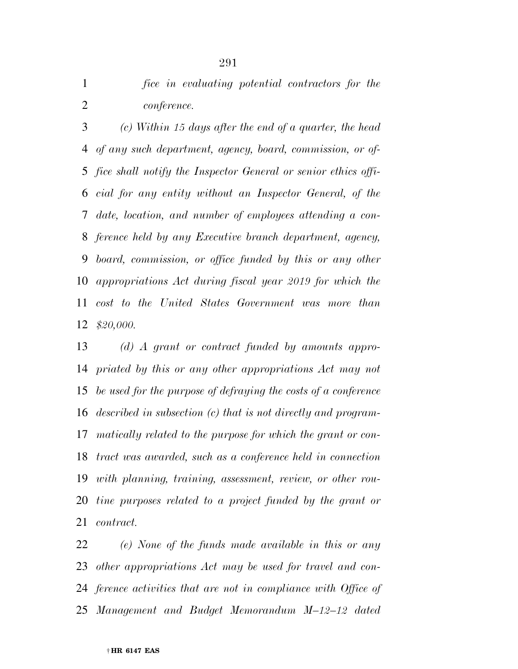*fice in evaluating potential contractors for the conference.* 

 *(c) Within 15 days after the end of a quarter, the head of any such department, agency, board, commission, or of- fice shall notify the Inspector General or senior ethics offi- cial for any entity without an Inspector General, of the date, location, and number of employees attending a con- ference held by any Executive branch department, agency, board, commission, or office funded by this or any other appropriations Act during fiscal year 2019 for which the cost to the United States Government was more than \$20,000.* 

 *(d) A grant or contract funded by amounts appro- priated by this or any other appropriations Act may not be used for the purpose of defraying the costs of a conference described in subsection (c) that is not directly and program- matically related to the purpose for which the grant or con- tract was awarded, such as a conference held in connection with planning, training, assessment, review, or other rou- tine purposes related to a project funded by the grant or contract.* 

 *(e) None of the funds made available in this or any other appropriations Act may be used for travel and con- ference activities that are not in compliance with Office of Management and Budget Memorandum M–12–12 dated*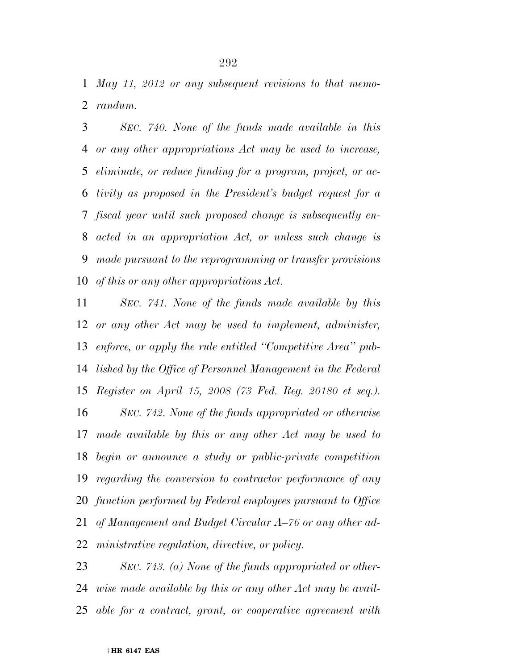*May 11, 2012 or any subsequent revisions to that memo-randum.* 

 *SEC. 740. None of the funds made available in this or any other appropriations Act may be used to increase, eliminate, or reduce funding for a program, project, or ac- tivity as proposed in the President's budget request for a fiscal year until such proposed change is subsequently en- acted in an appropriation Act, or unless such change is made pursuant to the reprogramming or transfer provisions of this or any other appropriations Act.* 

 *SEC. 741. None of the funds made available by this or any other Act may be used to implement, administer, enforce, or apply the rule entitled ''Competitive Area'' pub- lished by the Office of Personnel Management in the Federal Register on April 15, 2008 (73 Fed. Reg. 20180 et seq.). SEC. 742. None of the funds appropriated or otherwise made available by this or any other Act may be used to begin or announce a study or public-private competition regarding the conversion to contractor performance of any function performed by Federal employees pursuant to Office of Management and Budget Circular A–76 or any other ad-ministrative regulation, directive, or policy.* 

 *SEC. 743. (a) None of the funds appropriated or other- wise made available by this or any other Act may be avail-able for a contract, grant, or cooperative agreement with*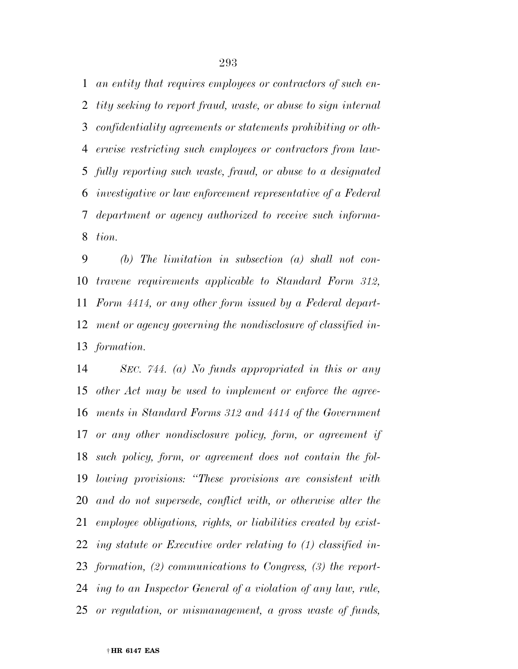*an entity that requires employees or contractors of such en- tity seeking to report fraud, waste, or abuse to sign internal confidentiality agreements or statements prohibiting or oth- erwise restricting such employees or contractors from law- fully reporting such waste, fraud, or abuse to a designated investigative or law enforcement representative of a Federal department or agency authorized to receive such informa-tion.* 

 *(b) The limitation in subsection (a) shall not con- travene requirements applicable to Standard Form 312, Form 4414, or any other form issued by a Federal depart- ment or agency governing the nondisclosure of classified in-formation.* 

 *SEC. 744. (a) No funds appropriated in this or any other Act may be used to implement or enforce the agree- ments in Standard Forms 312 and 4414 of the Government or any other nondisclosure policy, form, or agreement if such policy, form, or agreement does not contain the fol- lowing provisions: ''These provisions are consistent with and do not supersede, conflict with, or otherwise alter the employee obligations, rights, or liabilities created by exist- ing statute or Executive order relating to (1) classified in- formation, (2) communications to Congress, (3) the report- ing to an Inspector General of a violation of any law, rule, or regulation, or mismanagement, a gross waste of funds,*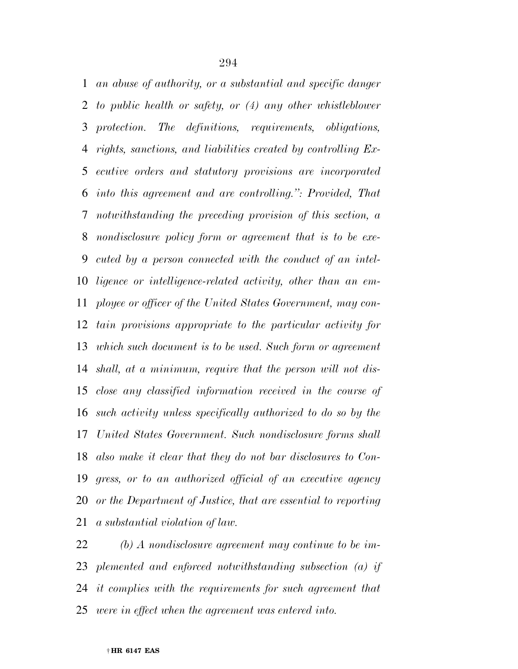*an abuse of authority, or a substantial and specific danger to public health or safety, or (4) any other whistleblower protection. The definitions, requirements, obligations, rights, sanctions, and liabilities created by controlling Ex- ecutive orders and statutory provisions are incorporated into this agreement and are controlling.'': Provided, That notwithstanding the preceding provision of this section, a nondisclosure policy form or agreement that is to be exe- cuted by a person connected with the conduct of an intel- ligence or intelligence-related activity, other than an em- ployee or officer of the United States Government, may con- tain provisions appropriate to the particular activity for which such document is to be used. Such form or agreement shall, at a minimum, require that the person will not dis- close any classified information received in the course of such activity unless specifically authorized to do so by the United States Government. Such nondisclosure forms shall also make it clear that they do not bar disclosures to Con- gress, or to an authorized official of an executive agency or the Department of Justice, that are essential to reporting a substantial violation of law.* 

 *(b) A nondisclosure agreement may continue to be im- plemented and enforced notwithstanding subsection (a) if it complies with the requirements for such agreement that were in effect when the agreement was entered into.*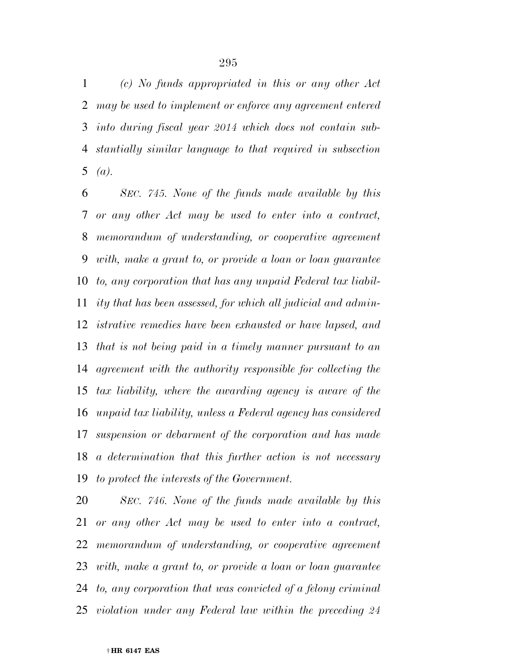*(c) No funds appropriated in this or any other Act may be used to implement or enforce any agreement entered into during fiscal year 2014 which does not contain sub- stantially similar language to that required in subsection*  5  $(a)$ .

 *SEC. 745. None of the funds made available by this or any other Act may be used to enter into a contract, memorandum of understanding, or cooperative agreement with, make a grant to, or provide a loan or loan guarantee to, any corporation that has any unpaid Federal tax liabil- ity that has been assessed, for which all judicial and admin- istrative remedies have been exhausted or have lapsed, and that is not being paid in a timely manner pursuant to an agreement with the authority responsible for collecting the tax liability, where the awarding agency is aware of the unpaid tax liability, unless a Federal agency has considered suspension or debarment of the corporation and has made a determination that this further action is not necessary to protect the interests of the Government.* 

 *SEC. 746. None of the funds made available by this or any other Act may be used to enter into a contract, memorandum of understanding, or cooperative agreement with, make a grant to, or provide a loan or loan guarantee to, any corporation that was convicted of a felony criminal violation under any Federal law within the preceding 24*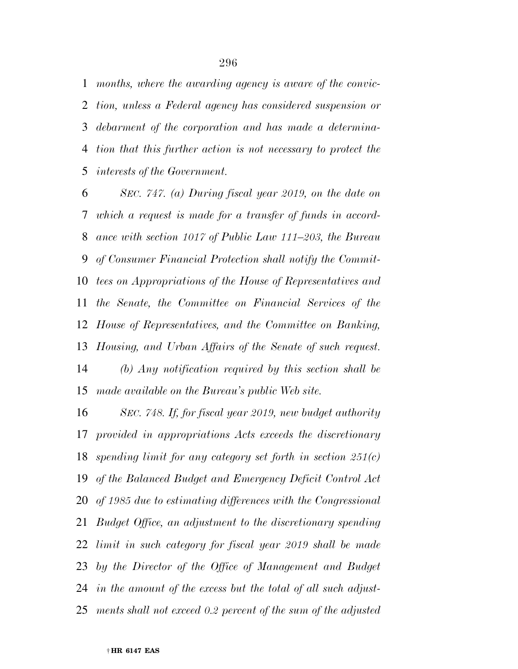*months, where the awarding agency is aware of the convic- tion, unless a Federal agency has considered suspension or debarment of the corporation and has made a determina- tion that this further action is not necessary to protect the interests of the Government.* 

 *SEC. 747. (a) During fiscal year 2019, on the date on which a request is made for a transfer of funds in accord- ance with section 1017 of Public Law 111–203, the Bureau of Consumer Financial Protection shall notify the Commit- tees on Appropriations of the House of Representatives and the Senate, the Committee on Financial Services of the House of Representatives, and the Committee on Banking, Housing, and Urban Affairs of the Senate of such request. (b) Any notification required by this section shall be made available on the Bureau's public Web site.* 

 *SEC. 748. If, for fiscal year 2019, new budget authority provided in appropriations Acts exceeds the discretionary spending limit for any category set forth in section 251(c) of the Balanced Budget and Emergency Deficit Control Act of 1985 due to estimating differences with the Congressional Budget Office, an adjustment to the discretionary spending limit in such category for fiscal year 2019 shall be made by the Director of the Office of Management and Budget in the amount of the excess but the total of all such adjust-ments shall not exceed 0.2 percent of the sum of the adjusted*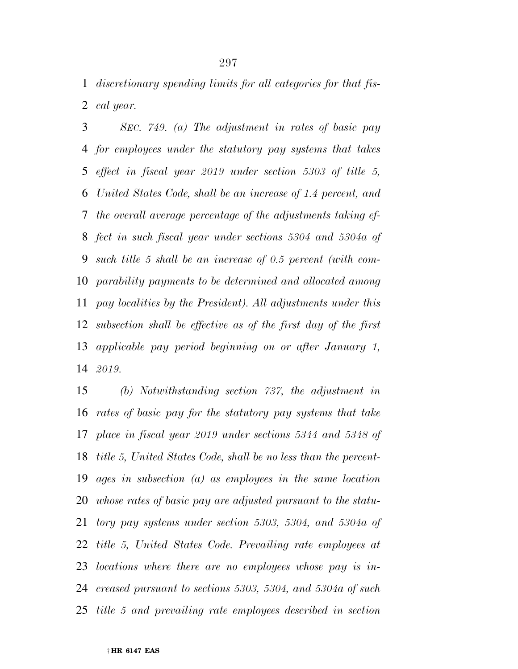*discretionary spending limits for all categories for that fis-cal year.* 

 *SEC. 749. (a) The adjustment in rates of basic pay for employees under the statutory pay systems that takes effect in fiscal year 2019 under section 5303 of title 5, United States Code, shall be an increase of 1.4 percent, and the overall average percentage of the adjustments taking ef- fect in such fiscal year under sections 5304 and 5304a of such title 5 shall be an increase of 0.5 percent (with com- parability payments to be determined and allocated among pay localities by the President). All adjustments under this subsection shall be effective as of the first day of the first applicable pay period beginning on or after January 1, 2019.* 

 *(b) Notwithstanding section 737, the adjustment in rates of basic pay for the statutory pay systems that take place in fiscal year 2019 under sections 5344 and 5348 of title 5, United States Code, shall be no less than the percent- ages in subsection (a) as employees in the same location whose rates of basic pay are adjusted pursuant to the statu- tory pay systems under section 5303, 5304, and 5304a of title 5, United States Code. Prevailing rate employees at locations where there are no employees whose pay is in- creased pursuant to sections 5303, 5304, and 5304a of such title 5 and prevailing rate employees described in section*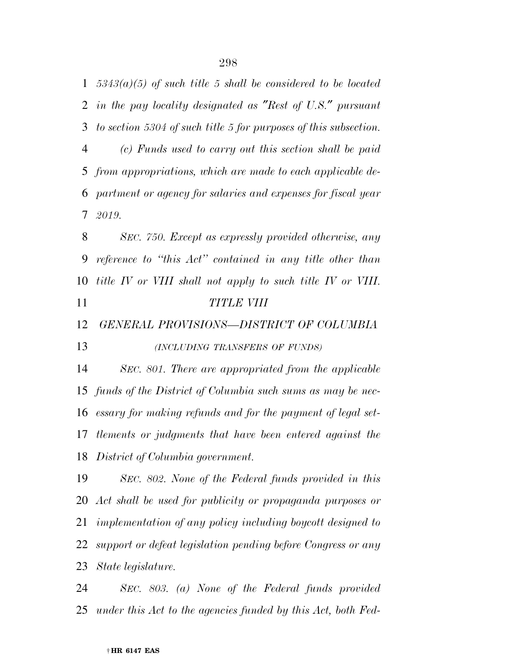*5343(a)(5) of such title 5 shall be considered to be located in the pay locality designated as* ″*Rest of U.S.*″ *pursuant to section 5304 of such title 5 for purposes of this subsection. (c) Funds used to carry out this section shall be paid from appropriations, which are made to each applicable de- partment or agency for salaries and expenses for fiscal year 2019. SEC. 750. Except as expressly provided otherwise, any* 

 *reference to ''this Act'' contained in any title other than title IV or VIII shall not apply to such title IV or VIII. TITLE VIII* 

*GENERAL PROVISIONS—DISTRICT OF COLUMBIA* 

*(INCLUDING TRANSFERS OF FUNDS)*

 *SEC. 801. There are appropriated from the applicable funds of the District of Columbia such sums as may be nec- essary for making refunds and for the payment of legal set- tlements or judgments that have been entered against the District of Columbia government.* 

 *SEC. 802. None of the Federal funds provided in this Act shall be used for publicity or propaganda purposes or implementation of any policy including boycott designed to support or defeat legislation pending before Congress or any State legislature.* 

 *SEC. 803. (a) None of the Federal funds provided under this Act to the agencies funded by this Act, both Fed-*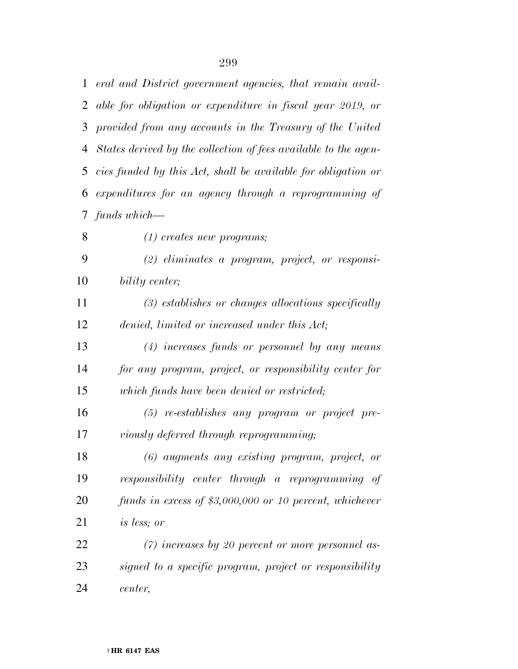*eral and District government agencies, that remain avail- able for obligation or expenditure in fiscal year 2019, or provided from any accounts in the Treasury of the United States derived by the collection of fees available to the agen- cies funded by this Act, shall be available for obligation or expenditures for an agency through a reprogramming of funds which—* 

 *(2) eliminates a program, project, or responsi-bility center;* 

*(1) creates new programs;* 

 *(3) establishes or changes allocations specifically denied, limited or increased under this Act;* 

 *(4) increases funds or personnel by any means for any program, project, or responsibility center for which funds have been denied or restricted;* 

 *(5) re-establishes any program or project pre-viously deferred through reprogramming;* 

 *(6) augments any existing program, project, or responsibility center through a reprogramming of funds in excess of \$3,000,000 or 10 percent, whichever is less; or* 

 *(7) increases by 20 percent or more personnel as- signed to a specific program, project or responsibility center,*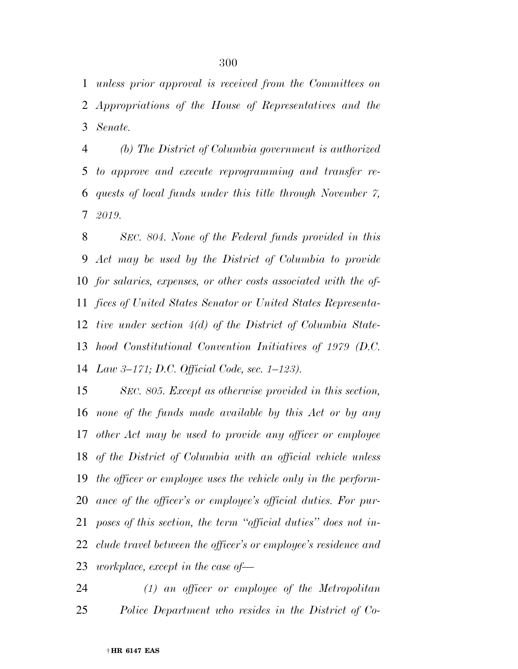*unless prior approval is received from the Committees on Appropriations of the House of Representatives and the Senate.* 

 *(b) The District of Columbia government is authorized to approve and execute reprogramming and transfer re- quests of local funds under this title through November 7, 2019.* 

 *SEC. 804. None of the Federal funds provided in this Act may be used by the District of Columbia to provide for salaries, expenses, or other costs associated with the of- fices of United States Senator or United States Representa- tive under section 4(d) of the District of Columbia State- hood Constitutional Convention Initiatives of 1979 (D.C. Law 3–171; D.C. Official Code, sec. 1–123).* 

 *SEC. 805. Except as otherwise provided in this section, none of the funds made available by this Act or by any other Act may be used to provide any officer or employee of the District of Columbia with an official vehicle unless the officer or employee uses the vehicle only in the perform- ance of the officer's or employee's official duties. For pur- poses of this section, the term ''official duties'' does not in- clude travel between the officer's or employee's residence and workplace, except in the case of—* 

 *(1) an officer or employee of the Metropolitan Police Department who resides in the District of Co-*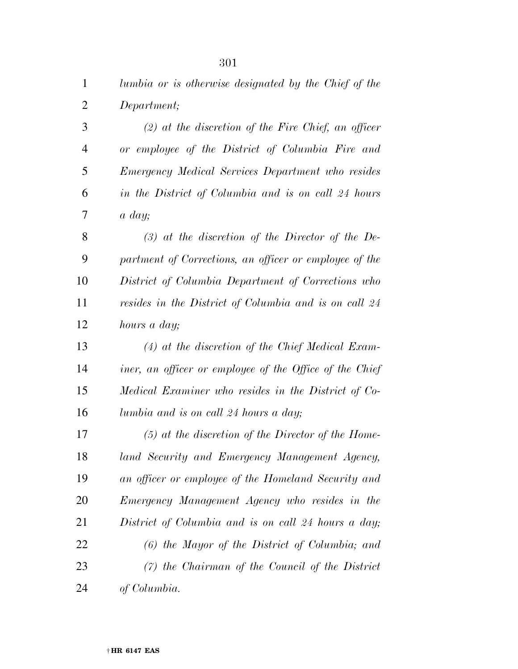| $\mathbf{1}$   | lumbia or is otherwise designated by the Chief of the   |
|----------------|---------------------------------------------------------|
| $\overline{2}$ | Department;                                             |
| 3              | $(2)$ at the discretion of the Fire Chief, an officer   |
| $\overline{4}$ | or employee of the District of Columbia Fire and        |
| 5              | Emergency Medical Services Department who resides       |
| 6              | in the District of Columbia and is on call 24 hours     |
| 7              | $a \, day;$                                             |
| 8              | $(3)$ at the discretion of the Director of the De-      |
| 9              | partment of Corrections, an officer or employee of the  |
| 10             | District of Columbia Department of Corrections who      |
| 11             | resides in the District of Columbia and is on call 24   |
| 12             | hours a day;                                            |
| 13             | $(4)$ at the discretion of the Chief Medical Exam-      |
| 14             | iner, an officer or employee of the Office of the Chief |
| 15             | Medical Examiner who resides in the District of Co-     |
| 16             | lumbia and is on call 24 hours a day;                   |
| 17             | $(5)$ at the discretion of the Director of the Home-    |
| 18             | land Security and Emergency Management Agency,          |
| 19             | an officer or employee of the Homeland Security and     |
| 20             | Emergency Management Agency who resides in the          |
| 21             | District of Columbia and is on call 24 hours a day;     |
| 22             | $(6)$ the Mayor of the District of Columbia; and        |
| 23             | $(7)$ the Chairman of the Council of the District       |
|                |                                                         |

*of Columbia.*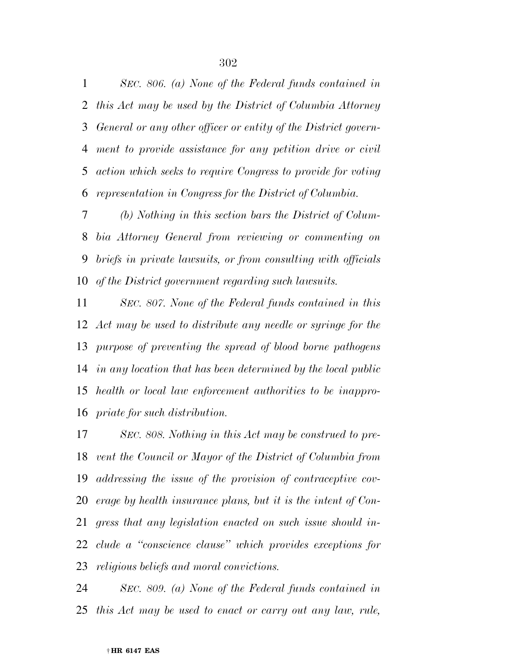*SEC. 806. (a) None of the Federal funds contained in this Act may be used by the District of Columbia Attorney General or any other officer or entity of the District govern- ment to provide assistance for any petition drive or civil action which seeks to require Congress to provide for voting representation in Congress for the District of Columbia.* 

 *(b) Nothing in this section bars the District of Colum- bia Attorney General from reviewing or commenting on briefs in private lawsuits, or from consulting with officials of the District government regarding such lawsuits.* 

 *SEC. 807. None of the Federal funds contained in this Act may be used to distribute any needle or syringe for the purpose of preventing the spread of blood borne pathogens in any location that has been determined by the local public health or local law enforcement authorities to be inappro-priate for such distribution.* 

 *SEC. 808. Nothing in this Act may be construed to pre- vent the Council or Mayor of the District of Columbia from addressing the issue of the provision of contraceptive cov- erage by health insurance plans, but it is the intent of Con- gress that any legislation enacted on such issue should in- clude a ''conscience clause'' which provides exceptions for religious beliefs and moral convictions.* 

 *SEC. 809. (a) None of the Federal funds contained in this Act may be used to enact or carry out any law, rule,*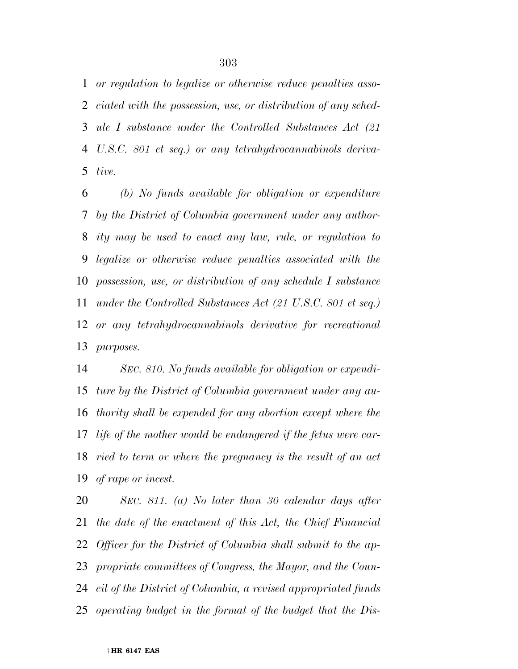*or regulation to legalize or otherwise reduce penalties asso- ciated with the possession, use, or distribution of any sched- ule I substance under the Controlled Substances Act (21 U.S.C. 801 et seq.) or any tetrahydrocannabinols deriva-tive.* 

 *(b) No funds available for obligation or expenditure by the District of Columbia government under any author- ity may be used to enact any law, rule, or regulation to legalize or otherwise reduce penalties associated with the possession, use, or distribution of any schedule I substance under the Controlled Substances Act (21 U.S.C. 801 et seq.) or any tetrahydrocannabinols derivative for recreational purposes.* 

 *SEC. 810. No funds available for obligation or expendi- ture by the District of Columbia government under any au- thority shall be expended for any abortion except where the life of the mother would be endangered if the fetus were car- ried to term or where the pregnancy is the result of an act of rape or incest.* 

 *SEC. 811. (a) No later than 30 calendar days after the date of the enactment of this Act, the Chief Financial Officer for the District of Columbia shall submit to the ap- propriate committees of Congress, the Mayor, and the Coun- cil of the District of Columbia, a revised appropriated funds operating budget in the format of the budget that the Dis-*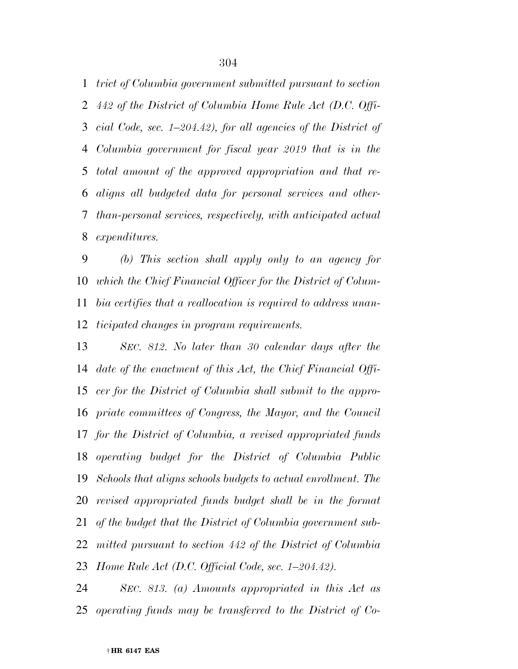*trict of Columbia government submitted pursuant to section 442 of the District of Columbia Home Rule Act (D.C. Offi- cial Code, sec. 1–204.42), for all agencies of the District of Columbia government for fiscal year 2019 that is in the total amount of the approved appropriation and that re- aligns all budgeted data for personal services and other- than-personal services, respectively, with anticipated actual expenditures.* 

 *(b) This section shall apply only to an agency for which the Chief Financial Officer for the District of Colum- bia certifies that a reallocation is required to address unan-ticipated changes in program requirements.* 

 *SEC. 812. No later than 30 calendar days after the date of the enactment of this Act, the Chief Financial Offi- cer for the District of Columbia shall submit to the appro- priate committees of Congress, the Mayor, and the Council for the District of Columbia, a revised appropriated funds operating budget for the District of Columbia Public Schools that aligns schools budgets to actual enrollment. The revised appropriated funds budget shall be in the format of the budget that the District of Columbia government sub- mitted pursuant to section 442 of the District of Columbia Home Rule Act (D.C. Official Code, sec. 1–204.42).* 

 *SEC. 813. (a) Amounts appropriated in this Act as operating funds may be transferred to the District of Co-*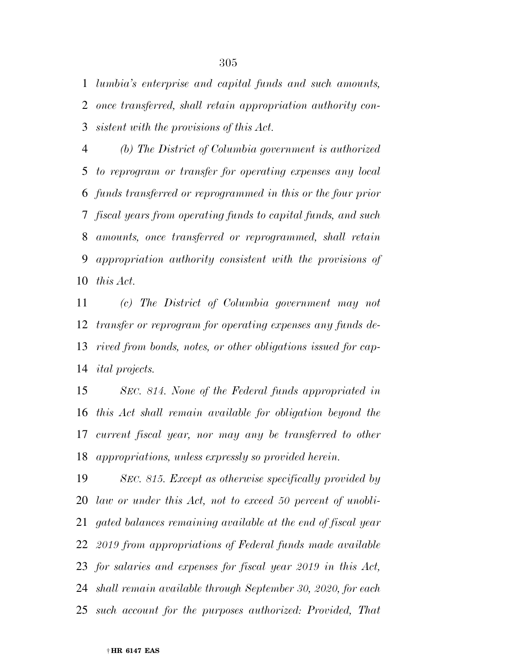*lumbia's enterprise and capital funds and such amounts, once transferred, shall retain appropriation authority con-sistent with the provisions of this Act.* 

 *(b) The District of Columbia government is authorized to reprogram or transfer for operating expenses any local funds transferred or reprogrammed in this or the four prior fiscal years from operating funds to capital funds, and such amounts, once transferred or reprogrammed, shall retain appropriation authority consistent with the provisions of this Act.* 

 *(c) The District of Columbia government may not transfer or reprogram for operating expenses any funds de- rived from bonds, notes, or other obligations issued for cap-ital projects.* 

 *SEC. 814. None of the Federal funds appropriated in this Act shall remain available for obligation beyond the current fiscal year, nor may any be transferred to other appropriations, unless expressly so provided herein.* 

 *SEC. 815. Except as otherwise specifically provided by law or under this Act, not to exceed 50 percent of unobli- gated balances remaining available at the end of fiscal year 2019 from appropriations of Federal funds made available for salaries and expenses for fiscal year 2019 in this Act, shall remain available through September 30, 2020, for each such account for the purposes authorized: Provided, That*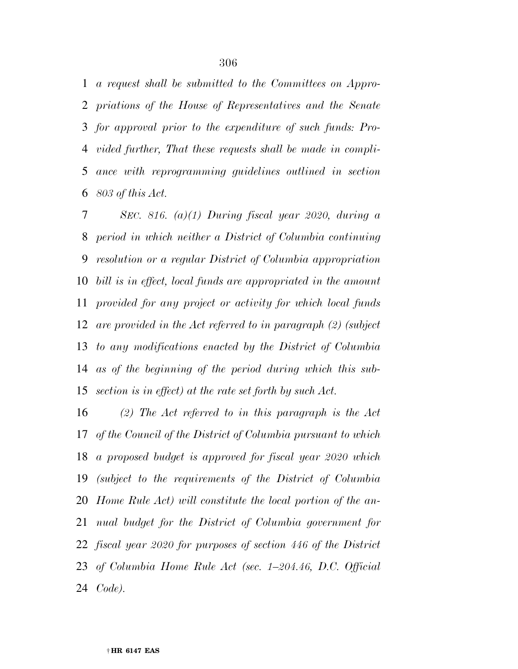*a request shall be submitted to the Committees on Appro- priations of the House of Representatives and the Senate for approval prior to the expenditure of such funds: Pro- vided further, That these requests shall be made in compli- ance with reprogramming guidelines outlined in section 803 of this Act.* 

 *SEC. 816. (a)(1) During fiscal year 2020, during a period in which neither a District of Columbia continuing resolution or a regular District of Columbia appropriation bill is in effect, local funds are appropriated in the amount provided for any project or activity for which local funds are provided in the Act referred to in paragraph (2) (subject to any modifications enacted by the District of Columbia as of the beginning of the period during which this sub-section is in effect) at the rate set forth by such Act.* 

 *(2) The Act referred to in this paragraph is the Act of the Council of the District of Columbia pursuant to which a proposed budget is approved for fiscal year 2020 which (subject to the requirements of the District of Columbia Home Rule Act) will constitute the local portion of the an- nual budget for the District of Columbia government for fiscal year 2020 for purposes of section 446 of the District of Columbia Home Rule Act (sec. 1–204.46, D.C. Official Code).*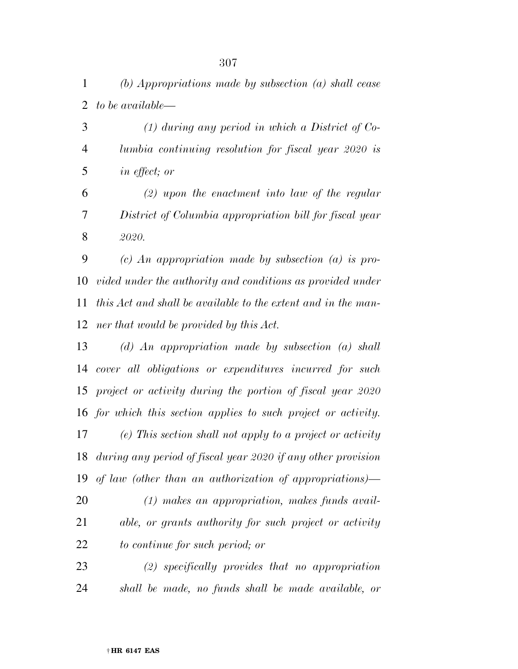*(1) during any period in which a District of Co- lumbia continuing resolution for fiscal year 2020 is in effect; or* 

 *(2) upon the enactment into law of the regular District of Columbia appropriation bill for fiscal year 2020.* 

 *(c) An appropriation made by subsection (a) is pro- vided under the authority and conditions as provided under this Act and shall be available to the extent and in the man-ner that would be provided by this Act.* 

 *(d) An appropriation made by subsection (a) shall cover all obligations or expenditures incurred for such project or activity during the portion of fiscal year 2020 for which this section applies to such project or activity. (e) This section shall not apply to a project or activity during any period of fiscal year 2020 if any other provision of law (other than an authorization of appropriations)—* 

 *(1) makes an appropriation, makes funds avail- able, or grants authority for such project or activity to continue for such period; or* 

 *(2) specifically provides that no appropriation shall be made, no funds shall be made available, or*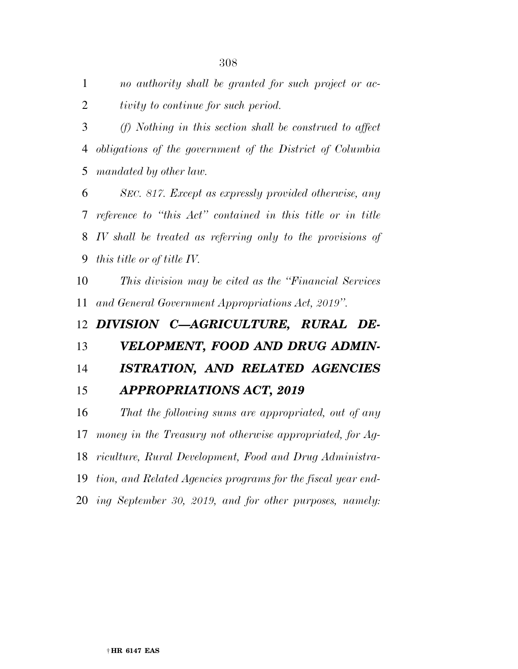*no authority shall be granted for such project or ac-tivity to continue for such period.* 

 *(f) Nothing in this section shall be construed to affect obligations of the government of the District of Columbia mandated by other law.* 

 *SEC. 817. Except as expressly provided otherwise, any reference to ''this Act'' contained in this title or in title IV shall be treated as referring only to the provisions of this title or of title IV.* 

 *This division may be cited as the ''Financial Services and General Government Appropriations Act, 2019''.* 

*DIVISION C—AGRICULTURE, RURAL DE-*

*VELOPMENT, FOOD AND DRUG ADMIN-*

*ISTRATION, AND RELATED AGENCIES* 

*APPROPRIATIONS ACT, 2019* 

 *That the following sums are appropriated, out of any money in the Treasury not otherwise appropriated, for Ag- riculture, Rural Development, Food and Drug Administra- tion, and Related Agencies programs for the fiscal year end-ing September 30, 2019, and for other purposes, namely:*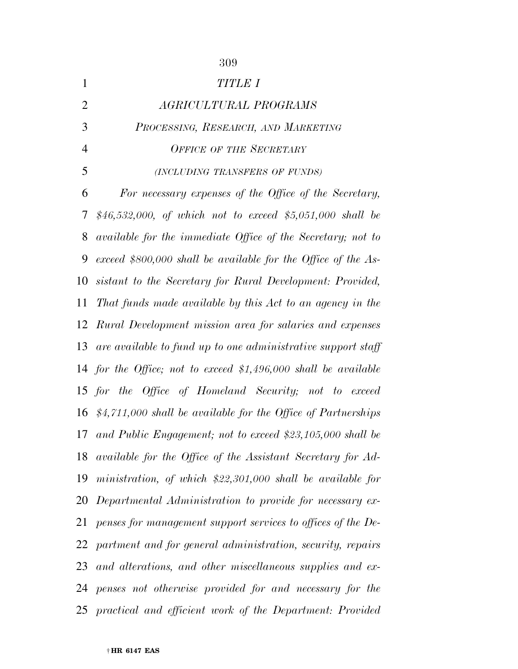| $\mathbf{1}$   | <b>TITLE I</b>                                                    |
|----------------|-------------------------------------------------------------------|
| $\overline{2}$ | AGRICULTURAL PROGRAMS                                             |
| 3              | PROCESSING, RESEARCH, AND MARKETING                               |
| $\overline{4}$ | <b>OFFICE OF THE SECRETARY</b>                                    |
| 5              | (INCLUDING TRANSFERS OF FUNDS)                                    |
| 6              | For necessary expenses of the Office of the Secretary,            |
| 7              | \$46,532,000, of which not to exceed \$5,051,000 shall be         |
| 8              | available for the immediate Office of the Secretary; not to       |
| 9              | exceed \$800,000 shall be available for the Office of the As-     |
| 10             | sistant to the Secretary for Rural Development: Provided,         |
| 11             | That funds made available by this Act to an agency in the         |
| 12             | Rural Development mission area for salaries and expenses          |
| 13             | are available to fund up to one administrative support staff      |
|                | 14 for the Office; not to exceed $$1,496,000$ shall be available  |
|                | 15 for the Office of Homeland Security; not to exceed             |
|                | 16 $$4,711,000$ shall be available for the Office of Partnerships |
| 17             | and Public Engagement; not to exceed \$23,105,000 shall be        |
| 18             | available for the Office of the Assistant Secretary for Ad-       |
| 19             | ministration, of which $$22,301,000$ shall be available for       |
| 20             | Departmental Administration to provide for necessary ex-          |
| 21             | penses for management support services to offices of the De-      |
|                | 22 partment and for general administration, security, repairs     |
| 23             | and alterations, and other miscellaneous supplies and ex-         |
|                | 24 penses not otherwise provided for and necessary for the        |
|                | 25 practical and efficient work of the Department: Provided       |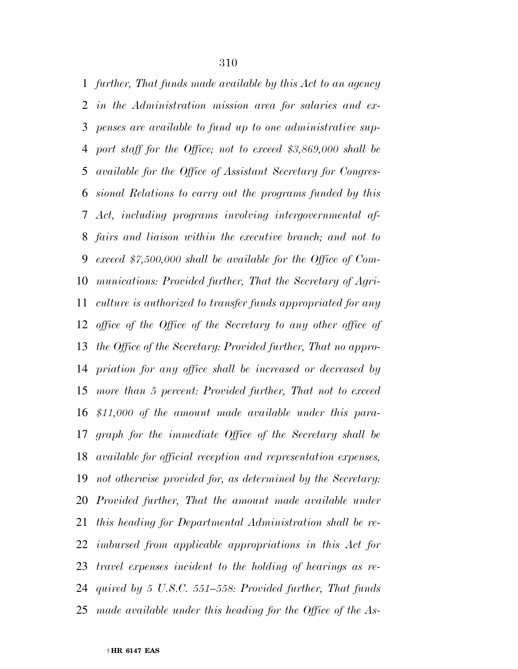*further, That funds made available by this Act to an agency in the Administration mission area for salaries and ex- penses are available to fund up to one administrative sup- port staff for the Office; not to exceed \$3,869,000 shall be available for the Office of Assistant Secretary for Congres- sional Relations to carry out the programs funded by this Act, including programs involving intergovernmental af- fairs and liaison within the executive branch; and not to exceed \$7,500,000 shall be available for the Office of Com- munications: Provided further, That the Secretary of Agri- culture is authorized to transfer funds appropriated for any office of the Office of the Secretary to any other office of the Office of the Secretary: Provided further, That no appro- priation for any office shall be increased or decreased by more than 5 percent: Provided further, That not to exceed \$11,000 of the amount made available under this para- graph for the immediate Office of the Secretary shall be available for official reception and representation expenses, not otherwise provided for, as determined by the Secretary: Provided further, That the amount made available under this heading for Departmental Administration shall be re- imbursed from applicable appropriations in this Act for travel expenses incident to the holding of hearings as re- quired by 5 U.S.C. 551–558: Provided further, That funds made available under this heading for the Office of the As-*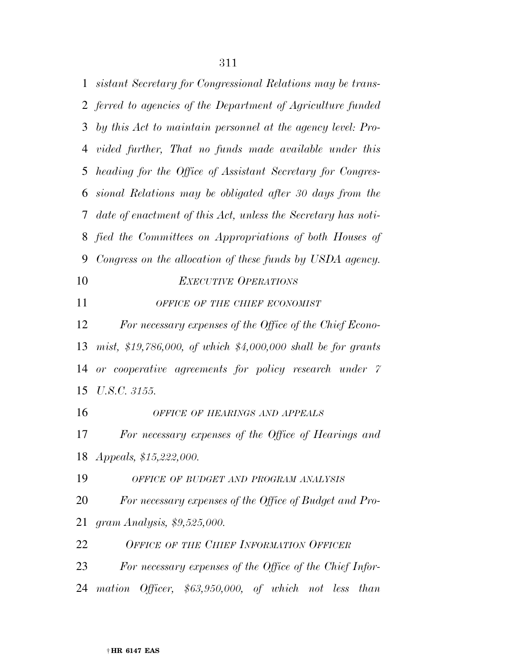*sistant Secretary for Congressional Relations may be trans- ferred to agencies of the Department of Agriculture funded by this Act to maintain personnel at the agency level: Pro- vided further, That no funds made available under this heading for the Office of Assistant Secretary for Congres- sional Relations may be obligated after 30 days from the date of enactment of this Act, unless the Secretary has noti- fied the Committees on Appropriations of both Houses of Congress on the allocation of these funds by USDA agency. EXECUTIVE OPERATIONS OFFICE OF THE CHIEF ECONOMIST For necessary expenses of the Office of the Chief Econo- mist, \$19,786,000, of which \$4,000,000 shall be for grants or cooperative agreements for policy research under 7 U.S.C. 3155. OFFICE OF HEARINGS AND APPEALS For necessary expenses of the Office of Hearings and Appeals, \$15,222,000. OFFICE OF BUDGET AND PROGRAM ANALYSIS For necessary expenses of the Office of Budget and Pro- gram Analysis, \$9,525,000. OFFICE OF THE CHIEF INFORMATION OFFICER For necessary expenses of the Office of the Chief Infor-mation Officer, \$63,950,000, of which not less than*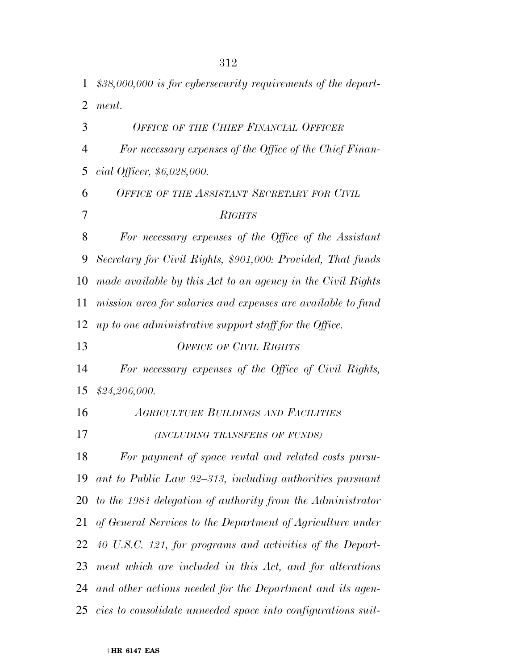| $\mathbf{1}$   | $$38,000,000$ is for cybersecurity requirements of the depart-  |
|----------------|-----------------------------------------------------------------|
| $\overline{2}$ | ment.                                                           |
| 3              | <b>OFFICE OF THE CHIEF FINANCIAL OFFICER</b>                    |
| 4              | For necessary expenses of the Office of the Chief Finan-        |
| 5              | <i>cial Officer,</i> $$6,028,000$ .                             |
| 6              | OFFICE OF THE ASSISTANT SECRETARY FOR CIVIL                     |
| 7              | <b>RIGHTS</b>                                                   |
| 8              | For necessary expenses of the Office of the Assistant           |
| 9              | Secretary for Civil Rights, \$901,000: Provided, That funds     |
| 10             | made available by this Act to an agency in the Civil Rights     |
| 11             | mission area for salaries and expenses are available to fund    |
| 12             | up to one administrative support staff for the Office.          |
| 13             | <b>OFFICE OF CIVIL RIGHTS</b>                                   |
| 14             | For necessary expenses of the Office of Civil Rights,           |
| 15             | \$24,206,000.                                                   |
| 16             | <b>AGRICULTURE BUILDINGS AND FACILITIES</b>                     |
| 17             | (INCLUDING TRANSFERS OF FUNDS)                                  |
| 18             | For payment of space rental and related costs pursu-            |
|                | 19 ant to Public Law 92–313, including authorities pursuant     |
|                | 20 to the 1984 delegation of authority from the Administrator   |
| 21             | of General Services to the Department of Agriculture under      |
|                | 22 40 U.S.C. 121, for programs and activities of the Depart-    |
| 23             | ment which are included in this Act, and for alterations        |
|                | 24 and other actions needed for the Department and its agen-    |
|                | 25 cies to consolidate unneeded space into configurations suit- |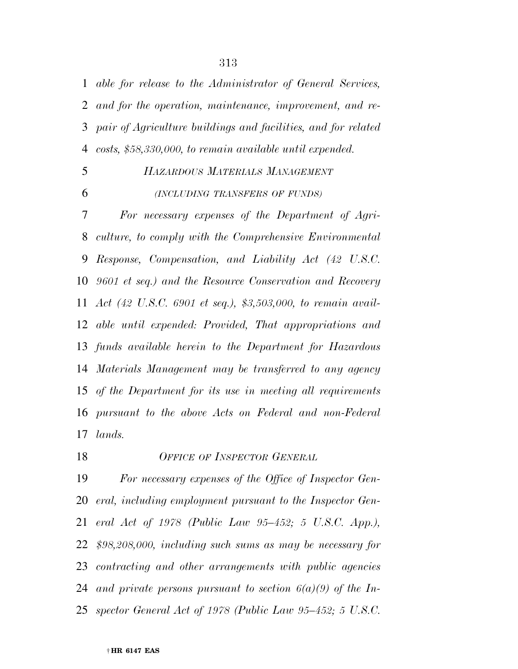*able for release to the Administrator of General Services, and for the operation, maintenance, improvement, and re- pair of Agriculture buildings and facilities, and for related costs, \$58,330,000, to remain available until expended.* 

# *HAZARDOUS MATERIALS MANAGEMENT*

*(INCLUDING TRANSFERS OF FUNDS)*

 *For necessary expenses of the Department of Agri- culture, to comply with the Comprehensive Environmental Response, Compensation, and Liability Act (42 U.S.C. 9601 et seq.) and the Resource Conservation and Recovery Act (42 U.S.C. 6901 et seq.), \$3,503,000, to remain avail- able until expended: Provided, That appropriations and funds available herein to the Department for Hazardous Materials Management may be transferred to any agency of the Department for its use in meeting all requirements pursuant to the above Acts on Federal and non-Federal lands.* 

*OFFICE OF INSPECTOR GENERAL*

 *For necessary expenses of the Office of Inspector Gen- eral, including employment pursuant to the Inspector Gen- eral Act of 1978 (Public Law 95–452; 5 U.S.C. App.), \$98,208,000, including such sums as may be necessary for contracting and other arrangements with public agencies and private persons pursuant to section 6(a)(9) of the In-spector General Act of 1978 (Public Law 95–452; 5 U.S.C.*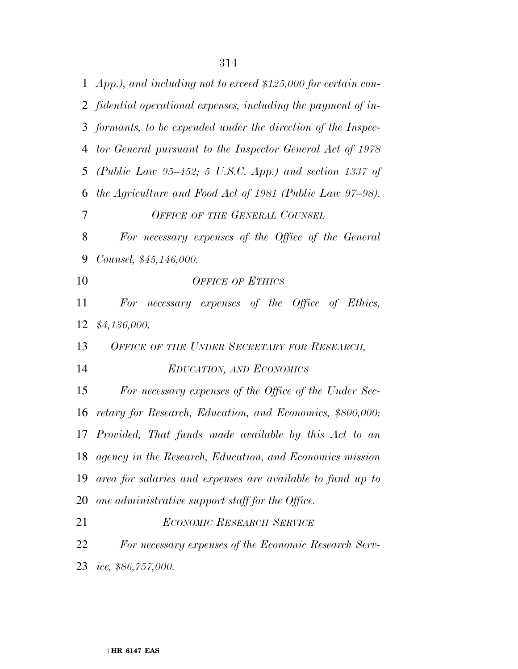*App.), and including not to exceed \$125,000 for certain con- fidential operational expenses, including the payment of in- formants, to be expended under the direction of the Inspec- tor General pursuant to the Inspector General Act of 1978 (Public Law 95–452; 5 U.S.C. App.) and section 1337 of the Agriculture and Food Act of 1981 (Public Law 97–98). OFFICE OF THE GENERAL COUNSEL For necessary expenses of the Office of the General Counsel, \$45,146,000. OFFICE OF ETHICS For necessary expenses of the Office of Ethics, \$4,136,000. OFFICE OF THE UNDER SECRETARY FOR RESEARCH, EDUCATION, AND ECONOMICS For necessary expenses of the Office of the Under Sec- retary for Research, Education, and Economics, \$800,000: Provided, That funds made available by this Act to an agency in the Research, Education, and Economics mission area for salaries and expenses are available to fund up to one administrative support staff for the Office. ECONOMIC RESEARCH SERVICE For necessary expenses of the Economic Research Serv-ice, \$86,757,000.*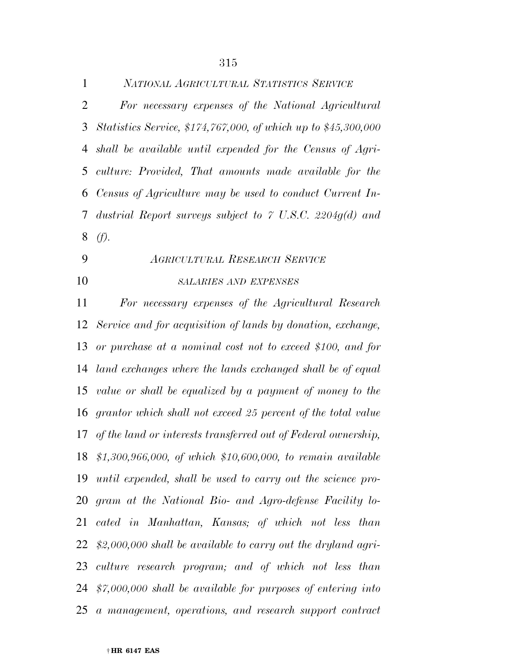| $\mathbf{1}$   | NATIONAL AGRICULTURAL STATISTICS SERVICE                         |
|----------------|------------------------------------------------------------------|
| $\overline{2}$ | For necessary expenses of the National Agricultural              |
| 3              | Statistics Service, \$174,767,000, of which up to \$45,300,000   |
| 4              | shall be available until expended for the Census of Agri-        |
| 5              | culture: Provided, That amounts made available for the           |
| 6              | Census of Agriculture may be used to conduct Current In-         |
| $\tau$         | dustrial Report surveys subject to $\degree$ U.S.C. 2204g(d) and |
| 8              | (f).                                                             |
| 9              | <b>AGRICULTURAL RESEARCH SERVICE</b>                             |
| 10             | <b>SALARIES AND EXPENSES</b>                                     |
| 11             | For necessary expenses of the Agricultural Research              |
| 12             | Service and for acquisition of lands by donation, exchange,      |
| 13             | or purchase at a nominal cost not to exceed \$100, and for       |
| 14             | land exchanges where the lands exchanged shall be of equal       |
| 15             | value or shall be equalized by a payment of money to the         |
| 16             | grantor which shall not exceed 25 percent of the total value     |
| 17             | of the land or interests transferred out of Federal ownership,   |
|                | 18 \$1,300,966,000, of which \$10,600,000, to remain available   |
| 19             | until expended, shall be used to carry out the science pro-      |
|                | 20 gram at the National Bio- and Agro-defense Facility lo-       |
| 21             | cated in Manhattan, Kansas; of which not less than               |
| 22             | $$2,000,000$ shall be available to carry out the dryland agri-   |
|                | 23 culture research program; and of which not less than          |
|                | 24 $$7,000,000$ shall be available for purposes of entering into |
| 25             | a management, operations, and research support contract          |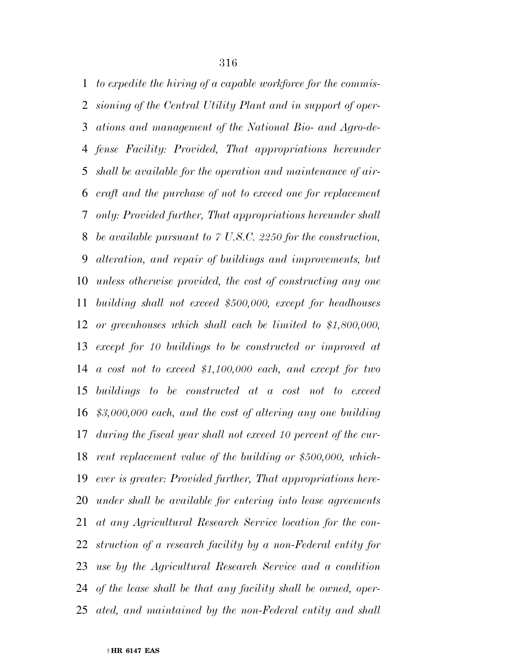*to expedite the hiring of a capable workforce for the commis- sioning of the Central Utility Plant and in support of oper- ations and management of the National Bio- and Agro-de- fense Facility: Provided, That appropriations hereunder shall be available for the operation and maintenance of air- craft and the purchase of not to exceed one for replacement only: Provided further, That appropriations hereunder shall be available pursuant to 7 U.S.C. 2250 for the construction, alteration, and repair of buildings and improvements, but unless otherwise provided, the cost of constructing any one building shall not exceed \$500,000, except for headhouses or greenhouses which shall each be limited to \$1,800,000, except for 10 buildings to be constructed or improved at a cost not to exceed \$1,100,000 each, and except for two buildings to be constructed at a cost not to exceed \$3,000,000 each, and the cost of altering any one building during the fiscal year shall not exceed 10 percent of the cur- rent replacement value of the building or \$500,000, which- ever is greater: Provided further, That appropriations here- under shall be available for entering into lease agreements at any Agricultural Research Service location for the con- struction of a research facility by a non-Federal entity for use by the Agricultural Research Service and a condition of the lease shall be that any facility shall be owned, oper-ated, and maintained by the non-Federal entity and shall*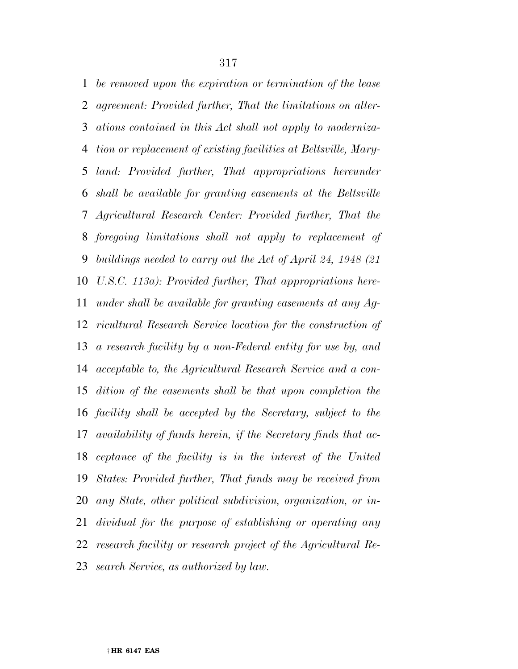*be removed upon the expiration or termination of the lease agreement: Provided further, That the limitations on alter- ations contained in this Act shall not apply to moderniza- tion or replacement of existing facilities at Beltsville, Mary- land: Provided further, That appropriations hereunder shall be available for granting easements at the Beltsville Agricultural Research Center: Provided further, That the foregoing limitations shall not apply to replacement of buildings needed to carry out the Act of April 24, 1948 (21 U.S.C. 113a): Provided further, That appropriations here- under shall be available for granting easements at any Ag- ricultural Research Service location for the construction of a research facility by a non-Federal entity for use by, and acceptable to, the Agricultural Research Service and a con- dition of the easements shall be that upon completion the facility shall be accepted by the Secretary, subject to the availability of funds herein, if the Secretary finds that ac- ceptance of the facility is in the interest of the United States: Provided further, That funds may be received from any State, other political subdivision, organization, or in- dividual for the purpose of establishing or operating any research facility or research project of the Agricultural Re-search Service, as authorized by law.*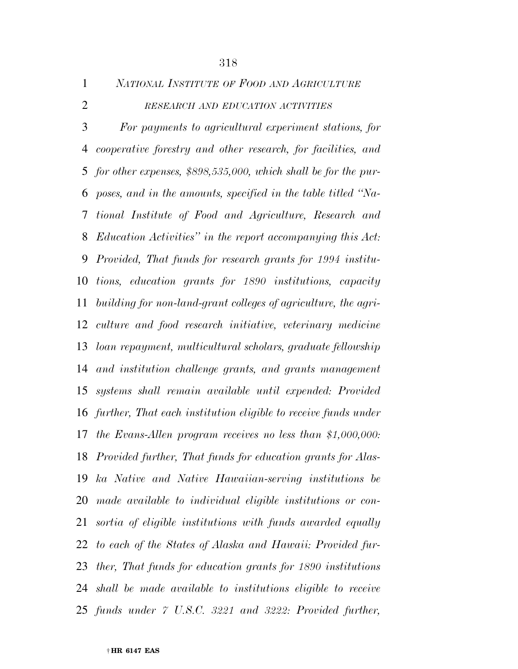*RESEARCH AND EDUCATION ACTIVITIES For payments to agricultural experiment stations, for cooperative forestry and other research, for facilities, and for other expenses, \$898,535,000, which shall be for the pur- poses, and in the amounts, specified in the table titled ''Na- tional Institute of Food and Agriculture, Research and Education Activities'' in the report accompanying this Act: Provided, That funds for research grants for 1994 institu- tions, education grants for 1890 institutions, capacity building for non-land-grant colleges of agriculture, the agri- culture and food research initiative, veterinary medicine loan repayment, multicultural scholars, graduate fellowship and institution challenge grants, and grants management systems shall remain available until expended: Provided further, That each institution eligible to receive funds under the Evans-Allen program receives no less than \$1,000,000: Provided further, That funds for education grants for Alas- ka Native and Native Hawaiian-serving institutions be made available to individual eligible institutions or con- sortia of eligible institutions with funds awarded equally to each of the States of Alaska and Hawaii: Provided fur- ther, That funds for education grants for 1890 institutions shall be made available to institutions eligible to receive funds under 7 U.S.C. 3221 and 3222: Provided further,* 

*NATIONAL INSTITUTE OF FOOD AND AGRICULTURE*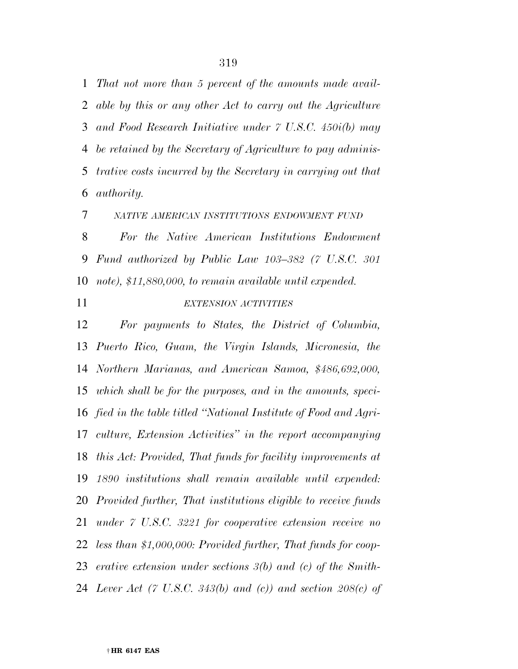*That not more than 5 percent of the amounts made avail- able by this or any other Act to carry out the Agriculture and Food Research Initiative under 7 U.S.C. 450i(b) may be retained by the Secretary of Agriculture to pay adminis- trative costs incurred by the Secretary in carrying out that authority.* 

*NATIVE AMERICAN INSTITUTIONS ENDOWMENT FUND*

 *For the Native American Institutions Endowment Fund authorized by Public Law 103–382 (7 U.S.C. 301 note), \$11,880,000, to remain available until expended.* 

## *EXTENSION ACTIVITIES*

 *For payments to States, the District of Columbia, Puerto Rico, Guam, the Virgin Islands, Micronesia, the Northern Marianas, and American Samoa, \$486,692,000, which shall be for the purposes, and in the amounts, speci- fied in the table titled ''National Institute of Food and Agri- culture, Extension Activities'' in the report accompanying this Act: Provided, That funds for facility improvements at 1890 institutions shall remain available until expended: Provided further, That institutions eligible to receive funds under 7 U.S.C. 3221 for cooperative extension receive no less than \$1,000,000: Provided further, That funds for coop- erative extension under sections 3(b) and (c) of the Smith-Lever Act (7 U.S.C. 343(b) and (c)) and section 208(c) of*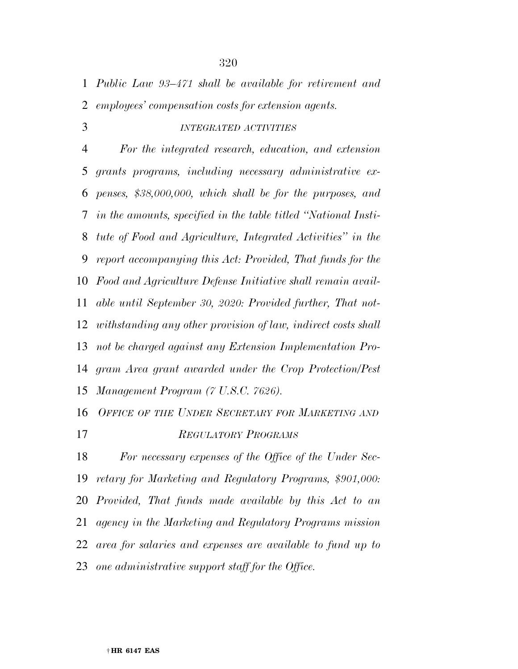*Public Law 93–471 shall be available for retirement and employees' compensation costs for extension agents.* 

### *INTEGRATED ACTIVITIES*

 *For the integrated research, education, and extension grants programs, including necessary administrative ex- penses, \$38,000,000, which shall be for the purposes, and in the amounts, specified in the table titled ''National Insti- tute of Food and Agriculture, Integrated Activities'' in the report accompanying this Act: Provided, That funds for the Food and Agriculture Defense Initiative shall remain avail- able until September 30, 2020: Provided further, That not- withstanding any other provision of law, indirect costs shall not be charged against any Extension Implementation Pro- gram Area grant awarded under the Crop Protection/Pest Management Program (7 U.S.C. 7626).* 

 *OFFICE OF THE UNDER SECRETARY FOR MARKETING AND REGULATORY PROGRAMS*

 *For necessary expenses of the Office of the Under Sec- retary for Marketing and Regulatory Programs, \$901,000: Provided, That funds made available by this Act to an agency in the Marketing and Regulatory Programs mission area for salaries and expenses are available to fund up to one administrative support staff for the Office.*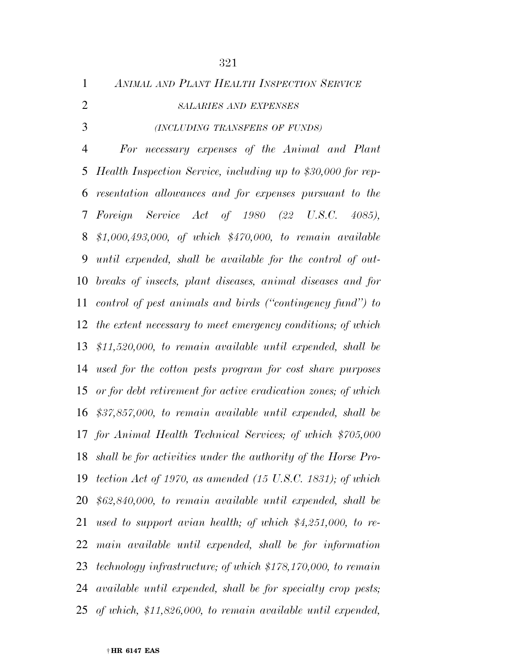| $\mathbf{1}$   | ANIMAL AND PLANT HEALTH INSPECTION SERVICE                             |
|----------------|------------------------------------------------------------------------|
| $\overline{2}$ | <b>SALARIES AND EXPENSES</b>                                           |
| 3              | (INCLUDING TRANSFERS OF FUNDS)                                         |
| $\overline{4}$ | For necessary expenses of the Animal and Plant                         |
| 5              | Health Inspection Service, including up to \$30,000 for rep-           |
| 6              | resentation allowances and for expenses pursuant to the                |
| 7              | Foreign Service Act of 1980 (22 U.S.C.<br>4085,                        |
| 8              | \$1,000,493,000, of which \$470,000, to remain available               |
| 9              | until expended, shall be available for the control of out-             |
| 10             | breaks of insects, plant diseases, animal diseases and for             |
|                | 11 control of pest animals and birds ("contingency fund") to           |
|                | 12 the extent necessary to meet emergency conditions; of which         |
| 13             | $$11,520,000, to remain available until expanded, shall be$            |
| 14             | used for the cotton pests program for cost share purposes              |
| 15             | or for debt retirement for active eradication zones; of which          |
| 16             | $$37,857,000$ , to remain available until expended, shall be           |
|                | 17 for Animal Health Technical Services; of which \$705,000            |
| 18             | shall be for activities under the authority of the Horse Pro-          |
| 19             | tection Act of 1970, as amended $(15 \text{ U.S.C. } 1831)$ ; of which |
| 20             | $$62,840,000, to remain available until expanded, shall be$            |
| 21             | used to support avian health; of which $$4,251,000$ , to re-           |
| 22             | main available until expended, shall be for information                |
| 23             | technology infrastructure; of which \$178,170,000, to remain           |
| 24             | available until expended, shall be for specialty crop pests;           |
| 25             | of which, \$11,826,000, to remain available until expended,            |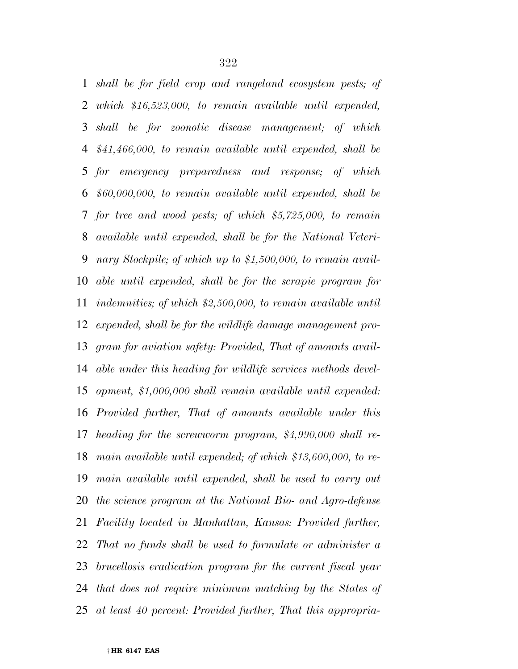*shall be for field crop and rangeland ecosystem pests; of which \$16,523,000, to remain available until expended, shall be for zoonotic disease management; of which \$41,466,000, to remain available until expended, shall be for emergency preparedness and response; of which \$60,000,000, to remain available until expended, shall be for tree and wood pests; of which \$5,725,000, to remain available until expended, shall be for the National Veteri- nary Stockpile; of which up to \$1,500,000, to remain avail- able until expended, shall be for the scrapie program for indemnities; of which \$2,500,000, to remain available until expended, shall be for the wildlife damage management pro- gram for aviation safety: Provided, That of amounts avail- able under this heading for wildlife services methods devel- opment, \$1,000,000 shall remain available until expended: Provided further, That of amounts available under this heading for the screwworm program, \$4,990,000 shall re- main available until expended; of which \$13,600,000, to re- main available until expended, shall be used to carry out the science program at the National Bio- and Agro-defense Facility located in Manhattan, Kansas: Provided further, That no funds shall be used to formulate or administer a brucellosis eradication program for the current fiscal year that does not require minimum matching by the States of at least 40 percent: Provided further, That this appropria-*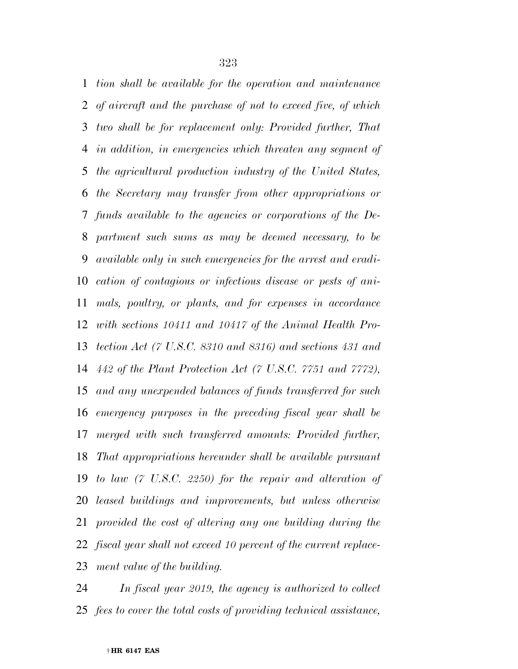*tion shall be available for the operation and maintenance of aircraft and the purchase of not to exceed five, of which two shall be for replacement only: Provided further, That in addition, in emergencies which threaten any segment of the agricultural production industry of the United States, the Secretary may transfer from other appropriations or funds available to the agencies or corporations of the De- partment such sums as may be deemed necessary, to be available only in such emergencies for the arrest and eradi- cation of contagious or infectious disease or pests of ani- mals, poultry, or plants, and for expenses in accordance with sections 10411 and 10417 of the Animal Health Pro- tection Act (7 U.S.C. 8310 and 8316) and sections 431 and 442 of the Plant Protection Act (7 U.S.C. 7751 and 7772), and any unexpended balances of funds transferred for such emergency purposes in the preceding fiscal year shall be merged with such transferred amounts: Provided further, That appropriations hereunder shall be available pursuant to law (7 U.S.C. 2250) for the repair and alteration of leased buildings and improvements, but unless otherwise provided the cost of altering any one building during the fiscal year shall not exceed 10 percent of the current replace-ment value of the building.* 

 *In fiscal year 2019, the agency is authorized to collect fees to cover the total costs of providing technical assistance,*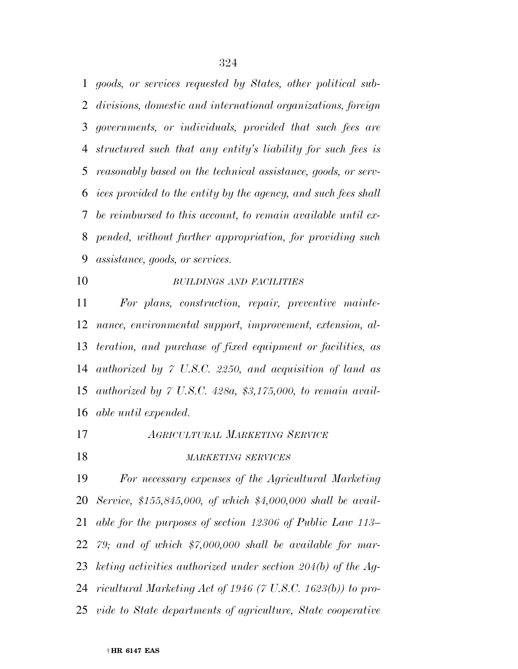*goods, or services requested by States, other political sub- divisions, domestic and international organizations, foreign governments, or individuals, provided that such fees are structured such that any entity's liability for such fees is reasonably based on the technical assistance, goods, or serv- ices provided to the entity by the agency, and such fees shall be reimbursed to this account, to remain available until ex- pended, without further appropriation, for providing such assistance, goods, or services.* 

### *BUILDINGS AND FACILITIES*

 *For plans, construction, repair, preventive mainte- nance, environmental support, improvement, extension, al- teration, and purchase of fixed equipment or facilities, as authorized by 7 U.S.C. 2250, and acquisition of land as authorized by 7 U.S.C. 428a, \$3,175,000, to remain avail-able until expended.* 

*AGRICULTURAL MARKETING SERVICE*

#### *MARKETING SERVICES*

 *For necessary expenses of the Agricultural Marketing Service, \$155,845,000, of which \$4,000,000 shall be avail- able for the purposes of section 12306 of Public Law 113– 79; and of which \$7,000,000 shall be available for mar- keting activities authorized under section 204(b) of the Ag- ricultural Marketing Act of 1946 (7 U.S.C. 1623(b)) to pro-vide to State departments of agriculture, State cooperative*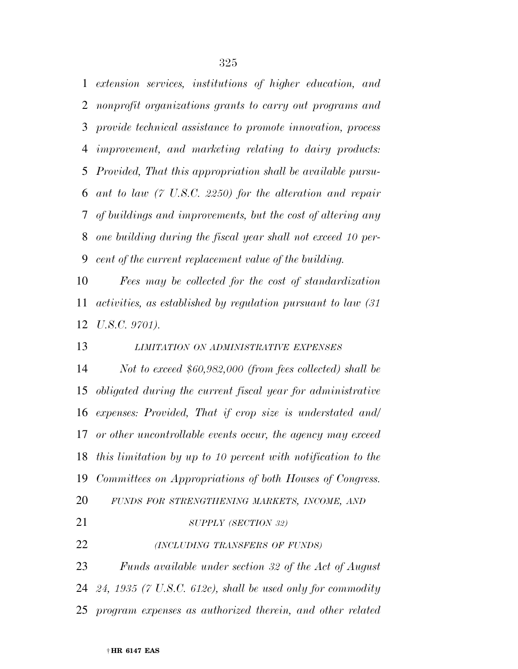*extension services, institutions of higher education, and nonprofit organizations grants to carry out programs and provide technical assistance to promote innovation, process improvement, and marketing relating to dairy products: Provided, That this appropriation shall be available pursu- ant to law (7 U.S.C. 2250) for the alteration and repair of buildings and improvements, but the cost of altering any one building during the fiscal year shall not exceed 10 per-cent of the current replacement value of the building.* 

 *Fees may be collected for the cost of standardization activities, as established by regulation pursuant to law (31 U.S.C. 9701).* 

*LIMITATION ON ADMINISTRATIVE EXPENSES*

 *Not to exceed \$60,982,000 (from fees collected) shall be obligated during the current fiscal year for administrative expenses: Provided, That if crop size is understated and/ or other uncontrollable events occur, the agency may exceed this limitation by up to 10 percent with notification to the Committees on Appropriations of both Houses of Congress.* 

*FUNDS FOR STRENGTHENING MARKETS, INCOME, AND*

*SUPPLY (SECTION 32)*

*(INCLUDING TRANSFERS OF FUNDS)*

 *Funds available under section 32 of the Act of August 24, 1935 (7 U.S.C. 612c), shall be used only for commodity program expenses as authorized therein, and other related*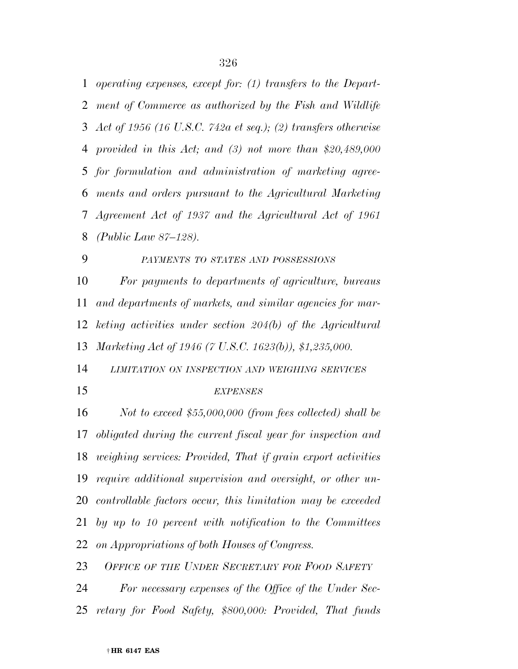*operating expenses, except for: (1) transfers to the Depart- ment of Commerce as authorized by the Fish and Wildlife Act of 1956 (16 U.S.C. 742a et seq.); (2) transfers otherwise provided in this Act; and (3) not more than \$20,489,000 for formulation and administration of marketing agree- ments and orders pursuant to the Agricultural Marketing Agreement Act of 1937 and the Agricultural Act of 1961 (Public Law 87–128).* 

 *PAYMENTS TO STATES AND POSSESSIONS For payments to departments of agriculture, bureaus and departments of markets, and similar agencies for mar- keting activities under section 204(b) of the Agricultural Marketing Act of 1946 (7 U.S.C. 1623(b)), \$1,235,000.* 

 *LIMITATION ON INSPECTION AND WEIGHING SERVICES EXPENSES*

 *Not to exceed \$55,000,000 (from fees collected) shall be obligated during the current fiscal year for inspection and weighing services: Provided, That if grain export activities require additional supervision and oversight, or other un- controllable factors occur, this limitation may be exceeded by up to 10 percent with notification to the Committees on Appropriations of both Houses of Congress.* 

*OFFICE OF THE UNDER SECRETARY FOR FOOD SAFETY*

 *For necessary expenses of the Office of the Under Sec-retary for Food Safety, \$800,000: Provided, That funds*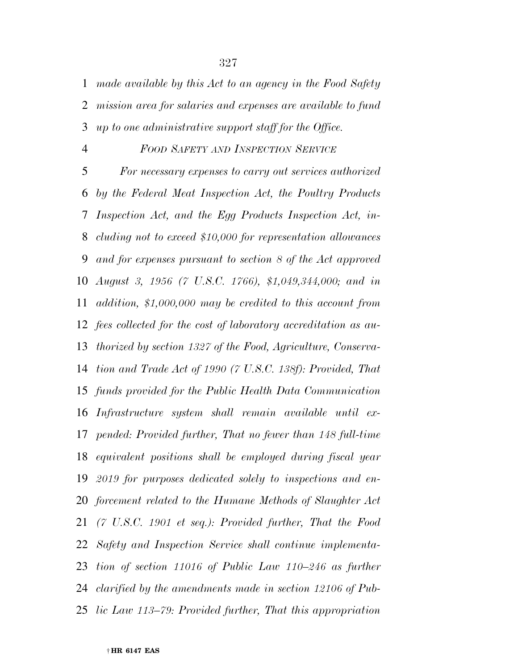*made available by this Act to an agency in the Food Safety mission area for salaries and expenses are available to fund up to one administrative support staff for the Office.* 

#### *FOOD SAFETY AND INSPECTION SERVICE*

 *For necessary expenses to carry out services authorized by the Federal Meat Inspection Act, the Poultry Products Inspection Act, and the Egg Products Inspection Act, in- cluding not to exceed \$10,000 for representation allowances and for expenses pursuant to section 8 of the Act approved August 3, 1956 (7 U.S.C. 1766), \$1,049,344,000; and in addition, \$1,000,000 may be credited to this account from fees collected for the cost of laboratory accreditation as au- thorized by section 1327 of the Food, Agriculture, Conserva- tion and Trade Act of 1990 (7 U.S.C. 138f): Provided, That funds provided for the Public Health Data Communication Infrastructure system shall remain available until ex- pended: Provided further, That no fewer than 148 full-time equivalent positions shall be employed during fiscal year 2019 for purposes dedicated solely to inspections and en- forcement related to the Humane Methods of Slaughter Act (7 U.S.C. 1901 et seq.): Provided further, That the Food Safety and Inspection Service shall continue implementa-tion of section 11016 of Public Law 110–246 as further clarified by the amendments made in section 12106 of Pub-lic Law 113–79: Provided further, That this appropriation*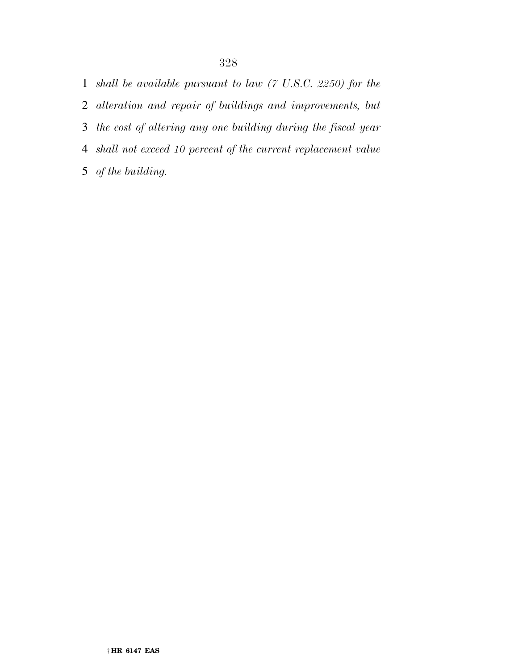*shall be available pursuant to law (7 U.S.C. 2250) for the alteration and repair of buildings and improvements, but the cost of altering any one building during the fiscal year shall not exceed 10 percent of the current replacement value of the building.*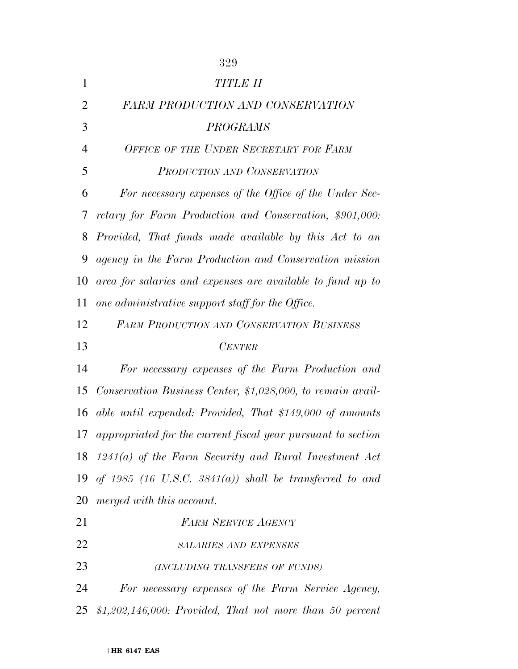|                | 329                                                             |
|----------------|-----------------------------------------------------------------|
| $\mathbf{1}$   | TITLE II                                                        |
| $\overline{2}$ | <b>FARM PRODUCTION AND CONSERVATION</b>                         |
| 3              | <b>PROGRAMS</b>                                                 |
| $\overline{4}$ | OFFICE OF THE UNDER SECRETARY FOR FARM                          |
| 5              | PRODUCTION AND CONSERVATION                                     |
| 6              | For necessary expenses of the Office of the Under Sec-          |
| 7              | retary for Farm Production and Conservation, \$901,000:         |
| 8              | Provided, That funds made available by this Act to an           |
| 9              | agency in the Farm Production and Conservation mission          |
| 10             | area for salaries and expenses are available to fund up to      |
| 11             | one administrative support staff for the Office.                |
| 12             | <b>FARM PRODUCTION AND CONSERVATION BUSINESS</b>                |
|                |                                                                 |
| 13             | <b>CENTER</b>                                                   |
| 14             | For necessary expenses of the Farm Production and               |
| 15             | Conservation Business Center, \$1,028,000, to remain avail-     |
| 16             | able until expended: Provided, That \$149,000 of amounts        |
|                | 17 appropriated for the current fiscal year pursuant to section |
|                | 18 $1241(a)$ of the Farm Security and Rural Investment Act      |
| 19             | of 1985 (16 U.S.C. 3841(a)) shall be transferred to and         |
| 20             | merged with this account.                                       |
| 21             | <b>FARM SERVICE AGENCY</b>                                      |
| 22             | <b>SALARIES AND EXPENSES</b>                                    |
| 23             | (INCLUDING TRANSFERS OF FUNDS)                                  |
| 24             | For necessary expenses of the Farm Service Agency,              |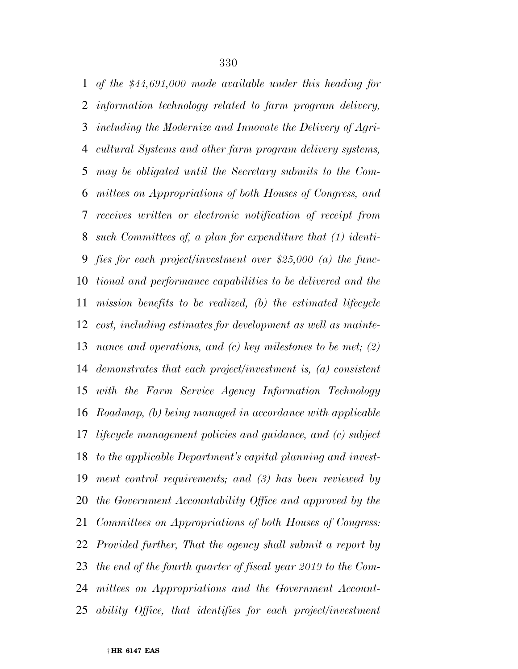*of the \$44,691,000 made available under this heading for information technology related to farm program delivery, including the Modernize and Innovate the Delivery of Agri- cultural Systems and other farm program delivery systems, may be obligated until the Secretary submits to the Com- mittees on Appropriations of both Houses of Congress, and receives written or electronic notification of receipt from such Committees of, a plan for expenditure that (1) identi- fies for each project/investment over \$25,000 (a) the func- tional and performance capabilities to be delivered and the mission benefits to be realized, (b) the estimated lifecycle cost, including estimates for development as well as mainte- nance and operations, and (c) key milestones to be met; (2) demonstrates that each project/investment is, (a) consistent with the Farm Service Agency Information Technology Roadmap, (b) being managed in accordance with applicable lifecycle management policies and guidance, and (c) subject to the applicable Department's capital planning and invest- ment control requirements; and (3) has been reviewed by the Government Accountability Office and approved by the Committees on Appropriations of both Houses of Congress: Provided further, That the agency shall submit a report by the end of the fourth quarter of fiscal year 2019 to the Com- mittees on Appropriations and the Government Account-ability Office, that identifies for each project/investment*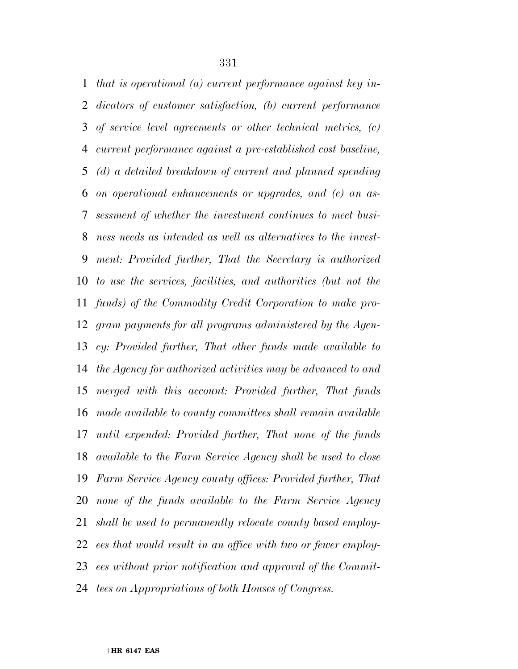*that is operational (a) current performance against key in- dicators of customer satisfaction, (b) current performance of service level agreements or other technical metrics, (c) current performance against a pre-established cost baseline, (d) a detailed breakdown of current and planned spending on operational enhancements or upgrades, and (e) an as- sessment of whether the investment continues to meet busi- ness needs as intended as well as alternatives to the invest- ment: Provided further, That the Secretary is authorized to use the services, facilities, and authorities (but not the funds) of the Commodity Credit Corporation to make pro- gram payments for all programs administered by the Agen- cy: Provided further, That other funds made available to the Agency for authorized activities may be advanced to and merged with this account: Provided further, That funds made available to county committees shall remain available until expended: Provided further, That none of the funds available to the Farm Service Agency shall be used to close Farm Service Agency county offices: Provided further, That none of the funds available to the Farm Service Agency shall be used to permanently relocate county based employ- ees that would result in an office with two or fewer employ- ees without prior notification and approval of the Commit-tees on Appropriations of both Houses of Congress.*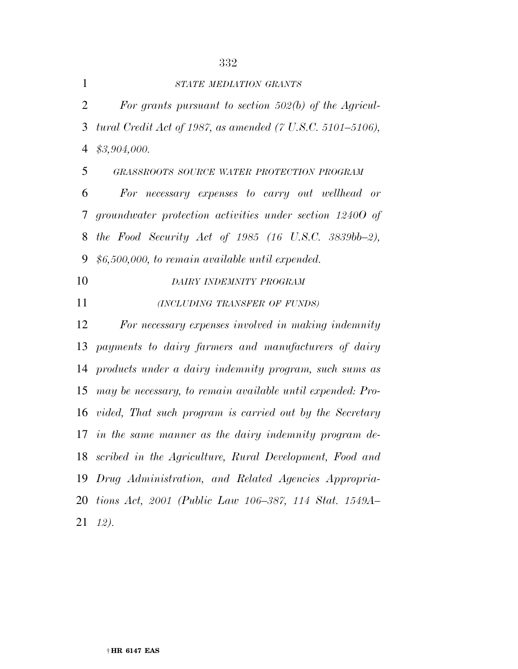| $\mathbf{1}$   | STATE MEDIATION GRANTS                                     |
|----------------|------------------------------------------------------------|
| $\mathfrak{2}$ | For grants pursuant to section $502(b)$ of the Agricul-    |
| 3              | tural Credit Act of 1987, as amended (7 U.S.C. 5101–5106), |
| $\overline{4}$ | \$3,904,000.                                               |
| 5              | GRASSROOTS SOURCE WATER PROTECTION PROGRAM                 |
| 6              | For necessary expenses to carry out wellhead or            |
| 7              | groundwater protection activities under section 12400 of   |
| 8              | the Food Security Act of 1985 (16 U.S.C. 3839bb-2),        |
| 9              | $$6,500,000,$ to remain available until expended.          |
| 10             | DAIRY INDEMNITY PROGRAM                                    |
| 11             | (INCLUDING TRANSFER OF FUNDS)                              |
| 12             | For necessary expenses involved in making indemnity        |
| 13             | payments to dairy farmers and manufacturers of dairy       |
| 14             | products under a dairy indemnity program, such sums as     |
| 15             | may be necessary, to remain available until expended: Pro- |
| 16             | vided, That such program is carried out by the Secretary   |
| 17             | in the same manner as the dairy indemnity program de-      |
| 18             | scribed in the Agriculture, Rural Development, Food and    |
| 19             | Drug Administration, and Related Agencies Appropria-       |
|                | 20 tions Act, 2001 (Public Law 106–387, 114 Stat. 1549A–   |

*12).*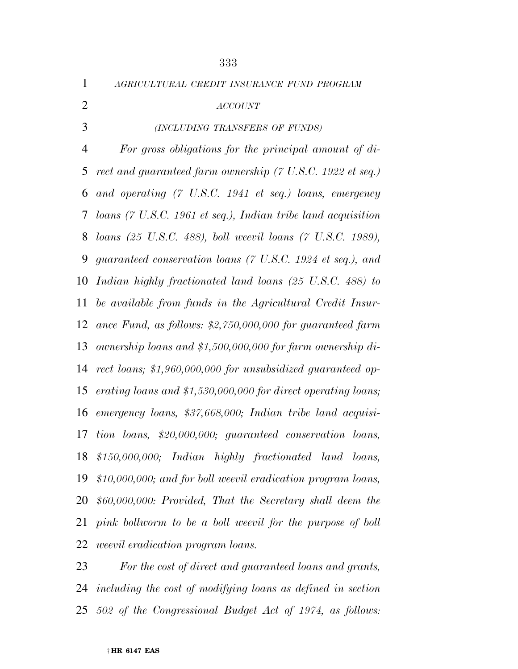*AGRICULTURAL CREDIT INSURANCE FUND PROGRAM ACCOUNT (INCLUDING TRANSFERS OF FUNDS) For gross obligations for the principal amount of di- rect and guaranteed farm ownership (7 U.S.C. 1922 et seq.) and operating (7 U.S.C. 1941 et seq.) loans, emergency loans (7 U.S.C. 1961 et seq.), Indian tribe land acquisition loans (25 U.S.C. 488), boll weevil loans (7 U.S.C. 1989), guaranteed conservation loans (7 U.S.C. 1924 et seq.), and Indian highly fractionated land loans (25 U.S.C. 488) to be available from funds in the Agricultural Credit Insur- ance Fund, as follows: \$2,750,000,000 for guaranteed farm ownership loans and \$1,500,000,000 for farm ownership di- rect loans; \$1,960,000,000 for unsubsidized guaranteed op- erating loans and \$1,530,000,000 for direct operating loans; emergency loans, \$37,668,000; Indian tribe land acquisi- tion loans, \$20,000,000; guaranteed conservation loans, \$150,000,000; Indian highly fractionated land loans, \$10,000,000; and for boll weevil eradication program loans, \$60,000,000: Provided, That the Secretary shall deem the pink bollworm to be a boll weevil for the purpose of boll weevil eradication program loans.* 

 *For the cost of direct and guaranteed loans and grants, including the cost of modifying loans as defined in section 502 of the Congressional Budget Act of 1974, as follows:*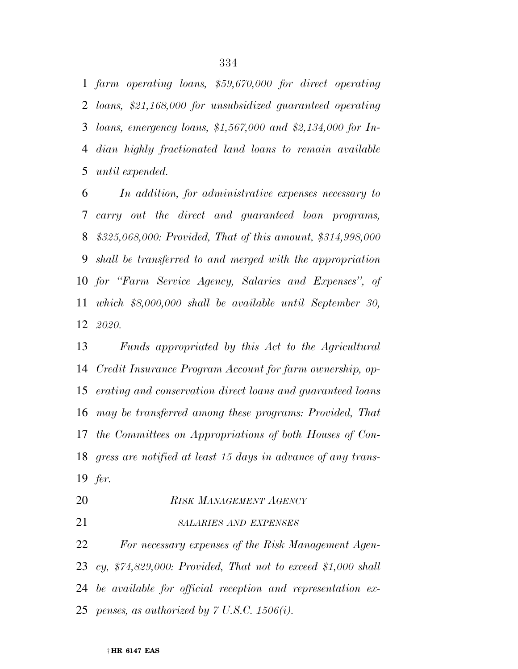*farm operating loans, \$59,670,000 for direct operating loans, \$21,168,000 for unsubsidized guaranteed operating loans, emergency loans, \$1,567,000 and \$2,134,000 for In- dian highly fractionated land loans to remain available until expended.* 

 *In addition, for administrative expenses necessary to carry out the direct and guaranteed loan programs, \$325,068,000: Provided, That of this amount, \$314,998,000 shall be transferred to and merged with the appropriation for ''Farm Service Agency, Salaries and Expenses'', of which \$8,000,000 shall be available until September 30, 2020.* 

 *Funds appropriated by this Act to the Agricultural Credit Insurance Program Account for farm ownership, op- erating and conservation direct loans and guaranteed loans may be transferred among these programs: Provided, That the Committees on Appropriations of both Houses of Con- gress are notified at least 15 days in advance of any trans-fer.* 

- *RISK MANAGEMENT AGENCY*
- *SALARIES AND EXPENSES*

 *For necessary expenses of the Risk Management Agen- cy, \$74,829,000: Provided, That not to exceed \$1,000 shall be available for official reception and representation ex-penses, as authorized by 7 U.S.C. 1506(i).*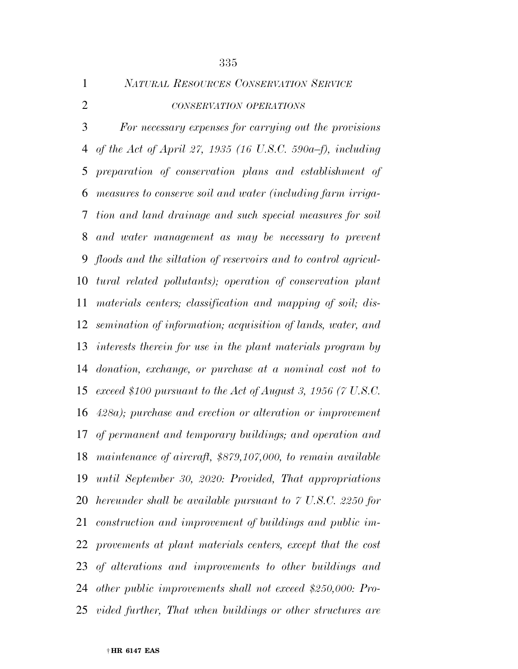*NATURAL RESOURCES CONSERVATION SERVICE CONSERVATION OPERATIONS*

 *For necessary expenses for carrying out the provisions of the Act of April 27, 1935 (16 U.S.C. 590a–f), including preparation of conservation plans and establishment of measures to conserve soil and water (including farm irriga- tion and land drainage and such special measures for soil and water management as may be necessary to prevent floods and the siltation of reservoirs and to control agricul- tural related pollutants); operation of conservation plant materials centers; classification and mapping of soil; dis- semination of information; acquisition of lands, water, and interests therein for use in the plant materials program by donation, exchange, or purchase at a nominal cost not to exceed \$100 pursuant to the Act of August 3, 1956 (7 U.S.C. 428a); purchase and erection or alteration or improvement of permanent and temporary buildings; and operation and maintenance of aircraft, \$879,107,000, to remain available until September 30, 2020: Provided, That appropriations hereunder shall be available pursuant to 7 U.S.C. 2250 for construction and improvement of buildings and public im- provements at plant materials centers, except that the cost of alterations and improvements to other buildings and other public improvements shall not exceed \$250,000: Pro-vided further, That when buildings or other structures are*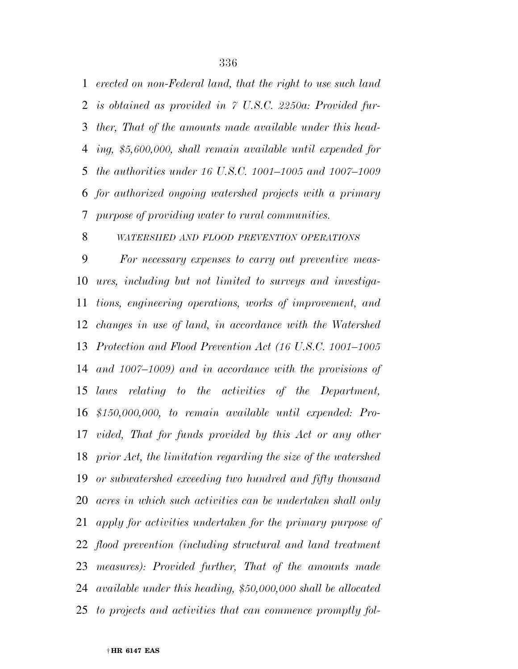*erected on non-Federal land, that the right to use such land is obtained as provided in 7 U.S.C. 2250a: Provided fur- ther, That of the amounts made available under this head- ing, \$5,600,000, shall remain available until expended for the authorities under 16 U.S.C. 1001–1005 and 1007–1009 for authorized ongoing watershed projects with a primary purpose of providing water to rural communities.* 

#### *WATERSHED AND FLOOD PREVENTION OPERATIONS*

 *For necessary expenses to carry out preventive meas- ures, including but not limited to surveys and investiga- tions, engineering operations, works of improvement, and changes in use of land, in accordance with the Watershed Protection and Flood Prevention Act (16 U.S.C. 1001–1005 and 1007–1009) and in accordance with the provisions of laws relating to the activities of the Department, \$150,000,000, to remain available until expended: Pro- vided, That for funds provided by this Act or any other prior Act, the limitation regarding the size of the watershed or subwatershed exceeding two hundred and fifty thousand acres in which such activities can be undertaken shall only apply for activities undertaken for the primary purpose of flood prevention (including structural and land treatment measures): Provided further, That of the amounts made available under this heading, \$50,000,000 shall be allocated to projects and activities that can commence promptly fol-*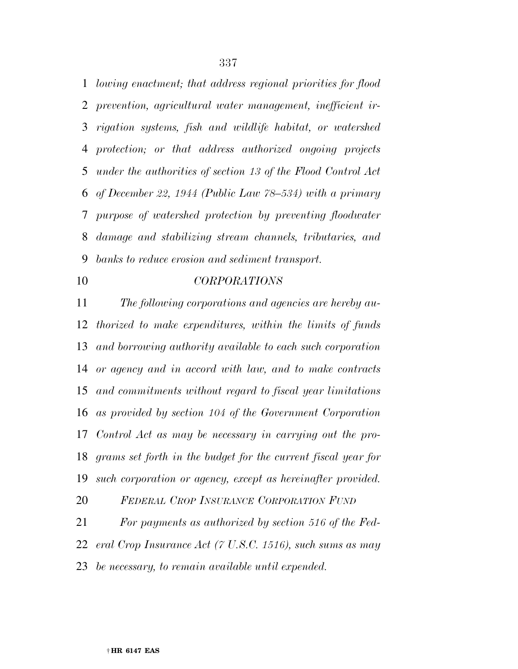*lowing enactment; that address regional priorities for flood prevention, agricultural water management, inefficient ir- rigation systems, fish and wildlife habitat, or watershed protection; or that address authorized ongoing projects under the authorities of section 13 of the Flood Control Act of December 22, 1944 (Public Law 78–534) with a primary purpose of watershed protection by preventing floodwater damage and stabilizing stream channels, tributaries, and banks to reduce erosion and sediment transport.* 

### *CORPORATIONS*

 *The following corporations and agencies are hereby au- thorized to make expenditures, within the limits of funds and borrowing authority available to each such corporation or agency and in accord with law, and to make contracts and commitments without regard to fiscal year limitations as provided by section 104 of the Government Corporation Control Act as may be necessary in carrying out the pro- grams set forth in the budget for the current fiscal year for such corporation or agency, except as hereinafter provided.* 

 *FEDERAL CROP INSURANCE CORPORATION FUND For payments as authorized by section 516 of the Fed- eral Crop Insurance Act (7 U.S.C. 1516), such sums as may be necessary, to remain available until expended.*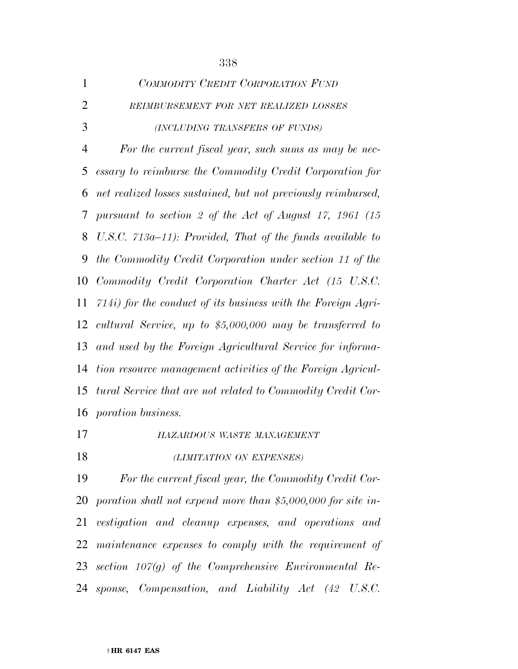| 1              | COMMODITY CREDIT CORPORATION FUND                              |
|----------------|----------------------------------------------------------------|
| $\overline{2}$ | REIMBURSEMENT FOR NET REALIZED LOSSES                          |
| 3              | (INCLUDING TRANSFERS OF FUNDS)                                 |
| $\overline{4}$ | For the current fiscal year, such sums as may be nec-          |
| 5              | essary to reimburse the Commodity Credit Corporation for       |
| 6              | net realized losses sustained, but not previously reimbursed,  |
| 7              | pursuant to section 2 of the Act of August 17, 1961 (15        |
| 8              | U.S.C. $713a-11$ ): Provided, That of the funds available to   |
| 9              | the Commodity Credit Corporation under section 11 of the       |
| 10             | Commodity Credit Corporation Charter Act (15 U.S.C.            |
| 11             | $714i)$ for the conduct of its business with the Foreign Agri- |
| 12             | cultural Service, up to $$5,000,000$ may be transferred to     |
| 13             | and used by the Foreign Agricultural Service for informa-      |
| 14             | tion resource management activities of the Foreign Agricul-    |
| 15             | tural Service that are not related to Commodity Credit Cor-    |
|                | 16 <i>poration business.</i>                                   |
|                |                                                                |

*HAZARDOUS WASTE MANAGEMENT*

# *(LIMITATION ON EXPENSES)*

 *For the current fiscal year, the Commodity Credit Cor- poration shall not expend more than \$5,000,000 for site in- vestigation and cleanup expenses, and operations and maintenance expenses to comply with the requirement of section 107(g) of the Comprehensive Environmental Re-sponse, Compensation, and Liability Act (42 U.S.C.*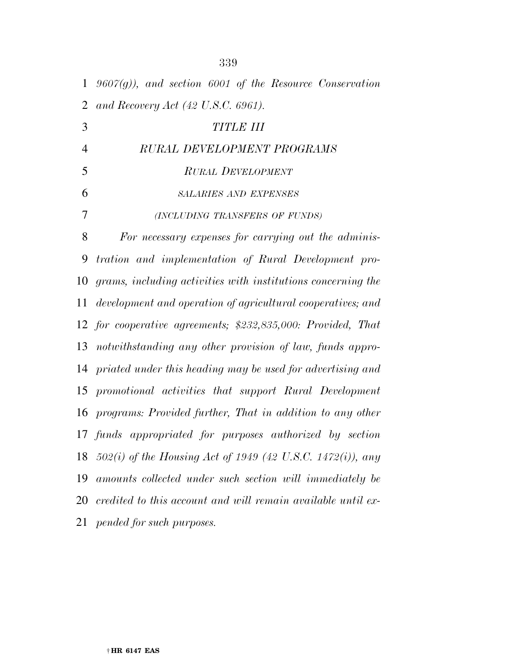| $\mathbf{1}$   | $9607(g)$ , and section 6001 of the Resource Conservation    |
|----------------|--------------------------------------------------------------|
| $\overline{2}$ | and Recovery Act $(42 \text{ U.S.C. } 6961)$ .               |
| 3              | <b>TITLE III</b>                                             |
| $\overline{4}$ | RURAL DEVELOPMENT PROGRAMS                                   |
| 5              | <b>RURAL DEVELOPMENT</b>                                     |
| 6              | <b>SALARIES AND EXPENSES</b>                                 |
| 7              | (INCLUDING TRANSFERS OF FUNDS)                               |
| 8              | For necessary expenses for carrying out the adminis-         |
| 9              | tration and implementation of Rural Development pro-         |
| 10             | grams, including activities with institutions concerning the |
| 11             | development and operation of agricultural cooperatives; and  |
|                | 12 for cooperative agreements; \$232,835,000: Provided, That |
| 13             | notwithstanding any other provision of law, funds appro-     |
| 14             | priated under this heading may be used for advertising and   |
| 15             | promotional activities that support Rural Development        |
| 16             | programs: Provided further, That in addition to any other    |
|                | 17 funds appropriated for purposes authorized by section     |
| 18             | 502(i) of the Housing Act of 1949 (42 U.S.C. 1472(i)), any   |
| 19             | amounts collected under such section will immediately be     |
| 20             | credited to this account and will remain available until ex- |
| 21             | pended for such purposes.                                    |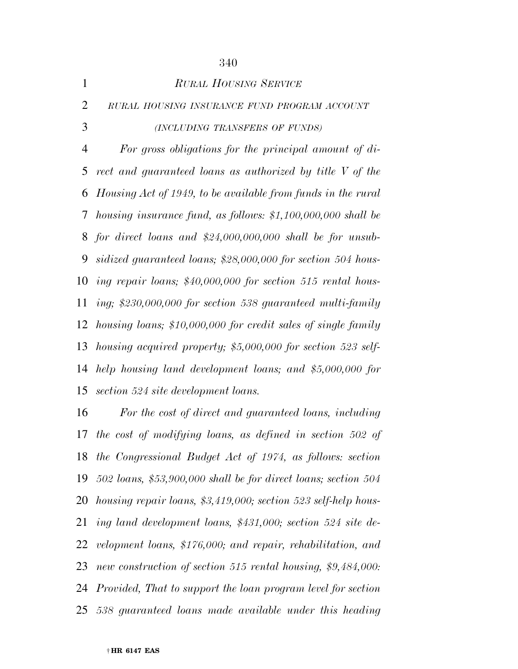| $\mathbf{1}$   | <b>RURAL HOUSING SERVICE</b>                                     |
|----------------|------------------------------------------------------------------|
| $\overline{2}$ | RURAL HOUSING INSURANCE FUND PROGRAM ACCOUNT                     |
| 3              | (INCLUDING TRANSFERS OF FUNDS)                                   |
| $\overline{4}$ | For gross obligations for the principal amount of $di$           |
| 5              | rect and guaranteed loans as authorized by title V of the        |
| 6              | Housing Act of 1949, to be available from funds in the rural     |
| 7              | housing insurance fund, as follows: $$1,100,000,000$ shall be    |
| 8              | for direct loans and $$24,000,000,000$ shall be for unsub-       |
| 9              | sidized guaranteed loans; \$28,000,000 for section 504 hous-     |
| 10             | ing repair loans; $$40,000,000$ for section 515 rental hous-     |
| 11             | ing; \$230,000,000 for section 538 guaranteed multi-family       |
| 12             | housing loans; \$10,000,000 for credit sales of single family    |
| 13             | housing acquired property; $$5,000,000$ for section $523$ self-  |
| 14             | help housing land development loans; and \$5,000,000 for         |
|                | 15 section 524 site development loans.                           |
| 16             | For the cost of direct and guaranteed loans, including           |
|                | $17$ the cost of modifiung logues as defined in costion $500$ of |

 *the cost of modifying loans, as defined in section 502 of the Congressional Budget Act of 1974, as follows: section 502 loans, \$53,900,000 shall be for direct loans; section 504 housing repair loans, \$3,419,000; section 523 self-help hous- ing land development loans, \$431,000; section 524 site de- velopment loans, \$176,000; and repair, rehabilitation, and new construction of section 515 rental housing, \$9,484,000: Provided, That to support the loan program level for section 538 guaranteed loans made available under this heading*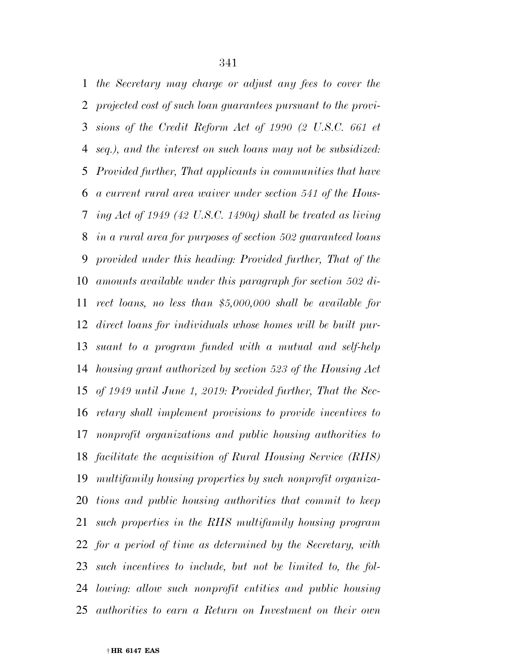*the Secretary may charge or adjust any fees to cover the projected cost of such loan guarantees pursuant to the provi- sions of the Credit Reform Act of 1990 (2 U.S.C. 661 et seq.), and the interest on such loans may not be subsidized: Provided further, That applicants in communities that have a current rural area waiver under section 541 of the Hous- ing Act of 1949 (42 U.S.C. 1490q) shall be treated as living in a rural area for purposes of section 502 guaranteed loans provided under this heading: Provided further, That of the amounts available under this paragraph for section 502 di- rect loans, no less than \$5,000,000 shall be available for direct loans for individuals whose homes will be built pur- suant to a program funded with a mutual and self-help housing grant authorized by section 523 of the Housing Act of 1949 until June 1, 2019: Provided further, That the Sec- retary shall implement provisions to provide incentives to nonprofit organizations and public housing authorities to facilitate the acquisition of Rural Housing Service (RHS) multifamily housing properties by such nonprofit organiza- tions and public housing authorities that commit to keep such properties in the RHS multifamily housing program for a period of time as determined by the Secretary, with such incentives to include, but not be limited to, the fol- lowing: allow such nonprofit entities and public housing authorities to earn a Return on Investment on their own*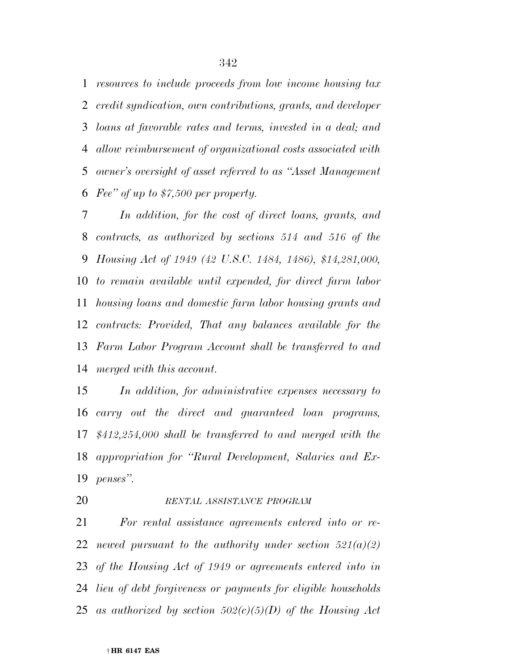*resources to include proceeds from low income housing tax credit syndication, own contributions, grants, and developer loans at favorable rates and terms, invested in a deal; and allow reimbursement of organizational costs associated with owner's oversight of asset referred to as ''Asset Management Fee'' of up to \$7,500 per property.* 

 *In addition, for the cost of direct loans, grants, and contracts, as authorized by sections 514 and 516 of the Housing Act of 1949 (42 U.S.C. 1484, 1486), \$14,281,000, to remain available until expended, for direct farm labor housing loans and domestic farm labor housing grants and contracts: Provided, That any balances available for the Farm Labor Program Account shall be transferred to and merged with this account.* 

 *In addition, for administrative expenses necessary to carry out the direct and guaranteed loan programs, \$412,254,000 shall be transferred to and merged with the appropriation for ''Rural Development, Salaries and Ex-penses''.* 

#### *RENTAL ASSISTANCE PROGRAM*

 *For rental assistance agreements entered into or re- newed pursuant to the authority under section 521(a)(2) of the Housing Act of 1949 or agreements entered into in lieu of debt forgiveness or payments for eligible households as authorized by section 502(c)(5)(D) of the Housing Act*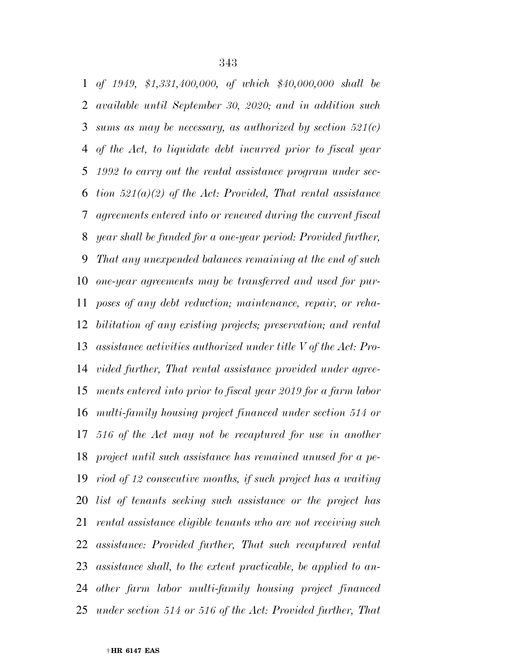*of 1949, \$1,331,400,000, of which \$40,000,000 shall be available until September 30, 2020; and in addition such sums as may be necessary, as authorized by section 521(c) of the Act, to liquidate debt incurred prior to fiscal year 1992 to carry out the rental assistance program under sec- tion 521(a)(2) of the Act: Provided, That rental assistance agreements entered into or renewed during the current fiscal year shall be funded for a one-year period: Provided further, That any unexpended balances remaining at the end of such one-year agreements may be transferred and used for pur- poses of any debt reduction; maintenance, repair, or reha- bilitation of any existing projects; preservation; and rental assistance activities authorized under title V of the Act: Pro- vided further, That rental assistance provided under agree- ments entered into prior to fiscal year 2019 for a farm labor multi-family housing project financed under section 514 or 516 of the Act may not be recaptured for use in another project until such assistance has remained unused for a pe- riod of 12 consecutive months, if such project has a waiting list of tenants seeking such assistance or the project has rental assistance eligible tenants who are not receiving such assistance: Provided further, That such recaptured rental assistance shall, to the extent practicable, be applied to an- other farm labor multi-family housing project financed under section 514 or 516 of the Act: Provided further, That*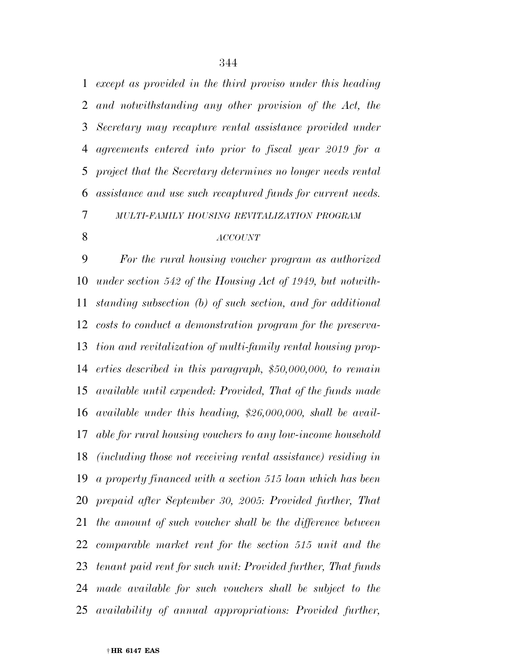*except as provided in the third proviso under this heading and notwithstanding any other provision of the Act, the Secretary may recapture rental assistance provided under agreements entered into prior to fiscal year 2019 for a project that the Secretary determines no longer needs rental assistance and use such recaptured funds for current needs. MULTI-FAMILY HOUSING REVITALIZATION PROGRAM*

#### *ACCOUNT*

 *For the rural housing voucher program as authorized under section 542 of the Housing Act of 1949, but notwith- standing subsection (b) of such section, and for additional costs to conduct a demonstration program for the preserva- tion and revitalization of multi-family rental housing prop- erties described in this paragraph, \$50,000,000, to remain available until expended: Provided, That of the funds made available under this heading, \$26,000,000, shall be avail- able for rural housing vouchers to any low-income household (including those not receiving rental assistance) residing in a property financed with a section 515 loan which has been prepaid after September 30, 2005: Provided further, That the amount of such voucher shall be the difference between comparable market rent for the section 515 unit and the tenant paid rent for such unit: Provided further, That funds made available for such vouchers shall be subject to the availability of annual appropriations: Provided further,*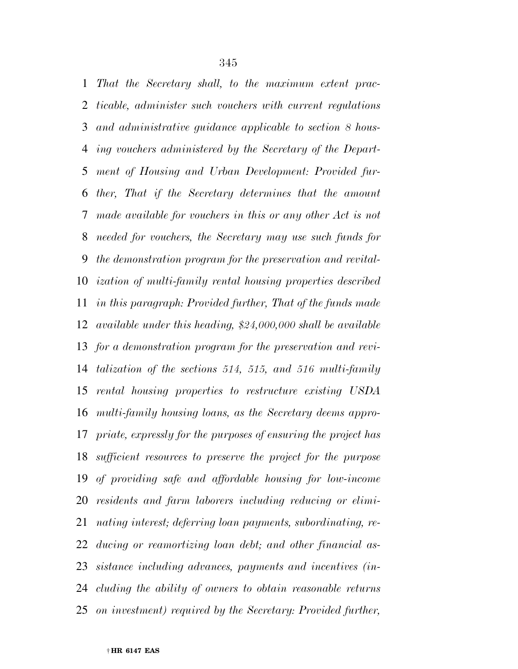*That the Secretary shall, to the maximum extent prac- ticable, administer such vouchers with current regulations and administrative guidance applicable to section 8 hous- ing vouchers administered by the Secretary of the Depart- ment of Housing and Urban Development: Provided fur- ther, That if the Secretary determines that the amount made available for vouchers in this or any other Act is not needed for vouchers, the Secretary may use such funds for the demonstration program for the preservation and revital- ization of multi-family rental housing properties described in this paragraph: Provided further, That of the funds made available under this heading, \$24,000,000 shall be available for a demonstration program for the preservation and revi- talization of the sections 514, 515, and 516 multi-family rental housing properties to restructure existing USDA multi-family housing loans, as the Secretary deems appro- priate, expressly for the purposes of ensuring the project has sufficient resources to preserve the project for the purpose of providing safe and affordable housing for low-income residents and farm laborers including reducing or elimi- nating interest; deferring loan payments, subordinating, re- ducing or reamortizing loan debt; and other financial as- sistance including advances, payments and incentives (in- cluding the ability of owners to obtain reasonable returns on investment) required by the Secretary: Provided further,*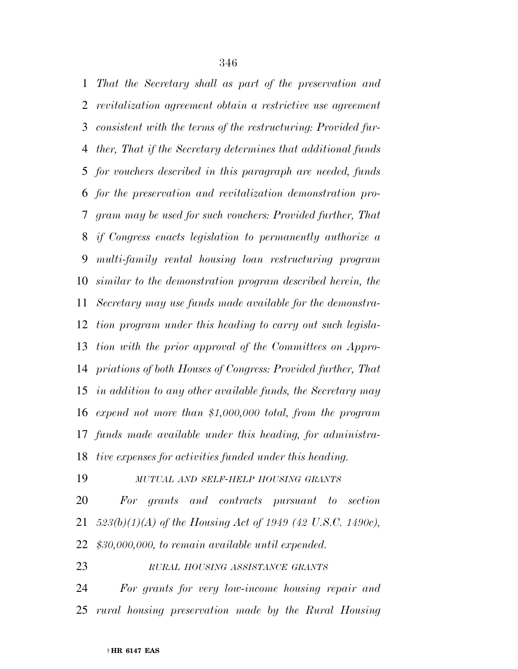*That the Secretary shall as part of the preservation and revitalization agreement obtain a restrictive use agreement consistent with the terms of the restructuring: Provided fur- ther, That if the Secretary determines that additional funds for vouchers described in this paragraph are needed, funds for the preservation and revitalization demonstration pro- gram may be used for such vouchers: Provided further, That if Congress enacts legislation to permanently authorize a multi-family rental housing loan restructuring program similar to the demonstration program described herein, the Secretary may use funds made available for the demonstra- tion program under this heading to carry out such legisla- tion with the prior approval of the Committees on Appro- priations of both Houses of Congress: Provided further, That in addition to any other available funds, the Secretary may expend not more than \$1,000,000 total, from the program funds made available under this heading, for administra-tive expenses for activities funded under this heading.* 

*MUTUAL AND SELF-HELP HOUSING GRANTS*

 *For grants and contracts pursuant to section 523(b)(1)(A) of the Housing Act of 1949 (42 U.S.C. 1490c), \$30,000,000, to remain available until expended.* 

*RURAL HOUSING ASSISTANCE GRANTS*

 *For grants for very low-income housing repair and rural housing preservation made by the Rural Housing*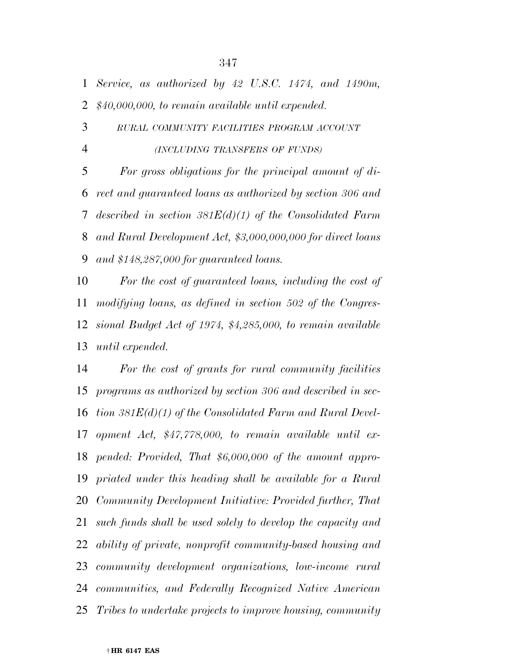*Service, as authorized by 42 U.S.C. 1474, and 1490m, \$40,000,000, to remain available until expended.* 

 *RURAL COMMUNITY FACILITIES PROGRAM ACCOUNT (INCLUDING TRANSFERS OF FUNDS)*

 *For gross obligations for the principal amount of di- rect and guaranteed loans as authorized by section 306 and described in section 381E(d)(1) of the Consolidated Farm and Rural Development Act, \$3,000,000,000 for direct loans and \$148,287,000 for guaranteed loans.* 

 *For the cost of guaranteed loans, including the cost of modifying loans, as defined in section 502 of the Congres- sional Budget Act of 1974, \$4,285,000, to remain available until expended.* 

 *For the cost of grants for rural community facilities programs as authorized by section 306 and described in sec- tion 381E(d)(1) of the Consolidated Farm and Rural Devel- opment Act, \$47,778,000, to remain available until ex- pended: Provided, That \$6,000,000 of the amount appro- priated under this heading shall be available for a Rural Community Development Initiative: Provided further, That such funds shall be used solely to develop the capacity and ability of private, nonprofit community-based housing and community development organizations, low-income rural communities, and Federally Recognized Native American Tribes to undertake projects to improve housing, community*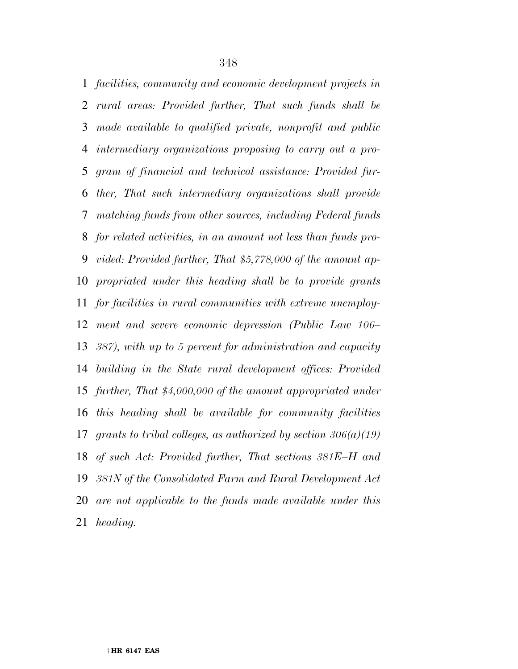*facilities, community and economic development projects in rural areas: Provided further, That such funds shall be made available to qualified private, nonprofit and public intermediary organizations proposing to carry out a pro- gram of financial and technical assistance: Provided fur- ther, That such intermediary organizations shall provide matching funds from other sources, including Federal funds for related activities, in an amount not less than funds pro- vided: Provided further, That \$5,778,000 of the amount ap- propriated under this heading shall be to provide grants for facilities in rural communities with extreme unemploy- ment and severe economic depression (Public Law 106– 387), with up to 5 percent for administration and capacity building in the State rural development offices: Provided further, That \$4,000,000 of the amount appropriated under this heading shall be available for community facilities grants to tribal colleges, as authorized by section 306(a)(19) of such Act: Provided further, That sections 381E–H and 381N of the Consolidated Farm and Rural Development Act are not applicable to the funds made available under this heading.*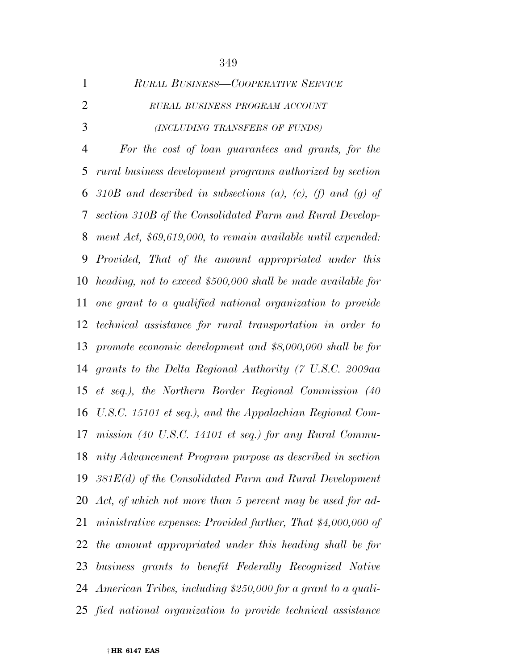| $\mathbf{1}$   | RURAL BUSINESS-COOPERATIVE SERVICE                              |
|----------------|-----------------------------------------------------------------|
| $\overline{2}$ | RURAL BUSINESS PROGRAM ACCOUNT                                  |
| 3              | (INCLUDING TRANSFERS OF FUNDS)                                  |
| $\overline{4}$ | For the cost of loan guarantees and grants, for the             |
| 5              | rural business development programs authorized by section       |
| 6              | 310B and described in subsections (a), (c), (f) and (g) of      |
| 7              | section 310B of the Consolidated Farm and Rural Develop-        |
| 8              | ment Act, \$69,619,000, to remain available until expended:     |
| 9              | Provided, That of the amount appropriated under this            |
| 10             | heading, not to exceed \$500,000 shall be made available for    |
| 11             | one grant to a qualified national organization to provide       |
| 12             | technical assistance for rural transportation in order to       |
| 13             | promote economic development and \$8,000,000 shall be for       |
| 14             | grants to the Delta Regional Authority (7 U.S.C. 2009aa         |
| 15             | et seq.), the Northern Border Regional Commission (40           |
| 16             | U.S.C. 15101 et seq.), and the Appalachian Regional Com-        |
| 17             | mission (40 U.S.C. 14101 et seq.) for any Rural Commu-          |
| 18             | nity Advancement Program purpose as described in section        |
|                | 19 $381E(d)$ of the Consolidated Farm and Rural Development     |
|                | 20 Act, of which not more than 5 percent may be used for ad-    |
| 21             | ministrative expenses: Provided further, That $$4,000,000$ of   |
|                | 22 the amount appropriated under this heading shall be for      |
|                | 23 business grants to benefit Federally Recognized Native       |
|                | 24 American Tribes, including \$250,000 for a grant to a quali- |
|                | 25 fied national organization to provide technical assistance   |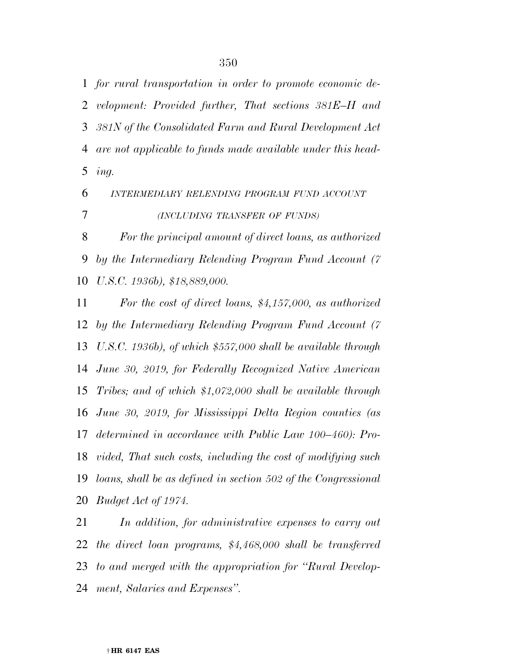*for rural transportation in order to promote economic de- velopment: Provided further, That sections 381E–H and 381N of the Consolidated Farm and Rural Development Act are not applicable to funds made available under this head-ing.* 

# *INTERMEDIARY RELENDING PROGRAM FUND ACCOUNT (INCLUDING TRANSFER OF FUNDS)*

 *For the principal amount of direct loans, as authorized by the Intermediary Relending Program Fund Account (7 U.S.C. 1936b), \$18,889,000.* 

 *For the cost of direct loans, \$4,157,000, as authorized by the Intermediary Relending Program Fund Account (7 U.S.C. 1936b), of which \$557,000 shall be available through June 30, 2019, for Federally Recognized Native American Tribes; and of which \$1,072,000 shall be available through June 30, 2019, for Mississippi Delta Region counties (as determined in accordance with Public Law 100–460): Pro- vided, That such costs, including the cost of modifying such loans, shall be as defined in section 502 of the Congressional Budget Act of 1974.* 

 *In addition, for administrative expenses to carry out the direct loan programs, \$4,468,000 shall be transferred to and merged with the appropriation for ''Rural Develop-ment, Salaries and Expenses''.*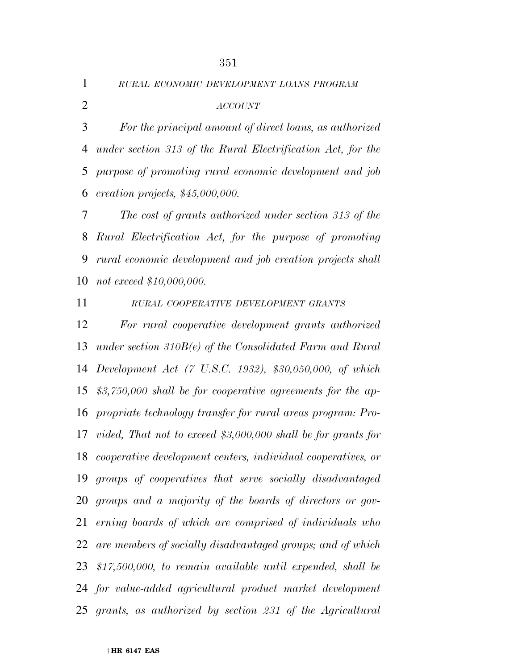*RURAL ECONOMIC DEVELOPMENT LOANS PROGRAM*

# *ACCOUNT*

 *For the principal amount of direct loans, as authorized under section 313 of the Rural Electrification Act, for the purpose of promoting rural economic development and job creation projects, \$45,000,000.* 

 *The cost of grants authorized under section 313 of the Rural Electrification Act, for the purpose of promoting rural economic development and job creation projects shall not exceed \$10,000,000.* 

*RURAL COOPERATIVE DEVELOPMENT GRANTS*

 *For rural cooperative development grants authorized under section 310B(e) of the Consolidated Farm and Rural Development Act (7 U.S.C. 1932), \$30,050,000, of which \$3,750,000 shall be for cooperative agreements for the ap- propriate technology transfer for rural areas program: Pro- vided, That not to exceed \$3,000,000 shall be for grants for cooperative development centers, individual cooperatives, or groups of cooperatives that serve socially disadvantaged groups and a majority of the boards of directors or gov- erning boards of which are comprised of individuals who are members of socially disadvantaged groups; and of which \$17,500,000, to remain available until expended, shall be for value-added agricultural product market development grants, as authorized by section 231 of the Agricultural*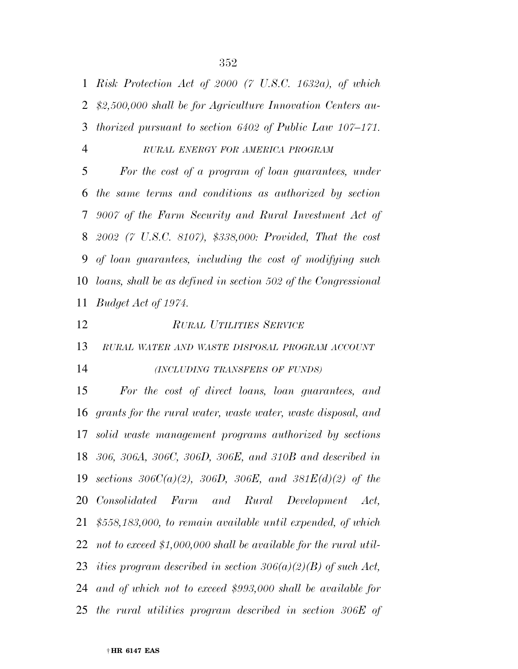*Risk Protection Act of 2000 (7 U.S.C. 1632a), of which \$2,500,000 shall be for Agriculture Innovation Centers au-thorized pursuant to section 6402 of Public Law 107–171.* 

#### *RURAL ENERGY FOR AMERICA PROGRAM*

 *For the cost of a program of loan guarantees, under the same terms and conditions as authorized by section 9007 of the Farm Security and Rural Investment Act of 2002 (7 U.S.C. 8107), \$338,000: Provided, That the cost of loan guarantees, including the cost of modifying such loans, shall be as defined in section 502 of the Congressional Budget Act of 1974.* 

*RURAL UTILITIES SERVICE*

*RURAL WATER AND WASTE DISPOSAL PROGRAM ACCOUNT*

#### *(INCLUDING TRANSFERS OF FUNDS)*

 *For the cost of direct loans, loan guarantees, and grants for the rural water, waste water, waste disposal, and solid waste management programs authorized by sections 306, 306A, 306C, 306D, 306E, and 310B and described in sections 306C(a)(2), 306D, 306E, and 381E(d)(2) of the Consolidated Farm and Rural Development Act, \$558,183,000, to remain available until expended, of which not to exceed \$1,000,000 shall be available for the rural util- ities program described in section 306(a)(2)(B) of such Act, and of which not to exceed \$993,000 shall be available for the rural utilities program described in section 306E of*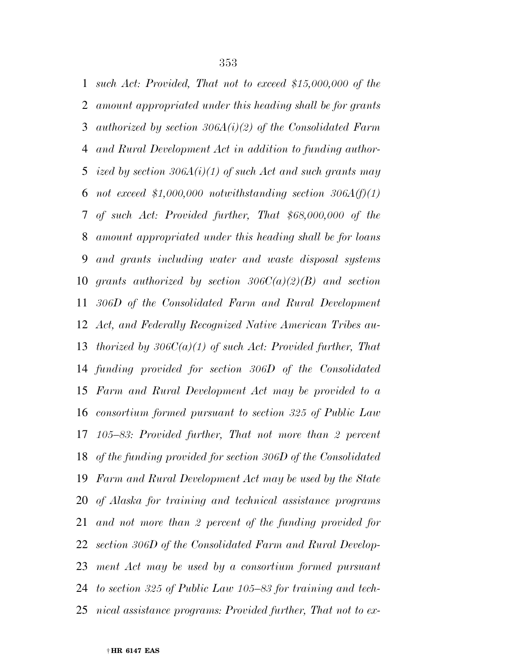*such Act: Provided, That not to exceed \$15,000,000 of the amount appropriated under this heading shall be for grants authorized by section 306A(i)(2) of the Consolidated Farm and Rural Development Act in addition to funding author- ized by section 306A(i)(1) of such Act and such grants may not exceed \$1,000,000 notwithstanding section 306A(f)(1) of such Act: Provided further, That \$68,000,000 of the amount appropriated under this heading shall be for loans and grants including water and waste disposal systems grants authorized by section 306C(a)(2)(B) and section 306D of the Consolidated Farm and Rural Development Act, and Federally Recognized Native American Tribes au- thorized by 306C(a)(1) of such Act: Provided further, That funding provided for section 306D of the Consolidated Farm and Rural Development Act may be provided to a consortium formed pursuant to section 325 of Public Law 105–83: Provided further, That not more than 2 percent of the funding provided for section 306D of the Consolidated Farm and Rural Development Act may be used by the State of Alaska for training and technical assistance programs and not more than 2 percent of the funding provided for section 306D of the Consolidated Farm and Rural Develop- ment Act may be used by a consortium formed pursuant to section 325 of Public Law 105–83 for training and tech-nical assistance programs: Provided further, That not to ex-*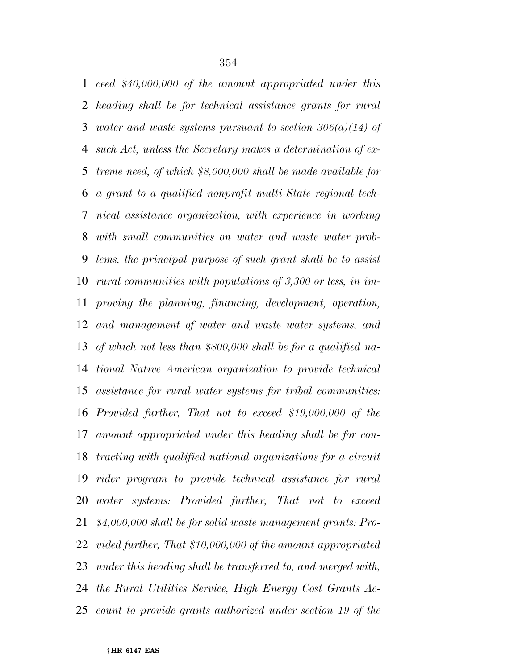*ceed \$40,000,000 of the amount appropriated under this heading shall be for technical assistance grants for rural water and waste systems pursuant to section 306(a)(14) of such Act, unless the Secretary makes a determination of ex- treme need, of which \$8,000,000 shall be made available for a grant to a qualified nonprofit multi-State regional tech- nical assistance organization, with experience in working with small communities on water and waste water prob- lems, the principal purpose of such grant shall be to assist rural communities with populations of 3,300 or less, in im- proving the planning, financing, development, operation, and management of water and waste water systems, and of which not less than \$800,000 shall be for a qualified na- tional Native American organization to provide technical assistance for rural water systems for tribal communities: Provided further, That not to exceed \$19,000,000 of the amount appropriated under this heading shall be for con- tracting with qualified national organizations for a circuit rider program to provide technical assistance for rural water systems: Provided further, That not to exceed \$4,000,000 shall be for solid waste management grants: Pro- vided further, That \$10,000,000 of the amount appropriated under this heading shall be transferred to, and merged with, the Rural Utilities Service, High Energy Cost Grants Ac-count to provide grants authorized under section 19 of the*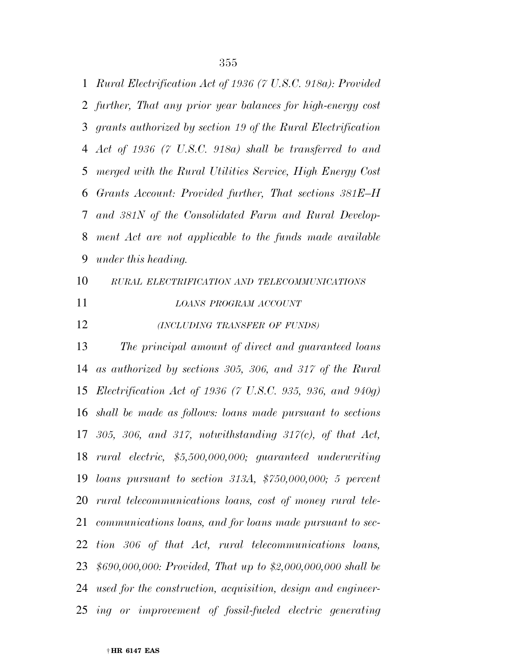*Rural Electrification Act of 1936 (7 U.S.C. 918a): Provided further, That any prior year balances for high-energy cost grants authorized by section 19 of the Rural Electrification Act of 1936 (7 U.S.C. 918a) shall be transferred to and merged with the Rural Utilities Service, High Energy Cost Grants Account: Provided further, That sections 381E–H and 381N of the Consolidated Farm and Rural Develop- ment Act are not applicable to the funds made available under this heading.* 

 *RURAL ELECTRIFICATION AND TELECOMMUNICATIONS LOANS PROGRAM ACCOUNT*

*(INCLUDING TRANSFER OF FUNDS)*

 *The principal amount of direct and guaranteed loans as authorized by sections 305, 306, and 317 of the Rural Electrification Act of 1936 (7 U.S.C. 935, 936, and 940g) shall be made as follows: loans made pursuant to sections 305, 306, and 317, notwithstanding 317(c), of that Act, rural electric, \$5,500,000,000; guaranteed underwriting loans pursuant to section 313A, \$750,000,000; 5 percent rural telecommunications loans, cost of money rural tele- communications loans, and for loans made pursuant to sec- tion 306 of that Act, rural telecommunications loans, \$690,000,000: Provided, That up to \$2,000,000,000 shall be used for the construction, acquisition, design and engineer-ing or improvement of fossil-fueled electric generating*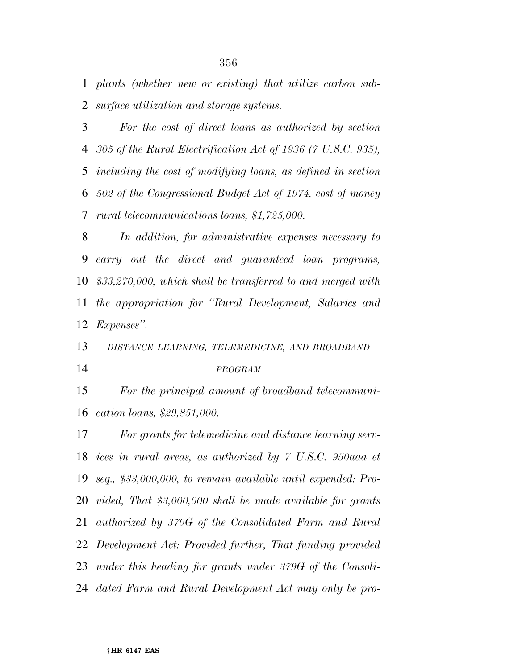*plants (whether new or existing) that utilize carbon sub-surface utilization and storage systems.* 

 *For the cost of direct loans as authorized by section 305 of the Rural Electrification Act of 1936 (7 U.S.C. 935), including the cost of modifying loans, as defined in section 502 of the Congressional Budget Act of 1974, cost of money rural telecommunications loans, \$1,725,000.* 

 *In addition, for administrative expenses necessary to carry out the direct and guaranteed loan programs, \$33,270,000, which shall be transferred to and merged with the appropriation for ''Rural Development, Salaries and Expenses''.* 

*DISTANCE LEARNING, TELEMEDICINE, AND BROADBAND*

#### *PROGRAM*

 *For the principal amount of broadband telecommuni-cation loans, \$29,851,000.* 

 *For grants for telemedicine and distance learning serv- ices in rural areas, as authorized by 7 U.S.C. 950aaa et seq., \$33,000,000, to remain available until expended: Pro- vided, That \$3,000,000 shall be made available for grants authorized by 379G of the Consolidated Farm and Rural Development Act: Provided further, That funding provided under this heading for grants under 379G of the Consoli-dated Farm and Rural Development Act may only be pro-*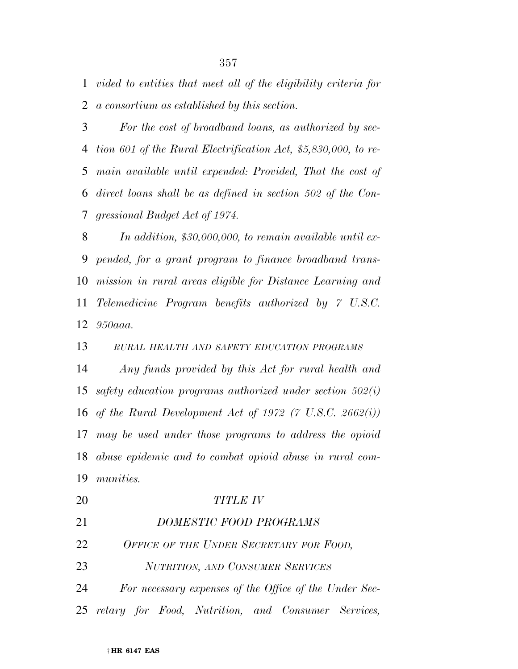*vided to entities that meet all of the eligibility criteria for a consortium as established by this section.* 

 *For the cost of broadband loans, as authorized by sec- tion 601 of the Rural Electrification Act, \$5,830,000, to re- main available until expended: Provided, That the cost of direct loans shall be as defined in section 502 of the Con-gressional Budget Act of 1974.* 

 *In addition, \$30,000,000, to remain available until ex- pended, for a grant program to finance broadband trans- mission in rural areas eligible for Distance Learning and Telemedicine Program benefits authorized by 7 U.S.C. 950aaa.* 

*RURAL HEALTH AND SAFETY EDUCATION PROGRAMS*

 *Any funds provided by this Act for rural health and safety education programs authorized under section 502(i) of the Rural Development Act of 1972 (7 U.S.C. 2662(i)) may be used under those programs to address the opioid abuse epidemic and to combat opioid abuse in rural com-munities.* 

 *TITLE IV DOMESTIC FOOD PROGRAMS OFFICE OF THE UNDER SECRETARY FOR FOOD, NUTRITION, AND CONSUMER SERVICES For necessary expenses of the Office of the Under Sec-retary for Food, Nutrition, and Consumer Services,*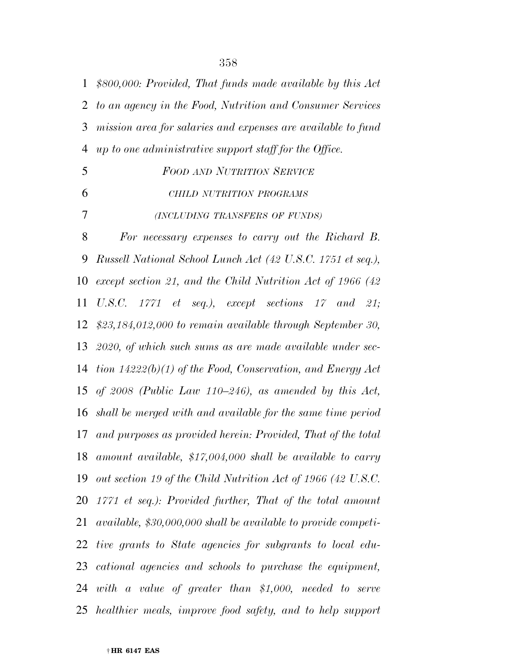| $\mathbf{1}$ | \$800,000: Provided, That funds made available by this Act     |
|--------------|----------------------------------------------------------------|
| 2            | to an agency in the Food, Nutrition and Consumer Services      |
| 3            | mission area for salaries and expenses are available to fund   |
| 4            | up to one administrative support staff for the Office.         |
| 5            | <b>FOOD AND NUTRITION SERVICE</b>                              |
| 6            | CHILD NUTRITION PROGRAMS                                       |
| 7            | (INCLUDING TRANSFERS OF FUNDS)                                 |
| 8            | For necessary expenses to carry out the Richard B.             |
| 9            | Russell National School Lunch Act (42 U.S.C. 1751 et seq.),    |
| 10           | except section 21, and the Child Nutrition Act of 1966 (42)    |
| 11           | U.S.C. $1771$ et seq.), except sections $17$ and $21$ ;        |
| 12           | $$23,184,012,000$ to remain available through September 30,    |
| 13           | $2020$ , of which such sums as are made available under sec-   |
| 14           | tion $14222(b)(1)$ of the Food, Conservation, and Energy Act   |
| 15           | of 2008 (Public Law 110-246), as amended by this Act,          |
| 16           | shall be merged with and available for the same time period    |
| 17           | and purposes as provided herein: Provided, That of the total   |
| 18           | amount available, $$17,004,000$ shall be available to carry    |
| 19           | out section 19 of the Child Nutrition Act of 1966 (42 U.S.C.   |
| 20           | $1771$ et seq.): Provided further, That of the total amount    |
| 21           | available, \$30,000,000 shall be available to provide competi- |
| 22           | tive grants to State agencies for subgrants to local edu-      |
| 23           | cational agencies and schools to purchase the equipment,       |
| 24           | with a value of greater than \$1,000, needed to serve          |
|              | 25 healthier meals, improve food safety, and to help support   |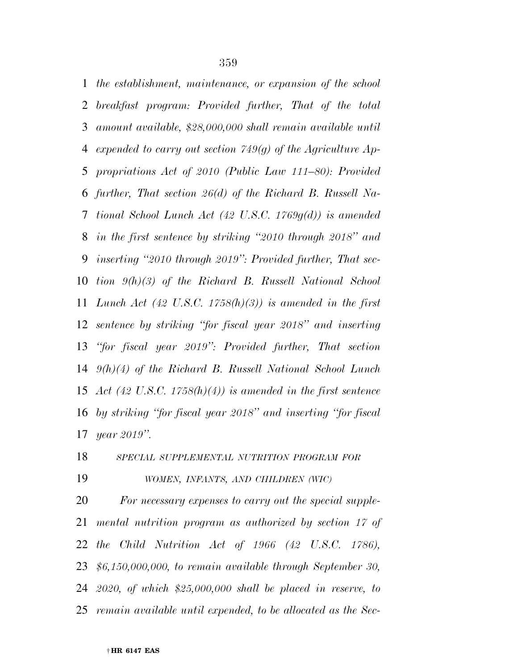*the establishment, maintenance, or expansion of the school breakfast program: Provided further, That of the total amount available, \$28,000,000 shall remain available until expended to carry out section 749(g) of the Agriculture Ap- propriations Act of 2010 (Public Law 111–80): Provided further, That section 26(d) of the Richard B. Russell Na- tional School Lunch Act (42 U.S.C. 1769g(d)) is amended in the first sentence by striking ''2010 through 2018'' and inserting ''2010 through 2019'': Provided further, That sec- tion 9(h)(3) of the Richard B. Russell National School Lunch Act (42 U.S.C. 1758(h)(3)) is amended in the first sentence by striking ''for fiscal year 2018'' and inserting ''for fiscal year 2019'': Provided further, That section 9(h)(4) of the Richard B. Russell National School Lunch Act (42 U.S.C. 1758(h)(4)) is amended in the first sentence by striking ''for fiscal year 2018'' and inserting ''for fiscal year 2019''.* 

 *SPECIAL SUPPLEMENTAL NUTRITION PROGRAM FOR WOMEN, INFANTS, AND CHILDREN (WIC)*

 *For necessary expenses to carry out the special supple- mental nutrition program as authorized by section 17 of the Child Nutrition Act of 1966 (42 U.S.C. 1786), \$6,150,000,000, to remain available through September 30, 2020, of which \$25,000,000 shall be placed in reserve, to remain available until expended, to be allocated as the Sec-*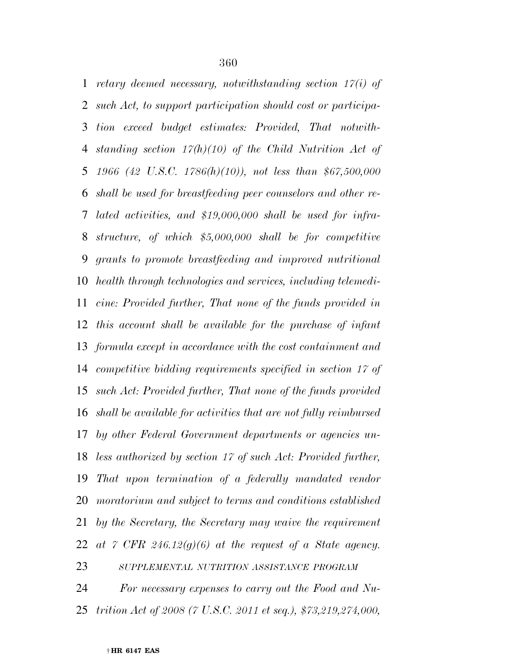*retary deemed necessary, notwithstanding section 17(i) of such Act, to support participation should cost or participa- tion exceed budget estimates: Provided, That notwith- standing section 17(h)(10) of the Child Nutrition Act of 1966 (42 U.S.C. 1786(h)(10)), not less than \$67,500,000 shall be used for breastfeeding peer counselors and other re- lated activities, and \$19,000,000 shall be used for infra- structure, of which \$5,000,000 shall be for competitive grants to promote breastfeeding and improved nutritional health through technologies and services, including telemedi- cine: Provided further, That none of the funds provided in this account shall be available for the purchase of infant formula except in accordance with the cost containment and competitive bidding requirements specified in section 17 of such Act: Provided further, That none of the funds provided shall be available for activities that are not fully reimbursed by other Federal Government departments or agencies un- less authorized by section 17 of such Act: Provided further, That upon termination of a federally mandated vendor moratorium and subject to terms and conditions established by the Secretary, the Secretary may waive the requirement at 7 CFR 246.12(g)(6) at the request of a State agency. SUPPLEMENTAL NUTRITION ASSISTANCE PROGRAM*

 *For necessary expenses to carry out the Food and Nu-trition Act of 2008 (7 U.S.C. 2011 et seq.), \$73,219,274,000,*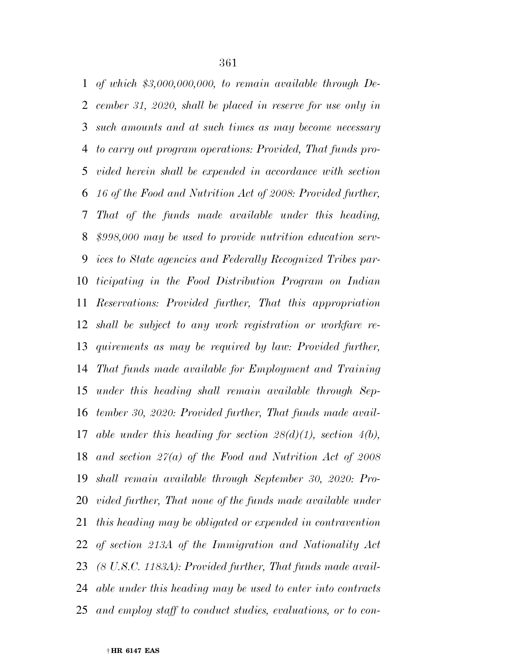*of which \$3,000,000,000, to remain available through De- cember 31, 2020, shall be placed in reserve for use only in such amounts and at such times as may become necessary to carry out program operations: Provided, That funds pro- vided herein shall be expended in accordance with section 16 of the Food and Nutrition Act of 2008: Provided further, That of the funds made available under this heading, \$998,000 may be used to provide nutrition education serv- ices to State agencies and Federally Recognized Tribes par- ticipating in the Food Distribution Program on Indian Reservations: Provided further, That this appropriation shall be subject to any work registration or workfare re- quirements as may be required by law: Provided further, That funds made available for Employment and Training under this heading shall remain available through Sep- tember 30, 2020: Provided further, That funds made avail- able under this heading for section 28(d)(1), section 4(b), and section 27(a) of the Food and Nutrition Act of 2008 shall remain available through September 30, 2020: Pro-vided further, That none of the funds made available under this heading may be obligated or expended in contravention of section 213A of the Immigration and Nationality Act (8 U.S.C. 1183A): Provided further, That funds made avail- able under this heading may be used to enter into contracts and employ staff to conduct studies, evaluations, or to con-*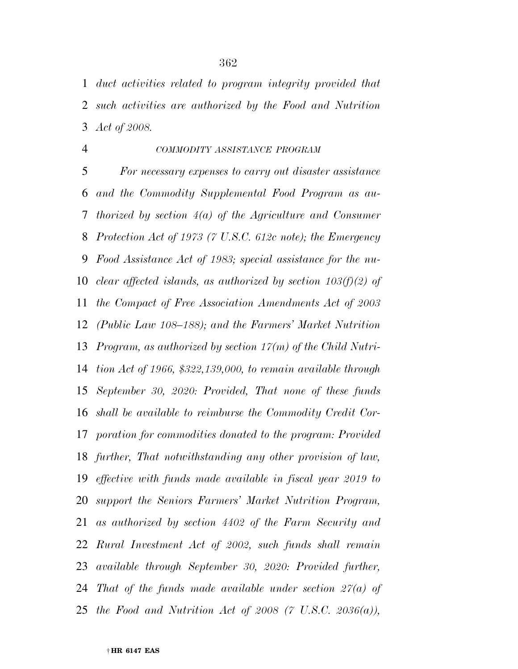*duct activities related to program integrity provided that such activities are authorized by the Food and Nutrition Act of 2008.* 

### *COMMODITY ASSISTANCE PROGRAM*

 *For necessary expenses to carry out disaster assistance and the Commodity Supplemental Food Program as au- thorized by section 4(a) of the Agriculture and Consumer Protection Act of 1973 (7 U.S.C. 612c note); the Emergency Food Assistance Act of 1983; special assistance for the nu- clear affected islands, as authorized by section 103(f)(2) of the Compact of Free Association Amendments Act of 2003 (Public Law 108–188); and the Farmers' Market Nutrition Program, as authorized by section 17(m) of the Child Nutri- tion Act of 1966, \$322,139,000, to remain available through September 30, 2020: Provided, That none of these funds shall be available to reimburse the Commodity Credit Cor- poration for commodities donated to the program: Provided further, That notwithstanding any other provision of law, effective with funds made available in fiscal year 2019 to support the Seniors Farmers' Market Nutrition Program, as authorized by section 4402 of the Farm Security and Rural Investment Act of 2002, such funds shall remain available through September 30, 2020: Provided further, That of the funds made available under section 27(a) of the Food and Nutrition Act of 2008 (7 U.S.C. 2036(a)),*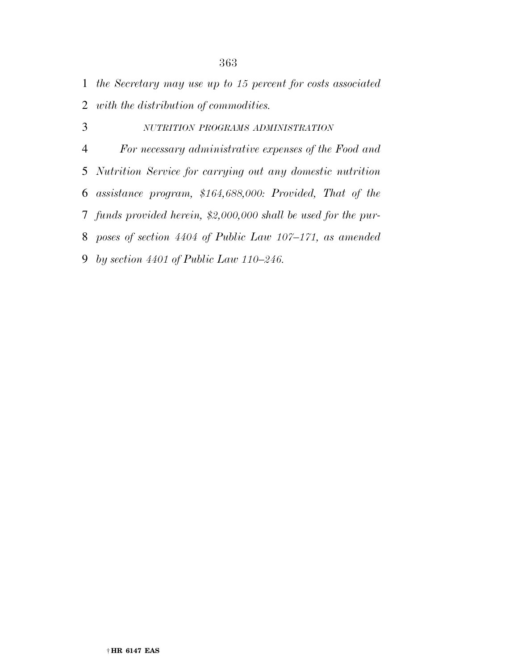*the Secretary may use up to 15 percent for costs associated with the distribution of commodities.* 

 *NUTRITION PROGRAMS ADMINISTRATION For necessary administrative expenses of the Food and Nutrition Service for carrying out any domestic nutrition assistance program, \$164,688,000: Provided, That of the funds provided herein, \$2,000,000 shall be used for the pur- poses of section 4404 of Public Law 107–171, as amended by section 4401 of Public Law 110–246.*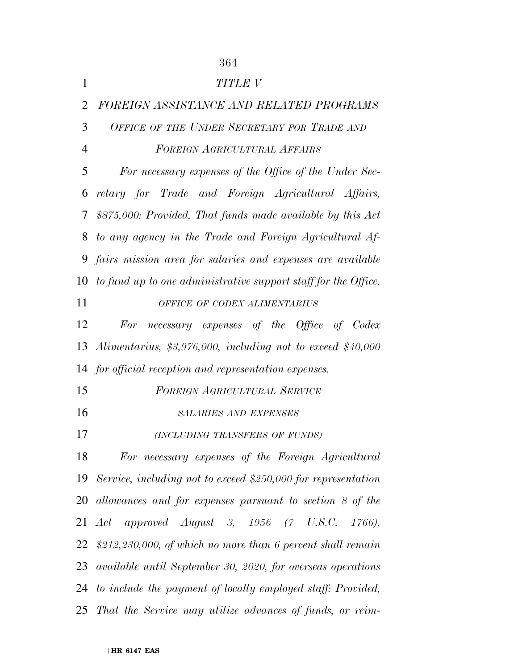|                | 364                                                               |
|----------------|-------------------------------------------------------------------|
| $\mathbf{1}$   | TITLE V                                                           |
| $\overline{2}$ | FOREIGN ASSISTANCE AND RELATED PROGRAMS                           |
| 3              | OFFICE OF THE UNDER SECRETARY FOR TRADE AND                       |
| $\overline{4}$ | FOREIGN AGRICULTURAL AFFAIRS                                      |
| 5              | For necessary expenses of the Office of the Under Sec-            |
| 6              | retary for Trade and Foreign Agricultural Affairs,                |
| 7              | \$875,000: Provided, That funds made available by this Act        |
| 8              | to any agency in the Trade and Foreign Agricultural Af-           |
|                | 9 fairs mission area for salaries and expenses are available      |
|                | 10 to fund up to one administrative support staff for the Office. |
| 11             | OFFICE OF CODEX ALIMENTARIUS                                      |
| 12             | For necessary expenses of the Office of Codex                     |
|                | 13 Alimentarius, $$3,976,000$ , including not to exceed $$40,000$ |
|                | 14 for official reception and representation expenses.            |
| 15             | <b>FOREIGN AGRICULTURAL SERVICE</b>                               |
| 16             | <b>SALARIES AND EXPENSES</b>                                      |
| 17             | (INCLUDING TRANSFERS OF FUNDS)                                    |
| 18             | For necessary expenses of the Foreign Agricultural                |
| 19             | Service, including not to exceed \$250,000 for representation     |
| 20             | allowances and for expenses pursuant to section 8 of the          |
|                | 21 Act approved August 3, 1956 (7 U.S.C. 1766),                   |
|                | 22 $$212,230,000,$ of which no more than 6 percent shall remain   |
|                | 23 available until September 30, 2020, for overseas operations    |
|                | 24 to include the payment of locally employed staff: Provided,    |
|                | 25 That the Service may utilize advances of funds, or reim-       |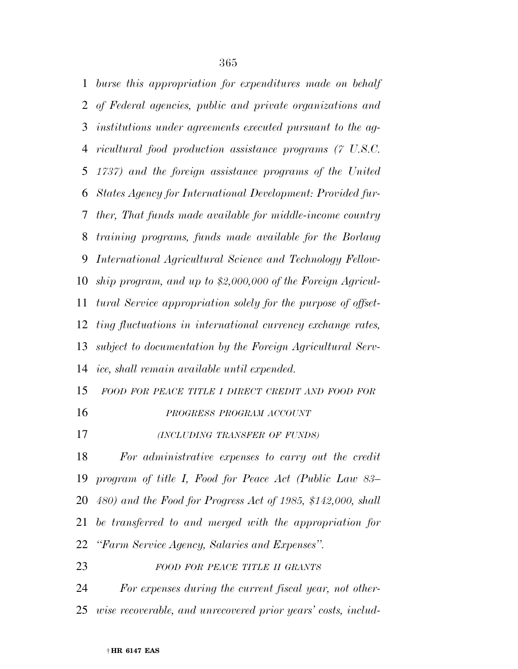*burse this appropriation for expenditures made on behalf of Federal agencies, public and private organizations and institutions under agreements executed pursuant to the ag- ricultural food production assistance programs (7 U.S.C. 1737) and the foreign assistance programs of the United States Agency for International Development: Provided fur- ther, That funds made available for middle-income country training programs, funds made available for the Borlaug International Agricultural Science and Technology Fellow- ship program, and up to \$2,000,000 of the Foreign Agricul- tural Service appropriation solely for the purpose of offset- ting fluctuations in international currency exchange rates, subject to documentation by the Foreign Agricultural Serv- ice, shall remain available until expended. FOOD FOR PEACE TITLE I DIRECT CREDIT AND FOOD FOR PROGRESS PROGRAM ACCOUNT (INCLUDING TRANSFER OF FUNDS) For administrative expenses to carry out the credit program of title I, Food for Peace Act (Public Law 83– 480) and the Food for Progress Act of 1985, \$142,000, shall be transferred to and merged with the appropriation for ''Farm Service Agency, Salaries and Expenses''.* 

*FOOD FOR PEACE TITLE II GRANTS*

 *For expenses during the current fiscal year, not other-wise recoverable, and unrecovered prior years' costs, includ-*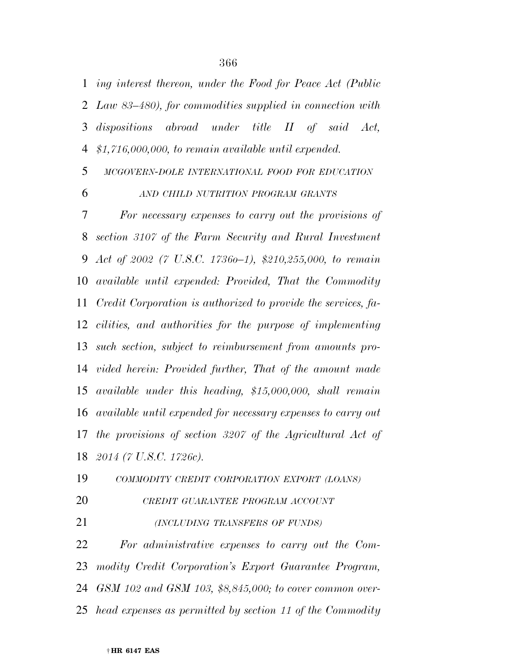*ing interest thereon, under the Food for Peace Act (Public Law 83–480), for commodities supplied in connection with dispositions abroad under title II of said Act, \$1,716,000,000, to remain available until expended.* 

*MCGOVERN-DOLE INTERNATIONAL FOOD FOR EDUCATION*

#### *AND CHILD NUTRITION PROGRAM GRANTS*

 *For necessary expenses to carry out the provisions of section 3107 of the Farm Security and Rural Investment Act of 2002 (7 U.S.C. 1736o–1), \$210,255,000, to remain available until expended: Provided, That the Commodity Credit Corporation is authorized to provide the services, fa- cilities, and authorities for the purpose of implementing such section, subject to reimbursement from amounts pro- vided herein: Provided further, That of the amount made available under this heading, \$15,000,000, shall remain available until expended for necessary expenses to carry out the provisions of section 3207 of the Agricultural Act of 2014 (7 U.S.C. 1726c).* 

*COMMODITY CREDIT CORPORATION EXPORT (LOANS)*

- *CREDIT GUARANTEE PROGRAM ACCOUNT*
- *(INCLUDING TRANSFERS OF FUNDS)*

 *For administrative expenses to carry out the Com- modity Credit Corporation's Export Guarantee Program, GSM 102 and GSM 103, \$8,845,000; to cover common over-head expenses as permitted by section 11 of the Commodity*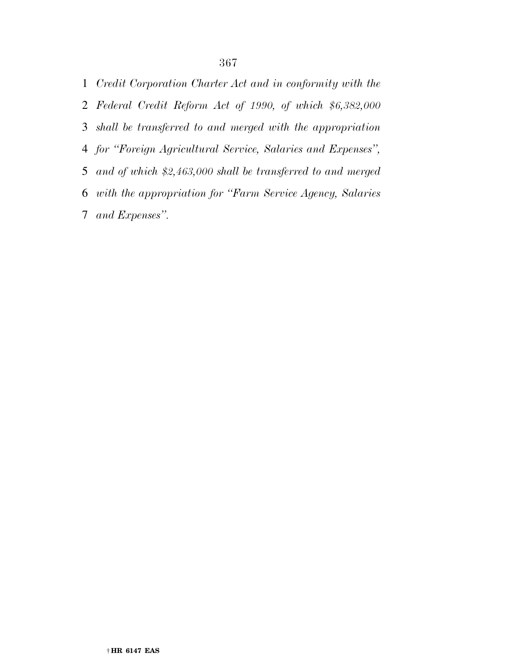*Credit Corporation Charter Act and in conformity with the Federal Credit Reform Act of 1990, of which \$6,382,000 shall be transferred to and merged with the appropriation for ''Foreign Agricultural Service, Salaries and Expenses'', and of which \$2,463,000 shall be transferred to and merged with the appropriation for ''Farm Service Agency, Salaries and Expenses''.*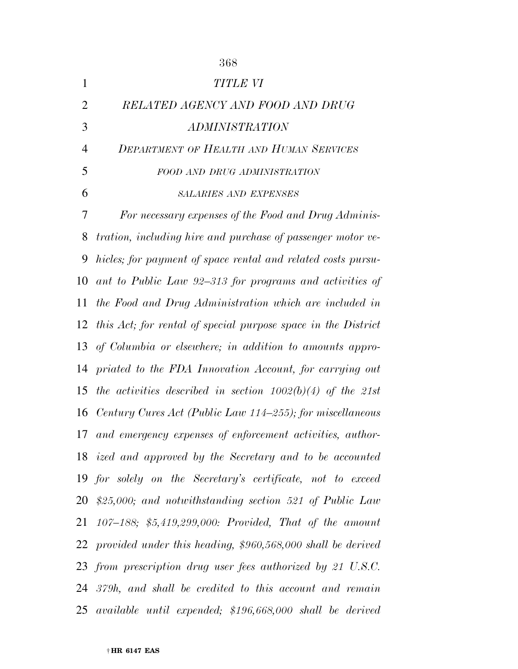| $\mathbf{1}$   | <b>TITLE VI</b>                                                |
|----------------|----------------------------------------------------------------|
| $\overline{2}$ | RELATED AGENCY AND FOOD AND DRUG                               |
| 3              | ADMINISTRATION                                                 |
| $\overline{4}$ | <b>DEPARTMENT OF HEALTH AND HUMAN SERVICES</b>                 |
| 5              | FOOD AND DRUG ADMINISTRATION                                   |
| 6              | <b>SALARIES AND EXPENSES</b>                                   |
| 7              | For necessary expenses of the Food and Drug Adminis-           |
| 8              | tration, including hire and purchase of passenger motor ve-    |
| 9              | hicles; for payment of space rental and related costs pursu-   |
| 10             | ant to Public Law 92–313 for programs and activities of        |
| 11             | the Food and Drug Administration which are included in         |
| 12             | this Act; for rental of special purpose space in the District  |
| 13             | of Columbia or elsewhere; in addition to amounts appro-        |
| 14             | priated to the FDA Innovation Account, for carrying out        |
| 15             | the activities described in section $1002(b)(4)$ of the 21st   |
|                | 16 Century Cures Act (Public Law 114–255); for miscellaneous   |
| 17             | and emergency expenses of enforcement activities, author-      |
|                | 18 ized and approved by the Secretary and to be accounted      |
|                | 19 for solely on the Secretary's certificate, not to exceed    |
|                | 20 \$25,000; and notwithstanding section 521 of Public Law     |
|                | 21 107–188; \$5,419,299,000: Provided, That of the amount      |
|                | 22 provided under this heading, \$960,568,000 shall be derived |
|                | 23 from prescription drug user fees authorized by 21 U.S.C.    |
|                | $24$ 379h, and shall be credited to this account and remain    |
|                | 25 available until expended; \$196,668,000 shall be derived    |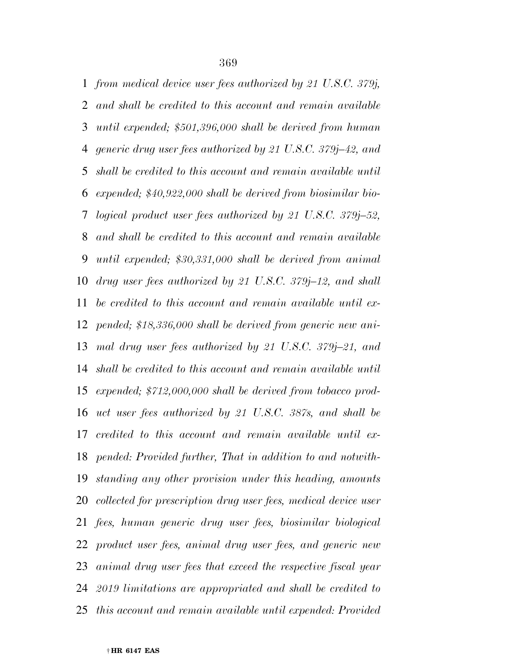*from medical device user fees authorized by 21 U.S.C. 379j, and shall be credited to this account and remain available until expended; \$501,396,000 shall be derived from human generic drug user fees authorized by 21 U.S.C. 379j–42, and shall be credited to this account and remain available until expended; \$40,922,000 shall be derived from biosimilar bio- logical product user fees authorized by 21 U.S.C. 379j–52, and shall be credited to this account and remain available until expended; \$30,331,000 shall be derived from animal drug user fees authorized by 21 U.S.C. 379j–12, and shall be credited to this account and remain available until ex- pended; \$18,336,000 shall be derived from generic new ani- mal drug user fees authorized by 21 U.S.C. 379j–21, and shall be credited to this account and remain available until expended; \$712,000,000 shall be derived from tobacco prod- uct user fees authorized by 21 U.S.C. 387s, and shall be credited to this account and remain available until ex- pended: Provided further, That in addition to and notwith- standing any other provision under this heading, amounts collected for prescription drug user fees, medical device user fees, human generic drug user fees, biosimilar biological product user fees, animal drug user fees, and generic new animal drug user fees that exceed the respective fiscal year 2019 limitations are appropriated and shall be credited to this account and remain available until expended: Provided*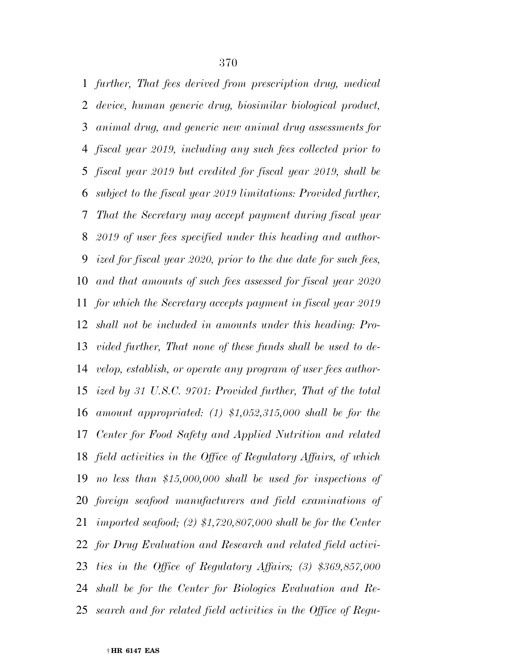*further, That fees derived from prescription drug, medical device, human generic drug, biosimilar biological product, animal drug, and generic new animal drug assessments for fiscal year 2019, including any such fees collected prior to fiscal year 2019 but credited for fiscal year 2019, shall be subject to the fiscal year 2019 limitations: Provided further, That the Secretary may accept payment during fiscal year 2019 of user fees specified under this heading and author- ized for fiscal year 2020, prior to the due date for such fees, and that amounts of such fees assessed for fiscal year 2020 for which the Secretary accepts payment in fiscal year 2019 shall not be included in amounts under this heading: Pro- vided further, That none of these funds shall be used to de- velop, establish, or operate any program of user fees author- ized by 31 U.S.C. 9701: Provided further, That of the total amount appropriated: (1) \$1,052,315,000 shall be for the Center for Food Safety and Applied Nutrition and related field activities in the Office of Regulatory Affairs, of which no less than \$15,000,000 shall be used for inspections of foreign seafood manufacturers and field examinations of imported seafood; (2) \$1,720,807,000 shall be for the Center for Drug Evaluation and Research and related field activi- ties in the Office of Regulatory Affairs; (3) \$369,857,000 shall be for the Center for Biologics Evaluation and Re-search and for related field activities in the Office of Regu-*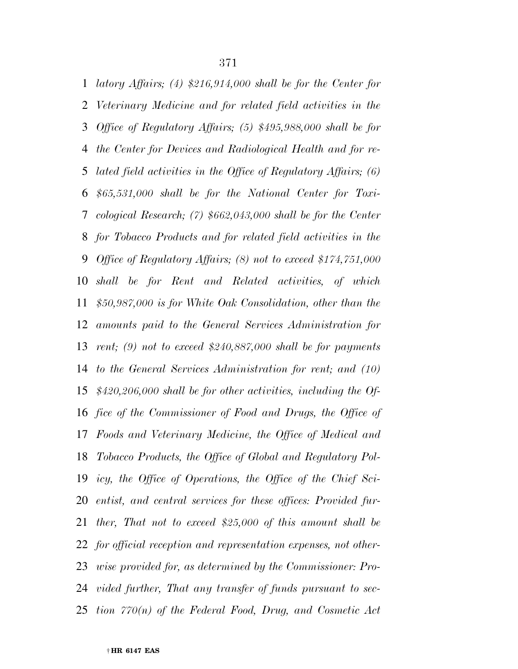*latory Affairs; (4) \$216,914,000 shall be for the Center for Veterinary Medicine and for related field activities in the Office of Regulatory Affairs; (5) \$495,988,000 shall be for the Center for Devices and Radiological Health and for re- lated field activities in the Office of Regulatory Affairs; (6) \$65,531,000 shall be for the National Center for Toxi- cological Research; (7) \$662,043,000 shall be for the Center for Tobacco Products and for related field activities in the Office of Regulatory Affairs; (8) not to exceed \$174,751,000 shall be for Rent and Related activities, of which \$50,987,000 is for White Oak Consolidation, other than the amounts paid to the General Services Administration for rent; (9) not to exceed \$240,887,000 shall be for payments to the General Services Administration for rent; and (10) \$420,206,000 shall be for other activities, including the Of- fice of the Commissioner of Food and Drugs, the Office of Foods and Veterinary Medicine, the Office of Medical and Tobacco Products, the Office of Global and Regulatory Pol- icy, the Office of Operations, the Office of the Chief Sci- entist, and central services for these offices: Provided fur- ther, That not to exceed \$25,000 of this amount shall be for official reception and representation expenses, not other- wise provided for, as determined by the Commissioner: Pro- vided further, That any transfer of funds pursuant to sec-tion 770(n) of the Federal Food, Drug, and Cosmetic Act*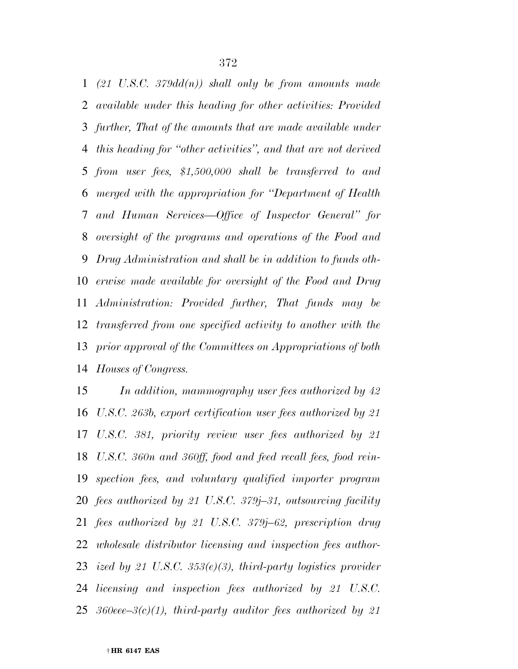*(21 U.S.C. 379dd(n)) shall only be from amounts made available under this heading for other activities: Provided further, That of the amounts that are made available under this heading for ''other activities'', and that are not derived from user fees, \$1,500,000 shall be transferred to and merged with the appropriation for ''Department of Health and Human Services—Office of Inspector General'' for oversight of the programs and operations of the Food and Drug Administration and shall be in addition to funds oth- erwise made available for oversight of the Food and Drug Administration: Provided further, That funds may be transferred from one specified activity to another with the prior approval of the Committees on Appropriations of both Houses of Congress.* 

 *In addition, mammography user fees authorized by 42 U.S.C. 263b, export certification user fees authorized by 21 U.S.C. 381, priority review user fees authorized by 21 U.S.C. 360n and 360ff, food and feed recall fees, food rein- spection fees, and voluntary qualified importer program fees authorized by 21 U.S.C. 379j–31, outsourcing facility fees authorized by 21 U.S.C. 379j–62, prescription drug wholesale distributor licensing and inspection fees author- ized by 21 U.S.C. 353(e)(3), third-party logistics provider licensing and inspection fees authorized by 21 U.S.C. 360eee–3(c)(1), third-party auditor fees authorized by 21*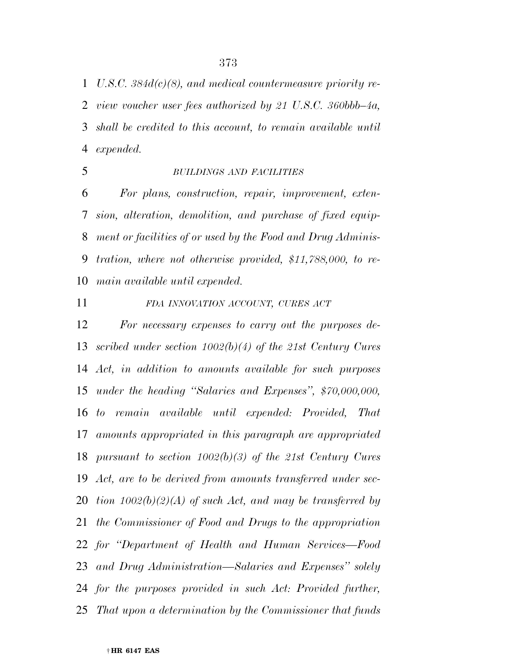*U.S.C. 384d(c)(8), and medical countermeasure priority re- view voucher user fees authorized by 21 U.S.C. 360bbb–4a, shall be credited to this account, to remain available until expended.* 

#### *BUILDINGS AND FACILITIES*

 *For plans, construction, repair, improvement, exten- sion, alteration, demolition, and purchase of fixed equip- ment or facilities of or used by the Food and Drug Adminis- tration, where not otherwise provided, \$11,788,000, to re-main available until expended.* 

## *FDA INNOVATION ACCOUNT, CURES ACT*

 *For necessary expenses to carry out the purposes de- scribed under section 1002(b)(4) of the 21st Century Cures Act, in addition to amounts available for such purposes under the heading ''Salaries and Expenses'', \$70,000,000, to remain available until expended: Provided, That amounts appropriated in this paragraph are appropriated pursuant to section 1002(b)(3) of the 21st Century Cures Act, are to be derived from amounts transferred under sec- tion 1002(b)(2)(A) of such Act, and may be transferred by the Commissioner of Food and Drugs to the appropriation for ''Department of Health and Human Services—Food and Drug Administration—Salaries and Expenses'' solely for the purposes provided in such Act: Provided further, That upon a determination by the Commissioner that funds*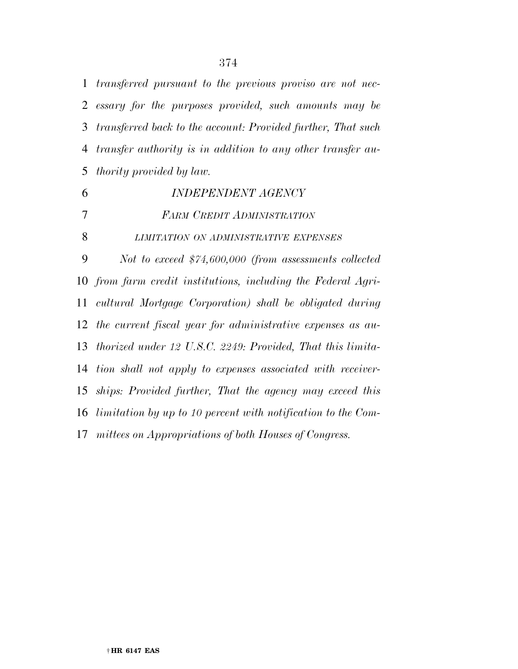*transferred pursuant to the previous proviso are not nec- essary for the purposes provided, such amounts may be transferred back to the account: Provided further, That such transfer authority is in addition to any other transfer au-thority provided by law.* 

 *INDEPENDENT AGENCY FARM CREDIT ADMINISTRATION LIMITATION ON ADMINISTRATIVE EXPENSES Not to exceed \$74,600,000 (from assessments collected from farm credit institutions, including the Federal Agri- cultural Mortgage Corporation) shall be obligated during the current fiscal year for administrative expenses as au- thorized under 12 U.S.C. 2249: Provided, That this limita- tion shall not apply to expenses associated with receiver- ships: Provided further, That the agency may exceed this limitation by up to 10 percent with notification to the Com-mittees on Appropriations of both Houses of Congress.*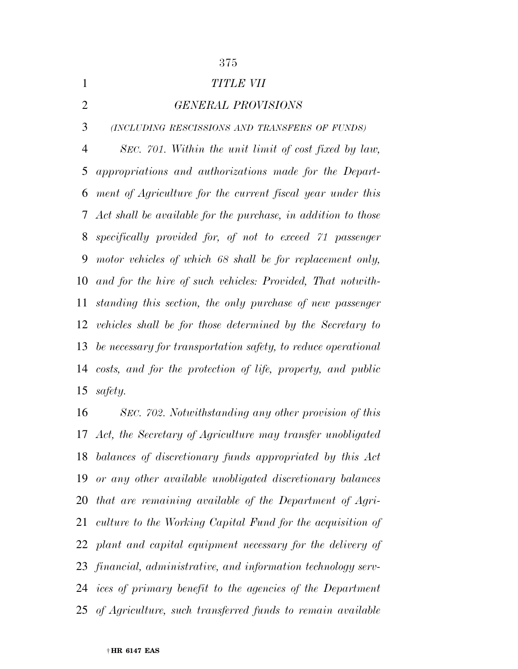*TITLE VII* 

# *GENERAL PROVISIONS*

*(INCLUDING RESCISSIONS AND TRANSFERS OF FUNDS)*

 *SEC. 701. Within the unit limit of cost fixed by law, appropriations and authorizations made for the Depart- ment of Agriculture for the current fiscal year under this Act shall be available for the purchase, in addition to those specifically provided for, of not to exceed 71 passenger motor vehicles of which 68 shall be for replacement only, and for the hire of such vehicles: Provided, That notwith- standing this section, the only purchase of new passenger vehicles shall be for those determined by the Secretary to be necessary for transportation safety, to reduce operational costs, and for the protection of life, property, and public safety.* 

 *SEC. 702. Notwithstanding any other provision of this Act, the Secretary of Agriculture may transfer unobligated balances of discretionary funds appropriated by this Act or any other available unobligated discretionary balances that are remaining available of the Department of Agri- culture to the Working Capital Fund for the acquisition of plant and capital equipment necessary for the delivery of financial, administrative, and information technology serv- ices of primary benefit to the agencies of the Department of Agriculture, such transferred funds to remain available*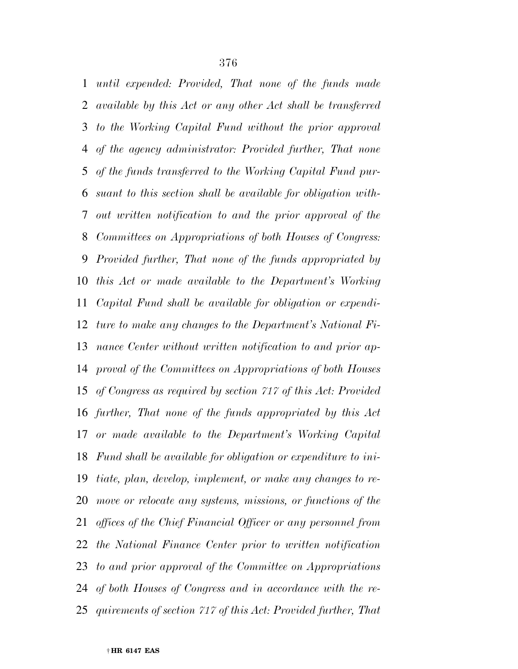*until expended: Provided, That none of the funds made available by this Act or any other Act shall be transferred to the Working Capital Fund without the prior approval of the agency administrator: Provided further, That none of the funds transferred to the Working Capital Fund pur- suant to this section shall be available for obligation with- out written notification to and the prior approval of the Committees on Appropriations of both Houses of Congress: Provided further, That none of the funds appropriated by this Act or made available to the Department's Working Capital Fund shall be available for obligation or expendi- ture to make any changes to the Department's National Fi- nance Center without written notification to and prior ap- proval of the Committees on Appropriations of both Houses of Congress as required by section 717 of this Act: Provided further, That none of the funds appropriated by this Act or made available to the Department's Working Capital Fund shall be available for obligation or expenditure to ini- tiate, plan, develop, implement, or make any changes to re- move or relocate any systems, missions, or functions of the offices of the Chief Financial Officer or any personnel from the National Finance Center prior to written notification to and prior approval of the Committee on Appropriations of both Houses of Congress and in accordance with the re-quirements of section 717 of this Act: Provided further, That*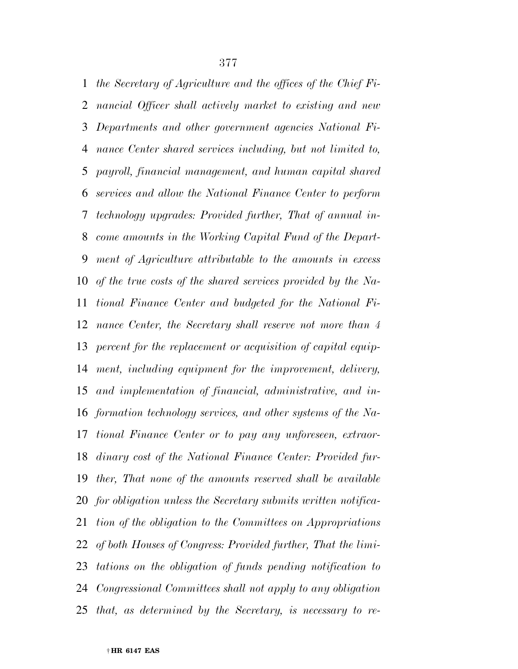*the Secretary of Agriculture and the offices of the Chief Fi- nancial Officer shall actively market to existing and new Departments and other government agencies National Fi- nance Center shared services including, but not limited to, payroll, financial management, and human capital shared services and allow the National Finance Center to perform technology upgrades: Provided further, That of annual in- come amounts in the Working Capital Fund of the Depart- ment of Agriculture attributable to the amounts in excess of the true costs of the shared services provided by the Na- tional Finance Center and budgeted for the National Fi- nance Center, the Secretary shall reserve not more than 4 percent for the replacement or acquisition of capital equip- ment, including equipment for the improvement, delivery, and implementation of financial, administrative, and in- formation technology services, and other systems of the Na- tional Finance Center or to pay any unforeseen, extraor- dinary cost of the National Finance Center: Provided fur- ther, That none of the amounts reserved shall be available for obligation unless the Secretary submits written notifica- tion of the obligation to the Committees on Appropriations of both Houses of Congress: Provided further, That the limi- tations on the obligation of funds pending notification to Congressional Committees shall not apply to any obligation that, as determined by the Secretary, is necessary to re-*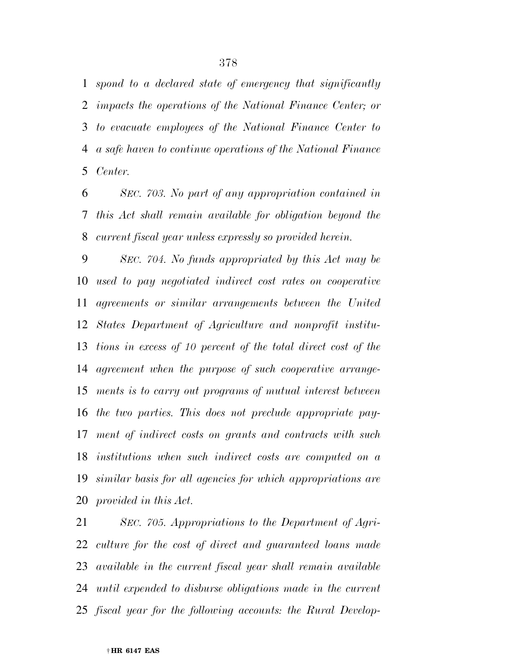*spond to a declared state of emergency that significantly impacts the operations of the National Finance Center; or to evacuate employees of the National Finance Center to a safe haven to continue operations of the National Finance Center.* 

 *SEC. 703. No part of any appropriation contained in this Act shall remain available for obligation beyond the current fiscal year unless expressly so provided herein.* 

 *SEC. 704. No funds appropriated by this Act may be used to pay negotiated indirect cost rates on cooperative agreements or similar arrangements between the United States Department of Agriculture and nonprofit institu- tions in excess of 10 percent of the total direct cost of the agreement when the purpose of such cooperative arrange- ments is to carry out programs of mutual interest between the two parties. This does not preclude appropriate pay- ment of indirect costs on grants and contracts with such institutions when such indirect costs are computed on a similar basis for all agencies for which appropriations are provided in this Act.* 

 *SEC. 705. Appropriations to the Department of Agri- culture for the cost of direct and guaranteed loans made available in the current fiscal year shall remain available until expended to disburse obligations made in the current fiscal year for the following accounts: the Rural Develop-*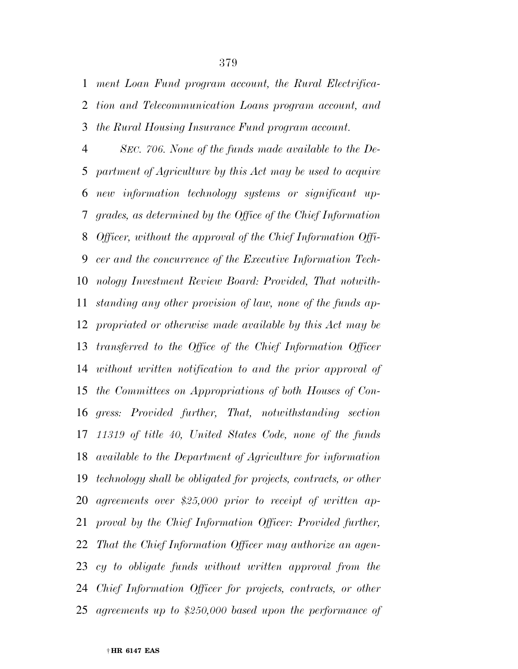*ment Loan Fund program account, the Rural Electrifica- tion and Telecommunication Loans program account, and the Rural Housing Insurance Fund program account.* 

 *SEC. 706. None of the funds made available to the De- partment of Agriculture by this Act may be used to acquire new information technology systems or significant up- grades, as determined by the Office of the Chief Information Officer, without the approval of the Chief Information Offi- cer and the concurrence of the Executive Information Tech- nology Investment Review Board: Provided, That notwith- standing any other provision of law, none of the funds ap- propriated or otherwise made available by this Act may be transferred to the Office of the Chief Information Officer without written notification to and the prior approval of the Committees on Appropriations of both Houses of Con- gress: Provided further, That, notwithstanding section 11319 of title 40, United States Code, none of the funds available to the Department of Agriculture for information technology shall be obligated for projects, contracts, or other agreements over \$25,000 prior to receipt of written ap- proval by the Chief Information Officer: Provided further, That the Chief Information Officer may authorize an agen- cy to obligate funds without written approval from the Chief Information Officer for projects, contracts, or other agreements up to \$250,000 based upon the performance of*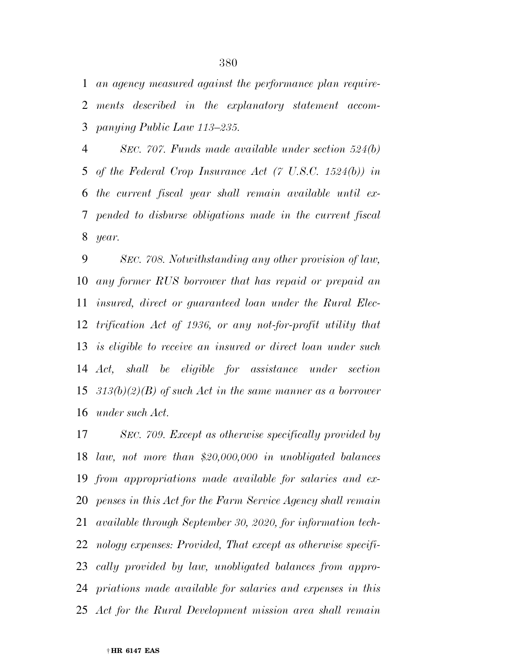*an agency measured against the performance plan require- ments described in the explanatory statement accom-panying Public Law 113–235.* 

 *SEC. 707. Funds made available under section 524(b) of the Federal Crop Insurance Act (7 U.S.C. 1524(b)) in the current fiscal year shall remain available until ex- pended to disburse obligations made in the current fiscal year.* 

 *SEC. 708. Notwithstanding any other provision of law, any former RUS borrower that has repaid or prepaid an insured, direct or guaranteed loan under the Rural Elec- trification Act of 1936, or any not-for-profit utility that is eligible to receive an insured or direct loan under such Act, shall be eligible for assistance under section 313(b)(2)(B) of such Act in the same manner as a borrower under such Act.* 

 *SEC. 709. Except as otherwise specifically provided by law, not more than \$20,000,000 in unobligated balances from appropriations made available for salaries and ex- penses in this Act for the Farm Service Agency shall remain available through September 30, 2020, for information tech- nology expenses: Provided, That except as otherwise specifi- cally provided by law, unobligated balances from appro- priations made available for salaries and expenses in this Act for the Rural Development mission area shall remain*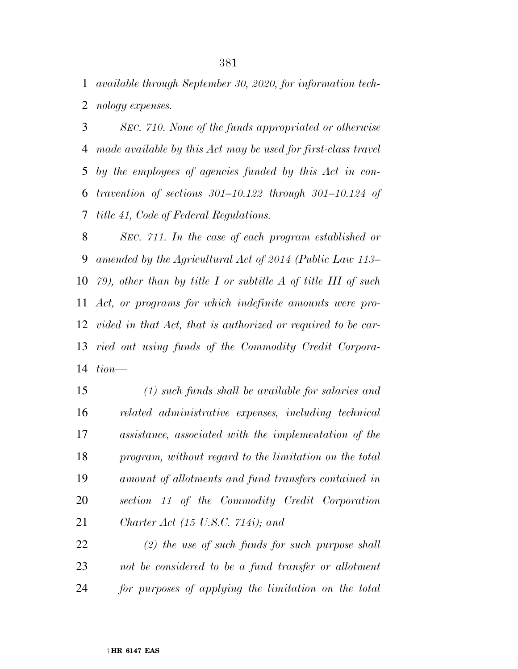*available through September 30, 2020, for information tech-nology expenses.* 

 *SEC. 710. None of the funds appropriated or otherwise made available by this Act may be used for first-class travel by the employees of agencies funded by this Act in con- travention of sections 301–10.122 through 301–10.124 of title 41, Code of Federal Regulations.* 

 *SEC. 711. In the case of each program established or amended by the Agricultural Act of 2014 (Public Law 113– 79), other than by title I or subtitle A of title III of such Act, or programs for which indefinite amounts were pro- vided in that Act, that is authorized or required to be car- ried out using funds of the Commodity Credit Corpora-tion—* 

 *(1) such funds shall be available for salaries and related administrative expenses, including technical assistance, associated with the implementation of the program, without regard to the limitation on the total amount of allotments and fund transfers contained in section 11 of the Commodity Credit Corporation Charter Act (15 U.S.C. 714i); and* 

 *(2) the use of such funds for such purpose shall not be considered to be a fund transfer or allotment for purposes of applying the limitation on the total*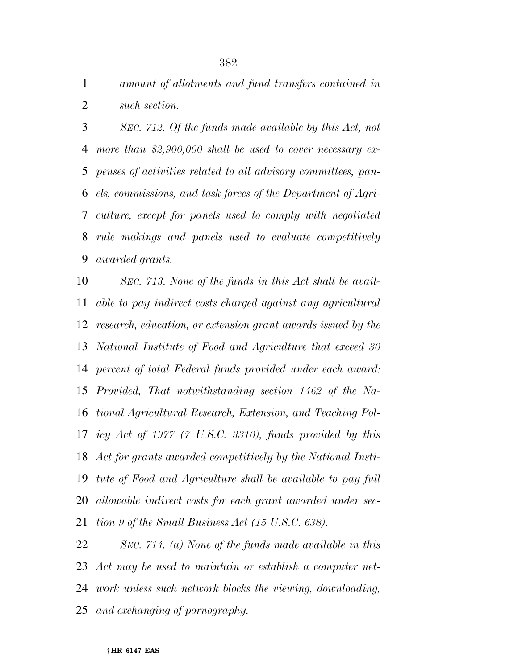*amount of allotments and fund transfers contained in such section.* 

 *SEC. 712. Of the funds made available by this Act, not more than \$2,900,000 shall be used to cover necessary ex- penses of activities related to all advisory committees, pan- els, commissions, and task forces of the Department of Agri- culture, except for panels used to comply with negotiated rule makings and panels used to evaluate competitively awarded grants.* 

 *SEC. 713. None of the funds in this Act shall be avail- able to pay indirect costs charged against any agricultural research, education, or extension grant awards issued by the National Institute of Food and Agriculture that exceed 30 percent of total Federal funds provided under each award: Provided, That notwithstanding section 1462 of the Na- tional Agricultural Research, Extension, and Teaching Pol- icy Act of 1977 (7 U.S.C. 3310), funds provided by this Act for grants awarded competitively by the National Insti- tute of Food and Agriculture shall be available to pay full allowable indirect costs for each grant awarded under sec-tion 9 of the Small Business Act (15 U.S.C. 638).* 

 *SEC. 714. (a) None of the funds made available in this Act may be used to maintain or establish a computer net- work unless such network blocks the viewing, downloading, and exchanging of pornography.*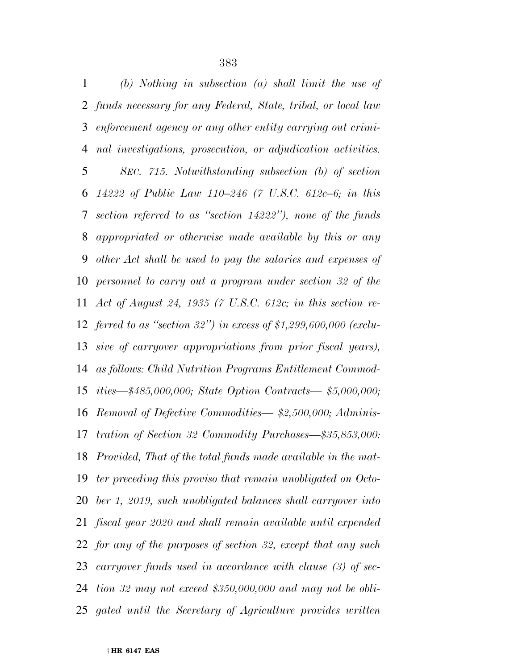*(b) Nothing in subsection (a) shall limit the use of funds necessary for any Federal, State, tribal, or local law enforcement agency or any other entity carrying out crimi- nal investigations, prosecution, or adjudication activities. SEC. 715. Notwithstanding subsection (b) of section 14222 of Public Law 110–246 (7 U.S.C. 612c–6; in this section referred to as ''section 14222''), none of the funds appropriated or otherwise made available by this or any other Act shall be used to pay the salaries and expenses of personnel to carry out a program under section 32 of the Act of August 24, 1935 (7 U.S.C. 612c; in this section re- ferred to as ''section 32'') in excess of \$1,299,600,000 (exclu- sive of carryover appropriations from prior fiscal years), as follows: Child Nutrition Programs Entitlement Commod- ities—\$485,000,000; State Option Contracts— \$5,000,000; Removal of Defective Commodities— \$2,500,000; Adminis- tration of Section 32 Commodity Purchases—\$35,853,000: Provided, That of the total funds made available in the mat- ter preceding this proviso that remain unobligated on Octo- ber 1, 2019, such unobligated balances shall carryover into fiscal year 2020 and shall remain available until expended for any of the purposes of section 32, except that any such carryover funds used in accordance with clause (3) of sec- tion 32 may not exceed \$350,000,000 and may not be obli-gated until the Secretary of Agriculture provides written*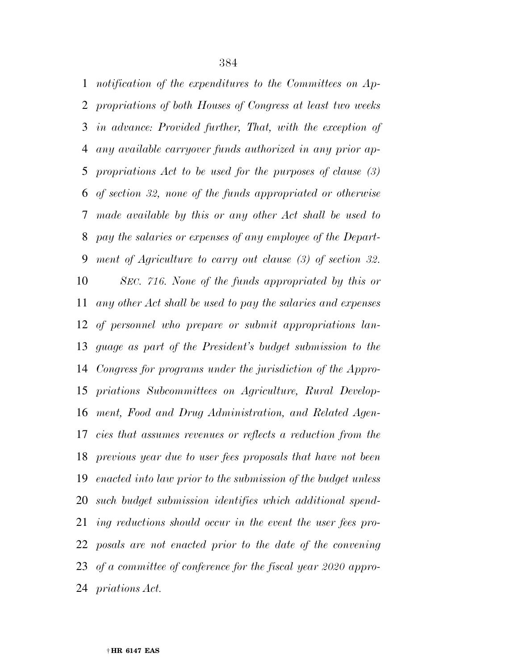*notification of the expenditures to the Committees on Ap- propriations of both Houses of Congress at least two weeks in advance: Provided further, That, with the exception of any available carryover funds authorized in any prior ap- propriations Act to be used for the purposes of clause (3) of section 32, none of the funds appropriated or otherwise made available by this or any other Act shall be used to pay the salaries or expenses of any employee of the Depart- ment of Agriculture to carry out clause (3) of section 32. SEC. 716. None of the funds appropriated by this or any other Act shall be used to pay the salaries and expenses of personnel who prepare or submit appropriations lan- guage as part of the President's budget submission to the Congress for programs under the jurisdiction of the Appro- priations Subcommittees on Agriculture, Rural Develop- ment, Food and Drug Administration, and Related Agen- cies that assumes revenues or reflects a reduction from the previous year due to user fees proposals that have not been enacted into law prior to the submission of the budget unless such budget submission identifies which additional spend- ing reductions should occur in the event the user fees pro- posals are not enacted prior to the date of the convening of a committee of conference for the fiscal year 2020 appro-priations Act.*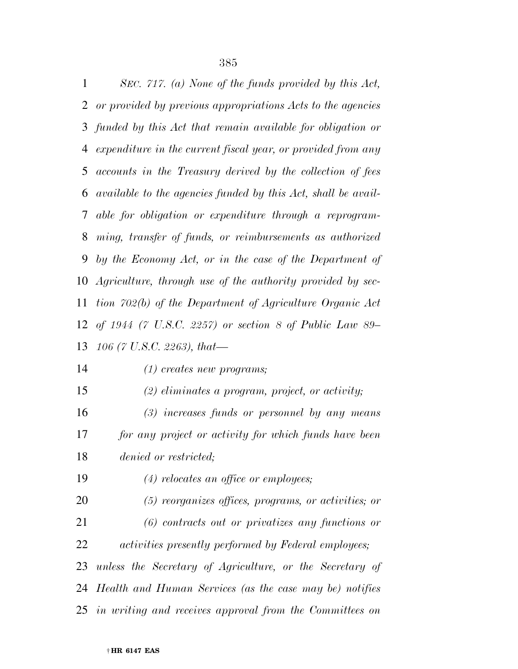*SEC. 717. (a) None of the funds provided by this Act, or provided by previous appropriations Acts to the agencies funded by this Act that remain available for obligation or expenditure in the current fiscal year, or provided from any accounts in the Treasury derived by the collection of fees available to the agencies funded by this Act, shall be avail- able for obligation or expenditure through a reprogram- ming, transfer of funds, or reimbursements as authorized by the Economy Act, or in the case of the Department of Agriculture, through use of the authority provided by sec- tion 702(b) of the Department of Agriculture Organic Act of 1944 (7 U.S.C. 2257) or section 8 of Public Law 89– 106 (7 U.S.C. 2263), that—* 

*(1) creates new programs;* 

*(2) eliminates a program, project, or activity;* 

 *(3) increases funds or personnel by any means for any project or activity for which funds have been denied or restricted;* 

- *(4) relocates an office or employees;*
- *(5) reorganizes offices, programs, or activities; or (6) contracts out or privatizes any functions or activities presently performed by Federal employees;*

 *unless the Secretary of Agriculture, or the Secretary of Health and Human Services (as the case may be) notifies in writing and receives approval from the Committees on*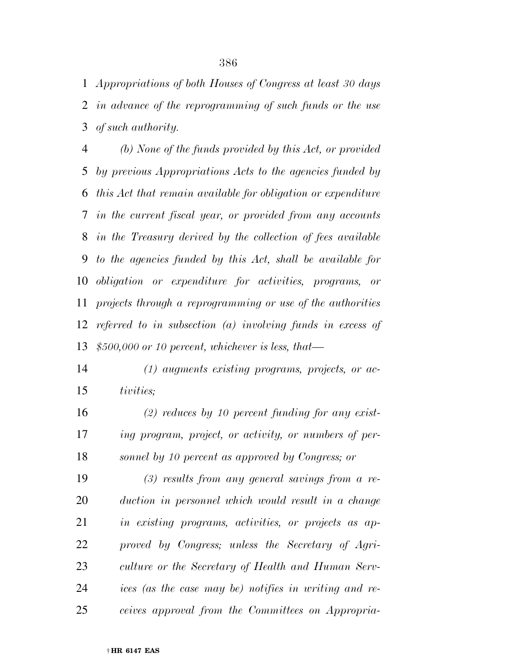*Appropriations of both Houses of Congress at least 30 days in advance of the reprogramming of such funds or the use of such authority.* 

 *(b) None of the funds provided by this Act, or provided by previous Appropriations Acts to the agencies funded by this Act that remain available for obligation or expenditure in the current fiscal year, or provided from any accounts in the Treasury derived by the collection of fees available to the agencies funded by this Act, shall be available for obligation or expenditure for activities, programs, or projects through a reprogramming or use of the authorities referred to in subsection (a) involving funds in excess of \$500,000 or 10 percent, whichever is less, that—* 

 *(1) augments existing programs, projects, or ac-tivities;* 

 *(2) reduces by 10 percent funding for any exist- ing program, project, or activity, or numbers of per-sonnel by 10 percent as approved by Congress; or* 

 *(3) results from any general savings from a re- duction in personnel which would result in a change in existing programs, activities, or projects as ap- proved by Congress; unless the Secretary of Agri- culture or the Secretary of Health and Human Serv- ices (as the case may be) notifies in writing and re-ceives approval from the Committees on Appropria-*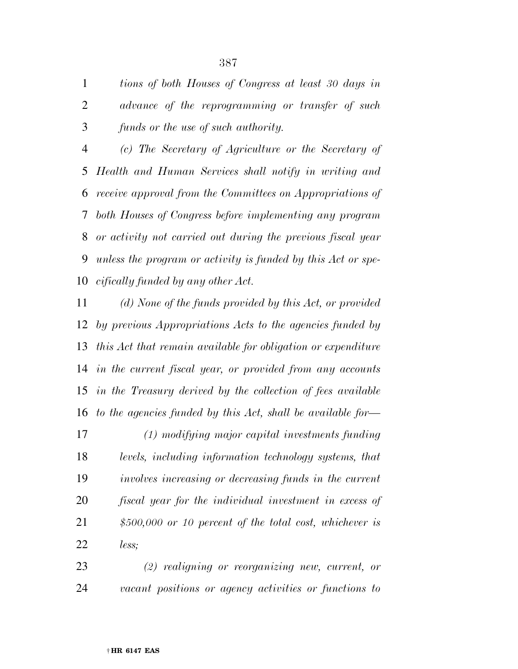*tions of both Houses of Congress at least 30 days in advance of the reprogramming or transfer of such funds or the use of such authority.* 

 *(c) The Secretary of Agriculture or the Secretary of Health and Human Services shall notify in writing and receive approval from the Committees on Appropriations of both Houses of Congress before implementing any program or activity not carried out during the previous fiscal year unless the program or activity is funded by this Act or spe-cifically funded by any other Act.* 

 *(d) None of the funds provided by this Act, or provided by previous Appropriations Acts to the agencies funded by this Act that remain available for obligation or expenditure in the current fiscal year, or provided from any accounts in the Treasury derived by the collection of fees available to the agencies funded by this Act, shall be available for—* 

 *(1) modifying major capital investments funding levels, including information technology systems, that involves increasing or decreasing funds in the current fiscal year for the individual investment in excess of \$500,000 or 10 percent of the total cost, whichever is less;* 

 *(2) realigning or reorganizing new, current, or vacant positions or agency activities or functions to*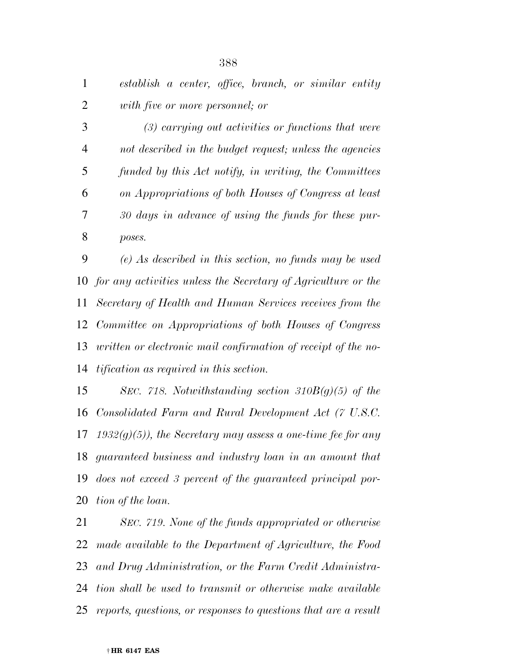*establish a center, office, branch, or similar entity with five or more personnel; or* 

 *(3) carrying out activities or functions that were not described in the budget request; unless the agencies funded by this Act notify, in writing, the Committees on Appropriations of both Houses of Congress at least 30 days in advance of using the funds for these pur-poses.* 

 *(e) As described in this section, no funds may be used for any activities unless the Secretary of Agriculture or the Secretary of Health and Human Services receives from the Committee on Appropriations of both Houses of Congress written or electronic mail confirmation of receipt of the no-tification as required in this section.* 

 *SEC. 718. Notwithstanding section 310B(g)(5) of the Consolidated Farm and Rural Development Act (7 U.S.C. 1932(g)(5)), the Secretary may assess a one-time fee for any guaranteed business and industry loan in an amount that does not exceed 3 percent of the guaranteed principal por-tion of the loan.* 

 *SEC. 719. None of the funds appropriated or otherwise made available to the Department of Agriculture, the Food and Drug Administration, or the Farm Credit Administra- tion shall be used to transmit or otherwise make available reports, questions, or responses to questions that are a result*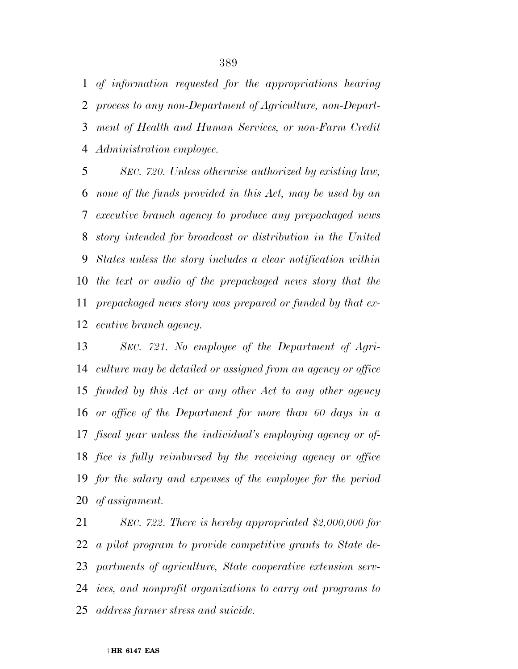*of information requested for the appropriations hearing process to any non-Department of Agriculture, non-Depart- ment of Health and Human Services, or non-Farm Credit Administration employee.* 

 *SEC. 720. Unless otherwise authorized by existing law, none of the funds provided in this Act, may be used by an executive branch agency to produce any prepackaged news story intended for broadcast or distribution in the United States unless the story includes a clear notification within the text or audio of the prepackaged news story that the prepackaged news story was prepared or funded by that ex-ecutive branch agency.* 

 *SEC. 721. No employee of the Department of Agri- culture may be detailed or assigned from an agency or office funded by this Act or any other Act to any other agency or office of the Department for more than 60 days in a fiscal year unless the individual's employing agency or of- fice is fully reimbursed by the receiving agency or office for the salary and expenses of the employee for the period of assignment.* 

 *SEC. 722. There is hereby appropriated \$2,000,000 for a pilot program to provide competitive grants to State de- partments of agriculture, State cooperative extension serv- ices, and nonprofit organizations to carry out programs to address farmer stress and suicide.*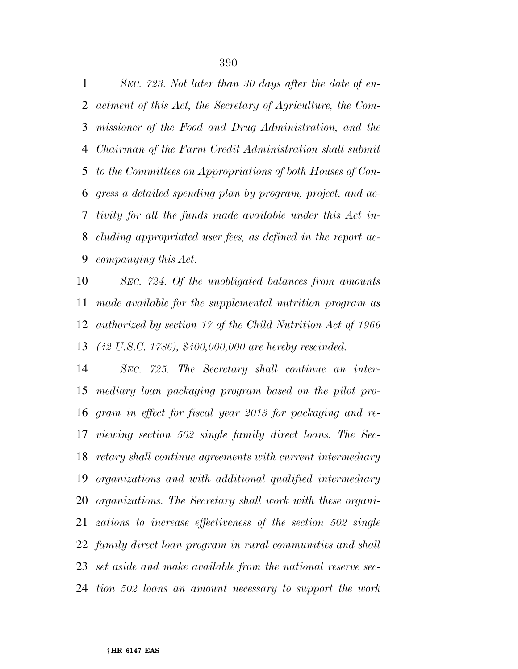*SEC. 723. Not later than 30 days after the date of en- actment of this Act, the Secretary of Agriculture, the Com- missioner of the Food and Drug Administration, and the Chairman of the Farm Credit Administration shall submit to the Committees on Appropriations of both Houses of Con- gress a detailed spending plan by program, project, and ac- tivity for all the funds made available under this Act in- cluding appropriated user fees, as defined in the report ac-companying this Act.* 

 *SEC. 724. Of the unobligated balances from amounts made available for the supplemental nutrition program as authorized by section 17 of the Child Nutrition Act of 1966 (42 U.S.C. 1786), \$400,000,000 are hereby rescinded.* 

 *SEC. 725. The Secretary shall continue an inter- mediary loan packaging program based on the pilot pro- gram in effect for fiscal year 2013 for packaging and re- viewing section 502 single family direct loans. The Sec- retary shall continue agreements with current intermediary organizations and with additional qualified intermediary organizations. The Secretary shall work with these organi- zations to increase effectiveness of the section 502 single family direct loan program in rural communities and shall set aside and make available from the national reserve sec-tion 502 loans an amount necessary to support the work*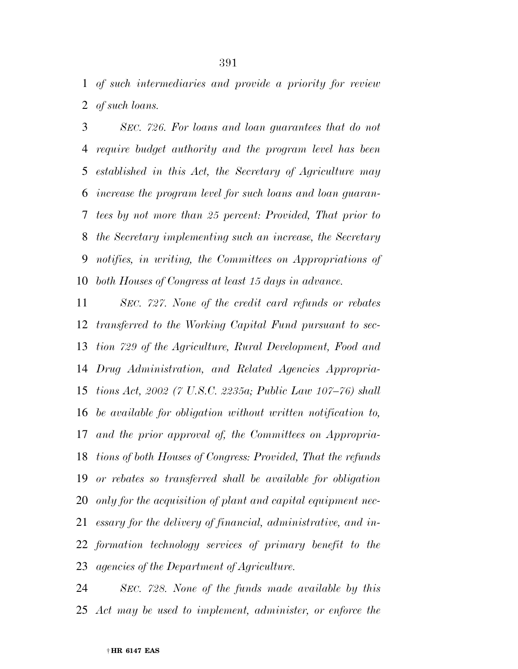*of such intermediaries and provide a priority for review of such loans.* 

 *SEC. 726. For loans and loan guarantees that do not require budget authority and the program level has been established in this Act, the Secretary of Agriculture may increase the program level for such loans and loan guaran- tees by not more than 25 percent: Provided, That prior to the Secretary implementing such an increase, the Secretary notifies, in writing, the Committees on Appropriations of both Houses of Congress at least 15 days in advance.* 

 *SEC. 727. None of the credit card refunds or rebates transferred to the Working Capital Fund pursuant to sec- tion 729 of the Agriculture, Rural Development, Food and Drug Administration, and Related Agencies Appropria- tions Act, 2002 (7 U.S.C. 2235a; Public Law 107–76) shall be available for obligation without written notification to, and the prior approval of, the Committees on Appropria- tions of both Houses of Congress: Provided, That the refunds or rebates so transferred shall be available for obligation only for the acquisition of plant and capital equipment nec- essary for the delivery of financial, administrative, and in- formation technology services of primary benefit to the agencies of the Department of Agriculture.* 

 *SEC. 728. None of the funds made available by this Act may be used to implement, administer, or enforce the*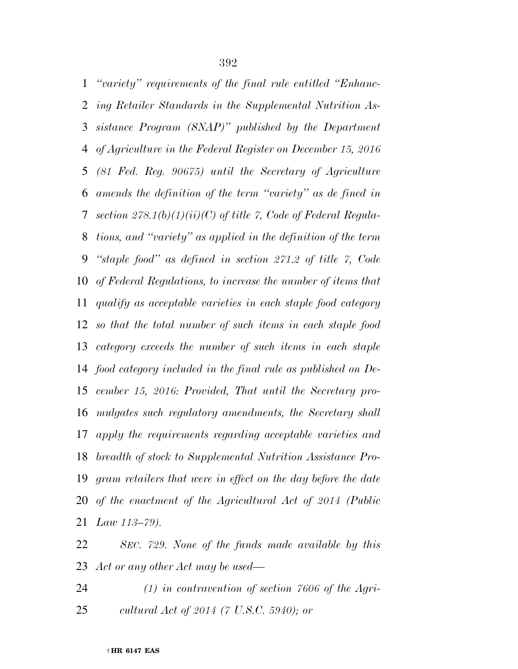*''variety'' requirements of the final rule entitled ''Enhanc- ing Retailer Standards in the Supplemental Nutrition As- sistance Program (SNAP)'' published by the Department of Agriculture in the Federal Register on December 15, 2016 (81 Fed. Reg. 90675) until the Secretary of Agriculture amends the definition of the term ''variety'' as de fined in section 278.1(b)(1)(ii)(C) of title 7, Code of Federal Regula- tions, and ''variety'' as applied in the definition of the term ''staple food'' as defined in section 271.2 of title 7, Code of Federal Regulations, to increase the number of items that qualify as acceptable varieties in each staple food category so that the total number of such items in each staple food category exceeds the number of such items in each staple food category included in the final rule as published on De- cember 15, 2016: Provided, That until the Secretary pro- mulgates such regulatory amendments, the Secretary shall apply the requirements regarding acceptable varieties and breadth of stock to Supplemental Nutrition Assistance Pro- gram retailers that were in effect on the day before the date of the enactment of the Agricultural Act of 2014 (Public Law 113–79).* 

 *SEC. 729. None of the funds made available by this Act or any other Act may be used—* 

 *(1) in contravention of section 7606 of the Agri-cultural Act of 2014 (7 U.S.C. 5940); or*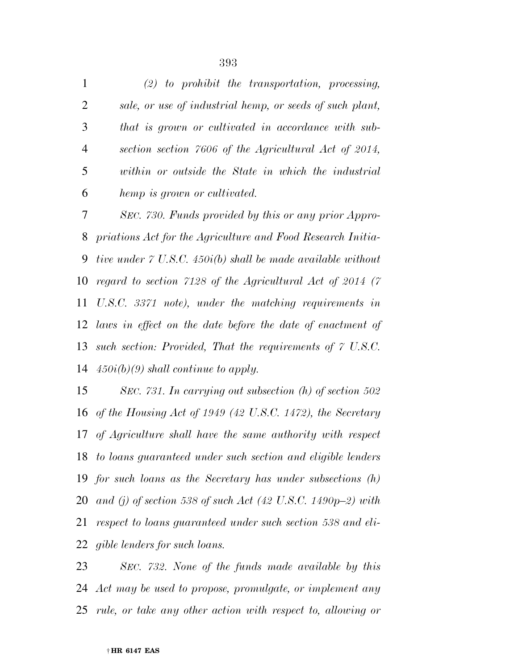*(2) to prohibit the transportation, processing, sale, or use of industrial hemp, or seeds of such plant, that is grown or cultivated in accordance with sub- section section 7606 of the Agricultural Act of 2014, within or outside the State in which the industrial hemp is grown or cultivated.* 

 *SEC. 730. Funds provided by this or any prior Appro- priations Act for the Agriculture and Food Research Initia- tive under 7 U.S.C. 450i(b) shall be made available without regard to section 7128 of the Agricultural Act of 2014 (7 U.S.C. 3371 note), under the matching requirements in laws in effect on the date before the date of enactment of such section: Provided, That the requirements of 7 U.S.C. 450i(b)(9) shall continue to apply.* 

 *SEC. 731. In carrying out subsection (h) of section 502 of the Housing Act of 1949 (42 U.S.C. 1472), the Secretary of Agriculture shall have the same authority with respect to loans guaranteed under such section and eligible lenders for such loans as the Secretary has under subsections (h) and (j) of section 538 of such Act (42 U.S.C. 1490p–2) with respect to loans guaranteed under such section 538 and eli-gible lenders for such loans.* 

 *SEC. 732. None of the funds made available by this Act may be used to propose, promulgate, or implement any rule, or take any other action with respect to, allowing or*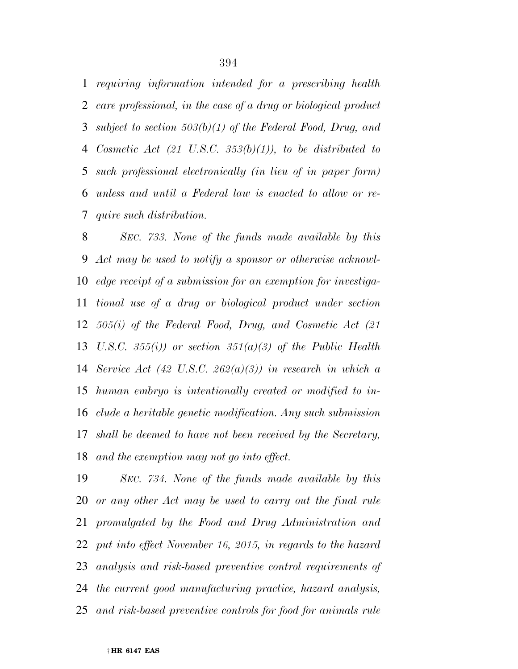*requiring information intended for a prescribing health care professional, in the case of a drug or biological product subject to section 503(b)(1) of the Federal Food, Drug, and Cosmetic Act (21 U.S.C. 353(b)(1)), to be distributed to such professional electronically (in lieu of in paper form) unless and until a Federal law is enacted to allow or re-quire such distribution.* 

 *SEC. 733. None of the funds made available by this Act may be used to notify a sponsor or otherwise acknowl- edge receipt of a submission for an exemption for investiga- tional use of a drug or biological product under section 505(i) of the Federal Food, Drug, and Cosmetic Act (21 U.S.C. 355(i)) or section 351(a)(3) of the Public Health Service Act (42 U.S.C. 262(a)(3)) in research in which a human embryo is intentionally created or modified to in- clude a heritable genetic modification. Any such submission shall be deemed to have not been received by the Secretary, and the exemption may not go into effect.* 

 *SEC. 734. None of the funds made available by this or any other Act may be used to carry out the final rule promulgated by the Food and Drug Administration and put into effect November 16, 2015, in regards to the hazard analysis and risk-based preventive control requirements of the current good manufacturing practice, hazard analysis, and risk-based preventive controls for food for animals rule*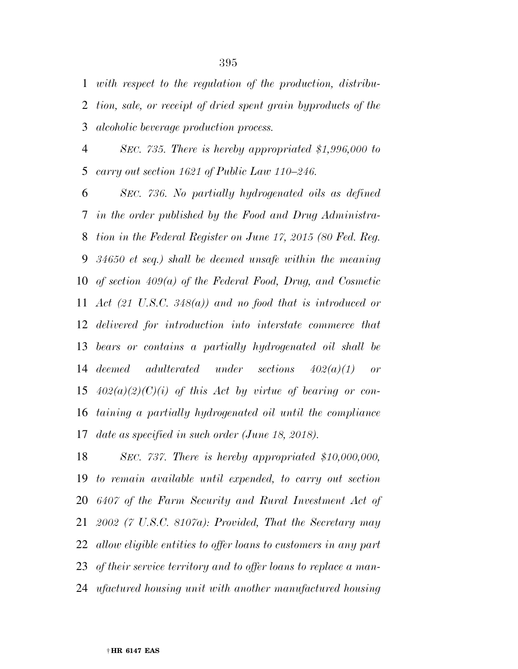*with respect to the regulation of the production, distribu- tion, sale, or receipt of dried spent grain byproducts of the alcoholic beverage production process.* 

 *SEC. 735. There is hereby appropriated \$1,996,000 to carry out section 1621 of Public Law 110–246.* 

 *SEC. 736. No partially hydrogenated oils as defined in the order published by the Food and Drug Administra- tion in the Federal Register on June 17, 2015 (80 Fed. Reg. 34650 et seq.) shall be deemed unsafe within the meaning of section 409(a) of the Federal Food, Drug, and Cosmetic Act (21 U.S.C. 348(a)) and no food that is introduced or delivered for introduction into interstate commerce that bears or contains a partially hydrogenated oil shall be deemed adulterated under sections 402(a)(1) or 402(a)(2)(C)(i) of this Act by virtue of bearing or con- taining a partially hydrogenated oil until the compliance date as specified in such order (June 18, 2018).* 

 *SEC. 737. There is hereby appropriated \$10,000,000, to remain available until expended, to carry out section 6407 of the Farm Security and Rural Investment Act of 2002 (7 U.S.C. 8107a): Provided, That the Secretary may allow eligible entities to offer loans to customers in any part of their service territory and to offer loans to replace a man-ufactured housing unit with another manufactured housing*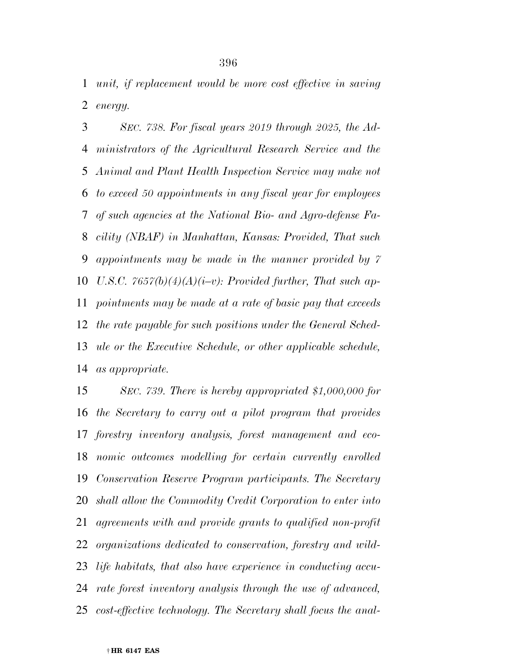*unit, if replacement would be more cost effective in saving energy.* 

 *SEC. 738. For fiscal years 2019 through 2025, the Ad- ministrators of the Agricultural Research Service and the Animal and Plant Health Inspection Service may make not to exceed 50 appointments in any fiscal year for employees of such agencies at the National Bio- and Agro-defense Fa- cility (NBAF) in Manhattan, Kansas: Provided, That such appointments may be made in the manner provided by 7 U.S.C. 7657(b)(4)(A)(i–v): Provided further, That such ap- pointments may be made at a rate of basic pay that exceeds the rate payable for such positions under the General Sched- ule or the Executive Schedule, or other applicable schedule, as appropriate.* 

 *SEC. 739. There is hereby appropriated \$1,000,000 for the Secretary to carry out a pilot program that provides forestry inventory analysis, forest management and eco- nomic outcomes modelling for certain currently enrolled Conservation Reserve Program participants. The Secretary shall allow the Commodity Credit Corporation to enter into agreements with and provide grants to qualified non-profit organizations dedicated to conservation, forestry and wild- life habitats, that also have experience in conducting accu- rate forest inventory analysis through the use of advanced, cost-effective technology. The Secretary shall focus the anal-*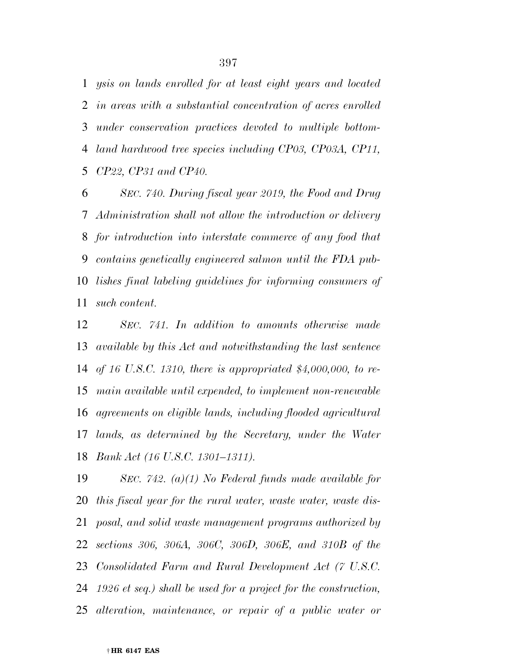*ysis on lands enrolled for at least eight years and located in areas with a substantial concentration of acres enrolled under conservation practices devoted to multiple bottom- land hardwood tree species including CP03, CP03A, CP11, CP22, CP31 and CP40.* 

 *SEC. 740. During fiscal year 2019, the Food and Drug Administration shall not allow the introduction or delivery for introduction into interstate commerce of any food that contains genetically engineered salmon until the FDA pub- lishes final labeling guidelines for informing consumers of such content.* 

 *SEC. 741. In addition to amounts otherwise made available by this Act and notwithstanding the last sentence of 16 U.S.C. 1310, there is appropriated \$4,000,000, to re- main available until expended, to implement non-renewable agreements on eligible lands, including flooded agricultural lands, as determined by the Secretary, under the Water Bank Act (16 U.S.C. 1301–1311).* 

 *SEC. 742. (a)(1) No Federal funds made available for this fiscal year for the rural water, waste water, waste dis- posal, and solid waste management programs authorized by sections 306, 306A, 306C, 306D, 306E, and 310B of the Consolidated Farm and Rural Development Act (7 U.S.C. 1926 et seq.) shall be used for a project for the construction, alteration, maintenance, or repair of a public water or*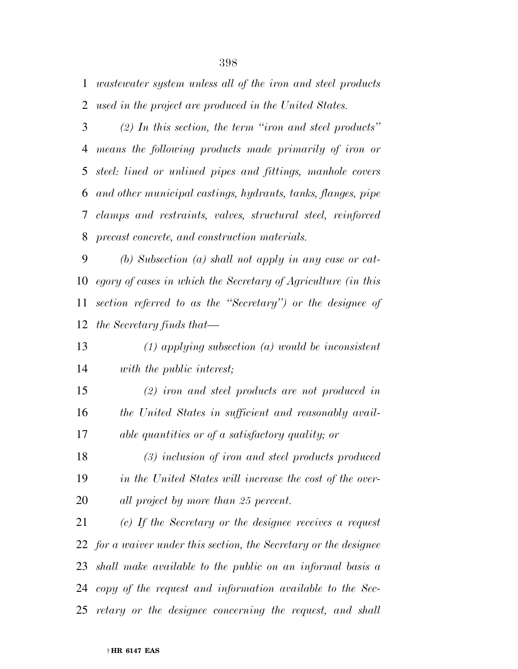*wastewater system unless all of the iron and steel products used in the project are produced in the United States.* 

 *(2) In this section, the term ''iron and steel products'' means the following products made primarily of iron or steel: lined or unlined pipes and fittings, manhole covers and other municipal castings, hydrants, tanks, flanges, pipe clamps and restraints, valves, structural steel, reinforced precast concrete, and construction materials.* 

 *(b) Subsection (a) shall not apply in any case or cat- egory of cases in which the Secretary of Agriculture (in this section referred to as the ''Secretary'') or the designee of the Secretary finds that—* 

 *(1) applying subsection (a) would be inconsistent with the public interest;* 

 *(2) iron and steel products are not produced in the United States in sufficient and reasonably avail-able quantities or of a satisfactory quality; or* 

 *(3) inclusion of iron and steel products produced in the United States will increase the cost of the over-all project by more than 25 percent.* 

 *(c) If the Secretary or the designee receives a request for a waiver under this section, the Secretary or the designee shall make available to the public on an informal basis a copy of the request and information available to the Sec-retary or the designee concerning the request, and shall*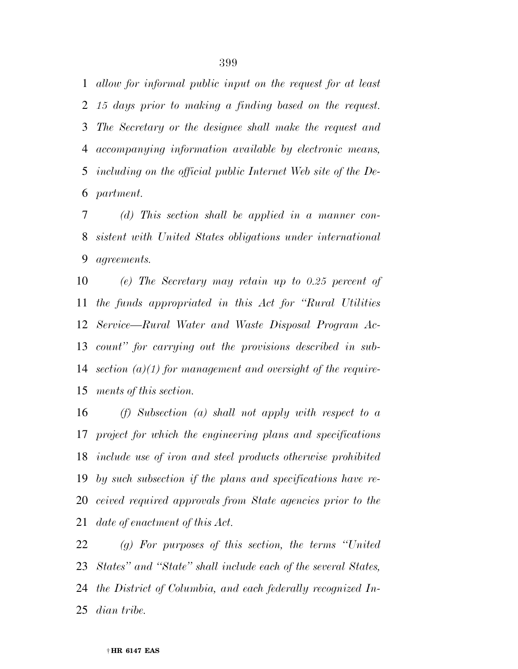*allow for informal public input on the request for at least 15 days prior to making a finding based on the request. The Secretary or the designee shall make the request and accompanying information available by electronic means, including on the official public Internet Web site of the De-partment.* 

 *(d) This section shall be applied in a manner con- sistent with United States obligations under international agreements.* 

 *(e) The Secretary may retain up to 0.25 percent of the funds appropriated in this Act for ''Rural Utilities Service—Rural Water and Waste Disposal Program Ac- count'' for carrying out the provisions described in sub- section (a)(1) for management and oversight of the require-ments of this section.* 

 *(f) Subsection (a) shall not apply with respect to a project for which the engineering plans and specifications include use of iron and steel products otherwise prohibited by such subsection if the plans and specifications have re- ceived required approvals from State agencies prior to the date of enactment of this Act.* 

 *(g) For purposes of this section, the terms ''United States'' and ''State'' shall include each of the several States, the District of Columbia, and each federally recognized In-dian tribe.*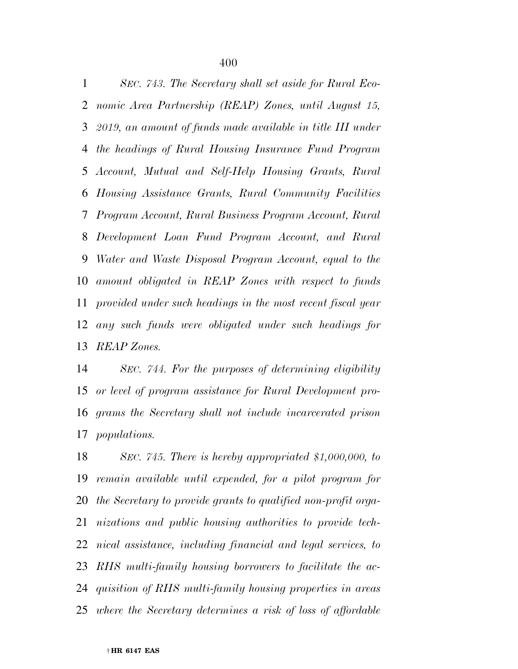*SEC. 743. The Secretary shall set aside for Rural Eco- nomic Area Partnership (REAP) Zones, until August 15, 2019, an amount of funds made available in title III under the headings of Rural Housing Insurance Fund Program Account, Mutual and Self-Help Housing Grants, Rural Housing Assistance Grants, Rural Community Facilities Program Account, Rural Business Program Account, Rural Development Loan Fund Program Account, and Rural Water and Waste Disposal Program Account, equal to the amount obligated in REAP Zones with respect to funds provided under such headings in the most recent fiscal year any such funds were obligated under such headings for REAP Zones.* 

 *SEC. 744. For the purposes of determining eligibility or level of program assistance for Rural Development pro- grams the Secretary shall not include incarcerated prison populations.* 

 *SEC. 745. There is hereby appropriated \$1,000,000, to remain available until expended, for a pilot program for the Secretary to provide grants to qualified non-profit orga- nizations and public housing authorities to provide tech- nical assistance, including financial and legal services, to RHS multi-family housing borrowers to facilitate the ac- quisition of RHS multi-family housing properties in areas where the Secretary determines a risk of loss of affordable*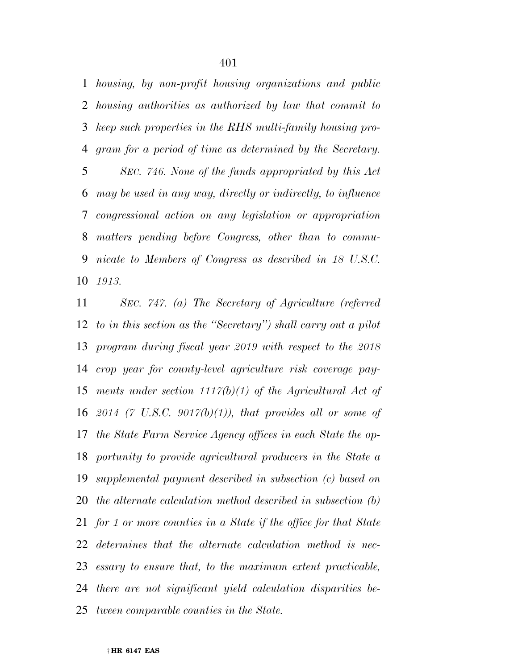*housing, by non-profit housing organizations and public housing authorities as authorized by law that commit to keep such properties in the RHS multi-family housing pro- gram for a period of time as determined by the Secretary. SEC. 746. None of the funds appropriated by this Act may be used in any way, directly or indirectly, to influence congressional action on any legislation or appropriation matters pending before Congress, other than to commu- nicate to Members of Congress as described in 18 U.S.C. 1913.* 

 *SEC. 747. (a) The Secretary of Agriculture (referred to in this section as the ''Secretary'') shall carry out a pilot program during fiscal year 2019 with respect to the 2018 crop year for county-level agriculture risk coverage pay- ments under section 1117(b)(1) of the Agricultural Act of 2014 (7 U.S.C. 9017(b)(1)), that provides all or some of the State Farm Service Agency offices in each State the op- portunity to provide agricultural producers in the State a supplemental payment described in subsection (c) based on the alternate calculation method described in subsection (b) for 1 or more counties in a State if the office for that State determines that the alternate calculation method is nec- essary to ensure that, to the maximum extent practicable, there are not significant yield calculation disparities be-tween comparable counties in the State.*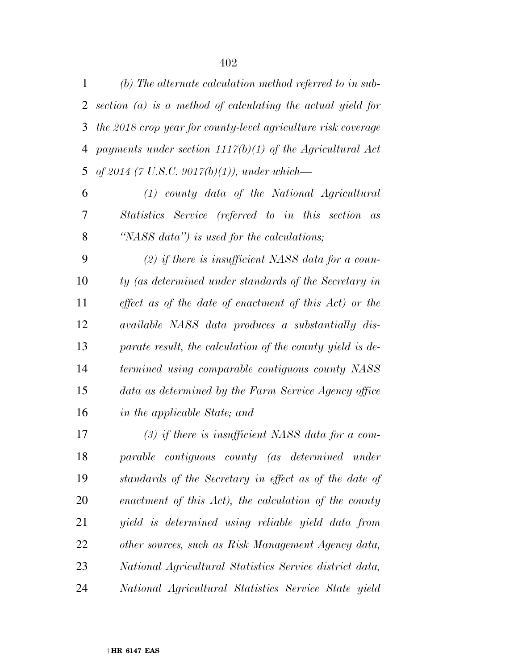*(b) The alternate calculation method referred to in sub- section (a) is a method of calculating the actual yield for the 2018 crop year for county-level agriculture risk coverage payments under section 1117(b)(1) of the Agricultural Act of 2014 (7 U.S.C. 9017(b)(1)), under which—* 

 *(1) county data of the National Agricultural Statistics Service (referred to in this section as ''NASS data'') is used for the calculations;* 

 *(2) if there is insufficient NASS data for a coun- ty (as determined under standards of the Secretary in effect as of the date of enactment of this Act) or the available NASS data produces a substantially dis- parate result, the calculation of the county yield is de- termined using comparable contiguous county NASS data as determined by the Farm Service Agency office in the applicable State; and* 

 *(3) if there is insufficient NASS data for a com- parable contiguous county (as determined under standards of the Secretary in effect as of the date of enactment of this Act), the calculation of the county yield is determined using reliable yield data from other sources, such as Risk Management Agency data, National Agricultural Statistics Service district data, National Agricultural Statistics Service State yield*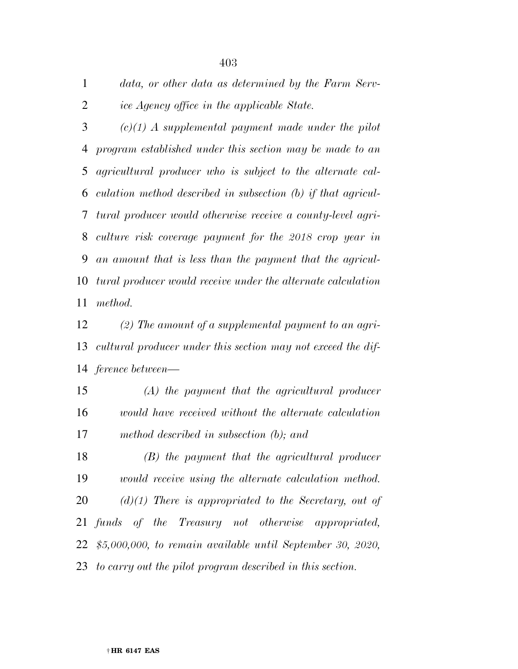*data, or other data as determined by the Farm Serv-ice Agency office in the applicable State.* 

 *(c)(1) A supplemental payment made under the pilot program established under this section may be made to an agricultural producer who is subject to the alternate cal- culation method described in subsection (b) if that agricul- tural producer would otherwise receive a county-level agri- culture risk coverage payment for the 2018 crop year in an amount that is less than the payment that the agricul- tural producer would receive under the alternate calculation method.* 

 *(2) The amount of a supplemental payment to an agri- cultural producer under this section may not exceed the dif-ference between—* 

 *(A) the payment that the agricultural producer would have received without the alternate calculation method described in subsection (b); and* 

 *(B) the payment that the agricultural producer would receive using the alternate calculation method. (d)(1) There is appropriated to the Secretary, out of funds of the Treasury not otherwise appropriated, \$5,000,000, to remain available until September 30, 2020, to carry out the pilot program described in this section.*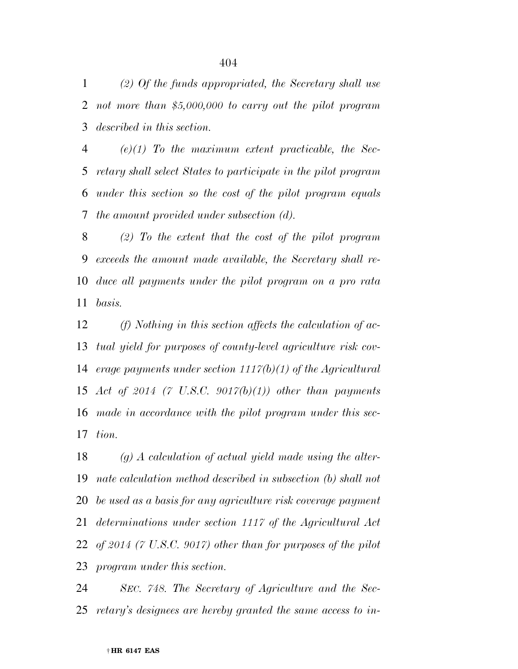*(2) Of the funds appropriated, the Secretary shall use not more than \$5,000,000 to carry out the pilot program described in this section.* 

 *(e)(1) To the maximum extent practicable, the Sec- retary shall select States to participate in the pilot program under this section so the cost of the pilot program equals the amount provided under subsection (d).* 

 *(2) To the extent that the cost of the pilot program exceeds the amount made available, the Secretary shall re- duce all payments under the pilot program on a pro rata basis.* 

 *(f) Nothing in this section affects the calculation of ac- tual yield for purposes of county-level agriculture risk cov- erage payments under section 1117(b)(1) of the Agricultural Act of 2014 (7 U.S.C. 9017(b)(1)) other than payments made in accordance with the pilot program under this sec-tion.* 

 *(g) A calculation of actual yield made using the alter- nate calculation method described in subsection (b) shall not be used as a basis for any agriculture risk coverage payment determinations under section 1117 of the Agricultural Act of 2014 (7 U.S.C. 9017) other than for purposes of the pilot program under this section.* 

 *SEC. 748. The Secretary of Agriculture and the Sec-retary's designees are hereby granted the same access to in-*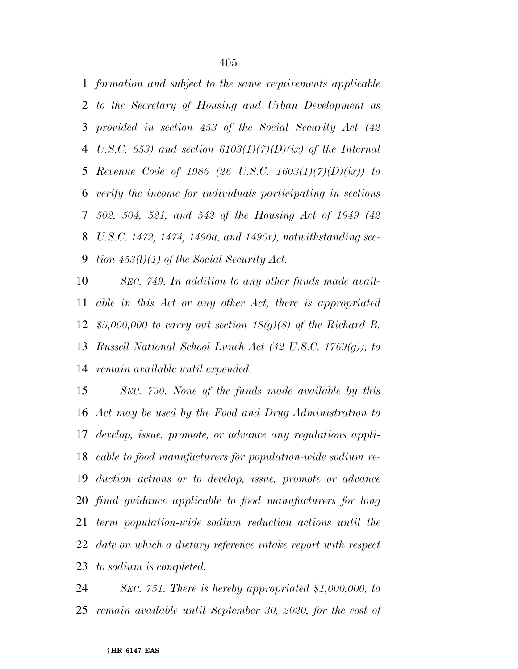*formation and subject to the same requirements applicable to the Secretary of Housing and Urban Development as provided in section 453 of the Social Security Act (42 U.S.C. 653) and section 6103(1)(7)(D)(ix) of the Internal Revenue Code of 1986 (26 U.S.C. 1603(1)(7)(D)(ix)) to verify the income for individuals participating in sections 502, 504, 521, and 542 of the Housing Act of 1949 (42 U.S.C. 1472, 1474, 1490a, and 1490r), notwithstanding sec-tion 453(l)(1) of the Social Security Act.* 

 *SEC. 749. In addition to any other funds made avail- able in this Act or any other Act, there is appropriated \$5,000,000 to carry out section 18(g)(8) of the Richard B. Russell National School Lunch Act (42 U.S.C. 1769(g)), to remain available until expended.* 

 *SEC. 750. None of the funds made available by this Act may be used by the Food and Drug Administration to develop, issue, promote, or advance any regulations appli- cable to food manufacturers for population-wide sodium re- duction actions or to develop, issue, promote or advance final guidance applicable to food manufacturers for long term population-wide sodium reduction actions until the date on which a dietary reference intake report with respect to sodium is completed.* 

 *SEC. 751. There is hereby appropriated \$1,000,000, to remain available until September 30, 2020, for the cost of*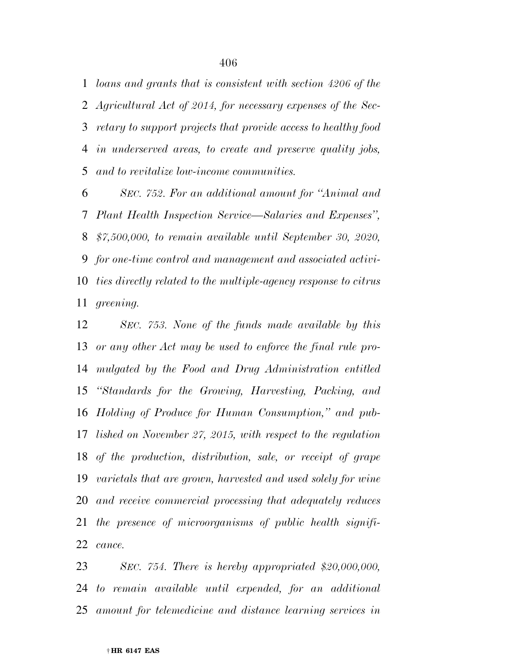*loans and grants that is consistent with section 4206 of the Agricultural Act of 2014, for necessary expenses of the Sec- retary to support projects that provide access to healthy food in underserved areas, to create and preserve quality jobs, and to revitalize low-income communities.* 

 *SEC. 752. For an additional amount for ''Animal and Plant Health Inspection Service—Salaries and Expenses'', \$7,500,000, to remain available until September 30, 2020, for one-time control and management and associated activi- ties directly related to the multiple-agency response to citrus greening.* 

 *SEC. 753. None of the funds made available by this or any other Act may be used to enforce the final rule pro- mulgated by the Food and Drug Administration entitled ''Standards for the Growing, Harvesting, Packing, and Holding of Produce for Human Consumption,'' and pub- lished on November 27, 2015, with respect to the regulation of the production, distribution, sale, or receipt of grape varietals that are grown, harvested and used solely for wine and receive commercial processing that adequately reduces the presence of microorganisms of public health signifi-cance.* 

 *SEC. 754. There is hereby appropriated \$20,000,000, to remain available until expended, for an additional amount for telemedicine and distance learning services in*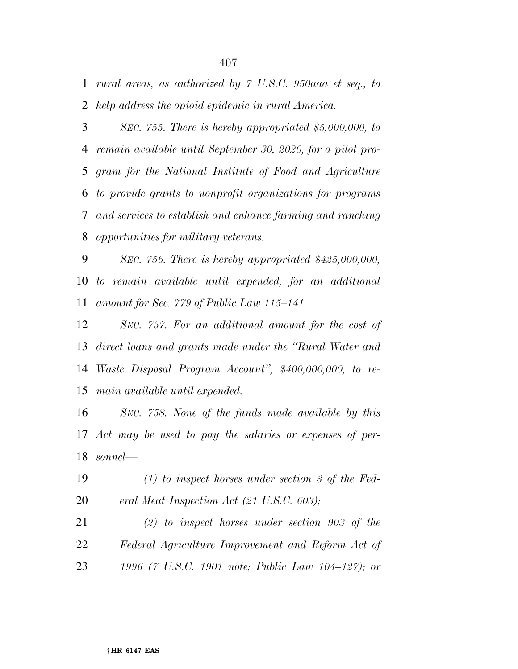*rural areas, as authorized by 7 U.S.C. 950aaa et seq., to help address the opioid epidemic in rural America.* 

 *SEC. 755. There is hereby appropriated \$5,000,000, to remain available until September 30, 2020, for a pilot pro- gram for the National Institute of Food and Agriculture to provide grants to nonprofit organizations for programs and services to establish and enhance farming and ranching opportunities for military veterans.* 

 *SEC. 756. There is hereby appropriated \$425,000,000, to remain available until expended, for an additional amount for Sec. 779 of Public Law 115–141.* 

 *SEC. 757. For an additional amount for the cost of direct loans and grants made under the ''Rural Water and Waste Disposal Program Account'', \$400,000,000, to re-main available until expended.* 

 *SEC. 758. None of the funds made available by this Act may be used to pay the salaries or expenses of per-sonnel—* 

- *(1) to inspect horses under section 3 of the Fed-eral Meat Inspection Act (21 U.S.C. 603);*
- *(2) to inspect horses under section 903 of the Federal Agriculture Improvement and Reform Act of 1996 (7 U.S.C. 1901 note; Public Law 104–127); or*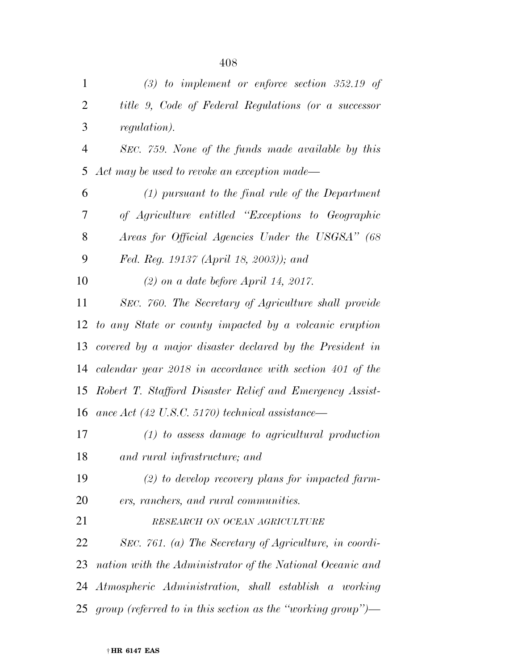| $\mathbf{1}$   | $(3)$ to implement or enforce section 352.19 of                |
|----------------|----------------------------------------------------------------|
| $\overline{2}$ | title 9, Code of Federal Regulations (or a successor           |
| 3              | <i>regulation</i> ).                                           |
| $\overline{4}$ | SEC. 759. None of the funds made available by this             |
| 5              | Act may be used to revoke an exception made—                   |
| 6              | $(1)$ pursuant to the final rule of the Department             |
| 7              | of Agriculture entitled "Exceptions to Geographic              |
| 8              | Areas for Official Agencies Under the USGSA" (68               |
| 9              | Fed. Reg. 19137 (April 18, 2003)); and                         |
| 10             | $(2)$ on a date before April 14, 2017.                         |
| 11             | SEC. 760. The Secretary of Agriculture shall provide           |
| 12             | to any State or county impacted by a volcanic eruption         |
|                | 13 covered by a major disaster declared by the President in    |
|                | 14 calendar year 2018 in accordance with section 401 of the    |
|                | 15 Robert T. Stafford Disaster Relief and Emergency Assist-    |
| 16             | ance Act $(42 \text{ U.S.C. } 5170)$ technical assistance—     |
| 17             | $(1)$ to assess damage to agricultural production              |
| 18             | and rural infrastructure; and                                  |
| 19             | $(2)$ to develop recovery plans for impacted farm-             |
| 20             | ers, ranchers, and rural communities.                          |
| 21             | RESEARCH ON OCEAN AGRICULTURE                                  |
| 22             | SEC. 761. (a) The Secretary of Agriculture, in coordi-         |
| 23             | nation with the Administrator of the National Oceanic and      |
| 24             | Atmospheric Administration, shall establish a working          |
|                | 25 group (referred to in this section as the "working group")— |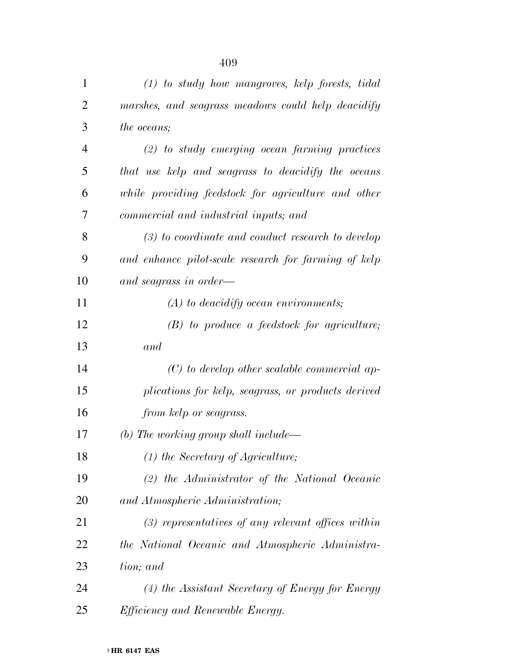| $\mathbf{1}$ | $(1)$ to study how mangroves, kelp forests, tidal    |
|--------------|------------------------------------------------------|
| 2            | marshes, and seagrass meadows could help deacidify   |
| 3            | the oceans;                                          |
| 4            | $(2)$ to study emerging ocean farming practices      |
| 5            | that use kelp and seagrass to deacidify the oceans   |
| 6            | while providing feedstock for agriculture and other  |
| 7            | commercial and industrial inputs; and                |
| 8            | $(3)$ to coordinate and conduct research to develop  |
| 9            | and enhance pilot-scale research for farming of kelp |
| 10           | and seagrass in order—                               |
| 11           | $(A)$ to deacidify ocean environments;               |
| 12           | $(B)$ to produce a feedstock for agriculture;        |
| 13           | and                                                  |
| 14           | $(C)$ to develop other scalable commercial ap-       |
| 15           | plications for kelp, seagrass, or products derived   |
| 16           | from kelp or seagrass.                               |
| 17           | (b) The working group shall include—                 |
| 18           | $(1)$ the Secretary of Agriculture;                  |
| 19           | $(2)$ the Administrator of the National Oceanic      |
| 20           | and Atmospheric Administration;                      |
| 21           | $(3)$ representatives of any relevant offices within |
| 22           | the National Oceanic and Atmospheric Administra-     |
| 23           | tion; and                                            |
| 24           | (4) the Assistant Secretary of Energy for Energy     |
| 25           | <i>Efficiency and Renewable Energy.</i>              |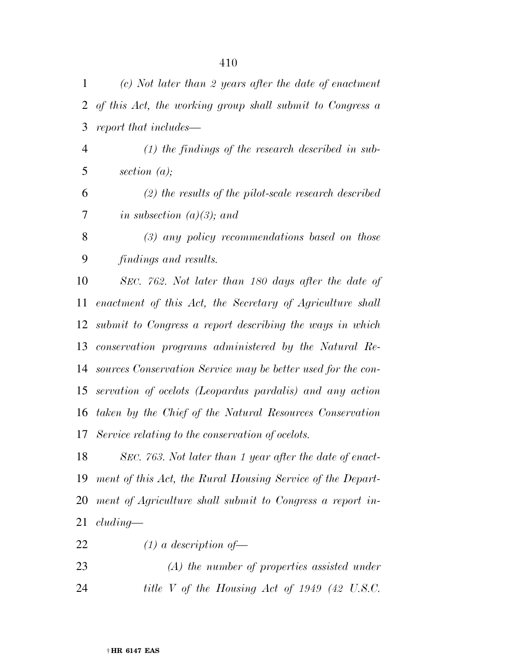| 1  | $(c)$ Not later than 2 years after the date of enactment     |
|----|--------------------------------------------------------------|
| 2  | of this Act, the working group shall submit to Congress a    |
| 3  | report that includes—                                        |
| 4  | $(1)$ the findings of the research described in sub-         |
| 5  | section $(a)$ ;                                              |
| 6  | $(2)$ the results of the pilot-scale research described      |
| 7  | in subsection $(a)(3)$ ; and                                 |
| 8  | $(3)$ any policy recommendations based on those              |
| 9  | findings and results.                                        |
| 10 | SEC. 762. Not later than 180 days after the date of          |
| 11 | enactment of this Act, the Secretary of Agriculture shall    |
| 12 | submit to Congress a report describing the ways in which     |
| 13 | conservation programs administered by the Natural Re-        |
| 14 | sources Conservation Service may be better used for the con- |
| 15 | servation of ocelots (Leopardus pardalis) and any action     |
| 16 | taken by the Chief of the Natural Resources Conservation     |
| 17 | Service relating to the conservation of ocelots.             |
| 18 | SEC. 763. Not later than 1 year after the date of enact-     |
| 19 | ment of this Act, the Rural Housing Service of the Depart-   |
| 20 | ment of Agriculture shall submit to Congress a report in-    |
| 21 | cluding                                                      |
| 22 | $(1)$ a description of —                                     |
| 23 | $(A)$ the number of properties assisted under                |
| 24 | title V of the Housing Act of 1949 (42 U.S.C.                |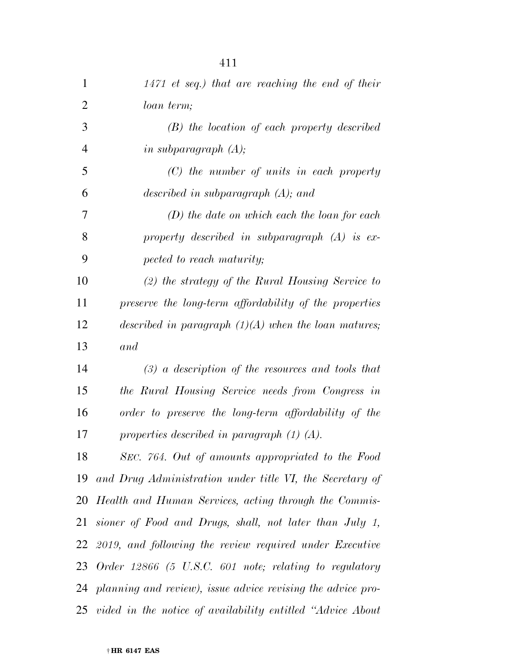| $\mathbf{1}$   | $1471$ et seq.) that are reaching the end of their             |
|----------------|----------------------------------------------------------------|
| $\overline{2}$ | loan term;                                                     |
| 3              | $(B)$ the location of each property described                  |
| $\overline{4}$ | in subparagraph $(A)$ ;                                        |
| 5              | $(C)$ the number of units in each property                     |
| 6              | described in subparagraph $(A)$ ; and                          |
| 7              | $(D)$ the date on which each the loan for each                 |
| 8              | property described in subparagraph $(A)$ is ex-                |
| 9              | pected to reach maturity;                                      |
| 10             | $(2)$ the strategy of the Rural Housing Service to             |
| 11             | preserve the long-term affordability of the properties         |
| 12             | described in paragraph $(1)(A)$ when the loan matures;         |
| 13             | and                                                            |
| 14             | $(3)$ a description of the resources and tools that            |
| 15             | the Rural Housing Service needs from Congress in               |
| 16             | order to preserve the long-term affordability of the           |
| 17             | properties described in paragraph $(1)$ $(A)$ .                |
| 18             | SEC. 764. Out of amounts appropriated to the Food              |
| 19             | and Drug Administration under title VI, the Secretary of       |
|                | 20 Health and Human Services, acting through the Commis-       |
|                | 21 sioner of Food and Drugs, shall, not later than July 1,     |
|                | 22 2019, and following the review required under Executive     |
|                | 23 Order 12866 (5 U.S.C. 601 note; relating to regulatory      |
|                | 24 planning and review), issue advice revising the advice pro- |
|                | 25 vided in the notice of availability entitled "Advice About" |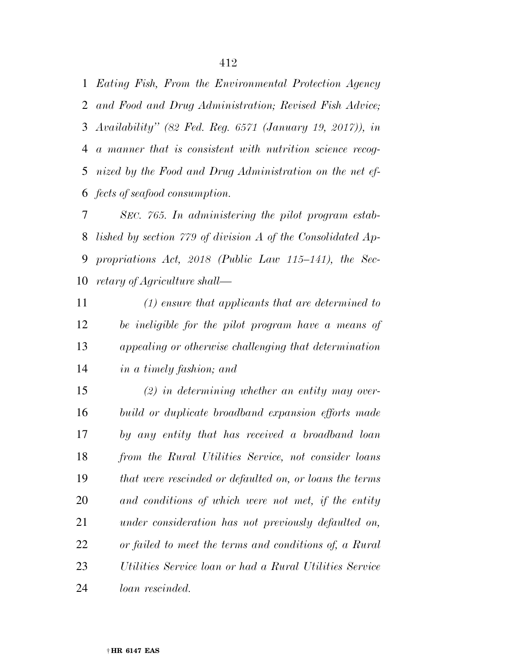*Eating Fish, From the Environmental Protection Agency and Food and Drug Administration; Revised Fish Advice; Availability'' (82 Fed. Reg. 6571 (January 19, 2017)), in a manner that is consistent with nutrition science recog- nized by the Food and Drug Administration on the net ef-fects of seafood consumption.* 

 *SEC. 765. In administering the pilot program estab- lished by section 779 of division A of the Consolidated Ap- propriations Act, 2018 (Public Law 115–141), the Sec-retary of Agriculture shall—* 

 *(1) ensure that applicants that are determined to be ineligible for the pilot program have a means of appealing or otherwise challenging that determination in a timely fashion; and* 

 *(2) in determining whether an entity may over- build or duplicate broadband expansion efforts made by any entity that has received a broadband loan from the Rural Utilities Service, not consider loans that were rescinded or defaulted on, or loans the terms and conditions of which were not met, if the entity under consideration has not previously defaulted on, or failed to meet the terms and conditions of, a Rural Utilities Service loan or had a Rural Utilities Service loan rescinded.*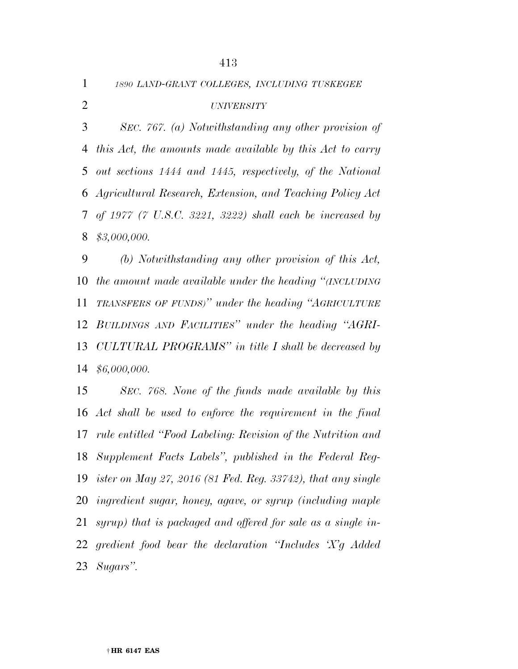*1890 LAND-GRANT COLLEGES, INCLUDING TUSKEGEE*

### *UNIVERSITY*

 *SEC. 767. (a) Notwithstanding any other provision of this Act, the amounts made available by this Act to carry out sections 1444 and 1445, respectively, of the National Agricultural Research, Extension, and Teaching Policy Act of 1977 (7 U.S.C. 3221, 3222) shall each be increased by \$3,000,000.* 

 *(b) Notwithstanding any other provision of this Act, the amount made available under the heading ''(INCLUDING TRANSFERS OF FUNDS)'' under the heading ''AGRICULTURE BUILDINGS AND FACILITIES'' under the heading ''AGRI- CULTURAL PROGRAMS'' in title I shall be decreased by \$6,000,000.* 

 *SEC. 768. None of the funds made available by this Act shall be used to enforce the requirement in the final rule entitled ''Food Labeling: Revision of the Nutrition and Supplement Facts Labels'', published in the Federal Reg- ister on May 27, 2016 (81 Fed. Reg. 33742), that any single ingredient sugar, honey, agave, or syrup (including maple syrup) that is packaged and offered for sale as a single in- gredient food bear the declaration ''Includes 'X'g Added Sugars''.*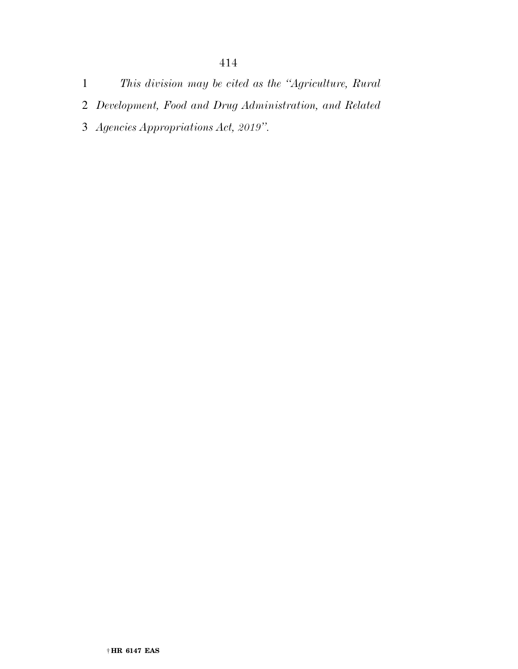- *Development, Food and Drug Administration, and Related*
- *Agencies Appropriations Act, 2019''.*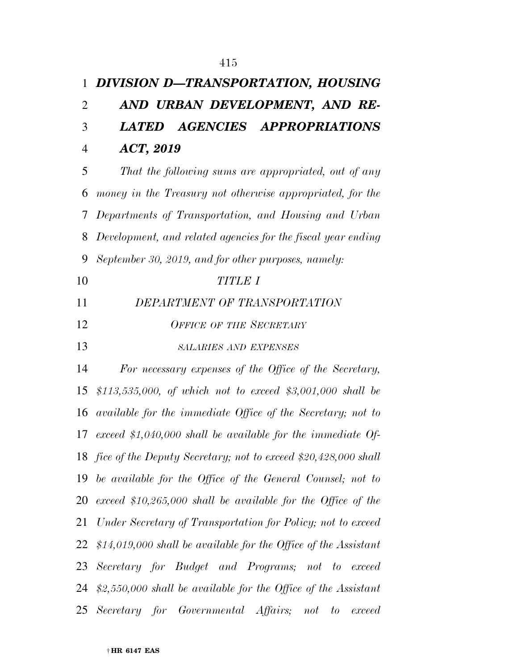# *DIVISION D—TRANSPORTATION, HOUSING AND URBAN DEVELOPMENT, AND RE- LATED AGENCIES APPROPRIATIONS ACT, 2019*

 *That the following sums are appropriated, out of any money in the Treasury not otherwise appropriated, for the Departments of Transportation, and Housing and Urban Development, and related agencies for the fiscal year ending September 30, 2019, and for other purposes, namely: TITLE I DEPARTMENT OF TRANSPORTATION OFFICE OF THE SECRETARY*

*SALARIES AND EXPENSES*

 *For necessary expenses of the Office of the Secretary, \$113,535,000, of which not to exceed \$3,001,000 shall be available for the immediate Office of the Secretary; not to exceed \$1,040,000 shall be available for the immediate Of- fice of the Deputy Secretary; not to exceed \$20,428,000 shall be available for the Office of the General Counsel; not to exceed \$10,265,000 shall be available for the Office of the Under Secretary of Transportation for Policy; not to exceed \$14,019,000 shall be available for the Office of the Assistant Secretary for Budget and Programs; not to exceed \$2,550,000 shall be available for the Office of the Assistant Secretary for Governmental Affairs; not to exceed*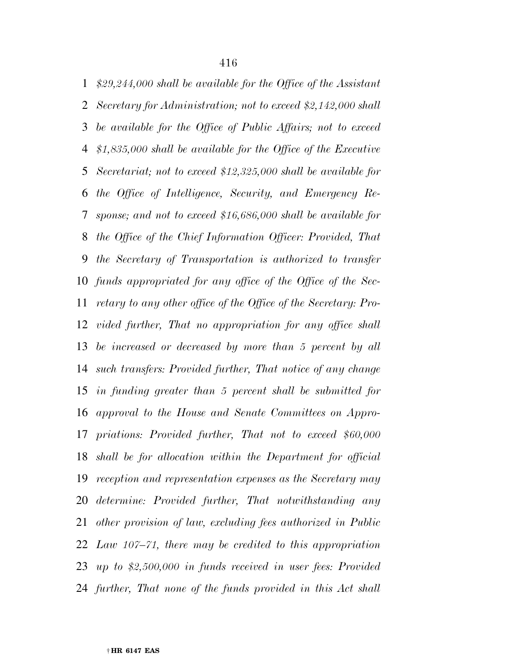*\$29,244,000 shall be available for the Office of the Assistant Secretary for Administration; not to exceed \$2,142,000 shall be available for the Office of Public Affairs; not to exceed \$1,835,000 shall be available for the Office of the Executive Secretariat; not to exceed \$12,325,000 shall be available for the Office of Intelligence, Security, and Emergency Re- sponse; and not to exceed \$16,686,000 shall be available for the Office of the Chief Information Officer: Provided, That the Secretary of Transportation is authorized to transfer funds appropriated for any office of the Office of the Sec- retary to any other office of the Office of the Secretary: Pro- vided further, That no appropriation for any office shall be increased or decreased by more than 5 percent by all such transfers: Provided further, That notice of any change in funding greater than 5 percent shall be submitted for approval to the House and Senate Committees on Appro- priations: Provided further, That not to exceed \$60,000 shall be for allocation within the Department for official reception and representation expenses as the Secretary may determine: Provided further, That notwithstanding any other provision of law, excluding fees authorized in Public Law 107–71, there may be credited to this appropriation up to \$2,500,000 in funds received in user fees: Provided further, That none of the funds provided in this Act shall*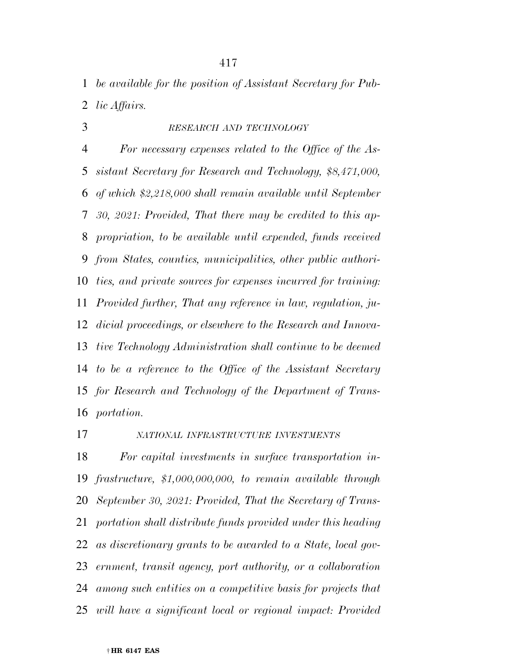*be available for the position of Assistant Secretary for Pub-lic Affairs.* 

*RESEARCH AND TECHNOLOGY*

 *For necessary expenses related to the Office of the As- sistant Secretary for Research and Technology, \$8,471,000, of which \$2,218,000 shall remain available until September 30, 2021: Provided, That there may be credited to this ap- propriation, to be available until expended, funds received from States, counties, municipalities, other public authori- ties, and private sources for expenses incurred for training: Provided further, That any reference in law, regulation, ju- dicial proceedings, or elsewhere to the Research and Innova- tive Technology Administration shall continue to be deemed to be a reference to the Office of the Assistant Secretary for Research and Technology of the Department of Trans-portation.* 

*NATIONAL INFRASTRUCTURE INVESTMENTS*

 *For capital investments in surface transportation in- frastructure, \$1,000,000,000, to remain available through September 30, 2021: Provided, That the Secretary of Trans- portation shall distribute funds provided under this heading as discretionary grants to be awarded to a State, local gov- ernment, transit agency, port authority, or a collaboration among such entities on a competitive basis for projects that will have a significant local or regional impact: Provided*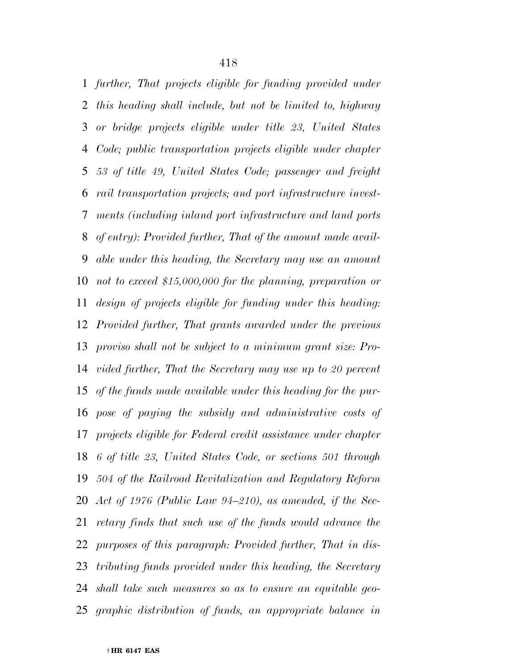*further, That projects eligible for funding provided under this heading shall include, but not be limited to, highway or bridge projects eligible under title 23, United States Code; public transportation projects eligible under chapter 53 of title 49, United States Code; passenger and freight rail transportation projects; and port infrastructure invest- ments (including inland port infrastructure and land ports of entry): Provided further, That of the amount made avail- able under this heading, the Secretary may use an amount not to exceed \$15,000,000 for the planning, preparation or design of projects eligible for funding under this heading: Provided further, That grants awarded under the previous proviso shall not be subject to a minimum grant size: Pro- vided further, That the Secretary may use up to 20 percent of the funds made available under this heading for the pur- pose of paying the subsidy and administrative costs of projects eligible for Federal credit assistance under chapter 6 of title 23, United States Code, or sections 501 through 504 of the Railroad Revitalization and Regulatory Reform Act of 1976 (Public Law 94–210), as amended, if the Sec- retary finds that such use of the funds would advance the purposes of this paragraph: Provided further, That in dis- tributing funds provided under this heading, the Secretary shall take such measures so as to ensure an equitable geo-graphic distribution of funds, an appropriate balance in*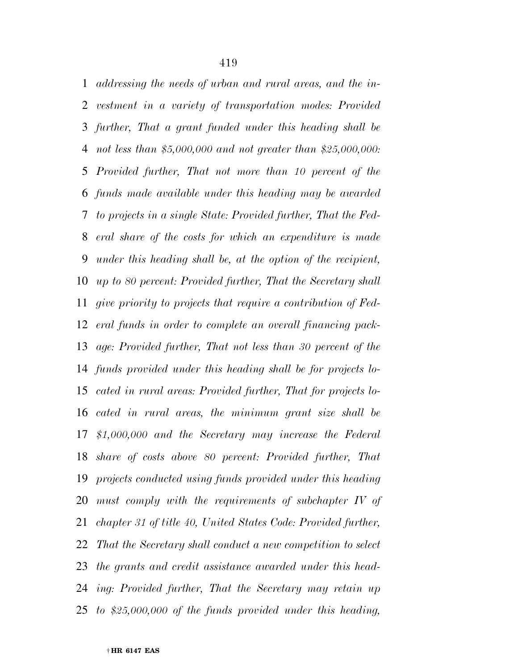*addressing the needs of urban and rural areas, and the in- vestment in a variety of transportation modes: Provided further, That a grant funded under this heading shall be not less than \$5,000,000 and not greater than \$25,000,000: Provided further, That not more than 10 percent of the funds made available under this heading may be awarded to projects in a single State: Provided further, That the Fed- eral share of the costs for which an expenditure is made under this heading shall be, at the option of the recipient, up to 80 percent: Provided further, That the Secretary shall give priority to projects that require a contribution of Fed- eral funds in order to complete an overall financing pack- age: Provided further, That not less than 30 percent of the funds provided under this heading shall be for projects lo- cated in rural areas: Provided further, That for projects lo- cated in rural areas, the minimum grant size shall be \$1,000,000 and the Secretary may increase the Federal share of costs above 80 percent: Provided further, That projects conducted using funds provided under this heading must comply with the requirements of subchapter IV of chapter 31 of title 40, United States Code: Provided further, That the Secretary shall conduct a new competition to select the grants and credit assistance awarded under this head- ing: Provided further, That the Secretary may retain up to \$25,000,000 of the funds provided under this heading,*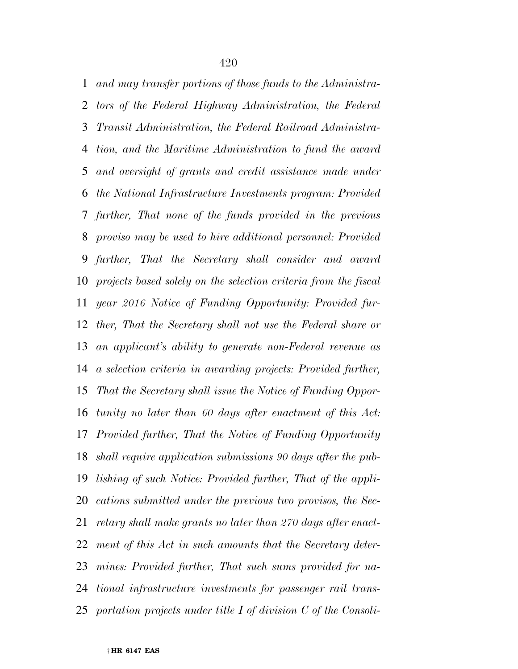*and may transfer portions of those funds to the Administra- tors of the Federal Highway Administration, the Federal Transit Administration, the Federal Railroad Administra- tion, and the Maritime Administration to fund the award and oversight of grants and credit assistance made under the National Infrastructure Investments program: Provided further, That none of the funds provided in the previous proviso may be used to hire additional personnel: Provided further, That the Secretary shall consider and award projects based solely on the selection criteria from the fiscal year 2016 Notice of Funding Opportunity: Provided fur- ther, That the Secretary shall not use the Federal share or an applicant's ability to generate non-Federal revenue as a selection criteria in awarding projects: Provided further, That the Secretary shall issue the Notice of Funding Oppor- tunity no later than 60 days after enactment of this Act: Provided further, That the Notice of Funding Opportunity shall require application submissions 90 days after the pub- lishing of such Notice: Provided further, That of the appli- cations submitted under the previous two provisos, the Sec- retary shall make grants no later than 270 days after enact- ment of this Act in such amounts that the Secretary deter- mines: Provided further, That such sums provided for na- tional infrastructure investments for passenger rail trans-portation projects under title I of division C of the Consoli-*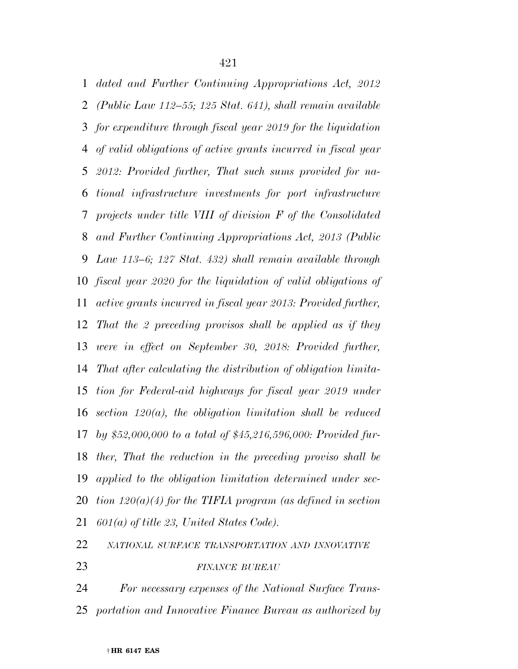*dated and Further Continuing Appropriations Act, 2012 (Public Law 112–55; 125 Stat. 641), shall remain available for expenditure through fiscal year 2019 for the liquidation of valid obligations of active grants incurred in fiscal year 2012: Provided further, That such sums provided for na- tional infrastructure investments for port infrastructure projects under title VIII of division F of the Consolidated and Further Continuing Appropriations Act, 2013 (Public Law 113–6; 127 Stat. 432) shall remain available through fiscal year 2020 for the liquidation of valid obligations of active grants incurred in fiscal year 2013: Provided further, That the 2 preceding provisos shall be applied as if they were in effect on September 30, 2018: Provided further, That after calculating the distribution of obligation limita- tion for Federal-aid highways for fiscal year 2019 under section 120(a), the obligation limitation shall be reduced by \$52,000,000 to a total of \$45,216,596,000: Provided fur- ther, That the reduction in the preceding proviso shall be applied to the obligation limitation determined under sec- tion 120(a)(4) for the TIFIA program (as defined in section 601(a) of title 23, United States Code).* 

*NATIONAL SURFACE TRANSPORTATION AND INNOVATIVE*

*FINANCE BUREAU*

 *For necessary expenses of the National Surface Trans-portation and Innovative Finance Bureau as authorized by*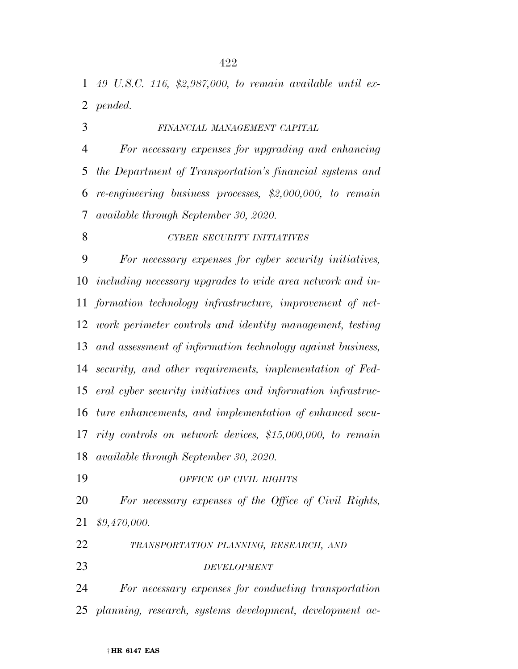*49 U.S.C. 116, \$2,987,000, to remain available until ex-pended.* 

*FINANCIAL MANAGEMENT CAPITAL*

 *For necessary expenses for upgrading and enhancing the Department of Transportation's financial systems and re-engineering business processes, \$2,000,000, to remain available through September 30, 2020.* 

*CYBER SECURITY INITIATIVES*

 *For necessary expenses for cyber security initiatives, including necessary upgrades to wide area network and in- formation technology infrastructure, improvement of net- work perimeter controls and identity management, testing and assessment of information technology against business, security, and other requirements, implementation of Fed- eral cyber security initiatives and information infrastruc- ture enhancements, and implementation of enhanced secu- rity controls on network devices, \$15,000,000, to remain available through September 30, 2020.* 

*OFFICE OF CIVIL RIGHTS*

 *For necessary expenses of the Office of Civil Rights, \$9,470,000.* 

*TRANSPORTATION PLANNING, RESEARCH, AND*

*DEVELOPMENT*

 *For necessary expenses for conducting transportation planning, research, systems development, development ac-*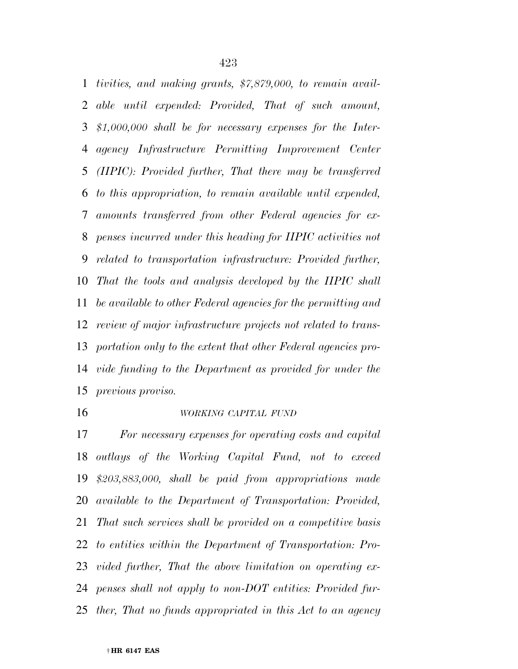*tivities, and making grants, \$7,879,000, to remain avail- able until expended: Provided, That of such amount, \$1,000,000 shall be for necessary expenses for the Inter- agency Infrastructure Permitting Improvement Center (IIPIC): Provided further, That there may be transferred to this appropriation, to remain available until expended, amounts transferred from other Federal agencies for ex- penses incurred under this heading for IIPIC activities not related to transportation infrastructure: Provided further, That the tools and analysis developed by the IIPIC shall be available to other Federal agencies for the permitting and review of major infrastructure projects not related to trans- portation only to the extent that other Federal agencies pro- vide funding to the Department as provided for under the previous proviso.* 

#### *WORKING CAPITAL FUND*

 *For necessary expenses for operating costs and capital outlays of the Working Capital Fund, not to exceed \$203,883,000, shall be paid from appropriations made available to the Department of Transportation: Provided, That such services shall be provided on a competitive basis to entities within the Department of Transportation: Pro- vided further, That the above limitation on operating ex- penses shall not apply to non-DOT entities: Provided fur-ther, That no funds appropriated in this Act to an agency*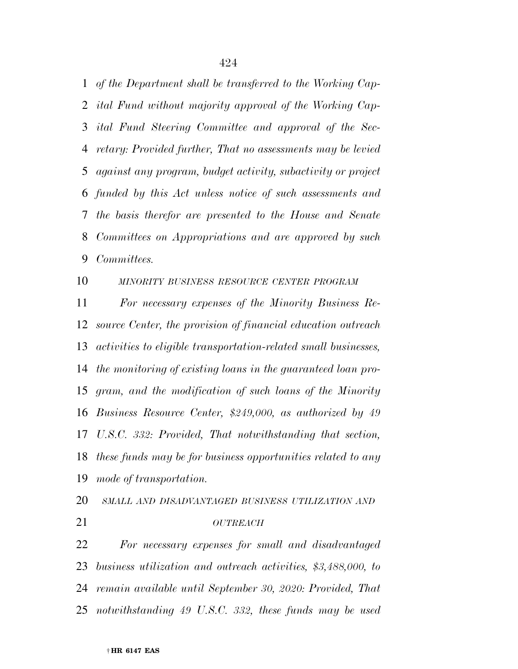*of the Department shall be transferred to the Working Cap- ital Fund without majority approval of the Working Cap- ital Fund Steering Committee and approval of the Sec- retary: Provided further, That no assessments may be levied against any program, budget activity, subactivity or project funded by this Act unless notice of such assessments and the basis therefor are presented to the House and Senate Committees on Appropriations and are approved by such Committees.* 

*MINORITY BUSINESS RESOURCE CENTER PROGRAM*

 *For necessary expenses of the Minority Business Re- source Center, the provision of financial education outreach activities to eligible transportation-related small businesses, the monitoring of existing loans in the guaranteed loan pro- gram, and the modification of such loans of the Minority Business Resource Center, \$249,000, as authorized by 49 U.S.C. 332: Provided, That notwithstanding that section, these funds may be for business opportunities related to any mode of transportation.* 

*SMALL AND DISADVANTAGED BUSINESS UTILIZATION AND*

*OUTREACH*

 *For necessary expenses for small and disadvantaged business utilization and outreach activities, \$3,488,000, to remain available until September 30, 2020: Provided, That notwithstanding 49 U.S.C. 332, these funds may be used*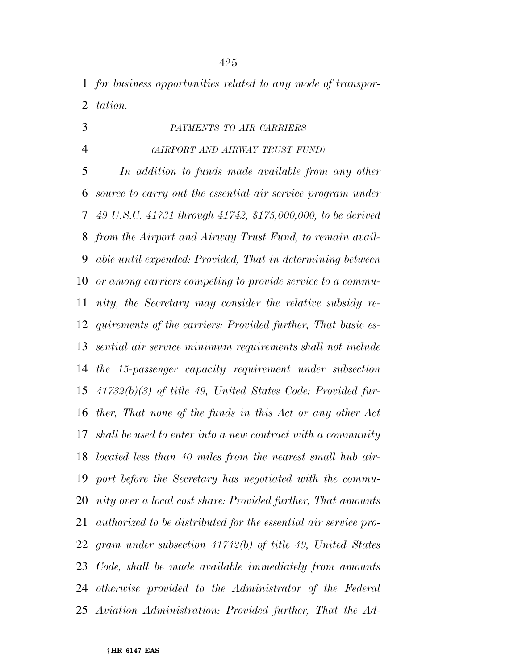*for business opportunities related to any mode of transpor-tation.* 

*PAYMENTS TO AIR CARRIERS*

### *(AIRPORT AND AIRWAY TRUST FUND)*

 *In addition to funds made available from any other source to carry out the essential air service program under 49 U.S.C. 41731 through 41742, \$175,000,000, to be derived from the Airport and Airway Trust Fund, to remain avail- able until expended: Provided, That in determining between or among carriers competing to provide service to a commu- nity, the Secretary may consider the relative subsidy re- quirements of the carriers: Provided further, That basic es- sential air service minimum requirements shall not include the 15-passenger capacity requirement under subsection 41732(b)(3) of title 49, United States Code: Provided fur- ther, That none of the funds in this Act or any other Act shall be used to enter into a new contract with a community located less than 40 miles from the nearest small hub air- port before the Secretary has negotiated with the commu- nity over a local cost share: Provided further, That amounts authorized to be distributed for the essential air service pro- gram under subsection 41742(b) of title 49, United States Code, shall be made available immediately from amounts otherwise provided to the Administrator of the Federal Aviation Administration: Provided further, That the Ad-*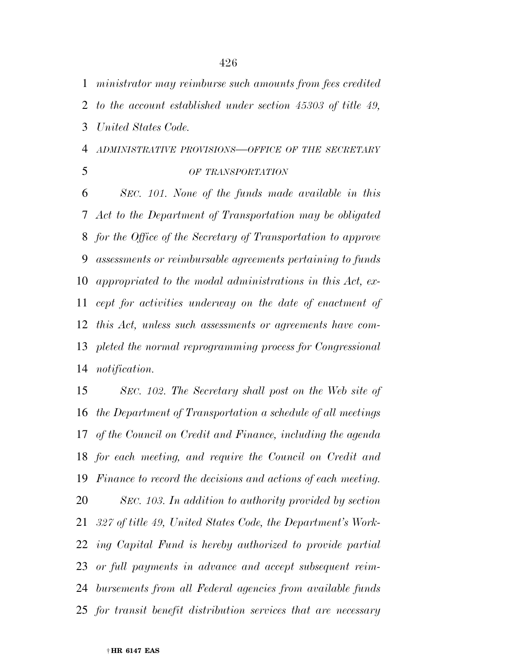*ministrator may reimburse such amounts from fees credited* 

*to the account established under section 45303 of title 49,* 

*United States Code.* 

# *ADMINISTRATIVE PROVISIONS—OFFICE OF THE SECRETARY*

*OF TRANSPORTATION*

 *SEC. 101. None of the funds made available in this Act to the Department of Transportation may be obligated for the Office of the Secretary of Transportation to approve assessments or reimbursable agreements pertaining to funds appropriated to the modal administrations in this Act, ex- cept for activities underway on the date of enactment of this Act, unless such assessments or agreements have com- pleted the normal reprogramming process for Congressional notification.* 

 *SEC. 102. The Secretary shall post on the Web site of the Department of Transportation a schedule of all meetings of the Council on Credit and Finance, including the agenda for each meeting, and require the Council on Credit and Finance to record the decisions and actions of each meeting. SEC. 103. In addition to authority provided by section 327 of title 49, United States Code, the Department's Work- ing Capital Fund is hereby authorized to provide partial or full payments in advance and accept subsequent reim- bursements from all Federal agencies from available funds for transit benefit distribution services that are necessary*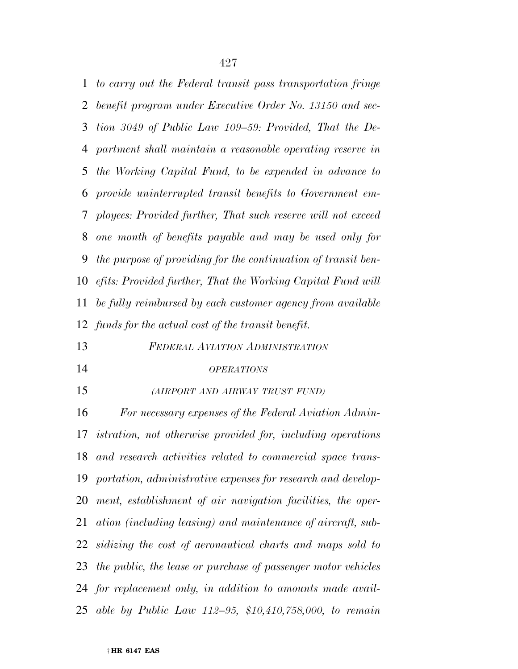*to carry out the Federal transit pass transportation fringe benefit program under Executive Order No. 13150 and sec- tion 3049 of Public Law 109–59: Provided, That the De- partment shall maintain a reasonable operating reserve in the Working Capital Fund, to be expended in advance to provide uninterrupted transit benefits to Government em- ployees: Provided further, That such reserve will not exceed one month of benefits payable and may be used only for the purpose of providing for the continuation of transit ben- efits: Provided further, That the Working Capital Fund will be fully reimbursed by each customer agency from available funds for the actual cost of the transit benefit.* 

*FEDERAL AVIATION ADMINISTRATION*

#### *OPERATIONS*

*(AIRPORT AND AIRWAY TRUST FUND)*

 *For necessary expenses of the Federal Aviation Admin- istration, not otherwise provided for, including operations and research activities related to commercial space trans- portation, administrative expenses for research and develop- ment, establishment of air navigation facilities, the oper- ation (including leasing) and maintenance of aircraft, sub- sidizing the cost of aeronautical charts and maps sold to the public, the lease or purchase of passenger motor vehicles for replacement only, in addition to amounts made avail-able by Public Law 112–95, \$10,410,758,000, to remain*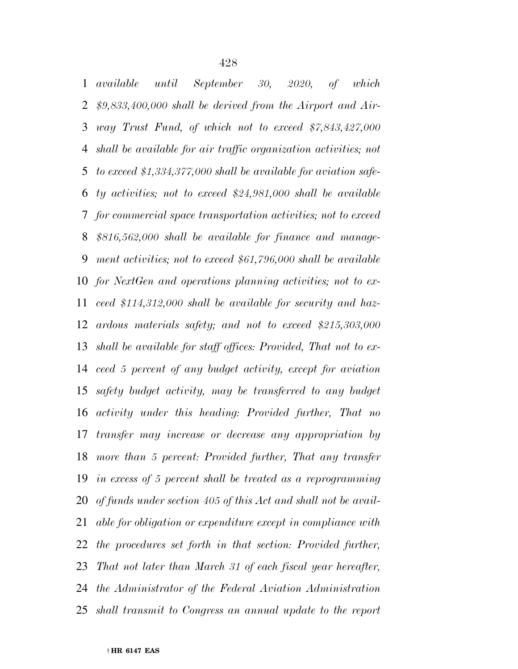*available until September 30, 2020, of which \$9,833,400,000 shall be derived from the Airport and Air- way Trust Fund, of which not to exceed \$7,843,427,000 shall be available for air traffic organization activities; not to exceed \$1,334,377,000 shall be available for aviation safe- ty activities; not to exceed \$24,981,000 shall be available for commercial space transportation activities; not to exceed \$816,562,000 shall be available for finance and manage- ment activities; not to exceed \$61,796,000 shall be available for NextGen and operations planning activities; not to ex- ceed \$114,312,000 shall be available for security and haz- ardous materials safety; and not to exceed \$215,303,000 shall be available for staff offices: Provided, That not to ex- ceed 5 percent of any budget activity, except for aviation safety budget activity, may be transferred to any budget activity under this heading: Provided further, That no transfer may increase or decrease any appropriation by more than 5 percent: Provided further, That any transfer in excess of 5 percent shall be treated as a reprogramming of funds under section 405 of this Act and shall not be avail- able for obligation or expenditure except in compliance with the procedures set forth in that section: Provided further, That not later than March 31 of each fiscal year hereafter, the Administrator of the Federal Aviation Administration shall transmit to Congress an annual update to the report*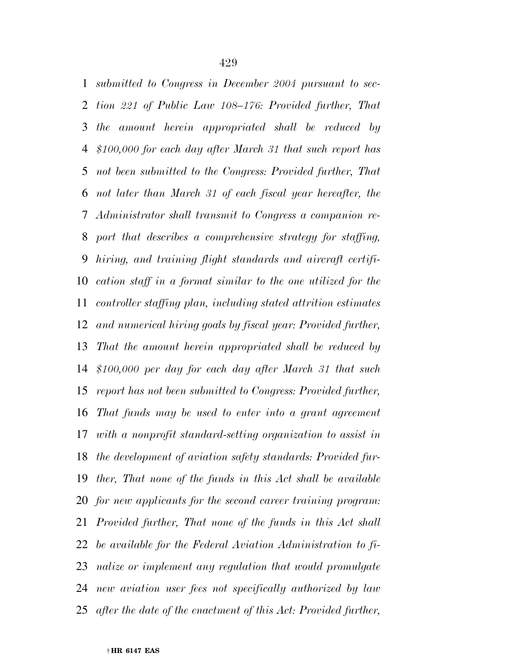*submitted to Congress in December 2004 pursuant to sec- tion 221 of Public Law 108–176: Provided further, That the amount herein appropriated shall be reduced by \$100,000 for each day after March 31 that such report has not been submitted to the Congress: Provided further, That not later than March 31 of each fiscal year hereafter, the Administrator shall transmit to Congress a companion re- port that describes a comprehensive strategy for staffing, hiring, and training flight standards and aircraft certifi- cation staff in a format similar to the one utilized for the controller staffing plan, including stated attrition estimates and numerical hiring goals by fiscal year: Provided further, That the amount herein appropriated shall be reduced by \$100,000 per day for each day after March 31 that such report has not been submitted to Congress: Provided further, That funds may be used to enter into a grant agreement with a nonprofit standard-setting organization to assist in the development of aviation safety standards: Provided fur- ther, That none of the funds in this Act shall be available for new applicants for the second career training program: Provided further, That none of the funds in this Act shall be available for the Federal Aviation Administration to fi- nalize or implement any regulation that would promulgate new aviation user fees not specifically authorized by law after the date of the enactment of this Act: Provided further,*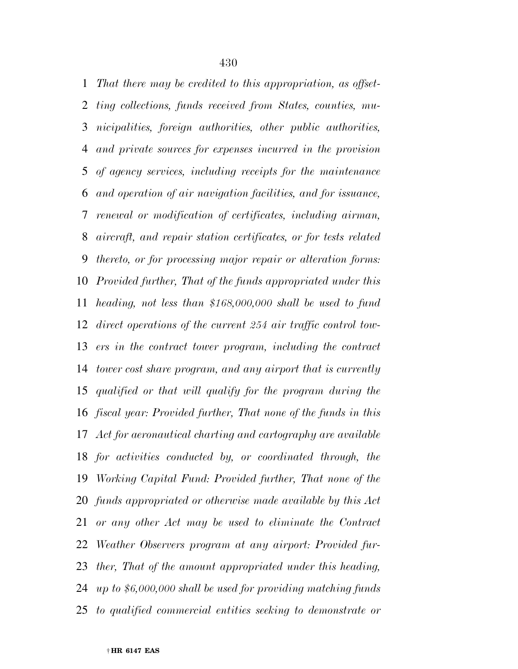*That there may be credited to this appropriation, as offset- ting collections, funds received from States, counties, mu- nicipalities, foreign authorities, other public authorities, and private sources for expenses incurred in the provision of agency services, including receipts for the maintenance and operation of air navigation facilities, and for issuance, renewal or modification of certificates, including airman, aircraft, and repair station certificates, or for tests related thereto, or for processing major repair or alteration forms: Provided further, That of the funds appropriated under this heading, not less than \$168,000,000 shall be used to fund direct operations of the current 254 air traffic control tow- ers in the contract tower program, including the contract tower cost share program, and any airport that is currently qualified or that will qualify for the program during the fiscal year: Provided further, That none of the funds in this Act for aeronautical charting and cartography are available for activities conducted by, or coordinated through, the Working Capital Fund: Provided further, That none of the funds appropriated or otherwise made available by this Act or any other Act may be used to eliminate the Contract Weather Observers program at any airport: Provided fur- ther, That of the amount appropriated under this heading, up to \$6,000,000 shall be used for providing matching funds to qualified commercial entities seeking to demonstrate or*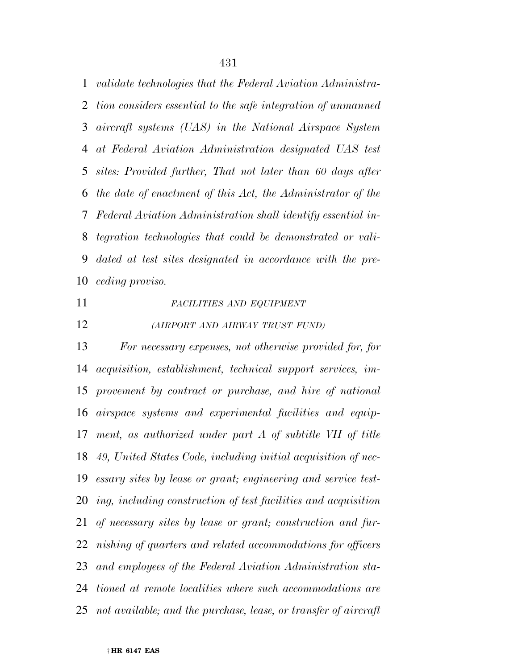*validate technologies that the Federal Aviation Administra- tion considers essential to the safe integration of unmanned aircraft systems (UAS) in the National Airspace System at Federal Aviation Administration designated UAS test sites: Provided further, That not later than 60 days after the date of enactment of this Act, the Administrator of the Federal Aviation Administration shall identify essential in- tegration technologies that could be demonstrated or vali- dated at test sites designated in accordance with the pre-ceding proviso.* 

### *FACILITIES AND EQUIPMENT*

*(AIRPORT AND AIRWAY TRUST FUND)*

 *For necessary expenses, not otherwise provided for, for acquisition, establishment, technical support services, im- provement by contract or purchase, and hire of national airspace systems and experimental facilities and equip- ment, as authorized under part A of subtitle VII of title 49, United States Code, including initial acquisition of nec- essary sites by lease or grant; engineering and service test- ing, including construction of test facilities and acquisition of necessary sites by lease or grant; construction and fur- nishing of quarters and related accommodations for officers and employees of the Federal Aviation Administration sta- tioned at remote localities where such accommodations are not available; and the purchase, lease, or transfer of aircraft*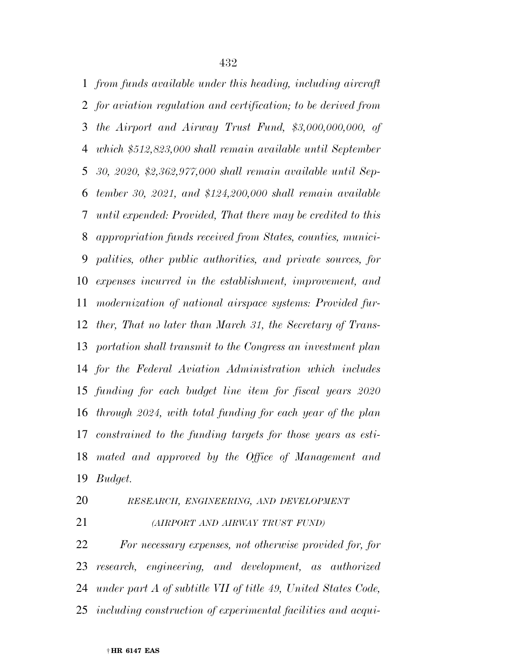*from funds available under this heading, including aircraft for aviation regulation and certification; to be derived from the Airport and Airway Trust Fund, \$3,000,000,000, of which \$512,823,000 shall remain available until September 30, 2020, \$2,362,977,000 shall remain available until Sep- tember 30, 2021, and \$124,200,000 shall remain available until expended: Provided, That there may be credited to this appropriation funds received from States, counties, munici- palities, other public authorities, and private sources, for expenses incurred in the establishment, improvement, and modernization of national airspace systems: Provided fur- ther, That no later than March 31, the Secretary of Trans- portation shall transmit to the Congress an investment plan for the Federal Aviation Administration which includes funding for each budget line item for fiscal years 2020 through 2024, with total funding for each year of the plan constrained to the funding targets for those years as esti- mated and approved by the Office of Management and Budget.* 

*RESEARCH, ENGINEERING, AND DEVELOPMENT*

## *(AIRPORT AND AIRWAY TRUST FUND)*

 *For necessary expenses, not otherwise provided for, for research, engineering, and development, as authorized under part A of subtitle VII of title 49, United States Code, including construction of experimental facilities and acqui-*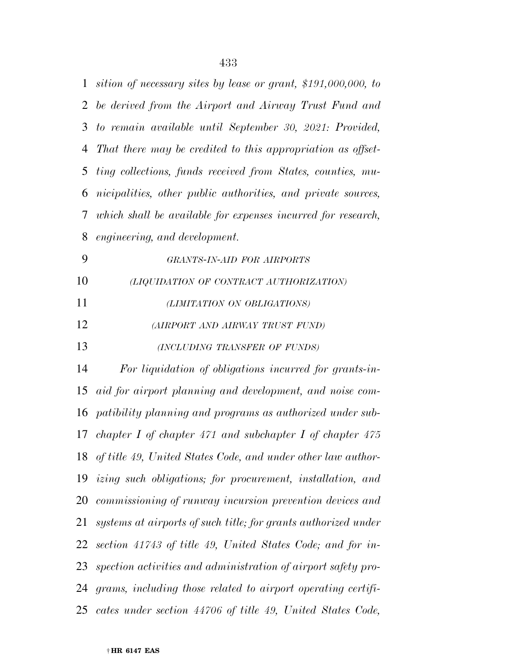| 1  | sition of necessary sites by lease or grant, \$191,000,000, to  |
|----|-----------------------------------------------------------------|
| 2  | be derived from the Airport and Airway Trust Fund and           |
| 3  | to remain available until September 30, 2021: Provided,         |
| 4  | That there may be credited to this appropriation as offset-     |
| 5  | ting collections, funds received from States, counties, mu-     |
| 6  | nicipalities, other public authorities, and private sources,    |
| 7  | which shall be available for expenses incurred for research,    |
| 8  | engineering, and development.                                   |
| 9  | GRANTS-IN-AID FOR AIRPORTS                                      |
| 10 | (LIQUIDATION OF CONTRACT AUTHORIZATION)                         |
| 11 | (LIMITATION ON OBLIGATIONS)                                     |
| 12 | (AIRPORT AND AIRWAY TRUST FUND)                                 |
| 13 | (INCLUDING TRANSFER OF FUNDS)                                   |
| 14 | For liquidation of obligations incurred for grants-in-          |
| 15 | aid for airport planning and development, and noise com-        |
|    | 16 patibility planning and programs as authorized under sub-    |
| 17 | chapter I of chapter 471 and subchapter I of chapter 475        |
|    | 18 of title 49, United States Code, and under other law author- |
|    | 19 izing such obligations; for procurement, installation, and   |
|    | 20 commissioning of runway incursion prevention devices and     |
| 21 | systems at airports of such title; for grants authorized under  |
| 22 | section 41743 of title 49, United States Code; and for in-      |
| 23 | spection activities and administration of airport safety pro-   |
|    | 24 grams, including those related to airport operating certifi- |
|    |                                                                 |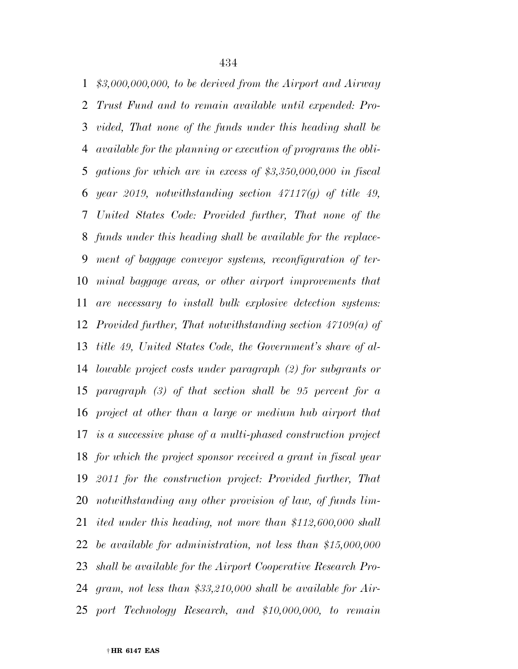*\$3,000,000,000, to be derived from the Airport and Airway Trust Fund and to remain available until expended: Pro- vided, That none of the funds under this heading shall be available for the planning or execution of programs the obli- gations for which are in excess of \$3,350,000,000 in fiscal year 2019, notwithstanding section 47117(g) of title 49, United States Code: Provided further, That none of the funds under this heading shall be available for the replace- ment of baggage conveyor systems, reconfiguration of ter- minal baggage areas, or other airport improvements that are necessary to install bulk explosive detection systems: Provided further, That notwithstanding section 47109(a) of title 49, United States Code, the Government's share of al- lowable project costs under paragraph (2) for subgrants or paragraph (3) of that section shall be 95 percent for a project at other than a large or medium hub airport that is a successive phase of a multi-phased construction project for which the project sponsor received a grant in fiscal year 2011 for the construction project: Provided further, That notwithstanding any other provision of law, of funds lim- ited under this heading, not more than \$112,600,000 shall be available for administration, not less than \$15,000,000 shall be available for the Airport Cooperative Research Pro- gram, not less than \$33,210,000 shall be available for Air-port Technology Research, and \$10,000,000, to remain*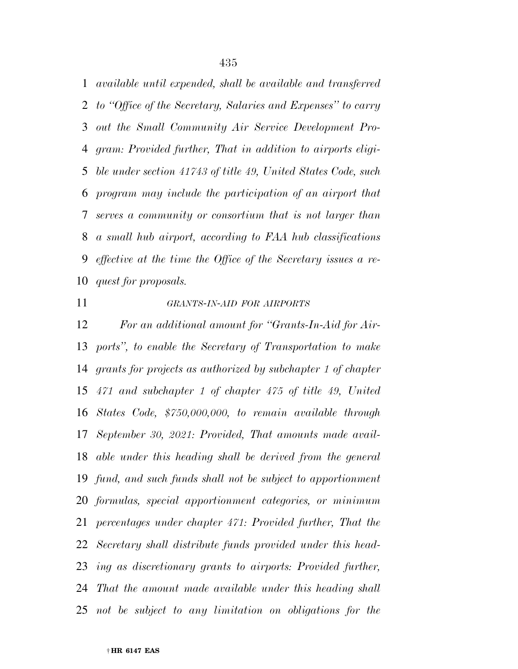*available until expended, shall be available and transferred to ''Office of the Secretary, Salaries and Expenses'' to carry out the Small Community Air Service Development Pro- gram: Provided further, That in addition to airports eligi- ble under section 41743 of title 49, United States Code, such program may include the participation of an airport that serves a community or consortium that is not larger than a small hub airport, according to FAA hub classifications effective at the time the Office of the Secretary issues a re-quest for proposals.* 

## *GRANTS-IN-AID FOR AIRPORTS*

 *For an additional amount for ''Grants-In-Aid for Air- ports'', to enable the Secretary of Transportation to make grants for projects as authorized by subchapter 1 of chapter 471 and subchapter 1 of chapter 475 of title 49, United States Code, \$750,000,000, to remain available through September 30, 2021: Provided, That amounts made avail- able under this heading shall be derived from the general fund, and such funds shall not be subject to apportionment formulas, special apportionment categories, or minimum percentages under chapter 471: Provided further, That the Secretary shall distribute funds provided under this head- ing as discretionary grants to airports: Provided further, That the amount made available under this heading shall not be subject to any limitation on obligations for the*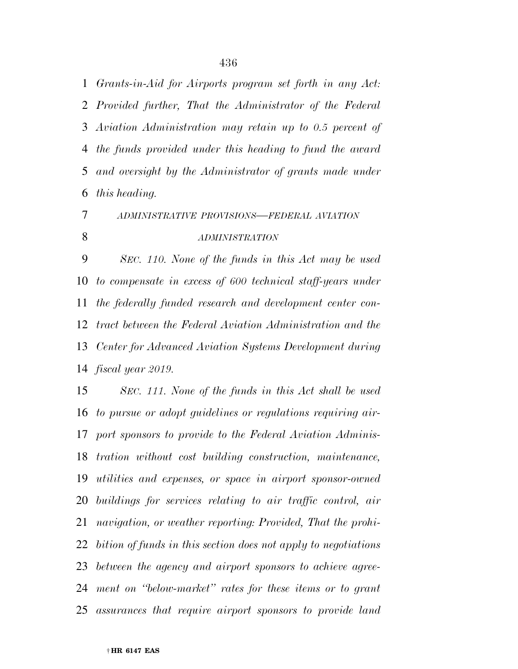*Grants-in-Aid for Airports program set forth in any Act: Provided further, That the Administrator of the Federal Aviation Administration may retain up to 0.5 percent of the funds provided under this heading to fund the award and oversight by the Administrator of grants made under this heading.* 

## *ADMINISTRATIVE PROVISIONS—FEDERAL AVIATION ADMINISTRATION*

 *SEC. 110. None of the funds in this Act may be used to compensate in excess of 600 technical staff-years under the federally funded research and development center con- tract between the Federal Aviation Administration and the Center for Advanced Aviation Systems Development during fiscal year 2019.* 

 *SEC. 111. None of the funds in this Act shall be used to pursue or adopt guidelines or regulations requiring air- port sponsors to provide to the Federal Aviation Adminis- tration without cost building construction, maintenance, utilities and expenses, or space in airport sponsor-owned buildings for services relating to air traffic control, air navigation, or weather reporting: Provided, That the prohi- bition of funds in this section does not apply to negotiations between the agency and airport sponsors to achieve agree- ment on ''below-market'' rates for these items or to grant assurances that require airport sponsors to provide land*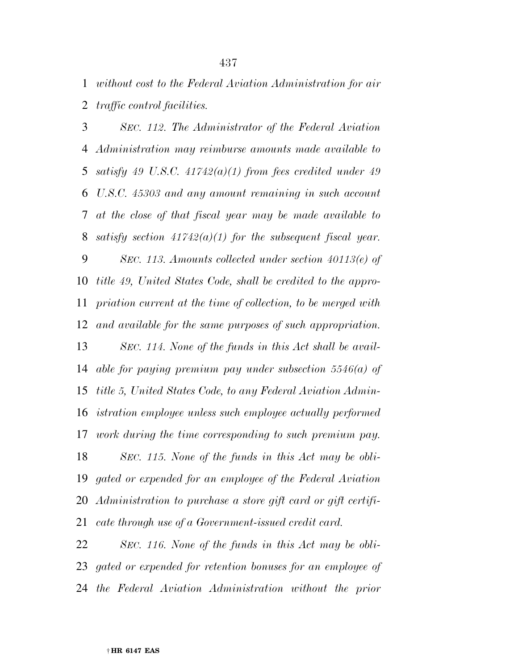*without cost to the Federal Aviation Administration for air traffic control facilities.* 

 *SEC. 112. The Administrator of the Federal Aviation Administration may reimburse amounts made available to satisfy 49 U.S.C. 41742(a)(1) from fees credited under 49 U.S.C. 45303 and any amount remaining in such account at the close of that fiscal year may be made available to satisfy section 41742(a)(1) for the subsequent fiscal year. SEC. 113. Amounts collected under section 40113(e) of title 49, United States Code, shall be credited to the appro- priation current at the time of collection, to be merged with and available for the same purposes of such appropriation. SEC. 114. None of the funds in this Act shall be avail- able for paying premium pay under subsection 5546(a) of title 5, United States Code, to any Federal Aviation Admin- istration employee unless such employee actually performed work during the time corresponding to such premium pay. SEC. 115. None of the funds in this Act may be obli- gated or expended for an employee of the Federal Aviation Administration to purchase a store gift card or gift certifi-cate through use of a Government-issued credit card.* 

 *SEC. 116. None of the funds in this Act may be obli- gated or expended for retention bonuses for an employee of the Federal Aviation Administration without the prior*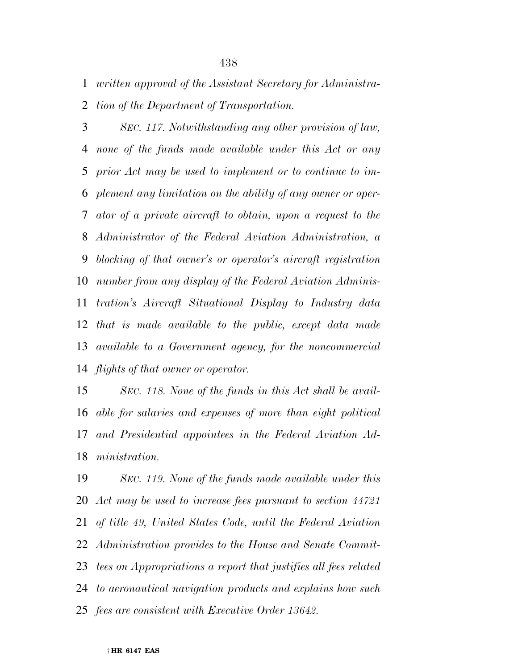*written approval of the Assistant Secretary for Administra-*

*tion of the Department of Transportation.* 

 *SEC. 117. Notwithstanding any other provision of law, none of the funds made available under this Act or any prior Act may be used to implement or to continue to im- plement any limitation on the ability of any owner or oper- ator of a private aircraft to obtain, upon a request to the Administrator of the Federal Aviation Administration, a blocking of that owner's or operator's aircraft registration number from any display of the Federal Aviation Adminis- tration's Aircraft Situational Display to Industry data that is made available to the public, except data made available to a Government agency, for the noncommercial flights of that owner or operator.* 

 *SEC. 118. None of the funds in this Act shall be avail- able for salaries and expenses of more than eight political and Presidential appointees in the Federal Aviation Ad-ministration.* 

 *SEC. 119. None of the funds made available under this Act may be used to increase fees pursuant to section 44721 of title 49, United States Code, until the Federal Aviation Administration provides to the House and Senate Commit- tees on Appropriations a report that justifies all fees related to aeronautical navigation products and explains how such fees are consistent with Executive Order 13642.*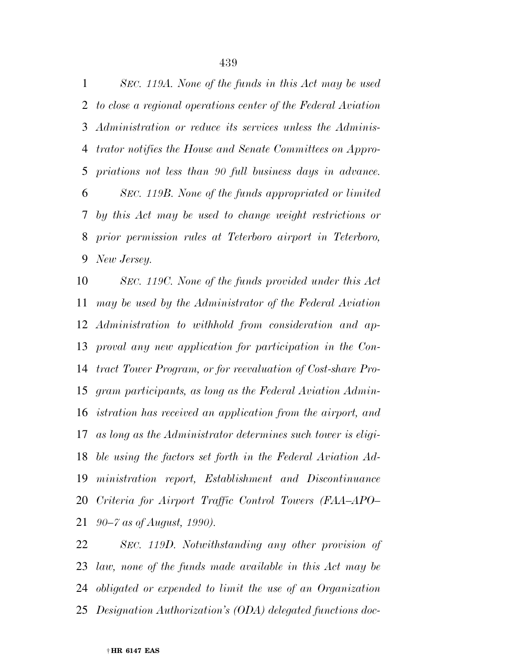*SEC. 119A. None of the funds in this Act may be used to close a regional operations center of the Federal Aviation Administration or reduce its services unless the Adminis- trator notifies the House and Senate Committees on Appro- priations not less than 90 full business days in advance. SEC. 119B. None of the funds appropriated or limited by this Act may be used to change weight restrictions or prior permission rules at Teterboro airport in Teterboro, New Jersey.* 

 *SEC. 119C. None of the funds provided under this Act may be used by the Administrator of the Federal Aviation Administration to withhold from consideration and ap- proval any new application for participation in the Con- tract Tower Program, or for reevaluation of Cost-share Pro- gram participants, as long as the Federal Aviation Admin- istration has received an application from the airport, and as long as the Administrator determines such tower is eligi- ble using the factors set forth in the Federal Aviation Ad- ministration report, Establishment and Discontinuance Criteria for Airport Traffic Control Towers (FAA–APO– 90–7 as of August, 1990).* 

 *SEC. 119D. Notwithstanding any other provision of law, none of the funds made available in this Act may be obligated or expended to limit the use of an Organization Designation Authorization's (ODA) delegated functions doc-*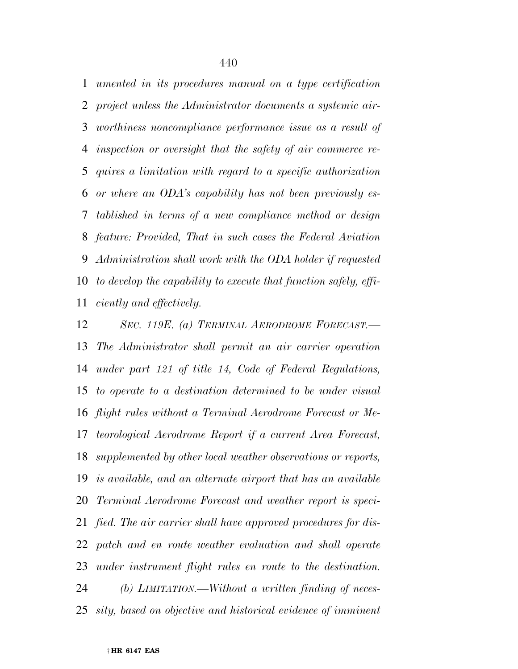*umented in its procedures manual on a type certification project unless the Administrator documents a systemic air- worthiness noncompliance performance issue as a result of inspection or oversight that the safety of air commerce re- quires a limitation with regard to a specific authorization or where an ODA's capability has not been previously es- tablished in terms of a new compliance method or design feature: Provided, That in such cases the Federal Aviation Administration shall work with the ODA holder if requested to develop the capability to execute that function safely, effi-ciently and effectively.* 

 *SEC. 119E. (a) TERMINAL AERODROME FORECAST.— The Administrator shall permit an air carrier operation under part 121 of title 14, Code of Federal Regulations, to operate to a destination determined to be under visual flight rules without a Terminal Aerodrome Forecast or Me- teorological Aerodrome Report if a current Area Forecast, supplemented by other local weather observations or reports, is available, and an alternate airport that has an available Terminal Aerodrome Forecast and weather report is speci- fied. The air carrier shall have approved procedures for dis- patch and en route weather evaluation and shall operate under instrument flight rules en route to the destination. (b) LIMITATION.—Without a written finding of neces-sity, based on objective and historical evidence of imminent*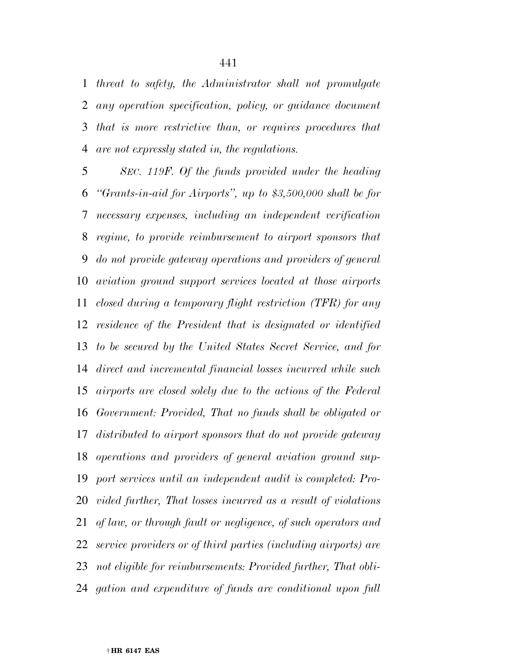*threat to safety, the Administrator shall not promulgate any operation specification, policy, or guidance document that is more restrictive than, or requires procedures that are not expressly stated in, the regulations.* 

 *SEC. 119F. Of the funds provided under the heading ''Grants-in-aid for Airports'', up to \$3,500,000 shall be for necessary expenses, including an independent verification regime, to provide reimbursement to airport sponsors that do not provide gateway operations and providers of general aviation ground support services located at those airports closed during a temporary flight restriction (TFR) for any residence of the President that is designated or identified to be secured by the United States Secret Service, and for direct and incremental financial losses incurred while such airports are closed solely due to the actions of the Federal Government: Provided, That no funds shall be obligated or distributed to airport sponsors that do not provide gateway operations and providers of general aviation ground sup- port services until an independent audit is completed: Pro- vided further, That losses incurred as a result of violations of law, or through fault or negligence, of such operators and service providers or of third parties (including airports) are not eligible for reimbursements: Provided further, That obli-gation and expenditure of funds are conditional upon full*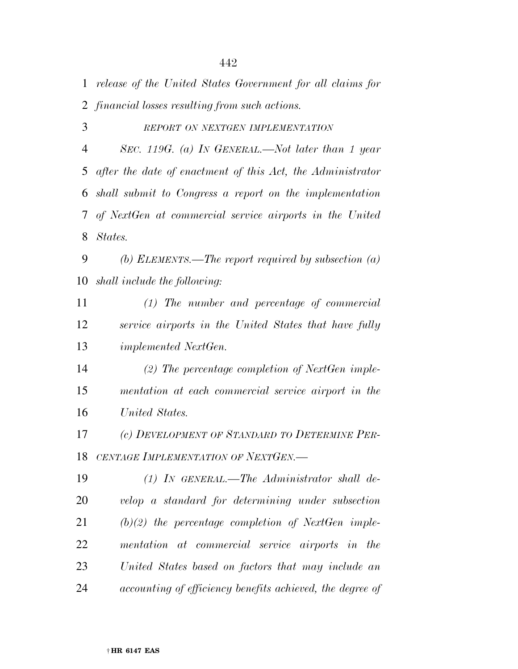*release of the United States Government for all claims for financial losses resulting from such actions.* 

*REPORT ON NEXTGEN IMPLEMENTATION*

 *SEC. 119G. (a) IN GENERAL.—Not later than 1 year after the date of enactment of this Act, the Administrator shall submit to Congress a report on the implementation of NextGen at commercial service airports in the United States.* 

 *(b) ELEMENTS.—The report required by subsection (a) shall include the following:* 

 *(1) The number and percentage of commercial service airports in the United States that have fully implemented NextGen.* 

 *(2) The percentage completion of NextGen imple- mentation at each commercial service airport in the United States.* 

 *(c) DEVELOPMENT OF STANDARD TO DETERMINE PER-CENTAGE IMPLEMENTATION OF NEXTGEN.—* 

 *(1) IN GENERAL.—The Administrator shall de- velop a standard for determining under subsection (b)(2) the percentage completion of NextGen imple- mentation at commercial service airports in the United States based on factors that may include an accounting of efficiency benefits achieved, the degree of*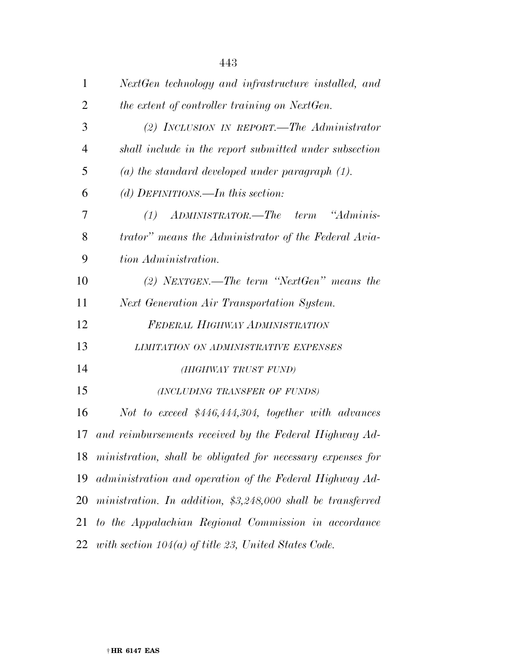| $\mathbf{1}$   | NextGen technology and infrastructure installed, and           |
|----------------|----------------------------------------------------------------|
| $\overline{2}$ | the extent of controller training on NextGen.                  |
| 3              | (2) INCLUSION IN REPORT.—The Administrator                     |
| $\overline{4}$ | shall include in the report submitted under subsection         |
| 5              | (a) the standard developed under paragraph $(1)$ .             |
| 6              | (d) DEFINITIONS.—In this section:                              |
| 7              | ADMINISTRATOR.—The term "Adminis-<br>(1)                       |
| 8              | trator" means the Administrator of the Federal Avia-           |
| 9              | tion Administration.                                           |
| 10             | $(2)$ NEXTGEN.—The term "NextGen" means the                    |
| 11             | Next Generation Air Transportation System.                     |
| 12             | FEDERAL HIGHWAY ADMINISTRATION                                 |
| 13             | LIMITATION ON ADMINISTRATIVE EXPENSES                          |
| 14             | (HIGHWAY TRUST FUND)                                           |
| 15             | (INCLUDING TRANSFER OF FUNDS)                                  |
| 16             | Not to exceed $$446,444,304,$ together with advances           |
| 17             | and reimbursements received by the Federal Highway Ad-         |
|                | 18 ministration, shall be obligated for necessary expenses for |
| 19             | administration and operation of the Federal Highway Ad-        |
| 20             | ministration. In addition, $$3,248,000$ shall be transferred   |
| 21             | to the Appalachian Regional Commission in accordance           |
| 22             | with section $104(a)$ of title 23, United States Code.         |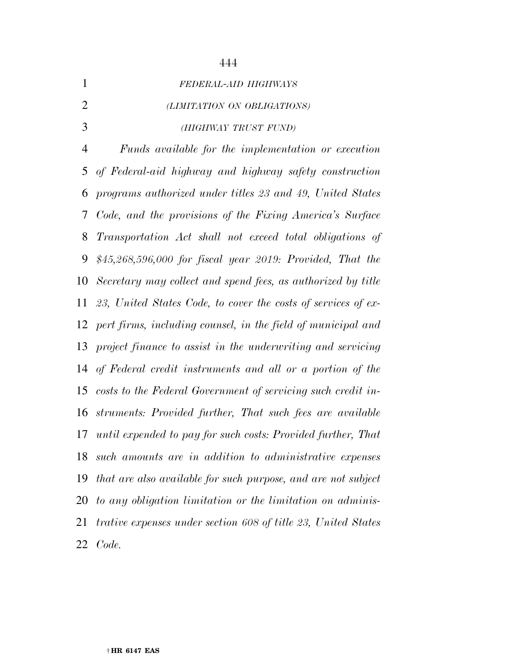| $\mathbf{1}$   | FEDERAL-AID HIGHWAYS                                          |
|----------------|---------------------------------------------------------------|
| $\overline{2}$ | (LIMITATION ON OBLIGATIONS)                                   |
| 3              | (HIGHWAY TRUST FUND)                                          |
| $\overline{4}$ | Funds available for the implementation or execution           |
| 5              | of Federal-aid highway and highway safety construction        |
| 6              | programs authorized under titles 23 and 49, United States     |
| 7              | Code, and the provisions of the Fixing America's Surface      |
| 8              | Transportation Act shall not exceed total obligations of      |
| 9              | $$45,268,596,000$ for fiscal year 2019: Provided, That the    |
| 10             | Secretary may collect and spend fees, as authorized by title  |
| 11             | 23, United States Code, to cover the costs of services of ex- |
| 12             | pert firms, including counsel, in the field of municipal and  |
| 13             | project finance to assist in the underwriting and servicing   |
| 14             | of Federal credit instruments and all or a portion of the     |
| 15             | costs to the Federal Government of servicing such credit in-  |
| 16             | struments: Provided further, That such fees are available     |
| 17             | until expended to pay for such costs: Provided further, That  |
| 18             | such amounts are in addition to administrative expenses       |
| 19             | that are also available for such purpose, and are not subject |
| 20             | to any obligation limitation or the limitation on adminis-    |
| 21             | trative expenses under section 608 of title 23, United States |
| 22             | Code.                                                         |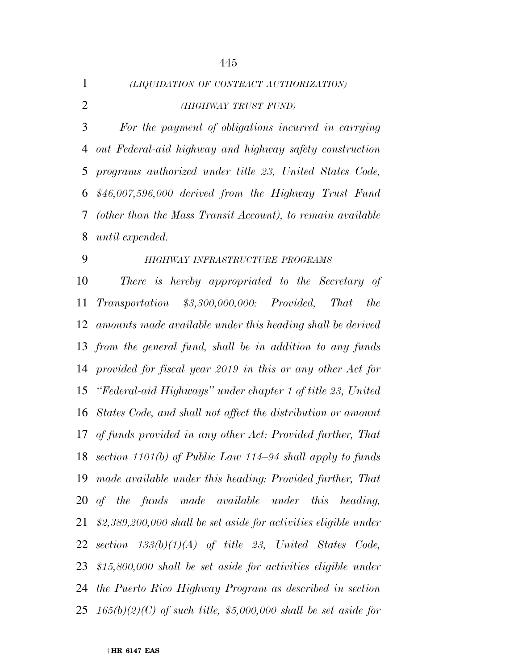| $\mathbf{1}$   | (LIQUIDATION OF CONTRACT AUTHORIZATION)                                    |
|----------------|----------------------------------------------------------------------------|
| $\overline{2}$ | (HIGHWAY TRUST FUND)                                                       |
| 3              | For the payment of obligations incurred in carrying                        |
| 4              | out Federal-aid highway and highway safety construction                    |
| 5              | programs authorized under title 23, United States Code,                    |
| 6              | $$46,007,596,000$ derived from the Highway Trust Fund                      |
| 7              | (other than the Mass Transit Account), to remain available                 |
| 8              | until expended.                                                            |
| 9              | HIGHWAY INFRASTRUCTURE PROGRAMS                                            |
| 10             | There is hereby appropriated to the Secretary of                           |
| 11             | $Transportation$ $$3,300,000,000$ : Provided,<br><i>That</i><br><i>the</i> |
| 12             | amounts made available under this heading shall be derived                 |
|                | 13 from the general fund, shall be in addition to any funds                |
| 14             | provided for fiscal year 2019 in this or any other Act for                 |
| 15             | "Federal-aid Highways" under chapter 1 of title 23, United                 |
| 16             | States Code, and shall not affect the distribution or amount               |
| 17             | of funds provided in any other Act: Provided further, That                 |
|                | 18 section $1101(b)$ of Public Law $114-94$ shall apply to funds           |
| 19             | made available under this heading: Provided further, That                  |
|                | 20 of the funds made available under this heading,                         |
| 21             | $$2,389,200,000$ shall be set aside for activities eligible under          |
| 22             | section $133(b)(1)(A)$ of title 23, United States Code,                    |
|                | 23 $$15,800,000$ shall be set aside for activities eligible under          |
| 24             | the Puerto Rico Highway Program as described in section                    |
|                | 25 $165(b)(2)(C)$ of such title, \$5,000,000 shall be set aside for        |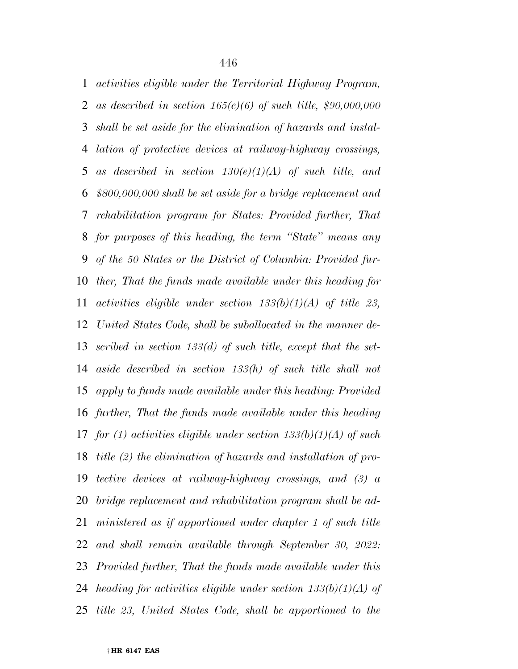*activities eligible under the Territorial Highway Program, as described in section 165(c)(6) of such title, \$90,000,000 shall be set aside for the elimination of hazards and instal- lation of protective devices at railway-highway crossings, as described in section 130(e)(1)(A) of such title, and \$800,000,000 shall be set aside for a bridge replacement and rehabilitation program for States: Provided further, That for purposes of this heading, the term ''State'' means any of the 50 States or the District of Columbia: Provided fur- ther, That the funds made available under this heading for activities eligible under section 133(b)(1)(A) of title 23, United States Code, shall be suballocated in the manner de- scribed in section 133(d) of such title, except that the set- aside described in section 133(h) of such title shall not apply to funds made available under this heading: Provided further, That the funds made available under this heading for (1) activities eligible under section 133(b)(1)(A) of such title (2) the elimination of hazards and installation of pro- tective devices at railway-highway crossings, and (3) a bridge replacement and rehabilitation program shall be ad- ministered as if apportioned under chapter 1 of such title and shall remain available through September 30, 2022: Provided further, That the funds made available under this heading for activities eligible under section 133(b)(1)(A) of title 23, United States Code, shall be apportioned to the*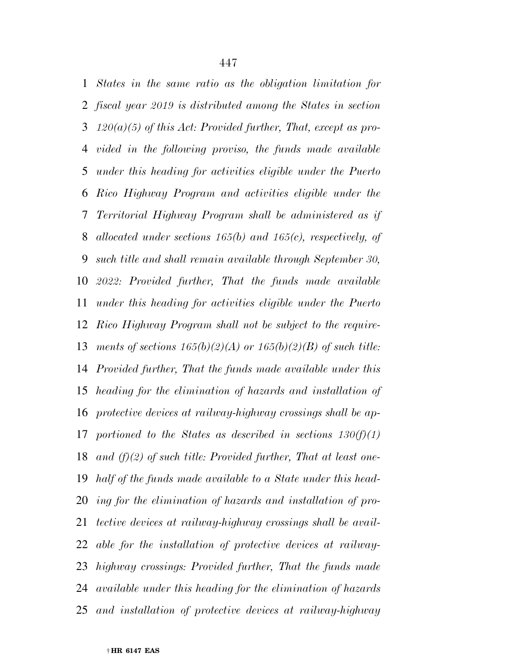*States in the same ratio as the obligation limitation for fiscal year 2019 is distributed among the States in section 120(a)(5) of this Act: Provided further, That, except as pro- vided in the following proviso, the funds made available under this heading for activities eligible under the Puerto Rico Highway Program and activities eligible under the Territorial Highway Program shall be administered as if allocated under sections 165(b) and 165(c), respectively, of such title and shall remain available through September 30, 2022: Provided further, That the funds made available under this heading for activities eligible under the Puerto Rico Highway Program shall not be subject to the require- ments of sections 165(b)(2)(A) or 165(b)(2)(B) of such title: Provided further, That the funds made available under this heading for the elimination of hazards and installation of protective devices at railway-highway crossings shall be ap- portioned to the States as described in sections 130(f)(1) and (f)(2) of such title: Provided further, That at least one- half of the funds made available to a State under this head- ing for the elimination of hazards and installation of pro- tective devices at railway-highway crossings shall be avail- able for the installation of protective devices at railway- highway crossings: Provided further, That the funds made available under this heading for the elimination of hazards and installation of protective devices at railway-highway*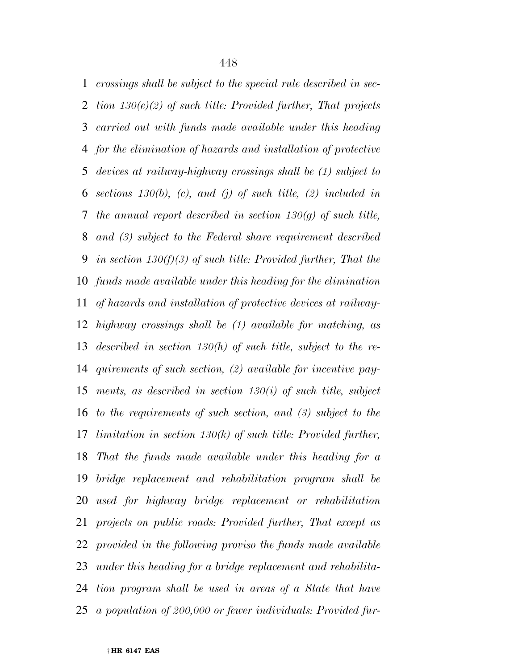*crossings shall be subject to the special rule described in sec- tion 130(e)(2) of such title: Provided further, That projects carried out with funds made available under this heading for the elimination of hazards and installation of protective devices at railway-highway crossings shall be (1) subject to sections 130(b), (c), and (j) of such title, (2) included in the annual report described in section 130(g) of such title, and (3) subject to the Federal share requirement described in section 130(f)(3) of such title: Provided further, That the funds made available under this heading for the elimination of hazards and installation of protective devices at railway- highway crossings shall be (1) available for matching, as described in section 130(h) of such title, subject to the re- quirements of such section, (2) available for incentive pay- ments, as described in section 130(i) of such title, subject to the requirements of such section, and (3) subject to the limitation in section 130(k) of such title: Provided further, That the funds made available under this heading for a bridge replacement and rehabilitation program shall be used for highway bridge replacement or rehabilitation projects on public roads: Provided further, That except as provided in the following proviso the funds made available under this heading for a bridge replacement and rehabilita- tion program shall be used in areas of a State that have a population of 200,000 or fewer individuals: Provided fur-*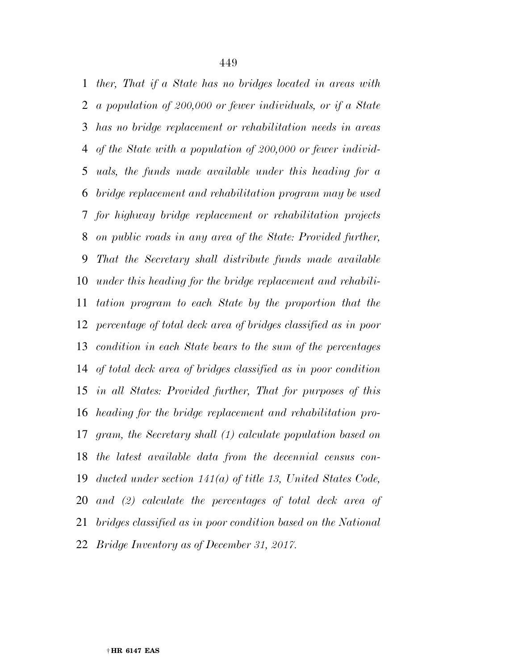*ther, That if a State has no bridges located in areas with a population of 200,000 or fewer individuals, or if a State has no bridge replacement or rehabilitation needs in areas of the State with a population of 200,000 or fewer individ- uals, the funds made available under this heading for a bridge replacement and rehabilitation program may be used for highway bridge replacement or rehabilitation projects on public roads in any area of the State: Provided further, That the Secretary shall distribute funds made available under this heading for the bridge replacement and rehabili- tation program to each State by the proportion that the percentage of total deck area of bridges classified as in poor condition in each State bears to the sum of the percentages of total deck area of bridges classified as in poor condition in all States: Provided further, That for purposes of this heading for the bridge replacement and rehabilitation pro- gram, the Secretary shall (1) calculate population based on the latest available data from the decennial census con- ducted under section 141(a) of title 13, United States Code, and (2) calculate the percentages of total deck area of bridges classified as in poor condition based on the National Bridge Inventory as of December 31, 2017.*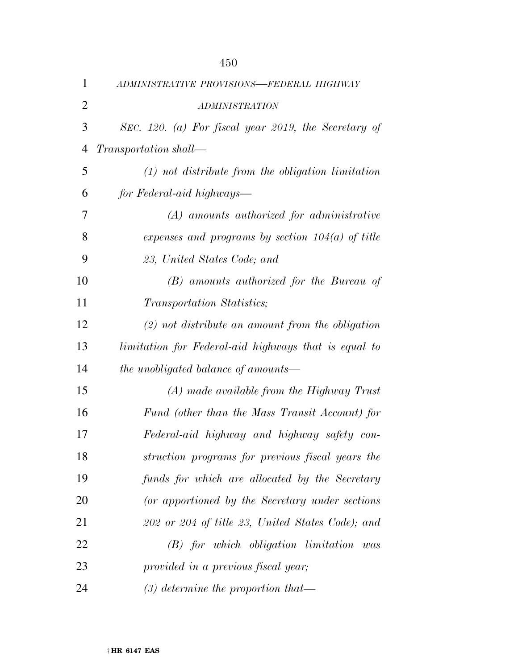| 1              | ADMINISTRATIVE PROVISIONS-FEDERAL HIGHWAY            |
|----------------|------------------------------------------------------|
| $\overline{2}$ | <b>ADMINISTRATION</b>                                |
| 3              | SEC. 120. (a) For fiscal year 2019, the Secretary of |
| 4              | Transportation shall-                                |
| 5              | $(1)$ not distribute from the obligation limitation  |
| 6              | for Federal-aid highways—                            |
| 7              | $(A)$ amounts authorized for administrative          |
| 8              | expenses and programs by section $104(a)$ of title   |
| 9              | 23, United States Code; and                          |
| 10             | (B) amounts authorized for the Bureau of             |
| 11             | Transportation Statistics;                           |
| 12             | $(2)$ not distribute an amount from the obligation   |
| 13             | limitation for Federal-aid highways that is equal to |
| 14             | the unobligated balance of amounts-                  |
| 15             | $(A)$ made available from the Highway Trust          |
| 16             | Fund (other than the Mass Transit Account) for       |
| 17             | Federal-aid highway and highway safety con-          |
| 18             | struction programs for previous fiscal years the     |
| 19             | funds for which are allocated by the Secretary       |
| 20             | (or apportioned by the Secretary under sections)     |
| 21             | 202 or 204 of title 23, United States Code); and     |
| 22             | $(B)$ for which obligation limitation was            |
| 23             | provided in a previous fiscal year;                  |
| 24             | $(3)$ determine the proportion that—                 |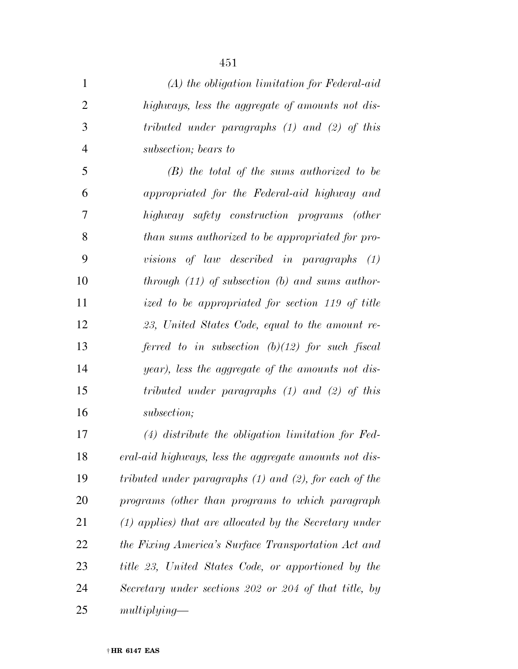| $\mathbf{1}$   | $(A)$ the obligation limitation for Federal-aid             |
|----------------|-------------------------------------------------------------|
| $\overline{2}$ | highways, less the aggregate of amounts not dis-            |
| 3              | tributed under paragraphs $(1)$ and $(2)$ of this           |
| $\overline{4}$ | subsection; bears to                                        |
| 5              | $(B)$ the total of the sums authorized to be                |
| 6              | appropriated for the Federal-aid highway and                |
| 7              | highway safety construction programs (other                 |
| 8              | than sums authorized to be appropriated for pro-            |
| 9              | visions of law described in paragraphs $(1)$                |
| 10             | through $(11)$ of subsection $(b)$ and sums author-         |
| 11             | ized to be appropriated for section 119 of title            |
| 12             | 23, United States Code, equal to the amount re-             |
| 13             | ferred to in subsection $(b)(12)$ for such fiscal           |
| 14             | year), less the aggregate of the amounts not dis-           |
| 15             | tributed under paragraphs $(1)$ and $(2)$ of this           |
| 16             | subsection;                                                 |
| 17             | $(4)$ distribute the obligation limitation for Fed-         |
| 18             | eral-aid highways, less the aggregate amounts not dis-      |
| 19             | tributed under paragraphs $(1)$ and $(2)$ , for each of the |
| 20             | programs (other than programs to which paragraph            |
| 21             | $(1)$ applies) that are allocated by the Secretary under    |
| 22             | the Fixing America's Surface Transportation Act and         |
| 23             | title 23, United States Code, or apportioned by the         |
| 24             | Secretary under sections 202 or 204 of that title, by       |
| 25             | multiplying                                                 |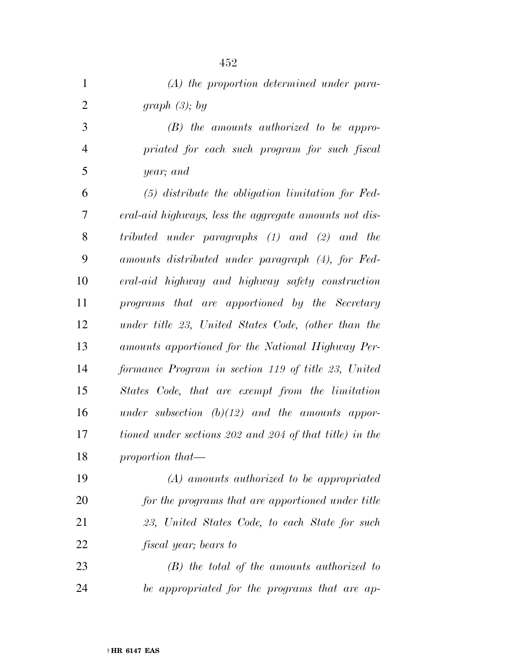| $\mathbf{1}$   | $(A)$ the proportion determined under para-             |
|----------------|---------------------------------------------------------|
| $\overline{2}$ | graph $(3)$ ; by                                        |
| 3              | $(B)$ the amounts authorized to be appro-               |
| $\overline{4}$ | priated for each such program for such fiscal           |
| 5              | year; and                                               |
| 6              | $(5)$ distribute the obligation limitation for Fed-     |
| 7              | eral-aid highways, less the aggregate amounts not dis-  |
| 8              | tributed under paragraphs (1) and (2) and the           |
| 9              | amounts distributed under paragraph (4), for Fed-       |
| 10             | eral-aid highway and highway safety construction        |
| 11             | programs that are apportioned by the Secretary          |
| 12             | under title 23, United States Code, (other than the     |
| 13             | amounts apportioned for the National Highway Per-       |
| 14             | formance Program in section 119 of title 23, United     |
| 15             | States Code, that are exempt from the limitation        |
| 16             | under subsection $(b)(12)$ and the amounts appor-       |
| 17             | tioned under sections 202 and 204 of that title) in the |
| 18             | proportion that—                                        |
| 19             | $(A)$ amounts authorized to be appropriated             |
| 20             | for the programs that are apportioned under title       |
| 21             | 23, United States Code, to each State for such          |
| 22             | <i>fiscal year</i> ; bears to                           |
| 23             | $(B)$ the total of the amounts authorized to            |
| 24             | be appropriated for the programs that are ap-           |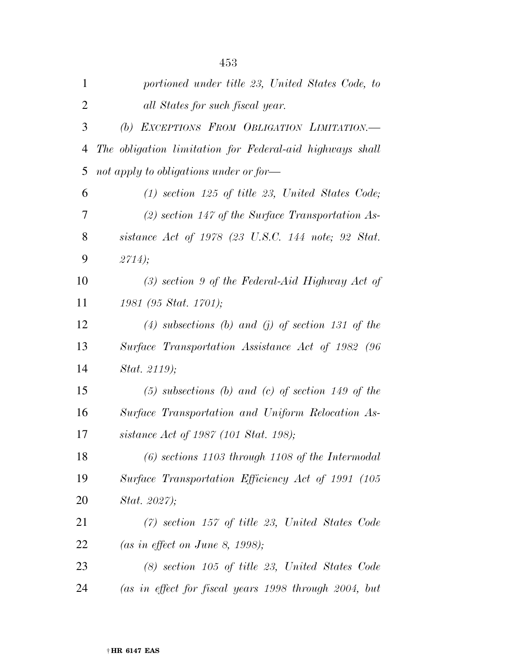| portioned under title 23, United States Code, to         |
|----------------------------------------------------------|
| all States for such fiscal year.                         |
| (b) EXCEPTIONS FROM OBLIGATION LIMITATION.-              |
| The obligation limitation for Federal-aid highways shall |
| not apply to obligations under or for-                   |
| $(1)$ section 125 of title 23, United States Code;       |
| $(2)$ section 147 of the Surface Transportation As-      |
| sistance Act of 1978 (23 U.S.C. 144 note; 92 Stat.       |
| 2714);                                                   |
| $(3)$ section 9 of the Federal-Aid Highway Act of        |
| 1981 (95 Stat. 1701);                                    |
| $(4)$ subsections $(b)$ and $(j)$ of section 131 of the  |
| Surface Transportation Assistance Act of 1982 (96        |
| Stat. 2119);                                             |
| $(5)$ subsections (b) and (c) of section 149 of the      |
| Surface Transportation and Uniform Relocation As-        |
| sistance Act of 1987 (101 Stat. 198);                    |
| $(6)$ sections 1103 through 1108 of the Intermodal       |
| Surface Transportation Efficiency Act of 1991 (105       |
| Stat. 2027);                                             |
| $(7)$ section 157 of title 23, United States Code        |
| (as in effect on June 8, 1998);                          |
|                                                          |
| $(8)$ section 105 of title 23, United States Code        |
|                                                          |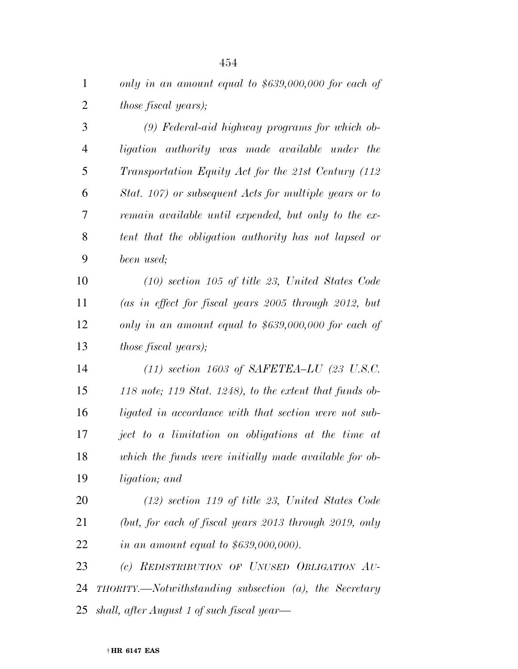*only in an amount equal to \$639,000,000 for each of those fiscal years);* 

 *(9) Federal-aid highway programs for which ob- ligation authority was made available under the Transportation Equity Act for the 21st Century (112 Stat. 107) or subsequent Acts for multiple years or to remain available until expended, but only to the ex- tent that the obligation authority has not lapsed or been used;* 

 *(10) section 105 of title 23, United States Code (as in effect for fiscal years 2005 through 2012, but only in an amount equal to \$639,000,000 for each of those fiscal years);* 

 *(11) section 1603 of SAFETEA–LU (23 U.S.C. 118 note; 119 Stat. 1248), to the extent that funds ob- ligated in accordance with that section were not sub- ject to a limitation on obligations at the time at which the funds were initially made available for ob-ligation; and* 

 *(12) section 119 of title 23, United States Code (but, for each of fiscal years 2013 through 2019, only in an amount equal to \$639,000,000).* 

 *(c) REDISTRIBUTION OF UNUSED OBLIGATION AU- THORITY.—Notwithstanding subsection (a), the Secretary shall, after August 1 of such fiscal year—*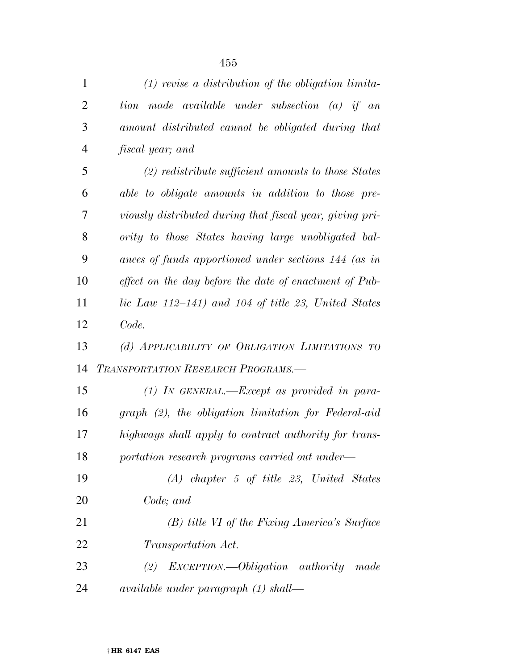| $\mathbf{1}$   | $(1)$ revise a distribution of the obligation limita-    |
|----------------|----------------------------------------------------------|
| $\overline{2}$ | tion made available under subsection (a) if an           |
| 3              | amount distributed cannot be obligated during that       |
| $\overline{4}$ | <i>fiscal year</i> ; and                                 |
| 5              | $(2)$ redistribute sufficient amounts to those States    |
| 6              | able to obligate amounts in addition to those pre-       |
| 7              | viously distributed during that fiscal year, giving pri- |
| 8              | ority to those States having large unobligated bal-      |
| 9              | ances of funds apportioned under sections 144 (as in     |
| 10             | effect on the day before the date of enactment of Pub-   |
| 11             | lic Law 112–141) and 104 of title 23, United States      |
| 12             | Code.                                                    |
| 13             | (d) APPLICABILITY OF OBLIGATION LIMITATIONS TO           |
| 14             | <b>TRANSPORTATION RESEARCH PROGRAMS.</b>                 |
| 15             | $(1)$ In GENERAL.—Except as provided in para-            |
| 16             | graph (2), the obligation limitation for Federal-aid     |
| 17             | highways shall apply to contract authority for trans-    |
| 18             | portation research programs carried out under—           |
| 19             | $(A)$ chapter 5 of title 23, United States               |
| 20             | Code; and                                                |
| 21             | (B) title VI of the Fixing America's Surface             |
| 22             | <i>Transportation Act.</i>                               |
| 23             | $(2)$ EXCEPTION.—Obligation authority<br>made            |
| 24             | $available$ under paragraph $(1)$ shall—                 |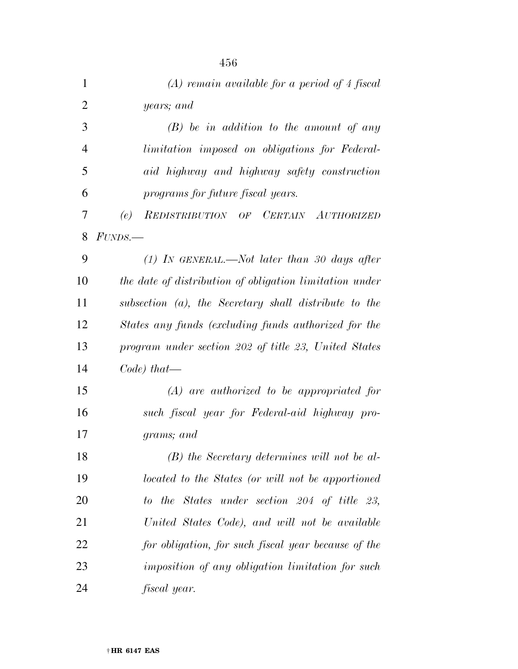| $\mathbf{1}$   | $(A)$ remain available for a period of 4 fiscal         |
|----------------|---------------------------------------------------------|
| $\overline{2}$ | years; and                                              |
| 3              | $(B)$ be in addition to the amount of any               |
| $\overline{4}$ | <i>limitation imposed on obligations for Federal-</i>   |
| 5              | aid highway and highway safety construction             |
| 6              | programs for future fiscal years.                       |
| 7              | REDISTRIBUTION OF CERTAIN AUTHORIZED<br>(e)             |
| 8              | $FUNDS$ .                                               |
| 9              | $(1)$ In GENERAL.—Not later than 30 days after          |
| 10             | the date of distribution of obligation limitation under |
| 11             | subsection (a), the Secretary shall distribute to the   |
| 12             | States any funds (excluding funds authorized for the    |
| 13             | program under section 202 of title 23, United States    |
| 14             | $Code)$ that—                                           |
| 15             | $(A)$ are authorized to be appropriated for             |
| 16             | such fiscal year for Federal-aid highway pro-           |
| 17             | grams; and                                              |
| 18             | (B) the Secretary determines will not be al-            |
| 19             | located to the States (or will not be apportioned       |
| 20             | to the States under section 204 of title 23,            |
| 21             | United States Code), and will not be available          |
| 22             | for obligation, for such fiscal year because of the     |
| 23             | imposition of any obligation limitation for such        |
| 24             | fiscal year.                                            |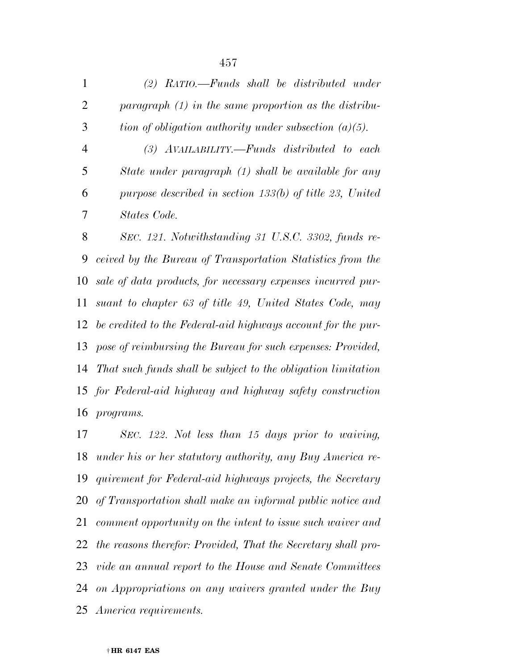*(2) RATIO.—Funds shall be distributed under paragraph (1) in the same proportion as the distribu- tion of obligation authority under subsection (a)(5). (3) AVAILABILITY.—Funds distributed to each State under paragraph (1) shall be available for any purpose described in section 133(b) of title 23, United States Code.* 

 *SEC. 121. Notwithstanding 31 U.S.C. 3302, funds re- ceived by the Bureau of Transportation Statistics from the sale of data products, for necessary expenses incurred pur- suant to chapter 63 of title 49, United States Code, may be credited to the Federal-aid highways account for the pur- pose of reimbursing the Bureau for such expenses: Provided, That such funds shall be subject to the obligation limitation for Federal-aid highway and highway safety construction programs.* 

 *SEC. 122. Not less than 15 days prior to waiving, under his or her statutory authority, any Buy America re- quirement for Federal-aid highways projects, the Secretary of Transportation shall make an informal public notice and comment opportunity on the intent to issue such waiver and the reasons therefor: Provided, That the Secretary shall pro- vide an annual report to the House and Senate Committees on Appropriations on any waivers granted under the Buy America requirements.*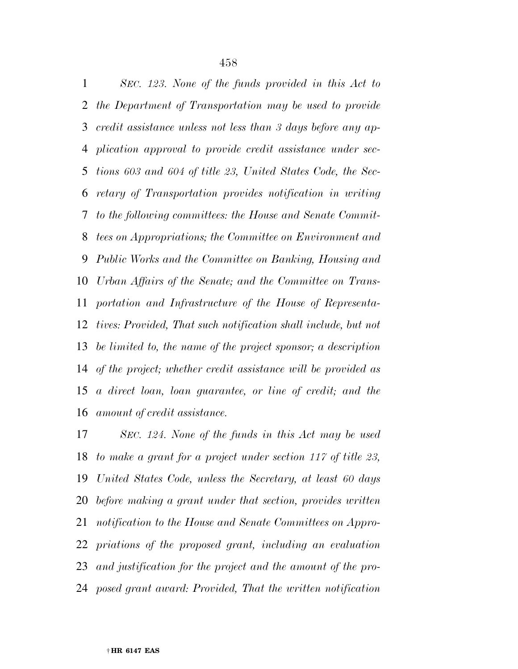*SEC. 123. None of the funds provided in this Act to the Department of Transportation may be used to provide credit assistance unless not less than 3 days before any ap- plication approval to provide credit assistance under sec- tions 603 and 604 of title 23, United States Code, the Sec- retary of Transportation provides notification in writing to the following committees: the House and Senate Commit- tees on Appropriations; the Committee on Environment and Public Works and the Committee on Banking, Housing and Urban Affairs of the Senate; and the Committee on Trans- portation and Infrastructure of the House of Representa- tives: Provided, That such notification shall include, but not be limited to, the name of the project sponsor; a description of the project; whether credit assistance will be provided as a direct loan, loan guarantee, or line of credit; and the amount of credit assistance.* 

 *SEC. 124. None of the funds in this Act may be used to make a grant for a project under section 117 of title 23, United States Code, unless the Secretary, at least 60 days before making a grant under that section, provides written notification to the House and Senate Committees on Appro- priations of the proposed grant, including an evaluation and justification for the project and the amount of the pro-posed grant award: Provided, That the written notification*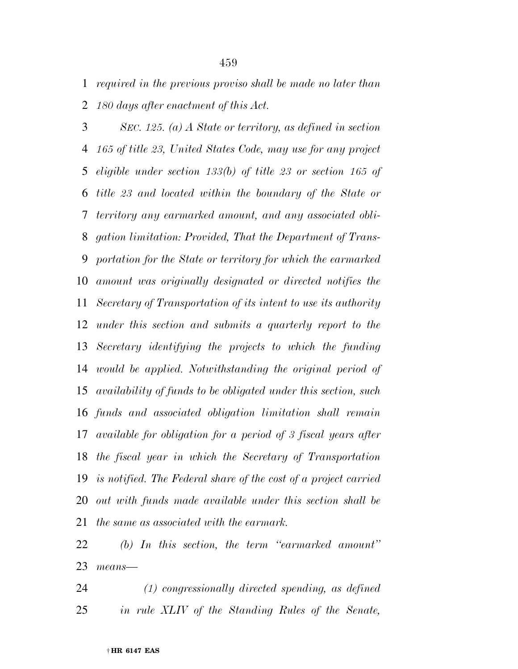*required in the previous proviso shall be made no later than 180 days after enactment of this Act.* 

 *SEC. 125. (a) A State or territory, as defined in section 165 of title 23, United States Code, may use for any project eligible under section 133(b) of title 23 or section 165 of title 23 and located within the boundary of the State or territory any earmarked amount, and any associated obli- gation limitation: Provided, That the Department of Trans- portation for the State or territory for which the earmarked amount was originally designated or directed notifies the Secretary of Transportation of its intent to use its authority under this section and submits a quarterly report to the Secretary identifying the projects to which the funding would be applied. Notwithstanding the original period of availability of funds to be obligated under this section, such funds and associated obligation limitation shall remain available for obligation for a period of 3 fiscal years after the fiscal year in which the Secretary of Transportation is notified. The Federal share of the cost of a project carried out with funds made available under this section shall be the same as associated with the earmark.* 

 *(b) In this section, the term ''earmarked amount'' means—* 

 *(1) congressionally directed spending, as defined in rule XLIV of the Standing Rules of the Senate,*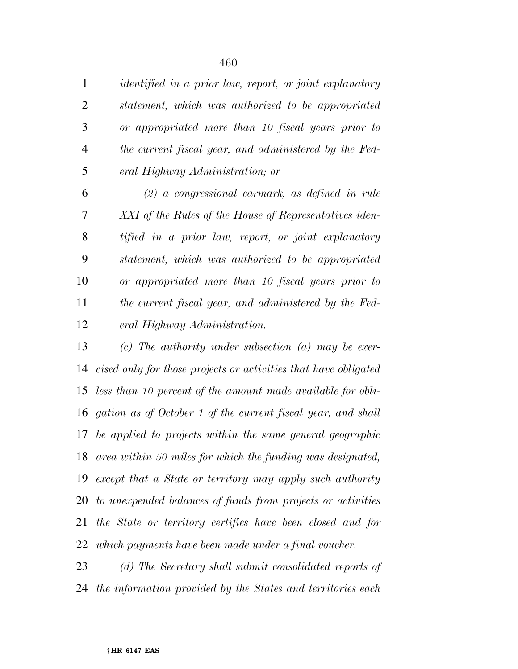*identified in a prior law, report, or joint explanatory statement, which was authorized to be appropriated or appropriated more than 10 fiscal years prior to the current fiscal year, and administered by the Fed-eral Highway Administration; or* 

 *(2) a congressional earmark, as defined in rule XXI of the Rules of the House of Representatives iden- tified in a prior law, report, or joint explanatory statement, which was authorized to be appropriated or appropriated more than 10 fiscal years prior to the current fiscal year, and administered by the Fed-eral Highway Administration.* 

 *(c) The authority under subsection (a) may be exer- cised only for those projects or activities that have obligated less than 10 percent of the amount made available for obli- gation as of October 1 of the current fiscal year, and shall be applied to projects within the same general geographic area within 50 miles for which the funding was designated, except that a State or territory may apply such authority to unexpended balances of funds from projects or activities the State or territory certifies have been closed and for which payments have been made under a final voucher.* 

 *(d) The Secretary shall submit consolidated reports of the information provided by the States and territories each*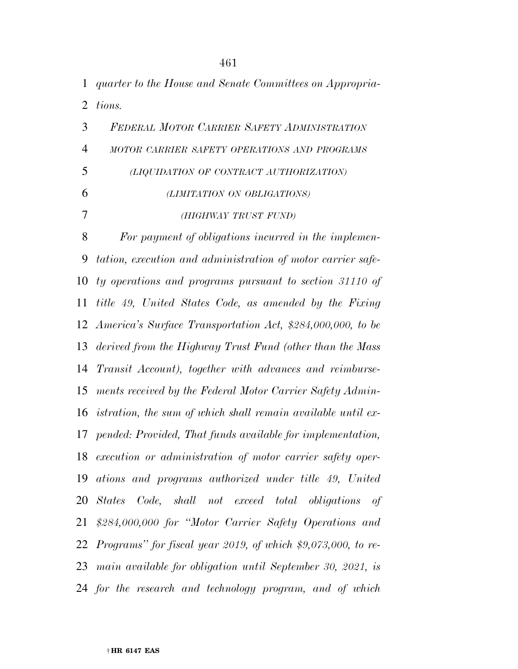*quarter to the House and Senate Committees on Appropria-tions.* 

 *FEDERAL MOTOR CARRIER SAFETY ADMINISTRATION MOTOR CARRIER SAFETY OPERATIONS AND PROGRAMS (LIQUIDATION OF CONTRACT AUTHORIZATION) (LIMITATION ON OBLIGATIONS) (HIGHWAY TRUST FUND) For payment of obligations incurred in the implemen-*

 *tation, execution and administration of motor carrier safe- ty operations and programs pursuant to section 31110 of title 49, United States Code, as amended by the Fixing America's Surface Transportation Act, \$284,000,000, to be derived from the Highway Trust Fund (other than the Mass Transit Account), together with advances and reimburse- ments received by the Federal Motor Carrier Safety Admin- istration, the sum of which shall remain available until ex- pended: Provided, That funds available for implementation, execution or administration of motor carrier safety oper- ations and programs authorized under title 49, United States Code, shall not exceed total obligations of \$284,000,000 for ''Motor Carrier Safety Operations and Programs'' for fiscal year 2019, of which \$9,073,000, to re- main available for obligation until September 30, 2021, is for the research and technology program, and of which*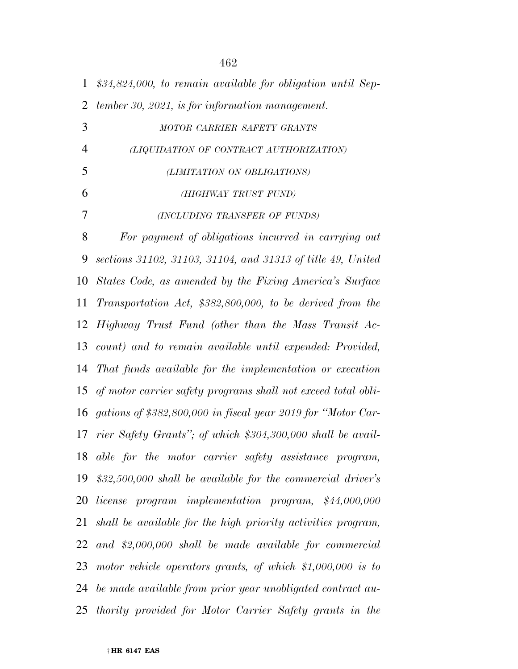| $\mathbf{1}$   | $$34,824,000$ , to remain available for obligation until Sep-  |
|----------------|----------------------------------------------------------------|
| $\overline{2}$ | tember 30, 2021, is for information management.                |
| 3              | MOTOR CARRIER SAFETY GRANTS                                    |
| $\overline{4}$ | (LIQUIDATION OF CONTRACT AUTHORIZATION)                        |
| 5              | (LIMITATION ON OBLIGATIONS)                                    |
| 6              | (HIGHWAY TRUST FUND)                                           |
| 7              | (INCLUDING TRANSFER OF FUNDS)                                  |
| 8              | For payment of obligations incurred in carrying out            |
| 9              | sections 31102, 31103, 31104, and 31313 of title 49, United    |
| 10             | States Code, as amended by the Fixing America's Surface        |
| 11             | Transportation Act, \$382,800,000, to be derived from the      |
| 12             | Highway Trust Fund (other than the Mass Transit Ac-            |
| 13             | count) and to remain available until expended: Provided,       |
| 14             | That funds available for the implementation or execution       |
| 15             | of motor carrier safety programs shall not exceed total obli-  |
| 16             | gations of \$382,800,000 in fiscal year 2019 for "Motor Car-   |
| 17             | rier Safety Grants"; of which \$304,300,000 shall be avail-    |
| 18             | able for the motor carrier safety assistance program,          |
| 19             | $$32,500,000$ shall be available for the commercial driver's   |
| 20             | license program implementation program, \$44,000,000           |
| 21             | shall be available for the high priority activities program,   |
| 22             | and $$2,000,000$ shall be made available for commercial        |
|                | 23 motor vehicle operators grants, of which $$1,000,000$ is to |
|                | 24 be made available from prior year unobligated contract au-  |
| 25             | thority provided for Motor Carrier Safety grants in the        |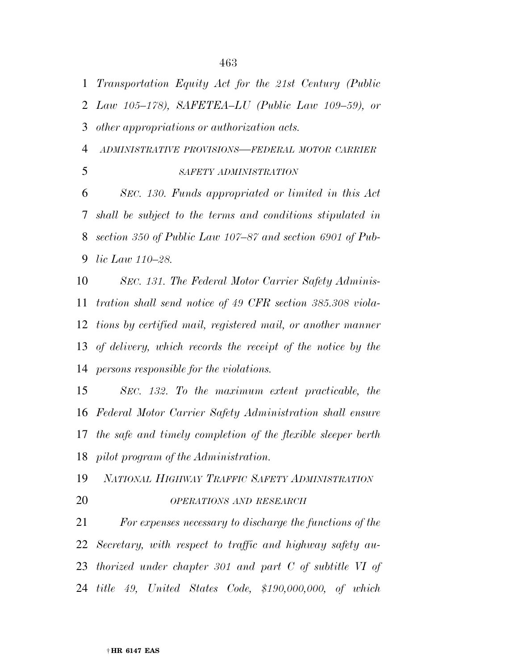*Transportation Equity Act for the 21st Century (Public* 

*Law 105–178), SAFETEA–LU (Public Law 109–59), or* 

*other appropriations or authorization acts.* 

*ADMINISTRATIVE PROVISIONS—FEDERAL MOTOR CARRIER*

## *SAFETY ADMINISTRATION*

 *SEC. 130. Funds appropriated or limited in this Act shall be subject to the terms and conditions stipulated in section 350 of Public Law 107–87 and section 6901 of Pub-lic Law 110–28.* 

 *SEC. 131. The Federal Motor Carrier Safety Adminis- tration shall send notice of 49 CFR section 385.308 viola- tions by certified mail, registered mail, or another manner of delivery, which records the receipt of the notice by the persons responsible for the violations.* 

 *SEC. 132. To the maximum extent practicable, the Federal Motor Carrier Safety Administration shall ensure the safe and timely completion of the flexible sleeper berth pilot program of the Administration.* 

*NATIONAL HIGHWAY TRAFFIC SAFETY ADMINISTRATION*

*OPERATIONS AND RESEARCH*

 *For expenses necessary to discharge the functions of the Secretary, with respect to traffic and highway safety au- thorized under chapter 301 and part C of subtitle VI of title 49, United States Code, \$190,000,000, of which*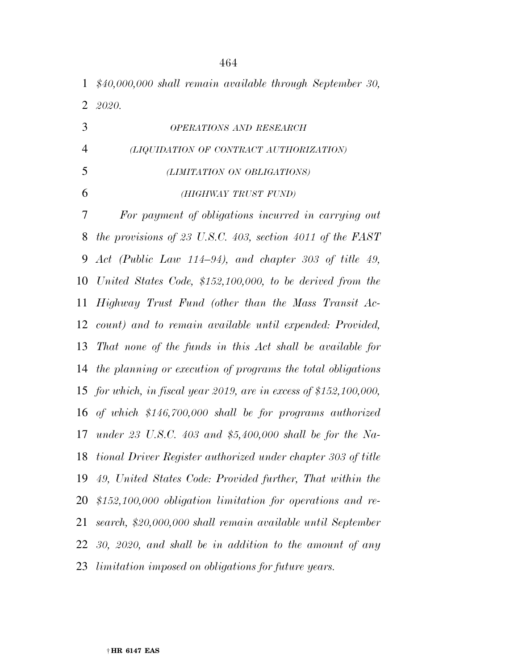*\$40,000,000 shall remain available through September 30, 2020.* 

 *OPERATIONS AND RESEARCH (LIQUIDATION OF CONTRACT AUTHORIZATION) (LIMITATION ON OBLIGATIONS) (HIGHWAY TRUST FUND) For payment of obligations incurred in carrying out the provisions of 23 U.S.C. 403, section 4011 of the FAST Act (Public Law 114–94), and chapter 303 of title 49, United States Code, \$152,100,000, to be derived from the Highway Trust Fund (other than the Mass Transit Ac- count) and to remain available until expended: Provided, That none of the funds in this Act shall be available for the planning or execution of programs the total obligations for which, in fiscal year 2019, are in excess of \$152,100,000, of which \$146,700,000 shall be for programs authorized under 23 U.S.C. 403 and \$5,400,000 shall be for the Na- tional Driver Register authorized under chapter 303 of title 49, United States Code: Provided further, That within the \$152,100,000 obligation limitation for operations and re- search, \$20,000,000 shall remain available until September 30, 2020, and shall be in addition to the amount of any limitation imposed on obligations for future years.*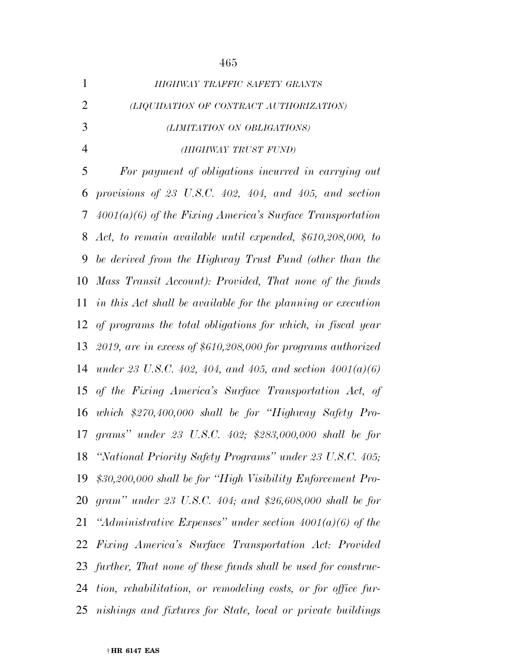| HIGHWAY TRAFFIC SAFETY GRANTS           |
|-----------------------------------------|
| (LIQUIDATION OF CONTRACT AUTHORIZATION) |
| (LIMITATION ON OBLIGATIONS)             |
| (HIGHWAY TRUST FUND)                    |
|                                         |

 *For payment of obligations incurred in carrying out provisions of 23 U.S.C. 402, 404, and 405, and section 4001(a)(6) of the Fixing America's Surface Transportation Act, to remain available until expended, \$610,208,000, to be derived from the Highway Trust Fund (other than the Mass Transit Account): Provided, That none of the funds in this Act shall be available for the planning or execution of programs the total obligations for which, in fiscal year 2019, are in excess of \$610,208,000 for programs authorized under 23 U.S.C. 402, 404, and 405, and section 4001(a)(6) of the Fixing America's Surface Transportation Act, of which \$270,400,000 shall be for ''Highway Safety Pro- grams'' under 23 U.S.C. 402; \$283,000,000 shall be for ''National Priority Safety Programs'' under 23 U.S.C. 405; \$30,200,000 shall be for ''High Visibility Enforcement Pro- gram'' under 23 U.S.C. 404; and \$26,608,000 shall be for ''Administrative Expenses'' under section 4001(a)(6) of the Fixing America's Surface Transportation Act: Provided further, That none of these funds shall be used for construc- tion, rehabilitation, or remodeling costs, or for office fur-nishings and fixtures for State, local or private buildings*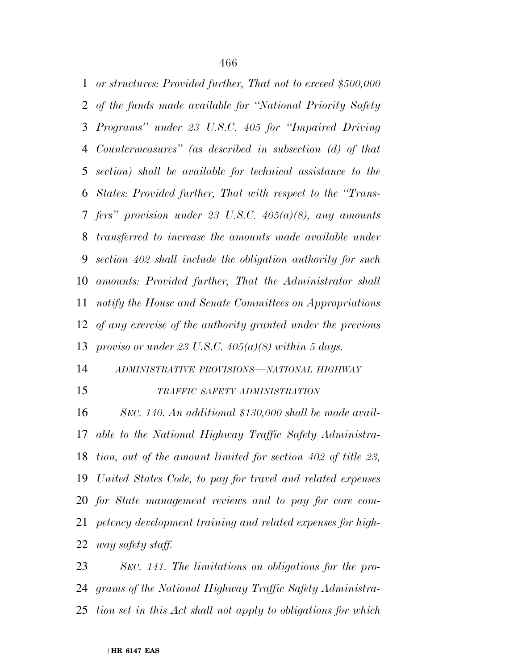*or structures: Provided further, That not to exceed \$500,000 of the funds made available for ''National Priority Safety Programs'' under 23 U.S.C. 405 for ''Impaired Driving Countermeasures'' (as described in subsection (d) of that section) shall be available for technical assistance to the States: Provided further, That with respect to the ''Trans- fers'' provision under 23 U.S.C. 405(a)(8), any amounts transferred to increase the amounts made available under section 402 shall include the obligation authority for such amounts: Provided further, That the Administrator shall notify the House and Senate Committees on Appropriations of any exercise of the authority granted under the previous proviso or under 23 U.S.C. 405(a)(8) within 5 days.* 

 *ADMINISTRATIVE PROVISIONS—NATIONAL HIGHWAY TRAFFIC SAFETY ADMINISTRATION*

 *SEC. 140. An additional \$130,000 shall be made avail- able to the National Highway Traffic Safety Administra- tion, out of the amount limited for section 402 of title 23, United States Code, to pay for travel and related expenses for State management reviews and to pay for core com- petency development training and related expenses for high-way safety staff.* 

 *SEC. 141. The limitations on obligations for the pro- grams of the National Highway Traffic Safety Administra-tion set in this Act shall not apply to obligations for which*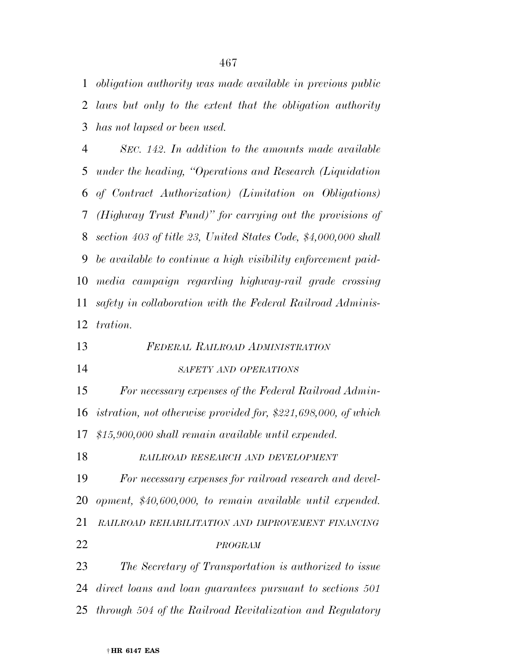*obligation authority was made available in previous public laws but only to the extent that the obligation authority has not lapsed or been used.* 

 *SEC. 142. In addition to the amounts made available under the heading, ''Operations and Research (Liquidation of Contract Authorization) (Limitation on Obligations) (Highway Trust Fund)'' for carrying out the provisions of section 403 of title 23, United States Code, \$4,000,000 shall be available to continue a high visibility enforcement paid- media campaign regarding highway-rail grade crossing safety in collaboration with the Federal Railroad Adminis-tration.* 

- *FEDERAL RAILROAD ADMINISTRATION*
- *SAFETY AND OPERATIONS*

 *For necessary expenses of the Federal Railroad Admin- istration, not otherwise provided for, \$221,698,000, of which \$15,900,000 shall remain available until expended.* 

*RAILROAD RESEARCH AND DEVELOPMENT*

 *For necessary expenses for railroad research and devel- opment, \$40,600,000, to remain available until expended. RAILROAD REHABILITATION AND IMPROVEMENT FINANCING PROGRAM*

 *The Secretary of Transportation is authorized to issue direct loans and loan guarantees pursuant to sections 501 through 504 of the Railroad Revitalization and Regulatory*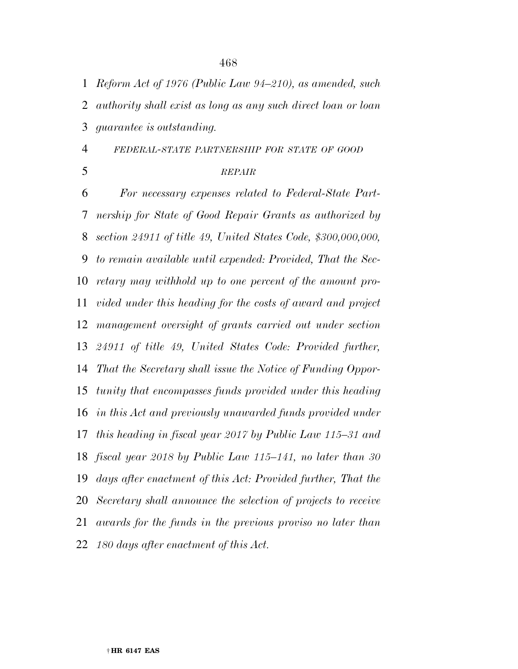*Reform Act of 1976 (Public Law 94–210), as amended, such authority shall exist as long as any such direct loan or loan guarantee is outstanding.* 

*FEDERAL-STATE PARTNERSHIP FOR STATE OF GOOD*

## *REPAIR*

 *For necessary expenses related to Federal-State Part- nership for State of Good Repair Grants as authorized by section 24911 of title 49, United States Code, \$300,000,000, to remain available until expended: Provided, That the Sec- retary may withhold up to one percent of the amount pro- vided under this heading for the costs of award and project management oversight of grants carried out under section 24911 of title 49, United States Code: Provided further, That the Secretary shall issue the Notice of Funding Oppor- tunity that encompasses funds provided under this heading in this Act and previously unawarded funds provided under this heading in fiscal year 2017 by Public Law 115–31 and fiscal year 2018 by Public Law 115–141, no later than 30 days after enactment of this Act: Provided further, That the Secretary shall announce the selection of projects to receive awards for the funds in the previous proviso no later than 180 days after enactment of this Act.*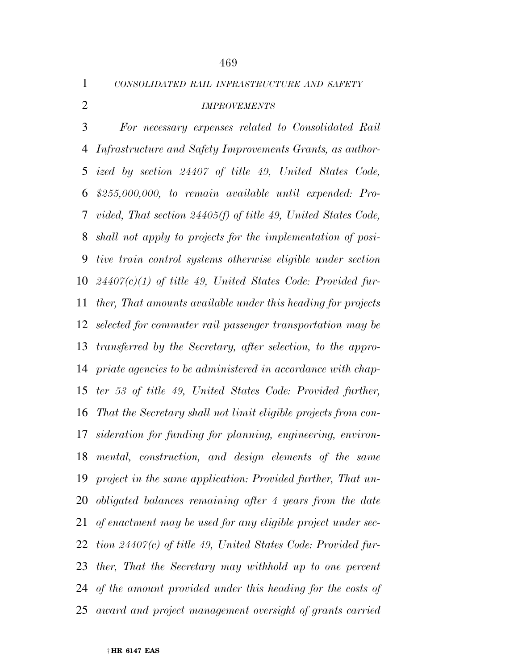*CONSOLIDATED RAIL INFRASTRUCTURE AND SAFETY*

# *IMPROVEMENTS*

 *For necessary expenses related to Consolidated Rail Infrastructure and Safety Improvements Grants, as author- ized by section 24407 of title 49, United States Code, \$255,000,000, to remain available until expended: Pro- vided, That section 24405(f) of title 49, United States Code, shall not apply to projects for the implementation of posi- tive train control systems otherwise eligible under section 24407(c)(1) of title 49, United States Code: Provided fur- ther, That amounts available under this heading for projects selected for commuter rail passenger transportation may be transferred by the Secretary, after selection, to the appro- priate agencies to be administered in accordance with chap- ter 53 of title 49, United States Code: Provided further, That the Secretary shall not limit eligible projects from con- sideration for funding for planning, engineering, environ- mental, construction, and design elements of the same project in the same application: Provided further, That un- obligated balances remaining after 4 years from the date of enactment may be used for any eligible project under sec- tion 24407(c) of title 49, United States Code: Provided fur- ther, That the Secretary may withhold up to one percent of the amount provided under this heading for the costs of award and project management oversight of grants carried*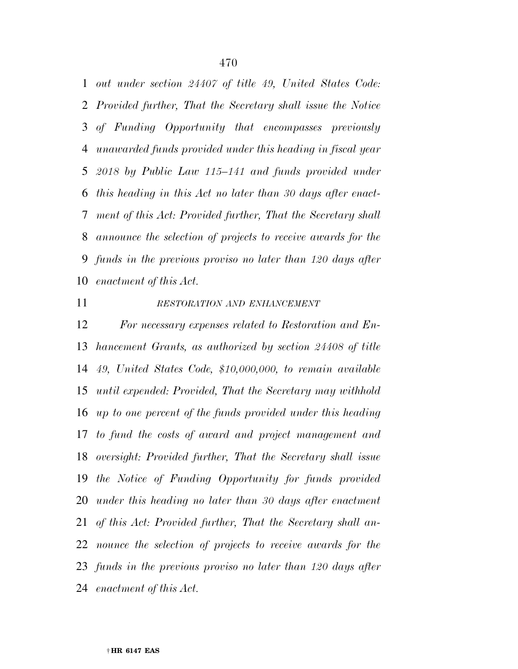*out under section 24407 of title 49, United States Code: Provided further, That the Secretary shall issue the Notice of Funding Opportunity that encompasses previously unawarded funds provided under this heading in fiscal year 2018 by Public Law 115–141 and funds provided under this heading in this Act no later than 30 days after enact- ment of this Act: Provided further, That the Secretary shall announce the selection of projects to receive awards for the funds in the previous proviso no later than 120 days after enactment of this Act.* 

#### *RESTORATION AND ENHANCEMENT*

 *For necessary expenses related to Restoration and En- hancement Grants, as authorized by section 24408 of title 49, United States Code, \$10,000,000, to remain available until expended: Provided, That the Secretary may withhold up to one percent of the funds provided under this heading to fund the costs of award and project management and oversight: Provided further, That the Secretary shall issue the Notice of Funding Opportunity for funds provided under this heading no later than 30 days after enactment of this Act: Provided further, That the Secretary shall an- nounce the selection of projects to receive awards for the funds in the previous proviso no later than 120 days after enactment of this Act.*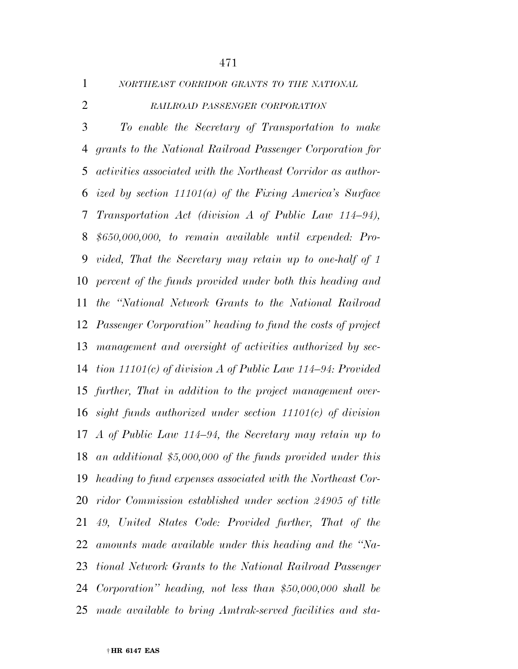*NORTHEAST CORRIDOR GRANTS TO THE NATIONAL*

*RAILROAD PASSENGER CORPORATION*

 *To enable the Secretary of Transportation to make grants to the National Railroad Passenger Corporation for activities associated with the Northeast Corridor as author- ized by section 11101(a) of the Fixing America's Surface Transportation Act (division A of Public Law 114–94), \$650,000,000, to remain available until expended: Pro- vided, That the Secretary may retain up to one-half of 1 percent of the funds provided under both this heading and the ''National Network Grants to the National Railroad Passenger Corporation'' heading to fund the costs of project management and oversight of activities authorized by sec- tion 11101(c) of division A of Public Law 114–94: Provided further, That in addition to the project management over- sight funds authorized under section 11101(c) of division A of Public Law 114–94, the Secretary may retain up to an additional \$5,000,000 of the funds provided under this heading to fund expenses associated with the Northeast Cor- ridor Commission established under section 24905 of title 49, United States Code: Provided further, That of the amounts made available under this heading and the ''Na- tional Network Grants to the National Railroad Passenger Corporation'' heading, not less than \$50,000,000 shall be made available to bring Amtrak-served facilities and sta-*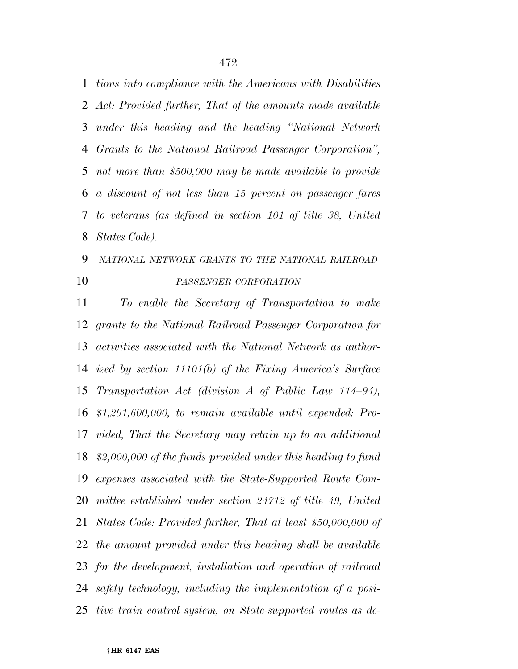*tions into compliance with the Americans with Disabilities Act: Provided further, That of the amounts made available under this heading and the heading ''National Network Grants to the National Railroad Passenger Corporation'', not more than \$500,000 may be made available to provide a discount of not less than 15 percent on passenger fares to veterans (as defined in section 101 of title 38, United States Code).* 

# *NATIONAL NETWORK GRANTS TO THE NATIONAL RAILROAD PASSENGER CORPORATION*

 *To enable the Secretary of Transportation to make grants to the National Railroad Passenger Corporation for activities associated with the National Network as author- ized by section 11101(b) of the Fixing America's Surface Transportation Act (division A of Public Law 114–94), \$1,291,600,000, to remain available until expended: Pro- vided, That the Secretary may retain up to an additional \$2,000,000 of the funds provided under this heading to fund expenses associated with the State-Supported Route Com-mittee established under section 24712 of title 49, United States Code: Provided further, That at least \$50,000,000 of the amount provided under this heading shall be available for the development, installation and operation of railroad safety technology, including the implementation of a posi-tive train control system, on State-supported routes as de-*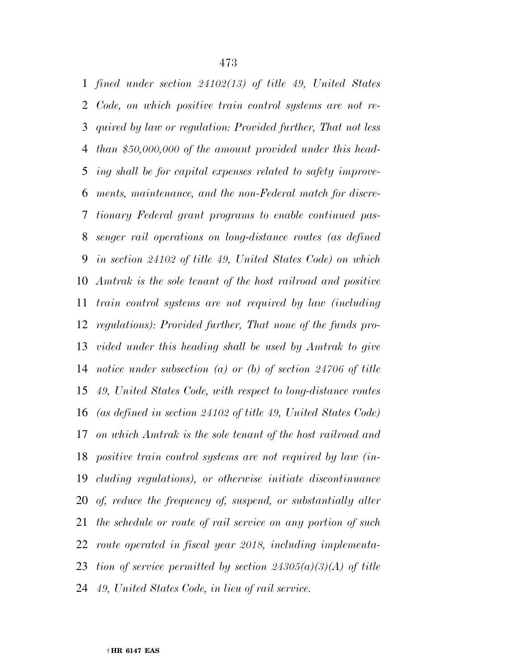*fined under section 24102(13) of title 49, United States Code, on which positive train control systems are not re- quired by law or regulation: Provided further, That not less than \$50,000,000 of the amount provided under this head- ing shall be for capital expenses related to safety improve- ments, maintenance, and the non-Federal match for discre- tionary Federal grant programs to enable continued pas- senger rail operations on long-distance routes (as defined in section 24102 of title 49, United States Code) on which Amtrak is the sole tenant of the host railroad and positive train control systems are not required by law (including regulations): Provided further, That none of the funds pro- vided under this heading shall be used by Amtrak to give notice under subsection (a) or (b) of section 24706 of title 49, United States Code, with respect to long-distance routes (as defined in section 24102 of title 49, United States Code) on which Amtrak is the sole tenant of the host railroad and positive train control systems are not required by law (in- cluding regulations), or otherwise initiate discontinuance of, reduce the frequency of, suspend, or substantially alter the schedule or route of rail service on any portion of such route operated in fiscal year 2018, including implementa- tion of service permitted by section 24305(a)(3)(A) of title 49, United States Code, in lieu of rail service.*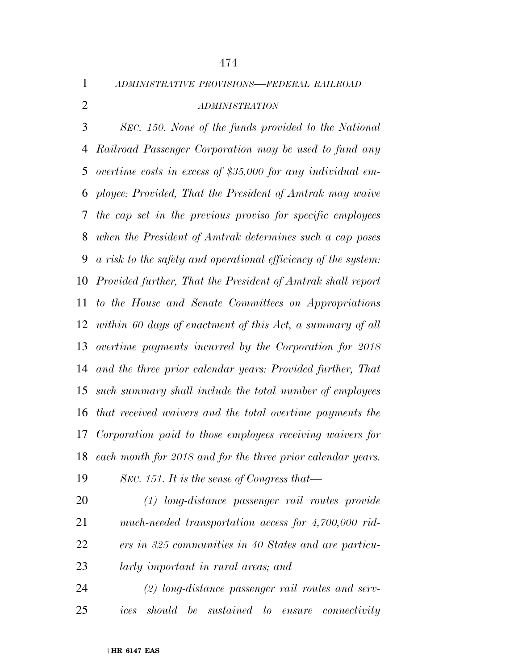*ADMINISTRATIVE PROVISIONS—FEDERAL RAILROAD*

# *ADMINISTRATION*

 *SEC. 150. None of the funds provided to the National Railroad Passenger Corporation may be used to fund any overtime costs in excess of \$35,000 for any individual em- ployee: Provided, That the President of Amtrak may waive the cap set in the previous proviso for specific employees when the President of Amtrak determines such a cap poses a risk to the safety and operational efficiency of the system: Provided further, That the President of Amtrak shall report to the House and Senate Committees on Appropriations within 60 days of enactment of this Act, a summary of all overtime payments incurred by the Corporation for 2018 and the three prior calendar years: Provided further, That such summary shall include the total number of employees that received waivers and the total overtime payments the Corporation paid to those employees receiving waivers for each month for 2018 and for the three prior calendar years.* 

- *SEC. 151. It is the sense of Congress that—*
- *(1) long-distance passenger rail routes provide much-needed transportation access for 4,700,000 rid- ers in 325 communities in 40 States and are particu-larly important in rural areas; and*
- *(2) long-distance passenger rail routes and serv-ices should be sustained to ensure connectivity*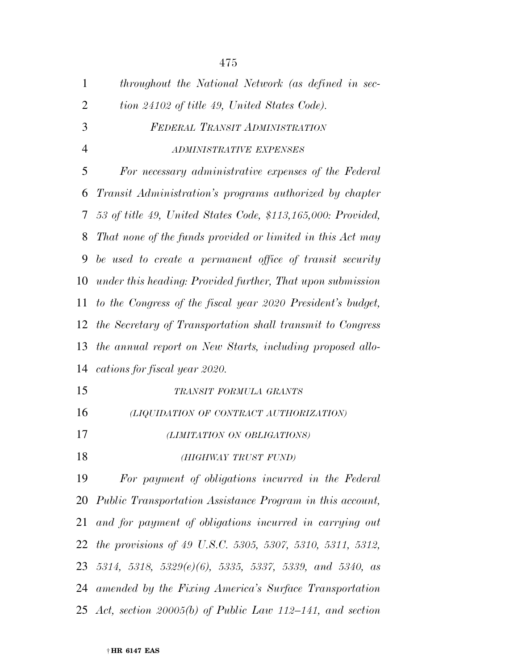| $\mathbf{1}$   | throughout the National Network (as defined in sec-              |
|----------------|------------------------------------------------------------------|
| $\overline{2}$ | tion 24102 of title 49, United States Code).                     |
| 3              | FEDERAL TRANSIT ADMINISTRATION                                   |
| $\overline{4}$ | ADMINISTRATIVE EXPENSES                                          |
| 5              | For necessary administrative expenses of the Federal             |
| 6              | Transit Administration's programs authorized by chapter          |
| 7              | 53 of title 49, United States Code, \$113,165,000: Provided,     |
| 8              | That none of the funds provided or limited in this Act may       |
| 9              | be used to create a permanent office of transit security         |
| 10             | under this heading: Provided further, That upon submission       |
| 11             | to the Congress of the fiscal year 2020 President's budget,      |
| 12             | the Secretary of Transportation shall transmit to Congress       |
| 13             | the annual report on New Starts, including proposed allo-        |
| 14             | cations for fiscal year 2020.                                    |
| 15             | TRANSIT FORMULA GRANTS                                           |
| 16             | (LIQUIDATION OF CONTRACT AUTHORIZATION)                          |
| 17             | (LIMITATION ON OBLIGATIONS)                                      |
| 18             | (HIGHWAY TRUST FUND)                                             |
| 19             | For payment of obligations incurred in the Federal               |
|                | 20 Public Transportation Assistance Program in this account,     |
| 21             | and for payment of obligations incurred in carrying out          |
| 22             | <i>the provisions of 49 U.S.C. 5305, 5307, 5310, 5311, 5312,</i> |
|                | 23 5314, 5318, 5329 $(e)(6)$ , 5335, 5337, 5339, and 5340, as    |
|                | 24 amended by the Fixing America's Surface Transportation        |
|                | 25 Act, section 20005(b) of Public Law 112–141, and section      |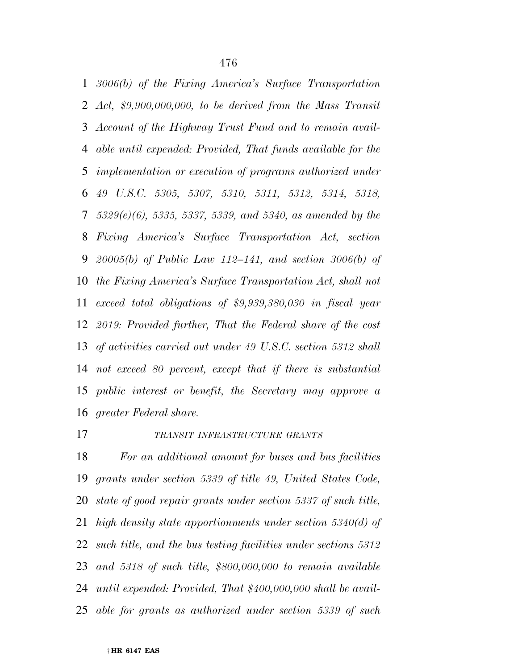*3006(b) of the Fixing America's Surface Transportation Act, \$9,900,000,000, to be derived from the Mass Transit Account of the Highway Trust Fund and to remain avail- able until expended: Provided, That funds available for the implementation or execution of programs authorized under 49 U.S.C. 5305, 5307, 5310, 5311, 5312, 5314, 5318, 5329(e)(6), 5335, 5337, 5339, and 5340, as amended by the Fixing America's Surface Transportation Act, section 20005(b) of Public Law 112–141, and section 3006(b) of the Fixing America's Surface Transportation Act, shall not exceed total obligations of \$9,939,380,030 in fiscal year 2019: Provided further, That the Federal share of the cost of activities carried out under 49 U.S.C. section 5312 shall not exceed 80 percent, except that if there is substantial public interest or benefit, the Secretary may approve a greater Federal share.* 

# *TRANSIT INFRASTRUCTURE GRANTS*

 *For an additional amount for buses and bus facilities grants under section 5339 of title 49, United States Code, state of good repair grants under section 5337 of such title, high density state apportionments under section 5340(d) of such title, and the bus testing facilities under sections 5312 and 5318 of such title, \$800,000,000 to remain available until expended: Provided, That \$400,000,000 shall be avail-able for grants as authorized under section 5339 of such*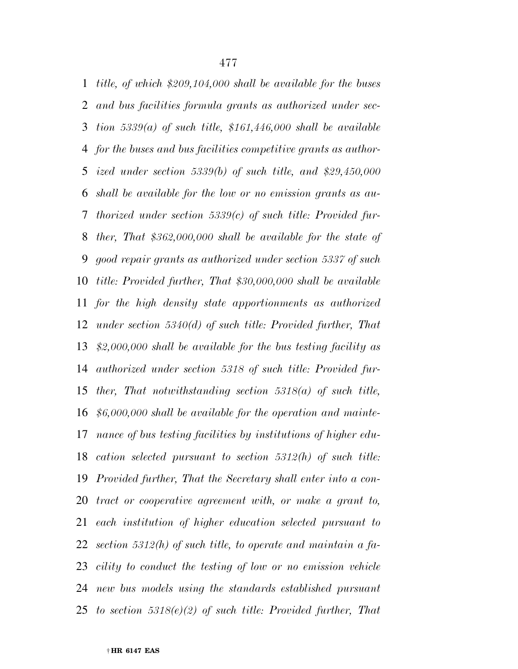*title, of which \$209,104,000 shall be available for the buses and bus facilities formula grants as authorized under sec- tion 5339(a) of such title, \$161,446,000 shall be available for the buses and bus facilities competitive grants as author- ized under section 5339(b) of such title, and \$29,450,000 shall be available for the low or no emission grants as au- thorized under section 5339(c) of such title: Provided fur- ther, That \$362,000,000 shall be available for the state of good repair grants as authorized under section 5337 of such title: Provided further, That \$30,000,000 shall be available for the high density state apportionments as authorized under section 5340(d) of such title: Provided further, That \$2,000,000 shall be available for the bus testing facility as authorized under section 5318 of such title: Provided fur- ther, That notwithstanding section 5318(a) of such title, \$6,000,000 shall be available for the operation and mainte- nance of bus testing facilities by institutions of higher edu- cation selected pursuant to section 5312(h) of such title: Provided further, That the Secretary shall enter into a con- tract or cooperative agreement with, or make a grant to, each institution of higher education selected pursuant to section 5312(h) of such title, to operate and maintain a fa- cility to conduct the testing of low or no emission vehicle new bus models using the standards established pursuant to section 5318(e)(2) of such title: Provided further, That*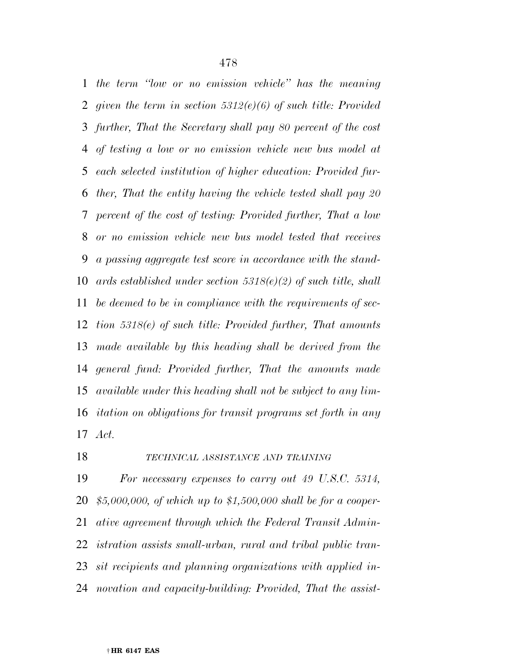*the term ''low or no emission vehicle'' has the meaning given the term in section 5312(e)(6) of such title: Provided further, That the Secretary shall pay 80 percent of the cost of testing a low or no emission vehicle new bus model at each selected institution of higher education: Provided fur- ther, That the entity having the vehicle tested shall pay 20 percent of the cost of testing: Provided further, That a low or no emission vehicle new bus model tested that receives a passing aggregate test score in accordance with the stand- ards established under section 5318(e)(2) of such title, shall be deemed to be in compliance with the requirements of sec- tion 5318(e) of such title: Provided further, That amounts made available by this heading shall be derived from the general fund: Provided further, That the amounts made available under this heading shall not be subject to any lim- itation on obligations for transit programs set forth in any Act.* 

## *TECHNICAL ASSISTANCE AND TRAINING*

 *For necessary expenses to carry out 49 U.S.C. 5314, \$5,000,000, of which up to \$1,500,000 shall be for a cooper- ative agreement through which the Federal Transit Admin- istration assists small-urban, rural and tribal public tran- sit recipients and planning organizations with applied in-novation and capacity-building: Provided, That the assist-*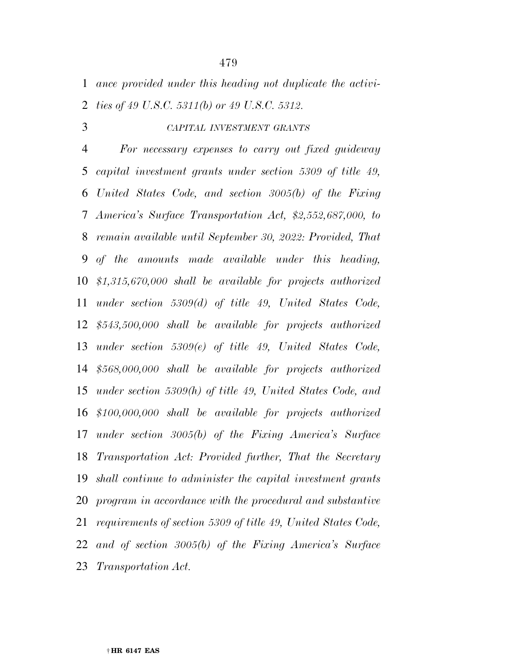*ance provided under this heading not duplicate the activi-ties of 49 U.S.C. 5311(b) or 49 U.S.C. 5312.* 

#### *CAPITAL INVESTMENT GRANTS*

 *For necessary expenses to carry out fixed guideway capital investment grants under section 5309 of title 49, United States Code, and section 3005(b) of the Fixing America's Surface Transportation Act, \$2,552,687,000, to remain available until September 30, 2022: Provided, That of the amounts made available under this heading, \$1,315,670,000 shall be available for projects authorized under section 5309(d) of title 49, United States Code, \$543,500,000 shall be available for projects authorized under section 5309(e) of title 49, United States Code, \$568,000,000 shall be available for projects authorized under section 5309(h) of title 49, United States Code, and \$100,000,000 shall be available for projects authorized under section 3005(b) of the Fixing America's Surface Transportation Act: Provided further, That the Secretary shall continue to administer the capital investment grants program in accordance with the procedural and substantive requirements of section 5309 of title 49, United States Code, and of section 3005(b) of the Fixing America's Surface Transportation Act.*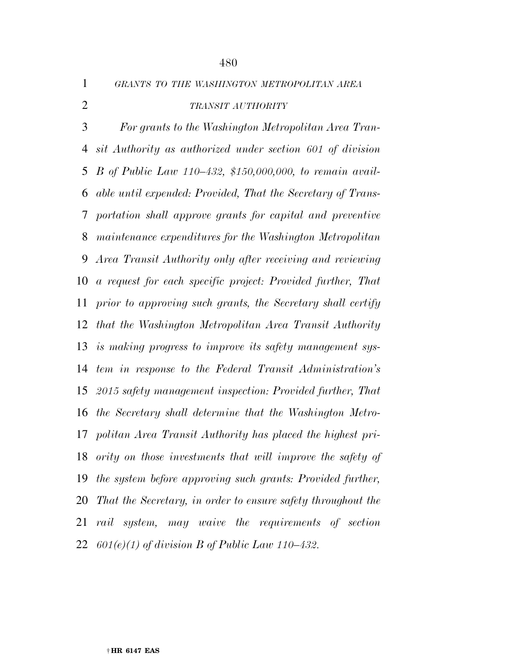*GRANTS TO THE WASHINGTON METROPOLITAN AREA*

# *TRANSIT AUTHORITY*

 *For grants to the Washington Metropolitan Area Tran- sit Authority as authorized under section 601 of division B of Public Law 110–432, \$150,000,000, to remain avail- able until expended: Provided, That the Secretary of Trans- portation shall approve grants for capital and preventive maintenance expenditures for the Washington Metropolitan Area Transit Authority only after receiving and reviewing a request for each specific project: Provided further, That prior to approving such grants, the Secretary shall certify that the Washington Metropolitan Area Transit Authority is making progress to improve its safety management sys- tem in response to the Federal Transit Administration's 2015 safety management inspection: Provided further, That the Secretary shall determine that the Washington Metro- politan Area Transit Authority has placed the highest pri- ority on those investments that will improve the safety of the system before approving such grants: Provided further, That the Secretary, in order to ensure safety throughout the rail system, may waive the requirements of section 601(e)(1) of division B of Public Law 110–432.*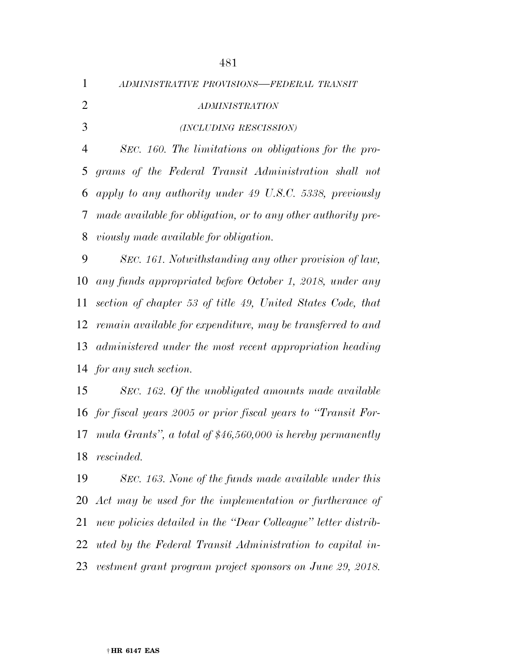*ADMINISTRATIVE PROVISIONS—FEDERAL TRANSIT ADMINISTRATION (INCLUDING RESCISSION) SEC. 160. The limitations on obligations for the pro- grams of the Federal Transit Administration shall not apply to any authority under 49 U.S.C. 5338, previously made available for obligation, or to any other authority pre- viously made available for obligation. SEC. 161. Notwithstanding any other provision of law, any funds appropriated before October 1, 2018, under any section of chapter 53 of title 49, United States Code, that remain available for expenditure, may be transferred to and administered under the most recent appropriation heading for any such section.* 

 *SEC. 162. Of the unobligated amounts made available for fiscal years 2005 or prior fiscal years to ''Transit For- mula Grants'', a total of \$46,560,000 is hereby permanently rescinded.* 

 *SEC. 163. None of the funds made available under this Act may be used for the implementation or furtherance of new policies detailed in the ''Dear Colleague'' letter distrib- uted by the Federal Transit Administration to capital in-vestment grant program project sponsors on June 29, 2018.*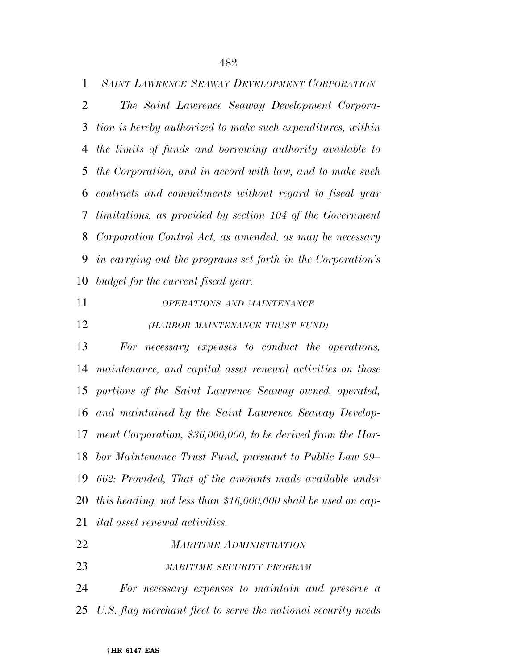*SAINT LAWRENCE SEAWAY DEVELOPMENT CORPORATION*

 *The Saint Lawrence Seaway Development Corpora- tion is hereby authorized to make such expenditures, within the limits of funds and borrowing authority available to the Corporation, and in accord with law, and to make such contracts and commitments without regard to fiscal year limitations, as provided by section 104 of the Government Corporation Control Act, as amended, as may be necessary in carrying out the programs set forth in the Corporation's budget for the current fiscal year.* 

#### *OPERATIONS AND MAINTENANCE*

*(HARBOR MAINTENANCE TRUST FUND)*

 *For necessary expenses to conduct the operations, maintenance, and capital asset renewal activities on those portions of the Saint Lawrence Seaway owned, operated, and maintained by the Saint Lawrence Seaway Develop- ment Corporation, \$36,000,000, to be derived from the Har- bor Maintenance Trust Fund, pursuant to Public Law 99– 662: Provided, That of the amounts made available under this heading, not less than \$16,000,000 shall be used on cap-ital asset renewal activities.* 

- *MARITIME ADMINISTRATION*
- *MARITIME SECURITY PROGRAM*

 *For necessary expenses to maintain and preserve a U.S.-flag merchant fleet to serve the national security needs*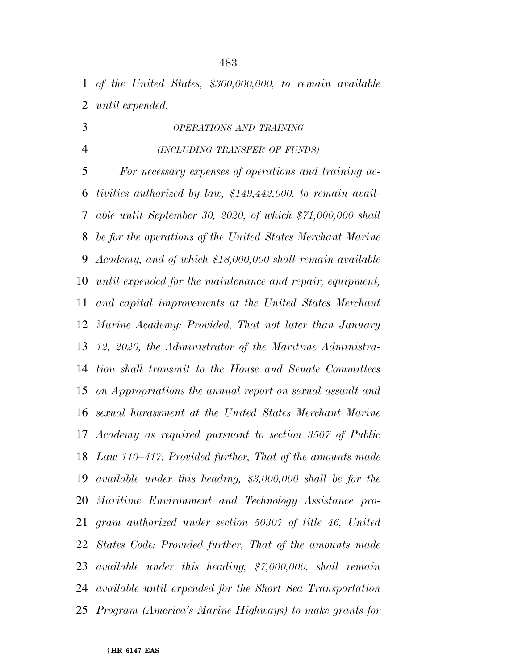*of the United States, \$300,000,000, to remain available until expended.* 

*OPERATIONS AND TRAINING*

*(INCLUDING TRANSFER OF FUNDS)*

 *For necessary expenses of operations and training ac- tivities authorized by law, \$149,442,000, to remain avail- able until September 30, 2020, of which \$71,000,000 shall be for the operations of the United States Merchant Marine Academy, and of which \$18,000,000 shall remain available until expended for the maintenance and repair, equipment, and capital improvements at the United States Merchant Marine Academy: Provided, That not later than January 12, 2020, the Administrator of the Maritime Administra- tion shall transmit to the House and Senate Committees on Appropriations the annual report on sexual assault and sexual harassment at the United States Merchant Marine Academy as required pursuant to section 3507 of Public Law 110–417: Provided further, That of the amounts made available under this heading, \$3,000,000 shall be for the Maritime Environment and Technology Assistance pro- gram authorized under section 50307 of title 46, United States Code: Provided further, That of the amounts made available under this heading, \$7,000,000, shall remain available until expended for the Short Sea Transportation Program (America's Marine Highways) to make grants for*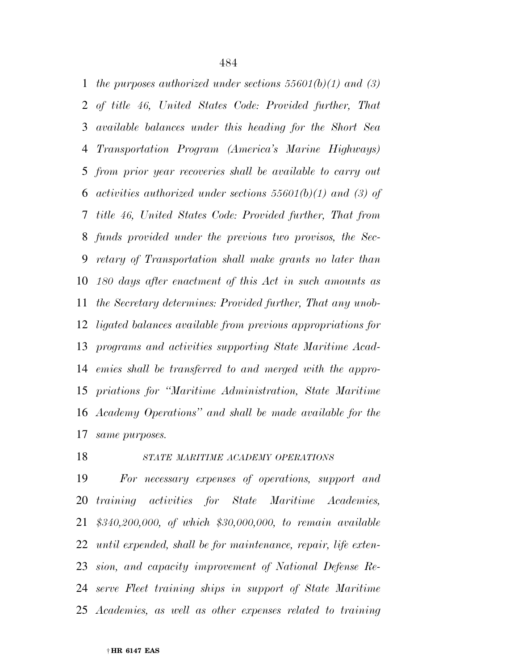*the purposes authorized under sections 55601(b)(1) and (3) of title 46, United States Code: Provided further, That available balances under this heading for the Short Sea Transportation Program (America's Marine Highways) from prior year recoveries shall be available to carry out activities authorized under sections 55601(b)(1) and (3) of title 46, United States Code: Provided further, That from funds provided under the previous two provisos, the Sec- retary of Transportation shall make grants no later than 180 days after enactment of this Act in such amounts as the Secretary determines: Provided further, That any unob- ligated balances available from previous appropriations for programs and activities supporting State Maritime Acad- emies shall be transferred to and merged with the appro- priations for ''Maritime Administration, State Maritime Academy Operations'' and shall be made available for the same purposes.* 

*STATE MARITIME ACADEMY OPERATIONS*

 *For necessary expenses of operations, support and training activities for State Maritime Academies, \$340,200,000, of which \$30,000,000, to remain available until expended, shall be for maintenance, repair, life exten- sion, and capacity improvement of National Defense Re- serve Fleet training ships in support of State Maritime Academies, as well as other expenses related to training*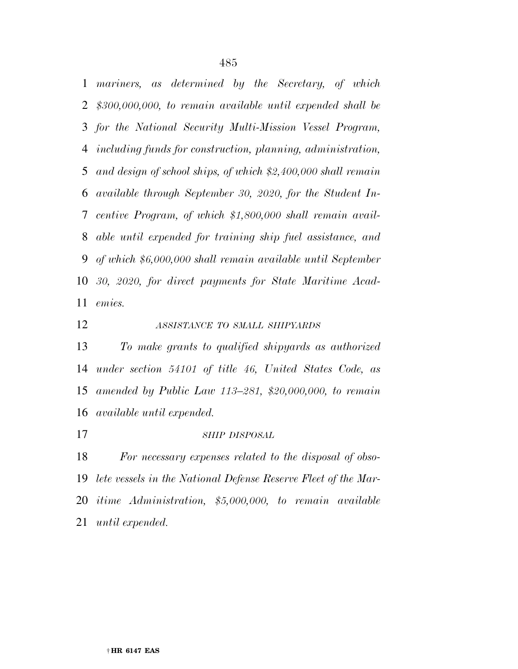*mariners, as determined by the Secretary, of which \$300,000,000, to remain available until expended shall be for the National Security Multi-Mission Vessel Program, including funds for construction, planning, administration, and design of school ships, of which \$2,400,000 shall remain available through September 30, 2020, for the Student In- centive Program, of which \$1,800,000 shall remain avail- able until expended for training ship fuel assistance, and of which \$6,000,000 shall remain available until September 30, 2020, for direct payments for State Maritime Acad-emies.* 

*ASSISTANCE TO SMALL SHIPYARDS*

 *To make grants to qualified shipyards as authorized under section 54101 of title 46, United States Code, as amended by Public Law 113–281, \$20,000,000, to remain available until expended.* 

#### *SHIP DISPOSAL*

 *For necessary expenses related to the disposal of obso- lete vessels in the National Defense Reserve Fleet of the Mar- itime Administration, \$5,000,000, to remain available until expended.*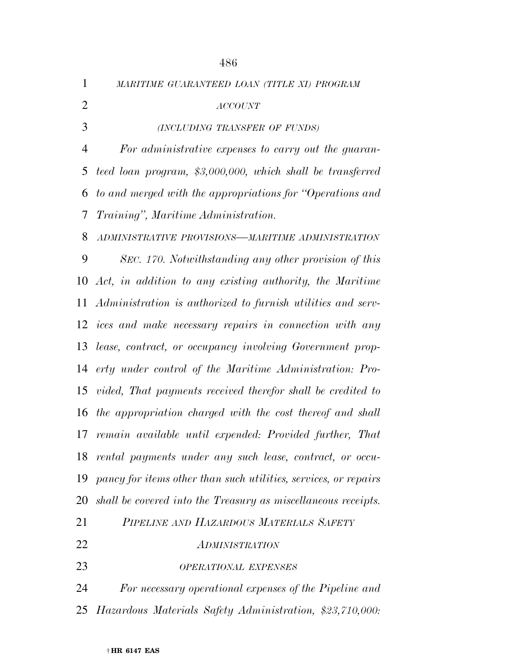*MARITIME GUARANTEED LOAN (TITLE XI) PROGRAM*

† **HR 6147 EAS**  *ACCOUNT (INCLUDING TRANSFER OF FUNDS) For administrative expenses to carry out the guaran- teed loan program, \$3,000,000, which shall be transferred to and merged with the appropriations for ''Operations and Training'', Maritime Administration. ADMINISTRATIVE PROVISIONS—MARITIME ADMINISTRATION SEC. 170. Notwithstanding any other provision of this Act, in addition to any existing authority, the Maritime Administration is authorized to furnish utilities and serv- ices and make necessary repairs in connection with any lease, contract, or occupancy involving Government prop- erty under control of the Maritime Administration: Pro- vided, That payments received therefor shall be credited to the appropriation charged with the cost thereof and shall remain available until expended: Provided further, That rental payments under any such lease, contract, or occu- pancy for items other than such utilities, services, or repairs shall be covered into the Treasury as miscellaneous receipts. PIPELINE AND HAZARDOUS MATERIALS SAFETY ADMINISTRATION OPERATIONAL EXPENSES For necessary operational expenses of the Pipeline and Hazardous Materials Safety Administration, \$23,710,000:*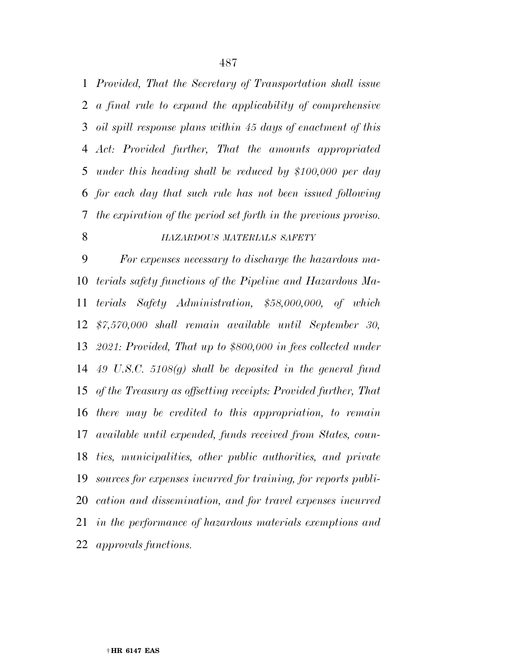*Provided, That the Secretary of Transportation shall issue a final rule to expand the applicability of comprehensive oil spill response plans within 45 days of enactment of this Act: Provided further, That the amounts appropriated under this heading shall be reduced by \$100,000 per day for each day that such rule has not been issued following the expiration of the period set forth in the previous proviso.* 

#### *HAZARDOUS MATERIALS SAFETY*

 *For expenses necessary to discharge the hazardous ma- terials safety functions of the Pipeline and Hazardous Ma- terials Safety Administration, \$58,000,000, of which \$7,570,000 shall remain available until September 30, 2021: Provided, That up to \$800,000 in fees collected under 49 U.S.C. 5108(g) shall be deposited in the general fund of the Treasury as offsetting receipts: Provided further, That there may be credited to this appropriation, to remain available until expended, funds received from States, coun- ties, municipalities, other public authorities, and private sources for expenses incurred for training, for reports publi- cation and dissemination, and for travel expenses incurred in the performance of hazardous materials exemptions and approvals functions.*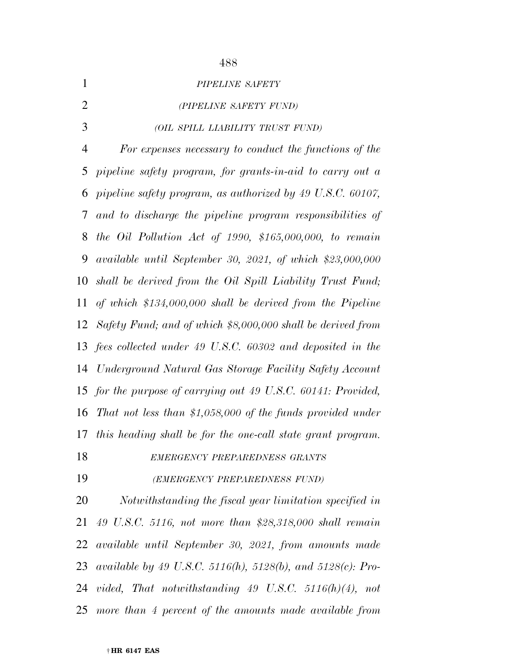*PIPELINE SAFETY (PIPELINE SAFETY FUND) (OIL SPILL LIABILITY TRUST FUND) For expenses necessary to conduct the functions of the pipeline safety program, for grants-in-aid to carry out a pipeline safety program, as authorized by 49 U.S.C. 60107, and to discharge the pipeline program responsibilities of the Oil Pollution Act of 1990, \$165,000,000, to remain available until September 30, 2021, of which \$23,000,000 shall be derived from the Oil Spill Liability Trust Fund; of which \$134,000,000 shall be derived from the Pipeline Safety Fund; and of which \$8,000,000 shall be derived from fees collected under 49 U.S.C. 60302 and deposited in the Underground Natural Gas Storage Facility Safety Account for the purpose of carrying out 49 U.S.C. 60141: Provided, That not less than \$1,058,000 of the funds provided under this heading shall be for the one-call state grant program. EMERGENCY PREPAREDNESS GRANTS (EMERGENCY PREPAREDNESS FUND)*

 *Notwithstanding the fiscal year limitation specified in 49 U.S.C. 5116, not more than \$28,318,000 shall remain available until September 30, 2021, from amounts made available by 49 U.S.C. 5116(h), 5128(b), and 5128(c): Pro- vided, That notwithstanding 49 U.S.C. 5116(h)(4), not more than 4 percent of the amounts made available from*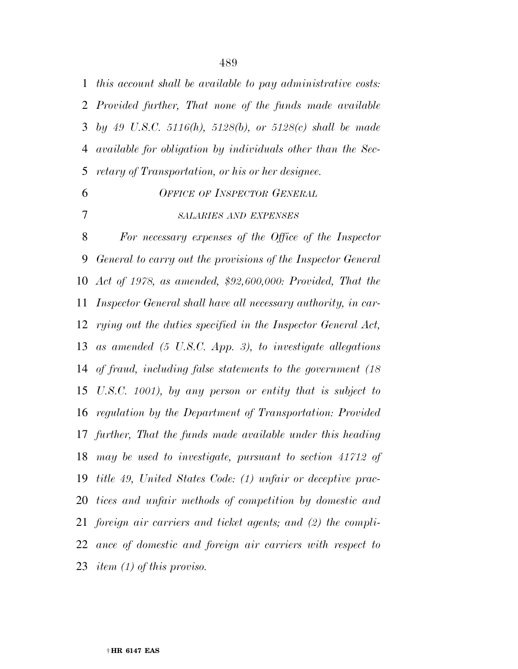*this account shall be available to pay administrative costs: Provided further, That none of the funds made available by 49 U.S.C. 5116(h), 5128(b), or 5128(c) shall be made available for obligation by individuals other than the Sec-retary of Transportation, or his or her designee.* 

 *OFFICE OF INSPECTOR GENERAL SALARIES AND EXPENSES*

 *For necessary expenses of the Office of the Inspector General to carry out the provisions of the Inspector General Act of 1978, as amended, \$92,600,000: Provided, That the Inspector General shall have all necessary authority, in car- rying out the duties specified in the Inspector General Act, as amended (5 U.S.C. App. 3), to investigate allegations of fraud, including false statements to the government (18 U.S.C. 1001), by any person or entity that is subject to regulation by the Department of Transportation: Provided further, That the funds made available under this heading may be used to investigate, pursuant to section 41712 of title 49, United States Code: (1) unfair or deceptive prac- tices and unfair methods of competition by domestic and foreign air carriers and ticket agents; and (2) the compli- ance of domestic and foreign air carriers with respect to item (1) of this proviso.*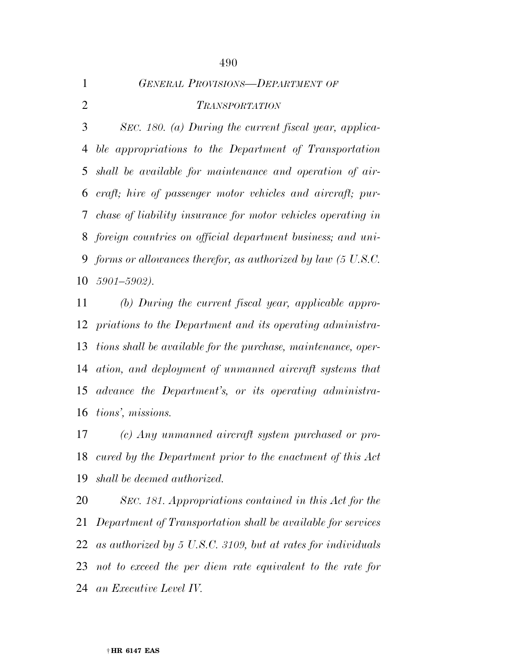|   | <b>GENERAL PROVISIONS-DEPARTMENT OF</b> |
|---|-----------------------------------------|
| 2 | <i>TRANSPORTATION</i>                   |

 *SEC. 180. (a) During the current fiscal year, applica- ble appropriations to the Department of Transportation shall be available for maintenance and operation of air- craft; hire of passenger motor vehicles and aircraft; pur- chase of liability insurance for motor vehicles operating in foreign countries on official department business; and uni- forms or allowances therefor, as authorized by law (5 U.S.C. 5901–5902).* 

 *(b) During the current fiscal year, applicable appro- priations to the Department and its operating administra- tions shall be available for the purchase, maintenance, oper- ation, and deployment of unmanned aircraft systems that advance the Department's, or its operating administra-tions', missions.* 

 *(c) Any unmanned aircraft system purchased or pro- cured by the Department prior to the enactment of this Act shall be deemed authorized.* 

 *SEC. 181. Appropriations contained in this Act for the Department of Transportation shall be available for services as authorized by 5 U.S.C. 3109, but at rates for individuals not to exceed the per diem rate equivalent to the rate for an Executive Level IV.*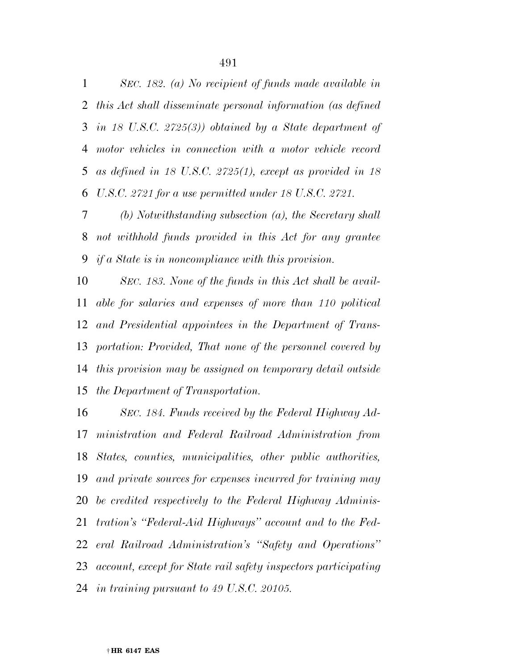*SEC. 182. (a) No recipient of funds made available in this Act shall disseminate personal information (as defined in 18 U.S.C. 2725(3)) obtained by a State department of motor vehicles in connection with a motor vehicle record as defined in 18 U.S.C. 2725(1), except as provided in 18 U.S.C. 2721 for a use permitted under 18 U.S.C. 2721.* 

 *(b) Notwithstanding subsection (a), the Secretary shall not withhold funds provided in this Act for any grantee if a State is in noncompliance with this provision.* 

 *SEC. 183. None of the funds in this Act shall be avail- able for salaries and expenses of more than 110 political and Presidential appointees in the Department of Trans- portation: Provided, That none of the personnel covered by this provision may be assigned on temporary detail outside the Department of Transportation.* 

 *SEC. 184. Funds received by the Federal Highway Ad- ministration and Federal Railroad Administration from States, counties, municipalities, other public authorities, and private sources for expenses incurred for training may be credited respectively to the Federal Highway Adminis- tration's ''Federal-Aid Highways'' account and to the Fed- eral Railroad Administration's ''Safety and Operations'' account, except for State rail safety inspectors participating in training pursuant to 49 U.S.C. 20105.*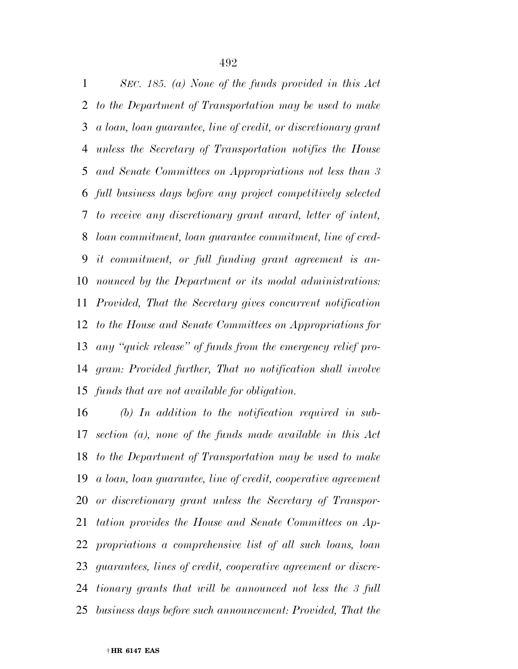*SEC. 185. (a) None of the funds provided in this Act to the Department of Transportation may be used to make a loan, loan guarantee, line of credit, or discretionary grant unless the Secretary of Transportation notifies the House and Senate Committees on Appropriations not less than 3 full business days before any project competitively selected to receive any discretionary grant award, letter of intent, loan commitment, loan guarantee commitment, line of cred- it commitment, or full funding grant agreement is an- nounced by the Department or its modal administrations: Provided, That the Secretary gives concurrent notification to the House and Senate Committees on Appropriations for any ''quick release'' of funds from the emergency relief pro- gram: Provided further, That no notification shall involve funds that are not available for obligation.* 

 *(b) In addition to the notification required in sub- section (a), none of the funds made available in this Act to the Department of Transportation may be used to make a loan, loan guarantee, line of credit, cooperative agreement or discretionary grant unless the Secretary of Transpor- tation provides the House and Senate Committees on Ap- propriations a comprehensive list of all such loans, loan guarantees, lines of credit, cooperative agreement or discre- tionary grants that will be announced not less the 3 full business days before such announcement: Provided, That the*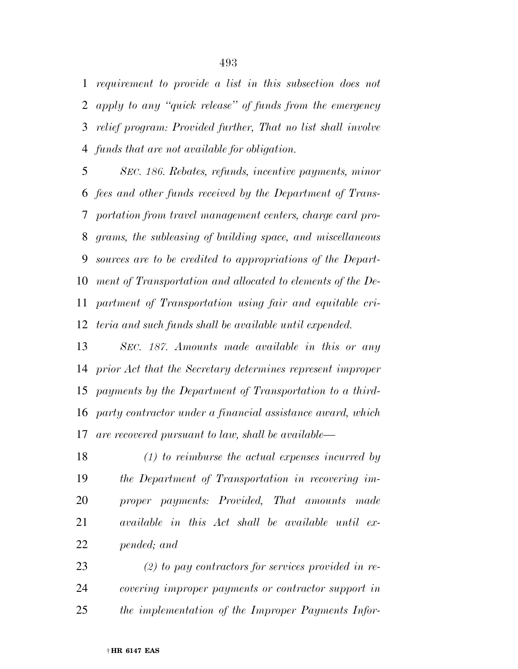*requirement to provide a list in this subsection does not apply to any ''quick release'' of funds from the emergency relief program: Provided further, That no list shall involve funds that are not available for obligation.* 

 *SEC. 186. Rebates, refunds, incentive payments, minor fees and other funds received by the Department of Trans- portation from travel management centers, charge card pro- grams, the subleasing of building space, and miscellaneous sources are to be credited to appropriations of the Depart- ment of Transportation and allocated to elements of the De- partment of Transportation using fair and equitable cri-teria and such funds shall be available until expended.* 

 *SEC. 187. Amounts made available in this or any prior Act that the Secretary determines represent improper payments by the Department of Transportation to a third- party contractor under a financial assistance award, which are recovered pursuant to law, shall be available—* 

 *(1) to reimburse the actual expenses incurred by the Department of Transportation in recovering im- proper payments: Provided, That amounts made available in this Act shall be available until ex-pended; and* 

 *(2) to pay contractors for services provided in re- covering improper payments or contractor support in the implementation of the Improper Payments Infor-*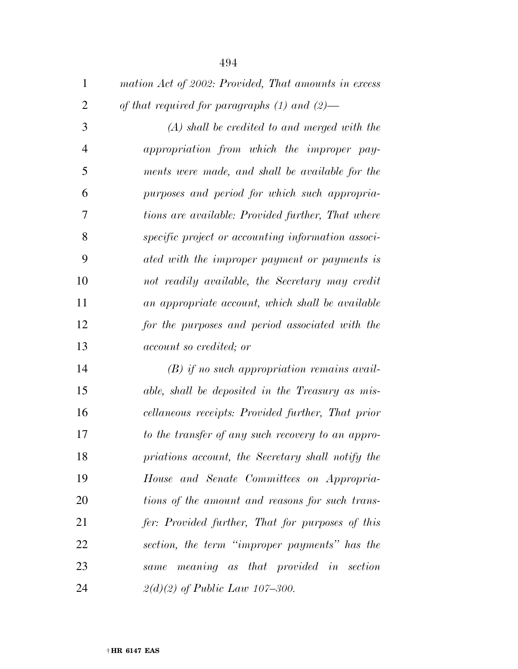| $\mathbf{1}$   | mation Act of 2002: Provided, That amounts in excess |
|----------------|------------------------------------------------------|
| $\overline{2}$ | of that required for paragraphs $(1)$ and $(2)$ —    |
| 3              | $(A)$ shall be credited to and merged with the       |
| $\overline{4}$ | appropriation from which the improper pay-           |
| 5              | ments were made, and shall be available for the      |
| 6              | purposes and period for which such appropria-        |
| 7              | tions are available: Provided further, That where    |
| 8              | specific project or accounting information associ-   |
| 9              | ated with the improper payment or payments is        |
| 10             | not readily available, the Secretary may credit      |
| 11             | an appropriate account, which shall be available     |
| 12             | for the purposes and period associated with the      |
| 13             | <i>account so credited; or</i>                       |
| 14             | $(B)$ if no such appropriation remains avail-        |
| 15             | able, shall be deposited in the Treasury as mis-     |
| 16             | cellaneous receipts: Provided further, That prior    |
| 17             | to the transfer of any such recovery to an appro-    |
| 18             | priations account, the Secretary shall notify the    |
| 19             | House and Senate Committees on Appropria-            |
| 20             | tions of the amount and reasons for such trans-      |
| 21             | fer: Provided further, That for purposes of this     |
| 22             | section, the term "improper payments" has the        |
| 23             | same meaning as that provided in section             |
| 24             | $2(d)(2)$ of Public Law 107-300.                     |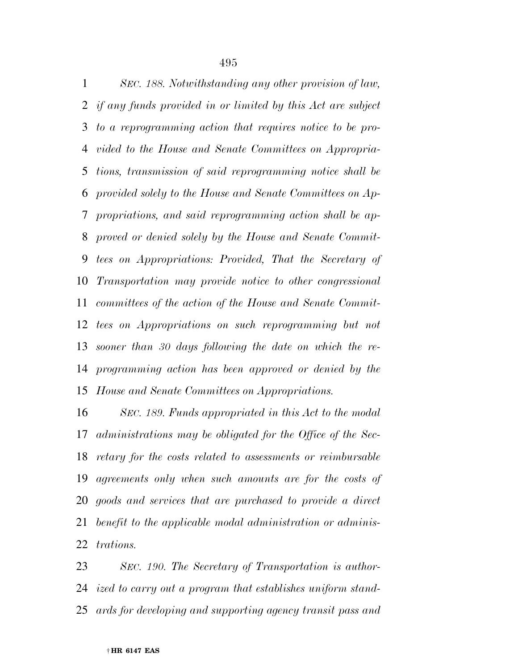*SEC. 188. Notwithstanding any other provision of law, if any funds provided in or limited by this Act are subject to a reprogramming action that requires notice to be pro- vided to the House and Senate Committees on Appropria- tions, transmission of said reprogramming notice shall be provided solely to the House and Senate Committees on Ap- propriations, and said reprogramming action shall be ap- proved or denied solely by the House and Senate Commit- tees on Appropriations: Provided, That the Secretary of Transportation may provide notice to other congressional committees of the action of the House and Senate Commit- tees on Appropriations on such reprogramming but not sooner than 30 days following the date on which the re- programming action has been approved or denied by the House and Senate Committees on Appropriations.* 

 *SEC. 189. Funds appropriated in this Act to the modal administrations may be obligated for the Office of the Sec- retary for the costs related to assessments or reimbursable agreements only when such amounts are for the costs of goods and services that are purchased to provide a direct benefit to the applicable modal administration or adminis-trations.* 

 *SEC. 190. The Secretary of Transportation is author- ized to carry out a program that establishes uniform stand-ards for developing and supporting agency transit pass and*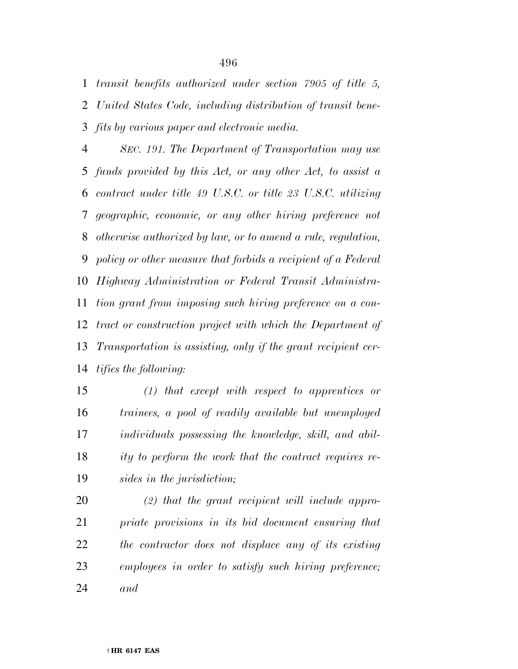*transit benefits authorized under section 7905 of title 5, United States Code, including distribution of transit bene-fits by various paper and electronic media.* 

 *SEC. 191. The Department of Transportation may use funds provided by this Act, or any other Act, to assist a contract under title 49 U.S.C. or title 23 U.S.C. utilizing geographic, economic, or any other hiring preference not otherwise authorized by law, or to amend a rule, regulation, policy or other measure that forbids a recipient of a Federal Highway Administration or Federal Transit Administra- tion grant from imposing such hiring preference on a con- tract or construction project with which the Department of Transportation is assisting, only if the grant recipient cer-tifies the following:* 

 *(1) that except with respect to apprentices or trainees, a pool of readily available but unemployed individuals possessing the knowledge, skill, and abil- ity to perform the work that the contract requires re-sides in the jurisdiction;* 

 *(2) that the grant recipient will include appro- priate provisions in its bid document ensuring that the contractor does not displace any of its existing employees in order to satisfy such hiring preference; and*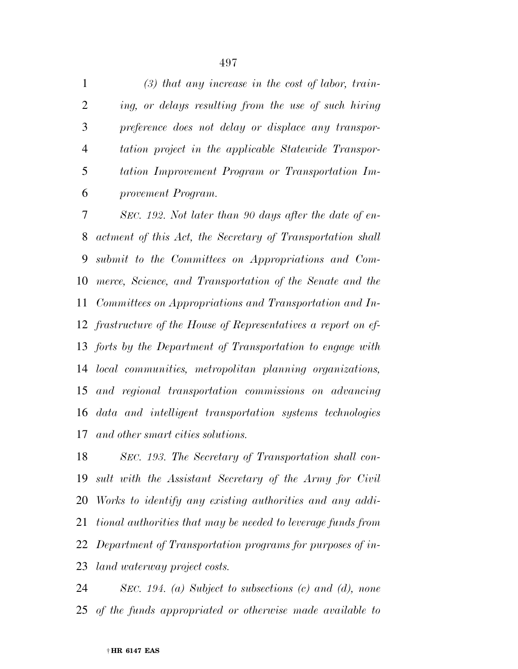*(3) that any increase in the cost of labor, train- ing, or delays resulting from the use of such hiring preference does not delay or displace any transpor- tation project in the applicable Statewide Transpor- tation Improvement Program or Transportation Im-provement Program.* 

 *SEC. 192. Not later than 90 days after the date of en- actment of this Act, the Secretary of Transportation shall submit to the Committees on Appropriations and Com- merce, Science, and Transportation of the Senate and the Committees on Appropriations and Transportation and In- frastructure of the House of Representatives a report on ef- forts by the Department of Transportation to engage with local communities, metropolitan planning organizations, and regional transportation commissions on advancing data and intelligent transportation systems technologies and other smart cities solutions.* 

 *SEC. 193. The Secretary of Transportation shall con- sult with the Assistant Secretary of the Army for Civil Works to identify any existing authorities and any addi- tional authorities that may be needed to leverage funds from Department of Transportation programs for purposes of in-land waterway project costs.* 

 *SEC. 194. (a) Subject to subsections (c) and (d), none of the funds appropriated or otherwise made available to*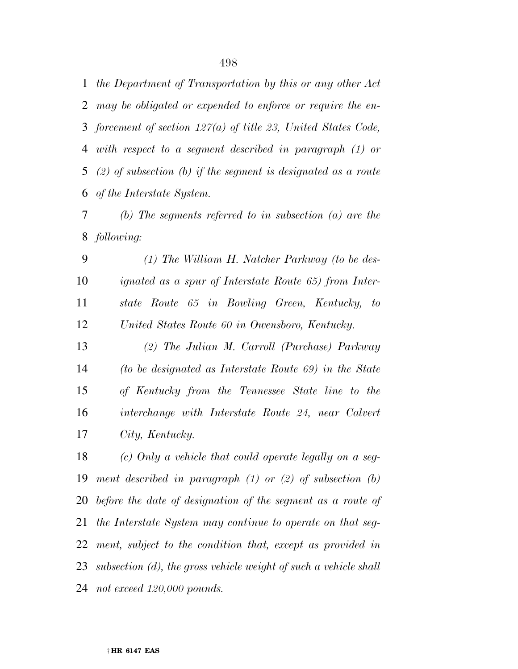*the Department of Transportation by this or any other Act may be obligated or expended to enforce or require the en- forcement of section 127(a) of title 23, United States Code, with respect to a segment described in paragraph (1) or (2) of subsection (b) if the segment is designated as a route of the Interstate System.* 

 *(b) The segments referred to in subsection (a) are the following:* 

 *(1) The William H. Natcher Parkway (to be des- ignated as a spur of Interstate Route 65) from Inter- state Route 65 in Bowling Green, Kentucky, to United States Route 60 in Owensboro, Kentucky.* 

 *(2) The Julian M. Carroll (Purchase) Parkway (to be designated as Interstate Route 69) in the State of Kentucky from the Tennessee State line to the interchange with Interstate Route 24, near Calvert City, Kentucky.* 

 *(c) Only a vehicle that could operate legally on a seg- ment described in paragraph (1) or (2) of subsection (b) before the date of designation of the segment as a route of the Interstate System may continue to operate on that seg- ment, subject to the condition that, except as provided in subsection (d), the gross vehicle weight of such a vehicle shall not exceed 120,000 pounds.*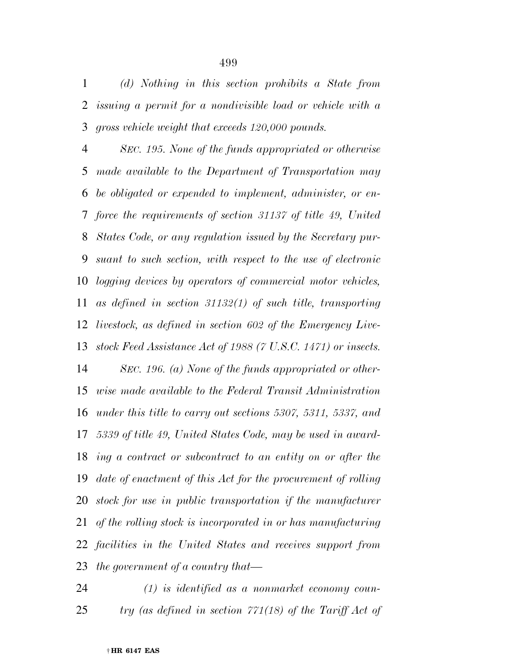*(d) Nothing in this section prohibits a State from issuing a permit for a nondivisible load or vehicle with a gross vehicle weight that exceeds 120,000 pounds.* 

 *SEC. 195. None of the funds appropriated or otherwise made available to the Department of Transportation may be obligated or expended to implement, administer, or en- force the requirements of section 31137 of title 49, United States Code, or any regulation issued by the Secretary pur- suant to such section, with respect to the use of electronic logging devices by operators of commercial motor vehicles, as defined in section 31132(1) of such title, transporting livestock, as defined in section 602 of the Emergency Live- stock Feed Assistance Act of 1988 (7 U.S.C. 1471) or insects. SEC. 196. (a) None of the funds appropriated or other- wise made available to the Federal Transit Administration under this title to carry out sections 5307, 5311, 5337, and 5339 of title 49, United States Code, may be used in award- ing a contract or subcontract to an entity on or after the date of enactment of this Act for the procurement of rolling stock for use in public transportation if the manufacturer of the rolling stock is incorporated in or has manufacturing facilities in the United States and receives support from the government of a country that—* 

 *(1) is identified as a nonmarket economy coun-try (as defined in section 771(18) of the Tariff Act of*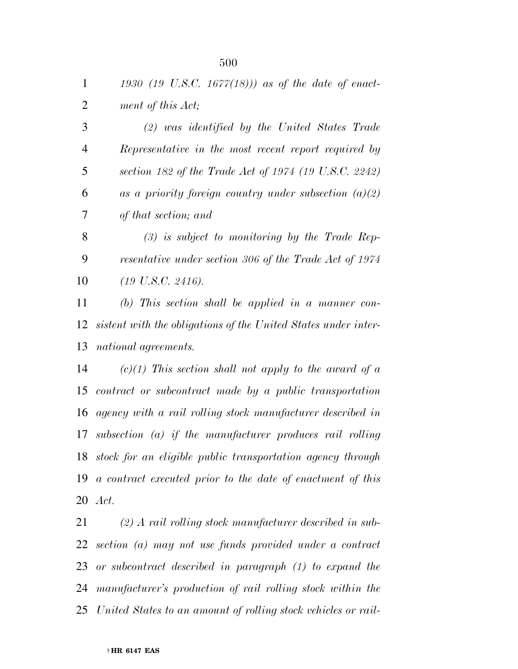*1930 (19 U.S.C. 1677(18))) as of the date of enact-ment of this Act;* 

 *(2) was identified by the United States Trade Representative in the most recent report required by section 182 of the Trade Act of 1974 (19 U.S.C. 2242) as a priority foreign country under subsection (a)(2) of that section; and* 

 *(3) is subject to monitoring by the Trade Rep- resentative under section 306 of the Trade Act of 1974 (19 U.S.C. 2416).* 

 *(b) This section shall be applied in a manner con- sistent with the obligations of the United States under inter-national agreements.* 

 *(c)(1) This section shall not apply to the award of a contract or subcontract made by a public transportation agency with a rail rolling stock manufacturer described in subsection (a) if the manufacturer produces rail rolling stock for an eligible public transportation agency through a contract executed prior to the date of enactment of this Act.* 

 *(2) A rail rolling stock manufacturer described in sub- section (a) may not use funds provided under a contract or subcontract described in paragraph (1) to expand the manufacturer's production of rail rolling stock within the United States to an amount of rolling stock vehicles or rail-*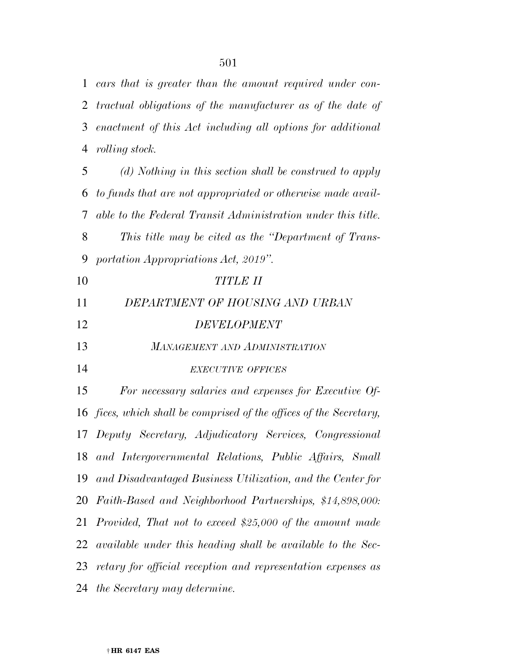*cars that is greater than the amount required under con- tractual obligations of the manufacturer as of the date of enactment of this Act including all options for additional rolling stock.* 

 *(d) Nothing in this section shall be construed to apply to funds that are not appropriated or otherwise made avail- able to the Federal Transit Administration under this title. This title may be cited as the ''Department of Trans- portation Appropriations Act, 2019''. TITLE II DEPARTMENT OF HOUSING AND URBAN DEVELOPMENT MANAGEMENT AND ADMINISTRATION EXECUTIVE OFFICES For necessary salaries and expenses for Executive Of- fices, which shall be comprised of the offices of the Secretary, Deputy Secretary, Adjudicatory Services, Congressional and Intergovernmental Relations, Public Affairs, Small and Disadvantaged Business Utilization, and the Center for Faith-Based and Neighborhood Partnerships, \$14,898,000: Provided, That not to exceed \$25,000 of the amount made available under this heading shall be available to the Sec- retary for official reception and representation expenses as the Secretary may determine.*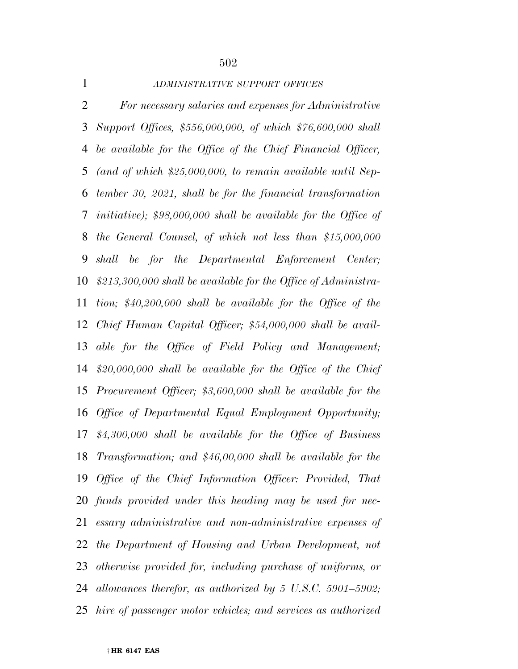| $\mathbf{1}$   | ADMINISTRATIVE SUPPORT OFFICES                                          |
|----------------|-------------------------------------------------------------------------|
| $\overline{2}$ | For necessary salaries and expenses for Administrative                  |
| 3              | Support Offices, \$556,000,000, of which \$76,600,000 shall             |
| 4              | be available for the Office of the Chief Financial Officer,             |
| 5              | (and of which $$25,000,000$ , to remain available until Sep-            |
| 6              | tember 30, 2021, shall be for the financial transformation              |
| $\tau$         | <i>initiative)</i> ; $$98,000,000$ shall be available for the Office of |
| 8              | the General Counsel, of which not less than $$15,000,000$               |
| 9              | shall be for the Departmental Enforcement Center;                       |
| 10             | $$213,300,000$ shall be available for the Office of Administra-         |
| 11             | tion; $$40,200,000$ shall be available for the Office of the            |
| 12             | Chief Human Capital Officer; \$54,000,000 shall be avail-               |
| 13             | able for the Office of Field Policy and Management;                     |
| 14             | \$20,000,000 shall be available for the Office of the Chief             |
| 15             | Procurement Officer; $$3,600,000$ shall be available for the            |
| 16             | Office of Departmental Equal Employment Opportunity;                    |
| 17             | $$4,300,000$ shall be available for the Office of Business              |
|                | 18 Transformation; and \$46,00,000 shall be available for the           |
| 19             | Office of the Chief Information Officer: Provided, That                 |
| 20             | funds provided under this heading may be used for nec-                  |
| 21             | essary administrative and non-administrative expenses of                |
| 22             | the Department of Housing and Urban Development, not                    |
| 23             | otherwise provided for, including purchase of uniforms, or              |
| 24             | allowances therefor, as authorized by 5 U.S.C. 5901–5902;               |
| 25             | hire of passenger motor vehicles; and services as authorized            |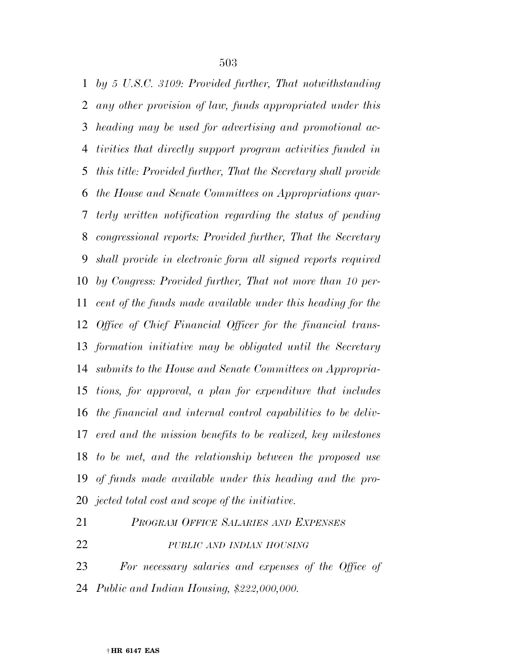*by 5 U.S.C. 3109: Provided further, That notwithstanding any other provision of law, funds appropriated under this heading may be used for advertising and promotional ac- tivities that directly support program activities funded in this title: Provided further, That the Secretary shall provide the House and Senate Committees on Appropriations quar- terly written notification regarding the status of pending congressional reports: Provided further, That the Secretary shall provide in electronic form all signed reports required by Congress: Provided further, That not more than 10 per- cent of the funds made available under this heading for the Office of Chief Financial Officer for the financial trans- formation initiative may be obligated until the Secretary submits to the House and Senate Committees on Appropria- tions, for approval, a plan for expenditure that includes the financial and internal control capabilities to be deliv- ered and the mission benefits to be realized, key milestones to be met, and the relationship between the proposed use of funds made available under this heading and the pro-jected total cost and scope of the initiative.* 

- *PROGRAM OFFICE SALARIES AND EXPENSES PUBLIC AND INDIAN HOUSING*
- *For necessary salaries and expenses of the Office of*
- *Public and Indian Housing, \$222,000,000.*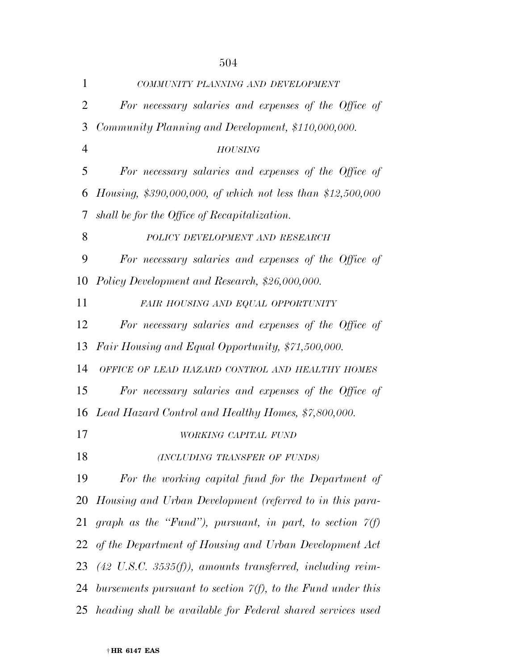| $\mathbf{1}$   | COMMUNITY PLANNING AND DEVELOPMENT                                   |
|----------------|----------------------------------------------------------------------|
| $\overline{2}$ | For necessary salaries and expenses of the Office of                 |
| 3              | Community Planning and Development, \$110,000,000.                   |
| $\overline{4}$ | <b>HOUSING</b>                                                       |
| 5              | For necessary salaries and expenses of the Office of                 |
| 6              | Housing, \$390,000,000, of which not less than \$12,500,000          |
| 7              | shall be for the Office of Recapitalization.                         |
| 8              | POLICY DEVELOPMENT AND RESEARCH                                      |
| 9              | For necessary salaries and expenses of the Office of                 |
| 10             | Policy Development and Research, \$26,000,000.                       |
| 11             | FAIR HOUSING AND EQUAL OPPORTUNITY                                   |
| 12             | For necessary salaries and expenses of the Office of                 |
| 13             | Fair Housing and Equal Opportunity, \$71,500,000.                    |
| 14             | OFFICE OF LEAD HAZARD CONTROL AND HEALTHY HOMES                      |
| 15             | For necessary salaries and expenses of the Office of                 |
|                | 16 Lead Hazard Control and Healthy Homes, \$7,800,000.               |
| 17             | WORKING CAPITAL FUND                                                 |
| 18             | (INCLUDING TRANSFER OF FUNDS)                                        |
| 19             | For the working capital fund for the Department of                   |
| 20             | Housing and Urban Development (referred to in this para-             |
| 21             | graph as the "Fund"), pursuant, in part, to section $\gamma(f)$      |
| 22             | of the Department of Housing and Urban Development Act               |
| 23             | $(42 \text{ U.S.C. } 3535(f)),$ amounts transferred, including reim- |
| 24             | bursements pursuant to section $\gamma(f)$ , to the Fund under this  |
|                | 25 heading shall be available for Federal shared services used       |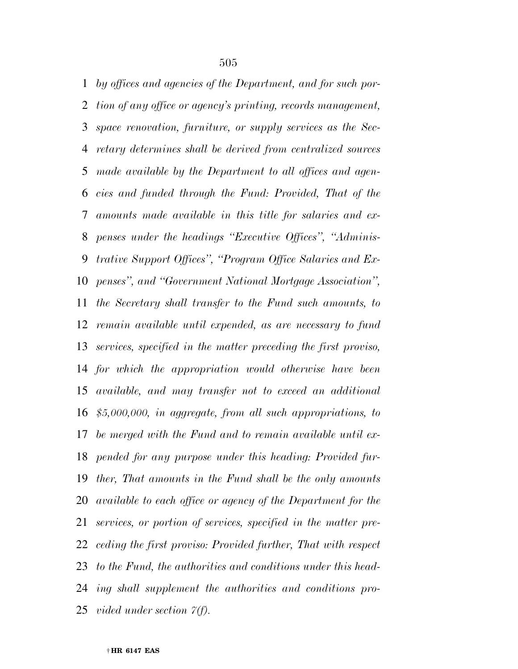*by offices and agencies of the Department, and for such por- tion of any office or agency's printing, records management, space renovation, furniture, or supply services as the Sec- retary determines shall be derived from centralized sources made available by the Department to all offices and agen- cies and funded through the Fund: Provided, That of the amounts made available in this title for salaries and ex- penses under the headings ''Executive Offices'', ''Adminis- trative Support Offices'', ''Program Office Salaries and Ex- penses'', and ''Government National Mortgage Association'', the Secretary shall transfer to the Fund such amounts, to remain available until expended, as are necessary to fund services, specified in the matter preceding the first proviso, for which the appropriation would otherwise have been available, and may transfer not to exceed an additional \$5,000,000, in aggregate, from all such appropriations, to be merged with the Fund and to remain available until ex- pended for any purpose under this heading: Provided fur- ther, That amounts in the Fund shall be the only amounts available to each office or agency of the Department for the services, or portion of services, specified in the matter pre- ceding the first proviso: Provided further, That with respect to the Fund, the authorities and conditions under this head- ing shall supplement the authorities and conditions pro-vided under section 7(f).*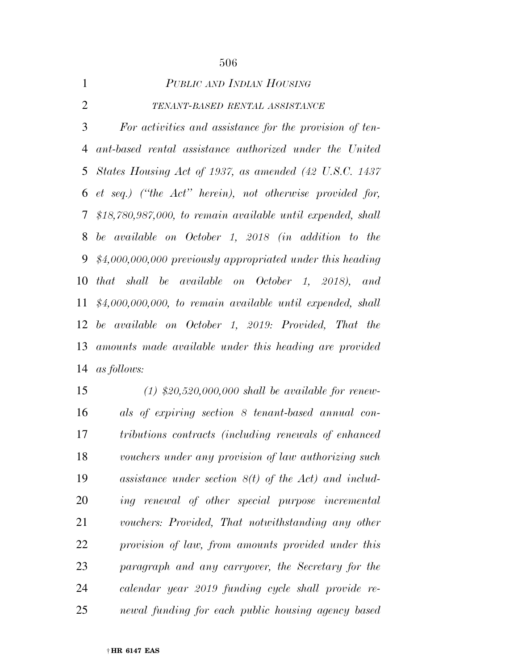| 1              | PUBLIC AND INDIAN HOUSING                                      |
|----------------|----------------------------------------------------------------|
| $\overline{2}$ | TENANT-BASED RENTAL ASSISTANCE                                 |
| 3              | For activities and assistance for the provision of ten-        |
| 4              | ant-based rental assistance authorized under the United        |
|                | 5 States Housing Act of 1937, as amended (42 U.S.C. 1437)      |
|                | 6 et seq.) ("the Act" herein), not otherwise provided for,     |
|                | 7 \$18,780,987,000, to remain available until expended, shall  |
| 8              | be available on October 1, 2018 (in addition to the            |
| 9              | $$4,000,000,000$ previously appropriated under this heading    |
|                | 10 that shall be available on October 1, 2018), and            |
|                | 11 $$4,000,000,000,$ to remain available until expended, shall |
|                | 12 be available on October 1, 2019: Provided, That the         |
|                | 13 amounts made available under this heading are provided      |
|                | 14 as follows:                                                 |
|                |                                                                |

 *(1) \$20,520,000,000 shall be available for renew- als of expiring section 8 tenant-based annual con- tributions contracts (including renewals of enhanced vouchers under any provision of law authorizing such assistance under section 8(t) of the Act) and includ- ing renewal of other special purpose incremental vouchers: Provided, That notwithstanding any other provision of law, from amounts provided under this paragraph and any carryover, the Secretary for the calendar year 2019 funding cycle shall provide re-newal funding for each public housing agency based*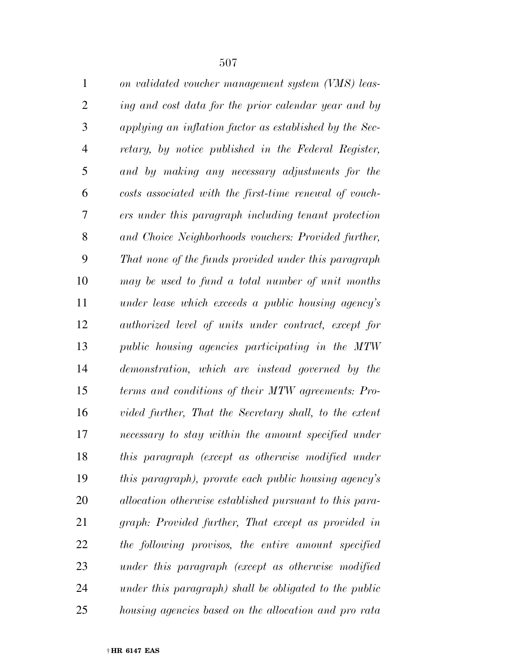| $\mathbf{1}$   | on validated voucher management system (VMS) leas-      |
|----------------|---------------------------------------------------------|
| $\overline{2}$ | ing and cost data for the prior calendar year and by    |
| 3              | applying an inflation factor as established by the Sec- |
| 4              | retary, by notice published in the Federal Register,    |
| 5              | and by making any necessary adjustments for the         |
| 6              | costs associated with the first-time renewal of vouch-  |
| 7              | ers under this paragraph including tenant protection    |
| 8              | and Choice Neighborhoods vouchers: Provided further,    |
| 9              | That none of the funds provided under this paragraph    |
| 10             | may be used to fund a total number of unit months       |
| 11             | under lease which exceeds a public housing agency's     |
| 12             | authorized level of units under contract, except for    |
| 13             | public housing agencies participating in the MTW        |
| 14             | demonstration, which are instead governed by the        |
| 15             | terms and conditions of their MTW agreements: Pro-      |
| 16             | vided further, That the Secretary shall, to the extent  |
| 17             | necessary to stay within the amount specified under     |
| 18             | this paragraph (except as otherwise modified under      |
| 19             | this paragraph), prorate each public housing agency's   |
| 20             | allocation otherwise established pursuant to this para- |
| 21             | graph: Provided further, That except as provided in     |
| 22             | the following provisos, the entire amount specified     |
| 23             | under this paragraph (except as otherwise modified      |
| 24             | under this paragraph) shall be obligated to the public  |
| 25             | housing agencies based on the allocation and pro rata   |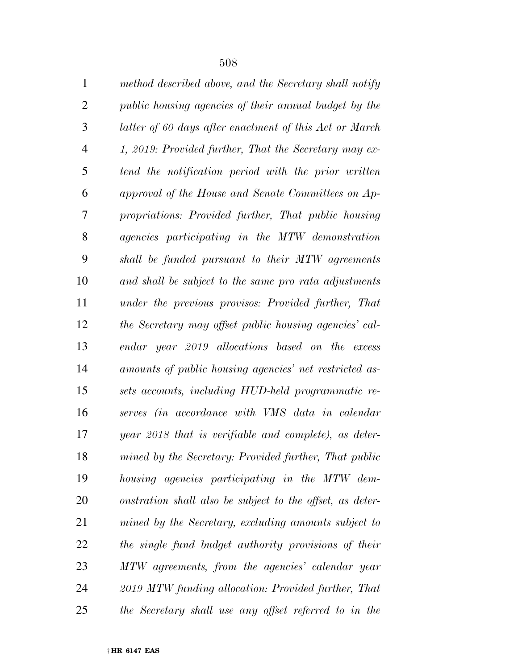| $\mathbf{1}$   | method described above, and the Secretary shall notify    |
|----------------|-----------------------------------------------------------|
| $\overline{2}$ | public housing agencies of their annual budget by the     |
| 3              | latter of 60 days after enactment of this Act or March    |
| $\overline{4}$ | 1, 2019: Provided further, That the Secretary may ex-     |
| 5              | tend the notification period with the prior written       |
| 6              | approval of the House and Senate Committees on Ap-        |
| 7              | propriations: Provided further, That public housing       |
| 8              | agencies participating in the MTW demonstration           |
| 9              | shall be funded pursuant to their MTW agreements          |
| 10             | and shall be subject to the same pro rata adjustments     |
| 11             | under the previous provisos: Provided further, That       |
| 12             | the Secretary may offset public housing agencies' cal-    |
| 13             | endar year 2019 allocations based on the excess           |
| 14             | amounts of public housing agencies' net restricted as-    |
| 15             | sets accounts, including HUD-held programmatic re-        |
| 16             | serves (in accordance with VMS data in calendar           |
| 17             | year 2018 that is verifiable and complete), as deter-     |
| 18             | mined by the Secretary: Provided further, That public     |
| 19             | housing agencies participating in the MTW dem-            |
| 20             | onstration shall also be subject to the offset, as deter- |
| 21             | mined by the Secretary, excluding amounts subject to      |
| 22             | the single fund budget authority provisions of their      |
| 23             | MTW agreements, from the agencies' calendar year          |
| 24             | 2019 MTW funding allocation: Provided further, That       |
| 25             | the Secretary shall use any offset referred to in the     |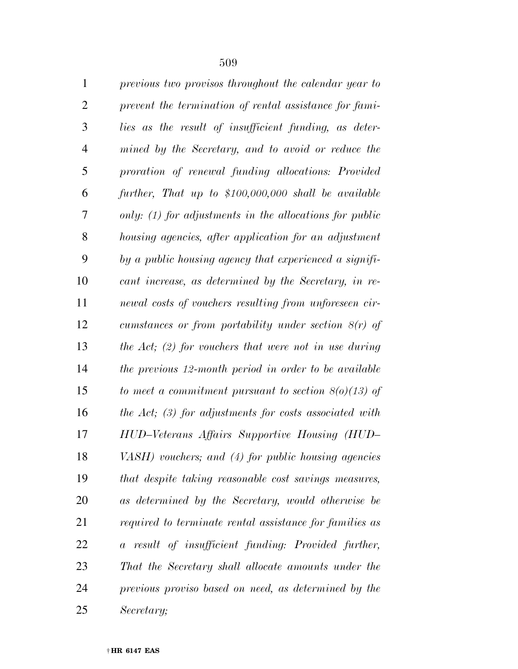| $\mathbf{1}$   | previous two provisos throughout the calendar year to     |
|----------------|-----------------------------------------------------------|
| $\overline{2}$ | prevent the termination of rental assistance for fami-    |
| 3              | lies as the result of insufficient funding, as deter-     |
| $\overline{4}$ | mined by the Secretary, and to avoid or reduce the        |
| 5              | proration of renewal funding allocations: Provided        |
| 6              | further, That up to \$100,000,000 shall be available      |
| 7              | only: $(1)$ for adjustments in the allocations for public |
| 8              | housing agencies, after application for an adjustment     |
| 9              | by a public housing agency that experienced a signifi-    |
| 10             | cant increase, as determined by the Secretary, in re-     |
| 11             | newal costs of vouchers resulting from unforeseen cir-    |
| 12             | cumstances or from portability under section $8(r)$ of    |
| 13             | the Act; (2) for vouchers that were not in use during     |
| 14             | the previous 12-month period in order to be available     |
| 15             | to meet a commitment pursuant to section $8(0)(13)$ of    |
| 16             | the Act; $(3)$ for adjustments for costs associated with  |
| 17             | HUD-Veterans Affairs Supportive Housing (HUD-             |
| 18             | VASH) vouchers; and (4) for public housing agencies       |
| 19             | that despite taking reasonable cost savings measures,     |
| 20             | as determined by the Secretary, would otherwise be        |
| 21             | required to terminate rental assistance for families as   |
| 22             | a result of insufficient funding: Provided further,       |
| 23             | That the Secretary shall allocate amounts under the       |
| 24             | previous proviso based on need, as determined by the      |
| 25             | Secretary;                                                |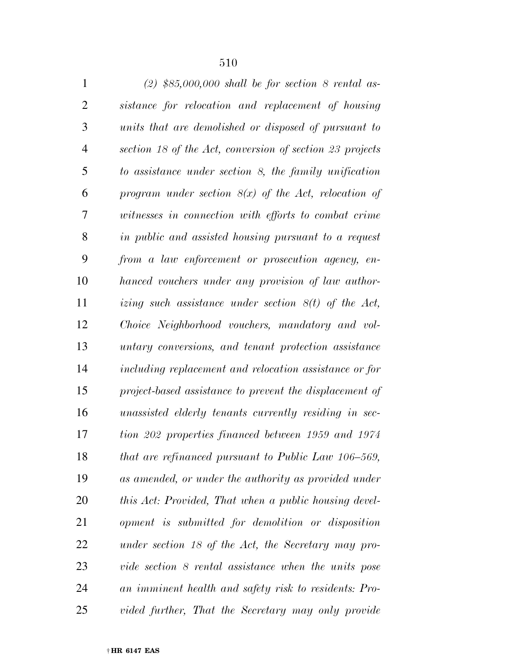| $\mathbf{1}$   | $(2)$ \$85,000,000 shall be for section 8 rental as-     |
|----------------|----------------------------------------------------------|
| $\overline{2}$ | sistance for relocation and replacement of housing       |
| 3              | units that are demolished or disposed of pursuant to     |
| $\overline{4}$ | section 18 of the Act, conversion of section 23 projects |
| 5              | to assistance under section 8, the family unification    |
| 6              | program under section $8(x)$ of the Act, relocation of   |
| 7              | witnesses in connection with efforts to combat crime     |
| 8              | in public and assisted housing pursuant to a request     |
| 9              | from a law enforcement or prosecution agency, en-        |
| 10             | hanced vouchers under any provision of law author-       |
| 11             | izing such assistance under section $8(t)$ of the Act,   |
| 12             | Choice Neighborhood vouchers, mandatory and vol-         |
| 13             | untary conversions, and tenant protection assistance     |
| 14             | including replacement and relocation assistance or for   |
| 15             | project-based assistance to prevent the displacement of  |
| 16             | unassisted elderly tenants currently residing in sec-    |
| 17             | tion 202 properties financed between 1959 and 1974       |
| 18             | that are refinanced pursuant to Public Law 106-569,      |
| 19             | as amended, or under the authority as provided under     |
| 20             | this Act: Provided, That when a public housing devel-    |
| 21             | opment is submitted for demolition or disposition        |
| 22             | under section 18 of the Act, the Secretary may pro-      |
| 23             | vide section 8 rental assistance when the units pose     |
| 24             | an imminent health and safety risk to residents: Pro-    |
| 25             | vided further, That the Secretary may only provide       |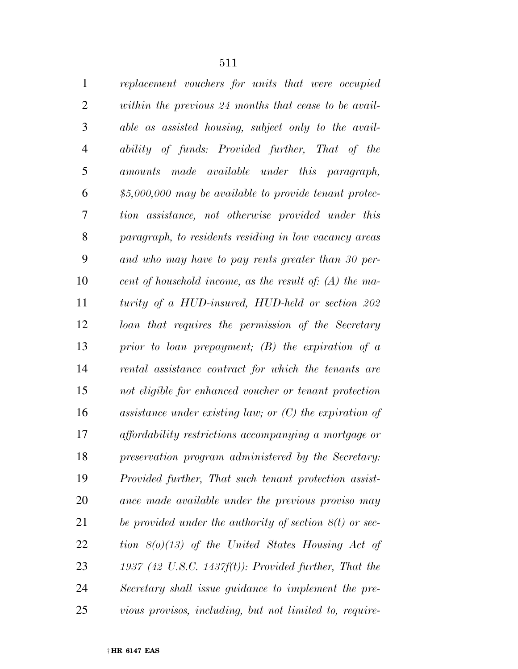| $\mathbf{1}$   | replacement vouchers for units that were occupied         |
|----------------|-----------------------------------------------------------|
| $\overline{2}$ | within the previous 24 months that cease to be avail-     |
| 3              | able as assisted housing, subject only to the avail-      |
| $\overline{4}$ | ability of funds: Provided further, That of the           |
| 5              | amounts made available under this paragraph,              |
| 6              | $$5,000,000$ may be available to provide tenant protec-   |
| 7              | tion assistance, not otherwise provided under this        |
| 8              | paragraph, to residents residing in low vacancy areas     |
| 9              | and who may have to pay rents greater than 30 per-        |
| 10             | cent of household income, as the result of: $(A)$ the ma- |
| 11             | turity of a HUD-insured, HUD-held or section 202          |
| 12             | loan that requires the permission of the Secretary        |
| 13             | prior to loan prepayment; $(B)$ the expiration of a       |
| 14             | rental assistance contract for which the tenants are      |
| 15             | not eligible for enhanced voucher or tenant protection    |
| 16             | assistance under existing law; or $(C)$ the expiration of |
| 17             | affordability restrictions accompanying a mortgage or     |
| 18             | preservation program administered by the Secretary:       |
| 19             | Provided further, That such tenant protection assist-     |
| 20             | ance made available under the previous proviso may        |
| 21             | be provided under the authority of section $8(t)$ or sec- |
| 22             | tion $8(0)(13)$ of the United States Housing Act of       |
| 23             | 1937 (42 U.S.C. 1437 $f(t)$ ): Provided further, That the |
| 24             | Secretary shall issue guidance to implement the pre-      |
| 25             | vious provisos, including, but not limited to, require-   |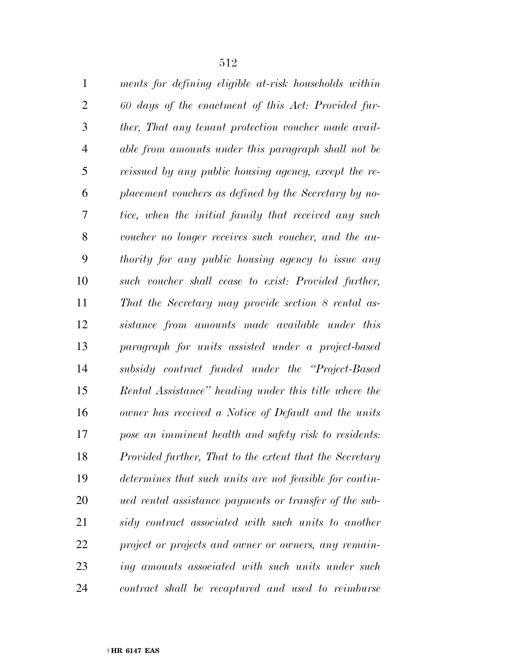| $\mathbf{1}$   | ments for defining eligible at-risk households within   |
|----------------|---------------------------------------------------------|
| $\overline{2}$ | 60 days of the enactment of this Act: Provided fur-     |
| 3              | ther, That any tenant protection voucher made avail-    |
| 4              | able from amounts under this paragraph shall not be     |
| 5              | reissued by any public housing agency, except the re-   |
| 6              | placement vouchers as defined by the Secretary by no-   |
| 7              | tice, when the initial family that received any such    |
| 8              | voucher no longer receives such voucher, and the au-    |
| 9              | thority for any public housing agency to issue any      |
| 10             | such voucher shall cease to exist: Provided further,    |
| 11             | That the Secretary may provide section 8 rental as-     |
| 12             | sistance from amounts made available under this         |
| 13             | paragraph for units assisted under a project-based      |
| 14             | subsidy contract funded under the "Project-Based"       |
| 15             | Rental Assistance" heading under this title where the   |
| 16             | owner has received a Notice of Default and the units    |
| 17             | pose an imminent health and safety risk to residents:   |
| 18             | Provided further, That to the extent that the Secretary |
| 19             | determines that such units are not feasible for contin- |
| 20             | ued rental assistance payments or transfer of the sub-  |
| 21             | sidy contract associated with such units to another     |
| 22             | project or projects and owner or owners, any remain-    |
| 23             | ing amounts associated with such units under such       |
| 24             | contract shall be recaptured and used to reimburse      |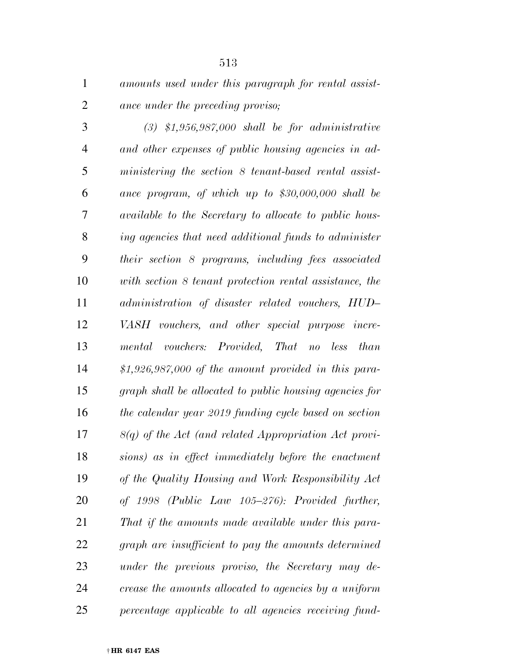*amounts used under this paragraph for rental assist-ance under the preceding proviso;* 

 *(3) \$1,956,987,000 shall be for administrative and other expenses of public housing agencies in ad- ministering the section 8 tenant-based rental assist- ance program, of which up to \$30,000,000 shall be available to the Secretary to allocate to public hous- ing agencies that need additional funds to administer their section 8 programs, including fees associated with section 8 tenant protection rental assistance, the administration of disaster related vouchers, HUD– VASH vouchers, and other special purpose incre- mental vouchers: Provided, That no less than \$1,926,987,000 of the amount provided in this para- graph shall be allocated to public housing agencies for the calendar year 2019 funding cycle based on section 8(q) of the Act (and related Appropriation Act provi- sions) as in effect immediately before the enactment of the Quality Housing and Work Responsibility Act of 1998 (Public Law 105–276): Provided further, That if the amounts made available under this para- graph are insufficient to pay the amounts determined under the previous proviso, the Secretary may de- crease the amounts allocated to agencies by a uniform percentage applicable to all agencies receiving fund-*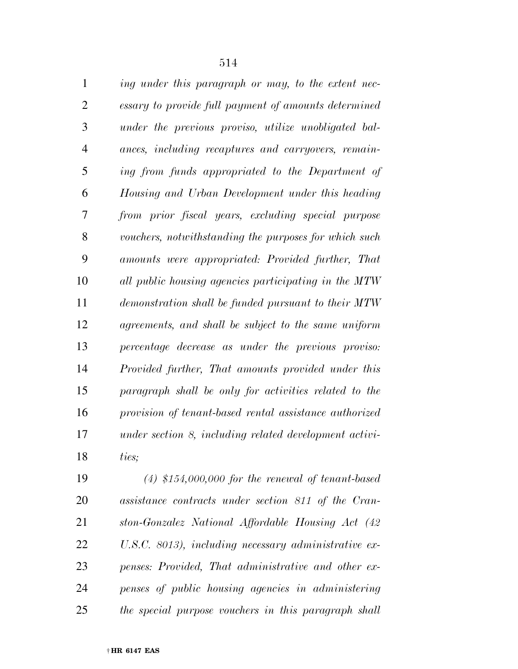| $\mathbf{1}$   | ing under this paragraph or may, to the extent nec-    |
|----------------|--------------------------------------------------------|
| $\overline{2}$ | essary to provide full payment of amounts determined   |
| 3              | under the previous proviso, utilize unobligated bal-   |
| $\overline{4}$ | ances, including recaptures and carryovers, remain-    |
| 5              | ing from funds appropriated to the Department of       |
| 6              | Housing and Urban Development under this heading       |
| 7              | from prior fiscal years, excluding special purpose     |
| 8              | vouchers, notwithstanding the purposes for which such  |
| 9              | amounts were appropriated: Provided further, That      |
| 10             | all public housing agencies participating in the MTW   |
| 11             | demonstration shall be funded pursuant to their MTW    |
| 12             | agreements, and shall be subject to the same uniform   |
| 13             | percentage decrease as under the previous proviso:     |
| 14             | Provided further, That amounts provided under this     |
| 15             | paragraph shall be only for activities related to the  |
| 16             | provision of tenant-based rental assistance authorized |
| 17             | under section 8, including related development activi- |
| 18             | ties;                                                  |
| 19             | $(4)$ \$154,000,000 for the reneval of tenant-based    |

 *(4) \$154,000,000 for the renewal of tenant-based assistance contracts under section 811 of the Cran- ston-Gonzalez National Affordable Housing Act (42 U.S.C. 8013), including necessary administrative ex- penses: Provided, That administrative and other ex- penses of public housing agencies in administering the special purpose vouchers in this paragraph shall*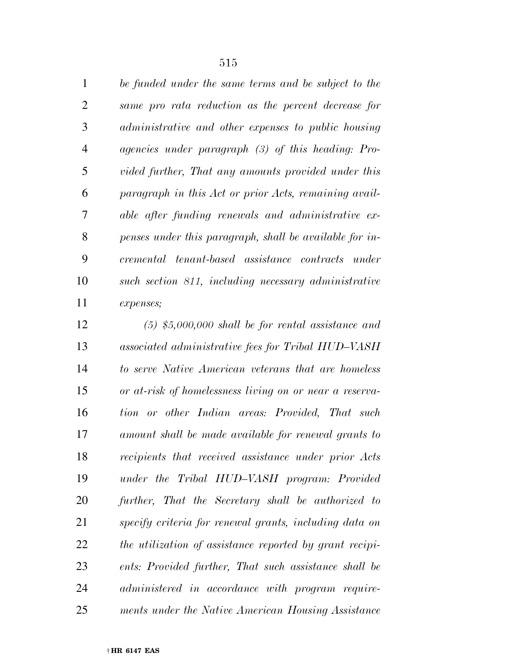|    | be funded under the same terms and be subject to the        |
|----|-------------------------------------------------------------|
| 2  | same pro rata reduction as the percent decrease for         |
| 3  | administrative and other expenses to public housing         |
| 4  | <i>agencies</i> under paragraph $(3)$ of this heading: Pro- |
| 5  | vided further, That any amounts provided under this         |
| 6  | paragraph in this Act or prior Acts, remaining avail-       |
| 7  | able after funding renewals and administrative ex-          |
| 8  | penses under this paragraph, shall be available for in-     |
| 9  | cremental tenant-based assistance contracts under           |
| 10 | such section 811, including necessary administrative        |
| 11 | expenses;                                                   |

 *(5) \$5,000,000 shall be for rental assistance and associated administrative fees for Tribal HUD–VASH to serve Native American veterans that are homeless or at-risk of homelessness living on or near a reserva- tion or other Indian areas: Provided, That such amount shall be made available for renewal grants to recipients that received assistance under prior Acts under the Tribal HUD–VASH program: Provided further, That the Secretary shall be authorized to specify criteria for renewal grants, including data on the utilization of assistance reported by grant recipi- ents: Provided further, That such assistance shall be administered in accordance with program require-ments under the Native American Housing Assistance*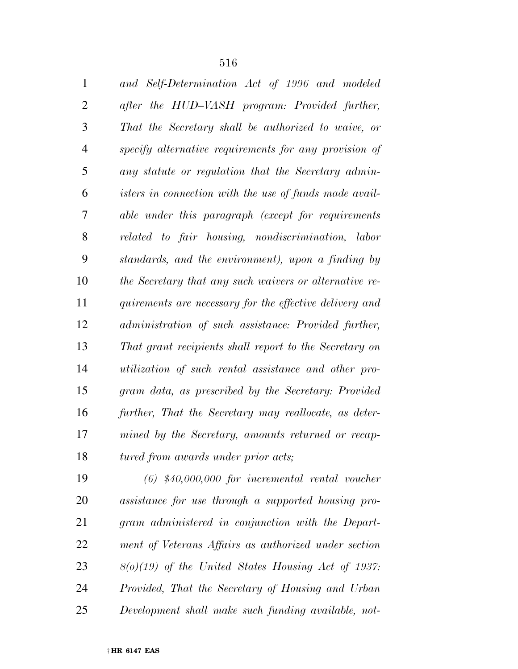| and Self-Determination Act of 1996 and modeled          |
|---------------------------------------------------------|
| after the HUD-VASH program: Provided further,           |
| That the Secretary shall be authorized to waive, or     |
| specify alternative requirements for any provision of   |
| any statute or regulation that the Secretary admin-     |
| isters in connection with the use of funds made avail-  |
| able under this paragraph (except for requirements      |
| related to fair housing, nondiscrimination, labor       |
| standards, and the environment), upon a finding by      |
| the Secretary that any such waivers or alternative re-  |
| quirements are necessary for the effective delivery and |
| administration of such assistance: Provided further,    |
| That grant recipients shall report to the Secretary on  |
| utilization of such rental assistance and other pro-    |
| gram data, as prescribed by the Secretary: Provided     |
| further, That the Secretary may reallocate, as deter-   |
| mined by the Secretary, amounts returned or recap-      |
| tured from awards under prior acts;                     |
|                                                         |

 *(6) \$40,000,000 for incremental rental voucher assistance for use through a supported housing pro- gram administered in conjunction with the Depart- ment of Veterans Affairs as authorized under section 8(o)(19) of the United States Housing Act of 1937: Provided, That the Secretary of Housing and Urban Development shall make such funding available, not-*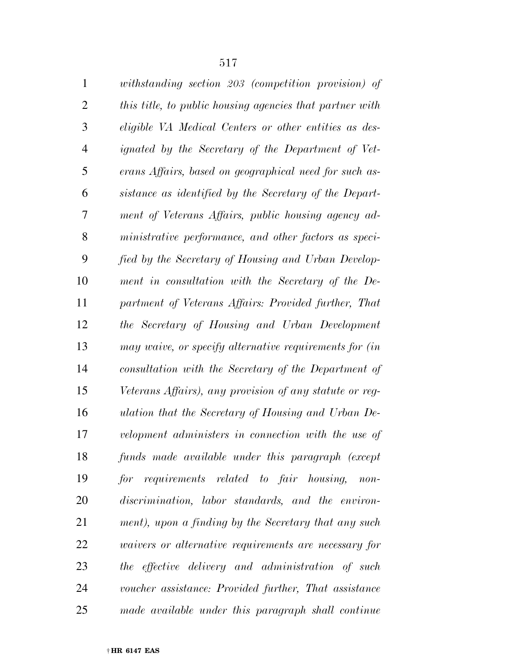*withstanding section 203 (competition provision) of* 

 *this title, to public housing agencies that partner with eligible VA Medical Centers or other entities as des- ignated by the Secretary of the Department of Vet- erans Affairs, based on geographical need for such as- sistance as identified by the Secretary of the Depart- ment of Veterans Affairs, public housing agency ad- ministrative performance, and other factors as speci- fied by the Secretary of Housing and Urban Develop- ment in consultation with the Secretary of the De- partment of Veterans Affairs: Provided further, That the Secretary of Housing and Urban Development may waive, or specify alternative requirements for (in consultation with the Secretary of the Department of Veterans Affairs), any provision of any statute or reg- ulation that the Secretary of Housing and Urban De- velopment administers in connection with the use of funds made available under this paragraph (except for requirements related to fair housing, non- discrimination, labor standards, and the environ- ment), upon a finding by the Secretary that any such waivers or alternative requirements are necessary for the effective delivery and administration of such voucher assistance: Provided further, That assistance made available under this paragraph shall continue*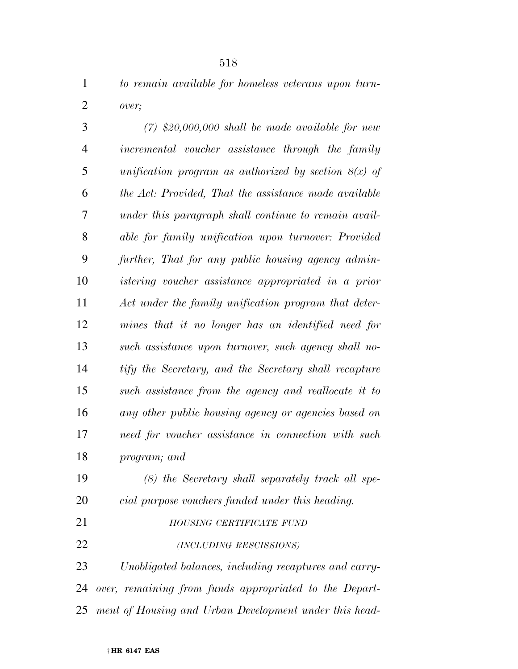*to remain available for homeless veterans upon turn-over;* 

 *(7) \$20,000,000 shall be made available for new incremental voucher assistance through the family unification program as authorized by section 8(x) of the Act: Provided, That the assistance made available under this paragraph shall continue to remain avail- able for family unification upon turnover: Provided further, That for any public housing agency admin- istering voucher assistance appropriated in a prior Act under the family unification program that deter- mines that it no longer has an identified need for such assistance upon turnover, such agency shall no- tify the Secretary, and the Secretary shall recapture such assistance from the agency and reallocate it to any other public housing agency or agencies based on need for voucher assistance in connection with such program; and* 

 *(8) the Secretary shall separately track all spe- cial purpose vouchers funded under this heading. HOUSING CERTIFICATE FUND (INCLUDING RESCISSIONS)*

 *Unobligated balances, including recaptures and carry- over, remaining from funds appropriated to the Depart-ment of Housing and Urban Development under this head-*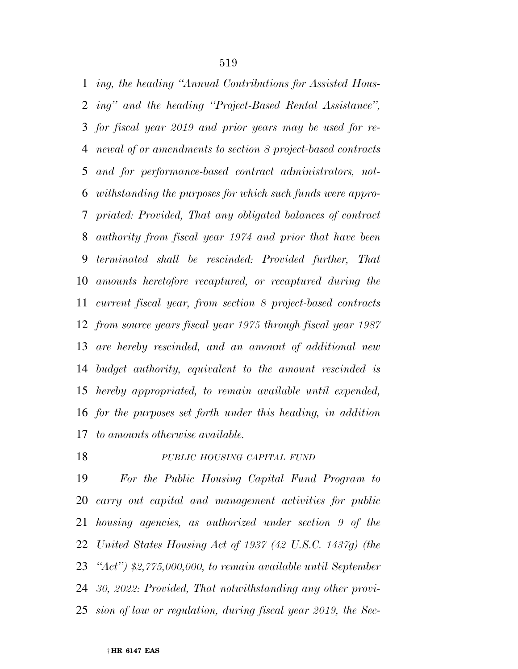*ing, the heading ''Annual Contributions for Assisted Hous- ing'' and the heading ''Project-Based Rental Assistance'', for fiscal year 2019 and prior years may be used for re- newal of or amendments to section 8 project-based contracts and for performance-based contract administrators, not- withstanding the purposes for which such funds were appro- priated: Provided, That any obligated balances of contract authority from fiscal year 1974 and prior that have been terminated shall be rescinded: Provided further, That amounts heretofore recaptured, or recaptured during the current fiscal year, from section 8 project-based contracts from source years fiscal year 1975 through fiscal year 1987 are hereby rescinded, and an amount of additional new budget authority, equivalent to the amount rescinded is hereby appropriated, to remain available until expended, for the purposes set forth under this heading, in addition to amounts otherwise available.* 

# *PUBLIC HOUSING CAPITAL FUND*

 *For the Public Housing Capital Fund Program to carry out capital and management activities for public housing agencies, as authorized under section 9 of the United States Housing Act of 1937 (42 U.S.C. 1437g) (the ''Act'') \$2,775,000,000, to remain available until September 30, 2022: Provided, That notwithstanding any other provi-sion of law or regulation, during fiscal year 2019, the Sec-*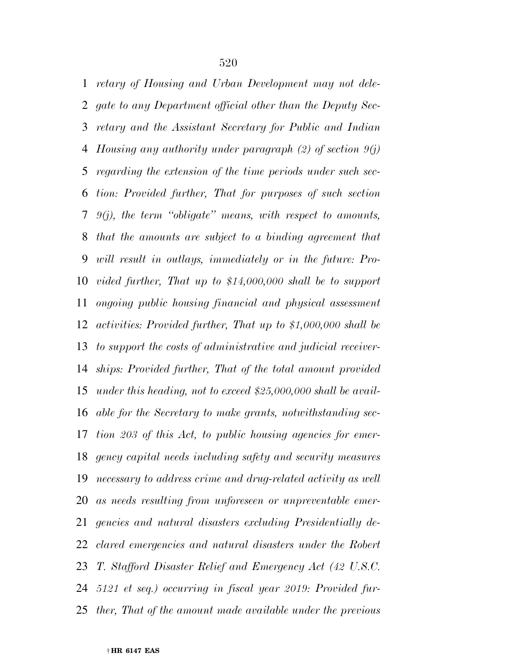*retary of Housing and Urban Development may not dele- gate to any Department official other than the Deputy Sec- retary and the Assistant Secretary for Public and Indian Housing any authority under paragraph (2) of section 9(j) regarding the extension of the time periods under such sec- tion: Provided further, That for purposes of such section 9(j), the term ''obligate'' means, with respect to amounts, that the amounts are subject to a binding agreement that will result in outlays, immediately or in the future: Pro- vided further, That up to \$14,000,000 shall be to support ongoing public housing financial and physical assessment activities: Provided further, That up to \$1,000,000 shall be to support the costs of administrative and judicial receiver- ships: Provided further, That of the total amount provided under this heading, not to exceed \$25,000,000 shall be avail- able for the Secretary to make grants, notwithstanding sec- tion 203 of this Act, to public housing agencies for emer- gency capital needs including safety and security measures necessary to address crime and drug-related activity as well as needs resulting from unforeseen or unpreventable emer- gencies and natural disasters excluding Presidentially de- clared emergencies and natural disasters under the Robert T. Stafford Disaster Relief and Emergency Act (42 U.S.C. 5121 et seq.) occurring in fiscal year 2019: Provided fur-ther, That of the amount made available under the previous*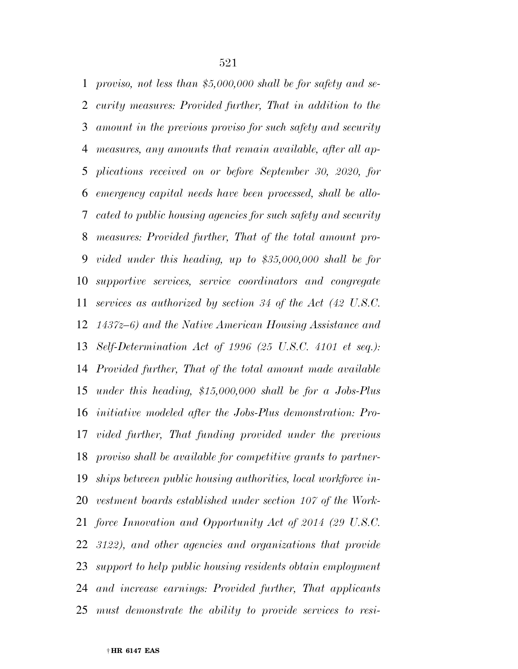*proviso, not less than \$5,000,000 shall be for safety and se- curity measures: Provided further, That in addition to the amount in the previous proviso for such safety and security measures, any amounts that remain available, after all ap- plications received on or before September 30, 2020, for emergency capital needs have been processed, shall be allo- cated to public housing agencies for such safety and security measures: Provided further, That of the total amount pro- vided under this heading, up to \$35,000,000 shall be for supportive services, service coordinators and congregate services as authorized by section 34 of the Act (42 U.S.C. 1437z–6) and the Native American Housing Assistance and Self-Determination Act of 1996 (25 U.S.C. 4101 et seq.): Provided further, That of the total amount made available under this heading, \$15,000,000 shall be for a Jobs-Plus initiative modeled after the Jobs-Plus demonstration: Pro- vided further, That funding provided under the previous proviso shall be available for competitive grants to partner- ships between public housing authorities, local workforce in- vestment boards established under section 107 of the Work- force Innovation and Opportunity Act of 2014 (29 U.S.C. 3122), and other agencies and organizations that provide support to help public housing residents obtain employment and increase earnings: Provided further, That applicants must demonstrate the ability to provide services to resi-*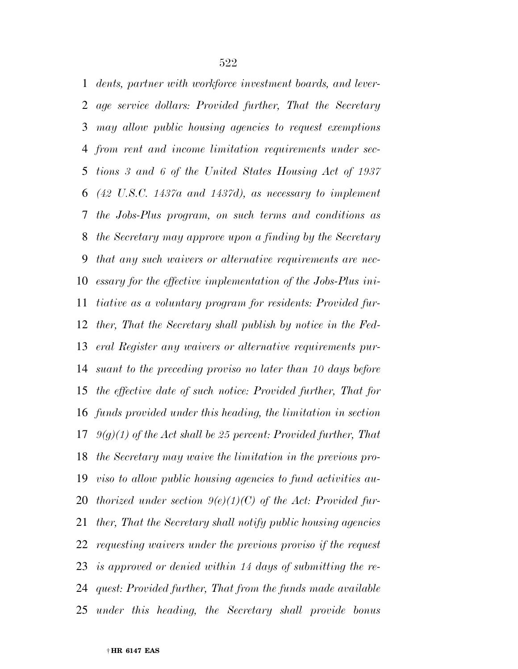*dents, partner with workforce investment boards, and lever- age service dollars: Provided further, That the Secretary may allow public housing agencies to request exemptions from rent and income limitation requirements under sec- tions 3 and 6 of the United States Housing Act of 1937 (42 U.S.C. 1437a and 1437d), as necessary to implement the Jobs-Plus program, on such terms and conditions as the Secretary may approve upon a finding by the Secretary that any such waivers or alternative requirements are nec- essary for the effective implementation of the Jobs-Plus ini- tiative as a voluntary program for residents: Provided fur- ther, That the Secretary shall publish by notice in the Fed- eral Register any waivers or alternative requirements pur- suant to the preceding proviso no later than 10 days before the effective date of such notice: Provided further, That for funds provided under this heading, the limitation in section 9(g)(1) of the Act shall be 25 percent: Provided further, That the Secretary may waive the limitation in the previous pro- viso to allow public housing agencies to fund activities au- thorized under section 9(e)(1)(C) of the Act: Provided fur- ther, That the Secretary shall notify public housing agencies requesting waivers under the previous proviso if the request is approved or denied within 14 days of submitting the re- quest: Provided further, That from the funds made available under this heading, the Secretary shall provide bonus*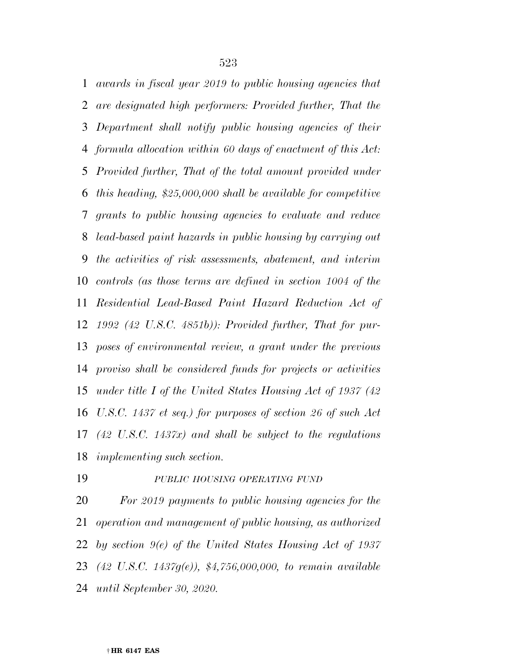*awards in fiscal year 2019 to public housing agencies that are designated high performers: Provided further, That the Department shall notify public housing agencies of their formula allocation within 60 days of enactment of this Act: Provided further, That of the total amount provided under this heading, \$25,000,000 shall be available for competitive grants to public housing agencies to evaluate and reduce lead-based paint hazards in public housing by carrying out the activities of risk assessments, abatement, and interim controls (as those terms are defined in section 1004 of the Residential Lead-Based Paint Hazard Reduction Act of 1992 (42 U.S.C. 4851b)): Provided further, That for pur- poses of environmental review, a grant under the previous proviso shall be considered funds for projects or activities under title I of the United States Housing Act of 1937 (42 U.S.C. 1437 et seq.) for purposes of section 26 of such Act (42 U.S.C. 1437x) and shall be subject to the regulations implementing such section.* 

#### *PUBLIC HOUSING OPERATING FUND*

 *For 2019 payments to public housing agencies for the operation and management of public housing, as authorized by section 9(e) of the United States Housing Act of 1937 (42 U.S.C. 1437g(e)), \$4,756,000,000, to remain available until September 30, 2020.*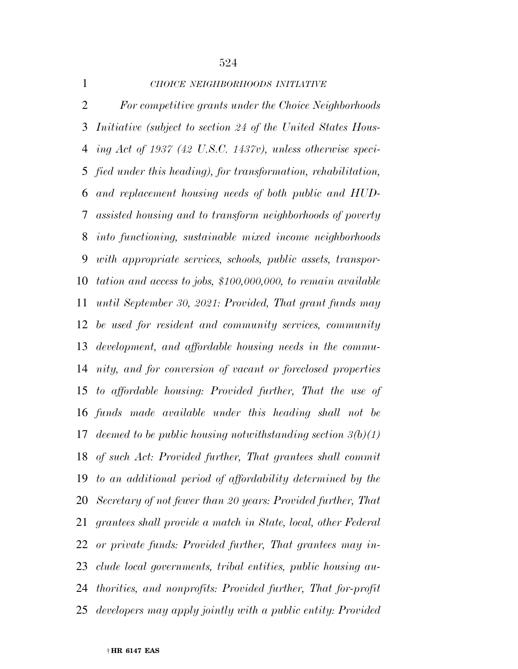*CHOICE NEIGHBORHOODS INITIATIVE For competitive grants under the Choice Neighborhoods Initiative (subject to section 24 of the United States Hous- ing Act of 1937 (42 U.S.C. 1437v), unless otherwise speci- fied under this heading), for transformation, rehabilitation, and replacement housing needs of both public and HUD- assisted housing and to transform neighborhoods of poverty into functioning, sustainable mixed income neighborhoods with appropriate services, schools, public assets, transpor- tation and access to jobs, \$100,000,000, to remain available until September 30, 2021: Provided, That grant funds may be used for resident and community services, community development, and affordable housing needs in the commu- nity, and for conversion of vacant or foreclosed properties to affordable housing: Provided further, That the use of funds made available under this heading shall not be deemed to be public housing notwithstanding section 3(b)(1) of such Act: Provided further, That grantees shall commit to an additional period of affordability determined by the Secretary of not fewer than 20 years: Provided further, That grantees shall provide a match in State, local, other Federal or private funds: Provided further, That grantees may in- clude local governments, tribal entities, public housing au- thorities, and nonprofits: Provided further, That for-profit developers may apply jointly with a public entity: Provided*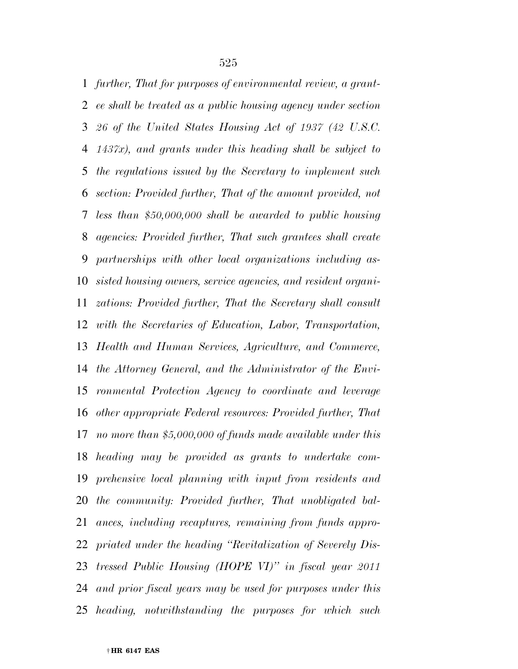*further, That for purposes of environmental review, a grant- ee shall be treated as a public housing agency under section 26 of the United States Housing Act of 1937 (42 U.S.C. 1437x), and grants under this heading shall be subject to the regulations issued by the Secretary to implement such section: Provided further, That of the amount provided, not less than \$50,000,000 shall be awarded to public housing agencies: Provided further, That such grantees shall create partnerships with other local organizations including as- sisted housing owners, service agencies, and resident organi- zations: Provided further, That the Secretary shall consult with the Secretaries of Education, Labor, Transportation, Health and Human Services, Agriculture, and Commerce, the Attorney General, and the Administrator of the Envi- ronmental Protection Agency to coordinate and leverage other appropriate Federal resources: Provided further, That no more than \$5,000,000 of funds made available under this heading may be provided as grants to undertake com- prehensive local planning with input from residents and the community: Provided further, That unobligated bal- ances, including recaptures, remaining from funds appro- priated under the heading ''Revitalization of Severely Dis- tressed Public Housing (HOPE VI)'' in fiscal year 2011 and prior fiscal years may be used for purposes under this heading, notwithstanding the purposes for which such*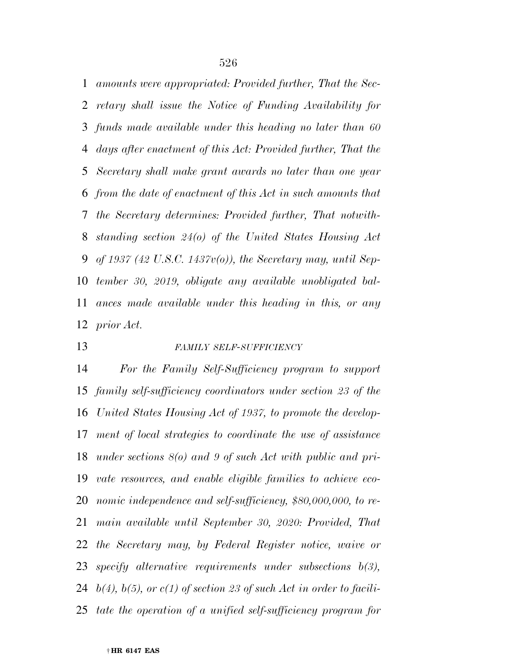*amounts were appropriated: Provided further, That the Sec- retary shall issue the Notice of Funding Availability for funds made available under this heading no later than 60 days after enactment of this Act: Provided further, That the Secretary shall make grant awards no later than one year from the date of enactment of this Act in such amounts that the Secretary determines: Provided further, That notwith- standing section 24(o) of the United States Housing Act of 1937 (42 U.S.C. 1437v(o)), the Secretary may, until Sep- tember 30, 2019, obligate any available unobligated bal- ances made available under this heading in this, or any prior Act.* 

#### *FAMILY SELF-SUFFICIENCY*

 *For the Family Self-Sufficiency program to support family self-sufficiency coordinators under section 23 of the United States Housing Act of 1937, to promote the develop- ment of local strategies to coordinate the use of assistance under sections 8(o) and 9 of such Act with public and pri- vate resources, and enable eligible families to achieve eco- nomic independence and self-sufficiency, \$80,000,000, to re- main available until September 30, 2020: Provided, That the Secretary may, by Federal Register notice, waive or specify alternative requirements under subsections b(3), b(4), b(5), or c(1) of section 23 of such Act in order to facili-tate the operation of a unified self-sufficiency program for*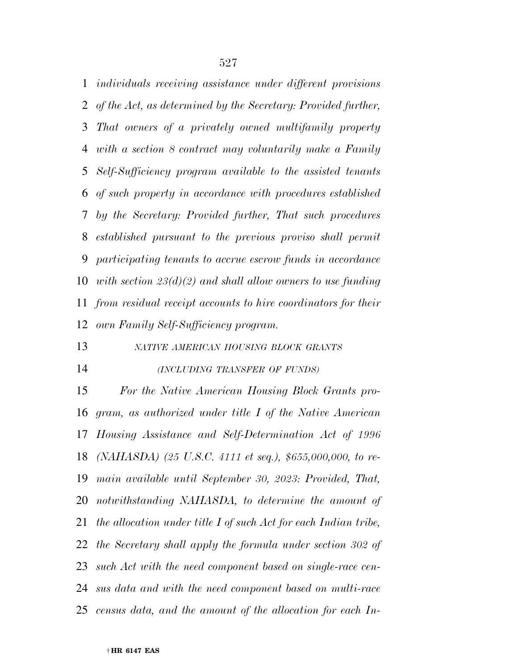*individuals receiving assistance under different provisions of the Act, as determined by the Secretary: Provided further, That owners of a privately owned multifamily property with a section 8 contract may voluntarily make a Family Self-Sufficiency program available to the assisted tenants of such property in accordance with procedures established by the Secretary: Provided further, That such procedures established pursuant to the previous proviso shall permit participating tenants to accrue escrow funds in accordance with section 23(d)(2) and shall allow owners to use funding from residual receipt accounts to hire coordinators for their own Family Self-Sufficiency program.* 

*NATIVE AMERICAN HOUSING BLOCK GRANTS*

#### *(INCLUDING TRANSFER OF FUNDS)*

 *For the Native American Housing Block Grants pro- gram, as authorized under title I of the Native American Housing Assistance and Self-Determination Act of 1996 (NAHASDA) (25 U.S.C. 4111 et seq.), \$655,000,000, to re- main available until September 30, 2023: Provided, That, notwithstanding NAHASDA, to determine the amount of the allocation under title I of such Act for each Indian tribe, the Secretary shall apply the formula under section 302 of such Act with the need component based on single-race cen- sus data and with the need component based on multi-race census data, and the amount of the allocation for each In-*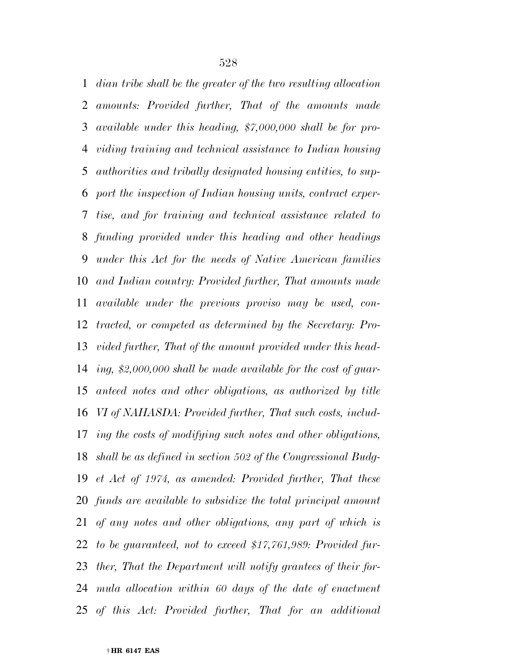*dian tribe shall be the greater of the two resulting allocation amounts: Provided further, That of the amounts made available under this heading, \$7,000,000 shall be for pro- viding training and technical assistance to Indian housing authorities and tribally designated housing entities, to sup- port the inspection of Indian housing units, contract exper- tise, and for training and technical assistance related to funding provided under this heading and other headings under this Act for the needs of Native American families and Indian country: Provided further, That amounts made available under the previous proviso may be used, con- tracted, or competed as determined by the Secretary: Pro- vided further, That of the amount provided under this head- ing, \$2,000,000 shall be made available for the cost of guar- anteed notes and other obligations, as authorized by title VI of NAHASDA: Provided further, That such costs, includ- ing the costs of modifying such notes and other obligations, shall be as defined in section 502 of the Congressional Budg- et Act of 1974, as amended: Provided further, That these funds are available to subsidize the total principal amount of any notes and other obligations, any part of which is to be guaranteed, not to exceed \$17,761,989: Provided fur- ther, That the Department will notify grantees of their for- mula allocation within 60 days of the date of enactment of this Act: Provided further, That for an additional* 

† **HR 6147 EAS**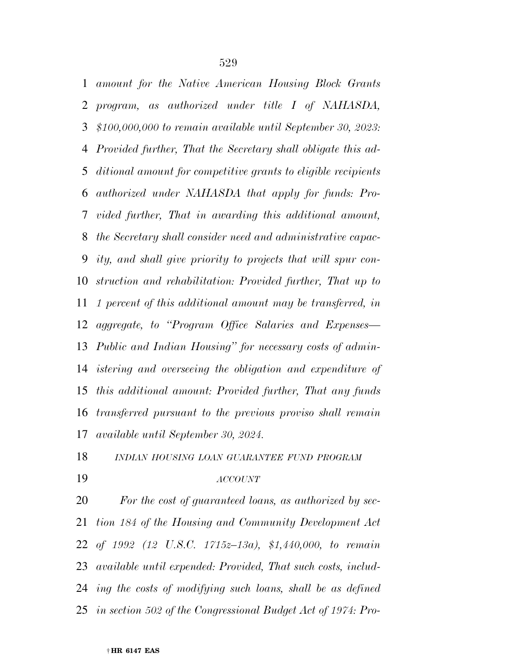*amount for the Native American Housing Block Grants program, as authorized under title I of NAHASDA, \$100,000,000 to remain available until September 30, 2023: Provided further, That the Secretary shall obligate this ad- ditional amount for competitive grants to eligible recipients authorized under NAHASDA that apply for funds: Pro- vided further, That in awarding this additional amount, the Secretary shall consider need and administrative capac- ity, and shall give priority to projects that will spur con- struction and rehabilitation: Provided further, That up to 1 percent of this additional amount may be transferred, in aggregate, to ''Program Office Salaries and Expenses— Public and Indian Housing'' for necessary costs of admin- istering and overseeing the obligation and expenditure of this additional amount: Provided further, That any funds transferred pursuant to the previous proviso shall remain available until September 30, 2024.* 

# *INDIAN HOUSING LOAN GUARANTEE FUND PROGRAM*

## *ACCOUNT*

 *For the cost of guaranteed loans, as authorized by sec- tion 184 of the Housing and Community Development Act of 1992 (12 U.S.C. 1715z–13a), \$1,440,000, to remain available until expended: Provided, That such costs, includ- ing the costs of modifying such loans, shall be as defined in section 502 of the Congressional Budget Act of 1974: Pro-*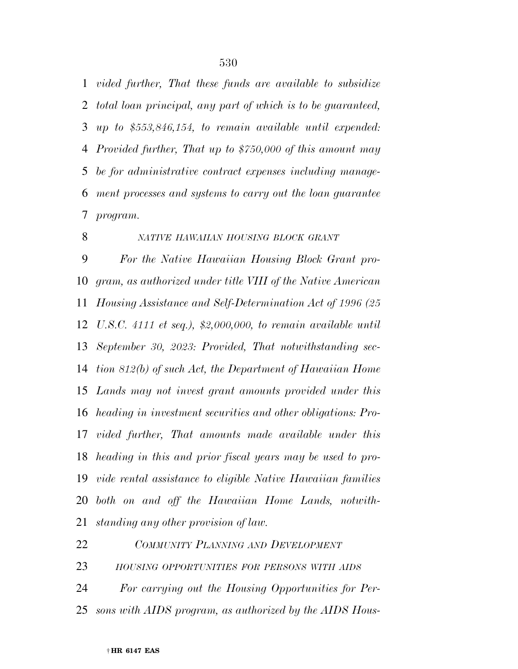*vided further, That these funds are available to subsidize total loan principal, any part of which is to be guaranteed, up to \$553,846,154, to remain available until expended: Provided further, That up to \$750,000 of this amount may be for administrative contract expenses including manage- ment processes and systems to carry out the loan guarantee program.* 

 *NATIVE HAWAIIAN HOUSING BLOCK GRANT For the Native Hawaiian Housing Block Grant pro- gram, as authorized under title VIII of the Native American Housing Assistance and Self-Determination Act of 1996 (25 U.S.C. 4111 et seq.), \$2,000,000, to remain available until September 30, 2023: Provided, That notwithstanding sec- tion 812(b) of such Act, the Department of Hawaiian Home Lands may not invest grant amounts provided under this heading in investment securities and other obligations: Pro- vided further, That amounts made available under this heading in this and prior fiscal years may be used to pro- vide rental assistance to eligible Native Hawaiian families both on and off the Hawaiian Home Lands, notwith-standing any other provision of law.* 

*COMMUNITY PLANNING AND DEVELOPMENT*

*HOUSING OPPORTUNITIES FOR PERSONS WITH AIDS*

 *For carrying out the Housing Opportunities for Per-sons with AIDS program, as authorized by the AIDS Hous-*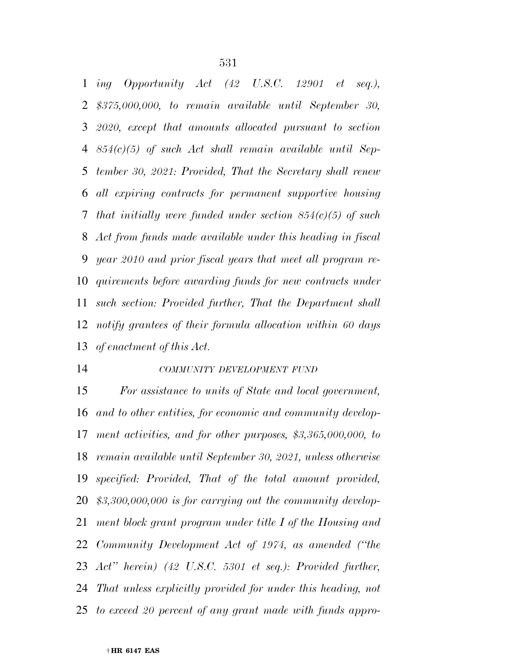*ing Opportunity Act (42 U.S.C. 12901 et seq.), \$375,000,000, to remain available until September 30, 2020, except that amounts allocated pursuant to section 854(c)(5) of such Act shall remain available until Sep- tember 30, 2021: Provided, That the Secretary shall renew all expiring contracts for permanent supportive housing that initially were funded under section 854(c)(5) of such Act from funds made available under this heading in fiscal year 2010 and prior fiscal years that meet all program re- quirements before awarding funds for new contracts under such section: Provided further, That the Department shall notify grantees of their formula allocation within 60 days of enactment of this Act.* 

#### *COMMUNITY DEVELOPMENT FUND*

 *For assistance to units of State and local government, and to other entities, for economic and community develop- ment activities, and for other purposes, \$3,365,000,000, to remain available until September 30, 2021, unless otherwise specified: Provided, That of the total amount provided, \$3,300,000,000 is for carrying out the community develop- ment block grant program under title I of the Housing and Community Development Act of 1974, as amended (''the Act'' herein) (42 U.S.C. 5301 et seq.): Provided further, That unless explicitly provided for under this heading, not to exceed 20 percent of any grant made with funds appro-*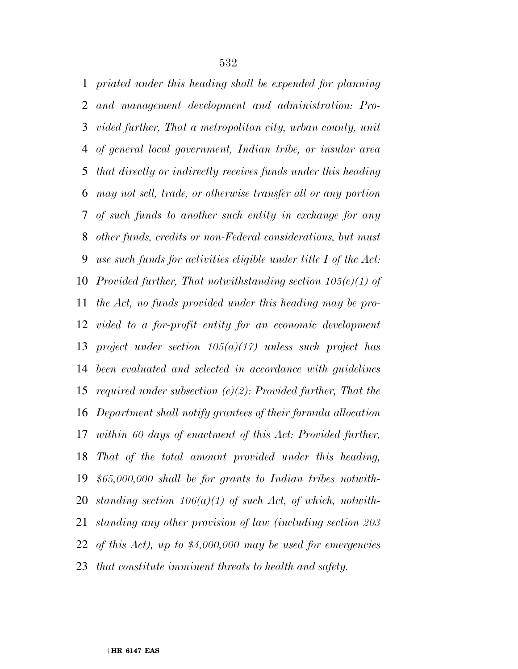*priated under this heading shall be expended for planning and management development and administration: Pro- vided further, That a metropolitan city, urban county, unit of general local government, Indian tribe, or insular area that directly or indirectly receives funds under this heading may not sell, trade, or otherwise transfer all or any portion of such funds to another such entity in exchange for any other funds, credits or non-Federal considerations, but must use such funds for activities eligible under title I of the Act: Provided further, That notwithstanding section 105(e)(1) of the Act, no funds provided under this heading may be pro- vided to a for-profit entity for an economic development project under section 105(a)(17) unless such project has been evaluated and selected in accordance with guidelines required under subsection (e)(2): Provided further, That the Department shall notify grantees of their formula allocation within 60 days of enactment of this Act: Provided further, That of the total amount provided under this heading, \$65,000,000 shall be for grants to Indian tribes notwith- standing section 106(a)(1) of such Act, of which, notwith- standing any other provision of law (including section 203 of this Act), up to \$4,000,000 may be used for emergencies that constitute imminent threats to health and safety.*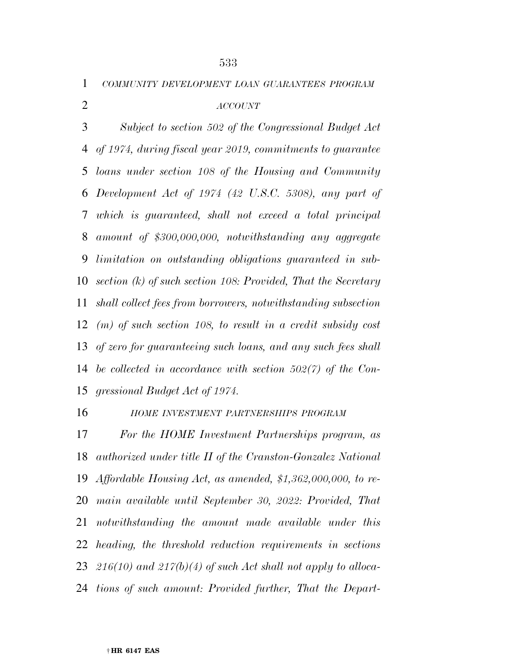*COMMUNITY DEVELOPMENT LOAN GUARANTEES PROGRAM*

# *ACCOUNT*

 *Subject to section 502 of the Congressional Budget Act of 1974, during fiscal year 2019, commitments to guarantee loans under section 108 of the Housing and Community Development Act of 1974 (42 U.S.C. 5308), any part of which is guaranteed, shall not exceed a total principal amount of \$300,000,000, notwithstanding any aggregate limitation on outstanding obligations guaranteed in sub- section (k) of such section 108: Provided, That the Secretary shall collect fees from borrowers, notwithstanding subsection (m) of such section 108, to result in a credit subsidy cost of zero for guaranteeing such loans, and any such fees shall be collected in accordance with section 502(7) of the Con-gressional Budget Act of 1974.* 

*HOME INVESTMENT PARTNERSHIPS PROGRAM*

 *For the HOME Investment Partnerships program, as authorized under title II of the Cranston-Gonzalez National Affordable Housing Act, as amended, \$1,362,000,000, to re- main available until September 30, 2022: Provided, That notwithstanding the amount made available under this heading, the threshold reduction requirements in sections 216(10) and 217(b)(4) of such Act shall not apply to alloca-tions of such amount: Provided further, That the Depart-*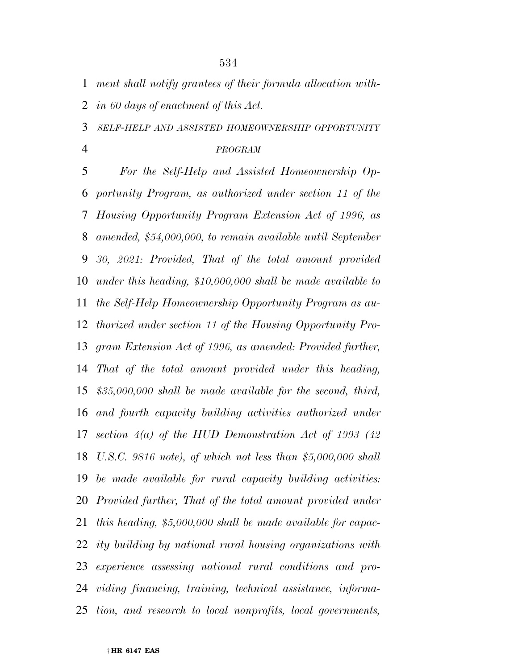*ment shall notify grantees of their formula allocation with-*

*in 60 days of enactment of this Act.* 

*SELF-HELP AND ASSISTED HOMEOWNERSHIP OPPORTUNITY*

#### *PROGRAM*

 *For the Self-Help and Assisted Homeownership Op- portunity Program, as authorized under section 11 of the Housing Opportunity Program Extension Act of 1996, as amended, \$54,000,000, to remain available until September 30, 2021: Provided, That of the total amount provided under this heading, \$10,000,000 shall be made available to the Self-Help Homeownership Opportunity Program as au- thorized under section 11 of the Housing Opportunity Pro- gram Extension Act of 1996, as amended: Provided further, That of the total amount provided under this heading, \$35,000,000 shall be made available for the second, third, and fourth capacity building activities authorized under section 4(a) of the HUD Demonstration Act of 1993 (42 U.S.C. 9816 note), of which not less than \$5,000,000 shall be made available for rural capacity building activities: Provided further, That of the total amount provided under this heading, \$5,000,000 shall be made available for capac- ity building by national rural housing organizations with experience assessing national rural conditions and pro- viding financing, training, technical assistance, informa-tion, and research to local nonprofits, local governments,*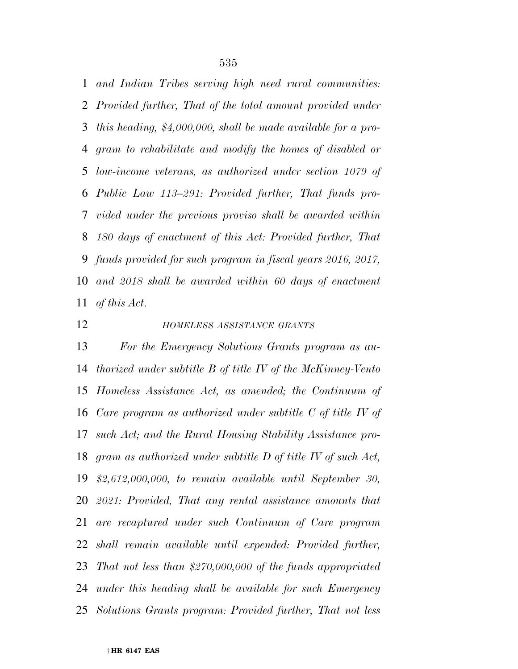*and Indian Tribes serving high need rural communities: Provided further, That of the total amount provided under this heading, \$4,000,000, shall be made available for a pro- gram to rehabilitate and modify the homes of disabled or low-income veterans, as authorized under section 1079 of Public Law 113–291: Provided further, That funds pro- vided under the previous proviso shall be awarded within 180 days of enactment of this Act: Provided further, That funds provided for such program in fiscal years 2016, 2017, and 2018 shall be awarded within 60 days of enactment of this Act.* 

### *HOMELESS ASSISTANCE GRANTS*

 *For the Emergency Solutions Grants program as au- thorized under subtitle B of title IV of the McKinney-Vento Homeless Assistance Act, as amended; the Continuum of Care program as authorized under subtitle C of title IV of such Act; and the Rural Housing Stability Assistance pro- gram as authorized under subtitle D of title IV of such Act, \$2,612,000,000, to remain available until September 30, 2021: Provided, That any rental assistance amounts that are recaptured under such Continuum of Care program shall remain available until expended: Provided further, That not less than \$270,000,000 of the funds appropriated under this heading shall be available for such Emergency Solutions Grants program: Provided further, That not less*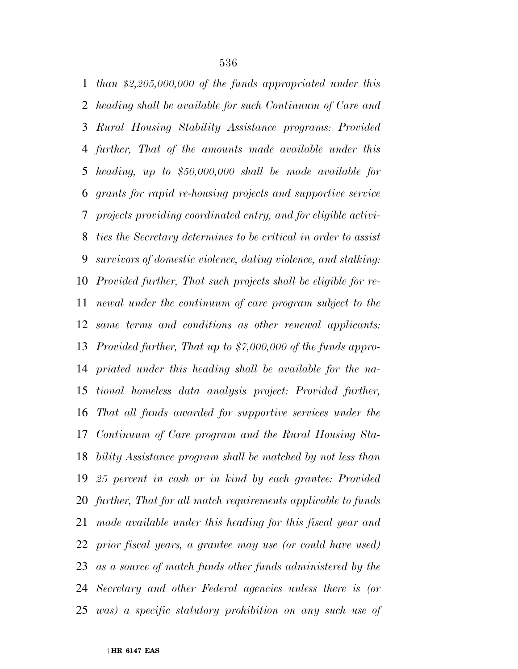*than \$2,205,000,000 of the funds appropriated under this heading shall be available for such Continuum of Care and Rural Housing Stability Assistance programs: Provided further, That of the amounts made available under this heading, up to \$50,000,000 shall be made available for grants for rapid re-housing projects and supportive service projects providing coordinated entry, and for eligible activi- ties the Secretary determines to be critical in order to assist survivors of domestic violence, dating violence, and stalking: Provided further, That such projects shall be eligible for re- newal under the continuum of care program subject to the same terms and conditions as other renewal applicants: Provided further, That up to \$7,000,000 of the funds appro- priated under this heading shall be available for the na- tional homeless data analysis project: Provided further, That all funds awarded for supportive services under the Continuum of Care program and the Rural Housing Sta- bility Assistance program shall be matched by not less than 25 percent in cash or in kind by each grantee: Provided further, That for all match requirements applicable to funds made available under this heading for this fiscal year and prior fiscal years, a grantee may use (or could have used) as a source of match funds other funds administered by the Secretary and other Federal agencies unless there is (or was) a specific statutory prohibition on any such use of*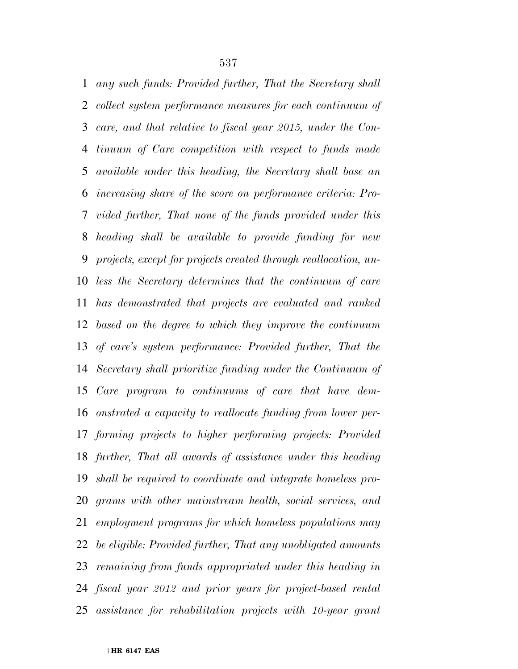*any such funds: Provided further, That the Secretary shall collect system performance measures for each continuum of care, and that relative to fiscal year 2015, under the Con- tinuum of Care competition with respect to funds made available under this heading, the Secretary shall base an increasing share of the score on performance criteria: Pro- vided further, That none of the funds provided under this heading shall be available to provide funding for new projects, except for projects created through reallocation, un- less the Secretary determines that the continuum of care has demonstrated that projects are evaluated and ranked based on the degree to which they improve the continuum of care's system performance: Provided further, That the Secretary shall prioritize funding under the Continuum of Care program to continuums of care that have dem- onstrated a capacity to reallocate funding from lower per- forming projects to higher performing projects: Provided further, That all awards of assistance under this heading shall be required to coordinate and integrate homeless pro- grams with other mainstream health, social services, and employment programs for which homeless populations may be eligible: Provided further, That any unobligated amounts remaining from funds appropriated under this heading in fiscal year 2012 and prior years for project-based rental assistance for rehabilitation projects with 10-year grant*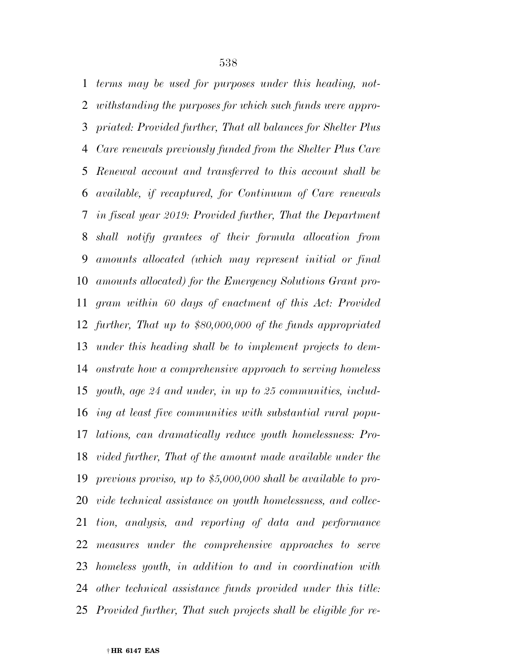*terms may be used for purposes under this heading, not- withstanding the purposes for which such funds were appro- priated: Provided further, That all balances for Shelter Plus Care renewals previously funded from the Shelter Plus Care Renewal account and transferred to this account shall be available, if recaptured, for Continuum of Care renewals in fiscal year 2019: Provided further, That the Department shall notify grantees of their formula allocation from amounts allocated (which may represent initial or final amounts allocated) for the Emergency Solutions Grant pro- gram within 60 days of enactment of this Act: Provided further, That up to \$80,000,000 of the funds appropriated under this heading shall be to implement projects to dem- onstrate how a comprehensive approach to serving homeless youth, age 24 and under, in up to 25 communities, includ- ing at least five communities with substantial rural popu- lations, can dramatically reduce youth homelessness: Pro- vided further, That of the amount made available under the previous proviso, up to \$5,000,000 shall be available to pro- vide technical assistance on youth homelessness, and collec- tion, analysis, and reporting of data and performance measures under the comprehensive approaches to serve homeless youth, in addition to and in coordination with other technical assistance funds provided under this title: Provided further, That such projects shall be eligible for re-*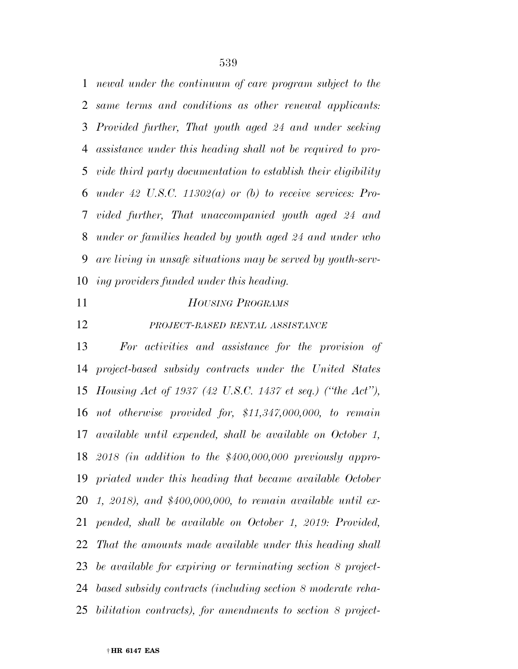*newal under the continuum of care program subject to the same terms and conditions as other renewal applicants: Provided further, That youth aged 24 and under seeking assistance under this heading shall not be required to pro- vide third party documentation to establish their eligibility under 42 U.S.C. 11302(a) or (b) to receive services: Pro- vided further, That unaccompanied youth aged 24 and under or families headed by youth aged 24 and under who are living in unsafe situations may be served by youth-serv-ing providers funded under this heading.* 

## *HOUSING PROGRAMS*

# *PROJECT-BASED RENTAL ASSISTANCE*

 *For activities and assistance for the provision of project-based subsidy contracts under the United States Housing Act of 1937 (42 U.S.C. 1437 et seq.) (''the Act''), not otherwise provided for, \$11,347,000,000, to remain available until expended, shall be available on October 1, 2018 (in addition to the \$400,000,000 previously appro- priated under this heading that became available October 1, 2018), and \$400,000,000, to remain available until ex- pended, shall be available on October 1, 2019: Provided, That the amounts made available under this heading shall be available for expiring or terminating section 8 project- based subsidy contracts (including section 8 moderate reha-bilitation contracts), for amendments to section 8 project-*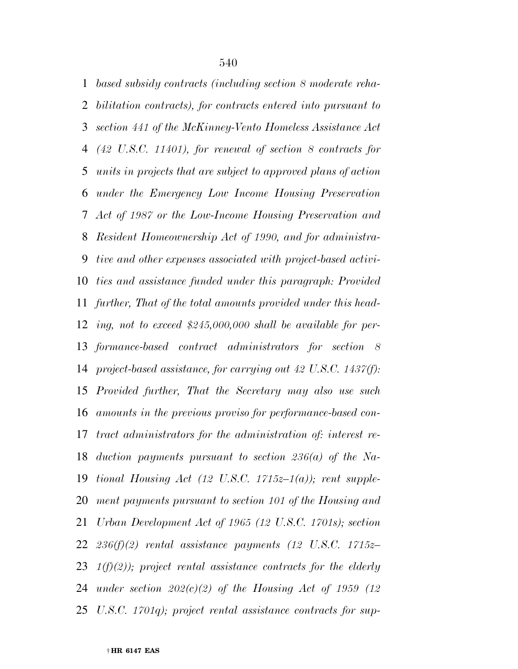*based subsidy contracts (including section 8 moderate reha- bilitation contracts), for contracts entered into pursuant to section 441 of the McKinney-Vento Homeless Assistance Act (42 U.S.C. 11401), for renewal of section 8 contracts for units in projects that are subject to approved plans of action under the Emergency Low Income Housing Preservation Act of 1987 or the Low-Income Housing Preservation and Resident Homeownership Act of 1990, and for administra- tive and other expenses associated with project-based activi- ties and assistance funded under this paragraph: Provided further, That of the total amounts provided under this head- ing, not to exceed \$245,000,000 shall be available for per- formance-based contract administrators for section 8 project-based assistance, for carrying out 42 U.S.C. 1437(f): Provided further, That the Secretary may also use such amounts in the previous proviso for performance-based con- tract administrators for the administration of: interest re- duction payments pursuant to section 236(a) of the Na- tional Housing Act (12 U.S.C. 1715z–1(a)); rent supple- ment payments pursuant to section 101 of the Housing and Urban Development Act of 1965 (12 U.S.C. 1701s); section 236(f)(2) rental assistance payments (12 U.S.C. 1715z– 1(f)(2)); project rental assistance contracts for the elderly under section 202(c)(2) of the Housing Act of 1959 (12 U.S.C. 1701q); project rental assistance contracts for sup-*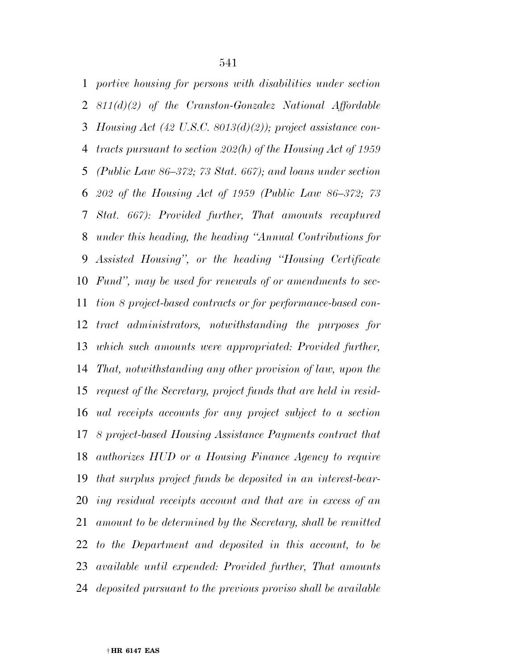*portive housing for persons with disabilities under section 811(d)(2) of the Cranston-Gonzalez National Affordable Housing Act (42 U.S.C. 8013(d)(2)); project assistance con- tracts pursuant to section 202(h) of the Housing Act of 1959 (Public Law 86–372; 73 Stat. 667); and loans under section 202 of the Housing Act of 1959 (Public Law 86–372; 73 Stat. 667): Provided further, That amounts recaptured under this heading, the heading ''Annual Contributions for Assisted Housing'', or the heading ''Housing Certificate Fund'', may be used for renewals of or amendments to sec- tion 8 project-based contracts or for performance-based con- tract administrators, notwithstanding the purposes for which such amounts were appropriated: Provided further, That, notwithstanding any other provision of law, upon the request of the Secretary, project funds that are held in resid- ual receipts accounts for any project subject to a section 8 project-based Housing Assistance Payments contract that authorizes HUD or a Housing Finance Agency to require that surplus project funds be deposited in an interest-bear- ing residual receipts account and that are in excess of an amount to be determined by the Secretary, shall be remitted to the Department and deposited in this account, to be available until expended: Provided further, That amounts deposited pursuant to the previous proviso shall be available*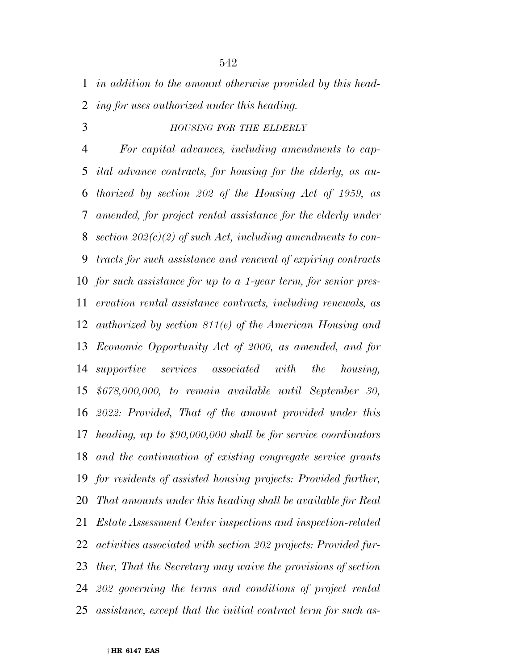*in addition to the amount otherwise provided by this head-*

*ing for uses authorized under this heading.* 

*HOUSING FOR THE ELDERLY*

 *For capital advances, including amendments to cap- ital advance contracts, for housing for the elderly, as au- thorized by section 202 of the Housing Act of 1959, as amended, for project rental assistance for the elderly under section 202(c)(2) of such Act, including amendments to con- tracts for such assistance and renewal of expiring contracts for such assistance for up to a 1-year term, for senior pres- ervation rental assistance contracts, including renewals, as authorized by section 811(e) of the American Housing and Economic Opportunity Act of 2000, as amended, and for supportive services associated with the housing, \$678,000,000, to remain available until September 30, 2022: Provided, That of the amount provided under this heading, up to \$90,000,000 shall be for service coordinators and the continuation of existing congregate service grants for residents of assisted housing projects: Provided further, That amounts under this heading shall be available for Real Estate Assessment Center inspections and inspection-related activities associated with section 202 projects: Provided fur- ther, That the Secretary may waive the provisions of section 202 governing the terms and conditions of project rental assistance, except that the initial contract term for such as-*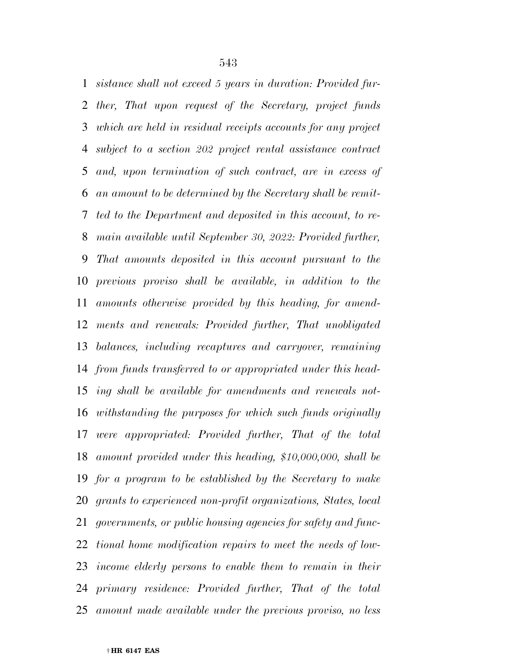*sistance shall not exceed 5 years in duration: Provided fur- ther, That upon request of the Secretary, project funds which are held in residual receipts accounts for any project subject to a section 202 project rental assistance contract and, upon termination of such contract, are in excess of an amount to be determined by the Secretary shall be remit- ted to the Department and deposited in this account, to re- main available until September 30, 2022: Provided further, That amounts deposited in this account pursuant to the previous proviso shall be available, in addition to the amounts otherwise provided by this heading, for amend- ments and renewals: Provided further, That unobligated balances, including recaptures and carryover, remaining from funds transferred to or appropriated under this head- ing shall be available for amendments and renewals not- withstanding the purposes for which such funds originally were appropriated: Provided further, That of the total amount provided under this heading, \$10,000,000, shall be for a program to be established by the Secretary to make grants to experienced non-profit organizations, States, local governments, or public housing agencies for safety and func- tional home modification repairs to meet the needs of low- income elderly persons to enable them to remain in their primary residence: Provided further, That of the total amount made available under the previous proviso, no less*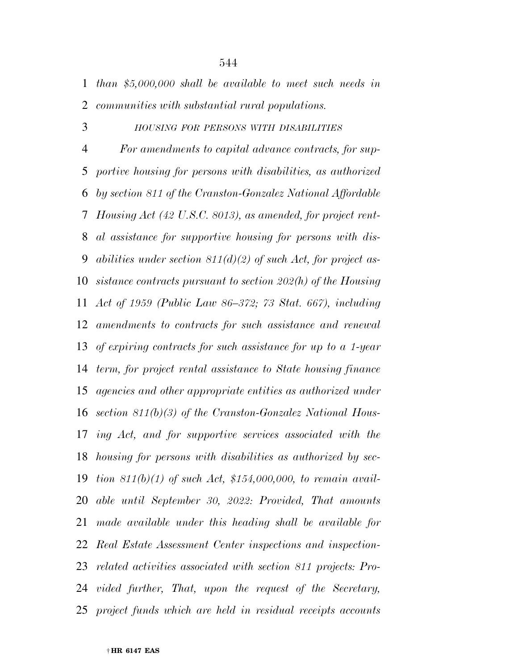*than \$5,000,000 shall be available to meet such needs in communities with substantial rural populations.* 

### *HOUSING FOR PERSONS WITH DISABILITIES*

 *For amendments to capital advance contracts, for sup- portive housing for persons with disabilities, as authorized by section 811 of the Cranston-Gonzalez National Affordable Housing Act (42 U.S.C. 8013), as amended, for project rent- al assistance for supportive housing for persons with dis- abilities under section 811(d)(2) of such Act, for project as- sistance contracts pursuant to section 202(h) of the Housing Act of 1959 (Public Law 86–372; 73 Stat. 667), including amendments to contracts for such assistance and renewal of expiring contracts for such assistance for up to a 1-year term, for project rental assistance to State housing finance agencies and other appropriate entities as authorized under section 811(b)(3) of the Cranston-Gonzalez National Hous- ing Act, and for supportive services associated with the housing for persons with disabilities as authorized by sec- tion 811(b)(1) of such Act, \$154,000,000, to remain avail- able until September 30, 2022: Provided, That amounts made available under this heading shall be available for Real Estate Assessment Center inspections and inspection- related activities associated with section 811 projects: Pro- vided further, That, upon the request of the Secretary, project funds which are held in residual receipts accounts*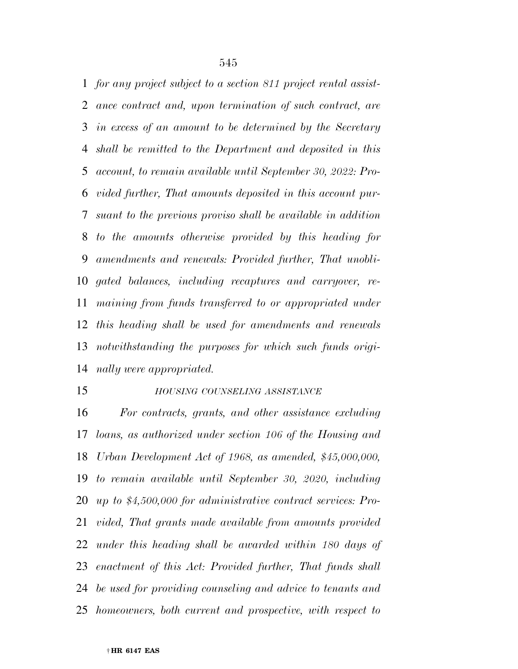*for any project subject to a section 811 project rental assist- ance contract and, upon termination of such contract, are in excess of an amount to be determined by the Secretary shall be remitted to the Department and deposited in this account, to remain available until September 30, 2022: Pro- vided further, That amounts deposited in this account pur- suant to the previous proviso shall be available in addition to the amounts otherwise provided by this heading for amendments and renewals: Provided further, That unobli- gated balances, including recaptures and carryover, re- maining from funds transferred to or appropriated under this heading shall be used for amendments and renewals notwithstanding the purposes for which such funds origi-nally were appropriated.* 

### *HOUSING COUNSELING ASSISTANCE*

 *For contracts, grants, and other assistance excluding loans, as authorized under section 106 of the Housing and Urban Development Act of 1968, as amended, \$45,000,000, to remain available until September 30, 2020, including up to \$4,500,000 for administrative contract services: Pro- vided, That grants made available from amounts provided under this heading shall be awarded within 180 days of enactment of this Act: Provided further, That funds shall be used for providing counseling and advice to tenants and homeowners, both current and prospective, with respect to*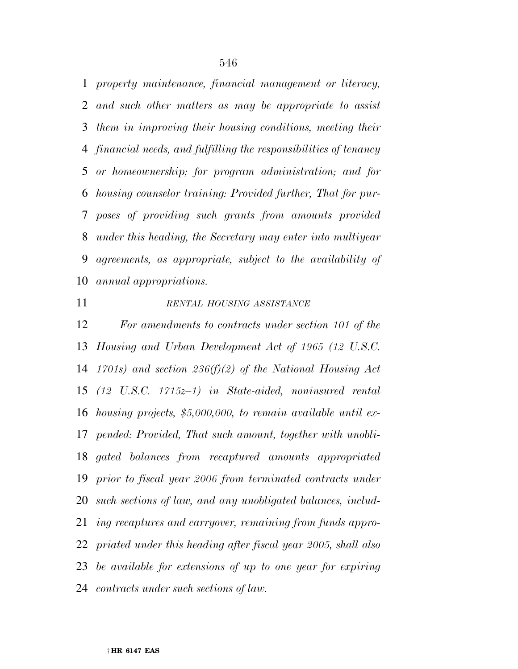*property maintenance, financial management or literacy, and such other matters as may be appropriate to assist them in improving their housing conditions, meeting their financial needs, and fulfilling the responsibilities of tenancy or homeownership; for program administration; and for housing counselor training: Provided further, That for pur- poses of providing such grants from amounts provided under this heading, the Secretary may enter into multiyear agreements, as appropriate, subject to the availability of annual appropriations.* 

# *RENTAL HOUSING ASSISTANCE*

 *For amendments to contracts under section 101 of the Housing and Urban Development Act of 1965 (12 U.S.C. 1701s) and section 236(f)(2) of the National Housing Act (12 U.S.C. 1715z–1) in State-aided, noninsured rental housing projects, \$5,000,000, to remain available until ex- pended: Provided, That such amount, together with unobli- gated balances from recaptured amounts appropriated prior to fiscal year 2006 from terminated contracts under such sections of law, and any unobligated balances, includ- ing recaptures and carryover, remaining from funds appro- priated under this heading after fiscal year 2005, shall also be available for extensions of up to one year for expiring contracts under such sections of law.*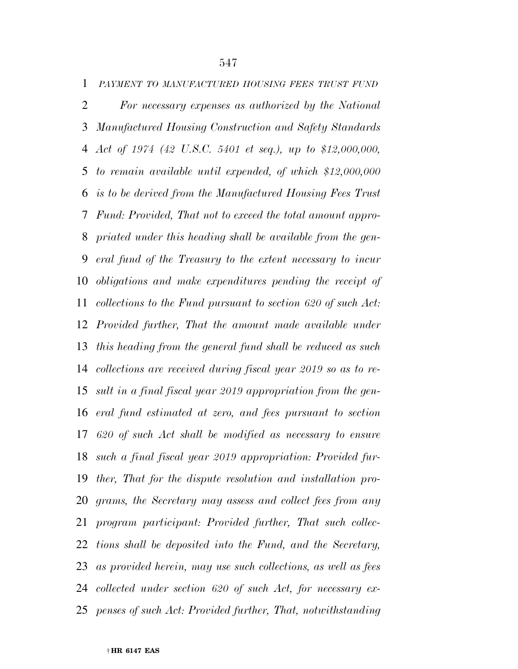*PAYMENT TO MANUFACTURED HOUSING FEES TRUST FUND For necessary expenses as authorized by the National Manufactured Housing Construction and Safety Standards Act of 1974 (42 U.S.C. 5401 et seq.), up to \$12,000,000, to remain available until expended, of which \$12,000,000 is to be derived from the Manufactured Housing Fees Trust Fund: Provided, That not to exceed the total amount appro- priated under this heading shall be available from the gen- eral fund of the Treasury to the extent necessary to incur obligations and make expenditures pending the receipt of collections to the Fund pursuant to section 620 of such Act: Provided further, That the amount made available under this heading from the general fund shall be reduced as such collections are received during fiscal year 2019 so as to re- sult in a final fiscal year 2019 appropriation from the gen- eral fund estimated at zero, and fees pursuant to section 620 of such Act shall be modified as necessary to ensure such a final fiscal year 2019 appropriation: Provided fur- ther, That for the dispute resolution and installation pro- grams, the Secretary may assess and collect fees from any program participant: Provided further, That such collec- tions shall be deposited into the Fund, and the Secretary, as provided herein, may use such collections, as well as fees* 

*collected under section 620 of such Act, for necessary ex-*

*penses of such Act: Provided further, That, notwithstanding*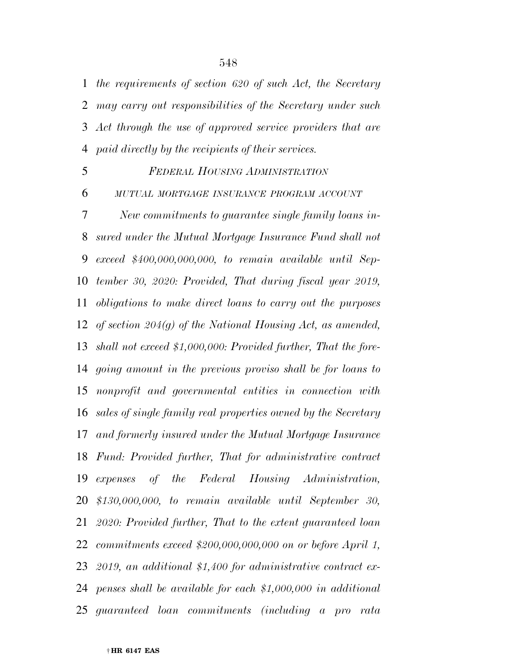*the requirements of section 620 of such Act, the Secretary may carry out responsibilities of the Secretary under such Act through the use of approved service providers that are paid directly by the recipients of their services.* 

### *FEDERAL HOUSING ADMINISTRATION*

*MUTUAL MORTGAGE INSURANCE PROGRAM ACCOUNT*

 *New commitments to guarantee single family loans in- sured under the Mutual Mortgage Insurance Fund shall not exceed \$400,000,000,000, to remain available until Sep- tember 30, 2020: Provided, That during fiscal year 2019, obligations to make direct loans to carry out the purposes of section 204(g) of the National Housing Act, as amended, shall not exceed \$1,000,000: Provided further, That the fore- going amount in the previous proviso shall be for loans to nonprofit and governmental entities in connection with sales of single family real properties owned by the Secretary and formerly insured under the Mutual Mortgage Insurance Fund: Provided further, That for administrative contract expenses of the Federal Housing Administration, \$130,000,000, to remain available until September 30, 2020: Provided further, That to the extent guaranteed loan commitments exceed \$200,000,000,000 on or before April 1, 2019, an additional \$1,400 for administrative contract ex- penses shall be available for each \$1,000,000 in additional guaranteed loan commitments (including a pro rata*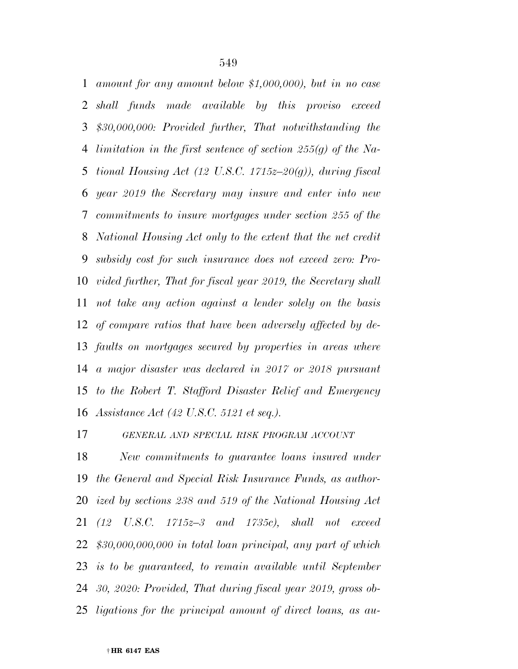*amount for any amount below \$1,000,000), but in no case shall funds made available by this proviso exceed \$30,000,000: Provided further, That notwithstanding the limitation in the first sentence of section 255(g) of the Na- tional Housing Act (12 U.S.C. 1715z–20(g)), during fiscal year 2019 the Secretary may insure and enter into new commitments to insure mortgages under section 255 of the National Housing Act only to the extent that the net credit subsidy cost for such insurance does not exceed zero: Pro- vided further, That for fiscal year 2019, the Secretary shall not take any action against a lender solely on the basis of compare ratios that have been adversely affected by de- faults on mortgages secured by properties in areas where a major disaster was declared in 2017 or 2018 pursuant to the Robert T. Stafford Disaster Relief and Emergency Assistance Act (42 U.S.C. 5121 et seq.).* 

*GENERAL AND SPECIAL RISK PROGRAM ACCOUNT*

 *New commitments to guarantee loans insured under the General and Special Risk Insurance Funds, as author- ized by sections 238 and 519 of the National Housing Act (12 U.S.C. 1715z–3 and 1735c), shall not exceed \$30,000,000,000 in total loan principal, any part of which is to be guaranteed, to remain available until September 30, 2020: Provided, That during fiscal year 2019, gross ob-ligations for the principal amount of direct loans, as au-*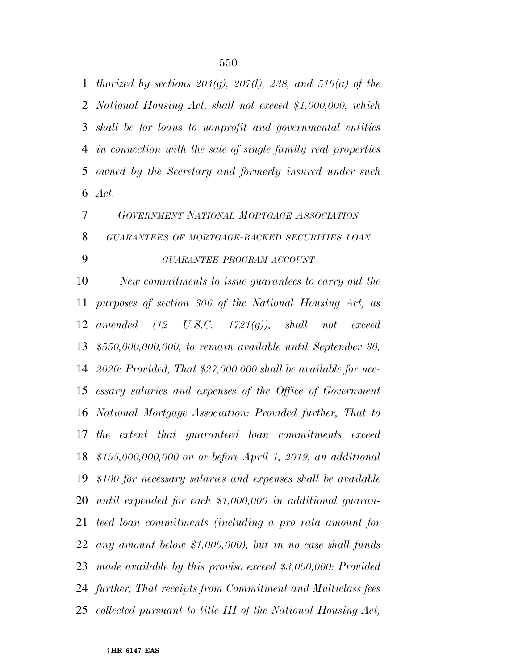*thorized by sections 204(g), 207(l), 238, and 519(a) of the National Housing Act, shall not exceed \$1,000,000, which shall be for loans to nonprofit and governmental entities in connection with the sale of single family real properties owned by the Secretary and formerly insured under such Act.* 

 *GOVERNMENT NATIONAL MORTGAGE ASSOCIATION GUARANTEES OF MORTGAGE-BACKED SECURITIES LOAN GUARANTEE PROGRAM ACCOUNT*

 *New commitments to issue guarantees to carry out the purposes of section 306 of the National Housing Act, as amended (12 U.S.C. 1721(g)), shall not exceed \$550,000,000,000, to remain available until September 30, 2020: Provided, That \$27,000,000 shall be available for nec- essary salaries and expenses of the Office of Government National Mortgage Association: Provided further, That to the extent that guaranteed loan commitments exceed \$155,000,000,000 on or before April 1, 2019, an additional \$100 for necessary salaries and expenses shall be available until expended for each \$1,000,000 in additional guaran- teed loan commitments (including a pro rata amount for any amount below \$1,000,000), but in no case shall funds made available by this proviso exceed \$3,000,000: Provided further, That receipts from Commitment and Multiclass fees collected pursuant to title III of the National Housing Act,*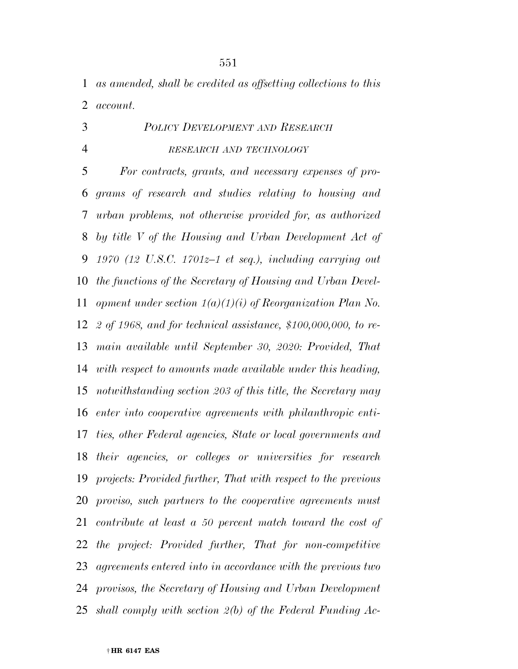*as amended, shall be credited as offsetting collections to this account.* 

# *POLICY DEVELOPMENT AND RESEARCH RESEARCH AND TECHNOLOGY*

 *For contracts, grants, and necessary expenses of pro- grams of research and studies relating to housing and urban problems, not otherwise provided for, as authorized by title V of the Housing and Urban Development Act of 1970 (12 U.S.C. 1701z–1 et seq.), including carrying out the functions of the Secretary of Housing and Urban Devel- opment under section 1(a)(1)(i) of Reorganization Plan No. 2 of 1968, and for technical assistance, \$100,000,000, to re- main available until September 30, 2020: Provided, That with respect to amounts made available under this heading, notwithstanding section 203 of this title, the Secretary may enter into cooperative agreements with philanthropic enti- ties, other Federal agencies, State or local governments and their agencies, or colleges or universities for research projects: Provided further, That with respect to the previous proviso, such partners to the cooperative agreements must contribute at least a 50 percent match toward the cost of the project: Provided further, That for non-competitive agreements entered into in accordance with the previous two provisos, the Secretary of Housing and Urban Development shall comply with section 2(b) of the Federal Funding Ac-*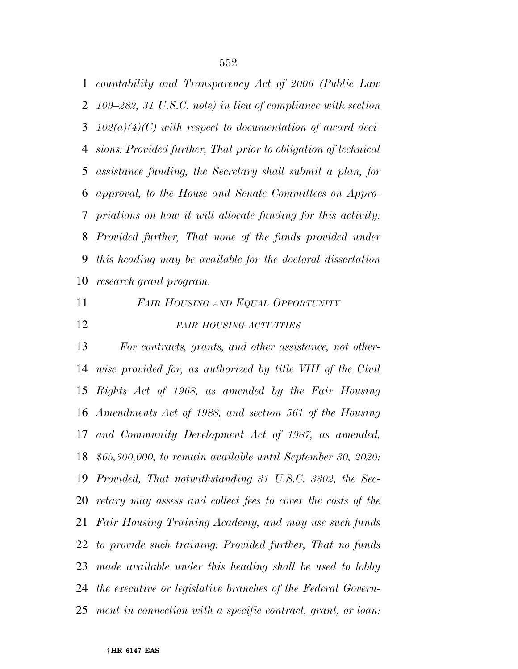*countability and Transparency Act of 2006 (Public Law 109–282, 31 U.S.C. note) in lieu of compliance with section 102(a)(4)(C) with respect to documentation of award deci- sions: Provided further, That prior to obligation of technical assistance funding, the Secretary shall submit a plan, for approval, to the House and Senate Committees on Appro- priations on how it will allocate funding for this activity: Provided further, That none of the funds provided under this heading may be available for the doctoral dissertation research grant program.* 

*FAIR HOUSING AND EQUAL OPPORTUNITY*

# *FAIR HOUSING ACTIVITIES*

 *For contracts, grants, and other assistance, not other- wise provided for, as authorized by title VIII of the Civil Rights Act of 1968, as amended by the Fair Housing Amendments Act of 1988, and section 561 of the Housing and Community Development Act of 1987, as amended, \$65,300,000, to remain available until September 30, 2020: Provided, That notwithstanding 31 U.S.C. 3302, the Sec- retary may assess and collect fees to cover the costs of the Fair Housing Training Academy, and may use such funds to provide such training: Provided further, That no funds made available under this heading shall be used to lobby the executive or legislative branches of the Federal Govern-ment in connection with a specific contract, grant, or loan:*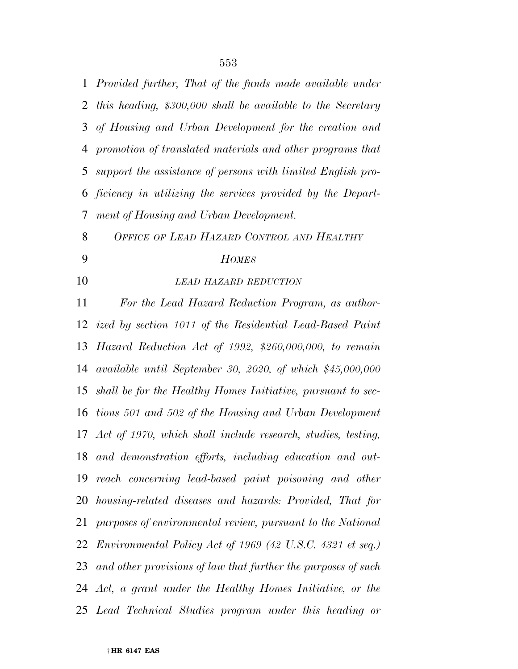*Provided further, That of the funds made available under this heading, \$300,000 shall be available to the Secretary of Housing and Urban Development for the creation and promotion of translated materials and other programs that support the assistance of persons with limited English pro- ficiency in utilizing the services provided by the Depart-ment of Housing and Urban Development.* 

*OFFICE OF LEAD HAZARD CONTROL AND HEALTHY*

# *HOMES*

*LEAD HAZARD REDUCTION*

 *For the Lead Hazard Reduction Program, as author- ized by section 1011 of the Residential Lead-Based Paint Hazard Reduction Act of 1992, \$260,000,000, to remain available until September 30, 2020, of which \$45,000,000 shall be for the Healthy Homes Initiative, pursuant to sec- tions 501 and 502 of the Housing and Urban Development Act of 1970, which shall include research, studies, testing, and demonstration efforts, including education and out- reach concerning lead-based paint poisoning and other housing-related diseases and hazards: Provided, That for purposes of environmental review, pursuant to the National Environmental Policy Act of 1969 (42 U.S.C. 4321 et seq.) and other provisions of law that further the purposes of such Act, a grant under the Healthy Homes Initiative, or the Lead Technical Studies program under this heading or*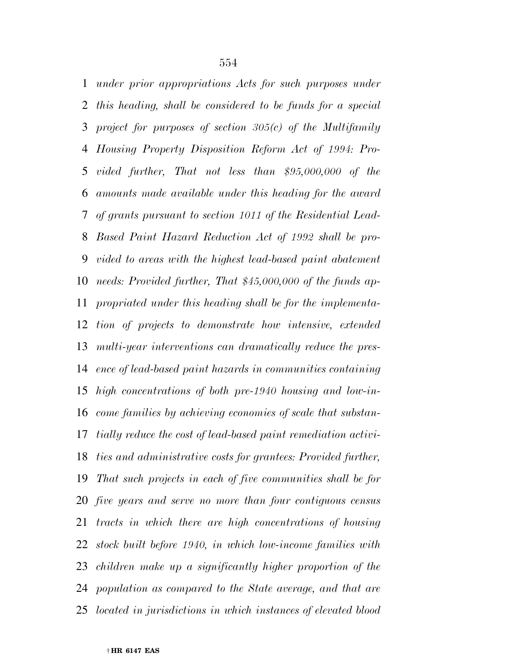*under prior appropriations Acts for such purposes under this heading, shall be considered to be funds for a special project for purposes of section 305(c) of the Multifamily Housing Property Disposition Reform Act of 1994: Pro- vided further, That not less than \$95,000,000 of the amounts made available under this heading for the award of grants pursuant to section 1011 of the Residential Lead- Based Paint Hazard Reduction Act of 1992 shall be pro- vided to areas with the highest lead-based paint abatement needs: Provided further, That \$45,000,000 of the funds ap- propriated under this heading shall be for the implementa- tion of projects to demonstrate how intensive, extended multi-year interventions can dramatically reduce the pres- ence of lead-based paint hazards in communities containing high concentrations of both pre-1940 housing and low-in- come families by achieving economies of scale that substan- tially reduce the cost of lead-based paint remediation activi- ties and administrative costs for grantees: Provided further, That such projects in each of five communities shall be for five years and serve no more than four contiguous census tracts in which there are high concentrations of housing stock built before 1940, in which low-income families with children make up a significantly higher proportion of the population as compared to the State average, and that are located in jurisdictions in which instances of elevated blood*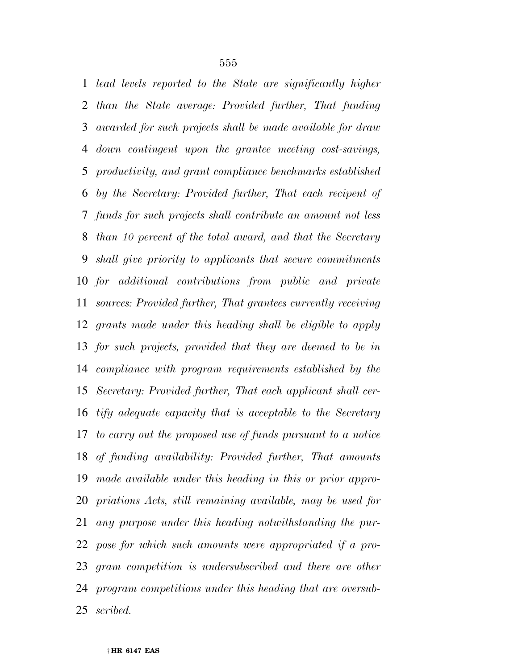*lead levels reported to the State are significantly higher than the State average: Provided further, That funding awarded for such projects shall be made available for draw down contingent upon the grantee meeting cost-savings, productivity, and grant compliance benchmarks established by the Secretary: Provided further, That each recipent of funds for such projects shall contribute an amount not less than 10 percent of the total award, and that the Secretary shall give priority to applicants that secure commitments for additional contributions from public and private sources: Provided further, That grantees currently receiving grants made under this heading shall be eligible to apply for such projects, provided that they are deemed to be in compliance with program requirements established by the Secretary: Provided further, That each applicant shall cer- tify adequate capacity that is acceptable to the Secretary to carry out the proposed use of funds pursuant to a notice of funding availability: Provided further, That amounts made available under this heading in this or prior appro- priations Acts, still remaining available, may be used for any purpose under this heading notwithstanding the pur- pose for which such amounts were appropriated if a pro- gram competition is undersubscribed and there are other program competitions under this heading that are oversub-scribed.*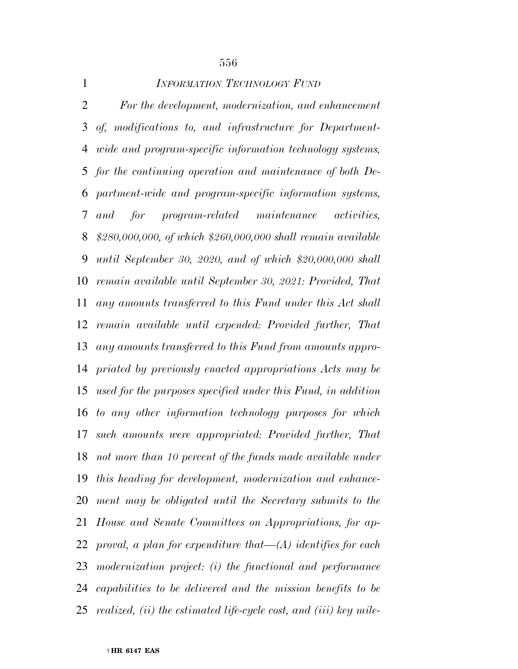| $\mathbf{1}$   | <b>INFORMATION TECHNOLOGY FUND</b>                                |
|----------------|-------------------------------------------------------------------|
| $\overline{2}$ | For the development, modernization, and enhancement               |
| 3              | of, modifications to, and infrastructure for Department-          |
| 4              | <i>wide and program-specific information technology systems,</i>  |
|                | 5 for the continuing operation and maintenance of both De-        |
| 6              | partment-wide and program-specific information systems,           |
| 7              | and for program-related maintenance activities,                   |
| 8              | $$280,000,000,$ of which $$260,000,000$ shall remain available    |
| 9              | until September 30, 2020, and of which $$20,000,000$ shall        |
| 10             | remain available until September 30, 2021: Provided, That         |
| 11             | any amounts transferred to this Fund under this Act shall         |
| 12             | remain available until expended: Provided further, That           |
| 13             | any amounts transferred to this Fund from amounts appro-          |
| 14             | priated by previously enacted appropriations Acts may be          |
| 15             | used for the purposes specified under this Fund, in addition      |
| 16             | to any other information technology purposes for which            |
| 17             | such amounts were appropriated: Provided further, That            |
|                | 18 not more than 10 percent of the funds made available under     |
| 19             | this heading for development, modernization and enhance-          |
| 20             | ment may be obligated until the Secretary submits to the          |
| 21             | House and Senate Committees on Appropriations, for ap-            |
| 22             | proval, a plan for expenditure that $-(A)$ identifies for each    |
| 23             | modernization project: (i) the functional and performance         |
| 24             | capabilities to be delivered and the mission benefits to be       |
| 25             | realized, (ii) the estimated life-cycle cost, and (iii) key mile- |

† **HR 6147 EAS**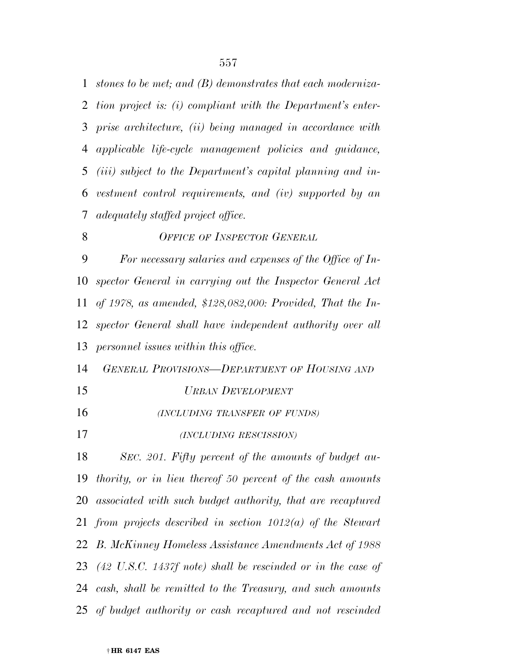*stones to be met; and (B) demonstrates that each moderniza- tion project is: (i) compliant with the Department's enter- prise architecture, (ii) being managed in accordance with applicable life-cycle management policies and guidance, (iii) subject to the Department's capital planning and in- vestment control requirements, and (iv) supported by an adequately staffed project office. OFFICE OF INSPECTOR GENERAL For necessary salaries and expenses of the Office of In- spector General in carrying out the Inspector General Act of 1978, as amended, \$128,082,000: Provided, That the In- spector General shall have independent authority over all personnel issues within this office. GENERAL PROVISIONS—DEPARTMENT OF HOUSING AND URBAN DEVELOPMENT (INCLUDING TRANSFER OF FUNDS) (INCLUDING RESCISSION) SEC. 201. Fifty percent of the amounts of budget au- thority, or in lieu thereof 50 percent of the cash amounts associated with such budget authority, that are recaptured from projects described in section 1012(a) of the Stewart B. McKinney Homeless Assistance Amendments Act of 1988 (42 U.S.C. 1437f note) shall be rescinded or in the case of cash, shall be remitted to the Treasury, and such amounts* 

*of budget authority or cash recaptured and not rescinded*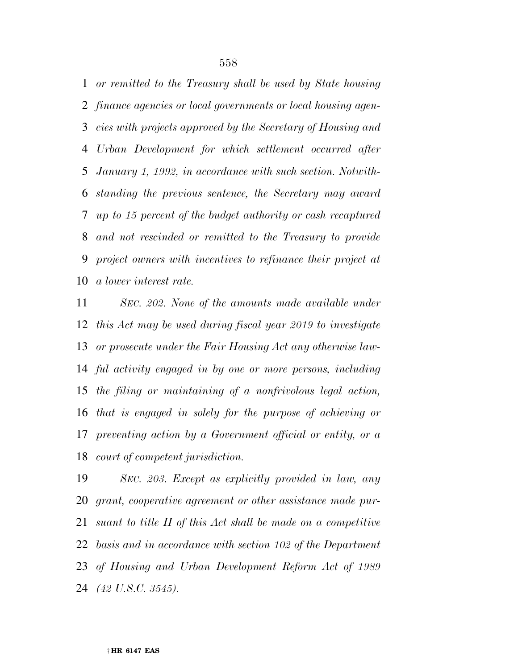*or remitted to the Treasury shall be used by State housing finance agencies or local governments or local housing agen- cies with projects approved by the Secretary of Housing and Urban Development for which settlement occurred after January 1, 1992, in accordance with such section. Notwith- standing the previous sentence, the Secretary may award up to 15 percent of the budget authority or cash recaptured and not rescinded or remitted to the Treasury to provide project owners with incentives to refinance their project at a lower interest rate.* 

 *SEC. 202. None of the amounts made available under this Act may be used during fiscal year 2019 to investigate or prosecute under the Fair Housing Act any otherwise law- ful activity engaged in by one or more persons, including the filing or maintaining of a nonfrivolous legal action, that is engaged in solely for the purpose of achieving or preventing action by a Government official or entity, or a court of competent jurisdiction.* 

 *SEC. 203. Except as explicitly provided in law, any grant, cooperative agreement or other assistance made pur- suant to title II of this Act shall be made on a competitive basis and in accordance with section 102 of the Department of Housing and Urban Development Reform Act of 1989 (42 U.S.C. 3545).*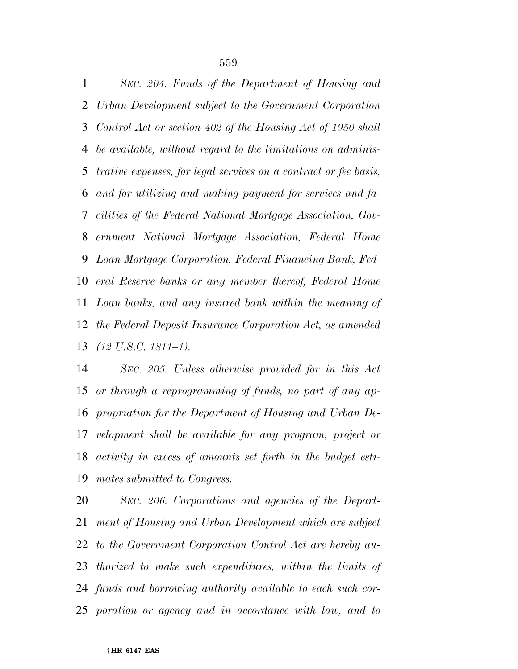*SEC. 204. Funds of the Department of Housing and Urban Development subject to the Government Corporation Control Act or section 402 of the Housing Act of 1950 shall be available, without regard to the limitations on adminis- trative expenses, for legal services on a contract or fee basis, and for utilizing and making payment for services and fa- cilities of the Federal National Mortgage Association, Gov- ernment National Mortgage Association, Federal Home Loan Mortgage Corporation, Federal Financing Bank, Fed- eral Reserve banks or any member thereof, Federal Home Loan banks, and any insured bank within the meaning of the Federal Deposit Insurance Corporation Act, as amended (12 U.S.C. 1811–1).* 

 *SEC. 205. Unless otherwise provided for in this Act or through a reprogramming of funds, no part of any ap- propriation for the Department of Housing and Urban De- velopment shall be available for any program, project or activity in excess of amounts set forth in the budget esti-mates submitted to Congress.* 

 *SEC. 206. Corporations and agencies of the Depart- ment of Housing and Urban Development which are subject to the Government Corporation Control Act are hereby au- thorized to make such expenditures, within the limits of funds and borrowing authority available to each such cor-poration or agency and in accordance with law, and to*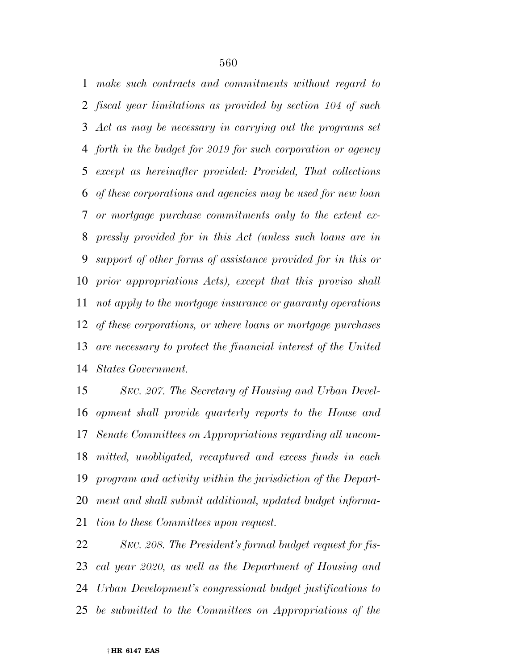*make such contracts and commitments without regard to fiscal year limitations as provided by section 104 of such Act as may be necessary in carrying out the programs set forth in the budget for 2019 for such corporation or agency except as hereinafter provided: Provided, That collections of these corporations and agencies may be used for new loan or mortgage purchase commitments only to the extent ex- pressly provided for in this Act (unless such loans are in support of other forms of assistance provided for in this or prior appropriations Acts), except that this proviso shall not apply to the mortgage insurance or guaranty operations of these corporations, or where loans or mortgage purchases are necessary to protect the financial interest of the United States Government.* 

 *SEC. 207. The Secretary of Housing and Urban Devel- opment shall provide quarterly reports to the House and Senate Committees on Appropriations regarding all uncom- mitted, unobligated, recaptured and excess funds in each program and activity within the jurisdiction of the Depart- ment and shall submit additional, updated budget informa-tion to these Committees upon request.* 

 *SEC. 208. The President's formal budget request for fis- cal year 2020, as well as the Department of Housing and Urban Development's congressional budget justifications to be submitted to the Committees on Appropriations of the*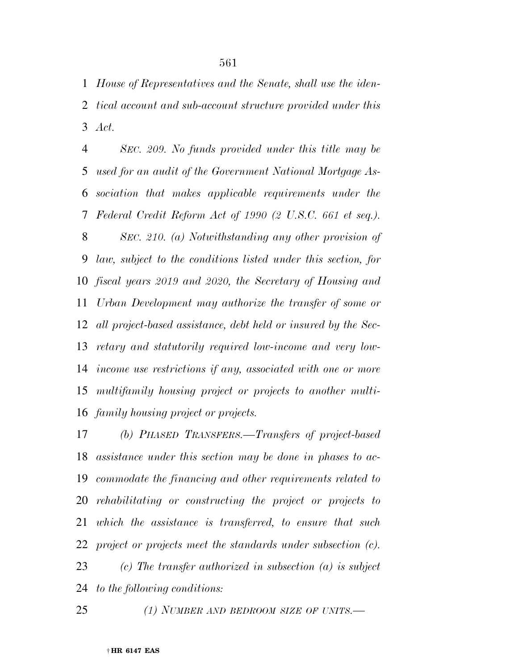*House of Representatives and the Senate, shall use the iden- tical account and sub-account structure provided under this Act.* 

 *SEC. 209. No funds provided under this title may be used for an audit of the Government National Mortgage As- sociation that makes applicable requirements under the Federal Credit Reform Act of 1990 (2 U.S.C. 661 et seq.). SEC. 210. (a) Notwithstanding any other provision of law, subject to the conditions listed under this section, for fiscal years 2019 and 2020, the Secretary of Housing and Urban Development may authorize the transfer of some or all project-based assistance, debt held or insured by the Sec- retary and statutorily required low-income and very low- income use restrictions if any, associated with one or more multifamily housing project or projects to another multi-family housing project or projects.* 

 *(b) PHASED TRANSFERS.—Transfers of project-based assistance under this section may be done in phases to ac- commodate the financing and other requirements related to rehabilitating or constructing the project or projects to which the assistance is transferred, to ensure that such project or projects meet the standards under subsection (c).* 

 *(c) The transfer authorized in subsection (a) is subject to the following conditions:*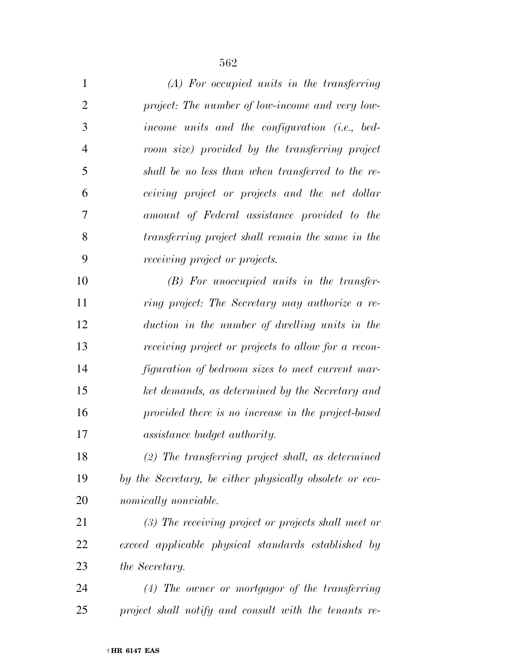| $\mathbf{1}$   | $(A)$ For occupied units in the transferring            |
|----------------|---------------------------------------------------------|
| $\overline{2}$ | project: The number of low-income and very low-         |
| 3              | income units and the configuration (i.e., bed-          |
| $\overline{4}$ | room size) provided by the transferring project         |
| 5              | shall be no less than when transferred to the re-       |
| 6              | ceiving project or projects and the net dollar          |
| 7              | amount of Federal assistance provided to the            |
| 8              | transferring project shall remain the same in the       |
| 9              | <i>receiving project or projects.</i>                   |
| 10             | $(B)$ For unoccupied units in the transfer-             |
| 11             | ring project: The Secretary may authorize a re-         |
| 12             | duction in the number of dwelling units in the          |
| 13             | receiving project or projects to allow for a recon-     |
| 14             | figuration of bedroom sizes to meet current mar-        |
| 15             | ket demands, as determined by the Secretary and         |
| 16             | provided there is no increase in the project-based      |
| 17             | assistance budget authority.                            |
| 18             | $(2)$ The transferring project shall, as determined     |
| 19             | by the Secretary, be either physically obsolete or eco- |
| 20             | nomically nonviable.                                    |
| 21             | $(3)$ The receiving project or projects shall meet or   |
| 22             | exceed applicable physical standards established by     |
| 23             | the Secretary.                                          |
| 24             | $(4)$ The owner or mortgagor of the transferring        |
| 25             | project shall notify and consult with the tenants re-   |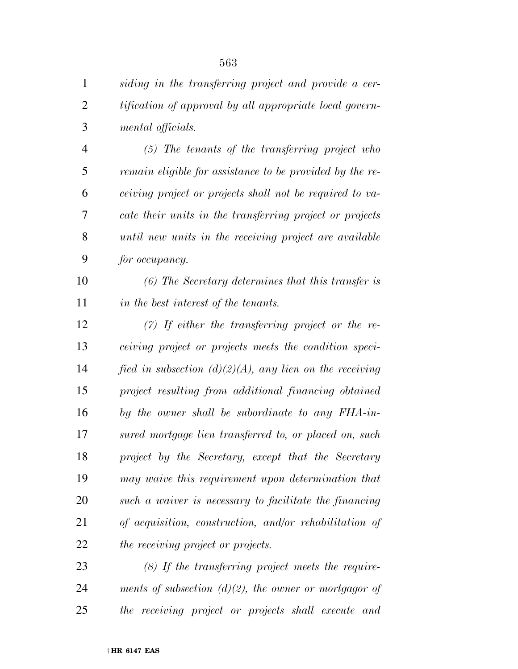*siding in the transferring project and provide a cer- tification of approval by all appropriate local govern-mental officials.* 

 *(5) The tenants of the transferring project who remain eligible for assistance to be provided by the re- ceiving project or projects shall not be required to va- cate their units in the transferring project or projects until new units in the receiving project are available for occupancy.* 

 *(6) The Secretary determines that this transfer is in the best interest of the tenants.* 

 *(7) If either the transferring project or the re- ceiving project or projects meets the condition speci- fied in subsection (d)(2)(A), any lien on the receiving project resulting from additional financing obtained by the owner shall be subordinate to any FHA-in- sured mortgage lien transferred to, or placed on, such project by the Secretary, except that the Secretary may waive this requirement upon determination that such a waiver is necessary to facilitate the financing of acquisition, construction, and/or rehabilitation of the receiving project or projects.* 

 *(8) If the transferring project meets the require- ments of subsection (d)(2), the owner or mortgagor of the receiving project or projects shall execute and*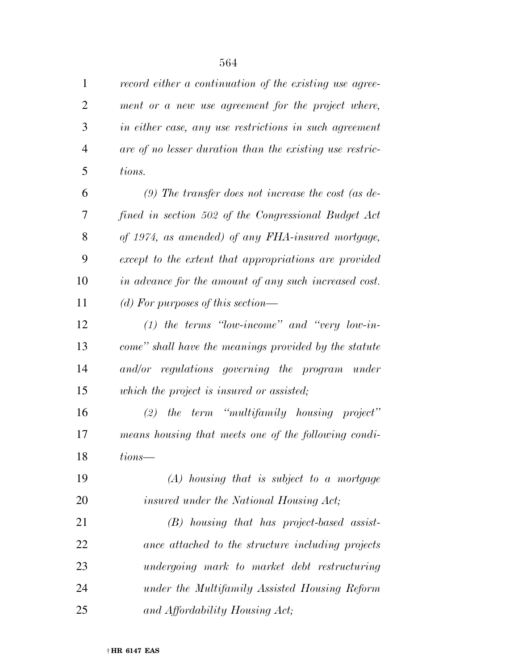*record either a continuation of the existing use agree- ment or a new use agreement for the project where, in either case, any use restrictions in such agreement are of no lesser duration than the existing use restric-tions.* 

 *(9) The transfer does not increase the cost (as de- fined in section 502 of the Congressional Budget Act of 1974, as amended) of any FHA-insured mortgage, except to the extent that appropriations are provided in advance for the amount of any such increased cost. (d) For purposes of this section—* 

 *(1) the terms ''low-income'' and ''very low-in- come'' shall have the meanings provided by the statute and/or regulations governing the program under which the project is insured or assisted;* 

 *(2) the term ''multifamily housing project'' means housing that meets one of the following condi-tions—* 

 *(A) housing that is subject to a mortgage insured under the National Housing Act;* 

 *(B) housing that has project-based assist- ance attached to the structure including projects undergoing mark to market debt restructuring under the Multifamily Assisted Housing Reform and Affordability Housing Act;*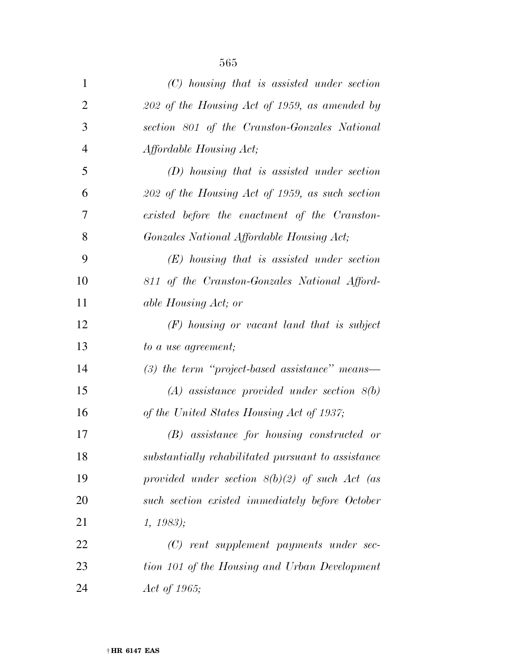| $\mathbf{1}$   | $(C)$ housing that is assisted under section       |
|----------------|----------------------------------------------------|
| $\overline{2}$ | 202 of the Housing Act of 1959, as amended by      |
| 3              | section 801 of the Cranston-Gonzales National      |
| $\overline{4}$ | Affordable Housing Act;                            |
| 5              | $(D)$ housing that is assisted under section       |
| 6              | $202$ of the Housing Act of 1959, as such section  |
| 7              | existed before the enactment of the Cranston-      |
| 8              | Gonzales National Affordable Housing Act;          |
| 9              | $(E)$ housing that is assisted under section       |
| 10             | 811 of the Cranston-Gonzales National Afford-      |
| 11             | able Housing Act; or                               |
| 12             | $(F)$ housing or vacant land that is subject       |
| 13             | to a use agreement;                                |
| 14             | $(3)$ the term "project-based assistance" means—   |
| 15             | $(A)$ assistance provided under section $8(b)$     |
| 16             | of the United States Housing Act of 1937;          |
| 17             | $(B)$ assistance for housing constructed or        |
| 18             | substantially rehabilitated pursuant to assistance |
| 19             | provided under section $8(b)(2)$ of such Act (as   |
| 20             | such section existed immediately before October    |
| 21             | 1, 1983);                                          |
| 22             | $(C)$ rent supplement payments under sec-          |
| 23             | tion 101 of the Housing and Urban Development      |
| 24             | Act of 1965;                                       |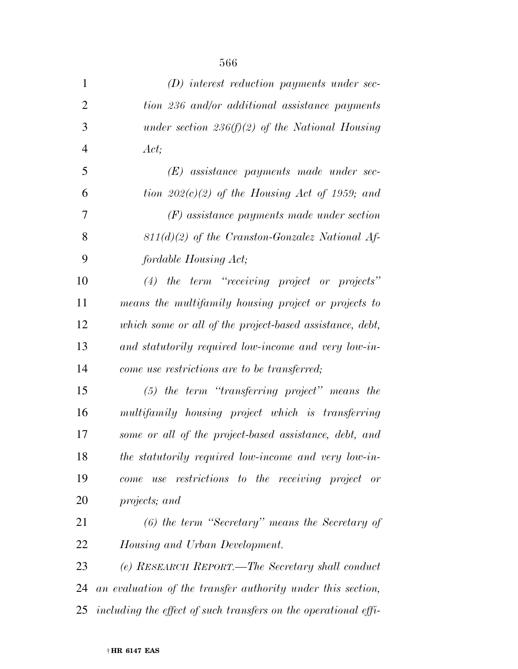| $\mathbf{1}$   | $(D)$ interest reduction payments under sec-                    |
|----------------|-----------------------------------------------------------------|
| $\overline{2}$ | tion 236 and/or additional assistance payments                  |
| 3              | under section 236(f)(2) of the National Housing                 |
| $\overline{4}$ | Act;                                                            |
| 5              | $(E)$ assistance payments made under sec-                       |
| 6              | tion $202(c)(2)$ of the Housing Act of 1959; and                |
| 7              | $(F)$ assistance payments made under section                    |
| 8              | $811(d)(2)$ of the Cranston-Gonzalez National Af-               |
| 9              | fordable Housing Act;                                           |
| 10             | $(4)$ the term "receiving project or projects"                  |
| 11             | means the multifamily housing project or projects to            |
| 12             | which some or all of the project-based assistance, debt,        |
| 13             | and statutorily required low-income and very low-in-            |
| 14             | come use restrictions are to be transferred;                    |
| 15             | $(5)$ the term "transferring project" means the                 |
| 16             | multifamily housing project which is transferring               |
| 17             | some or all of the project-based assistance, debt, and          |
| 18             | the statutorily required low-income and very low-in-            |
| 19             | restrictions to the receiving project or<br>use<br>come         |
| 20             | projects; and                                                   |
| 21             | $(6)$ the term "Secretary" means the Secretary of               |
| 22             | Housing and Urban Development.                                  |
| 23             | (e) RESEARCH REPORT.—The Secretary shall conduct                |
| 24             | an evaluation of the transfer authority under this section,     |
| 25             | including the effect of such transfers on the operational effi- |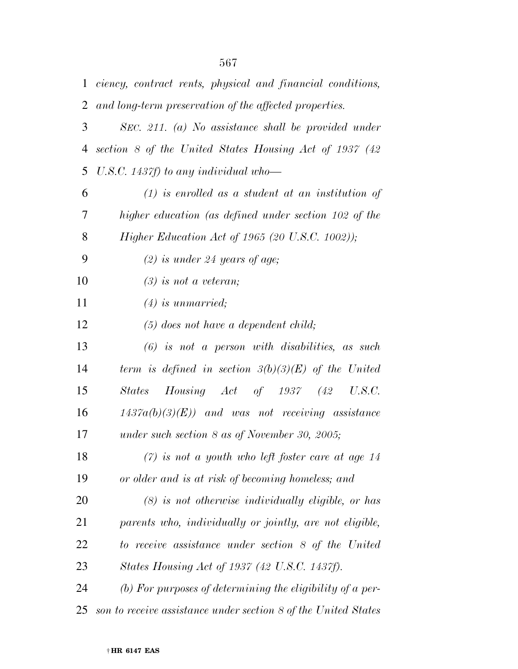| $\mathbf{1}$   | ciency, contract rents, physical and financial conditions,     |
|----------------|----------------------------------------------------------------|
| 2              | and long-term preservation of the affected properties.         |
| 3              | SEC. 211. (a) No assistance shall be provided under            |
| $\overline{4}$ | section 8 of the United States Housing Act of 1937 (42         |
| 5              | U.S.C. 1437f) to any individual who-                           |
| 6              | $(1)$ is enrolled as a student at an institution of            |
| 7              | higher education (as defined under section 102 of the          |
| 8              | <i>Higher Education Act of 1965 (20 U.S.C. 1002))</i> ;        |
| 9              | $(2)$ is under 24 years of age;                                |
| 10             | $(3)$ is not a veteran;                                        |
| 11             | $(4)$ is unmarried;                                            |
| 12             | $(5)$ does not have a dependent child;                         |
| 13             | $(6)$ is not a person with disabilities, as such               |
| 14             | term is defined in section $3(b)(3)(E)$ of the United          |
| 15             | $Housing$ $Act$ of 1937 (42 U.S.C.<br>States                   |
| 16             | $1437a(b)(3)(E)$ and was not receiving assistance              |
| 17             | under such section $8$ as of November 30, 2005;                |
| 18             | $(7)$ is not a youth who left foster care at age 14            |
| 19             | or older and is at risk of becoming homeless; and              |
| 20             | $(8)$ is not otherwise individually eligible, or has           |
| 21             | parents who, individually or jointly, are not eligible,        |
| 22             | to receive assistance under section 8 of the United            |
| 23             | States Housing Act of 1937 (42 U.S.C. 1437f).                  |
| 24             | (b) For purposes of determining the eligibility of a per-      |
| 25             | son to receive assistance under section 8 of the United States |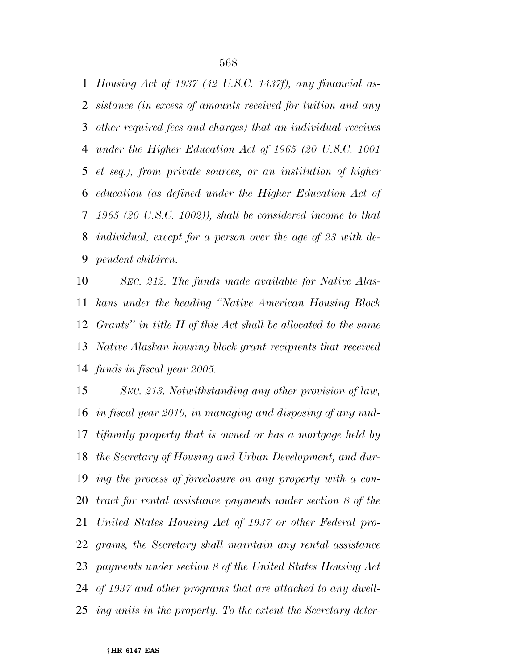*Housing Act of 1937 (42 U.S.C. 1437f), any financial as- sistance (in excess of amounts received for tuition and any other required fees and charges) that an individual receives under the Higher Education Act of 1965 (20 U.S.C. 1001 et seq.), from private sources, or an institution of higher education (as defined under the Higher Education Act of 1965 (20 U.S.C. 1002)), shall be considered income to that individual, except for a person over the age of 23 with de-pendent children.* 

 *SEC. 212. The funds made available for Native Alas- kans under the heading ''Native American Housing Block Grants'' in title II of this Act shall be allocated to the same Native Alaskan housing block grant recipients that received funds in fiscal year 2005.* 

 *SEC. 213. Notwithstanding any other provision of law, in fiscal year 2019, in managing and disposing of any mul- tifamily property that is owned or has a mortgage held by the Secretary of Housing and Urban Development, and dur- ing the process of foreclosure on any property with a con- tract for rental assistance payments under section 8 of the United States Housing Act of 1937 or other Federal pro- grams, the Secretary shall maintain any rental assistance payments under section 8 of the United States Housing Act of 1937 and other programs that are attached to any dwell-ing units in the property. To the extent the Secretary deter-*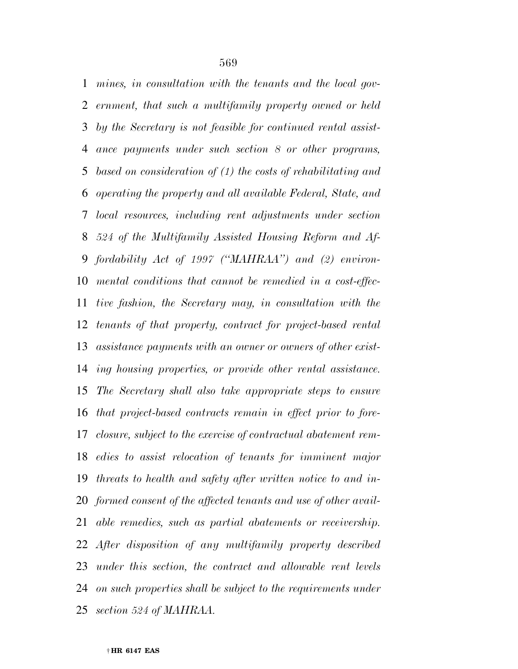*mines, in consultation with the tenants and the local gov- ernment, that such a multifamily property owned or held by the Secretary is not feasible for continued rental assist- ance payments under such section 8 or other programs, based on consideration of (1) the costs of rehabilitating and operating the property and all available Federal, State, and local resources, including rent adjustments under section 524 of the Multifamily Assisted Housing Reform and Af- fordability Act of 1997 (''MAHRAA'') and (2) environ- mental conditions that cannot be remedied in a cost-effec- tive fashion, the Secretary may, in consultation with the tenants of that property, contract for project-based rental assistance payments with an owner or owners of other exist- ing housing properties, or provide other rental assistance. The Secretary shall also take appropriate steps to ensure that project-based contracts remain in effect prior to fore- closure, subject to the exercise of contractual abatement rem- edies to assist relocation of tenants for imminent major threats to health and safety after written notice to and in- formed consent of the affected tenants and use of other avail- able remedies, such as partial abatements or receivership. After disposition of any multifamily property described under this section, the contract and allowable rent levels on such properties shall be subject to the requirements under section 524 of MAHRAA.* 

#### † **HR 6147 EAS**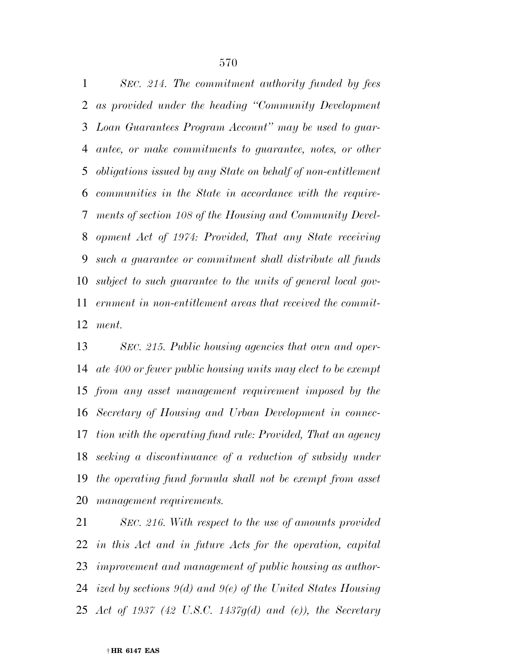*SEC. 214. The commitment authority funded by fees as provided under the heading ''Community Development Loan Guarantees Program Account'' may be used to guar- antee, or make commitments to guarantee, notes, or other obligations issued by any State on behalf of non-entitlement communities in the State in accordance with the require- ments of section 108 of the Housing and Community Devel- opment Act of 1974: Provided, That any State receiving such a guarantee or commitment shall distribute all funds subject to such guarantee to the units of general local gov- ernment in non-entitlement areas that received the commit-ment.* 

 *SEC. 215. Public housing agencies that own and oper- ate 400 or fewer public housing units may elect to be exempt from any asset management requirement imposed by the Secretary of Housing and Urban Development in connec- tion with the operating fund rule: Provided, That an agency seeking a discontinuance of a reduction of subsidy under the operating fund formula shall not be exempt from asset management requirements.* 

 *SEC. 216. With respect to the use of amounts provided in this Act and in future Acts for the operation, capital improvement and management of public housing as author- ized by sections 9(d) and 9(e) of the United States Housing Act of 1937 (42 U.S.C. 1437g(d) and (e)), the Secretary*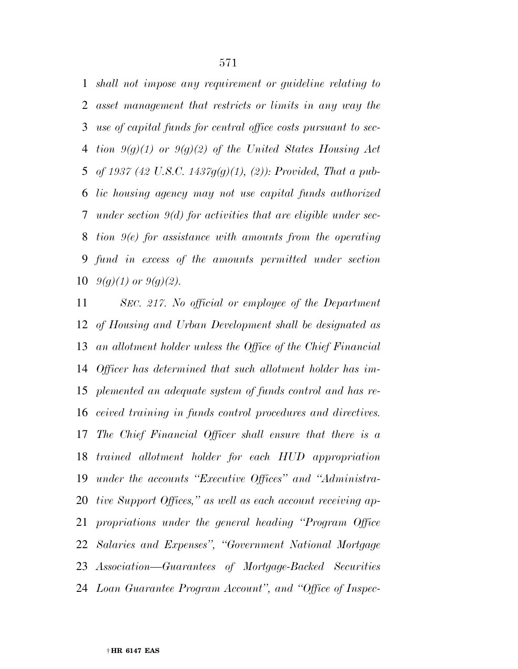*shall not impose any requirement or guideline relating to asset management that restricts or limits in any way the use of capital funds for central office costs pursuant to sec- tion 9(g)(1) or 9(g)(2) of the United States Housing Act of 1937 (42 U.S.C. 1437g(g)(1), (2)): Provided, That a pub- lic housing agency may not use capital funds authorized under section 9(d) for activities that are eligible under sec- tion 9(e) for assistance with amounts from the operating fund in excess of the amounts permitted under section*   $9(q)(1)$  or  $9(q)(2)$ .

 *SEC. 217. No official or employee of the Department of Housing and Urban Development shall be designated as an allotment holder unless the Office of the Chief Financial Officer has determined that such allotment holder has im- plemented an adequate system of funds control and has re- ceived training in funds control procedures and directives. The Chief Financial Officer shall ensure that there is a trained allotment holder for each HUD appropriation under the accounts ''Executive Offices'' and ''Administra- tive Support Offices,'' as well as each account receiving ap- propriations under the general heading ''Program Office Salaries and Expenses'', ''Government National Mortgage Association—Guarantees of Mortgage-Backed Securities Loan Guarantee Program Account'', and ''Office of Inspec-*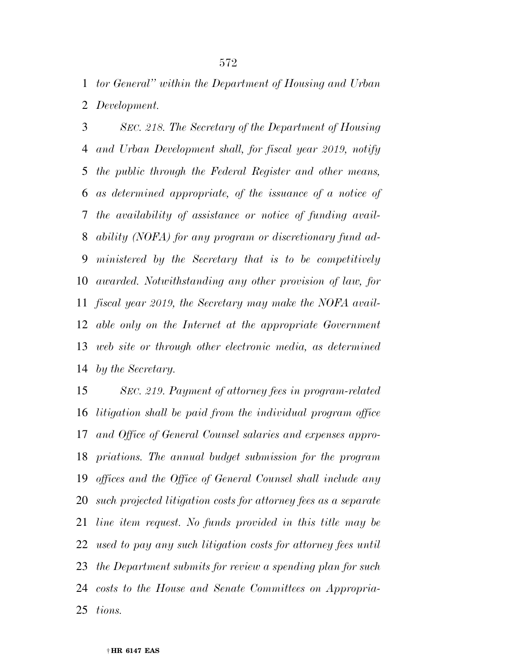*tor General'' within the Department of Housing and Urban Development.* 

 *SEC. 218. The Secretary of the Department of Housing and Urban Development shall, for fiscal year 2019, notify the public through the Federal Register and other means, as determined appropriate, of the issuance of a notice of the availability of assistance or notice of funding avail- ability (NOFA) for any program or discretionary fund ad- ministered by the Secretary that is to be competitively awarded. Notwithstanding any other provision of law, for fiscal year 2019, the Secretary may make the NOFA avail- able only on the Internet at the appropriate Government web site or through other electronic media, as determined by the Secretary.* 

 *SEC. 219. Payment of attorney fees in program-related litigation shall be paid from the individual program office and Office of General Counsel salaries and expenses appro- priations. The annual budget submission for the program offices and the Office of General Counsel shall include any such projected litigation costs for attorney fees as a separate line item request. No funds provided in this title may be used to pay any such litigation costs for attorney fees until the Department submits for review a spending plan for such costs to the House and Senate Committees on Appropria-tions.*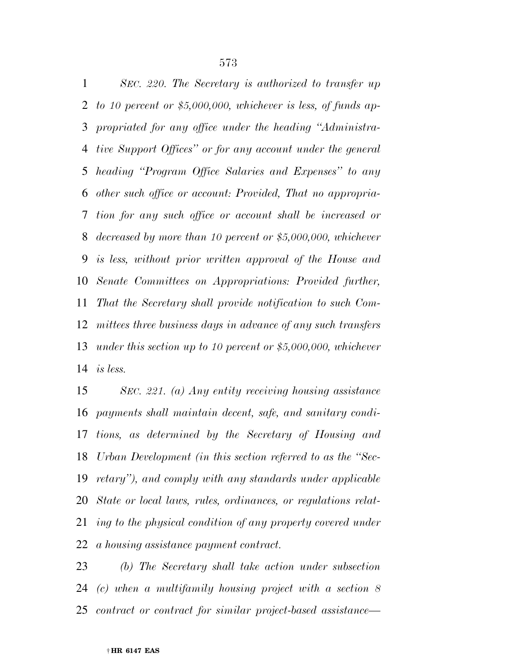*SEC. 220. The Secretary is authorized to transfer up to 10 percent or \$5,000,000, whichever is less, of funds ap- propriated for any office under the heading ''Administra- tive Support Offices'' or for any account under the general heading ''Program Office Salaries and Expenses'' to any other such office or account: Provided, That no appropria- tion for any such office or account shall be increased or decreased by more than 10 percent or \$5,000,000, whichever is less, without prior written approval of the House and Senate Committees on Appropriations: Provided further, That the Secretary shall provide notification to such Com- mittees three business days in advance of any such transfers under this section up to 10 percent or \$5,000,000, whichever is less.* 

 *SEC. 221. (a) Any entity receiving housing assistance payments shall maintain decent, safe, and sanitary condi- tions, as determined by the Secretary of Housing and Urban Development (in this section referred to as the ''Sec- retary''), and comply with any standards under applicable State or local laws, rules, ordinances, or regulations relat- ing to the physical condition of any property covered under a housing assistance payment contract.* 

 *(b) The Secretary shall take action under subsection (c) when a multifamily housing project with a section 8 contract or contract for similar project-based assistance—*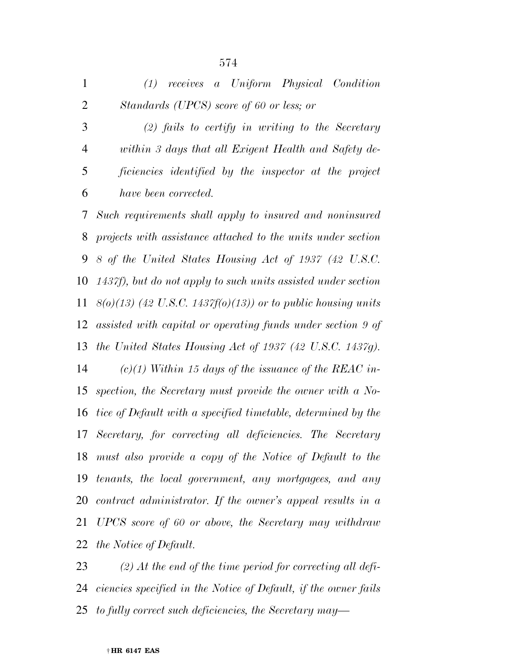| $\mathbf{1}$ |                                          |  |  | (1) receives a Uniform Physical Condition          |
|--------------|------------------------------------------|--|--|----------------------------------------------------|
| 2            | Standards (UPCS) score of 60 or less; or |  |  |                                                    |
| 3            |                                          |  |  | $(2)$ fails to certify in writing to the Secretary |

 *within 3 days that all Exigent Health and Safety de- ficiencies identified by the inspector at the project have been corrected.* 

 *Such requirements shall apply to insured and noninsured projects with assistance attached to the units under section 8 of the United States Housing Act of 1937 (42 U.S.C. 1437f), but do not apply to such units assisted under section 8(o)(13) (42 U.S.C. 1437f(o)(13)) or to public housing units assisted with capital or operating funds under section 9 of the United States Housing Act of 1937 (42 U.S.C. 1437g). (c)(1) Within 15 days of the issuance of the REAC in- spection, the Secretary must provide the owner with a No- tice of Default with a specified timetable, determined by the Secretary, for correcting all deficiencies. The Secretary must also provide a copy of the Notice of Default to the tenants, the local government, any mortgagees, and any* 

 *contract administrator. If the owner's appeal results in a UPCS score of 60 or above, the Secretary may withdraw the Notice of Default.* 

 *(2) At the end of the time period for correcting all defi- ciencies specified in the Notice of Default, if the owner fails to fully correct such deficiencies, the Secretary may—*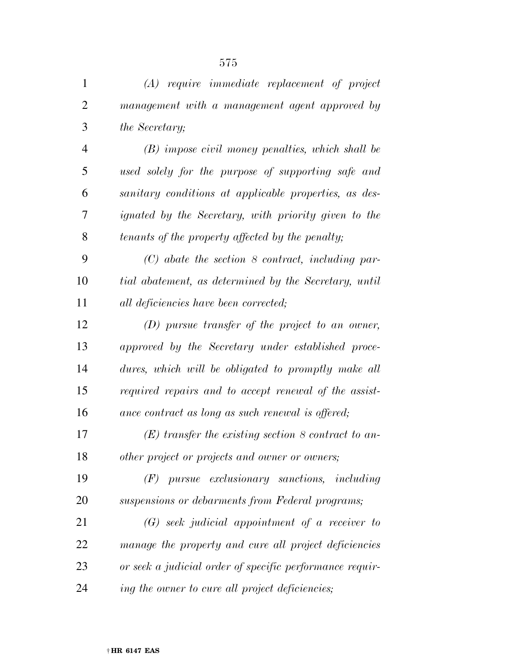| $\mathbf{1}$   | $(A)$ require immediate replacement of project           |
|----------------|----------------------------------------------------------|
| $\overline{2}$ | management with a management agent approved by           |
| 3              | the Secretary;                                           |
| $\overline{4}$ | $(B)$ impose civil money penalties, which shall be       |
| 5              | used solely for the purpose of supporting safe and       |
| 6              | sanitary conditions at applicable properties, as des-    |
| 7              | ignated by the Secretary, with priority given to the     |
| 8              | tenants of the property affected by the penalty;         |
| 9              | $(C)$ abate the section 8 contract, including par-       |
| 10             | tial abatement, as determined by the Secretary, until    |
| 11             | all deficiencies have been corrected;                    |
| 12             | $(D)$ pursue transfer of the project to an owner,        |
| 13             | approved by the Secretary under established proce-       |
| 14             | dures, which will be obligated to promptly make all      |
| 15             | required repairs and to accept renewal of the assist-    |
| 16             | ance contract as long as such renewal is offered;        |
| 17             | $(E)$ transfer the existing section 8 contract to an-    |
| 18             | other project or projects and owner or owners;           |
| 19             | $(F)$ pursue exclusionary sanctions, including           |
| 20             | suspensions or debarments from Federal programs;         |
| 21             | $(G)$ seek judicial appointment of a receiver to         |
| 22             | manage the property and cure all project deficiencies    |
| 23             | or seek a judicial order of specific performance requir- |
| 24             | ing the owner to cure all project deficiencies;          |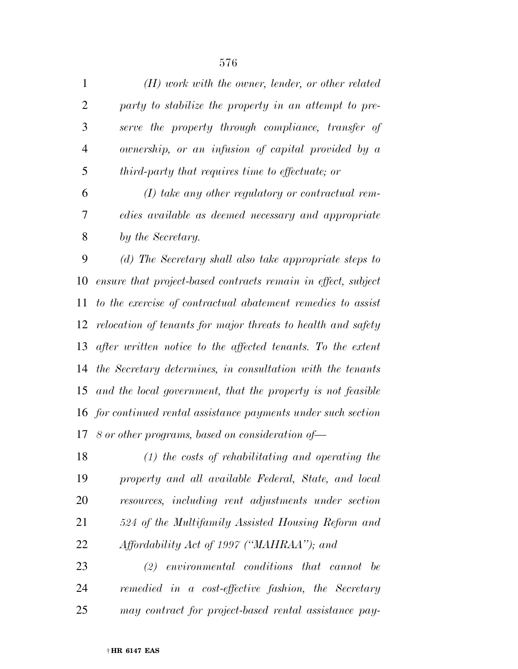*(H) work with the owner, lender, or other related party to stabilize the property in an attempt to pre- serve the property through compliance, transfer of ownership, or an infusion of capital provided by a third-party that requires time to effectuate; or* 

 *(I) take any other regulatory or contractual rem- edies available as deemed necessary and appropriate by the Secretary.* 

 *(d) The Secretary shall also take appropriate steps to ensure that project-based contracts remain in effect, subject to the exercise of contractual abatement remedies to assist relocation of tenants for major threats to health and safety after written notice to the affected tenants. To the extent the Secretary determines, in consultation with the tenants and the local government, that the property is not feasible for continued rental assistance payments under such section 8 or other programs, based on consideration of—* 

 *(1) the costs of rehabilitating and operating the property and all available Federal, State, and local resources, including rent adjustments under section 524 of the Multifamily Assisted Housing Reform and Affordability Act of 1997 (''MAHRAA''); and* 

 *(2) environmental conditions that cannot be remedied in a cost-effective fashion, the Secretary may contract for project-based rental assistance pay-*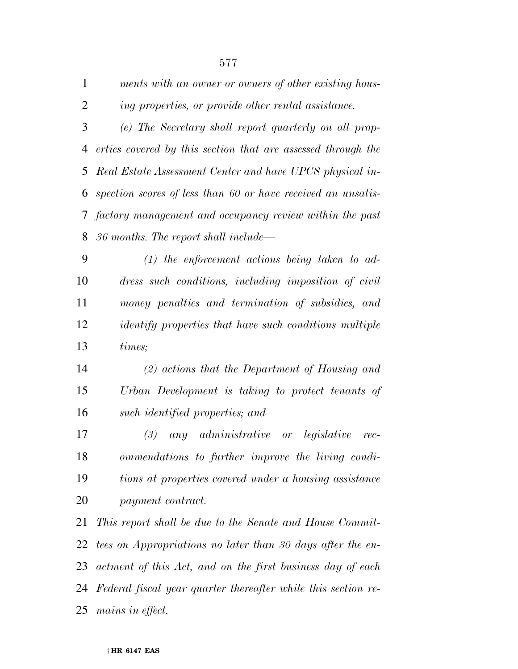| $\overline{2}$ | ing properties, or provide other rental assistance.           |
|----------------|---------------------------------------------------------------|
| 3              | (e) The Secretary shall report quarterly on all prop-         |
| $\overline{4}$ | erties covered by this section that are assessed through the  |
| 5              | Real Estate Assessment Center and have UPCS physical in-      |
| 6              | spection scores of less than 60 or have received an unsatis-  |
| 7              | factory management and occupancy review within the past       |
| 8              | 36 months. The report shall include—                          |
| 9              | $(1)$ the enforcement actions being taken to ad-              |
| 10             | dress such conditions, including imposition of civil          |
| 11             | money penalties and termination of subsidies, and             |
| 12             | <i>identify properties that have such conditions multiple</i> |
| 13             | times;                                                        |
| 14             | $(2)$ actions that the Department of Housing and              |
| 15             | Urban Development is taking to protect tenants of             |
| 16             | such identified properties; and                               |
| 17             | any administrative or legislative<br>(3)<br>rec-              |
| 18             | ommendations to further improve the living condi-             |
| 19             | tions at properties covered under a housing assistance        |
| 20             | payment contract.                                             |
| 21             | This report shall be due to the Senate and House Commit-      |
| 22             | tees on Appropriations no later than 30 days after the en-    |
| 23             | actment of this Act, and on the first business day of each    |
| 24             | Federal fiscal year quarter thereafter while this section re- |
| 25             | mains in effect.                                              |

*ments with an owner or owners of other existing hous-*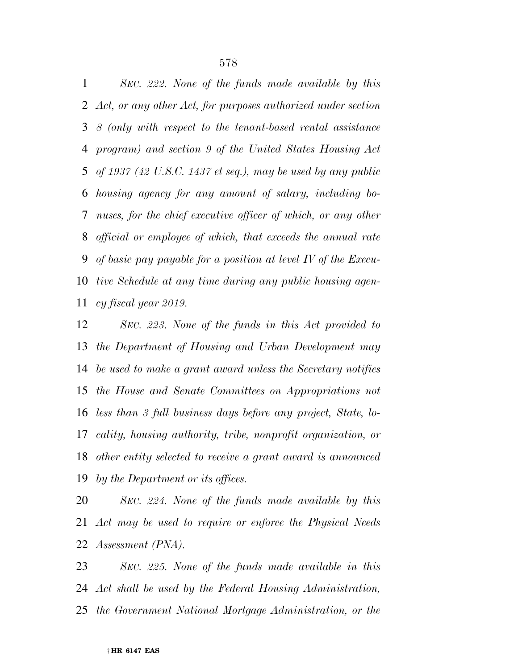*SEC. 222. None of the funds made available by this Act, or any other Act, for purposes authorized under section 8 (only with respect to the tenant-based rental assistance program) and section 9 of the United States Housing Act of 1937 (42 U.S.C. 1437 et seq.), may be used by any public housing agency for any amount of salary, including bo- nuses, for the chief executive officer of which, or any other official or employee of which, that exceeds the annual rate of basic pay payable for a position at level IV of the Execu- tive Schedule at any time during any public housing agen-cy fiscal year 2019.* 

 *SEC. 223. None of the funds in this Act provided to the Department of Housing and Urban Development may be used to make a grant award unless the Secretary notifies the House and Senate Committees on Appropriations not less than 3 full business days before any project, State, lo- cality, housing authority, tribe, nonprofit organization, or other entity selected to receive a grant award is announced by the Department or its offices.* 

 *SEC. 224. None of the funds made available by this Act may be used to require or enforce the Physical Needs Assessment (PNA).* 

 *SEC. 225. None of the funds made available in this Act shall be used by the Federal Housing Administration, the Government National Mortgage Administration, or the*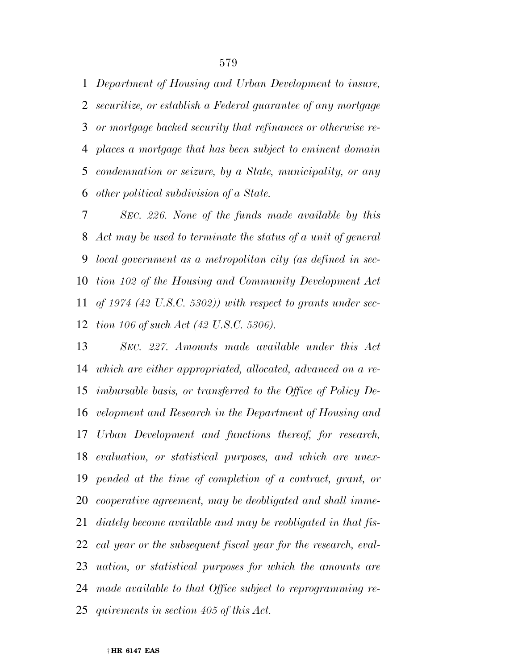*Department of Housing and Urban Development to insure, securitize, or establish a Federal guarantee of any mortgage or mortgage backed security that refinances or otherwise re- places a mortgage that has been subject to eminent domain condemnation or seizure, by a State, municipality, or any other political subdivision of a State.* 

 *SEC. 226. None of the funds made available by this Act may be used to terminate the status of a unit of general local government as a metropolitan city (as defined in sec- tion 102 of the Housing and Community Development Act of 1974 (42 U.S.C. 5302)) with respect to grants under sec-tion 106 of such Act (42 U.S.C. 5306).* 

 *SEC. 227. Amounts made available under this Act which are either appropriated, allocated, advanced on a re- imbursable basis, or transferred to the Office of Policy De- velopment and Research in the Department of Housing and Urban Development and functions thereof, for research, evaluation, or statistical purposes, and which are unex- pended at the time of completion of a contract, grant, or cooperative agreement, may be deobligated and shall imme- diately become available and may be reobligated in that fis- cal year or the subsequent fiscal year for the research, eval- uation, or statistical purposes for which the amounts are made available to that Office subject to reprogramming re-quirements in section 405 of this Act.*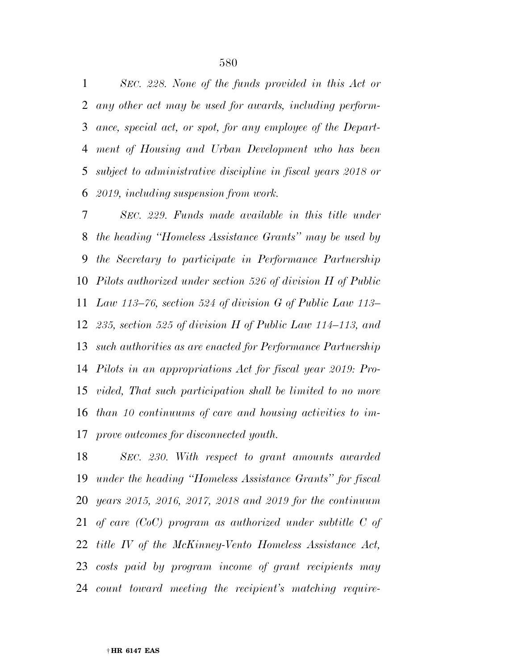*SEC. 228. None of the funds provided in this Act or any other act may be used for awards, including perform- ance, special act, or spot, for any employee of the Depart- ment of Housing and Urban Development who has been subject to administrative discipline in fiscal years 2018 or 2019, including suspension from work.* 

 *SEC. 229. Funds made available in this title under the heading ''Homeless Assistance Grants'' may be used by the Secretary to participate in Performance Partnership Pilots authorized under section 526 of division H of Public Law 113–76, section 524 of division G of Public Law 113– 235, section 525 of division H of Public Law 114–113, and such authorities as are enacted for Performance Partnership Pilots in an appropriations Act for fiscal year 2019: Pro- vided, That such participation shall be limited to no more than 10 continuums of care and housing activities to im-prove outcomes for disconnected youth.* 

 *SEC. 230. With respect to grant amounts awarded under the heading ''Homeless Assistance Grants'' for fiscal years 2015, 2016, 2017, 2018 and 2019 for the continuum of care (CoC) program as authorized under subtitle C of title IV of the McKinney-Vento Homeless Assistance Act, costs paid by program income of grant recipients may count toward meeting the recipient's matching require-*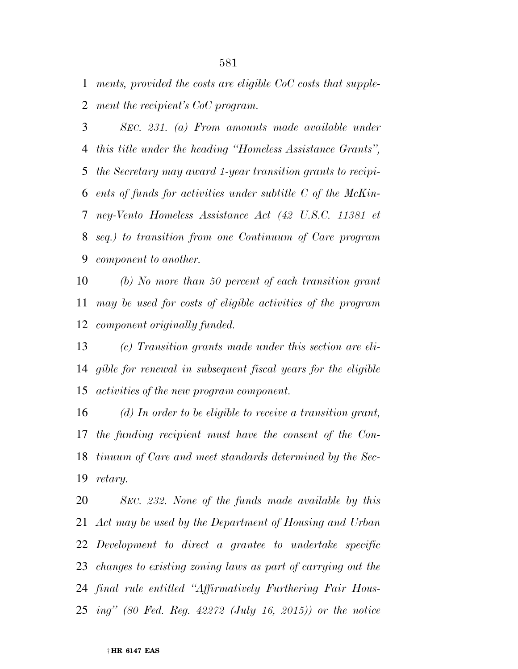*ments, provided the costs are eligible CoC costs that supple-ment the recipient's CoC program.* 

 *SEC. 231. (a) From amounts made available under this title under the heading ''Homeless Assistance Grants'', the Secretary may award 1-year transition grants to recipi- ents of funds for activities under subtitle C of the McKin- ney-Vento Homeless Assistance Act (42 U.S.C. 11381 et seq.) to transition from one Continuum of Care program component to another.* 

 *(b) No more than 50 percent of each transition grant may be used for costs of eligible activities of the program component originally funded.* 

 *(c) Transition grants made under this section are eli- gible for renewal in subsequent fiscal years for the eligible activities of the new program component.* 

 *(d) In order to be eligible to receive a transition grant, the funding recipient must have the consent of the Con- tinuum of Care and meet standards determined by the Sec-retary.* 

 *SEC. 232. None of the funds made available by this Act may be used by the Department of Housing and Urban Development to direct a grantee to undertake specific changes to existing zoning laws as part of carrying out the final rule entitled ''Affirmatively Furthering Fair Hous-ing'' (80 Fed. Reg. 42272 (July 16, 2015)) or the notice*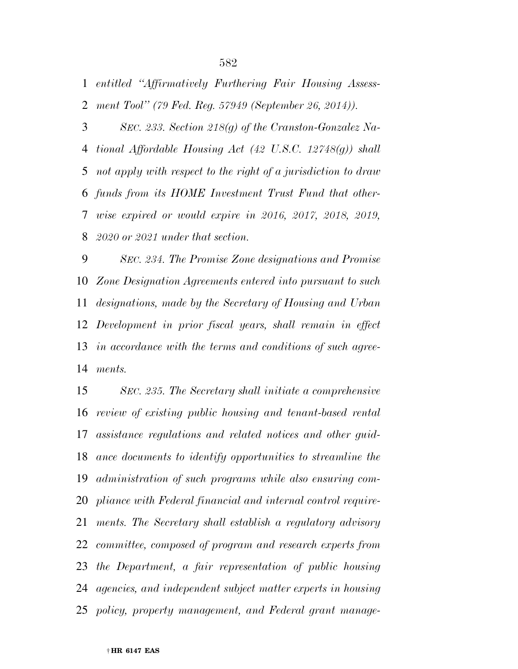*entitled ''Affirmatively Furthering Fair Housing Assess-ment Tool'' (79 Fed. Reg. 57949 (September 26, 2014)).* 

 *SEC. 233. Section 218(g) of the Cranston-Gonzalez Na- tional Affordable Housing Act (42 U.S.C. 12748(g)) shall not apply with respect to the right of a jurisdiction to draw funds from its HOME Investment Trust Fund that other- wise expired or would expire in 2016, 2017, 2018, 2019, 2020 or 2021 under that section.* 

 *SEC. 234. The Promise Zone designations and Promise Zone Designation Agreements entered into pursuant to such designations, made by the Secretary of Housing and Urban Development in prior fiscal years, shall remain in effect in accordance with the terms and conditions of such agree-ments.* 

 *SEC. 235. The Secretary shall initiate a comprehensive review of existing public housing and tenant-based rental assistance regulations and related notices and other guid- ance documents to identify opportunities to streamline the administration of such programs while also ensuring com- pliance with Federal financial and internal control require- ments. The Secretary shall establish a regulatory advisory committee, composed of program and research experts from the Department, a fair representation of public housing agencies, and independent subject matter experts in housing policy, property management, and Federal grant manage-*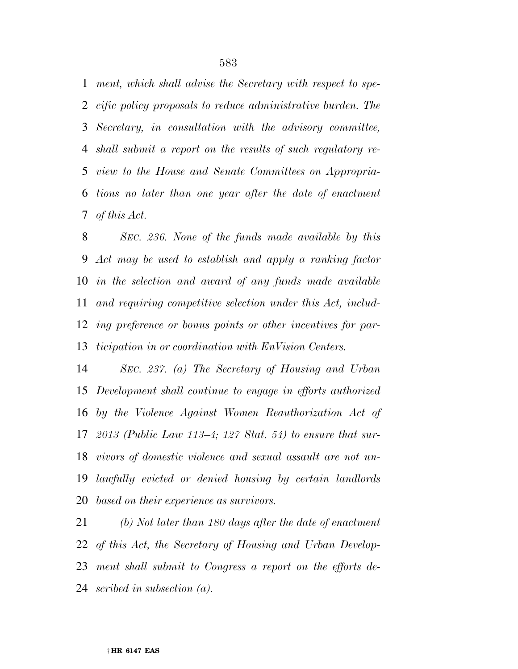*ment, which shall advise the Secretary with respect to spe- cific policy proposals to reduce administrative burden. The Secretary, in consultation with the advisory committee, shall submit a report on the results of such regulatory re- view to the House and Senate Committees on Appropria- tions no later than one year after the date of enactment of this Act.* 

 *SEC. 236. None of the funds made available by this Act may be used to establish and apply a ranking factor in the selection and award of any funds made available and requiring competitive selection under this Act, includ- ing preference or bonus points or other incentives for par-ticipation in or coordination with EnVision Centers.* 

 *SEC. 237. (a) The Secretary of Housing and Urban Development shall continue to engage in efforts authorized by the Violence Against Women Reauthorization Act of 2013 (Public Law 113–4; 127 Stat. 54) to ensure that sur- vivors of domestic violence and sexual assault are not un- lawfully evicted or denied housing by certain landlords based on their experience as survivors.* 

 *(b) Not later than 180 days after the date of enactment of this Act, the Secretary of Housing and Urban Develop- ment shall submit to Congress a report on the efforts de-scribed in subsection (a).*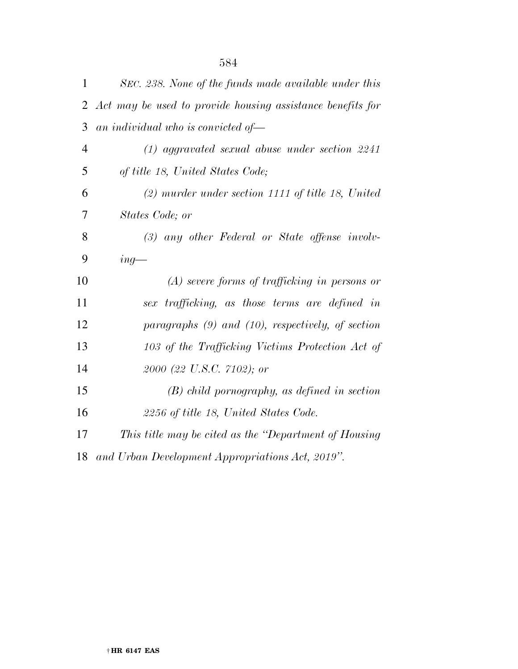| 1              | SEC. 238. None of the funds made available under this      |
|----------------|------------------------------------------------------------|
| 2              | Act may be used to provide housing assistance benefits for |
| 3              | an individual who is convicted of $-$                      |
| $\overline{4}$ | $(1)$ aggravated sexual abuse under section 2241           |
| 5              | of title 18, United States Code;                           |
| 6              | $(2)$ murder under section 1111 of title 18, United        |
| 7              | States Code; or                                            |
| 8              | $(3)$ any other Federal or State offense involv-           |
| 9              | $ing-$                                                     |
| 10             | $(A)$ severe forms of trafficking in persons or            |
| 11             | sex trafficking, as those terms are defined in             |
| 12             | paragraphs $(9)$ and $(10)$ , respectively, of section     |
| 13             | 103 of the Trafficking Victims Protection Act of           |
| 14             | 2000 (22 U.S.C. 7102); or                                  |
| 15             | $(B)$ child pornography, as defined in section             |
| 16             | 2256 of title 18, United States Code.                      |
| 17             | This title may be cited as the "Department of Housing"     |
| 18             | and Urban Development Appropriations Act, 2019".           |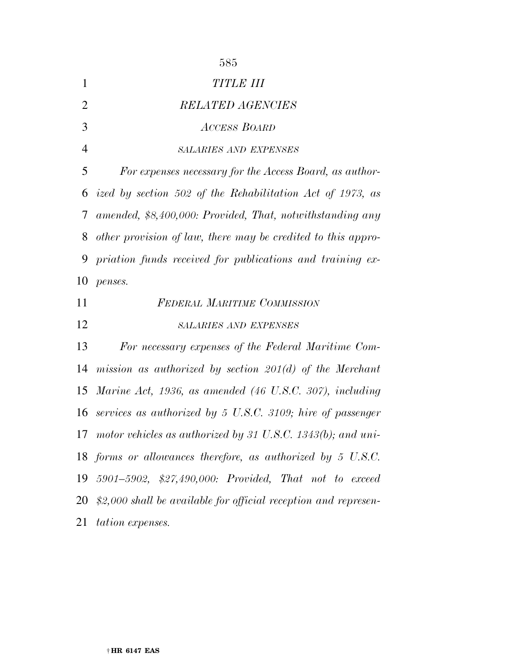|                | 585                                                              |
|----------------|------------------------------------------------------------------|
| 1              | TITLE III                                                        |
| $\overline{2}$ | <b>RELATED AGENCIES</b>                                          |
| 3              | <b>ACCESS BOARD</b>                                              |
| $\overline{4}$ | <b>SALARIES AND EXPENSES</b>                                     |
| 5              | For expenses necessary for the Access Board, as author-          |
| 6              | ized by section 502 of the Rehabilitation Act of 1973, as        |
| 7              | amended, \$8,400,000: Provided, That, notwithstanding any        |
| 8              | other provision of law, there may be credited to this appro-     |
| 9              | priation funds received for publications and training ex-        |
| 10             | penses.                                                          |
|                |                                                                  |
| 11             | <b>FEDERAL MARITIME COMMISSION</b>                               |
| 12             | <b>SALARIES AND EXPENSES</b>                                     |
| 13             | For necessary expenses of the Federal Maritime Com-              |
| 14             | mission as authorized by section $201(d)$ of the Merchant        |
| 15             | Marine Act, 1936, as amended (46 U.S.C. 307), including          |
| 16             | services as authorized by 5 U.S.C. 3109; hire of passenger       |
|                | 17 motor vehicles as authorized by 31 U.S.C. 1343(b); and uni-   |
|                | 18 forms or allowances therefore, as authorized by 5 U.S.C.      |
| 19             | 5901-5902, \$27,490,000: Provided, That not to exceed            |
| 20             | $$2,000$ shall be available for official reception and represen- |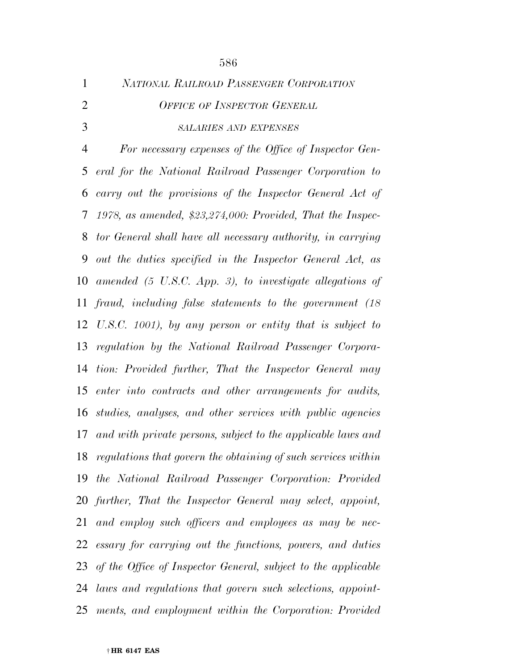| $\mathbf{1}$   | NATIONAL RAILROAD PASSENGER CORPORATION                              |
|----------------|----------------------------------------------------------------------|
| $\overline{2}$ | <b>OFFICE OF INSPECTOR GENERAL</b>                                   |
| 3              | <b>SALARIES AND EXPENSES</b>                                         |
| 4              | For necessary expenses of the Office of Inspector Gen-               |
| 5              | eral for the National Railroad Passenger Corporation to              |
| 6              | carry out the provisions of the Inspector General Act of             |
| 7              | 1978, as amended, $$23,274,000$ : Provided, That the Inspec-         |
| 8              | tor General shall have all necessary authority, in carrying          |
| 9              | out the duties specified in the Inspector General Act, as            |
| 10             | amended $(5 \text{ U.S.C. } App. 3)$ , to investigate allegations of |
| 11             | fraud, including false statements to the government (18)             |
|                | 12 U.S.C. 1001), by any person or entity that is subject to          |
| 13             | regulation by the National Railroad Passenger Corpora-               |
| 14             | tion: Provided further, That the Inspector General may               |
| 15             | enter into contracts and other arrangements for audits,              |
| 16             | studies, analyses, and other services with public agencies           |
| 17             | and with private persons, subject to the applicable laws and         |
| 18             | regulations that govern the obtaining of such services within        |
| 19             | the National Railroad Passenger Corporation: Provided                |
|                | 20 further, That the Inspector General may select, appoint,          |
| 21             | and employ such officers and employees as may be nec-                |
|                | 22 essary for carrying out the functions, powers, and duties         |
| 23             | of the Office of Inspector General, subject to the applicable        |
| 24             | laws and regulations that govern such selections, appoint-           |
| 25             | ments, and employment within the Corporation: Provided               |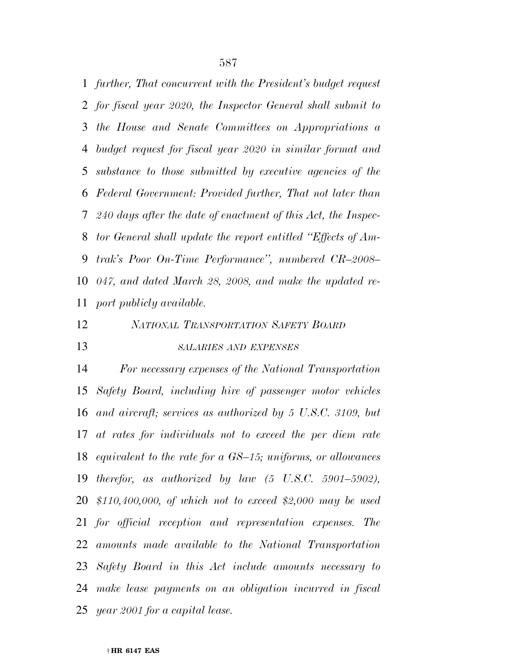*further, That concurrent with the President's budget request for fiscal year 2020, the Inspector General shall submit to the House and Senate Committees on Appropriations a budget request for fiscal year 2020 in similar format and substance to those submitted by executive agencies of the Federal Government: Provided further, That not later than 240 days after the date of enactment of this Act, the Inspec- tor General shall update the report entitled ''Effects of Am- trak's Poor On-Time Performance'', numbered CR–2008– 047, and dated March 28, 2008, and make the updated re-port publicly available.* 

## *NATIONAL TRANSPORTATION SAFETY BOARD*

*SALARIES AND EXPENSES*

 *For necessary expenses of the National Transportation Safety Board, including hire of passenger motor vehicles and aircraft; services as authorized by 5 U.S.C. 3109, but at rates for individuals not to exceed the per diem rate equivalent to the rate for a GS–15; uniforms, or allowances therefor, as authorized by law (5 U.S.C. 5901–5902), \$110,400,000, of which not to exceed \$2,000 may be used for official reception and representation expenses. The amounts made available to the National Transportation Safety Board in this Act include amounts necessary to make lease payments on an obligation incurred in fiscal year 2001 for a capital lease.*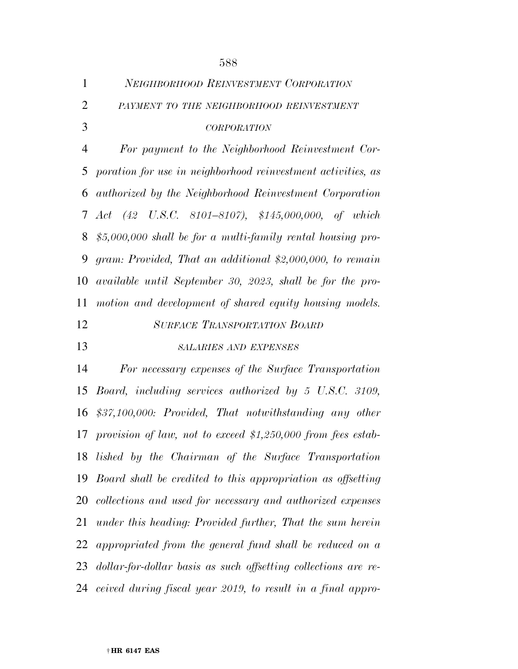| $\mathbf{1}$   | <b>NEIGHBORHOOD REINVESTMENT CORPORATION</b>                   |
|----------------|----------------------------------------------------------------|
| $\overline{2}$ | PAYMENT TO THE NEIGHBORHOOD REINVESTMENT                       |
| 3              | <b>CORPORATION</b>                                             |
| 4              | For payment to the Neighborhood Reinvestment Cor-              |
| 5              | poration for use in neighborhood reinvestment activities, as   |
| 6              | authorized by the Neighborhood Reinvestment Corporation        |
| 7              | Act (42 U.S.C. 8101–8107), \$145,000,000, of which             |
| 8              | $$5,000,000$ shall be for a multi-family rental housing pro-   |
| 9              | gram: Provided, That an additional \$2,000,000, to remain      |
| 10             | available until September 30, 2023, shall be for the pro-      |
| 11             | motion and development of shared equity housing models.        |
| 12             | <b>SURFACE TRANSPORTATION BOARD</b>                            |
| 13             | <b>SALARIES AND EXPENSES</b>                                   |
| 14             | For necessary expenses of the Surface Transportation           |
| 15             | Board, including services authorized by 5 U.S.C. 3109,         |
| 16             | $$37,100,000$ : Provided, That notwithstanding any other       |
| 17             | provision of law, not to exceed \$1,250,000 from fees estab-   |
|                | 18 lished by the Chairman of the Surface Transportation        |
| 19             | Board shall be credited to this appropriation as offsetting    |
|                | 20 collections and used for necessary and authorized expenses  |
| 21             | under this heading: Provided further, That the sum herein      |
|                |                                                                |
|                | 22 appropriated from the general fund shall be reduced on a    |
| 23             | dollar-for-dollar basis as such offsetting collections are re- |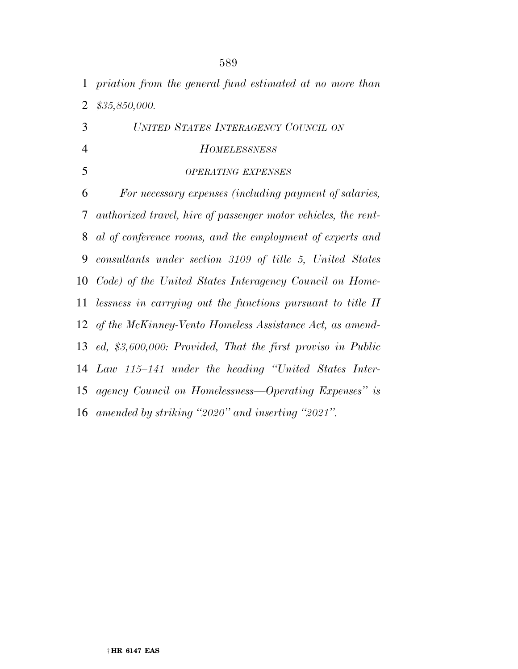| $\mathbf{1}$   | priation from the general fund estimated at no more than       |
|----------------|----------------------------------------------------------------|
| $\overline{2}$ | \$35,850,000.                                                  |
| 3              | UNITED STATES INTERAGENCY COUNCIL ON                           |
| $\overline{4}$ | <b>HOMELESSNESS</b>                                            |
| 5              | <b>OPERATING EXPENSES</b>                                      |
| 6              | For necessary expenses (including payment of salaries,         |
| 7              | authorized travel, hire of passenger motor vehicles, the rent- |
| 8              | al of conference rooms, and the employment of experts and      |
| 9              | consultants under section 3109 of title 5, United States       |
| 10             | Code) of the United States Interagency Council on Home-        |
| 11             | lessness in carrying out the functions pursuant to title II    |
|                | 12 of the McKinney-Vento Homeless Assistance Act, as amend-    |
|                | 13 ed, \$3,600,000: Provided, That the first proviso in Public |
|                | 14 Law 115–141 under the heading "United States Inter-         |
| 15             | agency Council on Homelessness—Operating Expenses" is          |
|                | 16 amended by striking "2020" and inserting "2021".            |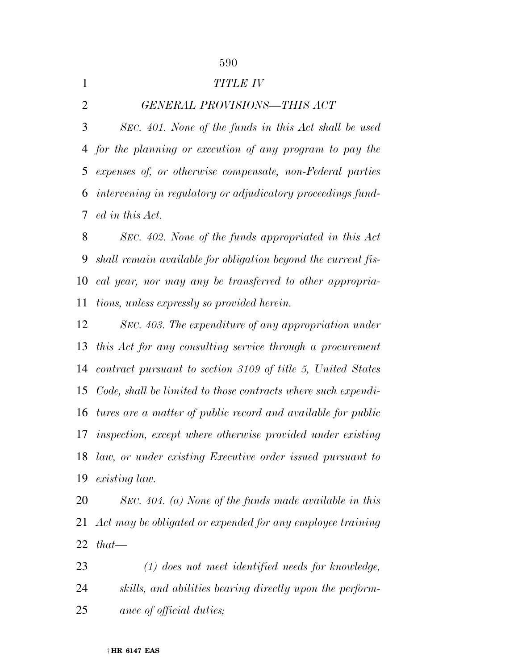|   | <b>TITLE IV</b>                                               |
|---|---------------------------------------------------------------|
| 2 | GENERAL PROVISIONS-THIS ACT                                   |
| 3 | SEC. 401. None of the funds in this Act shall be used         |
|   | 4 for the planning or execution of any program to pay the     |
|   | 5 expenses of, or otherwise compensate, non-Federal parties   |
|   | 6 intervening in regulatory or adjudicatory proceedings fund- |
|   | 7 ed in this Act.                                             |
| 8 | SEC. 402. None of the funds appropriated in this Act          |

 *shall remain available for obligation beyond the current fis- cal year, nor may any be transferred to other appropria-tions, unless expressly so provided herein.* 

 *SEC. 403. The expenditure of any appropriation under this Act for any consulting service through a procurement contract pursuant to section 3109 of title 5, United States Code, shall be limited to those contracts where such expendi- tures are a matter of public record and available for public inspection, except where otherwise provided under existing law, or under existing Executive order issued pursuant to existing law.* 

 *SEC. 404. (a) None of the funds made available in this Act may be obligated or expended for any employee training that—* 

 *(1) does not meet identified needs for knowledge, skills, and abilities bearing directly upon the perform-ance of official duties;*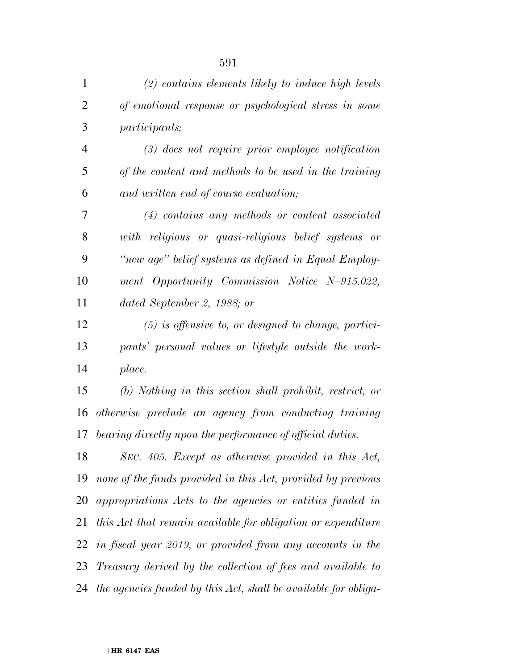| $\mathbf{1}$   | $(2)$ contains elements likely to induce high levels            |
|----------------|-----------------------------------------------------------------|
| $\overline{2}$ | of emotional response or psychological stress in some           |
| 3              | <i>participants</i> ;                                           |
| $\overline{4}$ | $(3)$ does not require prior employee notification              |
| 5              | of the content and methods to be used in the training           |
| 6              | and written end of course evaluation;                           |
| 7              | $(4)$ contains any methods or content associated                |
| 8              | with religious or quasi-religious belief systems or             |
| 9              | "new age" belief systems as defined in Equal Employ-            |
| 10             | ment Opportunity Commission Notice N-915.022,                   |
| 11             | dated September 2, 1988; or                                     |
| 12             | $(5)$ is offensive to, or designed to change, partici-          |
| 13             | pants' personal values or lifestyle outside the work-           |
| 14             | place.                                                          |
| 15             | $(b)$ Nothing in this section shall prohibit, restrict, or      |
| 16             | otherwise preclude an agency from conducting training           |
| 17             | bearing directly upon the performance of official duties.       |
| 18             | SEC. 405. Except as otherwise provided in this Act,             |
| 19             | none of the funds provided in this Act, provided by previous    |
| 20             | appropriations Acts to the agencies or entities funded in       |
| 21             | this Act that remain available for obligation or expenditure    |
| 22             | in fiscal year 2019, or provided from any accounts in the       |
| 23             | Treasury derived by the collection of fees and available to     |
| 24             | the agencies funded by this Act, shall be available for obliga- |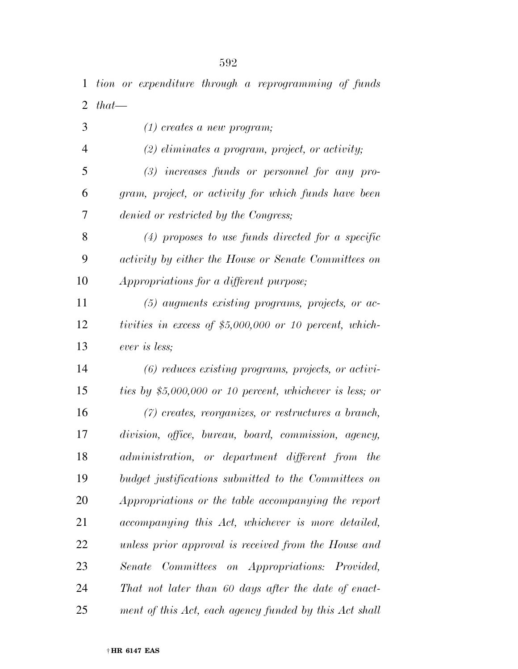| 1              | tion or expenditure through a reprogramming of funds      |
|----------------|-----------------------------------------------------------|
| 2              | $that -$                                                  |
| 3              | $(1)$ creates a new program;                              |
| $\overline{4}$ | $(2)$ eliminates a program, project, or activity;         |
| 5              | $(3)$ increases funds or personnel for any pro-           |
| 6              | gram, project, or activity for which funds have been      |
| 7              | denied or restricted by the Congress;                     |
| 8              | $(4)$ proposes to use funds directed for a specific       |
| 9              | activity by either the House or Senate Committees on      |
| 10             | Appropriations for a different purpose;                   |
| 11             | $(5)$ augments existing programs, projects, or ac-        |
| 12             | tivities in excess of \$5,000,000 or 10 percent, which-   |
| 13             | ever is less;                                             |
| 14             | $(6)$ reduces existing programs, projects, or activi-     |
| 15             | ties by $$5,000,000$ or 10 percent, whichever is less; or |
| 16             | $(7)$ creates, reorganizes, or restructures a branch,     |
| 17             | division, office, bureau, board, commission, agency,      |
| 18             | administration, or department different from the          |
| 19             | budget justifications submitted to the Committees on      |
| 20             | Appropriations or the table accompanying the report       |
| 21             | accompanying this Act, whichever is more detailed,        |
| 22             | unless prior approval is received from the House and      |
| 23             | Senate Committees on Appropriations: Provided,            |
| 24             | That not later than 60 days after the date of enact-      |
| 25             | ment of this Act, each agency funded by this Act shall    |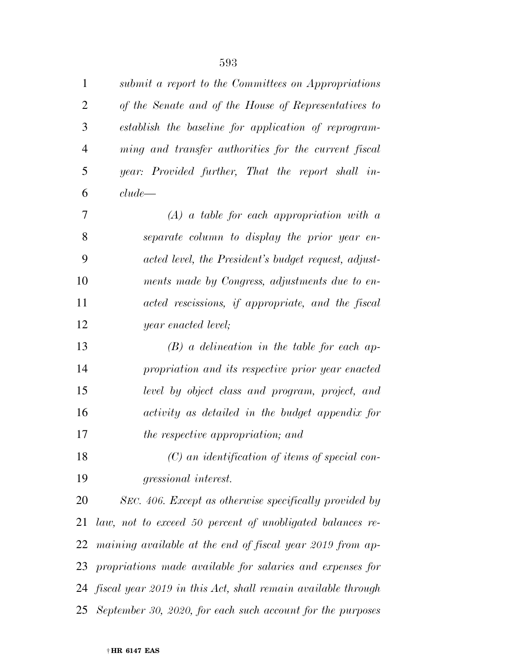| 1              | submit a report to the Committees on Appropriations             |
|----------------|-----------------------------------------------------------------|
| $\overline{2}$ | of the Senate and of the House of Representatives to            |
| 3              | establish the baseline for application of reprogram-            |
| $\overline{4}$ | ming and transfer authorities for the current fiscal            |
| 5              | year: Provided further, That the report shall in-               |
| 6              | clude                                                           |
| 7              | $(A)$ a table for each appropriation with a                     |
| 8              | separate column to display the prior year en-                   |
| 9              | acted level, the President's budget request, adjust-            |
| 10             | ments made by Congress, adjustments due to en-                  |
| 11             | acted rescissions, if appropriate, and the fiscal               |
| 12             | year enacted level;                                             |
| 13             | $(B)$ a delineation in the table for each ap-                   |
| 14             | propriation and its respective prior year enacted               |
| 15             | level by object class and program, project, and                 |
| 16             | activity as detailed in the budget appendix for                 |
| 17             | the respective appropriation; and                               |
| 18             | $(C)$ an identification of items of special con-                |
| 19             | <i>gressional interest.</i>                                     |
| 20             | SEC. 406. Except as otherwise specifically provided by          |
| 21             | law, not to exceed 50 percent of unobligated balances re-       |
| 22             | maining available at the end of fiscal year 2019 from ap-       |
| 23             | propriations made available for salaries and expenses for       |
|                | 24 fiscal year 2019 in this Act, shall remain available through |
| 25             | September 30, 2020, for each such account for the purposes      |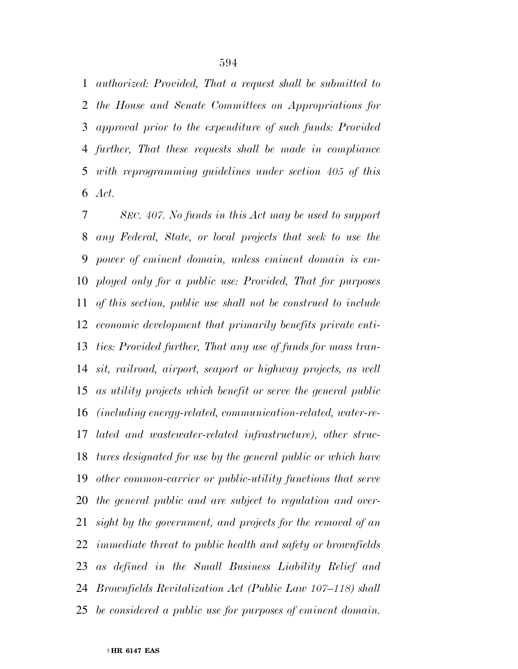*authorized: Provided, That a request shall be submitted to the House and Senate Committees on Appropriations for approval prior to the expenditure of such funds: Provided further, That these requests shall be made in compliance with reprogramming guidelines under section 405 of this Act.* 

 *SEC. 407. No funds in this Act may be used to support any Federal, State, or local projects that seek to use the power of eminent domain, unless eminent domain is em- ployed only for a public use: Provided, That for purposes of this section, public use shall not be construed to include economic development that primarily benefits private enti- ties: Provided further, That any use of funds for mass tran- sit, railroad, airport, seaport or highway projects, as well as utility projects which benefit or serve the general public (including energy-related, communication-related, water-re- lated and wastewater-related infrastructure), other struc- tures designated for use by the general public or which have other common-carrier or public-utility functions that serve the general public and are subject to regulation and over- sight by the government, and projects for the removal of an immediate threat to public health and safety or brownfields as defined in the Small Business Liability Relief and Brownfields Revitalization Act (Public Law 107–118) shall be considered a public use for purposes of eminent domain.*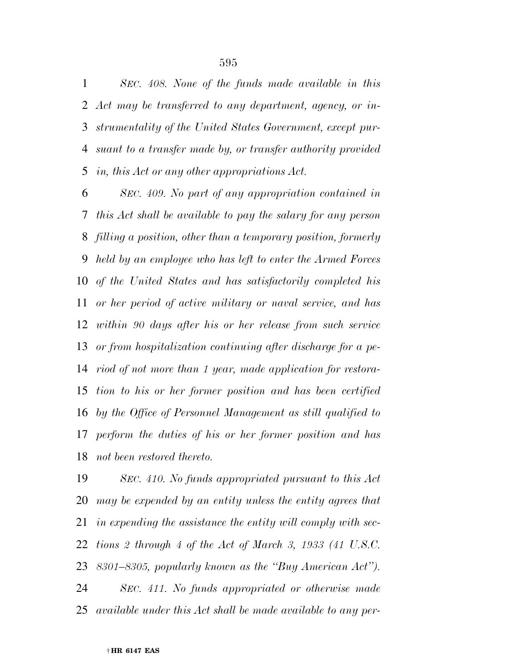*SEC. 408. None of the funds made available in this Act may be transferred to any department, agency, or in- strumentality of the United States Government, except pur- suant to a transfer made by, or transfer authority provided in, this Act or any other appropriations Act.* 

 *SEC. 409. No part of any appropriation contained in this Act shall be available to pay the salary for any person filling a position, other than a temporary position, formerly held by an employee who has left to enter the Armed Forces of the United States and has satisfactorily completed his or her period of active military or naval service, and has within 90 days after his or her release from such service or from hospitalization continuing after discharge for a pe- riod of not more than 1 year, made application for restora- tion to his or her former position and has been certified by the Office of Personnel Management as still qualified to perform the duties of his or her former position and has not been restored thereto.* 

 *SEC. 410. No funds appropriated pursuant to this Act may be expended by an entity unless the entity agrees that in expending the assistance the entity will comply with sec- tions 2 through 4 of the Act of March 3, 1933 (41 U.S.C. 8301–8305, popularly known as the ''Buy American Act''). SEC. 411. No funds appropriated or otherwise made available under this Act shall be made available to any per-*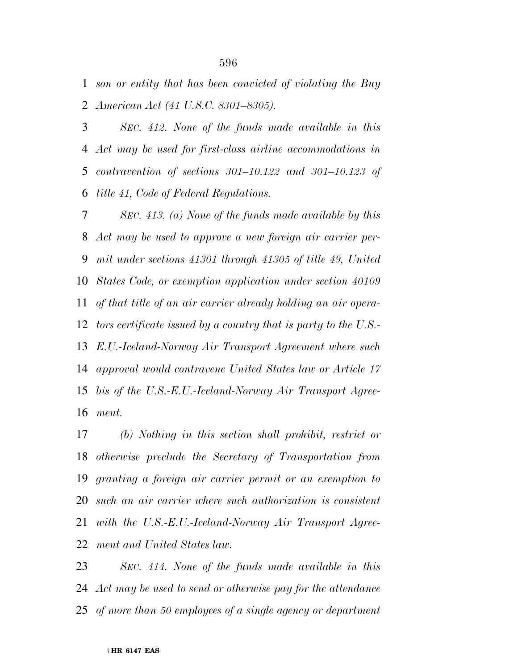*son or entity that has been convicted of violating the Buy American Act (41 U.S.C. 8301–8305).* 

 *SEC. 412. None of the funds made available in this Act may be used for first-class airline accommodations in contravention of sections 301–10.122 and 301–10.123 of title 41, Code of Federal Regulations.* 

 *SEC. 413. (a) None of the funds made available by this Act may be used to approve a new foreign air carrier per- mit under sections 41301 through 41305 of title 49, United States Code, or exemption application under section 40109 of that title of an air carrier already holding an air opera- tors certificate issued by a country that is party to the U.S.- E.U.-Iceland-Norway Air Transport Agreement where such approval would contravene United States law or Article 17 bis of the U.S.-E.U.-Iceland-Norway Air Transport Agree-ment.* 

 *(b) Nothing in this section shall prohibit, restrict or otherwise preclude the Secretary of Transportation from granting a foreign air carrier permit or an exemption to such an air carrier where such authorization is consistent with the U.S.-E.U.-Iceland-Norway Air Transport Agree-ment and United States law.* 

 *SEC. 414. None of the funds made available in this Act may be used to send or otherwise pay for the attendance of more than 50 employees of a single agency or department*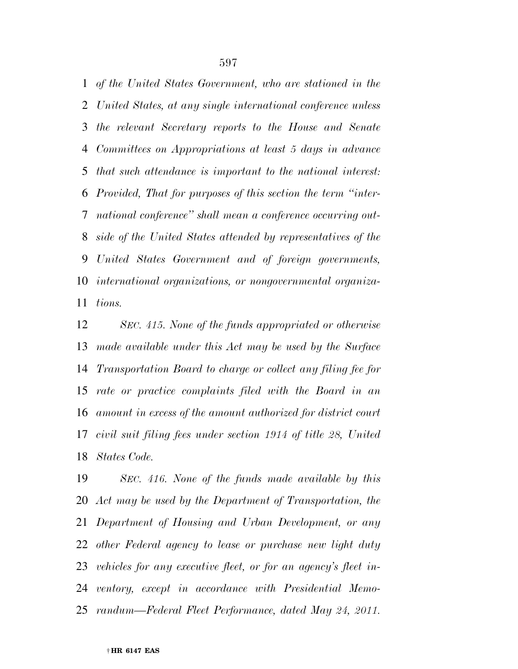*of the United States Government, who are stationed in the United States, at any single international conference unless the relevant Secretary reports to the House and Senate Committees on Appropriations at least 5 days in advance that such attendance is important to the national interest: Provided, That for purposes of this section the term ''inter- national conference'' shall mean a conference occurring out- side of the United States attended by representatives of the United States Government and of foreign governments, international organizations, or nongovernmental organiza-tions.* 

 *SEC. 415. None of the funds appropriated or otherwise made available under this Act may be used by the Surface Transportation Board to charge or collect any filing fee for rate or practice complaints filed with the Board in an amount in excess of the amount authorized for district court civil suit filing fees under section 1914 of title 28, United States Code.* 

 *SEC. 416. None of the funds made available by this Act may be used by the Department of Transportation, the Department of Housing and Urban Development, or any other Federal agency to lease or purchase new light duty vehicles for any executive fleet, or for an agency's fleet in- ventory, except in accordance with Presidential Memo-randum—Federal Fleet Performance, dated May 24, 2011.*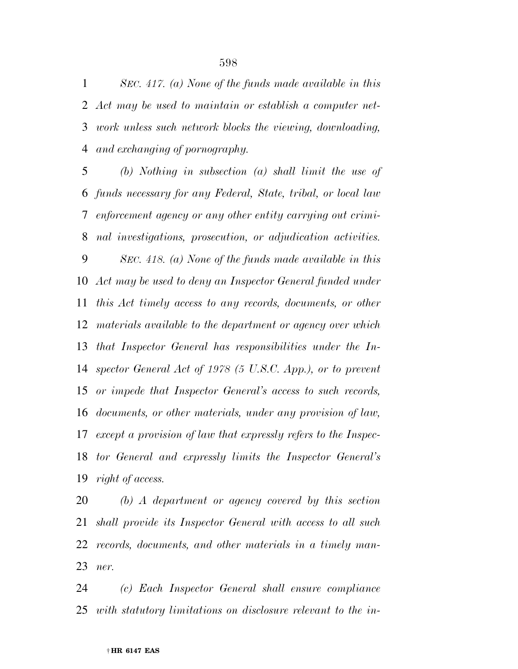*SEC. 417. (a) None of the funds made available in this Act may be used to maintain or establish a computer net- work unless such network blocks the viewing, downloading, and exchanging of pornography.* 

 *(b) Nothing in subsection (a) shall limit the use of funds necessary for any Federal, State, tribal, or local law enforcement agency or any other entity carrying out crimi- nal investigations, prosecution, or adjudication activities. SEC. 418. (a) None of the funds made available in this Act may be used to deny an Inspector General funded under this Act timely access to any records, documents, or other materials available to the department or agency over which that Inspector General has responsibilities under the In- spector General Act of 1978 (5 U.S.C. App.), or to prevent or impede that Inspector General's access to such records, documents, or other materials, under any provision of law, except a provision of law that expressly refers to the Inspec- tor General and expressly limits the Inspector General's right of access.* 

 *(b) A department or agency covered by this section shall provide its Inspector General with access to all such records, documents, and other materials in a timely man-ner.* 

 *(c) Each Inspector General shall ensure compliance with statutory limitations on disclosure relevant to the in-*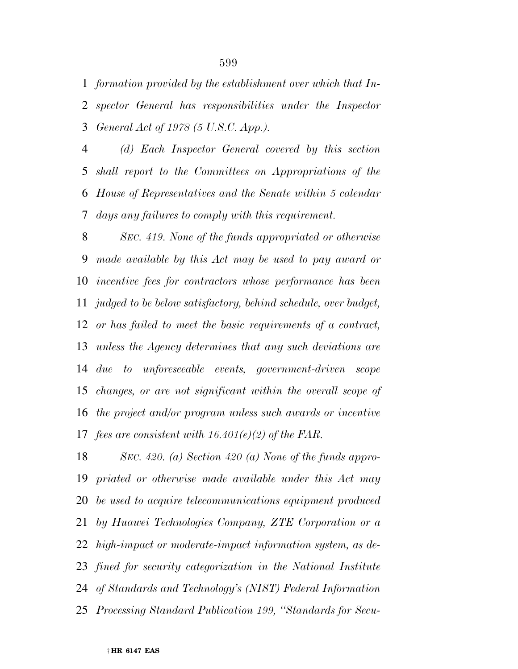*formation provided by the establishment over which that In- spector General has responsibilities under the Inspector General Act of 1978 (5 U.S.C. App.).* 

 *(d) Each Inspector General covered by this section shall report to the Committees on Appropriations of the House of Representatives and the Senate within 5 calendar days any failures to comply with this requirement.* 

 *SEC. 419. None of the funds appropriated or otherwise made available by this Act may be used to pay award or incentive fees for contractors whose performance has been judged to be below satisfactory, behind schedule, over budget, or has failed to meet the basic requirements of a contract, unless the Agency determines that any such deviations are due to unforeseeable events, government-driven scope changes, or are not significant within the overall scope of the project and/or program unless such awards or incentive fees are consistent with 16.401(e)(2) of the FAR.* 

 *SEC. 420. (a) Section 420 (a) None of the funds appro- priated or otherwise made available under this Act may be used to acquire telecommunications equipment produced by Huawei Technologies Company, ZTE Corporation or a high-impact or moderate-impact information system, as de- fined for security categorization in the National Institute of Standards and Technology's (NIST) Federal Information Processing Standard Publication 199, ''Standards for Secu-*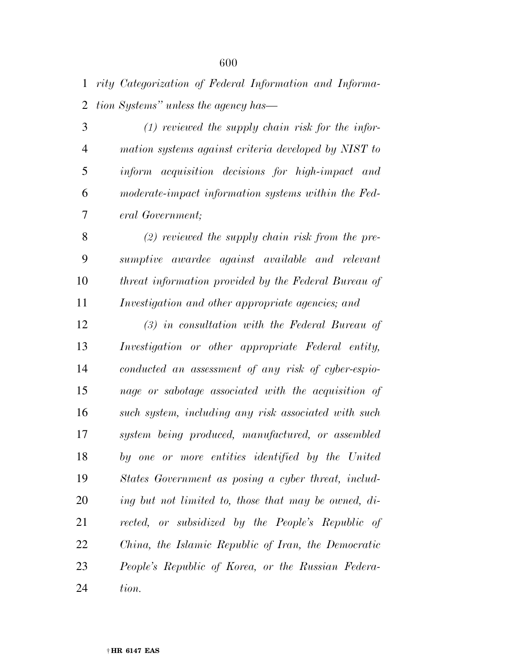*rity Categorization of Federal Information and Informa-tion Systems'' unless the agency has—* 

 *(1) reviewed the supply chain risk for the infor- mation systems against criteria developed by NIST to inform acquisition decisions for high-impact and moderate-impact information systems within the Fed-eral Government;* 

 *(2) reviewed the supply chain risk from the pre- sumptive awardee against available and relevant threat information provided by the Federal Bureau of Investigation and other appropriate agencies; and* 

 *(3) in consultation with the Federal Bureau of Investigation or other appropriate Federal entity, conducted an assessment of any risk of cyber-espio- nage or sabotage associated with the acquisition of such system, including any risk associated with such system being produced, manufactured, or assembled by one or more entities identified by the United States Government as posing a cyber threat, includ- ing but not limited to, those that may be owned, di- rected, or subsidized by the People's Republic of China, the Islamic Republic of Iran, the Democratic People's Republic of Korea, or the Russian Federa-tion.*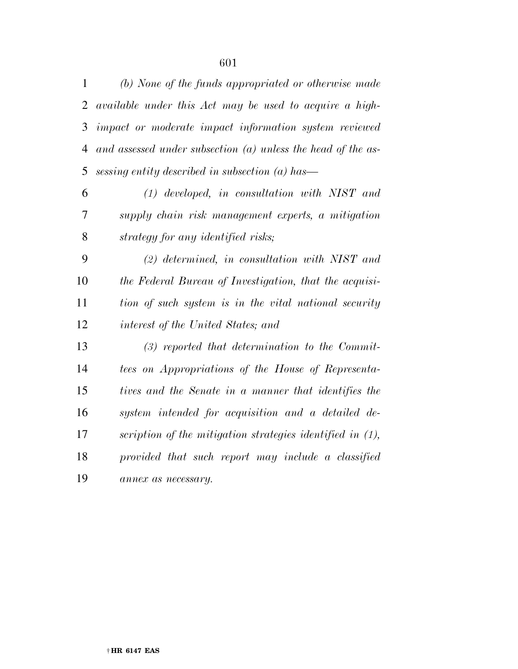| $\mathbf{1}$   | (b) None of the funds appropriated or otherwise made           |
|----------------|----------------------------------------------------------------|
| $\overline{2}$ | available under this Act may be used to acquire a high-        |
| 3              | impact or moderate impact information system reviewed          |
| $\overline{4}$ | and assessed under subsection $(a)$ unless the head of the as- |
| 5              | sessing entity described in subsection $(a)$ has—              |
| 6              | $(1)$ developed, in consultation with NIST and                 |
| 7              | supply chain risk management experts, a mitigation             |
| 8              | strategy for any identified risks;                             |
| 9              | $(2)$ determined, in consultation with NIST and                |
| 10             | the Federal Bureau of Investigation, that the acquisi-         |
| 11             | tion of such system is in the vital national security          |
| 12             | interest of the United States; and                             |
| 13             | $(3)$ reported that determination to the Commit-               |
| 14             | tees on Appropriations of the House of Representa-             |
| 15             | tives and the Senate in a manner that identifies the           |
| 16             | system intended for acquisition and a detailed de-             |
| 17             | scription of the mitigation strategies identified in (1),      |
| 18             | provided that such report may include a classified             |
| 19             | annex as necessary.                                            |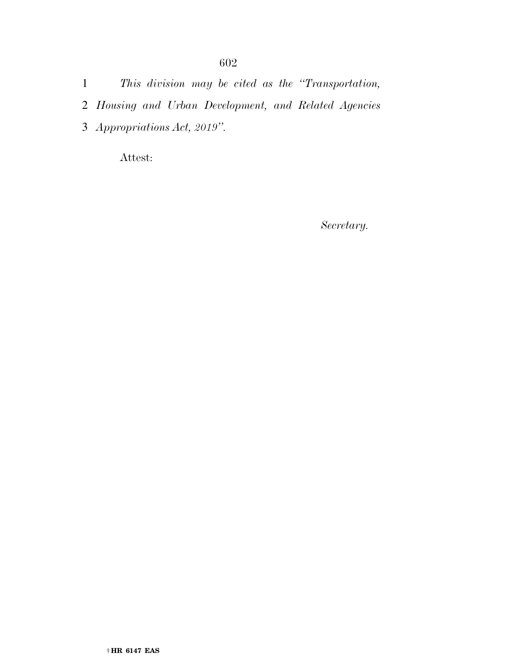1 *This division may be cited as the ''Transportation,* 

- 2 *Housing and Urban Development, and Related Agencies*
- 3 *Appropriations Act, 2019''.*

Attest:

*Secretary.*